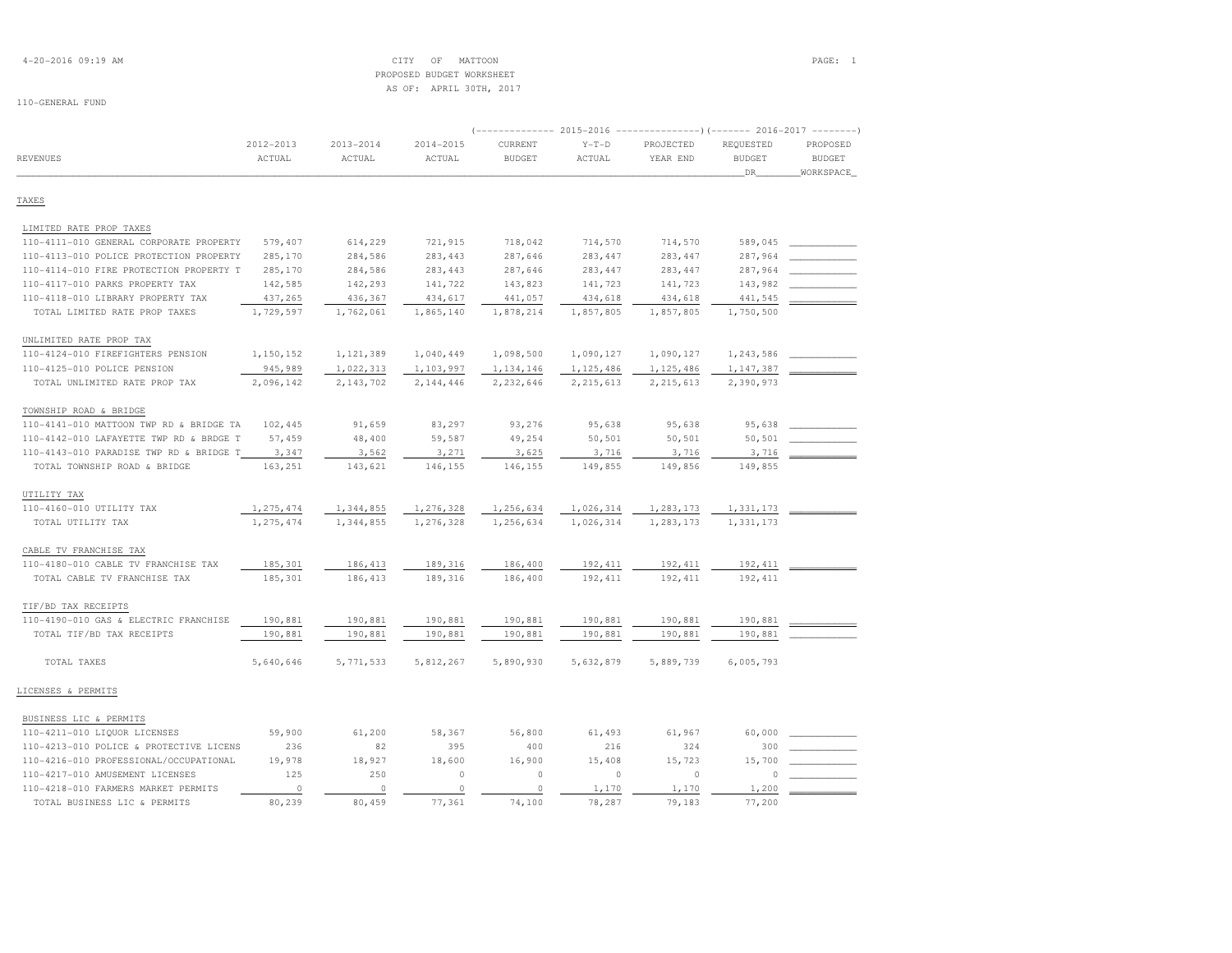|                                         |               |               |               |               |             | (-------------- 2015-2016 ---------------------- 2016-2017 ---------- |               |               |
|-----------------------------------------|---------------|---------------|---------------|---------------|-------------|-----------------------------------------------------------------------|---------------|---------------|
|                                         | $2012 - 2013$ | $2013 - 2014$ | $2014 - 2015$ | CURRENT       | $Y-T-D$     | PROJECTED                                                             | REQUESTED     | PROPOSED      |
| REVENUES                                | ACTUAL        | ACTUAL        | ACTUAL        | <b>BUDGET</b> | ACTUAL      | YEAR END                                                              | <b>BUDGET</b> | <b>BUDGET</b> |
|                                         |               |               |               |               |             |                                                                       | _DR_          | WORKSPACE     |
| TAXES                                   |               |               |               |               |             |                                                                       |               |               |
|                                         |               |               |               |               |             |                                                                       |               |               |
| LIMITED RATE PROP TAXES                 |               |               |               |               |             |                                                                       |               |               |
| 110-4111-010 GENERAL CORPORATE PROPERTY | 579,407       | 614,229       | 721,915       | 718,042       | 714,570     | 714,570                                                               | 589,045       |               |
| 110-4113-010 POLICE PROTECTION PROPERTY | 285,170       | 284,586       | 283,443       | 287,646       | 283, 447    | 283, 447                                                              | 287,964       |               |
| 110-4114-010 FIRE PROTECTION PROPERTY T | 285,170       | 284,586       | 283,443       | 287,646       | 283, 447    | 283, 447                                                              | 287,964       |               |
| 110-4117-010 PARKS PROPERTY TAX         | 142,585       | 142,293       | 141,722       | 143,823       | 141,723     | 141,723                                                               | 143,982       |               |
| 110-4118-010 LIBRARY PROPERTY TAX       | 437,265       | 436,367       | 434,617       | 441,057       | 434,618     | 434,618                                                               | 441,545       |               |
| TOTAL LIMITED RATE PROP TAXES           | 1,729,597     | 1,762,061     | 1,865,140     | 1,878,214     | 1,857,805   | 1,857,805                                                             | 1,750,500     |               |
| UNLIMITED RATE PROP TAX                 |               |               |               |               |             |                                                                       |               |               |
| 110-4124-010 FIREFIGHTERS PENSION       | 1,150,152     | 1,121,389     | 1,040,449     | 1,098,500     | 1,090,127   | 1,090,127                                                             | 1,243,586     |               |
| 110-4125-010 POLICE PENSION             | 945,989       | 1,022,313     | 1,103,997     | 1,134,146     | 1,125,486   | 1,125,486                                                             | 1,147,387     |               |
| TOTAL UNLIMITED RATE PROP TAX           | 2,096,142     | 2,143,702     | 2,144,446     | 2,232,646     | 2, 215, 613 | 2, 215, 613                                                           | 2,390,973     |               |
|                                         |               |               |               |               |             |                                                                       |               |               |
| TOWNSHIP ROAD & BRIDGE                  |               |               |               |               |             |                                                                       |               |               |
| 110-4141-010 MATTOON TWP RD & BRIDGE TA | 102,445       | 91,659        | 83,297        | 93,276        | 95,638      | 95,638                                                                | 95,638        |               |
| 110-4142-010 LAFAYETTE TWP RD & BRDGE T | 57,459        | 48,400        | 59,587        | 49,254        | 50,501      | 50,501                                                                | 50,501        |               |
| 110-4143-010 PARADISE TWP RD & BRIDGE T | 3,347         | 3,562         | 3,271         | 3,625         | 3,716       | 3,716                                                                 | 3,716         |               |
| TOTAL TOWNSHIP ROAD & BRIDGE            | 163,251       | 143,621       | 146,155       | 146,155       | 149,855     | 149,856                                                               | 149,855       |               |
| UTILITY TAX                             |               |               |               |               |             |                                                                       |               |               |
| 110-4160-010 UTILITY TAX                | 1,275,474     | 1,344,855     | 1,276,328     | 1,256,634     | 1,026,314   | 1,283,173                                                             | 1,331,173     |               |
| TOTAL UTILITY TAX                       | 1,275,474     | 1,344,855     | 1,276,328     | 1,256,634     | 1,026,314   | 1,283,173                                                             | 1,331,173     |               |
| CABLE TV FRANCHISE TAX                  |               |               |               |               |             |                                                                       |               |               |
| 110-4180-010 CABLE TV FRANCHISE TAX     | 185,301       | 186, 413      | 189,316       | 186,400       | 192,411     | 192, 411                                                              | 192,411       |               |
| TOTAL CABLE TV FRANCHISE TAX            | 185,301       | 186, 413      | 189,316       | 186,400       | 192,411     | 192, 411                                                              | 192,411       |               |
| TIF/BD TAX RECEIPTS                     |               |               |               |               |             |                                                                       |               |               |
| 110-4190-010 GAS & ELECTRIC FRANCHISE   | 190,881       | 190,881       | 190,881       | 190,881       | 190,881     | 190,881                                                               | 190,881       |               |
| TOTAL TIF/BD TAX RECEIPTS               | 190,881       | 190,881       | 190,881       | 190,881       | 190,881     | 190,881                                                               | 190,881       |               |
|                                         |               |               |               |               |             |                                                                       |               |               |
| TOTAL TAXES                             | 5,640,646     | 5, 771, 533   | 5,812,267     | 5,890,930     | 5,632,879   | 5,889,739                                                             | 6,005,793     |               |
| LICENSES & PERMITS                      |               |               |               |               |             |                                                                       |               |               |
|                                         |               |               |               |               |             |                                                                       |               |               |
| BUSINESS LIC & PERMITS                  |               |               |               |               |             |                                                                       |               |               |
| 110-4211-010 LIQUOR LICENSES            | 59,900        | 61,200        | 58,367        | 56,800        | 61,493      | 61,967                                                                | 60,000        |               |
| 110-4213-010 POLICE & PROTECTIVE LICENS | 236           | 82            | 395           | 400           | 216         | 324                                                                   | 300           |               |
| 110-4216-010 PROFESSIONAL/OCCUPATIONAL  | 19,978        | 18,927        | 18,600        | 16,900        | 15,408      | 15,723                                                                | 15,700        |               |
| 110-4217-010 AMUSEMENT LICENSES         | 125           | 250           | $\circ$       | $\circ$       | $\circ$     | $\circ$                                                               | $\Omega$      |               |
| 110-4218-010 FARMERS MARKET PERMITS     | $\circ$       | $\circ$       | $\circ$       | $\circ$       | 1,170       | 1,170                                                                 | 1,200         |               |
| TOTAL BUSINESS LIC & PERMITS            | 80,239        | 80,459        | 77,361        | 74,100        | 78,287      | 79,183                                                                | 77,200        |               |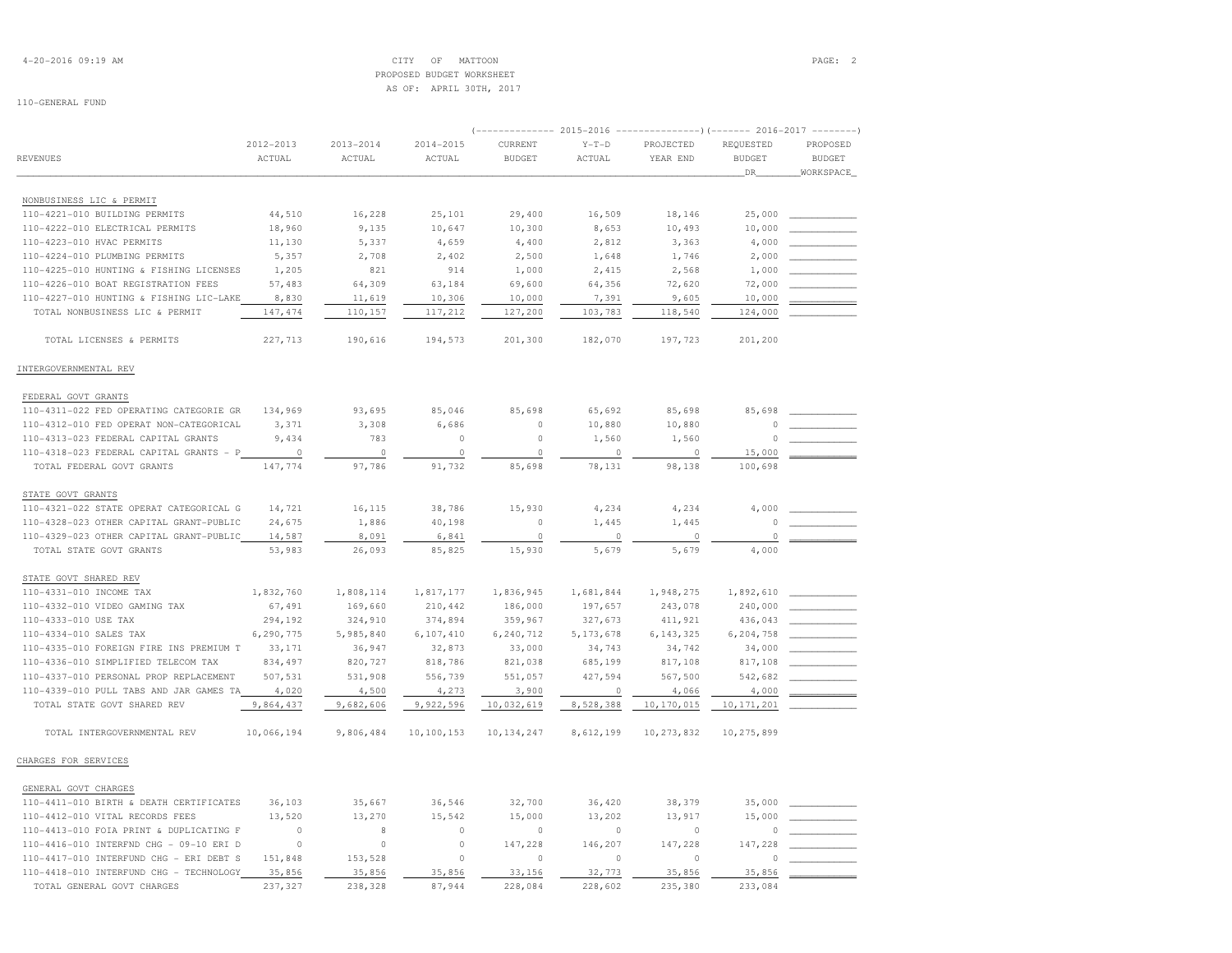4-20-2016 09:19 AM CITY OF MATTOON PAGE: 2 PROPOSED BUDGET WORKSHEETAS OF: APRIL 30TH, 2017

|                                         |                |               |            |               | 2015-2016   |              | $------------)$ (------- 2016-2017 ------- |               |  |
|-----------------------------------------|----------------|---------------|------------|---------------|-------------|--------------|--------------------------------------------|---------------|--|
|                                         | 2012-2013      | $2013 - 2014$ | 2014-2015  | CURRENT       | $Y-T-D$     | PROJECTED    | REQUESTED                                  | PROPOSED      |  |
| <b>REVENUES</b>                         | ACTUAL         | ACTUAL        | ACTUAL     | <b>BUDGET</b> | ACTUAL      | YEAR END     | <b>BUDGET</b>                              | <b>BUDGET</b> |  |
|                                         |                |               |            |               |             |              | DR                                         | WORKSPACE     |  |
| NONBUSINESS LIC & PERMIT                |                |               |            |               |             |              |                                            |               |  |
| 110-4221-010 BUILDING PERMITS           | 44,510         | 16,228        | 25,101     | 29,400        | 16,509      | 18,146       | 25,000                                     |               |  |
| 110-4222-010 ELECTRICAL PERMITS         | 18,960         | 9,135         | 10,647     | 10,300        | 8,653       | 10,493       | 10,000                                     |               |  |
| 110-4223-010 HVAC PERMITS               | 11,130         | 5,337         | 4,659      | 4,400         | 2,812       | 3,363        | 4,000                                      |               |  |
| 110-4224-010 PLUMBING PERMITS           | 5,357          | 2,708         | 2,402      | 2,500         | 1,648       | 1,746        | 2,000                                      |               |  |
| 110-4225-010 HUNTING & FISHING LICENSES | 1,205          | 821           | 914        | 1,000         | 2,415       | 2,568        | 1,000                                      |               |  |
| 110-4226-010 BOAT REGISTRATION FEES     | 57,483         | 64,309        | 63,184     | 69,600        | 64,356      | 72,620       | 72,000                                     |               |  |
| 110-4227-010 HUNTING & FISHING LIC-LAKE | 8,830          | 11,619        | 10,306     | 10,000        | 7,391       | 9,605        | 10,000                                     |               |  |
| TOTAL NONBUSINESS LIC & PERMIT          | 147, 474       | 110,157       | 117,212    | 127,200       | 103,783     | 118,540      | 124,000                                    |               |  |
| TOTAL LICENSES & PERMITS                | 227,713        | 190,616       | 194,573    | 201,300       | 182,070     | 197,723      | 201,200                                    |               |  |
| INTERGOVERNMENTAL REV                   |                |               |            |               |             |              |                                            |               |  |
|                                         |                |               |            |               |             |              |                                            |               |  |
| FEDERAL GOVT GRANTS                     |                |               |            |               |             |              |                                            |               |  |
| 110-4311-022 FED OPERATING CATEGORIE GR | 134,969        | 93,695        | 85,046     | 85,698        | 65,692      | 85,698       | 85,698                                     |               |  |
| 110-4312-010 FED OPERAT NON-CATEGORICAL | 3,371          | 3,308         | 6,686      | $\mathbb O$   | 10,880      | 10,880       | $\Omega$                                   |               |  |
| 110-4313-023 FEDERAL CAPITAL GRANTS     | 9,434          | 783           | 0          | $\mathbb O$   | 1,560       | 1,560        |                                            |               |  |
| 110-4318-023 FEDERAL CAPITAL GRANTS - P | $\overline{0}$ | $\circ$       | $\circ$    | $\circ$       | $\Omega$    | $\Omega$     | 15,000                                     |               |  |
| TOTAL FEDERAL GOVT GRANTS               | 147,774        | 97,786        | 91,732     | 85,698        | 78,131      | 98,138       | 100,698                                    |               |  |
| STATE GOVT GRANTS                       |                |               |            |               |             |              |                                            |               |  |
| 110-4321-022 STATE OPERAT CATEGORICAL G | 14,721         | 16,115        | 38,786     | 15,930        | 4,234       | 4,234        | 4,000                                      |               |  |
| 110-4328-023 OTHER CAPITAL GRANT-PUBLIC | 24,675         | 1,886         | 40,198     | $\circ$       | 1,445       | 1,445        | $\circ$                                    |               |  |
| 110-4329-023 OTHER CAPITAL GRANT-PUBLIC | 14,587         | 8,091         | 6,841      | $\circ$       | $\circ$     | $\circ$      | $\circ$                                    |               |  |
| TOTAL STATE GOVT GRANTS                 | 53,983         | 26,093        | 85,825     | 15,930        | 5,679       | 5,679        | 4,000                                      |               |  |
| STATE GOVT SHARED REV                   |                |               |            |               |             |              |                                            |               |  |
| 110-4331-010 INCOME TAX                 | 1,832,760      | 1,808,114     | 1,817,177  | 1,836,945     | 1,681,844   | 1,948,275    | 1,892,610                                  |               |  |
| 110-4332-010 VIDEO GAMING TAX           | 67,491         | 169,660       | 210,442    | 186,000       | 197,657     | 243,078      | 240,000                                    |               |  |
| 110-4333-010 USE TAX                    | 294,192        | 324,910       | 374,894    | 359,967       | 327,673     | 411,921      | 436,043                                    |               |  |
| 110-4334-010 SALES TAX                  | 6,290,775      | 5,985,840     | 6,107,410  | 6,240,712     | 5, 173, 678 | 6, 143, 325  | 6,204,758                                  |               |  |
| 110-4335-010 FOREIGN FIRE INS PREMIUM T | 33,171         | 36,947        | 32,873     | 33,000        | 34,743      | 34,742       | 34,000                                     |               |  |
| 110-4336-010 SIMPLIFIED TELECOM TAX     | 834,497        | 820,727       | 818,786    | 821,038       | 685,199     | 817,108      | 817,108                                    |               |  |
| 110-4337-010 PERSONAL PROP REPLACEMENT  | 507,531        | 531,908       | 556,739    | 551,057       | 427,594     | 567,500      | 542,682                                    |               |  |
| 110-4339-010 PULL TABS AND JAR GAMES TA | 4,020          | 4,500         | 4,273      | 3,900         | $\Omega$    | 4,066        | 4,000                                      |               |  |
| TOTAL STATE GOVT SHARED REV             | 9,864,437      | 9,682,606     | 9,922,596  | 10,032,619    | 8,528,388   | 10,170,015   | 10, 171, 201                               |               |  |
| TOTAL INTERGOVERNMENTAL REV             | 10,066,194     | 9,806,484     | 10,100,153 | 10, 134, 247  | 8,612,199   | 10, 273, 832 | 10,275,899                                 |               |  |
| CHARGES FOR SERVICES                    |                |               |            |               |             |              |                                            |               |  |
| GENERAL GOVT CHARGES                    |                |               |            |               |             |              |                                            |               |  |
| 110-4411-010 BIRTH & DEATH CERTIFICATES | 36,103         | 35,667        | 36,546     | 32,700        | 36,420      | 38,379       | 35,000                                     |               |  |
| 110-4412-010 VITAL RECORDS FEES         | 13,520         | 13,270        | 15,542     | 15,000        | 13,202      | 13,917       | 15,000                                     |               |  |
| 110-4413-010 FOIA PRINT & DUPLICATING F | $\Omega$       | 8             | 0          | $\Omega$      | $\circ$     | $\Omega$     | 0                                          |               |  |
| 110-4416-010 INTERFND CHG - 09-10 ERI D | $\circ$        | $\mathbb O$   | $\circ$    | 147,228       | 146,207     | 147,228      | 147,228                                    |               |  |
| 110-4417-010 INTERFUND CHG - ERI DEBT S | 151,848        | 153,528       | $\circ$    | $\circ$       | $\circ$     | $\circ$      |                                            |               |  |
| 110-4418-010 INTERFUND CHG - TECHNOLOGY | 35,856         | 35,856        | 35,856     | 33,156        | 32,773      | 35,856       | 35,856                                     |               |  |
| TOTAL GENERAL GOVT CHARGES              | 237.327        | 238,328       | 87.944     | 228,084       | 228,602     | 235,380      | 233,084                                    |               |  |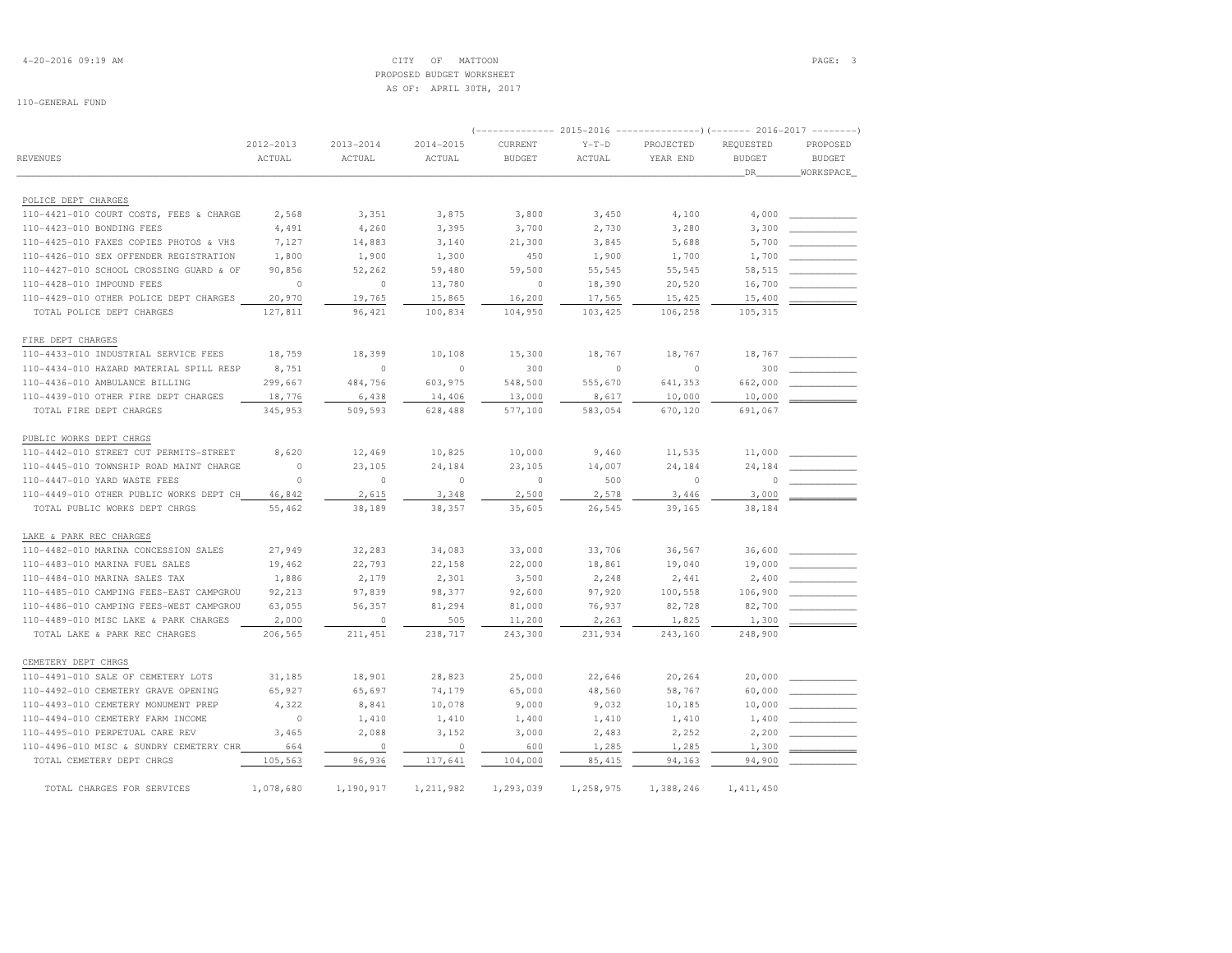|                                         |           |               |           | $---------2015-2016$ |           | $-----------)$ (------- 2016-2017 -------- |               |               |
|-----------------------------------------|-----------|---------------|-----------|----------------------|-----------|--------------------------------------------|---------------|---------------|
|                                         | 2012-2013 | $2013 - 2014$ | 2014-2015 | CURRENT              | $Y-T-D$   | PROJECTED                                  | REQUESTED     | PROPOSED      |
| REVENUES                                | ACTUAL    | ACTUAL        | ACTUAL    | <b>BUDGET</b>        | ACTUAL    | YEAR END                                   | <b>BUDGET</b> | <b>BUDGET</b> |
|                                         |           |               |           |                      |           |                                            | DR            | WORKSPACE     |
|                                         |           |               |           |                      |           |                                            |               |               |
| POLICE DEPT CHARGES                     |           |               |           |                      |           |                                            |               |               |
| 110-4421-010 COURT COSTS, FEES & CHARGE | 2,568     | 3,351         | 3,875     | 3,800                | 3,450     | 4,100                                      | 4,000         |               |
| 110-4423-010 BONDING FEES               | 4,491     | 4,260         | 3,395     | 3,700                | 2,730     | 3,280                                      | 3,300         |               |
| 110-4425-010 FAXES COPIES PHOTOS & VHS  | 7,127     | 14,883        | 3,140     | 21,300               | 3,845     | 5,688                                      | 5,700         |               |
| 110-4426-010 SEX OFFENDER REGISTRATION  | 1,800     | 1,900         | 1,300     | 450                  | 1,900     | 1,700                                      | 1,700         |               |
| 110-4427-010 SCHOOL CROSSING GUARD & OF | 90,856    | 52,262        | 59,480    | 59,500               | 55,545    | 55,545                                     | 58,515        |               |
| 110-4428-010 IMPOUND FEES               | $\circ$   | $\circ$       | 13,780    | $\circ$              | 18,390    | 20,520                                     | 16,700        |               |
| 110-4429-010 OTHER POLICE DEPT CHARGES  | 20,970    | 19,765        | 15,865    | 16,200               | 17,565    | 15,425                                     | 15,400        |               |
| TOTAL POLICE DEPT CHARGES               | 127,811   | 96,421        | 100,834   | 104,950              | 103,425   | 106,258                                    | 105,315       |               |
| FIRE DEPT CHARGES                       |           |               |           |                      |           |                                            |               |               |
| 110-4433-010 INDUSTRIAL SERVICE FEES    | 18,759    | 18,399        | 10,108    | 15,300               | 18,767    | 18,767                                     | 18,767        |               |
| 110-4434-010 HAZARD MATERIAL SPILL RESP | 8,751     | $\Omega$      | $\Omega$  | 300                  | $\Omega$  | $\cap$                                     | 300           |               |
| 110-4436-010 AMBULANCE BILLING          | 299,667   | 484,756       | 603,975   | 548,500              | 555,670   | 641,353                                    | 662,000       |               |
| 110-4439-010 OTHER FIRE DEPT CHARGES    | 18,776    | 6,438         | 14,406    | 13,000               | 8,617     | 10,000                                     | 10,000        |               |
| TOTAL FIRE DEPT CHARGES                 | 345,953   | 509,593       | 628,488   | 577,100              | 583,054   | 670,120                                    | 691,067       |               |
|                                         |           |               |           |                      |           |                                            |               |               |
| PUBLIC WORKS DEPT CHRGS                 |           |               |           |                      |           |                                            |               |               |
| 110-4442-010 STREET CUT PERMITS-STREET  | 8,620     | 12,469        | 10,825    | 10,000               | 9,460     | 11,535                                     | 11,000        |               |
| 110-4445-010 TOWNSHIP ROAD MAINT CHARGE | $\circ$   | 23,105        | 24,184    | 23,105               | 14,007    | 24,184                                     | 24,184        |               |
| 110-4447-010 YARD WASTE FEES            | $\circ$   | $\circ$       | $\circ$   | $\circ$              | 500       | $\circ$                                    | $\Omega$      |               |
| 110-4449-010 OTHER PUBLIC WORKS DEPT CH | 46,842    | 2,615         | 3,348     | 2,500                | 2,578     | 3,446                                      | 3,000         |               |
| TOTAL PUBLIC WORKS DEPT CHRGS           | 55,462    | 38,189        | 38,357    | 35,605               | 26,545    | 39,165                                     | 38,184        |               |
| LAKE & PARK REC CHARGES                 |           |               |           |                      |           |                                            |               |               |
| 110-4482-010 MARINA CONCESSION SALES    | 27,949    | 32,283        | 34,083    | 33,000               | 33,706    | 36,567                                     | 36,600        |               |
| 110-4483-010 MARINA FUEL SALES          | 19,462    | 22,793        | 22,158    | 22,000               | 18,861    | 19,040                                     | 19,000        |               |
| 110-4484-010 MARINA SALES TAX           | 1,886     | 2,179         | 2,301     | 3,500                | 2,248     | 2,441                                      | 2,400         |               |
| 110-4485-010 CAMPING FEES-EAST CAMPGROU | 92,213    | 97,839        | 98,377    | 92,600               | 97,920    | 100,558                                    | 106,900       |               |
| 110-4486-010 CAMPING FEES-WEST CAMPGROU | 63,055    | 56,357        | 81,294    | 81,000               | 76,937    | 82,728                                     | 82,700        |               |
| 110-4489-010 MISC LAKE & PARK CHARGES   | 2,000     | $\circ$       | 505       | 11,200               | 2,263     | 1,825                                      | 1,300         |               |
| TOTAL LAKE & PARK REC CHARGES           | 206,565   | 211,451       | 238,717   | 243,300              | 231,934   | 243,160                                    | 248,900       |               |
|                                         |           |               |           |                      |           |                                            |               |               |
| CEMETERY DEPT CHRGS                     |           |               |           |                      |           |                                            |               |               |
| 110-4491-010 SALE OF CEMETERY LOTS      | 31,185    | 18,901        | 28,823    | 25,000               | 22,646    | 20,264                                     | 20,000        |               |
| 110-4492-010 CEMETERY GRAVE OPENING     | 65,927    | 65,697        | 74,179    | 65,000               | 48,560    | 58,767                                     | 60,000        |               |
| 110-4493-010 CEMETERY MONUMENT PREP     | 4,322     | 8,841         | 10,078    | 9,000                | 9,032     | 10,185                                     | 10,000        |               |
| 110-4494-010 CEMETERY FARM INCOME       | $\circ$   | 1,410         | 1,410     | 1,400                | 1,410     | 1,410                                      | 1,400         |               |
| 110-4495-010 PERPETUAL CARE REV         | 3,465     | 2,088         | 3,152     | 3,000                | 2,483     | 2,252                                      | 2,200         |               |
| 110-4496-010 MISC & SUNDRY CEMETERY CHR | 664       | $\circ$       | $\circ$   | 600                  | 1,285     | 1,285                                      | 1,300         |               |
| TOTAL CEMETERY DEPT CHRGS               | 105,563   | 96,936        | 117,641   | 104,000              | 85, 415   | 94,163                                     | 94,900        |               |
|                                         |           |               |           |                      |           |                                            |               |               |
| TOTAL CHARGES FOR SERVICES              | 1,078,680 | 1,190,917     | 1,211,982 | 1,293,039            | 1,258,975 | 1,388,246                                  | 1, 411, 450   |               |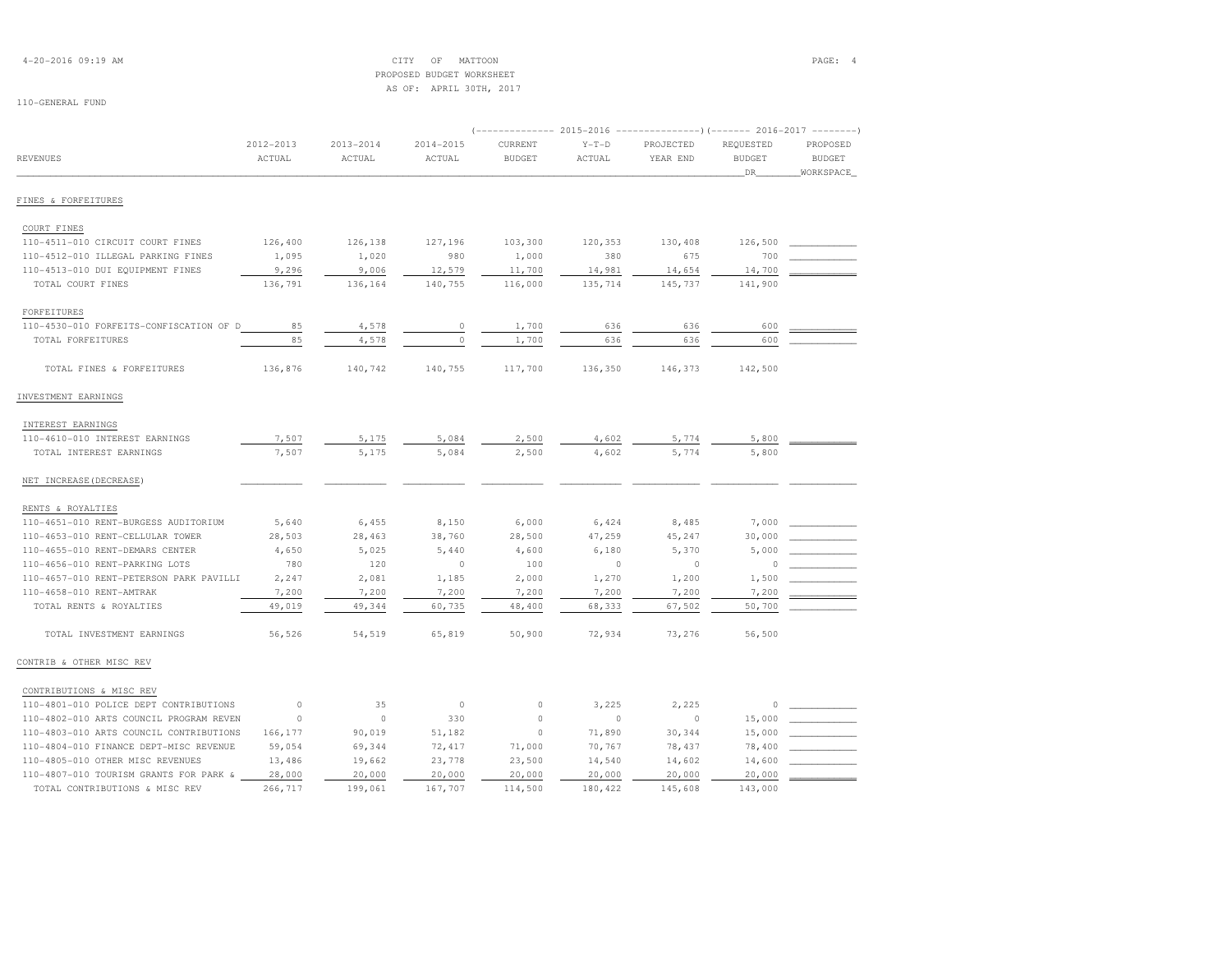4-20-2016 09:19 AM CITY OF MATTOON PAGE: 4 PROPOSED BUDGET WORKSHEETAS OF: APRIL 30TH, 2017

|                                            |                     |                         |                         | $---------2015-2016$     |                   |                       | $-----------() (------ 2016-2017$ |                                        |
|--------------------------------------------|---------------------|-------------------------|-------------------------|--------------------------|-------------------|-----------------------|-----------------------------------|----------------------------------------|
| <b>REVENUES</b>                            | 2012-2013<br>ACTUAL | $2013 - 2014$<br>ACTUAL | $2014 - 2015$<br>ACTUAL | CURRENT<br><b>BUDGET</b> | $Y-T-D$<br>ACTUAL | PROJECTED<br>YEAR END | REQUESTED<br><b>BUDGET</b><br>DR  | PROPOSED<br><b>BUDGET</b><br>WORKSPACE |
| FINES & FORFEITURES                        |                     |                         |                         |                          |                   |                       |                                   |                                        |
| COURT FINES                                |                     |                         |                         |                          |                   |                       |                                   |                                        |
| 110-4511-010 CIRCUIT COURT FINES           | 126,400             | 126,138                 | 127,196                 | 103,300                  | 120,353           | 130,408               | 126,500                           |                                        |
| 110-4512-010 ILLEGAL PARKING FINES         | 1,095               | 1,020                   | 980                     | 1,000                    | 380               | 675                   | 700                               |                                        |
| 110-4513-010 DUI EQUIPMENT FINES           | 9,296               | 9,006                   | 12,579                  | 11,700                   | 14,981            | 14,654                | 14,700                            |                                        |
| TOTAL COURT FINES                          | 136,791             | 136,164                 | 140,755                 | 116,000                  | 135,714           | 145,737               | 141,900                           |                                        |
| FORFEITURES                                |                     |                         |                         |                          |                   |                       |                                   |                                        |
| 110-4530-010 FORFEITS-CONFISCATION OF<br>D | 85                  | 4,578                   | 0                       | 1,700                    | 636               | 636                   | 600                               |                                        |
| TOTAL FORFEITURES                          | 85                  | 4,578                   | $\circ$                 | 1,700                    | 636               | 636                   | 600                               |                                        |
| TOTAL FINES & FORFEITURES                  | 136,876             | 140,742                 | 140,755                 | 117,700                  | 136,350           | 146,373               | 142,500                           |                                        |
| INVESTMENT EARNINGS                        |                     |                         |                         |                          |                   |                       |                                   |                                        |
| INTEREST EARNINGS                          |                     |                         |                         |                          |                   |                       |                                   |                                        |
| 110-4610-010 INTEREST EARNINGS             | 7,507               | 5,175                   | 5,084                   | 2,500                    | 4,602             | 5,774                 | 5,800                             |                                        |
| TOTAL INTEREST EARNINGS                    | 7,507               | 5,175                   | 5,084                   | 2,500                    | 4,602             | 5,774                 | 5,800                             |                                        |
| NET INCREASE (DECREASE)                    |                     |                         |                         |                          |                   |                       |                                   |                                        |
| RENTS & ROYALTIES                          |                     |                         |                         |                          |                   |                       |                                   |                                        |
| 110-4651-010 RENT-BURGESS AUDITORIUM       | 5,640               | 6,455                   | 8,150                   | 6,000                    | 6,424             | 8,485                 | 7,000                             |                                        |
| 110-4653-010 RENT-CELLULAR TOWER           | 28,503              | 28,463                  | 38,760                  | 28,500                   | 47,259            | 45,247                | 30,000                            |                                        |
| 110-4655-010 RENT-DEMARS CENTER            | 4,650               | 5,025                   | 5,440                   | 4,600                    | 6,180             | 5,370                 | 5,000                             |                                        |
| 110-4656-010 RENT-PARKING LOTS             | 780                 | 120                     | $\circ$                 | 100                      | $\circ$           | $\circ$               | 0                                 |                                        |
| 110-4657-010 RENT-PETERSON PARK PAVILLI    | 2,247               | 2,081                   | 1,185                   | 2,000                    | 1,270             | 1,200                 | 1,500                             |                                        |
| 110-4658-010 RENT-AMTRAK                   | 7,200               | 7,200                   | 7,200                   | 7,200                    | 7,200             | 7,200                 | 7,200                             |                                        |
| TOTAL RENTS & ROYALTIES                    | 49,019              | 49,344                  | 60,735                  | 48,400                   | 68,333            | 67,502                | 50,700                            |                                        |
| TOTAL INVESTMENT EARNINGS                  | 56,526              | 54,519                  | 65,819                  | 50,900                   | 72,934            | 73,276                | 56,500                            |                                        |
| CONTRIB & OTHER MISC REV                   |                     |                         |                         |                          |                   |                       |                                   |                                        |
| CONTRIBUTIONS & MISC REV                   |                     |                         |                         |                          |                   |                       |                                   |                                        |
| 110-4801-010 POLICE DEPT CONTRIBUTIONS     | $\circ$             | 35                      | $\circ$                 | $\circ$                  | 3,225             | 2,225                 | $\circ$                           |                                        |
| 110-4802-010 ARTS COUNCIL PROGRAM REVEN    | $\circ$             | $\circ$                 | 330                     | $\circ$                  | $\circ$           | $\circ$               | 15,000                            |                                        |
| 110-4803-010 ARTS COUNCIL CONTRIBUTIONS    | 166,177             | 90,019                  | 51,182                  | $\circ$                  | 71,890            | 30,344                | 15,000                            |                                        |
| 110-4804-010 FINANCE DEPT-MISC REVENUE     | 59,054              | 69,344                  | 72,417                  | 71,000                   | 70,767            | 78,437                | 78,400                            |                                        |
| 110-4805-010 OTHER MISC REVENUES           | 13,486              | 19,662                  | 23,778                  | 23,500                   | 14,540            | 14,602                | 14,600                            |                                        |
| 110-4807-010 TOURISM GRANTS FOR PARK &     | 28,000              | 20,000                  | 20,000                  | 20,000                   | 20,000            | 20,000                | 20,000                            |                                        |
| TOTAL CONTRIBUTIONS & MISC REV             | 266,717             | 199,061                 | 167,707                 | 114,500                  | 180,422           | 145,608               | 143,000                           |                                        |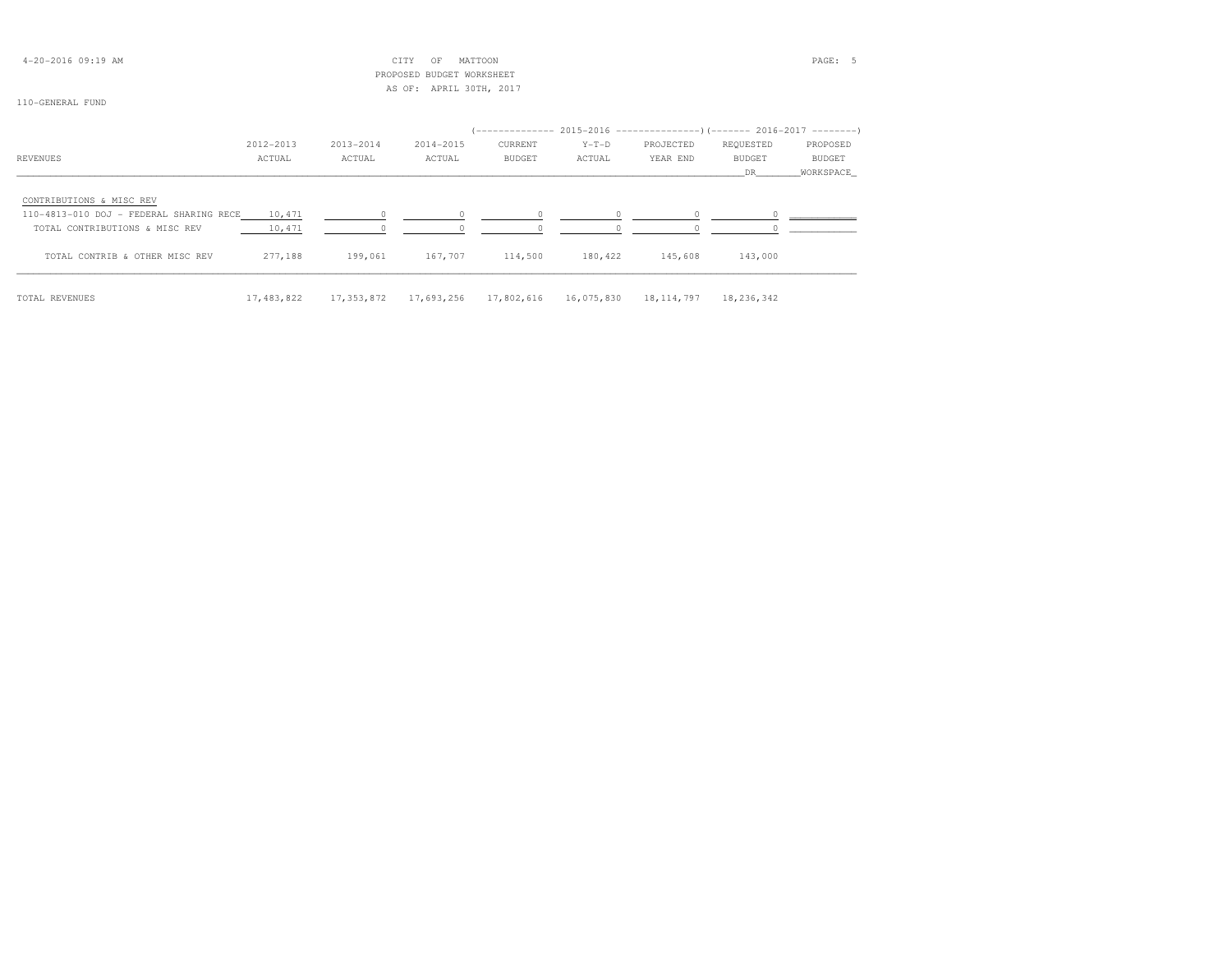| $4 - 20 - 2016$ 09:19 AM                |           |           | CITY<br>MATTOON<br>OF     |         |         | PAGE: 5   |                                                                        |               |  |  |
|-----------------------------------------|-----------|-----------|---------------------------|---------|---------|-----------|------------------------------------------------------------------------|---------------|--|--|
|                                         |           |           | PROPOSED BUDGET WORKSHEET |         |         |           |                                                                        |               |  |  |
|                                         |           |           | AS OF: APRIL 30TH, 2017   |         |         |           |                                                                        |               |  |  |
| 110-GENERAL FUND                        |           |           |                           |         |         |           |                                                                        |               |  |  |
|                                         |           |           |                           |         |         |           |                                                                        |               |  |  |
|                                         |           |           |                           |         |         |           | (-------------- 2015-2016 --------------------- 2016-2017 ---------- ) |               |  |  |
|                                         | 2012-2013 | 2013-2014 | 2014-2015                 | CURRENT | $Y-T-D$ | PROJECTED | REQUESTED                                                              | PROPOSED      |  |  |
| REVENUES                                | ACTUAL    | ACTUAL    | ACTUAL                    | BUDGET  | ACTUAL  | YEAR END  | <b>BUDGET</b>                                                          | <b>BUDGET</b> |  |  |
|                                         |           |           |                           |         |         |           | DR                                                                     | WORKSPACE     |  |  |
|                                         |           |           |                           |         |         |           |                                                                        |               |  |  |
| CONTRIBUTIONS & MISC REV                |           |           |                           |         |         |           |                                                                        |               |  |  |
| 110-4813-010 DOJ - FEDERAL SHARING RECE | 10,471    |           | $\circ$                   |         |         |           |                                                                        |               |  |  |
| TOTAL CONTRIBUTIONS & MISC REV          | 10,471    |           |                           |         |         |           |                                                                        |               |  |  |
|                                         |           |           |                           |         |         |           |                                                                        |               |  |  |
| TOTAL CONTRIB & OTHER MISC REV          | 277,188   | 199,061   | 167,707                   | 114,500 | 180,422 | 145,608   | 143,000                                                                |               |  |  |

TOTAL REVENUES 17,483,822 17,353,872 17,693,256 17,802,616 16,075,830 18,114,797 18,236,342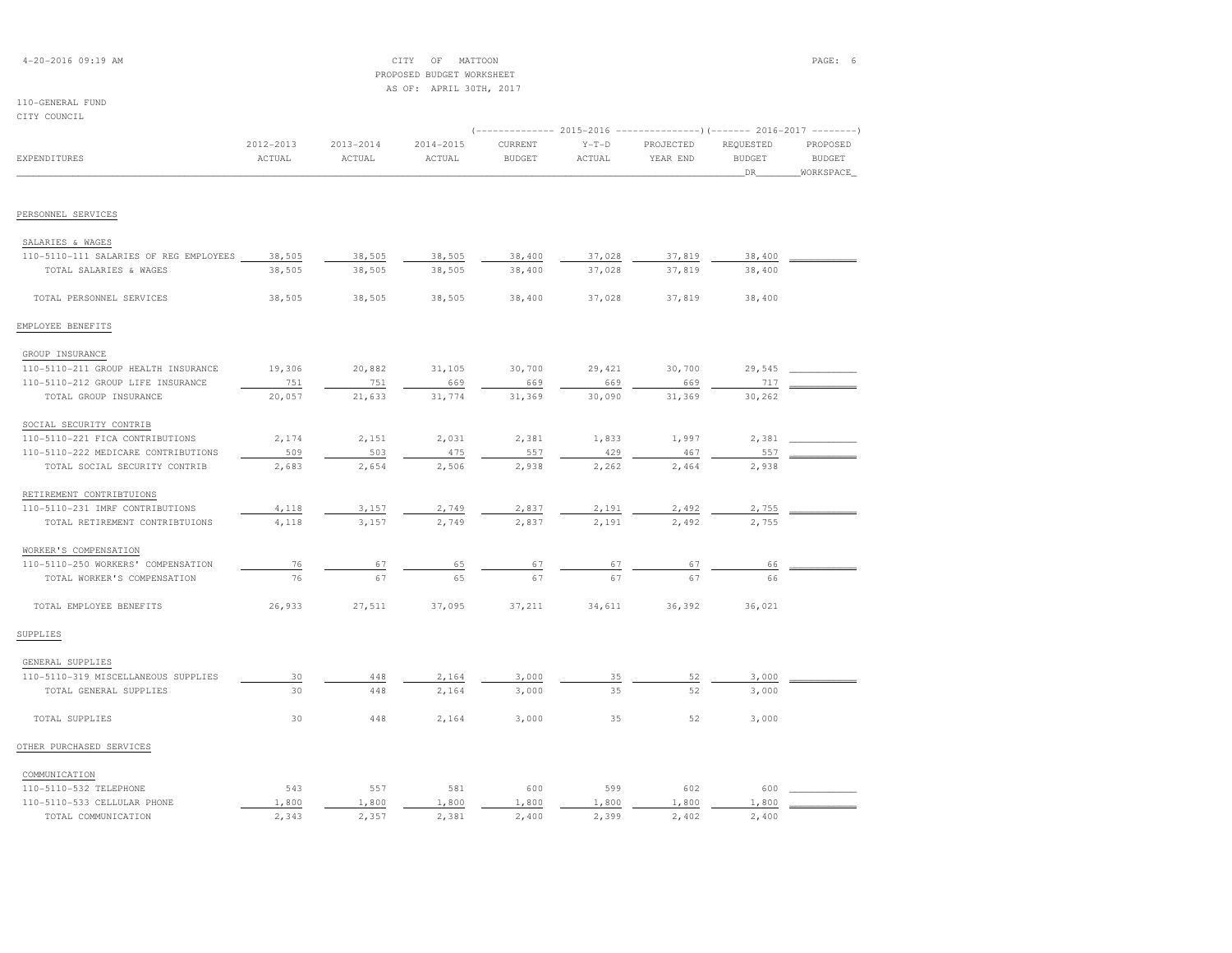| $4 - 20 - 2016$ 09:19 AM |  |  |
|--------------------------|--|--|
|--------------------------|--|--|

# $\begin{array}{ccc} \text{CITY} & \text{OF} & \text{MATION} \end{array}$  PROPOSED BUDGET WORKSHEETAS OF: APRIL 30TH, 2017

| CITY COUNCIL                           |                     |                     |                     |                          |                          |                                                                                                |                                    |                                        |
|----------------------------------------|---------------------|---------------------|---------------------|--------------------------|--------------------------|------------------------------------------------------------------------------------------------|------------------------------------|----------------------------------------|
| EXPENDITURES                           | 2012-2013<br>ACTUAL | 2013-2014<br>ACTUAL | 2014-2015<br>ACTUAL | CURRENT<br><b>BUDGET</b> | $Y-T-D$<br><b>ACTUAL</b> | (-------------- 2015-2016 ---------------------- 2016-2017 ----------<br>PROJECTED<br>YEAR END | REQUESTED<br><b>BUDGET</b><br>_DR_ | PROPOSED<br><b>BUDGET</b><br>WORKSPACE |
|                                        |                     |                     |                     |                          |                          |                                                                                                |                                    |                                        |
| PERSONNEL SERVICES                     |                     |                     |                     |                          |                          |                                                                                                |                                    |                                        |
| SALARIES & WAGES                       |                     |                     |                     |                          |                          |                                                                                                |                                    |                                        |
| 110-5110-111 SALARIES OF REG EMPLOYEES | 38,505              | 38,505              | 38,505              | 38,400                   | 37,028                   | 37,819                                                                                         | 38,400                             |                                        |
| TOTAL SALARIES & WAGES                 | 38,505              | 38,505              | 38,505              | 38,400                   | 37,028                   | 37,819                                                                                         | 38,400                             |                                        |
| TOTAL PERSONNEL SERVICES               | 38,505              | 38,505              | 38,505              | 38,400                   | 37,028                   | 37,819                                                                                         | 38,400                             |                                        |
| EMPLOYEE BENEFITS                      |                     |                     |                     |                          |                          |                                                                                                |                                    |                                        |
| GROUP INSURANCE                        |                     |                     |                     |                          |                          |                                                                                                |                                    |                                        |
| 110-5110-211 GROUP HEALTH INSURANCE    | 19,306              | 20,882              | 31,105              | 30,700                   | 29,421                   | 30,700                                                                                         | 29,545                             |                                        |
| 110-5110-212 GROUP LIFE INSURANCE      | 751                 | 751                 | 669                 | 669                      | 669                      | 669                                                                                            | 717                                |                                        |
| TOTAL GROUP INSURANCE                  | 20,057              | 21,633              | 31,774              | 31,369                   | 30,090                   | 31,369                                                                                         | 30,262                             |                                        |
| SOCIAL SECURITY CONTRIB                |                     |                     |                     |                          |                          |                                                                                                |                                    |                                        |
| 110-5110-221 FICA CONTRIBUTIONS        | 2,174               | 2,151               | 2,031               | 2,381                    | 1,833                    | 1,997                                                                                          | 2,381                              |                                        |
| 110-5110-222 MEDICARE CONTRIBUTIONS    | 509                 | 503                 | 475                 | 557                      | 429                      | 467                                                                                            | 557                                |                                        |
| TOTAL SOCIAL SECURITY CONTRIB          | 2,683               | 2,654               | 2,506               | 2,938                    | 2,262                    | 2,464                                                                                          | 2,938                              |                                        |
| RETIREMENT CONTRIBTUIONS               |                     |                     |                     |                          |                          |                                                                                                |                                    |                                        |
| 110-5110-231 IMRF CONTRIBUTIONS        | 4,118               | 3,157               | 2,749               | 2,837                    | 2,191                    | 2,492                                                                                          | 2,755                              |                                        |
| TOTAL RETIREMENT CONTRIBTUIONS         | 4,118               | 3,157               | 2,749               | 2,837                    | 2,191                    | 2,492                                                                                          | 2,755                              |                                        |
| WORKER'S COMPENSATION                  |                     |                     |                     |                          |                          |                                                                                                |                                    |                                        |
| 110-5110-250 WORKERS' COMPENSATION     | 76                  | 67                  | 65                  | 67                       | 67                       | 67                                                                                             | 66                                 |                                        |
| TOTAL WORKER'S COMPENSATION            | 76                  | 67                  | 65                  | 67                       | 67                       | 67                                                                                             | 66                                 |                                        |
| TOTAL EMPLOYEE BENEFITS                | 26,933              | 27,511              | 37,095              | 37,211                   | 34,611                   | 36,392                                                                                         | 36,021                             |                                        |
| SUPPLIES                               |                     |                     |                     |                          |                          |                                                                                                |                                    |                                        |
| GENERAL SUPPLIES                       |                     |                     |                     |                          |                          |                                                                                                |                                    |                                        |
| 110-5110-319 MISCELLANEOUS SUPPLIES    | 30                  | 448                 | 2,164               | 3,000                    | 35                       | 52                                                                                             | 3,000                              |                                        |
| TOTAL GENERAL SUPPLIES                 | 30                  | 448                 | 2,164               | 3,000                    | 35                       | 52                                                                                             | 3,000                              |                                        |
| TOTAL SUPPLIES                         | 30                  | 448                 | 2,164               | 3,000                    | 35                       | 52                                                                                             | 3,000                              |                                        |
| OTHER PURCHASED SERVICES               |                     |                     |                     |                          |                          |                                                                                                |                                    |                                        |
| COMMUNICATION                          |                     |                     |                     |                          |                          |                                                                                                |                                    |                                        |
| 110-5110-532 TELEPHONE                 | 543                 | 557                 | 581                 | 600                      | 599                      | 602                                                                                            | 600                                |                                        |
| 110-5110-533 CELLULAR PHONE            | 1,800               | 1,800               | 1,800               | 1,800                    | 1,800                    | 1,800                                                                                          | 1,800                              |                                        |
| TOTAL COMMUNICATION                    | 2,343               | 2,357               | 2,381               | 2,400                    | 2,399                    | 2,402                                                                                          | 2,400                              |                                        |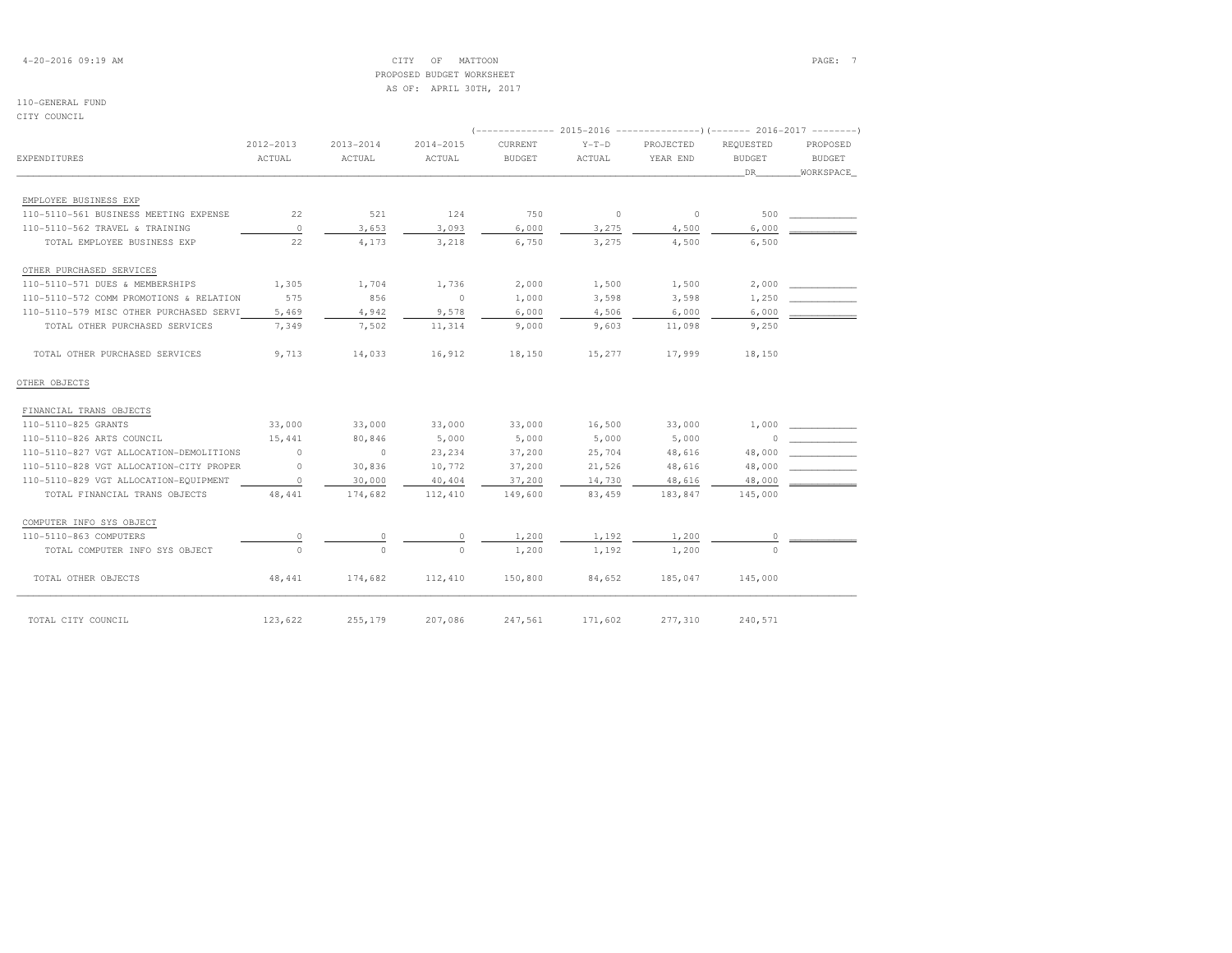4-20-2016 09:19 AM CITY OF MATTOON PAGE: 7 PROPOSED BUDGET WORKSHEETAS OF: APRIL 30TH, 2017

# 110-GENERAL FUND

CITY COUNCIL

|                                         |                     |                         |                         |                          |                   | (-------------- 2015-2016 --------------------- 2016-2017 --------- |                            |                    |
|-----------------------------------------|---------------------|-------------------------|-------------------------|--------------------------|-------------------|---------------------------------------------------------------------|----------------------------|--------------------|
| EXPENDITURES                            | 2012-2013<br>ACTUAL | $2013 - 2014$<br>ACTUAL | $2014 - 2015$<br>ACTUAL | CURRENT<br><b>BUDGET</b> | $Y-T-D$<br>ACTUAL | PROJECTED<br>YEAR END                                               | REOUESTED<br><b>BUDGET</b> | PROPOSED<br>BUDGET |
|                                         |                     |                         |                         |                          |                   |                                                                     | DR                         | WORKSPACE          |
| EMPLOYEE BUSINESS EXP                   |                     |                         |                         |                          |                   |                                                                     |                            |                    |
| 110-5110-561 BUSINESS MEETING EXPENSE   | 22                  | 521                     | 124                     | 750                      | $\circ$           | $\sim$ 0                                                            | 500                        |                    |
| 110-5110-562 TRAVEL & TRAINING          | $\Omega$            | 3,653                   | 3,093                   | 6,000                    | 3,275             | 4,500                                                               | 6,000                      |                    |
| TOTAL EMPLOYEE BUSINESS EXP             | 22                  | 4,173                   | 3,218                   | 6,750                    | 3,275             | 4,500                                                               | 6,500                      |                    |
| OTHER PURCHASED SERVICES                |                     |                         |                         |                          |                   |                                                                     |                            |                    |
| 110-5110-571 DUES & MEMBERSHIPS         | 1,305               | 1,704                   | 1,736                   | 2,000                    | 1,500             | 1,500                                                               | 2,000                      |                    |
| 110-5110-572 COMM PROMOTIONS & RELATION | 575                 | 856                     | $\circ$                 | 1,000                    | 3,598             | 3,598                                                               | 1,250                      |                    |
| 110-5110-579 MISC OTHER PURCHASED SERVI | 5,469               | 4,942                   | 9,578                   | 6,000                    | 4,506             | 6,000                                                               | 6,000                      |                    |
| TOTAL OTHER PURCHASED SERVICES          | 7,349               | 7,502                   | 11,314                  | 9,000                    | 9,603             | 11,098                                                              | 9,250                      |                    |
| TOTAL OTHER PURCHASED SERVICES          | 9,713               | 14,033                  | 16,912                  | 18,150                   | 15,277            | 17,999                                                              | 18,150                     |                    |
| OTHER OBJECTS                           |                     |                         |                         |                          |                   |                                                                     |                            |                    |
| FINANCIAL TRANS OBJECTS                 |                     |                         |                         |                          |                   |                                                                     |                            |                    |
| 110-5110-825 GRANTS                     | 33,000              | 33,000                  | 33,000                  | 33,000                   | 16,500            | 33,000                                                              |                            | 1,000              |
| 110-5110-826 ARTS COUNCIL               | 15,441              | 80,846                  | 5,000                   | 5,000                    | 5,000             | 5,000                                                               | $\Omega$                   |                    |
| 110-5110-827 VGT ALLOCATION-DEMOLITIONS | $\circ$             | $\sim$ 0                | 23,234                  | 37,200                   | 25,704            | 48,616                                                              | 48,000                     |                    |
| 110-5110-828 VGT ALLOCATION-CITY PROPER | $\circ$             | 30,836                  | 10,772                  | 37,200                   | 21,526            | 48,616                                                              | 48,000                     |                    |
| 110-5110-829 VGT ALLOCATION-EQUIPMENT   | $\circ$             | 30,000                  | 40,404                  | 37,200                   | 14,730            | 48,616                                                              | 48,000                     |                    |
| TOTAL FINANCIAL TRANS OBJECTS           | 48, 441             | 174,682                 | 112,410                 | 149,600                  | 83,459            | 183,847                                                             | 145,000                    |                    |
| COMPUTER INFO SYS OBJECT                |                     |                         |                         |                          |                   |                                                                     |                            |                    |
| 110-5110-863 COMPUTERS                  |                     |                         | 0                       | 1,200                    | 1,192             | 1,200                                                               | $\circ$                    |                    |
| TOTAL COMPUTER INFO SYS OBJECT          |                     | $\circ$                 | $\Omega$                | 1,200                    | 1,192             | 1,200                                                               | $\Omega$                   |                    |
| TOTAL OTHER OBJECTS                     | 48,441              | 174,682                 | 112,410                 | 150,800                  | 84,652            | 185,047                                                             | 145,000                    |                    |
| TOTAL CITY COUNCIL                      | 123,622             | 255,179                 | 207,086                 | 247,561                  | 171,602           | 277,310                                                             | 240,571                    |                    |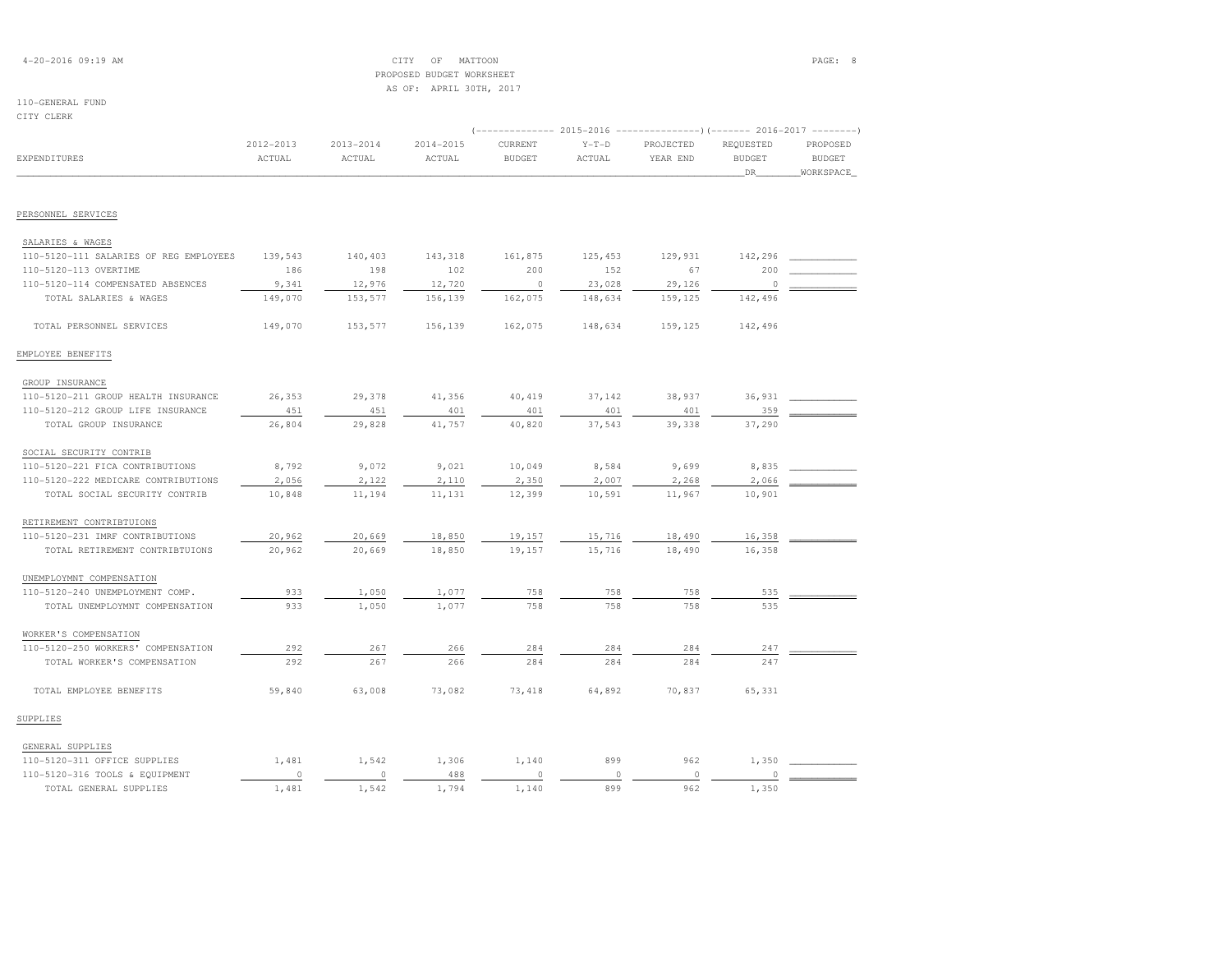| $4 - 20 - 2016$ 09:19 AM |  |  |
|--------------------------|--|--|
|--------------------------|--|--|

# $\begin{array}{ccc} \text{CITY} & \text{OF} & \text{MATION} \end{array}$  PROPOSED BUDGET WORKSHEETAS OF: APRIL 30TH, 2017

| CITY CLERK                             |                     |                         |                         |                          |                   |                                                                                                   |                                  |                                        |
|----------------------------------------|---------------------|-------------------------|-------------------------|--------------------------|-------------------|---------------------------------------------------------------------------------------------------|----------------------------------|----------------------------------------|
| EXPENDITURES                           | 2012-2013<br>ACTUAL | $2013 - 2014$<br>ACTUAL | $2014 - 2015$<br>ACTUAL | CURRENT<br><b>BUDGET</b> | $Y-T-D$<br>ACTUAL | (-------------- 2015-2016 ----------------) (------- 2016-2017 --------)<br>PROJECTED<br>YEAR END | REQUESTED<br><b>BUDGET</b><br>DR | PROPOSED<br><b>BUDGET</b><br>WORKSPACE |
| PERSONNEL SERVICES                     |                     |                         |                         |                          |                   |                                                                                                   |                                  |                                        |
|                                        |                     |                         |                         |                          |                   |                                                                                                   |                                  |                                        |
| SALARIES & WAGES                       |                     |                         |                         |                          |                   |                                                                                                   |                                  |                                        |
| 110-5120-111 SALARIES OF REG EMPLOYEES | 139,543             | 140,403                 | 143,318                 | 161,875                  | 125,453           | 129,931                                                                                           | 142,296                          |                                        |
| 110-5120-113 OVERTIME                  | 186                 | 198                     | 102                     | 200                      | 152               | 67                                                                                                | 200                              |                                        |
| 110-5120-114 COMPENSATED ABSENCES      | 9,341               | 12,976                  | 12,720                  | $\circ$                  | 23,028            | 29,126                                                                                            | $\circ$                          |                                        |
| TOTAL SALARIES & WAGES                 | 149,070             | 153,577                 | 156,139                 | 162,075                  | 148,634           | 159,125                                                                                           | 142,496                          |                                        |
| TOTAL PERSONNEL SERVICES               | 149,070             | 153,577                 | 156,139                 | 162,075                  | 148,634           | 159,125                                                                                           | 142,496                          |                                        |
| EMPLOYEE BENEFITS                      |                     |                         |                         |                          |                   |                                                                                                   |                                  |                                        |
| GROUP INSURANCE                        |                     |                         |                         |                          |                   |                                                                                                   |                                  |                                        |
| 110-5120-211 GROUP HEALTH INSURANCE    | 26,353              | 29,378                  | 41,356                  | 40,419                   | 37,142            | 38,937                                                                                            | 36,931                           |                                        |
| 110-5120-212 GROUP LIFE INSURANCE      | 451                 | 451                     | 401                     | 401                      | 401               | 401                                                                                               | 359                              |                                        |
| TOTAL GROUP INSURANCE                  | 26,804              | 29,828                  | 41,757                  | 40,820                   | 37,543            | 39,338                                                                                            | 37,290                           |                                        |
| SOCIAL SECURITY CONTRIB                |                     |                         |                         |                          |                   |                                                                                                   |                                  |                                        |
| 110-5120-221 FICA CONTRIBUTIONS        | 8,792               | 9,072                   | 9,021                   | 10,049                   | 8,584             | 9,699                                                                                             | 8,835                            |                                        |
| 110-5120-222 MEDICARE CONTRIBUTIONS    | 2,056               | 2,122                   | 2,110                   | 2,350                    | 2,007             | 2,268                                                                                             | 2,066                            |                                        |
| TOTAL SOCIAL SECURITY CONTRIB          | 10,848              | 11,194                  | 11,131                  | 12,399                   | 10,591            | 11,967                                                                                            | 10,901                           |                                        |
| RETIREMENT CONTRIBTUIONS               |                     |                         |                         |                          |                   |                                                                                                   |                                  |                                        |
| 110-5120-231 IMRF CONTRIBUTIONS        | 20,962              | 20,669                  | 18,850                  | 19,157                   | 15,716            | 18,490                                                                                            | 16,358                           |                                        |
| TOTAL RETIREMENT CONTRIBTUIONS         | 20,962              | 20,669                  | 18,850                  | 19,157                   | 15,716            | 18,490                                                                                            | 16,358                           |                                        |
| UNEMPLOYMNT COMPENSATION               |                     |                         |                         |                          |                   |                                                                                                   |                                  |                                        |
| 110-5120-240 UNEMPLOYMENT COMP.        | 933                 | 1,050                   | 1,077                   | 758                      | 758               | 758                                                                                               | 535                              |                                        |
| TOTAL UNEMPLOYMNT COMPENSATION         | 933                 | 1,050                   | 1,077                   | 758                      | 758               | 758                                                                                               | 535                              |                                        |
| WORKER'S COMPENSATION                  |                     |                         |                         |                          |                   |                                                                                                   |                                  |                                        |
| 110-5120-250 WORKERS' COMPENSATION     | 292                 | 267                     | 266                     | 284                      | 284               | 284                                                                                               | 247                              |                                        |
| TOTAL WORKER'S COMPENSATION            | 292                 | 267                     | 266                     | 284                      | 284               | 284                                                                                               | 247                              |                                        |
| TOTAL EMPLOYEE BENEFITS                | 59,840              | 63,008                  | 73,082                  | 73,418                   | 64,892            | 70,837                                                                                            | 65,331                           |                                        |
| SUPPLIES                               |                     |                         |                         |                          |                   |                                                                                                   |                                  |                                        |
| GENERAL SUPPLIES                       |                     |                         |                         |                          |                   |                                                                                                   |                                  |                                        |
| $110 - 5120 - 311$ OFFICE CHODITEC     | 1.491               | 1 512                   | 1.306                   | 1.110                    | 000               | 062                                                                                               | 1.350                            |                                        |

| 110-5120-311 OFFICE SUPPLIES   | $\sim$ 4. | .306 | 140  | 899 | 962 |  |
|--------------------------------|-----------|------|------|-----|-----|--|
| 110-5120-316 TOOLS & EQUIPMENT |           | 488  |      |     |     |  |
| TOTAL GENERAL SUPPLIES         |           | 794  | .140 | 899 |     |  |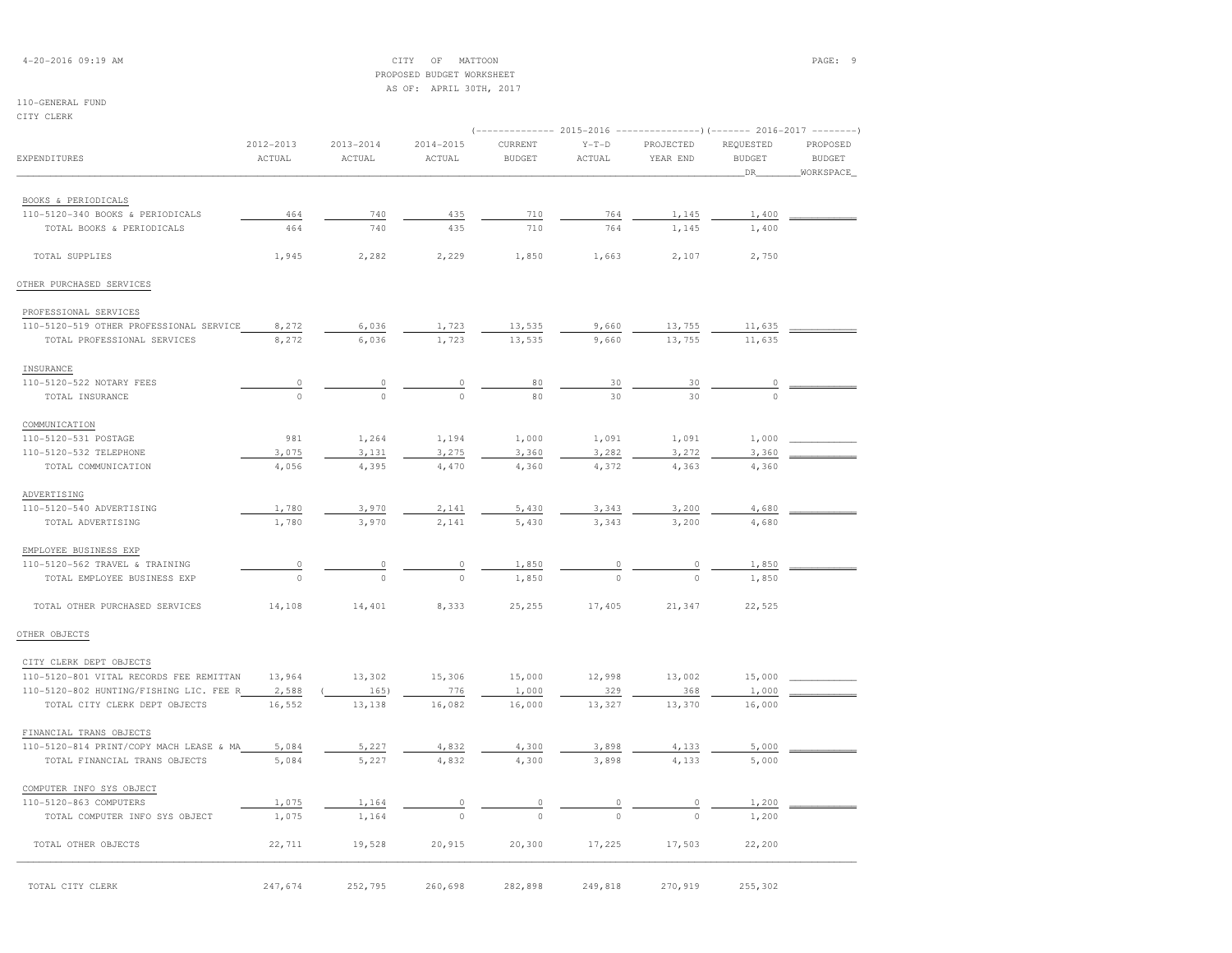| $4 - 20 - 2016$ 09:19 AM |  |  |
|--------------------------|--|--|
|--------------------------|--|--|

# 4-20-2016 09:19 AM CITY OF MATTOON PAGE: 9 PROPOSED BUDGET WORKSHEETAS OF: APRIL 30TH, 2017

| CITY CLERK                              |                         |                         |                         |                          |                   |                                                                                                  |                                  |                                        |
|-----------------------------------------|-------------------------|-------------------------|-------------------------|--------------------------|-------------------|--------------------------------------------------------------------------------------------------|----------------------------------|----------------------------------------|
| EXPENDITURES                            | $2012 - 2013$<br>ACTUAL | $2013 - 2014$<br>ACTUAL | $2014 - 2015$<br>ACTUAL | CURRENT<br><b>BUDGET</b> | $Y-T-D$<br>ACTUAL | (-------------- 2015-2016 ----------------) (------- 2016-2017 --------<br>PROJECTED<br>YEAR END | REQUESTED<br><b>BUDGET</b><br>DR | PROPOSED<br><b>BUDGET</b><br>WORKSPACE |
|                                         |                         |                         |                         |                          |                   |                                                                                                  |                                  |                                        |
| BOOKS & PERIODICALS                     |                         |                         |                         |                          |                   |                                                                                                  |                                  |                                        |
| 110-5120-340 BOOKS & PERIODICALS        | 464                     | 740                     | 435                     | 710                      | 764               | 1,145                                                                                            | 1,400                            |                                        |
| TOTAL BOOKS & PERIODICALS               | 464                     | 740                     | 435                     | 710                      | 764               | 1,145                                                                                            | 1,400                            |                                        |
| TOTAL SUPPLIES                          | 1,945                   | 2,282                   | 2,229                   | 1,850                    | 1,663             | 2,107                                                                                            | 2,750                            |                                        |
| OTHER PURCHASED SERVICES                |                         |                         |                         |                          |                   |                                                                                                  |                                  |                                        |
| PROFESSIONAL SERVICES                   |                         |                         |                         |                          |                   |                                                                                                  |                                  |                                        |
| 110-5120-519 OTHER PROFESSIONAL SERVICE | 8,272                   | 6,036                   | 1,723                   | 13,535                   | 9,660             | 13,755                                                                                           | 11,635                           |                                        |
| TOTAL PROFESSIONAL SERVICES             | 8,272                   | 6,036                   | 1,723                   | 13,535                   | 9,660             | 13,755                                                                                           | 11,635                           |                                        |
| INSURANCE                               |                         |                         |                         |                          |                   |                                                                                                  |                                  |                                        |
| 110-5120-522 NOTARY FEES                | $\overline{0}$          | $\overline{0}$          | $\circ$                 | 80                       | 30                | 30                                                                                               | $\theta$                         |                                        |
| TOTAL INSURANCE                         | $\Omega$                | $\theta$                | $\Omega$                | 80                       | 30                | 30                                                                                               | $\Omega$                         |                                        |
| COMMUNICATION                           |                         |                         |                         |                          |                   |                                                                                                  |                                  |                                        |
| 110-5120-531 POSTAGE                    | 981                     | 1,264                   | 1,194                   | 1,000                    | 1,091             | 1,091                                                                                            | 1,000                            |                                        |
| 110-5120-532 TELEPHONE                  | 3,075                   | 3,131                   | 3,275                   | 3,360                    | 3,282             | 3,272                                                                                            | 3,360                            |                                        |
| TOTAL COMMUNICATION                     | 4,056                   | 4,395                   | 4,470                   | 4,360                    | 4,372             | 4,363                                                                                            | 4,360                            |                                        |
| ADVERTISING                             |                         |                         |                         |                          |                   |                                                                                                  |                                  |                                        |
| 110-5120-540 ADVERTISING                | 1,780                   | 3,970                   | 2,141                   | 5,430                    | 3,343             | 3,200                                                                                            | 4,680                            |                                        |
| TOTAL ADVERTISING                       | 1,780                   | 3,970                   | 2,141                   | 5,430                    | 3,343             | 3,200                                                                                            | 4,680                            |                                        |
| EMPLOYEE BUSINESS EXP                   |                         |                         |                         |                          |                   |                                                                                                  |                                  |                                        |
| 110-5120-562 TRAVEL & TRAINING          | $\theta$                | $\overline{0}$          | $\circ$                 | 1,850                    |                   |                                                                                                  | 1,850                            |                                        |
| TOTAL EMPLOYEE BUSINESS EXP             | $\circ$                 |                         | $\circ$                 | 1,850                    |                   |                                                                                                  | 1,850                            |                                        |
| TOTAL OTHER PURCHASED SERVICES          | 14,108                  | 14,401                  | 8,333                   | 25,255                   | 17,405            | 21,347                                                                                           | 22,525                           |                                        |
| OTHER OBJECTS                           |                         |                         |                         |                          |                   |                                                                                                  |                                  |                                        |
| CITY CLERK DEPT OBJECTS                 |                         |                         |                         |                          |                   |                                                                                                  |                                  |                                        |
| 110-5120-801 VITAL RECORDS FEE REMITTAN | 13,964                  | 13,302                  | 15,306                  | 15,000                   | 12,998            | 13,002                                                                                           | 15,000                           |                                        |
| 110-5120-802 HUNTING/FISHING LIC. FEE R | 2,588                   | 165)                    | 776                     | 1,000                    | 329               | 368                                                                                              | 1,000                            |                                        |
| TOTAL CITY CLERK DEPT OBJECTS           | 16,552                  | 13,138                  | 16,082                  | 16,000                   | 13,327            | 13,370                                                                                           | 16,000                           |                                        |
| FINANCIAL TRANS OBJECTS                 |                         |                         |                         |                          |                   |                                                                                                  |                                  |                                        |
| 110-5120-814 PRINT/COPY MACH LEASE & MA | 5,084                   | 5,227                   | 4,832                   | 4,300                    | 3,898             | 4,133                                                                                            | 5,000                            |                                        |
| TOTAL FINANCIAL TRANS OBJECTS           | 5,084                   | 5,227                   | 4,832                   | 4,300                    | 3,898             | 4,133                                                                                            | 5,000                            |                                        |
| COMPUTER INFO SYS OBJECT                |                         |                         |                         |                          |                   |                                                                                                  |                                  |                                        |
| 110-5120-863 COMPUTERS                  | 1,075                   | 1,164                   |                         |                          |                   |                                                                                                  | 1,200                            |                                        |
| TOTAL COMPUTER INFO SYS OBJECT          | 1,075                   | 1,164                   | $\Omega$                | $\Omega$                 | $\Omega$          | $\Omega$                                                                                         | 1,200                            |                                        |
| TOTAL OTHER OBJECTS                     | 22,711                  | 19,528                  | 20,915                  | 20,300                   | 17,225            | 17,503                                                                                           | 22,200                           |                                        |
| TOTAL CITY CLERK                        | 247,674                 | 252,795                 | 260,698                 | 282,898                  | 249,818           | 270,919                                                                                          | 255,302                          |                                        |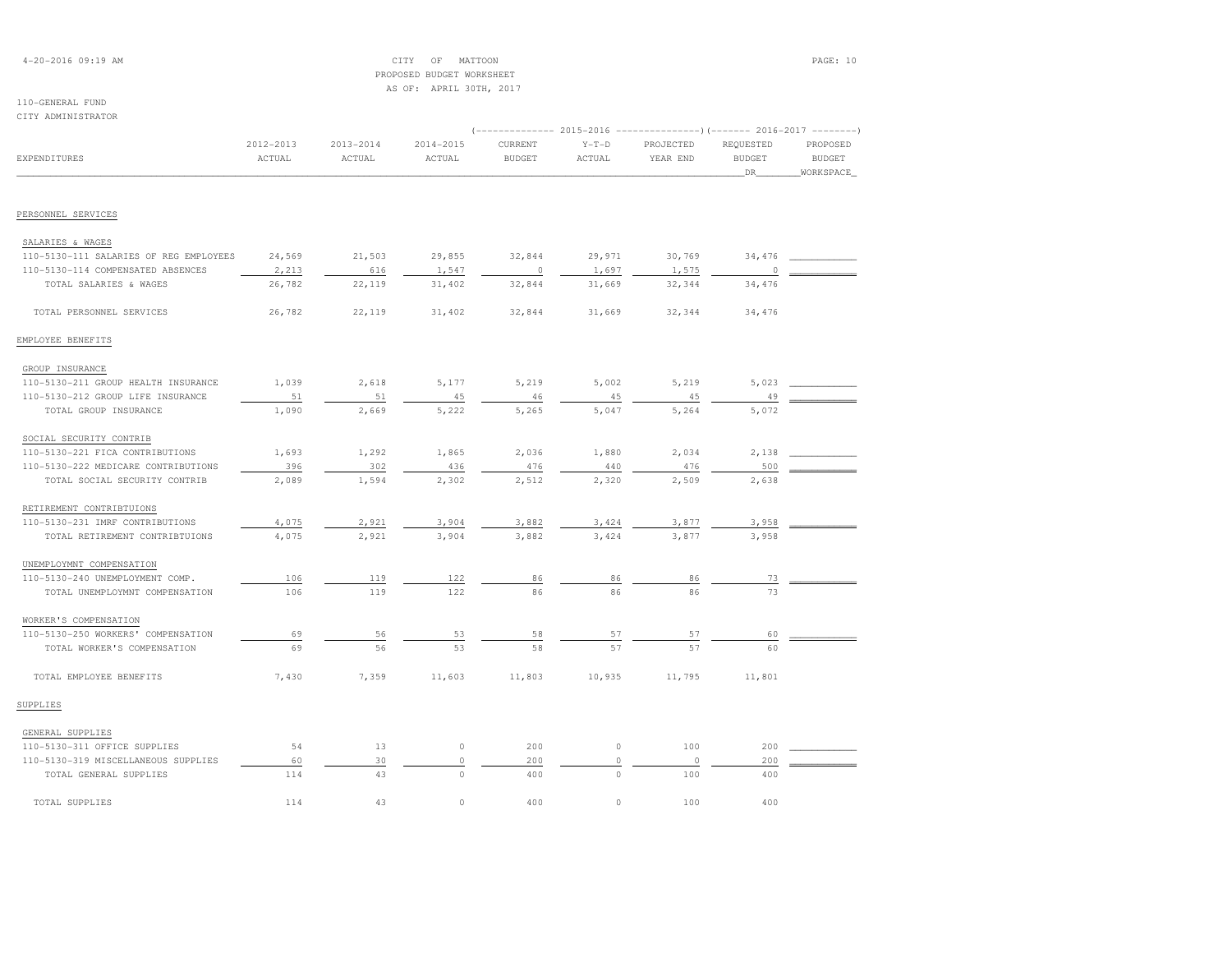# 4-20-2016 09:19 AM CITY OF MATTOON PAGE: 10 PROPOSED BUDGET WORKSHEETAS OF: APRIL 30TH, 2017

### 110-GENERAL FUNDCITY ADMINISTRATOR

| VIII ADMINISIMATUM                     |                     |                         |                     |                          |                   | (-------------- 2015-2016 ---------------------- 2016-2017 --------- |                                  |                                        |
|----------------------------------------|---------------------|-------------------------|---------------------|--------------------------|-------------------|----------------------------------------------------------------------|----------------------------------|----------------------------------------|
| <b>EXPENDITURES</b>                    | 2012-2013<br>ACTUAL | $2013 - 2014$<br>ACTUAL | 2014-2015<br>ACTUAL | CURRENT<br><b>BUDGET</b> | $Y-T-D$<br>ACTUAL | PROJECTED<br>YEAR END                                                | REQUESTED<br><b>BUDGET</b><br>DR | PROPOSED<br><b>BUDGET</b><br>WORKSPACE |
|                                        |                     |                         |                     |                          |                   |                                                                      |                                  |                                        |
| PERSONNEL SERVICES                     |                     |                         |                     |                          |                   |                                                                      |                                  |                                        |
| SALARIES & WAGES                       |                     |                         |                     |                          |                   |                                                                      |                                  |                                        |
| 110-5130-111 SALARIES OF REG EMPLOYEES | 24,569              | 21,503                  | 29,855              | 32,844                   | 29,971            | 30,769                                                               | 34,476                           |                                        |
| 110-5130-114 COMPENSATED ABSENCES      | 2,213               | 616                     | 1,547               | $\circ$                  | 1,697             | 1,575                                                                | $\Omega$                         |                                        |
| TOTAL SALARIES & WAGES                 | 26,782              | 22,119                  | 31,402              | 32,844                   | 31,669            | 32,344                                                               | 34,476                           |                                        |
| TOTAL PERSONNEL SERVICES               | 26,782              | 22,119                  | 31,402              | 32,844                   | 31,669            | 32,344                                                               | 34,476                           |                                        |
| EMPLOYEE BENEFITS                      |                     |                         |                     |                          |                   |                                                                      |                                  |                                        |
| GROUP INSURANCE                        |                     |                         |                     |                          |                   |                                                                      |                                  |                                        |
| 110-5130-211 GROUP HEALTH INSURANCE    | 1,039               | 2,618                   | 5,177               | 5,219                    | 5,002             | 5,219                                                                | 5,023                            |                                        |
| 110-5130-212 GROUP LIFE INSURANCE      | 51                  | 51                      | 45                  | 46                       | 45                | 45                                                                   | 49                               |                                        |
| TOTAL GROUP INSURANCE                  | 1,090               | 2,669                   | 5,222               | 5,265                    | 5,047             | 5,264                                                                | 5,072                            |                                        |
| SOCIAL SECURITY CONTRIB                |                     |                         |                     |                          |                   |                                                                      |                                  |                                        |
| 110-5130-221 FICA CONTRIBUTIONS        | 1,693               | 1,292                   | 1,865               | 2,036                    | 1,880             | 2,034                                                                | 2,138                            |                                        |
| 110-5130-222 MEDICARE CONTRIBUTIONS    | 396                 | 302                     | 436                 | 476                      | 440               | 476                                                                  | 500                              |                                        |
| TOTAL SOCIAL SECURITY CONTRIB          | 2,089               | 1,594                   | 2,302               | 2,512                    | 2,320             | 2,509                                                                | 2,638                            |                                        |
| RETIREMENT CONTRIBTUIONS               |                     |                         |                     |                          |                   |                                                                      |                                  |                                        |
| 110-5130-231 IMRF CONTRIBUTIONS        | 4,075               | 2,921                   | 3,904               | 3,882                    | 3,424             | 3,877                                                                | 3,958                            |                                        |
| TOTAL RETIREMENT CONTRIBTUIONS         | 4,075               | 2,921                   | 3,904               | 3,882                    | 3,424             | 3,877                                                                | 3,958                            |                                        |
| UNEMPLOYMNT COMPENSATION               |                     |                         |                     |                          |                   |                                                                      |                                  |                                        |
| 110-5130-240 UNEMPLOYMENT COMP.        | 106                 | 119                     | 122                 | 86                       | 86                | 86                                                                   | 73                               |                                        |
| TOTAL UNEMPLOYMNT COMPENSATION         | 106                 | 119                     | 122                 | 86                       | 86                | 86                                                                   | 73                               |                                        |
| WORKER'S COMPENSATION                  |                     |                         |                     |                          |                   |                                                                      |                                  |                                        |
| 110-5130-250 WORKERS' COMPENSATION     | 69                  | 56                      | 53                  | 58                       | 57                | 57                                                                   | 60                               |                                        |
| TOTAL WORKER'S COMPENSATION            | 69                  | 56                      | 53                  | 58                       | 57                | 57                                                                   | 60                               |                                        |
| TOTAL EMPLOYEE BENEFITS                | 7,430               | 7,359                   | 11,603              | 11,803                   | 10,935            | 11,795                                                               | 11,801                           |                                        |
| SUPPLIES                               |                     |                         |                     |                          |                   |                                                                      |                                  |                                        |
| GENERAL SUPPLIES                       |                     |                         |                     |                          |                   |                                                                      |                                  |                                        |
| 110-5130-311 OFFICE SUPPLIES           | 54                  | 13                      | $\circ$             | 200                      | $\circ$           | 100                                                                  | 200                              |                                        |
| 110-5130-319 MISCELLANEOUS SUPPLIES    | 60                  | 30                      | $\circ$             | 200                      | $\circ$           | $\circ$                                                              | 200                              |                                        |
| TOTAL GENERAL SUPPLIES                 | 114                 | 43                      | $\Omega$            | 400                      | $\Omega$          | 100                                                                  | 400                              |                                        |
| TOTAL SUPPLIES                         | 114                 | 43                      | $\circ$             | 400                      | $\circ$           | 100                                                                  | 400                              |                                        |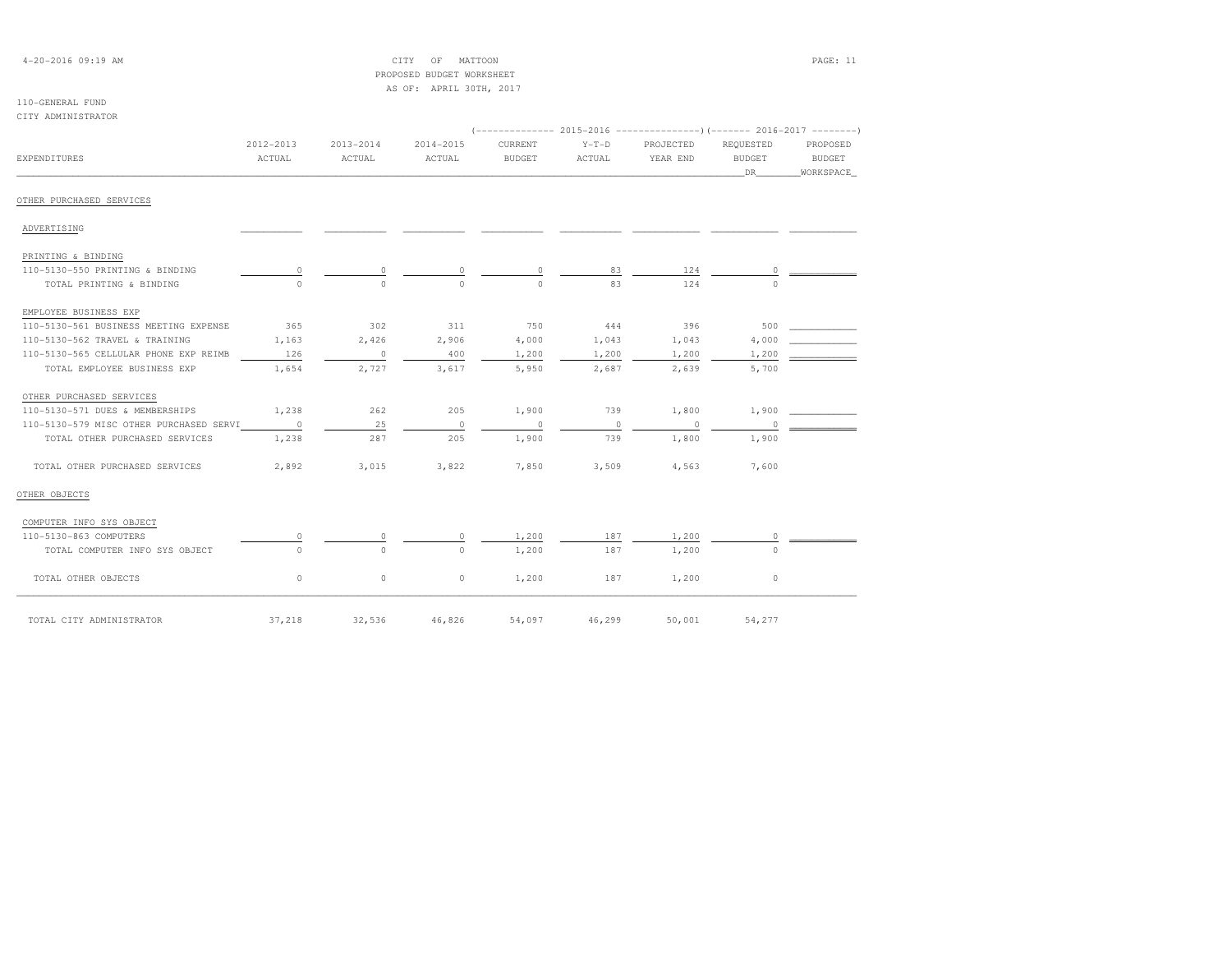| $4 - 20 - 2016$ 09:19 AM |  |
|--------------------------|--|
|--------------------------|--|

# $\begin{array}{ccc} \text{CITY} & \text{OF} & \text{MATION} \end{array}$  PROPOSED BUDGET WORKSHEETAS OF: APRIL 30TH, 2017

| CITY ADMINISTRATOR                      |                          |                         |                     |                          |                   |                          |                                   |                                 |
|-----------------------------------------|--------------------------|-------------------------|---------------------|--------------------------|-------------------|--------------------------|-----------------------------------|---------------------------------|
| EXPENDITURES                            | 2012-2013<br>ACTUAL      | $2013 - 2014$<br>ACTUAL | 2014-2015<br>ACTUAL | CURRENT<br><b>BUDGET</b> | $Y-T-D$<br>ACTUAL | PROJECTED<br>YEAR END    | REQUESTED<br><b>BUDGET</b><br>DR. | PROPOSED<br>BUDGET<br>WORKSPACE |
| OTHER PURCHASED SERVICES                |                          |                         |                     |                          |                   |                          |                                   |                                 |
| ADVERTISING                             |                          |                         |                     |                          |                   |                          |                                   |                                 |
| PRINTING & BINDING                      |                          |                         |                     |                          |                   |                          |                                   |                                 |
| 110-5130-550 PRINTING & BINDING         | $\circ$                  | $\circ$                 | 0                   | $\circ$                  | 83                | 124                      | 0                                 |                                 |
| TOTAL PRINTING & BINDING                | $\Omega$                 | $\Omega$                | $\Omega$            | $\Omega$                 | 83                | 124                      | $\Omega$                          |                                 |
| EMPLOYEE BUSINESS EXP                   |                          |                         |                     |                          |                   |                          |                                   |                                 |
| 110-5130-561 BUSINESS MEETING EXPENSE   | 365                      | 302                     | 311                 | 750                      | 444               | 396                      | 500                               |                                 |
| 110-5130-562 TRAVEL & TRAINING          | 1,163                    | 2,426                   | 2,906               | 4,000                    | 1,043             | 1,043                    | 4,000                             |                                 |
| 110-5130-565 CELLULAR PHONE EXP REIMB   | 126                      | $\overline{0}$          | 400                 | 1,200                    | 1,200             | 1,200                    | 1,200                             |                                 |
| TOTAL EMPLOYEE BUSINESS EXP             | 1,654                    | 2,727                   | 3,617               | 5,950                    | 2,687             | 2,639                    | 5,700                             |                                 |
| OTHER PURCHASED SERVICES                |                          |                         |                     |                          |                   |                          |                                   |                                 |
| 110-5130-571 DUES & MEMBERSHIPS         | 1,238                    | 262                     | 205                 | 1,900                    | 739               | 1,800                    | 1,900                             |                                 |
| 110-5130-579 MISC OTHER PURCHASED SERVI | $\overline{\phantom{0}}$ | 25                      | $\overline{0}$      | $\Omega$                 | $\circ$           | $\overline{\phantom{0}}$ | $\Omega$                          |                                 |
| TOTAL OTHER PURCHASED SERVICES          | 1,238                    | 287                     | 205                 | 1,900                    | 739               | 1,800                    | 1,900                             |                                 |
| TOTAL OTHER PURCHASED SERVICES          | 2,892                    | 3,015                   | 3,822               | 7,850                    | 3,509             | 4,563                    | 7,600                             |                                 |
| OTHER OBJECTS                           |                          |                         |                     |                          |                   |                          |                                   |                                 |
| COMPUTER INFO SYS OBJECT                |                          |                         |                     |                          |                   |                          |                                   |                                 |
| 110-5130-863 COMPUTERS                  |                          | $\Omega$                | 0                   | 1,200                    | 187               | 1,200                    | $\Omega$                          |                                 |
| TOTAL COMPUTER INFO SYS OBJECT          | $\Omega$                 | $\circ$                 | $\Omega$            | 1,200                    | 187               | 1,200                    | $\Omega$                          |                                 |
| TOTAL OTHER OBJECTS                     | $\circ$                  | $\circ$                 | $\circ$             | 1,200                    | 187               | 1,200                    | $\circ$                           |                                 |
| TOTAL CITY ADMINISTRATOR                | 37,218                   | 32,536                  | 46,826              | 54,097                   | 46,299            | 50,001                   | 54,277                            |                                 |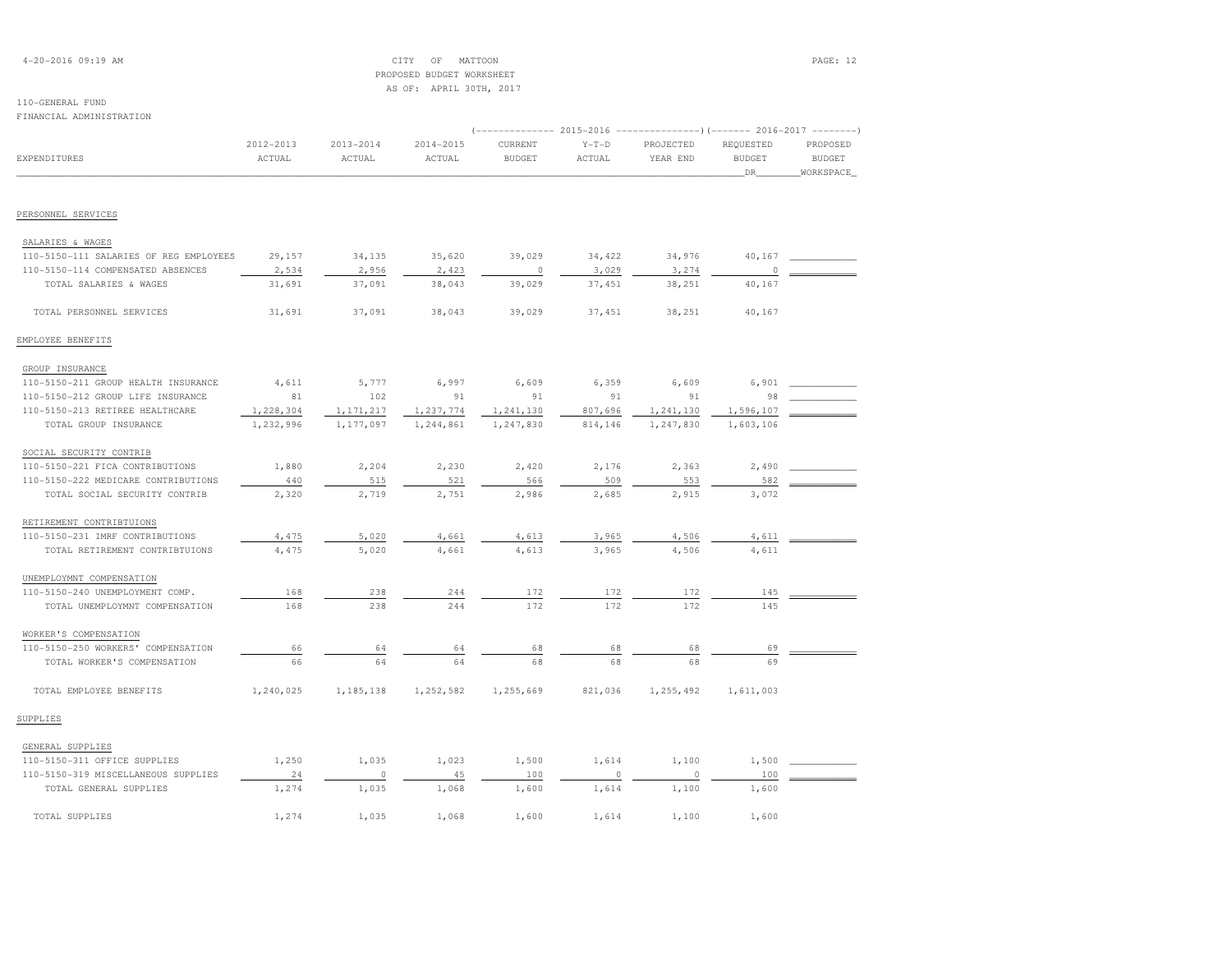# 4-20-2016 09:19 AM CITY OF MATTOON PAGE: 12PROPOSED BUDGET WORKSHEET

**BUDGET** 

 AS OF: APRIL 30TH, 2017110-GENERAL FUND FINANCIAL ADMINISTRATION (-------------- 2015-2016 ---------------)(------- 2016-2017 --------) 2012-2013 2013-2014 2014-2015 CURRENT Y-T-D PROJECTED REQUESTED PROPOSEDEXPENDITURES ACTUAL ACTUAL ACTUAL BUDGET ACTUAL YEAR END BUDGET BUDGETWORKSPACE \_\_\_\_\_\_\_\_\_\_\_\_\_\_\_\_\_\_\_\_\_\_\_\_\_\_\_\_\_\_\_\_\_\_\_\_\_\_\_\_\_\_\_\_\_\_\_\_\_\_\_\_\_\_\_\_\_\_\_\_\_\_\_\_\_\_\_\_\_\_\_\_\_\_\_\_\_\_\_\_\_\_\_\_\_\_\_\_\_\_\_\_\_\_\_\_\_\_\_\_\_\_\_\_\_\_\_\_\_\_\_\_\_\_\_\_\_\_\_\_\_\_\_\_\_\_\_\_\_\_DR\_\_\_\_\_\_\_\_WORKSPACE\_PERSONNEL SERVICES SALARIES & WAGES 110-5150-111 SALARIES OF REG EMPLOYEES 29,157 34,135 35,620 39,029 34,422 34,976 40,167 \_\_\_\_\_\_\_\_\_\_\_\_110-5150-114 COMPENSATED ABSENCES 2,534 2,956 2,423 200 3,029 3,029 3,274 0  $\frac{1}{2}$  TOTAL SALARIES & WAGES 31,691 37,091 38,043 39,029 37,451 38,251 40,167 TOTAL PERSONNEL SERVICES 31,691 37,091 38,043 39,029 37,451 38,251 40,167EMPLOYEE BENEFITS GROUP INSURANCE 110-5150-211 GROUP HEALTH INSURANCE 4,611 5,777 6,997 6,609 6,359 6,609 6,901 \_\_\_\_\_\_\_\_\_\_\_\_ 110-5150-212 GROUP LIFE INSURANCE 81 102 91 91 91 91 98 \_\_\_\_\_\_\_\_\_\_\_\_110-5150-213 RETIREE HEALTHCARE 1,228,304 1,171,217 1,237,774 1,241,130 807,696 1,241,130 1,596,107 TOTAL GROUP INSURANCE 1,232,996 1,177,097 1,244,861 1,247,830 814,146 1,247,830 1,603,106 SOCIAL SECURITY CONTRIB 110-5150-221 FICA CONTRIBUTIONS 1,880 2,204 2,230 2,420 2,176 2,363 2,490 \_\_\_\_\_\_\_\_\_\_\_\_ 110-5150-222 MEDICARE CONTRIBUTIONS 440 515 521 566 509 553 582 \_\_\_\_\_\_\_\_\_\_\_\_ TOTAL SOCIAL SECURITY CONTRIB 2,320 2,719 2,751 2,986 2,685 2,915 3,072 RETIREMENT CONTRIBTUIONS110-5150-231 IMRF CONTRIBUTIONS 4,475 5,020 4,661 4,613 3,965 4,506 4,611 4,611 TOTAL RETIREMENT CONTRIBTUIONS 4,475 5,020 4,661 4,613 3,965 4,506 4,611 UNEMPLOYMNT COMPENSATION 110-5150-240 UNEMPLOYMENT COMP. 168 238 244 172 172 172 145 \_\_\_\_\_\_\_\_\_\_\_\_TOTAL UNEMPLOYMNT COMPENSATION 168 238 244 172 172 172 145 WORKER'S COMPENSATION 110-5150-250 WORKERS' COMPENSATION 66 64 64 68 68 68 69 \_\_\_\_\_\_\_\_\_\_\_\_ $-5150-250$  WORKERS' COMPENSATION  $\begin{array}{cccc} 66 & -64 & -64 & -68 & -68 & -68 & -68 \\ \hline 66 & -64 & -64 & -68 & -68 & -68 & -68 \\ \end{array}$  TOTAL EMPLOYEE BENEFITS 1,240,025 1,185,138 1,252,582 1,255,669 821,036 1,255,492 1,611,003SUPPLIESGENERAL SUPPLIES

| 110-5150-311 OFFICE SUPPLIES        | 1,250 | 1,035 | 1,023 | 1,500 | 1,614 | 1,100 | 1,500 |  |
|-------------------------------------|-------|-------|-------|-------|-------|-------|-------|--|
| 110-5150-319 MISCELLANEOUS SUPPLIES |       |       | 45    | 100   |       |       | 100   |  |
| TOTAL GENERAL SUPPLIES              | 1,274 | 1,035 | 1,068 | .600  | 1,614 | 1,100 | 1,600 |  |
| TOTAL SUPPLIES                      | 1,274 | 1,035 | 1,068 | -,600 | 1,614 | 1,100 | 1,600 |  |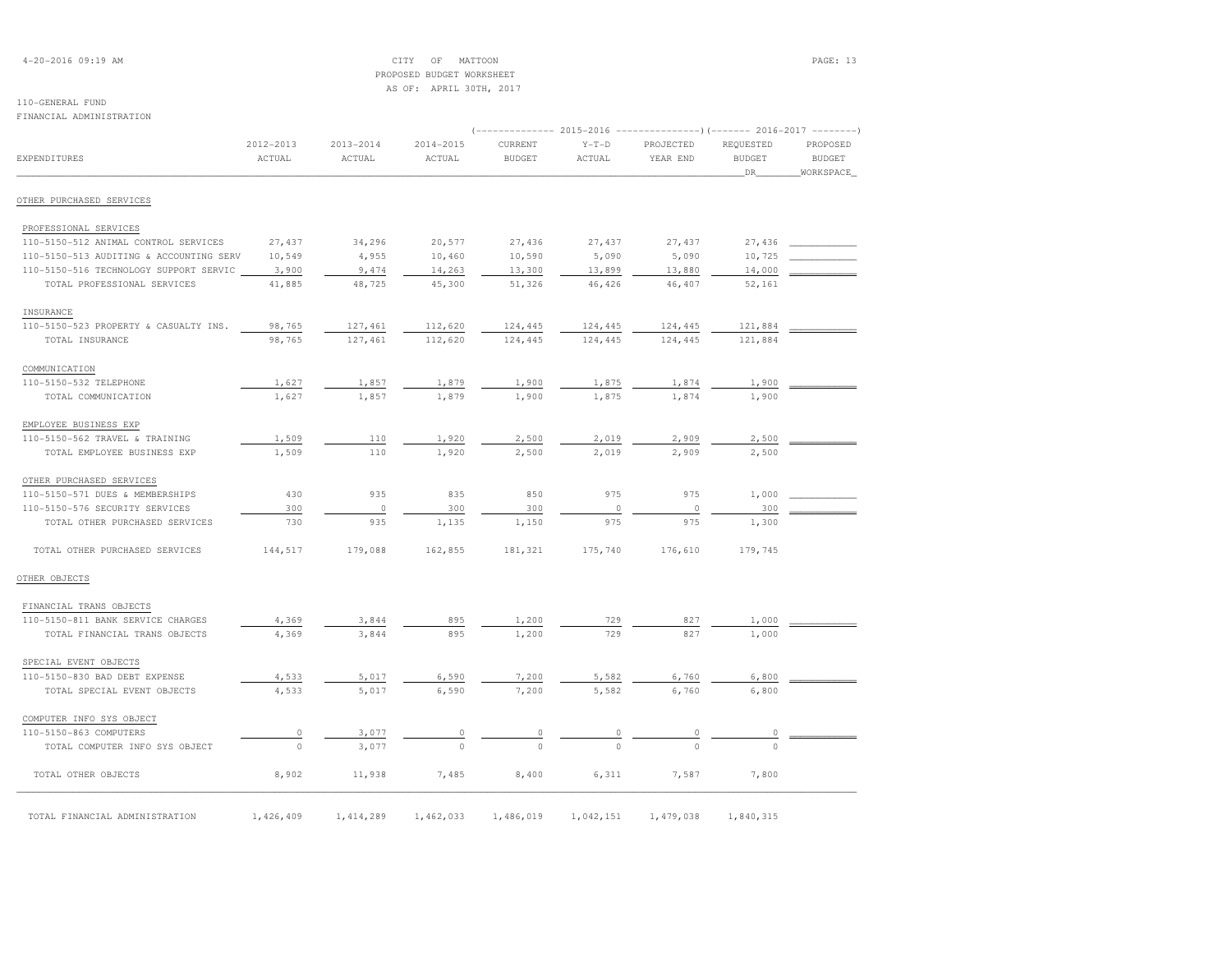# 4-20-2016 09:19 AM CITY OF MATTOON PAGE: 13 PROPOSED BUDGET WORKSHEETAS OF: APRIL 30TH, 2017

# 110-GENERAL FUND

FINANCIAL ADMINISTRATION

| FINANCIAL ADMINISTRATION                |                     |                         |                         |                          |                   | (-------------- 2015-2016 ---------------------- 2016-2017 --------- |                                  |                                        |
|-----------------------------------------|---------------------|-------------------------|-------------------------|--------------------------|-------------------|----------------------------------------------------------------------|----------------------------------|----------------------------------------|
| <b>EXPENDITURES</b>                     | 2012-2013<br>ACTUAL | $2013 - 2014$<br>ACTUAL | $2014 - 2015$<br>ACTUAL | CURRENT<br><b>BUDGET</b> | $Y-T-D$<br>ACTUAL | PROJECTED<br>YEAR END                                                | REQUESTED<br><b>BUDGET</b><br>DR | PROPOSED<br><b>BUDGET</b><br>WORKSPACE |
| OTHER PURCHASED SERVICES                |                     |                         |                         |                          |                   |                                                                      |                                  |                                        |
| PROFESSIONAL SERVICES                   |                     |                         |                         |                          |                   |                                                                      |                                  |                                        |
| 110-5150-512 ANIMAL CONTROL SERVICES    | 27,437              | 34,296                  | 20,577                  | 27,436                   | 27,437            | 27,437                                                               | 27,436                           |                                        |
| 110-5150-513 AUDITING & ACCOUNTING SERV | 10,549              | 4,955                   | 10,460                  | 10,590                   | 5,090             | 5,090                                                                | 10,725                           |                                        |
| 110-5150-516 TECHNOLOGY SUPPORT SERVIC  | 3,900               | 9,474                   | 14,263                  | 13,300                   | 13,899            | 13,880                                                               | 14,000                           |                                        |
| TOTAL PROFESSIONAL SERVICES             | 41,885              | 48,725                  | 45,300                  | 51,326                   | 46,426            | 46,407                                                               | 52,161                           |                                        |
| INSURANCE                               |                     |                         |                         |                          |                   |                                                                      |                                  |                                        |
| 110-5150-523 PROPERTY & CASUALTY INS.   | 98,765              | 127,461                 | 112,620                 | 124,445                  | 124,445           | 124,445                                                              | 121,884                          |                                        |
| TOTAL INSURANCE                         | 98,765              | 127,461                 | 112,620                 | 124,445                  | 124,445           | 124,445                                                              | 121,884                          |                                        |
| COMMUNICATION                           |                     |                         |                         |                          |                   |                                                                      |                                  |                                        |
| 110-5150-532 TELEPHONE                  | 1,627               | 1,857                   | 1,879                   | 1,900                    | 1,875             | 1,874                                                                | 1,900                            |                                        |
| TOTAL COMMUNICATION                     | 1,627               | 1,857                   | 1,879                   | 1,900                    | 1,875             | 1,874                                                                | 1,900                            |                                        |
| EMPLOYEE BUSINESS EXP                   |                     |                         |                         |                          |                   |                                                                      |                                  |                                        |
| 110-5150-562 TRAVEL & TRAINING          | 1,509               | 110                     | 1,920                   | 2,500                    | 2,019             | 2,909                                                                | 2,500                            |                                        |
| TOTAL EMPLOYEE BUSINESS EXP             | 1,509               | 110                     | 1,920                   | 2,500                    | 2,019             | 2,909                                                                | 2,500                            |                                        |
| OTHER PURCHASED SERVICES                |                     |                         |                         |                          |                   |                                                                      |                                  |                                        |
| 110-5150-571 DUES & MEMBERSHIPS         | 430                 | 935                     | 835                     | 850                      | 975               | 975                                                                  | 1,000                            |                                        |
| 110-5150-576 SECURITY SERVICES          | 300                 | $\circ$                 | 300                     | 300                      | $\circ$           | $\circ$                                                              | 300                              |                                        |
| TOTAL OTHER PURCHASED SERVICES          | 730                 | 935                     | 1,135                   | 1,150                    | 975               | 975                                                                  | 1,300                            |                                        |
| TOTAL OTHER PURCHASED SERVICES          | 144,517             | 179,088                 | 162,855                 | 181,321                  | 175,740           | 176,610                                                              | 179,745                          |                                        |
| OTHER OBJECTS                           |                     |                         |                         |                          |                   |                                                                      |                                  |                                        |
| FINANCIAL TRANS OBJECTS                 |                     |                         |                         |                          |                   |                                                                      |                                  |                                        |
| 110-5150-811 BANK SERVICE CHARGES       | 4,369               | 3,844                   | 895                     | 1,200                    | 729               | 827                                                                  | 1,000                            |                                        |
| TOTAL FINANCIAL TRANS OBJECTS           | 4,369               | 3,844                   | 895                     | 1,200                    | 729               | 827                                                                  | 1,000                            |                                        |
| SPECIAL EVENT OBJECTS                   |                     |                         |                         |                          |                   |                                                                      |                                  |                                        |
| 110-5150-830 BAD DEBT EXPENSE           | 4,533               | 5,017                   | 6,590                   | 7,200                    | 5,582             | 6,760                                                                | 6,800                            |                                        |
| TOTAL SPECIAL EVENT OBJECTS             | 4,533               | 5,017                   | 6,590                   | 7,200                    | 5,582             | 6,760                                                                | 6,800                            |                                        |
| COMPUTER INFO SYS OBJECT                |                     |                         |                         |                          |                   |                                                                      |                                  |                                        |
| 110-5150-863 COMPUTERS                  | 0                   | 3,077                   | 0                       | 0                        | 0                 | 0                                                                    | 0                                |                                        |
| TOTAL COMPUTER INFO SYS OBJECT          | $\circ$             | 3,077                   | $\Omega$                | $\Omega$                 | $\cap$            | $\Omega$                                                             | $\cap$                           |                                        |
| TOTAL OTHER OBJECTS                     | 8,902               | 11,938                  | 7,485                   | 8,400                    | 6,311             | 7,587                                                                | 7,800                            |                                        |
| TOTAL FINANCIAL ADMINISTRATION          | 1,426,409           | 1,414,289               | 1,462,033               | 1,486,019                | 1,042,151         | 1,479,038                                                            | 1,840,315                        |                                        |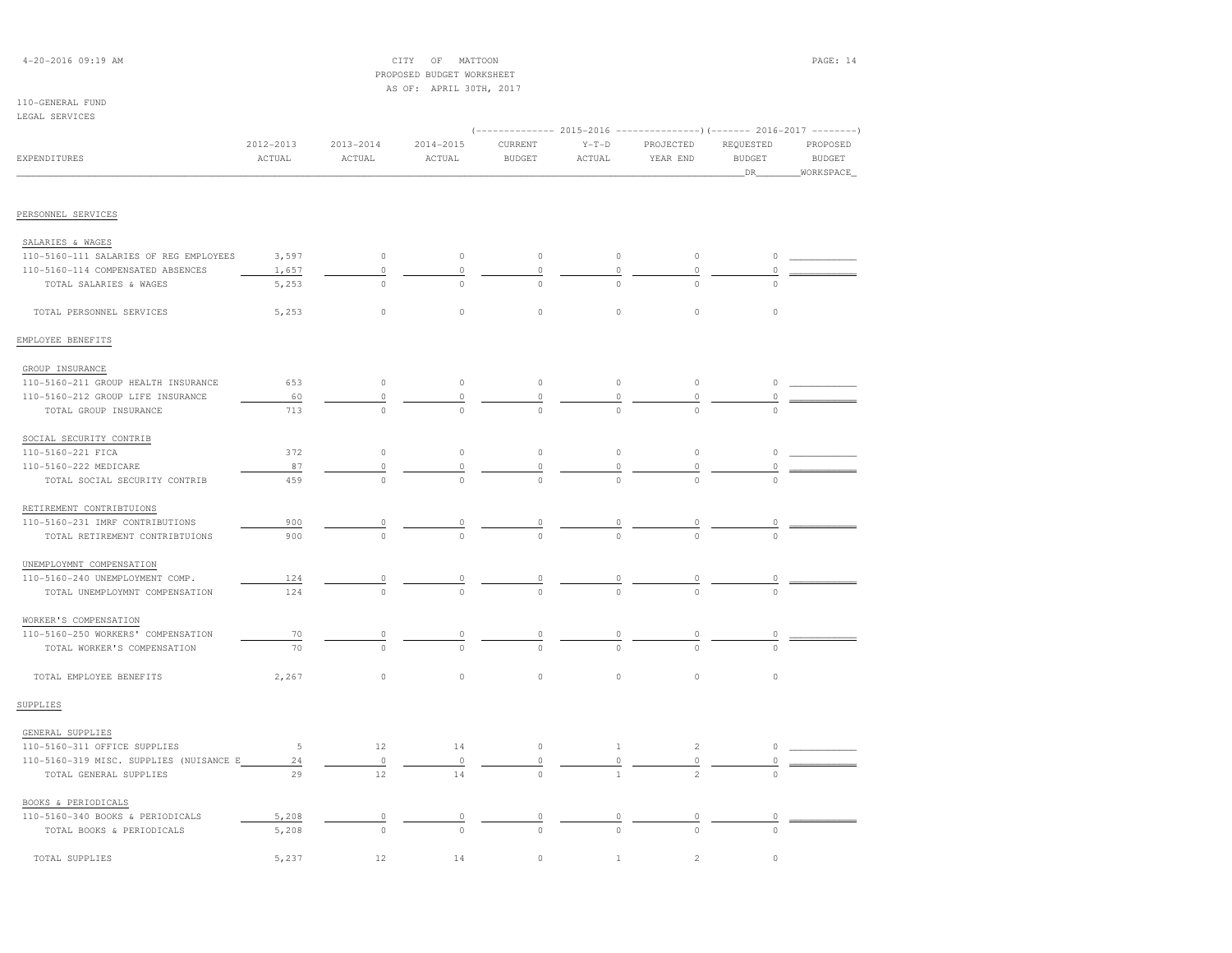# 4-20-2016 09:19 AM CITY OF MATTOON PAGE: 14 PROPOSED BUDGET WORKSHEETAS OF: APRIL 30TH, 2017

### 110-GENERAL FUNDLEGAL SERVICES

| התרדגותה העתמת                          |                     |                         |                          |                          |                    |                       |                                   |                                               |
|-----------------------------------------|---------------------|-------------------------|--------------------------|--------------------------|--------------------|-----------------------|-----------------------------------|-----------------------------------------------|
| EXPENDITURES                            | 2012-2013<br>ACTUAL | $2013 - 2014$<br>ACTUAL | 2014-2015<br>ACTUAL      | CURRENT<br><b>BUDGET</b> | $Y-T-D$<br>ACTUAL  | PROJECTED<br>YEAR END | REQUESTED<br><b>BUDGET</b><br>DR. | PROPOSED<br><b>BUDGET</b><br><b>WORKSPACE</b> |
| PERSONNEL SERVICES                      |                     |                         |                          |                          |                    |                       |                                   |                                               |
|                                         |                     |                         |                          |                          |                    |                       |                                   |                                               |
| SALARIES & WAGES                        |                     |                         |                          |                          |                    |                       |                                   |                                               |
| 110-5160-111 SALARIES OF REG EMPLOYEES  | 3,597               | $\circ$                 | $\circ$                  | $\circ$                  | $\circ$            | $\circ$               | 0                                 |                                               |
| 110-5160-114 COMPENSATED ABSENCES       | 1,657               | $\circ$                 | 0                        | $\mathbb O$              | 0                  | $\circ$               |                                   |                                               |
| TOTAL SALARIES & WAGES                  | 5,253               | $\bigcirc$              | $\cap$                   | $\cap$                   | $\cap$             | $\Omega$              | $\cap$                            |                                               |
| TOTAL PERSONNEL SERVICES                | 5,253               | $\circ$                 | $\circ$                  | $\circ$                  | $\circ$            | $\mathbb O$           | $\circ$                           |                                               |
| EMPLOYEE BENEFITS                       |                     |                         |                          |                          |                    |                       |                                   |                                               |
| GROUP INSURANCE                         |                     |                         |                          |                          |                    |                       |                                   |                                               |
| 110-5160-211 GROUP HEALTH INSURANCE     | 653                 | $\circ$                 | $\circ$                  | $\circ$                  | $\circ$            | $\circ$               | $\circ$                           |                                               |
| 110-5160-212 GROUP LIFE INSURANCE       | 60                  | $\circ$                 | 0                        | 0                        | $\circ$            | $\circ$               | 0                                 |                                               |
| TOTAL GROUP INSURANCE                   | 713                 | $\Omega$                |                          | $\cap$                   |                    | $\Omega$              | $\Omega$                          |                                               |
| SOCIAL SECURITY CONTRIB                 |                     |                         |                          |                          |                    |                       |                                   |                                               |
| 110-5160-221 FICA                       | 372                 | $\circ$                 | $\circ$                  | $\circ$                  | $\circ$            | $\mathbb O$           | $\circ$                           |                                               |
| 110-5160-222 MEDICARE                   | 87                  | $\theta$                | 0                        | 0                        | 0                  | 0                     |                                   |                                               |
| TOTAL SOCIAL SECURITY CONTRIB           | 459                 |                         |                          | $\Omega$                 |                    |                       |                                   |                                               |
| RETIREMENT CONTRIBTUIONS                |                     |                         |                          |                          |                    |                       |                                   |                                               |
| 110-5160-231 IMRF CONTRIBUTIONS         | 900                 | $\circ$                 | $\overline{\phantom{a}}$ | 0                        | $\overline{\circ}$ | 0                     | 0                                 |                                               |
| TOTAL RETIREMENT CONTRIBTUIONS          | 900                 |                         |                          |                          |                    |                       |                                   |                                               |
| UNEMPLOYMNT COMPENSATION                |                     |                         |                          |                          |                    |                       |                                   |                                               |
| 110-5160-240 UNEMPLOYMENT COMP.         | 124                 | $\circ$                 | $\overline{0}$           | 0                        | $\overline{0}$     | 0                     | 0                                 |                                               |
| TOTAL UNEMPLOYMNT COMPENSATION          | 124                 | $\Omega$                |                          | $\Omega$                 | $\Omega$           | $\Omega$              |                                   |                                               |
| WORKER'S COMPENSATION                   |                     |                         |                          |                          |                    |                       |                                   |                                               |
| 110-5160-250 WORKERS' COMPENSATION      | 70                  | 0                       | 0                        | 0                        | $\overline{0}$     | 0                     | $\circ$                           |                                               |
| TOTAL WORKER'S COMPENSATION             | 70                  | $\mathbf 0$             | $\circ$                  | $\Omega$                 | $\Omega$           | $\Omega$              | $\Omega$                          |                                               |
| TOTAL EMPLOYEE BENEFITS                 | 2,267               | $\circ$                 | $\circ$                  | $\mathbb O$              | $\circ$            | $\circ$               | $\circ$                           |                                               |
| SUPPLIES                                |                     |                         |                          |                          |                    |                       |                                   |                                               |
| GENERAL SUPPLIES                        |                     |                         |                          |                          |                    |                       |                                   |                                               |
| 110-5160-311 OFFICE SUPPLIES            | 5                   | 12                      | 14                       | $\mathbb O$              | $\mathbf{1}$       | $\overline{c}$        | 0                                 |                                               |
| 110-5160-319 MISC. SUPPLIES (NUISANCE E | 24                  | $\mathbb O$             | $\circ$                  | $\mathbb O$              | 0                  | $\mathbb O$           | 0                                 |                                               |
| TOTAL GENERAL SUPPLIES                  | 29                  | 12                      | 14                       | $\circ$                  | $\mathbf{1}$       | $\mathfrak{D}$        | $\Omega$                          |                                               |
| BOOKS & PERIODICALS                     |                     |                         |                          |                          |                    |                       |                                   |                                               |
| 110-5160-340 BOOKS & PERIODICALS        | 5,208               | $\circ$                 | 0                        | 0                        | 0                  | $\circ$               | 0                                 |                                               |
| TOTAL BOOKS & PERIODICALS               | 5,208               | $\circ$                 | $\circ$                  | $\Omega$                 | $\Omega$           | $\circ$               | $\circ$                           |                                               |

TOTAL SUPPLIES 5,237 12 14 0 1 2 0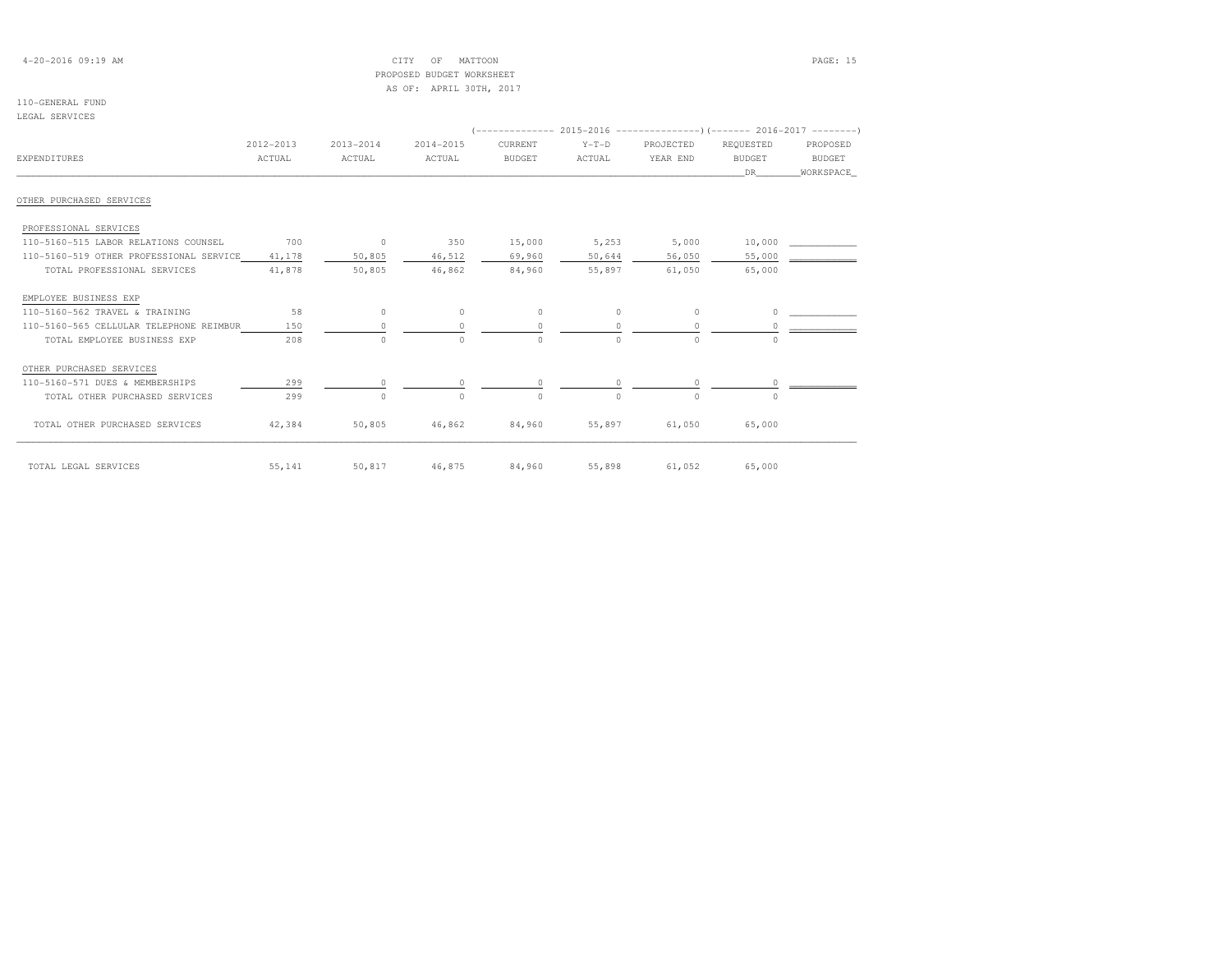# 4-20-2016 09:19 AM CITY OF MATTOON PAGE: 15 PROPOSED BUDGET WORKSHEETAS OF: APRIL 30TH, 2017

### 110-GENERAL FUNDLEGAL SERVICES

| PRAWP SEKATAPS                          |           |           |           |               |          |           |               |           |
|-----------------------------------------|-----------|-----------|-----------|---------------|----------|-----------|---------------|-----------|
|                                         |           |           |           |               |          |           |               |           |
|                                         | 2012-2013 | 2013-2014 | 2014-2015 | CURRENT       | $Y-T-D$  | PROJECTED | REQUESTED     | PROPOSED  |
| <b>EXPENDITURES</b>                     | ACTUAL    | ACTUAL    | ACTUAL    | <b>BUDGET</b> | ACTUAL   | YEAR END  | <b>BUDGET</b> | BUDGET    |
|                                         |           |           |           |               |          |           | DR.           | WORKSPACE |
| OTHER PURCHASED SERVICES                |           |           |           |               |          |           |               |           |
|                                         |           |           |           |               |          |           |               |           |
| PROFESSIONAL SERVICES                   |           |           |           |               |          |           |               |           |
| 110-5160-515 LABOR RELATIONS COUNSEL    | 700       | $\circ$   | 350       | 15,000        | 5,253    | 5,000     | 10,000        |           |
| 110-5160-519 OTHER PROFESSIONAL SERVICE | 41,178    | 50,805    | 46,512    | 69,960        | 50,644   | 56,050    | 55,000        |           |
| TOTAL PROFESSIONAL SERVICES             | 41,878    | 50,805    | 46,862    | 84,960        | 55,897   | 61,050    | 65,000        |           |
| EMPLOYEE BUSINESS EXP                   |           |           |           |               |          |           |               |           |
| 110-5160-562 TRAVEL & TRAINING          | 58        | $\Omega$  | $\Omega$  | $\Omega$      | $\Omega$ | $\Omega$  |               |           |
| 110-5160-565 CELLULAR TELEPHONE REIMBUR | 150       |           | $\Omega$  | $\Omega$      |          |           |               |           |
| TOTAL EMPLOYEE BUSINESS EXP             | 208       | $\cap$    | $\cap$    | $\Omega$      | $\Omega$ | $\cap$    | $\Omega$      |           |
| OTHER PURCHASED SERVICES                |           |           |           |               |          |           |               |           |
| 110-5160-571 DUES & MEMBERSHIPS         | 299       |           |           |               |          |           |               |           |
| TOTAL OTHER PURCHASED SERVICES          | 299       |           | $\cap$    | $\Omega$      | $\cap$   | $\cap$    | $\Omega$      |           |
| TOTAL OTHER PURCHASED SERVICES          | 42,384    | 50,805    | 46,862    | 84,960        | 55,897   | 61,050    | 65,000        |           |
| TOTAL LEGAL SERVICES                    | 55,141    | 50,817    | 46,875    | 84,960        | 55,898   | 61,052    | 65,000        |           |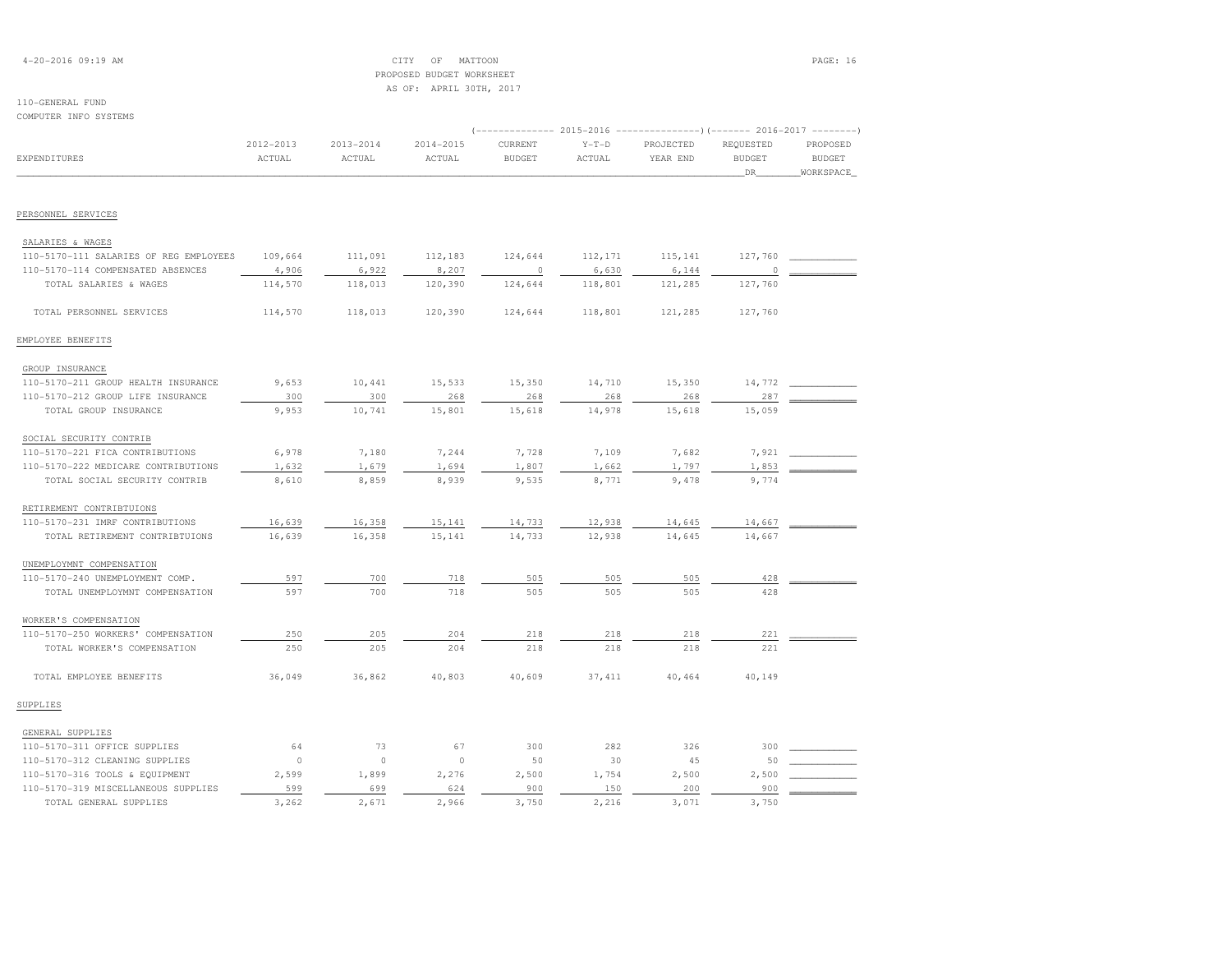# 4-20-2016 09:19 AM CITY OF MATTOON PAGE: 16 PROPOSED BUDGET WORKSHEETAS OF: APRIL 30TH, 2017

| COMPUTER INFO SYSTEMS                  |                     |                         |                         |                                                                                                     |                   |                       |                                  |                                        |
|----------------------------------------|---------------------|-------------------------|-------------------------|-----------------------------------------------------------------------------------------------------|-------------------|-----------------------|----------------------------------|----------------------------------------|
| <b>EXPENDITURES</b>                    | 2012-2013<br>ACTUAL | $2013 - 2014$<br>ACTUAL | $2014 - 2015$<br>ACTUAL | (-------------- 2015-2016 ---------------) (------- 2016-2017 --------)<br>CURRENT<br><b>BUDGET</b> | $Y-T-D$<br>ACTUAL | PROJECTED<br>YEAR END | REQUESTED<br><b>BUDGET</b><br>DR | PROPOSED<br><b>BUDGET</b><br>WORKSPACE |
|                                        |                     |                         |                         |                                                                                                     |                   |                       |                                  |                                        |
| PERSONNEL SERVICES                     |                     |                         |                         |                                                                                                     |                   |                       |                                  |                                        |
| SALARIES & WAGES                       |                     |                         |                         |                                                                                                     |                   |                       |                                  |                                        |
| 110-5170-111 SALARIES OF REG EMPLOYEES | 109,664             | 111,091                 | 112,183                 | 124,644                                                                                             | 112,171           | 115,141               | 127,760                          |                                        |
| 110-5170-114 COMPENSATED ABSENCES      | 4,906               | 6,922                   | 8,207                   | 0                                                                                                   | 6,630             | 6,144                 | 0                                |                                        |
| TOTAL SALARIES & WAGES                 | 114,570             | 118,013                 | 120,390                 | 124,644                                                                                             | 118,801           | 121,285               | 127,760                          |                                        |
| TOTAL PERSONNEL SERVICES               | 114,570             | 118,013                 | 120,390                 | 124,644                                                                                             | 118,801           | 121,285               | 127,760                          |                                        |
| EMPLOYEE BENEFITS                      |                     |                         |                         |                                                                                                     |                   |                       |                                  |                                        |
| GROUP INSURANCE                        |                     |                         |                         |                                                                                                     |                   |                       |                                  |                                        |
| 110-5170-211 GROUP HEALTH INSURANCE    | 9,653               | 10,441                  | 15,533                  | 15,350                                                                                              | 14,710            | 15,350                | 14,772                           |                                        |
| 110-5170-212 GROUP LIFE INSURANCE      | 300                 | 300                     | 268                     | 268                                                                                                 | 268               | 268                   | 287                              |                                        |
| TOTAL GROUP INSURANCE                  | 9,953               | 10,741                  | 15,801                  | 15,618                                                                                              | 14,978            | 15,618                | 15,059                           |                                        |
| SOCIAL SECURITY CONTRIB                |                     |                         |                         |                                                                                                     |                   |                       |                                  |                                        |
| 110-5170-221 FICA CONTRIBUTIONS        | 6,978               | 7,180                   | 7,244                   | 7,728                                                                                               | 7,109             | 7,682                 | 7,921                            |                                        |
| 110-5170-222 MEDICARE CONTRIBUTIONS    | 1,632               | 1,679                   | 1,694                   | 1,807                                                                                               | 1,662             | 1,797                 | 1,853                            |                                        |
| TOTAL SOCIAL SECURITY CONTRIB          | 8,610               | 8,859                   | 8,939                   | 9,535                                                                                               | 8,771             | 9,478                 | 9,774                            |                                        |
| RETIREMENT CONTRIBTUIONS               |                     |                         |                         |                                                                                                     |                   |                       |                                  |                                        |
| 110-5170-231 IMRF CONTRIBUTIONS        | 16,639              | 16,358                  | 15,141                  | 14,733                                                                                              | 12,938            | 14,645                | 14,667                           |                                        |
| TOTAL RETIREMENT CONTRIBTUIONS         | 16,639              | 16,358                  | 15,141                  | 14,733                                                                                              | 12,938            | 14,645                | 14,667                           |                                        |
| UNEMPLOYMNT COMPENSATION               |                     |                         |                         |                                                                                                     |                   |                       |                                  |                                        |
| 110-5170-240 UNEMPLOYMENT COMP.        | 597                 | 700                     | 718                     | 505                                                                                                 | 505               | 505                   | 428                              |                                        |
| TOTAL UNEMPLOYMNT COMPENSATION         | 597                 | 700                     | 718                     | 505                                                                                                 | 505               | 505                   | 428                              |                                        |
| WORKER'S COMPENSATION                  |                     |                         |                         |                                                                                                     |                   |                       |                                  |                                        |
| 110-5170-250 WORKERS' COMPENSATION     | 250                 | 205                     | 204                     | 218                                                                                                 | 218               | 218                   | 221                              |                                        |
| TOTAL WORKER'S COMPENSATION            | 250                 | 205                     | 204                     | 218                                                                                                 | 218               | 218                   | 221                              |                                        |
| TOTAL EMPLOYEE BENEFITS                | 36,049              | 36,862                  | 40,803                  | 40,609                                                                                              | 37, 411           | 40,464                | 40,149                           |                                        |
| SUPPLIES                               |                     |                         |                         |                                                                                                     |                   |                       |                                  |                                        |
| GENERAL SUPPLIES                       |                     |                         |                         |                                                                                                     |                   |                       |                                  |                                        |
| 110-5170-311 OFFICE SUPPLIES           | 64                  | 73                      | 67                      | 300                                                                                                 | 282               | 326                   | 300                              |                                        |
| 110-5170-312 CLEANING SUPPLIES         | $\circ$             | $\circ$                 | $\circ$                 | 50                                                                                                  | 30                | 45                    | 50                               |                                        |
| 110-5170-316 TOOLS & EQUIPMENT         | 2,599               | 1,899                   | 2,276                   | 2,500                                                                                               | 1,754             | 2,500                 | 2,500                            |                                        |
| 110-5170-319 MISCELLANEOUS SUPPLIES    | 599                 | 699                     | 624                     | 900                                                                                                 | 150               | 200                   | 900                              |                                        |
| TOTAL GENERAL SUPPLIES                 | 3,262               | 2,671                   | 2,966                   | 3,750                                                                                               | 2,216             | 3,071                 | 3,750                            |                                        |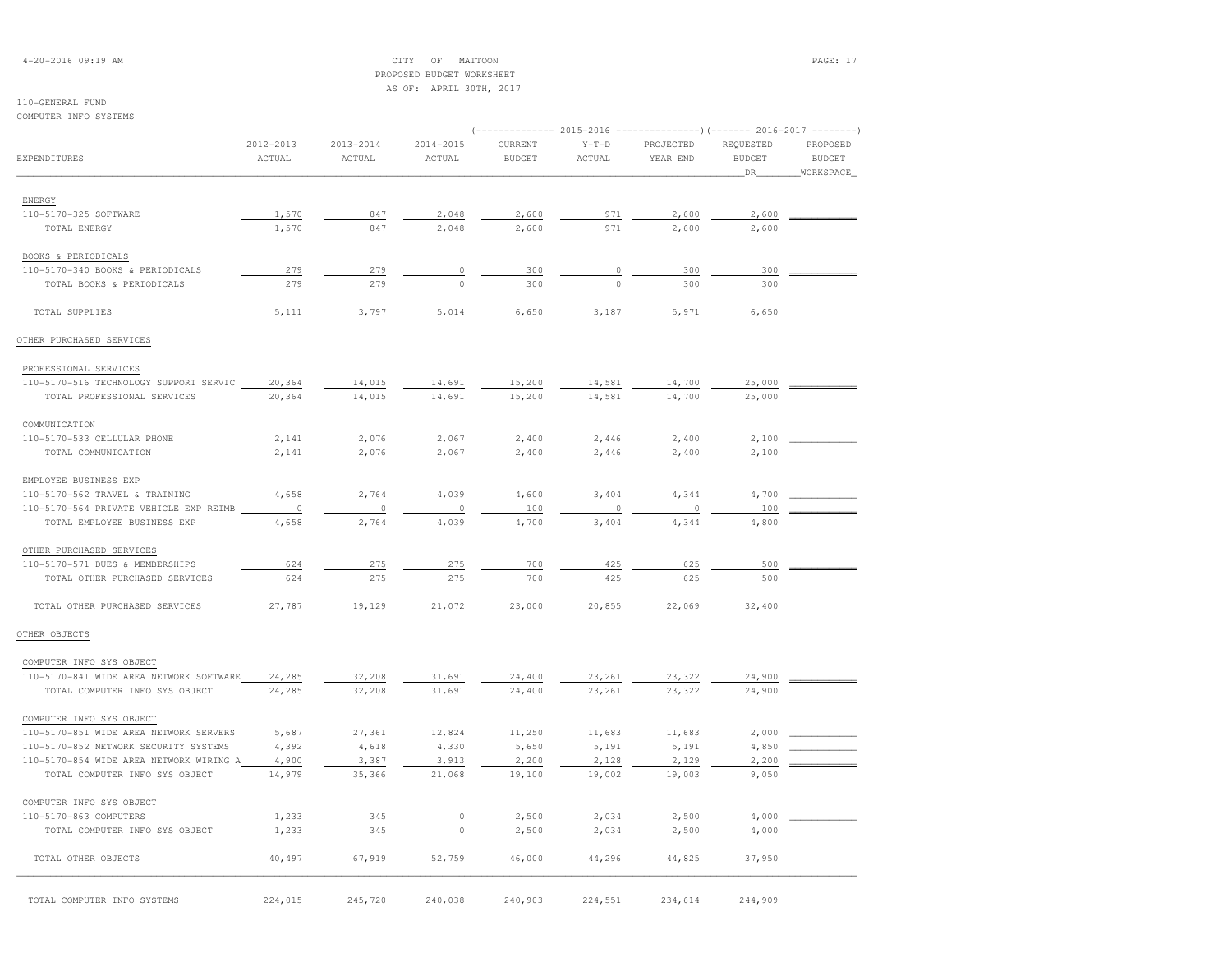4-20-2016 09:19 AM CITY OF MATTOON PAGE: 17 PROPOSED BUDGET WORKSHEETAS OF: APRIL 30TH, 2017

# 110-GENERAL FUND

COMPUTER INFO SYSTEMS

| COMRAIRK TMIA 9I9IRM9                   |                     |                         |                         |                          |                   | (-------------- 2015-2016 ---------------)(------- 2016-2017 --------) |                                   |                                        |
|-----------------------------------------|---------------------|-------------------------|-------------------------|--------------------------|-------------------|------------------------------------------------------------------------|-----------------------------------|----------------------------------------|
| EXPENDITURES                            | 2012-2013<br>ACTUAL | $2013 - 2014$<br>ACTUAL | $2014 - 2015$<br>ACTUAL | CURRENT<br><b>BUDGET</b> | $Y-T-D$<br>ACTUAL | PROJECTED<br>YEAR END                                                  | REQUESTED<br><b>BUDGET</b><br>DR. | PROPOSED<br><b>BUDGET</b><br>WORKSPACE |
| ENERGY                                  |                     |                         |                         |                          |                   |                                                                        |                                   |                                        |
| 110-5170-325 SOFTWARE                   | 1,570               | 847                     | 2,048                   | 2,600                    | 971               | 2,600                                                                  | 2,600                             |                                        |
| TOTAL ENERGY                            | 1,570               | 847                     | 2,048                   | 2,600                    | 971               | 2,600                                                                  | 2,600                             |                                        |
|                                         |                     |                         |                         |                          |                   |                                                                        |                                   |                                        |
| BOOKS & PERIODICALS                     |                     |                         |                         |                          |                   |                                                                        |                                   |                                        |
| 110-5170-340 BOOKS & PERIODICALS        | 279                 | 279                     | 0                       | 300                      | 0                 | 300                                                                    | 300                               |                                        |
| TOTAL BOOKS & PERIODICALS               | 279                 | 279                     | $\circ$                 | 300                      | $\circ$           | 300                                                                    | 300                               |                                        |
| TOTAL SUPPLIES                          | 5,111               | 3,797                   | 5,014                   | 6,650                    | 3,187             | 5,971                                                                  | 6,650                             |                                        |
| OTHER PURCHASED SERVICES                |                     |                         |                         |                          |                   |                                                                        |                                   |                                        |
| PROFESSIONAL SERVICES                   |                     |                         |                         |                          |                   |                                                                        |                                   |                                        |
| 110-5170-516 TECHNOLOGY SUPPORT SERVIC  | 20,364              | 14,015                  | 14,691                  | 15,200                   | 14,581            | 14,700                                                                 | 25,000                            |                                        |
| TOTAL PROFESSIONAL SERVICES             | 20,364              | 14,015                  | 14,691                  | 15,200                   | 14,581            | 14,700                                                                 | 25,000                            |                                        |
| COMMUNICATION                           |                     |                         |                         |                          |                   |                                                                        |                                   |                                        |
| 110-5170-533 CELLULAR PHONE             | 2,141               | 2,076                   | 2,067                   | 2,400                    | 2,446             | 2,400                                                                  | 2,100                             |                                        |
| TOTAL COMMUNICATION                     | 2,141               | 2,076                   | 2,067                   | 2,400                    | 2,446             | 2,400                                                                  | 2,100                             |                                        |
| EMPLOYEE BUSINESS EXP                   |                     |                         |                         |                          |                   |                                                                        |                                   |                                        |
|                                         |                     |                         |                         |                          |                   |                                                                        |                                   |                                        |
| 110-5170-562 TRAVEL & TRAINING          | 4,658<br>$\circ$    | 2,764<br>$\circ$        | 4,039<br>$\circ$        | 4,600                    | 3,404<br>$\circ$  | 4,344<br>$\circ$                                                       | 4,700<br>100                      |                                        |
| 110-5170-564 PRIVATE VEHICLE EXP REIMB  |                     |                         |                         | 100                      |                   | 4,344                                                                  | 4,800                             |                                        |
| TOTAL EMPLOYEE BUSINESS EXP             | 4,658               | 2,764                   | 4,039                   | 4,700                    | 3,404             |                                                                        |                                   |                                        |
| OTHER PURCHASED SERVICES                |                     |                         |                         |                          |                   |                                                                        |                                   |                                        |
| 110-5170-571 DUES & MEMBERSHIPS         | 624                 | 275                     | 275                     | 700                      | 425               | 625                                                                    | 500                               |                                        |
| TOTAL OTHER PURCHASED SERVICES          | 624                 | 275                     | 275                     | 700                      | 425               | 625                                                                    | 500                               |                                        |
| TOTAL OTHER PURCHASED SERVICES          | 27,787              | 19,129                  | 21,072                  | 23,000                   | 20,855            | 22,069                                                                 | 32,400                            |                                        |
| OTHER OBJECTS                           |                     |                         |                         |                          |                   |                                                                        |                                   |                                        |
| COMPUTER INFO SYS OBJECT                |                     |                         |                         |                          |                   |                                                                        |                                   |                                        |
| 110-5170-841 WIDE AREA NETWORK SOFTWARE | 24,285              | 32,208                  | 31,691                  | 24,400                   | 23,261            | 23,322                                                                 | 24,900                            |                                        |
| TOTAL COMPUTER INFO SYS OBJECT          | 24,285              | 32,208                  | 31,691                  | 24,400                   | 23,261            | 23,322                                                                 | 24,900                            |                                        |
| COMPUTER INFO SYS OBJECT                |                     |                         |                         |                          |                   |                                                                        |                                   |                                        |
| 110-5170-851 WIDE AREA NETWORK SERVERS  | 5,687               | 27,361                  | 12,824                  | 11,250                   | 11,683            | 11,683                                                                 | 2,000                             |                                        |
| 110-5170-852 NETWORK SECURITY SYSTEMS   | 4,392               | 4,618                   | 4,330                   | 5,650                    | 5,191             | 5,191                                                                  | 4,850                             |                                        |
| 110-5170-854 WIDE AREA NETWORK WIRING A | 4,900               | 3,387                   | 3,913                   | 2,200                    | 2,128             | 2,129                                                                  | 2,200                             |                                        |
| TOTAL COMPUTER INFO SYS OBJECT          | 14,979              | 35,366                  | 21,068                  | 19,100                   | 19,002            | 19,003                                                                 | 9,050                             |                                        |
| COMPUTER INFO SYS OBJECT                |                     |                         |                         |                          |                   |                                                                        |                                   |                                        |
| 110-5170-863 COMPUTERS                  | 1,233               | 345                     | $\circ$                 | 2,500                    | 2,034             | 2,500                                                                  | 4,000                             |                                        |
| TOTAL COMPUTER INFO SYS OBJECT          | 1,233               | 345                     | $\circ$                 | 2,500                    | 2,034             | 2,500                                                                  | 4,000                             |                                        |
| TOTAL OTHER OBJECTS                     | 40,497              | 67,919                  | 52,759                  | 46,000                   | 44,296            | 44,825                                                                 | 37,950                            |                                        |
|                                         |                     |                         |                         |                          |                   |                                                                        |                                   |                                        |
| TOTAL COMPUTER INFO SYSTEMS             | 224,015             | 245,720                 | 240,038                 | 240,903                  | 224,551           | 234,614                                                                | 244,909                           |                                        |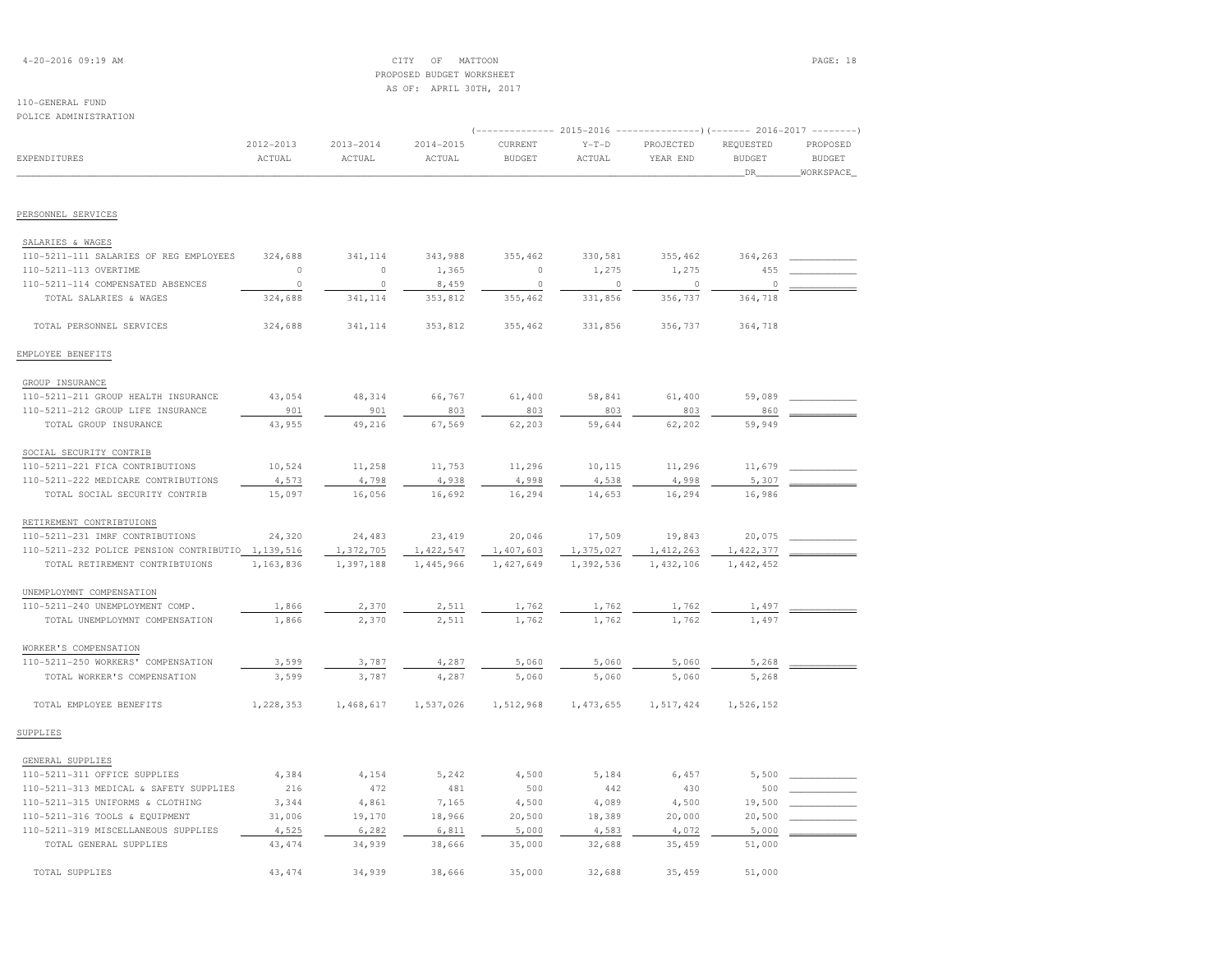# 4-20-2016 09:19 AM CITY OF MATTOON PAGE: 18 PROPOSED BUDGET WORKSHEETAS OF: APRIL 30TH, 2017

# 110-GENERAL FUND

| OMINISTRY FAIL<br>POLICE ADMINISTRATION             |                     |                         |                         |                                                                         |                   |                       |                                   |                                        |
|-----------------------------------------------------|---------------------|-------------------------|-------------------------|-------------------------------------------------------------------------|-------------------|-----------------------|-----------------------------------|----------------------------------------|
|                                                     |                     |                         |                         | (-------------- 2015-2016 ---------------) (------- 2016-2017 --------) |                   |                       |                                   |                                        |
| EXPENDITURES                                        | 2012-2013<br>ACTUAL | $2013 - 2014$<br>ACTUAL | $2014 - 2015$<br>ACTUAL | CURRENT<br><b>BUDGET</b>                                                | $Y-T-D$<br>ACTUAL | PROJECTED<br>YEAR END | REQUESTED<br><b>BUDGET</b><br>DR_ | PROPOSED<br><b>BUDGET</b><br>WORKSPACE |
|                                                     |                     |                         |                         |                                                                         |                   |                       |                                   |                                        |
| PERSONNEL SERVICES                                  |                     |                         |                         |                                                                         |                   |                       |                                   |                                        |
| SALARIES & WAGES                                    |                     |                         |                         |                                                                         |                   |                       |                                   |                                        |
| 110-5211-111 SALARIES OF REG EMPLOYEES              | 324,688             | 341,114                 | 343,988                 | 355,462                                                                 | 330,581           | 355,462               | 364,263                           |                                        |
| 110-5211-113 OVERTIME                               | $\circ$             | $\circ$                 | 1,365                   | $\circ$                                                                 | 1,275             | 1,275                 | 455                               |                                        |
| 110-5211-114 COMPENSATED ABSENCES                   | $\circ$             | $\circ$                 | 8,459                   | $\circ$                                                                 | $\circ$           | $\circ$               | $\circ$                           |                                        |
| TOTAL SALARIES & WAGES                              | 324,688             | 341,114                 | 353,812                 | 355,462                                                                 | 331,856           | 356,737               | 364,718                           |                                        |
| TOTAL PERSONNEL SERVICES                            | 324,688             | 341,114                 | 353,812                 | 355,462                                                                 | 331,856           | 356,737               | 364,718                           |                                        |
| EMPLOYEE BENEFITS                                   |                     |                         |                         |                                                                         |                   |                       |                                   |                                        |
| GROUP INSURANCE                                     |                     |                         |                         |                                                                         |                   |                       |                                   |                                        |
| 110-5211-211 GROUP HEALTH INSURANCE                 | 43,054              | 48,314                  | 66,767                  | 61,400                                                                  | 58,841            | 61,400                | 59,089                            |                                        |
| 110-5211-212 GROUP LIFE INSURANCE                   | 901                 | 901                     | 803                     | 803                                                                     | 803               | 803                   | 860                               |                                        |
| TOTAL GROUP INSURANCE                               | 43,955              | 49,216                  | 67,569                  | 62,203                                                                  | 59,644            | 62,202                | 59,949                            |                                        |
| SOCIAL SECURITY CONTRIB                             |                     |                         |                         |                                                                         |                   |                       |                                   |                                        |
| 110-5211-221 FICA CONTRIBUTIONS                     | 10,524              | 11,258                  | 11,753                  | 11,296                                                                  | 10,115            | 11,296                | 11,679                            |                                        |
| 110-5211-222 MEDICARE CONTRIBUTIONS                 | 4,573               | 4,798                   | 4,938                   | 4,998                                                                   | 4,538             | 4,998                 | 5,307                             |                                        |
| TOTAL SOCIAL SECURITY CONTRIB                       | 15,097              | 16,056                  | 16,692                  | 16,294                                                                  | 14,653            | 16,294                | 16,986                            |                                        |
| RETIREMENT CONTRIBTUIONS                            |                     |                         |                         |                                                                         |                   |                       |                                   |                                        |
| 110-5211-231 IMRF CONTRIBUTIONS                     | 24,320              | 24,483                  | 23,419                  | 20,046                                                                  | 17,509            | 19,843                | 20,075                            |                                        |
| 110-5211-232 POLICE PENSION CONTRIBUTIO 1, 139, 516 |                     | 1,372,705               | 1,422,547               | 1,407,603                                                               | 1,375,027         | 1, 412, 263           | 1,422,377                         |                                        |
| TOTAL RETIREMENT CONTRIBTUIONS                      | 1,163,836           | 1,397,188               | 1,445,966               | 1,427,649                                                               | 1,392,536         | 1,432,106             | 1,442,452                         |                                        |
| UNEMPLOYMNT COMPENSATION                            |                     |                         |                         |                                                                         |                   |                       |                                   |                                        |
| 110-5211-240 UNEMPLOYMENT COMP.                     | 1,866               | 2,370                   | 2,511                   | 1,762                                                                   | 1,762             | 1,762                 | 1,497                             |                                        |
| TOTAL UNEMPLOYMNT COMPENSATION                      | 1,866               | 2,370                   | 2,511                   | 1,762                                                                   | 1,762             | 1,762                 | 1,497                             |                                        |
| WORKER'S COMPENSATION                               |                     |                         |                         |                                                                         |                   |                       |                                   |                                        |
| 110-5211-250 WORKERS' COMPENSATION                  | 3,599               | 3,787                   | 4,287                   | 5,060                                                                   | 5,060             | 5,060                 | 5,268                             |                                        |
| TOTAL WORKER'S COMPENSATION                         | 3,599               | 3,787                   | 4,287                   | 5,060                                                                   | 5,060             | 5,060                 | 5,268                             |                                        |
| TOTAL EMPLOYEE BENEFITS                             | 1,228,353           | 1,468,617               | 1,537,026               | 1,512,968                                                               | 1,473,655         | 1,517,424             | 1,526,152                         |                                        |
| SUPPLIES                                            |                     |                         |                         |                                                                         |                   |                       |                                   |                                        |
| GENERAL SUPPLIES                                    |                     |                         |                         |                                                                         |                   |                       |                                   |                                        |
| 110-5211-311 OFFICE SUPPLIES                        | 4,384               | 4,154                   | 5,242                   | 4,500                                                                   | 5,184             | 6,457                 | 5,500                             |                                        |
| 110-5211-313 MEDICAL & SAFETY SUPPLIES              | 216                 | 472                     | 481                     | 500                                                                     | 442               | 430                   | 500                               |                                        |
| 110-5211-315 UNIFORMS & CLOTHING                    | 3,344               | 4,861                   | 7,165                   | 4,500                                                                   | 4,089             | 4,500                 | 19,500                            |                                        |
| 110-5211-316 TOOLS & EQUIPMENT                      | 31,006              | 19,170                  | 18,966                  | 20,500                                                                  | 18,389            | 20,000                | 20,500                            |                                        |
| 110-5211-319 MISCELLANEOUS SUPPLIES                 | 4,525               | 6,282                   | 6,811                   | 5,000                                                                   | 4,583             | 4,072                 | 5,000                             |                                        |
| TOTAL GENERAL SUPPLIES                              | 43, 474             | 34,939                  | 38,666                  | 35,000                                                                  | 32,688            | 35,459                | 51,000                            |                                        |

TOTAL SUPPLIES 43,474 34,939 38,666 35,000 32,688 35,459 51,000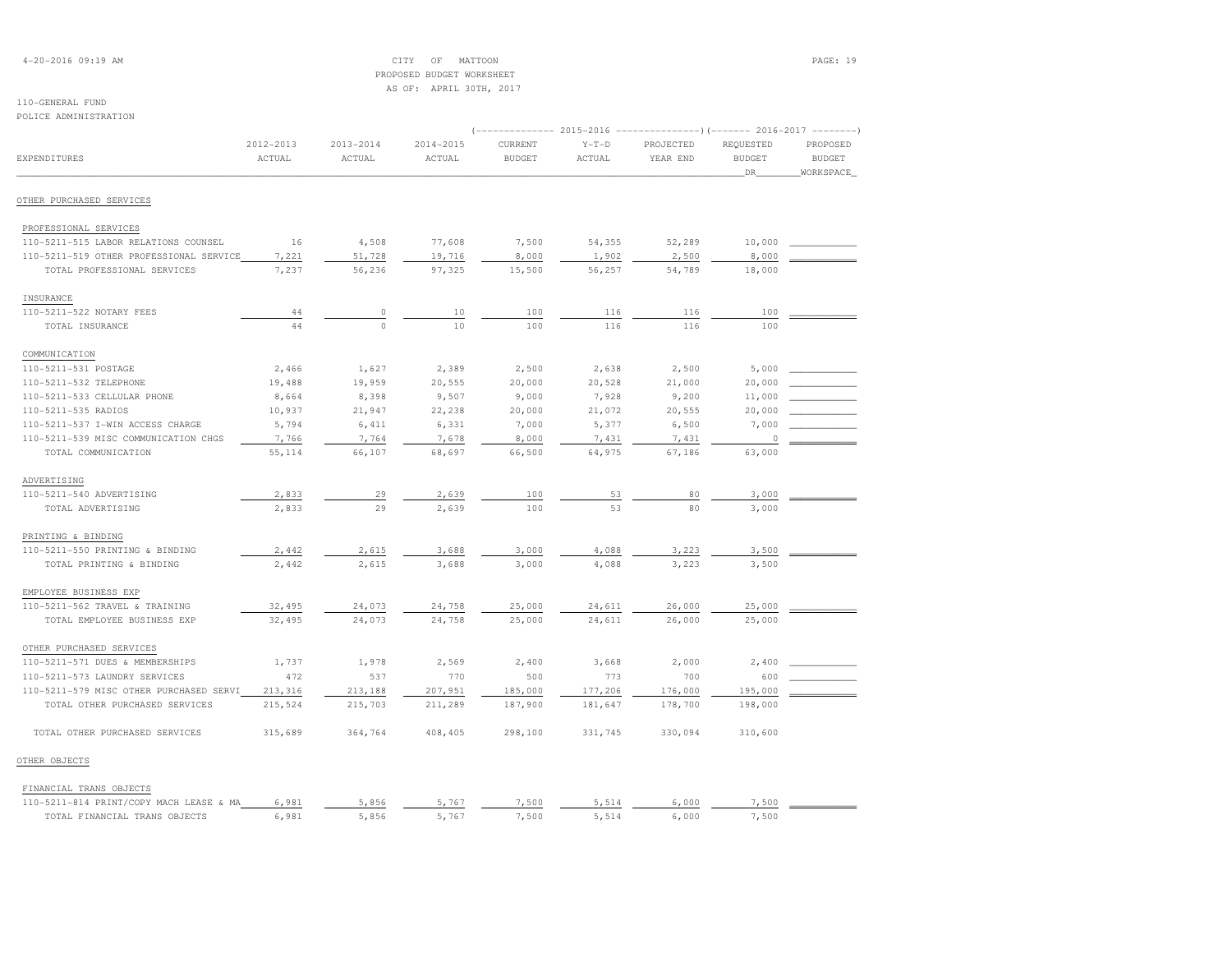# 4-20-2016 09:19 AM CITY OF MATTOON PAGE: 19 PROPOSED BUDGET WORKSHEETAS OF: APRIL 30TH, 2017

| POLICE ADMINISTRATION                                                           |                     |                         |                         |                          |                   |                                                                                                |                                  |                                        |
|---------------------------------------------------------------------------------|---------------------|-------------------------|-------------------------|--------------------------|-------------------|------------------------------------------------------------------------------------------------|----------------------------------|----------------------------------------|
| <b>EXPENDITURES</b>                                                             | 2012-2013<br>ACTUAL | $2013 - 2014$<br>ACTUAL | $2014 - 2015$<br>ACTUAL | CURRENT<br><b>BUDGET</b> | $Y-T-D$<br>ACTUAL | (-------------- 2015-2016 ---------------------- 2016-2017 ----------<br>PROJECTED<br>YEAR END | REQUESTED<br><b>BUDGET</b><br>DR | PROPOSED<br><b>BUDGET</b><br>WORKSPACE |
| OTHER PURCHASED SERVICES                                                        |                     |                         |                         |                          |                   |                                                                                                |                                  |                                        |
|                                                                                 |                     |                         |                         |                          |                   |                                                                                                |                                  |                                        |
| PROFESSIONAL SERVICES                                                           |                     |                         |                         |                          |                   |                                                                                                |                                  |                                        |
| 110-5211-515 LABOR RELATIONS COUNSEL<br>110-5211-519 OTHER PROFESSIONAL SERVICE | 16<br>7,221         | 4,508<br>51,728         | 77,608<br>19,716        | 7,500<br>8,000           | 54,355<br>1,902   | 52,289<br>2,500                                                                                | 10,000<br>8,000                  |                                        |
| TOTAL PROFESSIONAL SERVICES                                                     | 7,237               | 56,236                  | 97,325                  | 15,500                   | 56,257            | 54,789                                                                                         | 18,000                           |                                        |
| INSURANCE                                                                       |                     |                         |                         |                          |                   |                                                                                                |                                  |                                        |
| 110-5211-522 NOTARY FEES                                                        | 44                  | $\circ$                 | 10                      | 100                      | 116               | 116                                                                                            | 100                              |                                        |
| TOTAL INSURANCE                                                                 | 44                  | $\mathbb O$             | $10$                    | 100                      | 116               | 116                                                                                            | 100                              |                                        |
| COMMUNICATION                                                                   |                     |                         |                         |                          |                   |                                                                                                |                                  |                                        |
| 110-5211-531 POSTAGE                                                            | 2,466               | 1,627                   | 2,389                   | 2,500                    | 2,638             | 2,500                                                                                          | 5,000                            |                                        |
| 110-5211-532 TELEPHONE                                                          | 19,488              | 19,959                  | 20,555                  | 20,000                   | 20,528            | 21,000                                                                                         | 20,000                           |                                        |
| 110-5211-533 CELLULAR PHONE                                                     | 8,664               | 8,398                   | 9,507                   | 9,000                    | 7,928             | 9,200                                                                                          | 11,000                           |                                        |
| 110-5211-535 RADIOS                                                             | 10,937              | 21,947                  | 22,238                  | 20,000                   | 21,072            | 20,555                                                                                         | 20,000                           |                                        |
| 110-5211-537 I-WIN ACCESS CHARGE                                                | 5,794               | 6,411                   | 6,331                   | 7,000                    | 5,377             | 6,500                                                                                          | 7,000                            |                                        |
| 110-5211-539 MISC COMMUNICATION CHGS                                            | 7,766               | 7,764                   | 7,678                   | 8,000                    | 7,431             | 7,431                                                                                          | 0                                |                                        |
| TOTAL COMMUNICATION                                                             | 55, 114             | 66,107                  | 68,697                  | 66,500                   | 64,975            | 67,186                                                                                         | 63,000                           |                                        |
| ADVERTISING                                                                     |                     |                         |                         |                          |                   |                                                                                                |                                  |                                        |
| 110-5211-540 ADVERTISING                                                        | 2,833               | 29                      | 2,639                   | 100                      | 53                | 80                                                                                             | 3,000                            |                                        |
| TOTAL ADVERTISING                                                               | 2,833               | 29                      | 2,639                   | 100                      | 53                | 80                                                                                             | 3,000                            |                                        |
| PRINTING & BINDING                                                              |                     |                         |                         |                          |                   |                                                                                                |                                  |                                        |
| 110-5211-550 PRINTING & BINDING                                                 | 2,442               | 2,615                   | 3,688                   | 3,000                    | 4,088             | 3,223                                                                                          | 3,500                            |                                        |
| TOTAL PRINTING & BINDING                                                        | 2,442               | 2,615                   | 3,688                   | 3,000                    | 4,088             | 3,223                                                                                          | 3,500                            |                                        |
| EMPLOYEE BUSINESS EXP                                                           |                     |                         |                         |                          |                   |                                                                                                |                                  |                                        |
| 110-5211-562 TRAVEL & TRAINING                                                  | 32,495              | 24,073                  | 24,758                  | 25,000                   | 24,611            | 26,000                                                                                         | 25,000                           |                                        |
| TOTAL EMPLOYEE BUSINESS EXP                                                     | 32,495              | 24,073                  | 24,758                  | 25,000                   | 24,611            | 26,000                                                                                         | 25,000                           |                                        |
| OTHER PURCHASED SERVICES                                                        |                     |                         |                         |                          |                   |                                                                                                |                                  |                                        |
| 110-5211-571 DUES & MEMBERSHIPS                                                 | 1,737               | 1,978                   | 2,569                   | 2,400                    | 3,668             | 2,000                                                                                          | 2,400                            |                                        |
| 110-5211-573 LAUNDRY SERVICES                                                   | 472                 | 537                     | 770                     | 500                      | 773               | 700                                                                                            | 600                              |                                        |
| 110-5211-579 MISC OTHER PURCHASED SERVI                                         | 213,316             | 213,188                 | 207,951                 | 185,000                  | 177,206           | 176,000                                                                                        | 195,000                          |                                        |
| TOTAL OTHER PURCHASED SERVICES                                                  | 215,524             | 215,703                 | 211,289                 | 187,900                  | 181,647           | 178,700                                                                                        | 198,000                          |                                        |
| TOTAL OTHER PURCHASED SERVICES                                                  | 315,689             | 364,764                 | 408,405                 | 298,100                  | 331,745           | 330,094                                                                                        | 310,600                          |                                        |
| OTHER OBJECTS                                                                   |                     |                         |                         |                          |                   |                                                                                                |                                  |                                        |
| FINANCIAL TRANS OBJECTS                                                         |                     |                         |                         |                          |                   |                                                                                                |                                  |                                        |
| 110-5211-814 PRINT/COPY MACH LEASE & MA                                         | 6,981               | 5,856                   | 5,767                   | 7,500                    | 5,514             | 6,000                                                                                          | 7,500                            |                                        |
| TOTAL FINANCIAL TRANS OBJECTS                                                   | 6,981               | 5,856                   | 5,767                   | 7,500                    | 5,514             | 6,000                                                                                          | 7,500                            |                                        |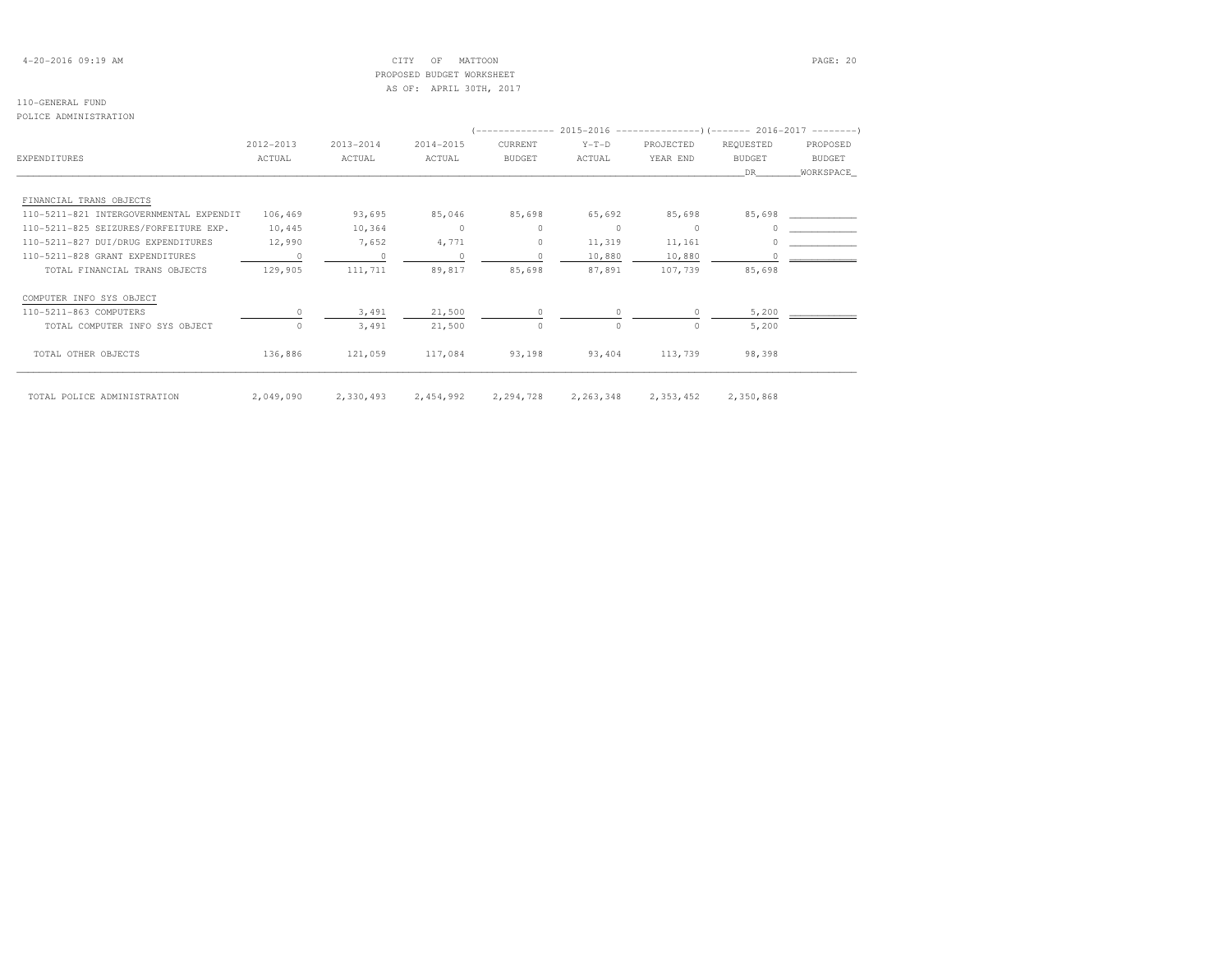# 4-20-2016 09:19 AM CITY OF MATTOON PAGE: 20 PROPOSED BUDGET WORKSHEETAS OF: APRIL 30TH, 2017

# 110-GENERAL FUND

### POLICE ADMINISTRATION

|                                         |           |           |           |               |             | (-------------- 2015-2016 --------------------- 2016-2017 --------- |               |           |
|-----------------------------------------|-----------|-----------|-----------|---------------|-------------|---------------------------------------------------------------------|---------------|-----------|
|                                         | 2012-2013 | 2013-2014 | 2014-2015 | CURRENT       | $Y-T-D$     | PROJECTED                                                           | REQUESTED     | PROPOSED  |
| EXPENDITURES                            | ACTUAL    | ACTUAL    | ACTUAL    | <b>BUDGET</b> | ACTUAL      | YEAR END                                                            | <b>BUDGET</b> | BUDGET    |
|                                         |           |           |           |               |             |                                                                     | DR.           | WORKSPACE |
| FINANCIAL TRANS OBJECTS                 |           |           |           |               |             |                                                                     |               |           |
| 110-5211-821 INTERGOVERNMENTAL EXPENDIT | 106,469   | 93,695    | 85,046    | 85,698        | 65,692      | 85,698                                                              | 85,698        |           |
| 110-5211-825 SEIZURES/FORFEITURE EXP.   | 10,445    | 10,364    | $\circ$   | $\circ$       | $\circ$     | $\circ$                                                             |               |           |
| 110-5211-827 DUI/DRUG EXPENDITURES      | 12,990    | 7,652     | 4,771     | $\circ$       | 11,319      | 11,161                                                              |               |           |
| 110-5211-828 GRANT EXPENDITURES         | $\Omega$  | $\Omega$  | $\cap$    | $\cap$        | 10,880      | 10,880                                                              |               |           |
| TOTAL FINANCIAL TRANS OBJECTS           | 129,905   | 111,711   | 89,817    | 85,698        | 87,891      | 107,739                                                             | 85,698        |           |
| COMPUTER INFO SYS OBJECT                |           |           |           |               |             |                                                                     |               |           |
| 110-5211-863 COMPUTERS                  |           | 3,491     | 21,500    |               |             |                                                                     | 5,200         |           |
| TOTAL COMPUTER INFO SYS OBJECT          | $\Omega$  | 3,491     | 21,500    | $\Omega$      | $\Omega$    | $\Omega$                                                            | 5,200         |           |
| TOTAL OTHER OBJECTS                     | 136,886   | 121,059   | 117,084   | 93,198        | 93,404      | 113,739                                                             | 98,398        |           |
| TOTAL POLICE ADMINISTRATION             | 2,049,090 | 2,330,493 | 2,454,992 | 2,294,728     | 2, 263, 348 | 2,353,452                                                           | 2,350,868     |           |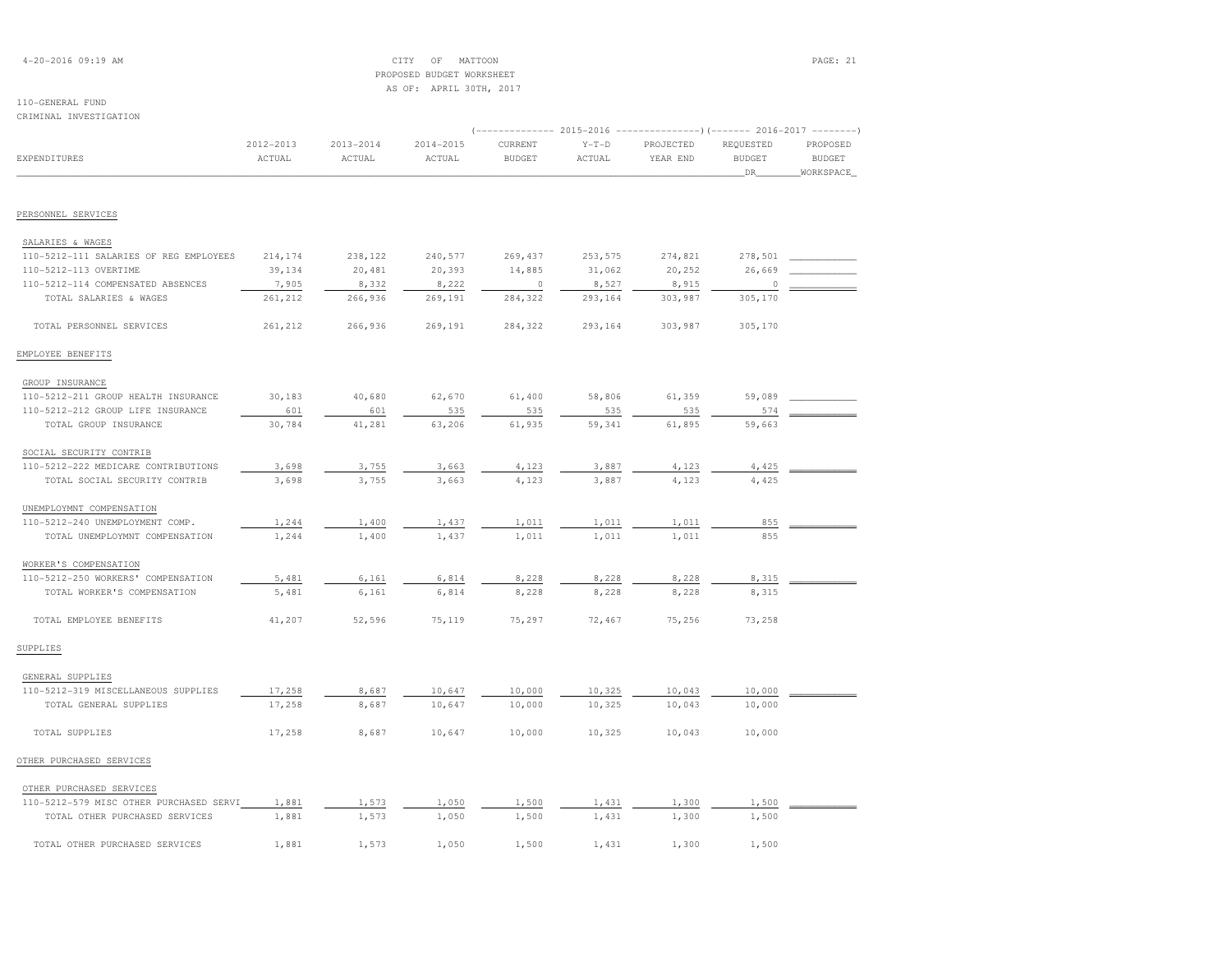# 4-20-2016 09:19 AM CITY OF MATTOON PAGE: 21 PROPOSED BUDGET WORKSHEETAS OF: APRIL 30TH, 2017

# 110-GENERAL FUND

| CRIMINAL INVESTIGATION                 |           |               |           |                |         |           |               |               |
|----------------------------------------|-----------|---------------|-----------|----------------|---------|-----------|---------------|---------------|
|                                        |           |               |           |                |         |           |               |               |
|                                        | 2012-2013 | $2013 - 2014$ | 2014-2015 | CURRENT        | $Y-T-D$ | PROJECTED | REQUESTED     | PROPOSED      |
| <b>EXPENDITURES</b>                    | ACTUAL    | ACTUAL        | ACTUAL    | <b>BUDGET</b>  | ACTUAL  | YEAR END  | <b>BUDGET</b> | <b>BUDGET</b> |
|                                        |           |               |           |                |         |           | DR            | WORKSPACE     |
| PERSONNEL SERVICES                     |           |               |           |                |         |           |               |               |
| SALARIES & WAGES                       |           |               |           |                |         |           |               |               |
| 110-5212-111 SALARIES OF REG EMPLOYEES | 214,174   | 238,122       | 240,577   | 269,437        | 253,575 | 274,821   | 278,501       |               |
| 110-5212-113 OVERTIME                  | 39,134    | 20,481        | 20,393    | 14,885         | 31,062  | 20,252    | 26,669        |               |
| 110-5212-114 COMPENSATED ABSENCES      | 7,905     | 8,332         | 8,222     | $\overline{0}$ | 8,527   | 8,915     | 0             |               |
| TOTAL SALARIES & WAGES                 | 261,212   | 266,936       | 269,191   | 284,322        | 293,164 | 303,987   | 305,170       |               |
| TOTAL PERSONNEL SERVICES               | 261,212   | 266,936       | 269,191   | 284,322        | 293,164 | 303,987   | 305,170       |               |
| EMPLOYEE BENEFITS                      |           |               |           |                |         |           |               |               |
| GROUP INSURANCE                        |           |               |           |                |         |           |               |               |
| 110-5212-211 GROUP HEALTH INSURANCE    | 30,183    | 40,680        | 62,670    | 61,400         | 58,806  | 61,359    | 59,089        |               |
| 110-5212-212 GROUP LIFE INSURANCE      | 601       | 601           | 535       | 535            | 535     | 535       | 574           |               |
| TOTAL GROUP INSURANCE                  | 30,784    | 41,281        | 63,206    | 61,935         | 59,341  | 61,895    | 59,663        |               |
| SOCIAL SECURITY CONTRIB                |           |               |           |                |         |           |               |               |
| 110-5212-222 MEDICARE CONTRIBUTIONS    | 3,698     | 3,755         | 3,663     | 4,123          | 3,887   | 4,123     | 4,425         |               |
| TOTAL SOCIAL SECURITY CONTRIB          | 3,698     | 3,755         | 3,663     | 4,123          | 3,887   | 4,123     | 4,425         |               |
| UNEMPLOYMNT COMPENSATION               |           |               |           |                |         |           |               |               |
| 110-5212-240 UNEMPLOYMENT COMP.        | 1,244     | 1,400         | 1,437     | 1,011          | 1,011   | 1,011     | 855           |               |
| TOTAL UNEMPLOYMNT COMPENSATION         | 1,244     | 1,400         | 1,437     | 1,011          | 1,011   | 1,011     | 855           |               |
| WORKER'S COMPENSATION                  |           |               |           |                |         |           |               |               |
| 110-5212-250 WORKERS' COMPENSATION     | 5,481     | 6,161         | 6,814     | 8,228          | 8,228   | 8,228     | 8,315         |               |
| TOTAL WORKER'S COMPENSATION            | 5,481     | 6,161         | 6,814     | 8,228          | 8,228   | 8,228     | 8,315         |               |
| TOTAL EMPLOYEE BENEFITS                | 41,207    | 52,596        | 75,119    | 75,297         | 72,467  | 75,256    | 73,258        |               |
| SUPPLIES                               |           |               |           |                |         |           |               |               |
| GENERAL SUPPLIES                       |           |               |           |                |         |           |               |               |
| 110-5212-319 MISCELLANEOUS SUPPLIES    | 17,258    | 8,687         | 10,647    | 10,000         | 10,325  | 10,043    | 10,000        |               |
| TOTAL GENERAL SUPPLIES                 | 17,258    | 8,687         | 10,647    | 10,000         | 10,325  | 10,043    | 10,000        |               |
| TOTAL SUPPLIES                         | 17,258    | 8,687         | 10,647    | 10,000         | 10,325  | 10,043    | 10,000        |               |
| OTHER PURCHASED SERVICES               |           |               |           |                |         |           |               |               |

# OTHER PURCHASED SERVICES110-5212-579 MISC OTHER PURCHASED SERVI 1,881 1,573 1,050 1,500 1,431 1,300 1,500 1,500 TOTAL OTHER PURCHASED SERVICES 1,881 1,573 1,050 1,500 1,431 1,300 1,500 1,500 TOTAL OTHER PURCHASED SERVICES 1,881 1,573 1,050 1,500 1,431 1,300 1,500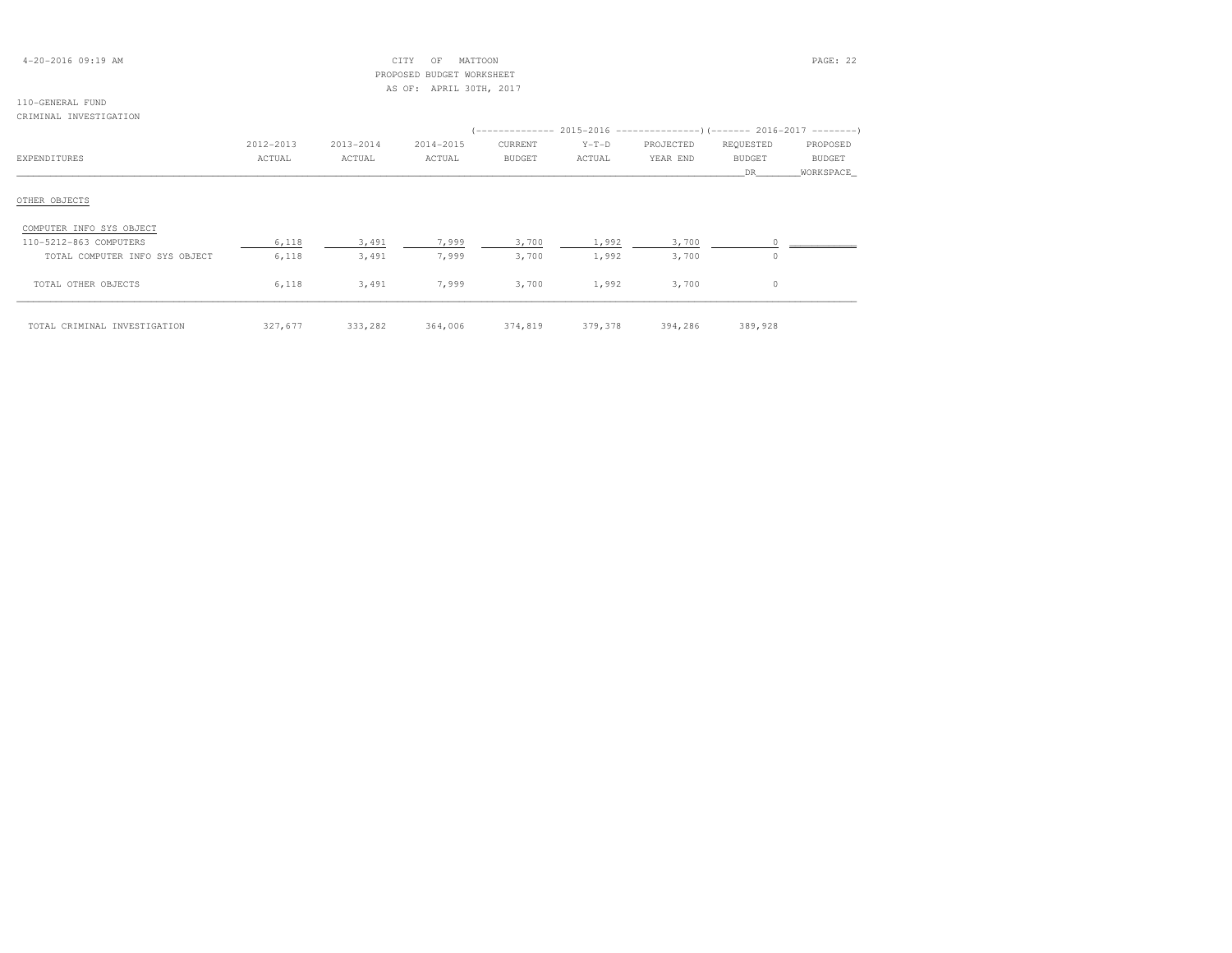| $4 - 20 - 2016$ 09:19 AM |  |
|--------------------------|--|
|--------------------------|--|

# 4-2017 CF MATTOON CITY OF MATTOON PAGE: 22 PROPOSED BUDGET WORKSHEETAS OF: APRIL 30TH, 2017

# 110-GENERAL FUND

### CRIMINAL INVESTIGATION

|                                | 2012-2013 | 2013-2014 | 2014-2015 | CURRENT       | $Y-T-D$ | PROJECTED | REQUESTED     | PROPOSED      |
|--------------------------------|-----------|-----------|-----------|---------------|---------|-----------|---------------|---------------|
| EXPENDITURES                   | ACTUAL    | ACTUAL    | ACTUAL    | <b>BUDGET</b> | ACTUAL  | YEAR END  | <b>BUDGET</b> | <b>BUDGET</b> |
|                                |           |           |           |               |         |           | DR.           | WORKSPACE     |
| OTHER OBJECTS                  |           |           |           |               |         |           |               |               |
| COMPUTER INFO SYS OBJECT       |           |           |           |               |         |           |               |               |
| 110-5212-863 COMPUTERS         | 6,118     | 3,491     | 7,999     | 3,700         | 1,992   | 3,700     |               |               |
| TOTAL COMPUTER INFO SYS OBJECT | 6,118     | 3,491     | 7,999     | 3,700         | 1,992   | 3,700     | $\Omega$      |               |
| TOTAL OTHER OBJECTS            | 6,118     | 3,491     | 7,999     | 3,700         | 1,992   | 3,700     | $\Omega$      |               |
| TOTAL CRIMINAL INVESTIGATION   | 327,677   | 333,282   | 364,006   | 374,819       | 379,378 | 394,286   | 389,928       |               |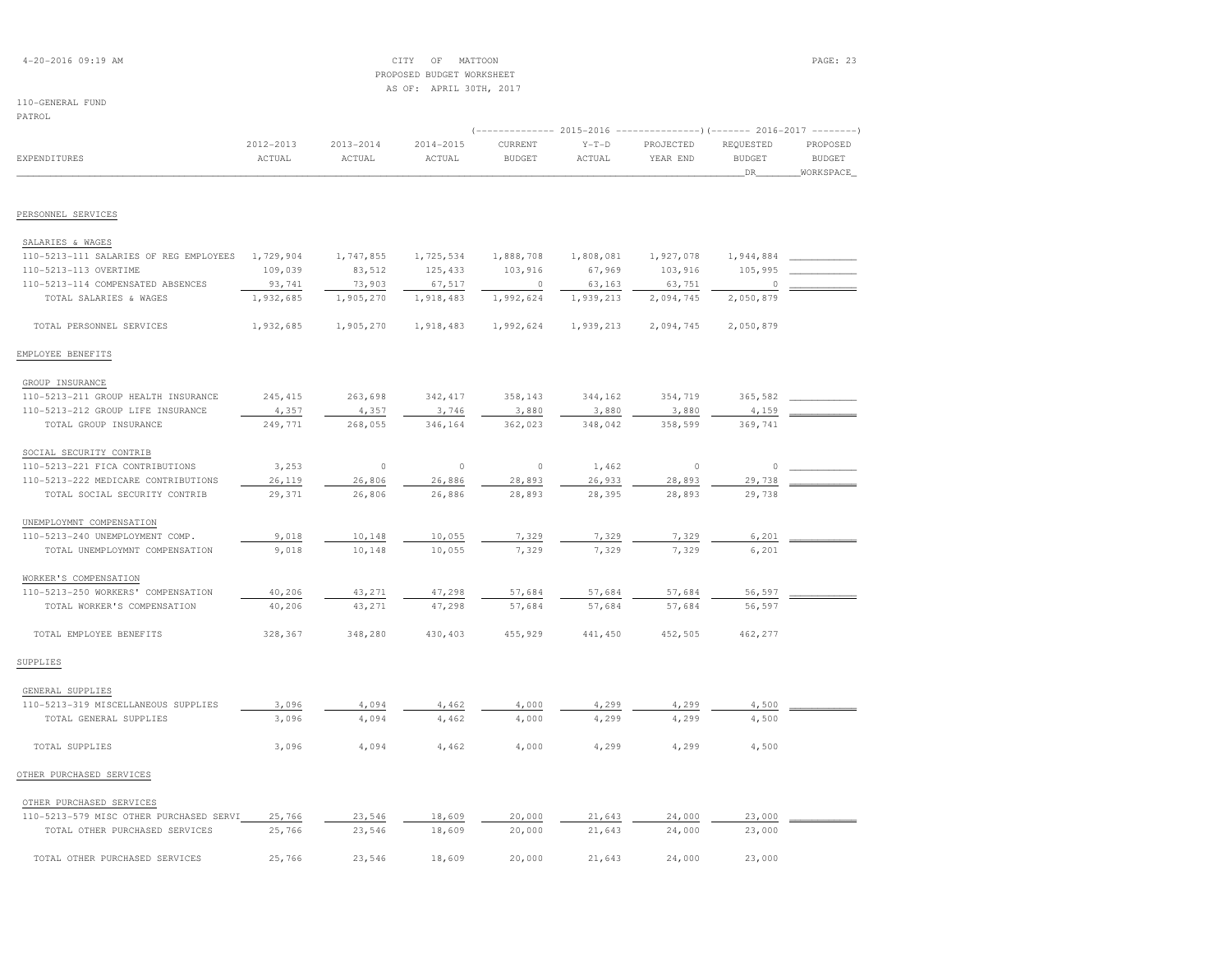| $4 - 20 - 2016$ 09:19 AM |  |  |
|--------------------------|--|--|
|--------------------------|--|--|

# 4-2017 CF MATTOON CITY OF MATTOON PAGE: 23 PROPOSED BUDGET WORKSHEETAS OF: APRIL 30TH, 2017

110-GENERAL FUND

PATROL (-------------- 2015-2016 ---------------)(------- 2016-2017 --------) 2012-2013 2013-2014 2014-2015 CURRENT Y-T-D PROJECTED REQUESTED PROPOSED**BUDGET** EXPENDITURES ACTUAL ACTUAL ACTUAL BUDGET ACTUAL YEAR END BUDGET BUDGET \_\_\_\_\_\_\_\_\_\_\_\_\_\_\_\_\_\_\_\_\_\_\_\_\_\_\_\_\_\_\_\_\_\_\_\_\_\_\_\_\_\_\_\_\_\_\_\_\_\_\_\_\_\_\_\_\_\_\_\_\_\_\_\_\_\_\_\_\_\_\_\_\_\_\_\_\_\_\_\_\_\_\_\_\_\_\_\_\_\_\_\_\_\_\_\_\_\_\_\_\_\_\_\_\_\_\_\_\_\_\_\_\_\_\_\_\_\_\_\_\_\_\_\_\_\_\_\_\_\_DR\_\_\_\_\_\_\_\_WORKSPACE\_PERSONNEL SERVICES SALARIES & WAGES110-5213-111 SALARIES OF REG EMPLOYEES 1,729,904 1,747,855 1,725,534 1,888,708 1,808,081 1,927,078 1,944,884 \_\_\_\_\_\_\_\_\_\_\_\_\_\_\_\_\_\_\_\_  $109,039 \qquad 83,512 \qquad 125,433 \qquad 103,916 \qquad 67,969 \qquad 103,916 \qquad 105,995 \qquad 105,995 \qquad 105,916 \qquad 105,916 \qquad 105,916 \qquad 105,916 \qquad 105,916 \qquad 105,916 \qquad 105,916 \qquad 105,916 \qquad 105,916 \qquad 105,916 \qquad 105,916 \qquad 105,916 \qquad 10$ 110-5213-114 COMPENSATED ABSENCES <br>
193,741 73,903 67,517 0 63,163 63,751 63,751<br>
1932,685 1,992,624 1,992,624 1,993,213 2,094,745  $\frac{1}{10000}$  TOTAL SALARIES & WAGES  $\frac{1}{10000}$  1,918,270  $\frac{1}{10000}$  1,918,483  $\frac{1}{10000}$   $\frac{1}{10000}$   $\frac{1}{1000}$   $\frac{1}{1000}$   $\frac{1}{1000}$   $\frac{1}{1000}$   $\frac{1}{1000}$   $\frac{1}{1000}$   $\frac{1}{1000}$   $\frac{1}{1000}$   $\frac{$  TOTAL PERSONNEL SERVICES 1,932,685 1,905,270 1,918,483 1,992,624 1,939,213 2,094,745 2,050,879EMPLOYEE BENEFITSGROUP INSURANCE

| GROUP INSURANCE                       |          |         |          |         |         |         |          |  |
|---------------------------------------|----------|---------|----------|---------|---------|---------|----------|--|
| 110-5213-211 GROUP HEALTH INSURANCE   | 245, 415 | 263,698 | 342, 417 | 358,143 | 344,162 | 354,719 | 365,582  |  |
| 110-5213-212 GROUP LIFE INSURANCE     | 4,357    | 4,357   | 3,746    | 3,880   | 3,880   | 3,880   | 4,159    |  |
| TOTAL GROUP INSURANCE                 | 249,771  | 268,055 | 346,164  | 362,023 | 348,042 | 358,599 | 369,741  |  |
| SOCIAL SECURITY CONTRIB               |          |         |          |         |         |         |          |  |
| 110-5213-221 FICA CONTRIBUTIONS       | 3,253    | $\circ$ | $\circ$  | $\circ$ | 1,462   | 0       | $\Omega$ |  |
| 110-5213-222 MEDICARE CONTRIBUTIONS   | 26,119   | 26,806  | 26,886   | 28,893  | 26,933  | 28,893  | 29,738   |  |
| TOTAL SOCIAL SECURITY CONTRIB         | 29,371   | 26,806  | 26,886   | 28,893  | 28,395  | 28,893  | 29,738   |  |
| UNEMPLOYMNT COMPENSATION              |          |         |          |         |         |         |          |  |
| 110-5213-240 UNEMPLOYMENT COMP.       | 9,018    | 10,148  | 10,055   | 7,329   | 7,329   | 7,329   | 6,201    |  |
| TOTAL UNEMPLOYMNT COMPENSATION        | 9,018    | 10,148  | 10,055   | 7,329   | 7,329   | 7,329   | 6,201    |  |
| WORKER'S COMPENSATION                 |          |         |          |         |         |         |          |  |
| 110-5213-250 WORKERS'<br>COMPENSATION | 40,206   | 43,271  | 47,298   | 57,684  | 57,684  | 57,684  | 56,597   |  |
| TOTAL WORKER'S COMPENSATION           | 40,206   | 43,271  | 47,298   | 57,684  | 57,684  | 57,684  | 56,597   |  |
| TOTAL EMPLOYEE BENEFITS               | 328,367  | 348,280 | 430,403  | 455,929 | 441,450 | 452,505 | 462,277  |  |
| SUPPLIES                              |          |         |          |         |         |         |          |  |
| GENERAL SUPPLIES                      |          |         |          |         |         |         |          |  |
| 110-5213-319 MISCELLANEOUS SUPPLIES   | 3,096    | 4,094   | 4,462    | 4,000   | 4,299   | 4,299   | 4,500    |  |
| TOTAL GENERAL SUPPLIES                | 3,096    | 4,094   | 4,462    | 4,000   | 4,299   | 4,299   | 4,500    |  |

|                | ----- | $\rightarrow$ , $\rightarrow$ , $\rightarrow$ | $\rightarrow$ $\rightarrow$ $\rightarrow$ $\rightarrow$ | $\rightarrow$ $\rightarrow$ $\rightarrow$ $\rightarrow$ | ----- | $\rightarrow$ $\rightarrow$ $\rightarrow$ $\rightarrow$ | $\cdot$ , $\cdot$ |
|----------------|-------|-----------------------------------------------|---------------------------------------------------------|---------------------------------------------------------|-------|---------------------------------------------------------|-------------------|
| TOTAL SUPPLIES | 3,096 | 4,094                                         | 4,462                                                   | 4,000                                                   | 4,299 | 4,299                                                   | 4,500             |

# OTHER PURCHASED SERVICES

| OTHER PURCHASED SERVICES                |        |        |        |        |        |        |        |  |
|-----------------------------------------|--------|--------|--------|--------|--------|--------|--------|--|
| 110-5213-579 MISC OTHER PURCHASED SERVI | 25,766 | 23,546 | 18,609 | 20,000 | 21,643 | 24,000 | 23,000 |  |
| TOTAL OTHER PURCHASED SERVICES          | 25,766 | 23,546 | 18.609 | 20,000 | 21,643 | 24,000 | 23,000 |  |
| TOTAL OTHER PURCHASED SERVICES          | 25,766 | 23,546 | 18.609 | 20,000 | 21,643 | 24,000 | 23,000 |  |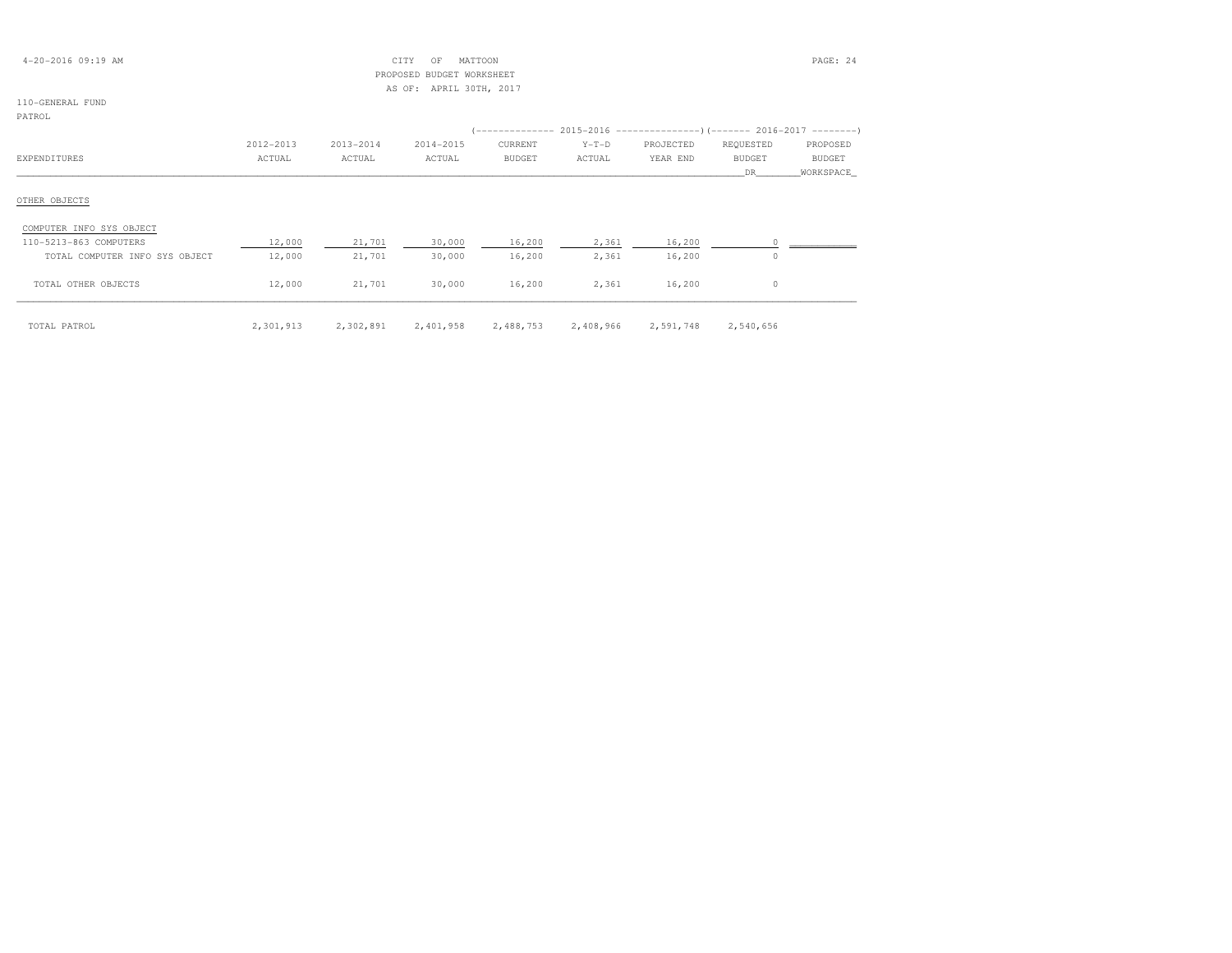| $4 - 20 - 2016$ 09:19 AM       |           |           | CITY<br>OF                | MATTOON       |           |                                                                          |               | PAGE: 24      |
|--------------------------------|-----------|-----------|---------------------------|---------------|-----------|--------------------------------------------------------------------------|---------------|---------------|
|                                |           |           | PROPOSED BUDGET WORKSHEET |               |           |                                                                          |               |               |
|                                |           |           | AS OF: APRIL 30TH, 2017   |               |           |                                                                          |               |               |
| 110-GENERAL FUND               |           |           |                           |               |           |                                                                          |               |               |
| PATROL                         |           |           |                           |               |           |                                                                          |               |               |
|                                |           |           |                           |               |           | (-------------- 2015-2016 ----------------) (------- 2016-2017 --------) |               |               |
|                                | 2012-2013 | 2013-2014 | 2014-2015                 | CURRENT       | $Y-T-D$   | PROJECTED                                                                | REQUESTED     | PROPOSED      |
| EXPENDITURES                   | ACTUAL    | ACTUAL    | ACTUAL                    | <b>BUDGET</b> | ACTUAL    | YEAR END                                                                 | <b>BUDGET</b> | <b>BUDGET</b> |
|                                |           |           |                           |               |           |                                                                          | DR.           | WORKSPACE_    |
|                                |           |           |                           |               |           |                                                                          |               |               |
| OTHER OBJECTS                  |           |           |                           |               |           |                                                                          |               |               |
| COMPUTER INFO SYS OBJECT       |           |           |                           |               |           |                                                                          |               |               |
| 110-5213-863 COMPUTERS         | 12,000    | 21,701    | 30,000                    | 16,200        | 2,361     | 16,200                                                                   |               |               |
| TOTAL COMPUTER INFO SYS OBJECT | 12,000    | 21,701    | 30,000                    | 16,200        | 2,361     | 16,200                                                                   | $\Omega$      |               |
|                                |           |           |                           |               |           |                                                                          |               |               |
| TOTAL OTHER OBJECTS            | 12,000    | 21,701    | 30,000                    | 16,200        | 2,361     | 16,200                                                                   | $\circ$       |               |
|                                |           |           |                           |               |           |                                                                          |               |               |
|                                |           |           |                           |               |           |                                                                          |               |               |
| TOTAL PATROL                   | 2,301,913 | 2,302,891 | 2,401,958                 | 2,488,753     | 2,408,966 | 2,591,748                                                                | 2,540,656     |               |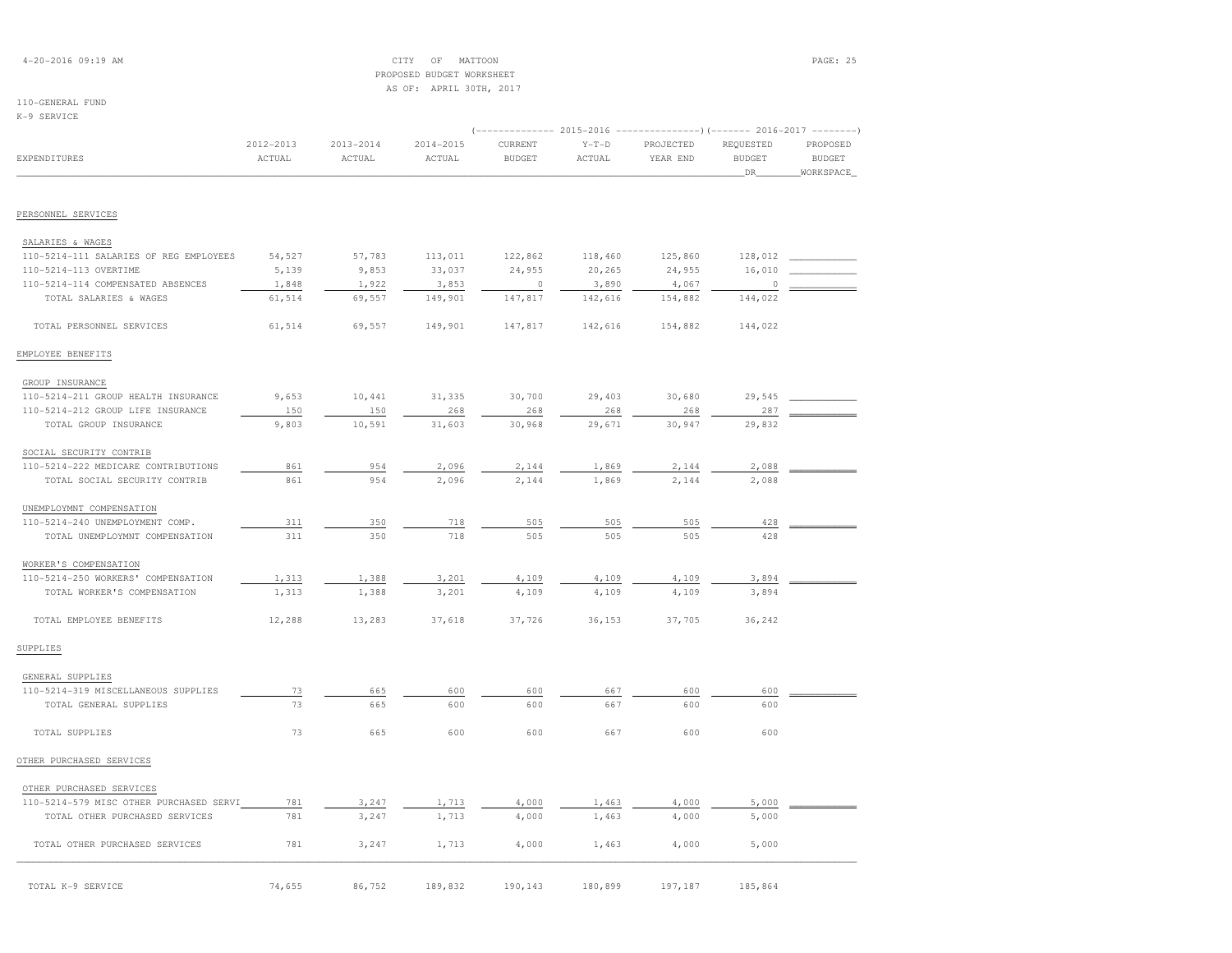| $4 - 20 - 2016$ 09:19 AM |  |  |  |  |
|--------------------------|--|--|--|--|
|--------------------------|--|--|--|--|

# $CITY$  OF MATTOON PAGE: 25 PROPOSED BUDGET WORKSHEETAS OF: APRIL 30TH, 2017

## 110-GENERAL FUND

K-9 SERVICE

| 2012-2013 | $2013 - 2014$                                     | $2014 - 2015$ | CURRENT | $Y-T-D$       | PROJECTED | REQUESTED           | PROPOSED<br><b>BUDGET</b>                                                            |
|-----------|---------------------------------------------------|---------------|---------|---------------|-----------|---------------------|--------------------------------------------------------------------------------------|
|           |                                                   |               |         |               |           | DR                  | WORKSPACE                                                                            |
|           |                                                   |               |         |               |           |                     |                                                                                      |
|           |                                                   |               |         |               |           |                     |                                                                                      |
|           |                                                   |               |         |               |           |                     |                                                                                      |
| 54,527    | 57,783                                            | 113,011       | 122,862 | 118,460       | 125,860   | 128,012             |                                                                                      |
| 5,139     | 9,853                                             | 33,037        | 24,955  | 20,265        | 24,955    | 16,010              |                                                                                      |
| 1,848     | 1,922                                             | 3,853         | $\circ$ | 3,890         | 4,067     | $\Omega$            |                                                                                      |
| 61,514    | 69,557                                            | 149,901       | 147,817 | 142,616       |           | 144,022             |                                                                                      |
| 61,514    | 69,557                                            | 149,901       | 147,817 | 142,616       | 154,882   | 144,022             |                                                                                      |
|           |                                                   |               |         |               |           |                     |                                                                                      |
|           |                                                   |               |         |               |           |                     |                                                                                      |
| 9,653     | 10,441                                            | 31,335        | 30,700  | 29,403        | 30,680    | 29,545              |                                                                                      |
| 150       | 150                                               | 268           | 268     | 268           | 268       | 287                 |                                                                                      |
| 9,803     | 10,591                                            | 31,603        | 30,968  | 29,671        | 30,947    | 29,832              |                                                                                      |
|           |                                                   |               |         |               |           |                     |                                                                                      |
| 861       | 954                                               | 2,096         | 2,144   | 1,869         | 2,144     | 2,088               |                                                                                      |
| 861       | 954                                               | 2,096         | 2,144   | 1,869         | 2,144     | 2,088               |                                                                                      |
|           |                                                   |               |         |               |           |                     |                                                                                      |
| 311       | 350                                               | 718           | 505     | 505           | 505       | 428                 |                                                                                      |
| 311       | 350                                               | 718           | 505     | 505           | 505       | 428                 |                                                                                      |
|           |                                                   |               |         |               |           |                     |                                                                                      |
| 1,313     | 1,388                                             | 3,201         | 4,109   | 4,109         | 4,109     | 3,894               |                                                                                      |
| 1,313     | 1,388                                             | 3,201         | 4,109   | 4,109         | 4,109     | 3,894               |                                                                                      |
| 12,288    | 13,283                                            | 37,618        | 37,726  | 36,153        | 37,705    | 36,242              |                                                                                      |
|           |                                                   |               |         |               |           |                     |                                                                                      |
|           |                                                   |               |         |               |           |                     |                                                                                      |
| 73        | 665                                               | 600           | 600     | 667           | 600       | 600                 |                                                                                      |
| 73        | 665                                               | 600           | 600     | 667           | 600       | 600                 |                                                                                      |
| 73        | 665                                               | 600           | 600     | 667           | 600       | 600                 |                                                                                      |
|           |                                                   |               |         |               |           |                     |                                                                                      |
|           |                                                   |               |         |               |           |                     |                                                                                      |
| 781       | 3,247                                             | 1,713         | 4,000   | 1,463         | 4,000     | 5,000               |                                                                                      |
| 781       | 3,247                                             | 1,713         | 4,000   | 1,463         | 4,000     | 5,000               |                                                                                      |
| 781       | 3,247                                             | 1,713         | 4,000   | 1,463         | 4,000     | 5,000               |                                                                                      |
|           | ACTUAL<br>110-5214-579 MISC OTHER PURCHASED SERVI | ACTUAL        | ACTUAL  | <b>BUDGET</b> | ACTUAL    | YEAR END<br>154,882 | (------------- 2015-2016 --------------------- 2016-2017 ----------<br><b>BUDGET</b> |

| TOTAL K-9 SERVICE | 74,655 | 86,752 | 189,832 | 190,143 180,899 | 197.187 | 185,864 |
|-------------------|--------|--------|---------|-----------------|---------|---------|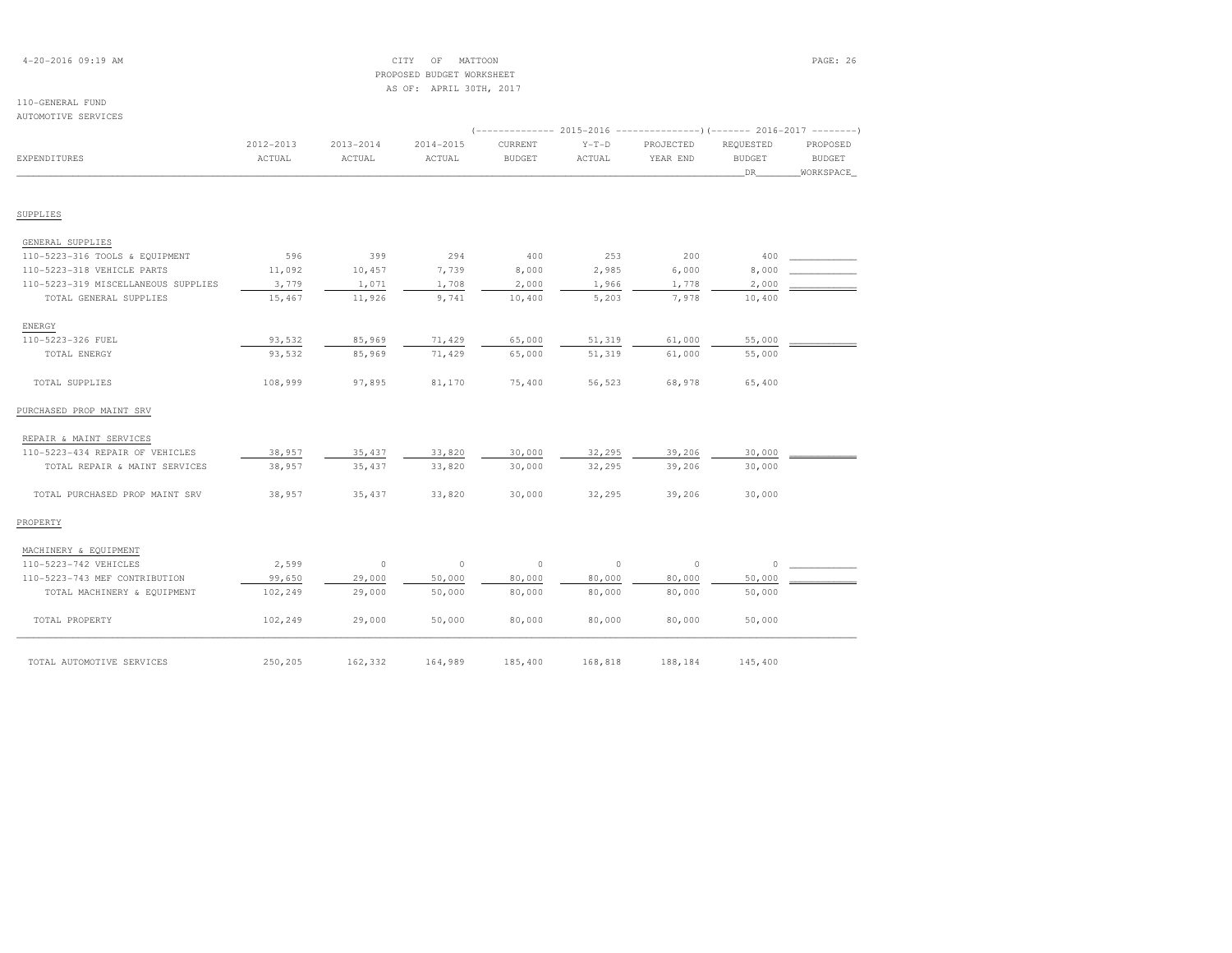# 4-20-2016 09:19 AM CITY OF MATTOON PAGE: 26 PROPOSED BUDGET WORKSHEETAS OF: APRIL 30TH, 2017

| AUTOMOTIVE SERVICES                 |                     |                         |                     |                          |                   |                                                                                                  |                                  |                                        |
|-------------------------------------|---------------------|-------------------------|---------------------|--------------------------|-------------------|--------------------------------------------------------------------------------------------------|----------------------------------|----------------------------------------|
| <b>EXPENDITURES</b>                 | 2012-2013<br>ACTUAL | $2013 - 2014$<br>ACTUAL | 2014-2015<br>ACTUAL | CURRENT<br><b>BUDGET</b> | $Y-T-D$<br>ACTUAL | (-------------- 2015-2016 ---------------) (------- 2016-2017 --------)<br>PROJECTED<br>YEAR END | REQUESTED<br><b>BUDGET</b><br>DR | PROPOSED<br><b>BUDGET</b><br>WORKSPACE |
| SUPPLIES                            |                     |                         |                     |                          |                   |                                                                                                  |                                  |                                        |
| GENERAL SUPPLIES                    |                     |                         |                     |                          |                   |                                                                                                  |                                  |                                        |
| 110-5223-316 TOOLS & EQUIPMENT      | 596                 | 399                     | 294                 | 400                      | 253               | 200                                                                                              | 400                              |                                        |
| 110-5223-318 VEHICLE PARTS          | 11,092              | 10,457                  | 7,739               | 8,000                    | 2,985             | 6,000                                                                                            | 8,000                            |                                        |
| 110-5223-319 MISCELLANEOUS SUPPLIES | 3,779               | 1,071                   | 1,708               | 2,000                    | 1,966             | 1,778                                                                                            | 2,000                            |                                        |
| TOTAL GENERAL SUPPLIES              | 15,467              | 11,926                  | 9,741               | 10,400                   | 5,203             | 7,978                                                                                            | 10,400                           |                                        |
| ENERGY                              |                     |                         |                     |                          |                   |                                                                                                  |                                  |                                        |
| 110-5223-326 FUEL                   | 93,532              | 85,969                  | 71,429              | 65,000                   | 51,319            | 61,000                                                                                           | 55,000                           |                                        |
| TOTAL ENERGY                        | 93,532              | 85,969                  | 71,429              | 65,000                   | 51,319            | 61,000                                                                                           | 55,000                           |                                        |
| TOTAL SUPPLIES                      | 108,999             | 97,895                  | 81,170              | 75,400                   | 56,523            | 68,978                                                                                           | 65,400                           |                                        |
| PURCHASED PROP MAINT SRV            |                     |                         |                     |                          |                   |                                                                                                  |                                  |                                        |
| REPAIR & MAINT SERVICES             |                     |                         |                     |                          |                   |                                                                                                  |                                  |                                        |
| 110-5223-434 REPAIR OF VEHICLES     | 38,957              | 35, 437                 | 33,820              | 30,000                   | 32,295            | 39,206                                                                                           | 30,000                           |                                        |
| TOTAL REPAIR & MAINT SERVICES       | 38,957              | 35, 437                 | 33,820              | 30,000                   | 32,295            | 39,206                                                                                           | 30,000                           |                                        |
| TOTAL PURCHASED PROP MAINT SRV      | 38,957              | 35,437                  | 33,820              | 30,000                   | 32,295            | 39,206                                                                                           | 30,000                           |                                        |
| PROPERTY                            |                     |                         |                     |                          |                   |                                                                                                  |                                  |                                        |
| MACHINERY & EQUIPMENT               |                     |                         |                     |                          |                   |                                                                                                  |                                  |                                        |
| 110-5223-742 VEHICLES               | 2,599               | $\circ$                 | $\circ$             | $\circ$                  | $\circ$           | $\circ$                                                                                          | $\Omega$                         |                                        |
| 110-5223-743 MEF CONTRIBUTION       | 99,650              | 29,000                  | 50,000              | 80,000                   | 80,000            | 80,000                                                                                           | 50,000                           |                                        |
| TOTAL MACHINERY & EQUIPMENT         | 102,249             | 29,000                  | 50,000              | 80,000                   | 80,000            | 80,000                                                                                           | 50,000                           |                                        |
| TOTAL PROPERTY                      | 102,249             | 29,000                  | 50,000              | 80,000                   | 80,000            | 80,000                                                                                           | 50,000                           |                                        |
| TOTAL AUTOMOTIVE SERVICES           | 250,205             | 162,332                 | 164,989             | 185,400                  | 168,818           | 188,184                                                                                          | 145,400                          |                                        |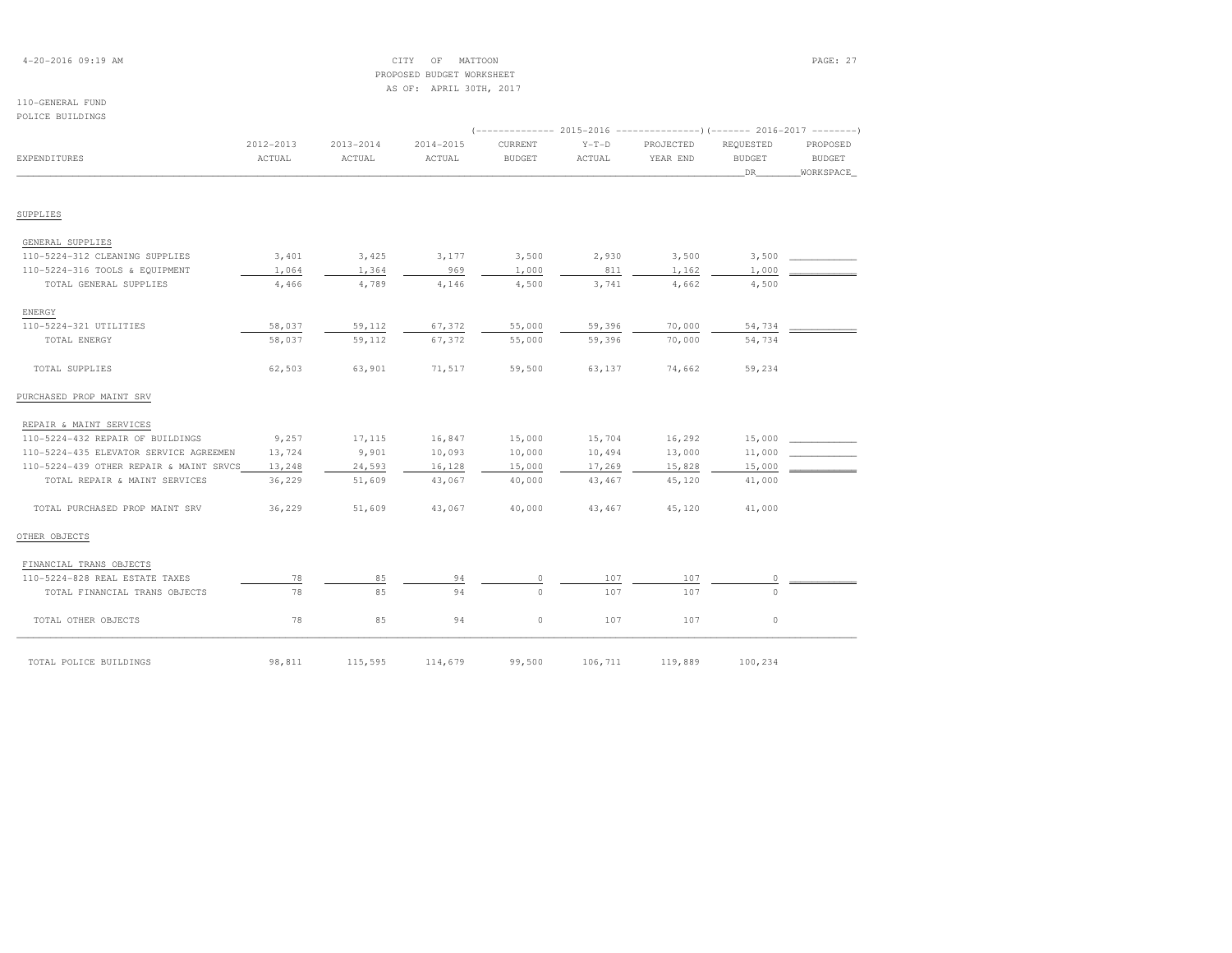# 4-20-2016 09:19 AM CITY OF MATTOON PAGE: 27 PROPOSED BUDGET WORKSHEETAS OF: APRIL 30TH, 2017

### 110-GENERAL FUNDPOLICE BUILDINGS

| <b>EXPENDITURES</b>                     | 2012-2013<br>ACTUAL | $2013 - 2014$<br>ACTUAL | 2014-2015<br>ACTUAL | CURRENT<br><b>BUDGET</b> | $Y-T-D$<br>ACTUAL | PROJECTED<br>YEAR END | REQUESTED<br><b>BUDGET</b><br>DR. | PROPOSED<br><b>BUDGET</b><br>WORKSPACE |
|-----------------------------------------|---------------------|-------------------------|---------------------|--------------------------|-------------------|-----------------------|-----------------------------------|----------------------------------------|
|                                         |                     |                         |                     |                          |                   |                       |                                   |                                        |
| SUPPLIES                                |                     |                         |                     |                          |                   |                       |                                   |                                        |
| GENERAL SUPPLIES                        |                     |                         |                     |                          |                   |                       |                                   |                                        |
| 110-5224-312 CLEANING SUPPLIES          | 3,401               | 3,425                   | 3,177               | 3,500                    | 2,930             | 3,500                 | 3,500                             |                                        |
| 110-5224-316 TOOLS & EQUIPMENT          | 1,064               | 1,364                   | 969                 | 1,000                    | 811               | 1,162                 | 1,000                             |                                        |
| TOTAL GENERAL SUPPLIES                  | 4,466               | 4,789                   | 4,146               | 4,500                    | 3,741             | 4,662                 | 4,500                             |                                        |
| ENERGY                                  |                     |                         |                     |                          |                   |                       |                                   |                                        |
| 110-5224-321 UTILITIES                  | 58,037              | 59,112                  | 67,372              | 55,000                   | 59,396            | 70,000                | 54,734                            |                                        |
| TOTAL ENERGY                            | 58,037              | 59,112                  | 67,372              | 55,000                   | 59,396            | 70,000                | 54,734                            |                                        |
| TOTAL SUPPLIES                          | 62,503              | 63,901                  | 71,517              | 59,500                   | 63,137            | 74,662                | 59,234                            |                                        |
| PURCHASED PROP MAINT SRV                |                     |                         |                     |                          |                   |                       |                                   |                                        |
| REPAIR & MAINT SERVICES                 |                     |                         |                     |                          |                   |                       |                                   |                                        |
| 110-5224-432 REPAIR OF BUILDINGS        | 9,257               | 17,115                  | 16,847              | 15,000                   | 15,704            | 16,292                | 15,000                            |                                        |
| 110-5224-435 ELEVATOR SERVICE AGREEMEN  | 13,724              | 9,901                   | 10,093              | 10,000                   | 10,494            | 13,000                | 11,000                            |                                        |
| 110-5224-439 OTHER REPAIR & MAINT SRVCS | 13,248              | 24,593                  | 16,128              | 15,000                   | 17,269            | 15,828                | 15,000                            |                                        |
| TOTAL REPAIR & MAINT SERVICES           | 36,229              | 51,609                  | 43,067              | 40,000                   | 43,467            | 45,120                | 41,000                            |                                        |
| TOTAL PURCHASED PROP MAINT SRV          | 36,229              | 51,609                  | 43,067              | 40,000                   | 43,467            | 45,120                | 41,000                            |                                        |
| OTHER OBJECTS                           |                     |                         |                     |                          |                   |                       |                                   |                                        |
| FINANCIAL TRANS OBJECTS                 |                     |                         |                     |                          |                   |                       |                                   |                                        |
| 110-5224-828 REAL ESTATE TAXES          | 78                  | 85                      | 94                  | 0                        | 107               | 107                   | $\circ$                           |                                        |
| TOTAL FINANCIAL TRANS OBJECTS           | 78                  | 85                      | 94                  | $\Omega$                 | 107               | 107                   | $\Omega$                          |                                        |
| TOTAL OTHER OBJECTS                     | 78                  | 85                      | 94                  | $\circ$                  | 107               | 107                   | $\circ$                           |                                        |
| TOTAL POLICE BUILDINGS                  | 98,811              | 115,595                 | 114,679             | 99,500                   | 106,711           | 119,889               | 100,234                           |                                        |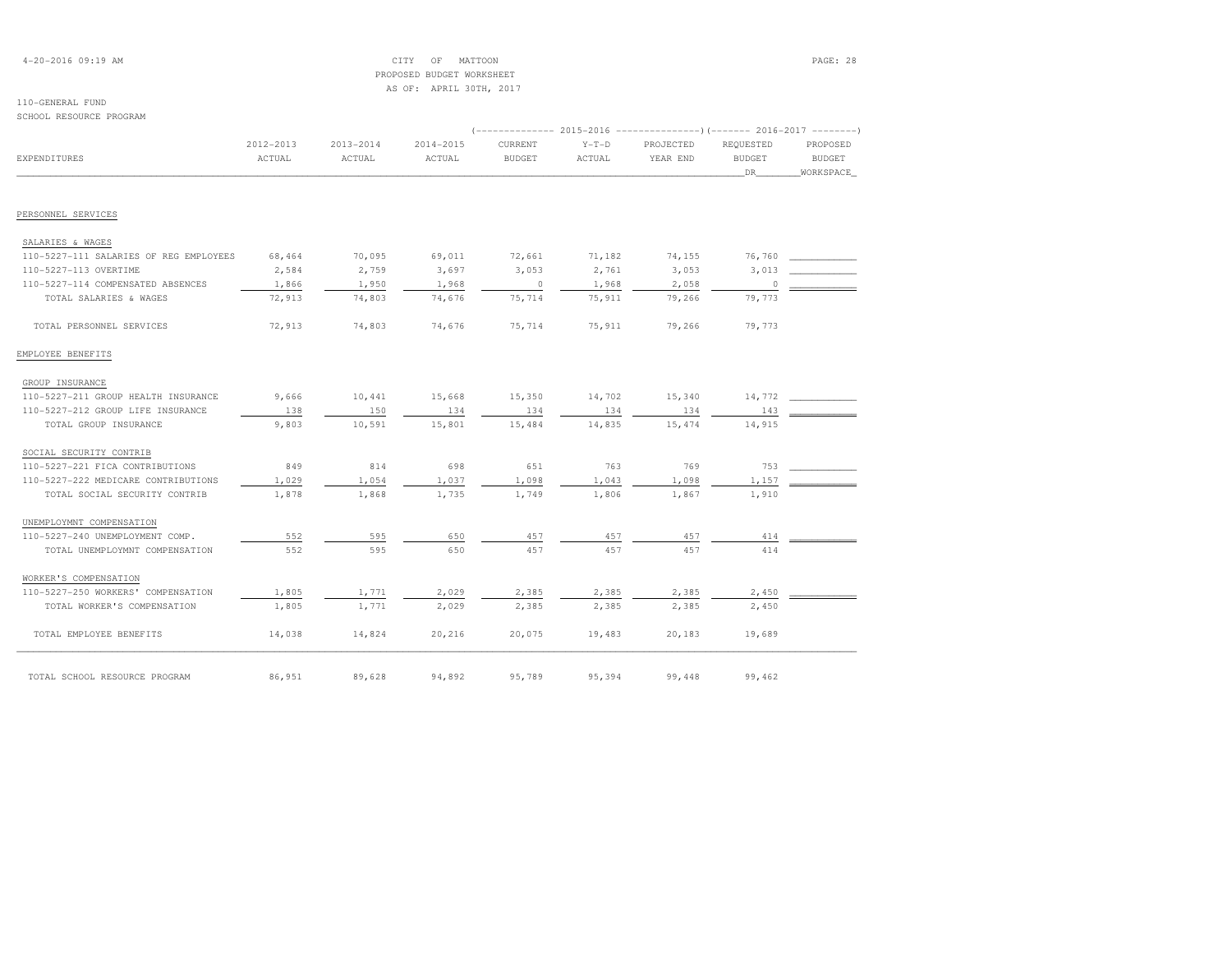# 4-20-2016 09:19 AM CITY OF MATTOON PAGE: 28 PROPOSED BUDGET WORKSHEETAS OF: APRIL 30TH, 2017

# 110-GENERAL FUND

SCHOOL RESOURCE PROGRAM

| SCHOOL KESOORCE FROGRAM                |           |           |           |               |         |           |               |               |
|----------------------------------------|-----------|-----------|-----------|---------------|---------|-----------|---------------|---------------|
|                                        | 2012-2013 | 2013-2014 | 2014-2015 | CURRENT       | $Y-T-D$ | PROJECTED | REQUESTED     | PROPOSED      |
| EXPENDITURES                           | ACTUAL    | ACTUAL    | ACTUAL    | <b>BUDGET</b> | ACTUAL  | YEAR END  | <b>BUDGET</b> | <b>BUDGET</b> |
|                                        |           |           |           |               |         |           | DR.           | WORKSPACE     |
| PERSONNEL SERVICES                     |           |           |           |               |         |           |               |               |
| SALARIES & WAGES                       |           |           |           |               |         |           |               |               |
| 110-5227-111 SALARIES OF REG EMPLOYEES | 68,464    | 70,095    | 69,011    | 72,661        | 71,182  | 74,155    | 76,760        |               |
| 110-5227-113 OVERTIME                  | 2,584     | 2,759     | 3,697     | 3,053         | 2,761   | 3,053     | 3,013         |               |
| 110-5227-114 COMPENSATED ABSENCES      | 1,866     | 1,950     | 1,968     | $\circ$       | 1,968   | 2,058     | $\circ$       |               |
| TOTAL SALARIES & WAGES                 | 72,913    | 74,803    | 74,676    | 75,714        | 75,911  | 79,266    | 79,773        |               |
| TOTAL PERSONNEL SERVICES               | 72,913    | 74,803    | 74,676    | 75,714        | 75,911  | 79,266    | 79,773        |               |
| EMPLOYEE BENEFITS                      |           |           |           |               |         |           |               |               |
| GROUP INSURANCE                        |           |           |           |               |         |           |               |               |
| 110-5227-211 GROUP HEALTH INSURANCE    | 9,666     | 10,441    | 15,668    | 15,350        | 14,702  | 15,340    | 14,772        |               |
| 110-5227-212 GROUP LIFE INSURANCE      | 138       | 150       | 134       | 134           | 134     | 134       | 143           |               |
| TOTAL GROUP INSURANCE                  | 9,803     | 10,591    | 15,801    | 15,484        | 14,835  | 15,474    | 14,915        |               |
| SOCIAL SECURITY CONTRIB                |           |           |           |               |         |           |               |               |
| 110-5227-221 FICA CONTRIBUTIONS        | 849       | 814       | 698       | 651           | 763     | 769       | 753           |               |
| 110-5227-222 MEDICARE CONTRIBUTIONS    | 1,029     | 1,054     | 1,037     | 1,098         | 1,043   | 1,098     | 1,157         |               |
| TOTAL SOCIAL SECURITY CONTRIB          | 1,878     | 1,868     | 1,735     | 1,749         | 1,806   | 1,867     | 1,910         |               |
| UNEMPLOYMNT COMPENSATION               |           |           |           |               |         |           |               |               |
| 110-5227-240 UNEMPLOYMENT COMP.        | 552       | 595       | 650       | 457           | 457     | 457       | 414           |               |
| TOTAL UNEMPLOYMNT COMPENSATION         | 552       | 595       | 650       | 457           | 457     | 457       | 414           |               |
| WORKER'S COMPENSATION                  |           |           |           |               |         |           |               |               |
| 110-5227-250 WORKERS' COMPENSATION     | 1,805     | 1,771     | 2,029     | 2,385         | 2,385   | 2,385     | 2,450         |               |
| TOTAL WORKER'S COMPENSATION            | 1,805     | 1,771     | 2,029     | 2,385         | 2,385   | 2,385     | 2,450         |               |
| TOTAL EMPLOYEE BENEFITS                | 14,038    | 14,824    | 20,216    | 20,075        | 19,483  | 20,183    | 19,689        |               |
| TOTAL SCHOOL RESOURCE PROGRAM          | 86,951    | 89,628    | 94,892    | 95,789        | 95,394  | 99,448    | 99,462        |               |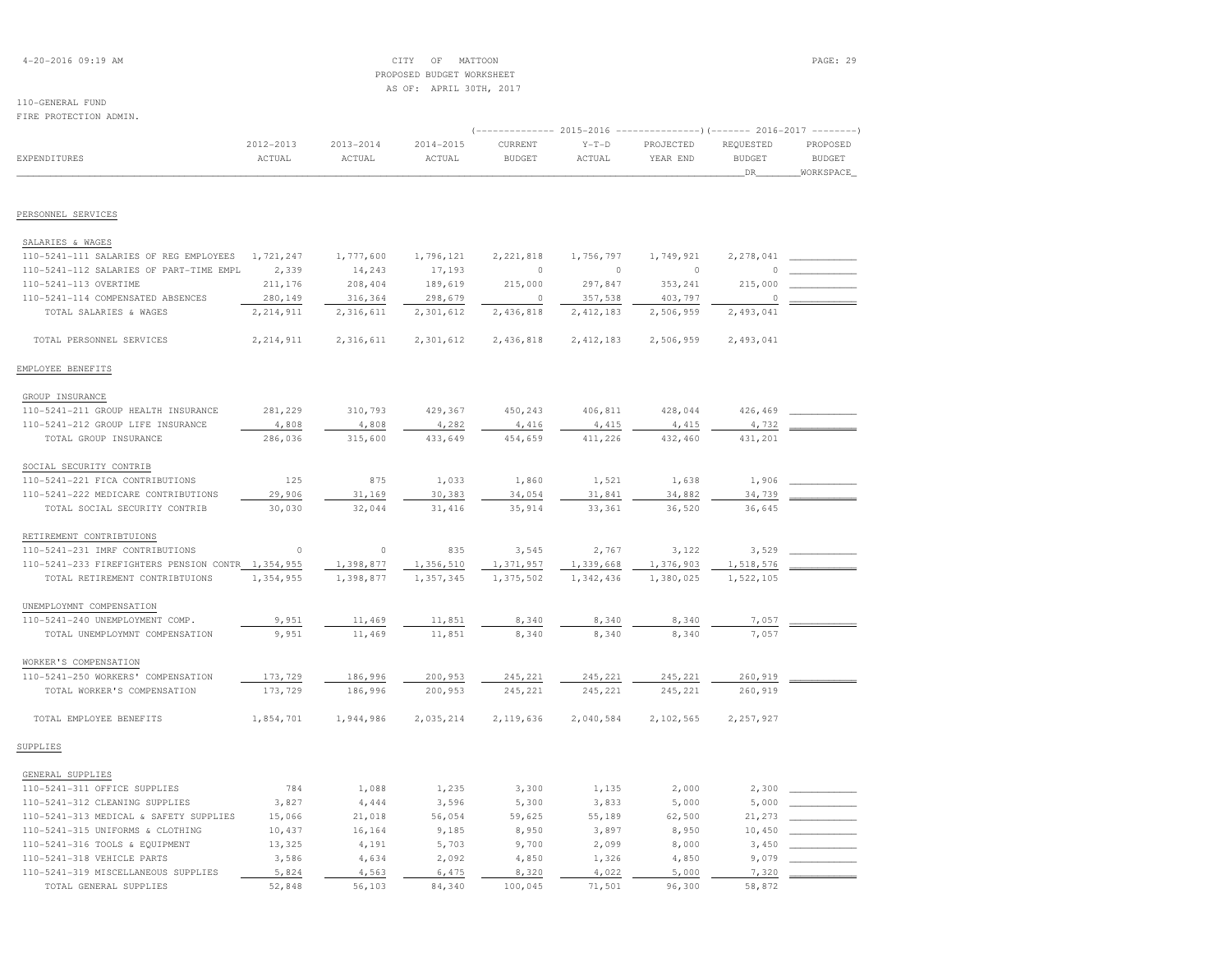| $4 - 20 - 2016$ 09:19 AM |  |  |
|--------------------------|--|--|
|--------------------------|--|--|

# $\begin{array}{ccc} \text{CITY} & \text{OF} & \text{MATTOON} \end{array}$  PROPOSED BUDGET WORKSHEETAS OF: APRIL 30TH, 2017

# 110-GENERAL FUND

| 110-GENERAL FUND                                           |             |               |               |                                                                     |             |           |               |               |
|------------------------------------------------------------|-------------|---------------|---------------|---------------------------------------------------------------------|-------------|-----------|---------------|---------------|
| FIRE PROTECTION ADMIN.                                     |             |               |               |                                                                     |             |           |               |               |
|                                                            |             |               |               | $(----------2015-2016$ ---------------) (------- 2016-2017 -------) |             |           |               |               |
|                                                            | 2012-2013   | $2013 - 2014$ | $2014 - 2015$ | CURRENT                                                             | $Y-T-D$     | PROJECTED | REQUESTED     | PROPOSED      |
| <b>EXPENDITURES</b>                                        | ACTUAL      | ACTUAL        | ACTUAL        | <b>BUDGET</b>                                                       | ACTUAL      | YEAR END  | <b>BUDGET</b> | <b>BUDGET</b> |
|                                                            |             |               |               |                                                                     |             |           | DR            | WORKSPACE     |
| PERSONNEL SERVICES                                         |             |               |               |                                                                     |             |           |               |               |
|                                                            |             |               |               |                                                                     |             |           |               |               |
| SALARIES & WAGES<br>110-5241-111 SALARIES OF REG EMPLOYEES | 1,721,247   |               |               |                                                                     |             | 1,749,921 |               |               |
|                                                            |             | 1,777,600     | 1,796,121     | 2, 221, 818                                                         | 1,756,797   |           | 2,278,041     |               |
| 110-5241-112 SALARIES OF PART-TIME EMPL                    | 2,339       | 14,243        | 17,193        | $\circ$                                                             | $\circ$     | $\circ$   | $\Omega$      |               |
| 110-5241-113 OVERTIME                                      | 211,176     | 208,404       | 189,619       | 215,000                                                             | 297,847     | 353,241   | 215,000       |               |
| 110-5241-114 COMPENSATED ABSENCES                          | 280,149     | 316,364       | 298,679       | $\Omega$                                                            | 357,538     | 403,797   | 0             |               |
| TOTAL SALARIES & WAGES                                     | 2, 214, 911 | 2,316,611     | 2,301,612     | 2,436,818                                                           | 2, 412, 183 | 2,506,959 | 2,493,041     |               |
| TOTAL PERSONNEL SERVICES                                   | 2, 214, 911 | 2,316,611     | 2,301,612     | 2,436,818                                                           | 2, 412, 183 | 2,506,959 | 2,493,041     |               |
| EMPLOYEE BENEFITS                                          |             |               |               |                                                                     |             |           |               |               |
| GROUP INSURANCE                                            |             |               |               |                                                                     |             |           |               |               |
| 110-5241-211 GROUP HEALTH INSURANCE                        | 281,229     | 310,793       | 429,367       | 450,243                                                             | 406,811     | 428,044   | 426,469       |               |
| 110-5241-212 GROUP LIFE INSURANCE                          | 4,808       | 4,808         | 4,282         | 4,416                                                               | 4,415       | 4,415     | 4,732         |               |
| TOTAL GROUP INSURANCE                                      | 286,036     | 315,600       | 433,649       | 454,659                                                             | 411,226     | 432,460   | 431,201       |               |
| SOCIAL SECURITY CONTRIB                                    |             |               |               |                                                                     |             |           |               |               |
| 110-5241-221 FICA CONTRIBUTIONS                            | 125         | 875           | 1,033         | 1,860                                                               | 1,521       | 1,638     | 1,906         |               |
| 110-5241-222 MEDICARE CONTRIBUTIONS                        | 29,906      | 31,169        | 30,383        | 34,054                                                              | 31,841      | 34,882    | 34,739        |               |
| TOTAL SOCIAL SECURITY CONTRIB                              | 30,030      | 32,044        | 31,416        | 35,914                                                              | 33,361      | 36,520    | 36,645        |               |
| RETIREMENT CONTRIBTUIONS                                   |             |               |               |                                                                     |             |           |               |               |
| 110-5241-231 IMRF CONTRIBUTIONS                            | $\circ$     | $\circ$       | 835           | 3,545                                                               | 2,767       | 3,122     | 3,529         |               |
| 110-5241-233 FIREFIGHTERS PENSION CONTR 1,354,955          |             | 1,398,877     | 1,356,510     | 1,371,957                                                           | 1,339,668   | 1,376,903 | 1,518,576     |               |
| TOTAL RETIREMENT CONTRIBTUIONS                             | 1,354,955   | 1,398,877     | 1,357,345     | 1,375,502                                                           | 1,342,436   | 1,380,025 | 1,522,105     |               |
| UNEMPLOYMNT COMPENSATION                                   |             |               |               |                                                                     |             |           |               |               |
| 110-5241-240 UNEMPLOYMENT COMP.                            | 9,951       | 11,469        | 11,851        | 8,340                                                               | 8,340       | 8,340     | 7,057         |               |
| TOTAL UNEMPLOYMNT COMPENSATION                             | 9,951       | 11,469        | 11,851        | 8,340                                                               | 8,340       | 8,340     | 7,057         |               |
|                                                            |             |               |               |                                                                     |             |           |               |               |
| WORKER'S COMPENSATION                                      |             |               |               |                                                                     |             |           |               |               |
| 110-5241-250 WORKERS' COMPENSATION                         | 173,729     | 186,996       | 200,953       | 245,221                                                             | 245,221     | 245,221   | 260,919       |               |
| TOTAL WORKER'S COMPENSATION                                | 173,729     | 186,996       | 200,953       | 245,221                                                             | 245,221     | 245,221   | 260,919       |               |
| TOTAL EMPLOYEE BENEFITS                                    | 1,854,701   | 1,944,986     | 2,035,214     | 2,119,636                                                           | 2,040,584   | 2,102,565 | 2,257,927     |               |
| SUPPLIES                                                   |             |               |               |                                                                     |             |           |               |               |
| GENERAL SUPPLIES                                           |             |               |               |                                                                     |             |           |               |               |
| 110-5241-311 OFFICE SUPPLIES                               | 784         | 1,088         | 1,235         | 3,300                                                               | 1,135       | 2,000     | 2,300         |               |
| 110-5241-312 CLEANING SUPPLIES                             | 3,827       | 4,444         | 3,596         | 5,300                                                               | 3,833       | 5,000     | 5,000         |               |
| 110-5241-313 MEDICAL & SAFETY SUPPLIES                     | 15,066      | 21,018        | 56,054        | 59,625                                                              | 55,189      | 62,500    | 21,273        |               |
| 110-5241-315 UNIFORMS & CLOTHING                           | 10,437      | 16,164        | 9,185         | 8,950                                                               | 3,897       | 8,950     | 10,450        |               |
| 110-5241-316 TOOLS & EQUIPMENT                             | 13,325      | 4,191         | 5,703         | 9,700                                                               | 2,099       | 8,000     | 3,450         |               |

 110-5241-318 VEHICLE PARTS 3,586 4,634 2,092 4,850 1,326 4,850 9,079 \_\_\_\_\_\_\_\_\_\_\_\_ $110-5241-319$  MISCELLANEOUS SUPPLIES  $\underline{\hspace{1cm}} 5,824$   $\underline{\hspace{1cm}} 4,563$   $\underline{\hspace{1cm}} 6,475$   $\underline{\hspace{1cm}} 8,320$   $\underline{\hspace{1cm}} 4,022$   $\underline{\hspace{1cm}} 5,000$   $\underline{\hspace{1cm}} 7,320$   $\underline{\hspace{1cm}}$ TOTAL GENERAL SUPPLIES 52,848 56,103 84,340 100,045 71,501 96,300 58,872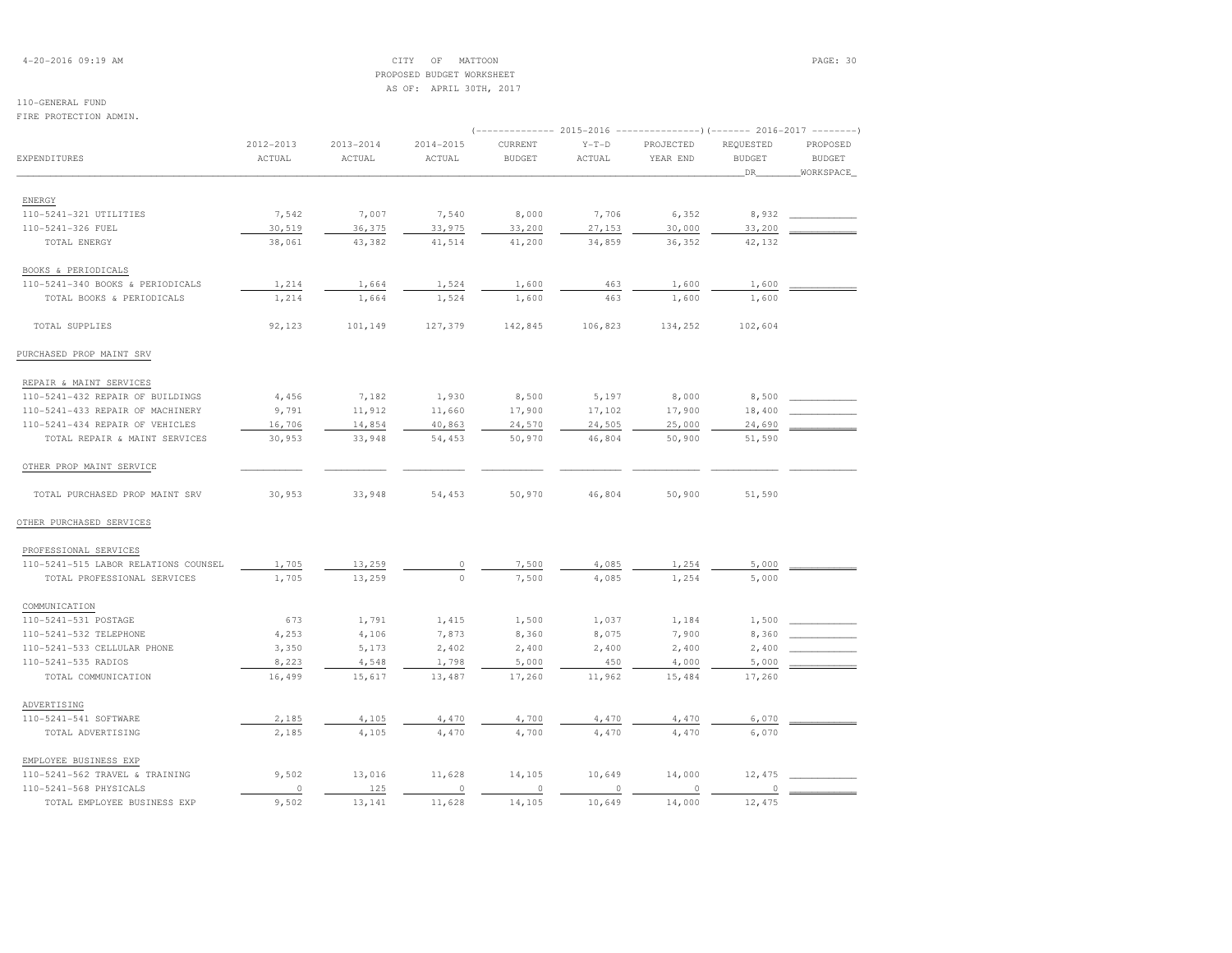# 4-20-2016 09:19 AM CITY OF MATTOON PAGE: 30 PROPOSED BUDGET WORKSHEETAS OF: APRIL 30TH, 2017

# 110-GENERAL FUND

FIRE PROTECTION ADMIN.

|                                      |           |               |               |               |                  | (-------------- 2015-2016 ----------------) (------- 2016-2017 -------- |               |               |  |
|--------------------------------------|-----------|---------------|---------------|---------------|------------------|-------------------------------------------------------------------------|---------------|---------------|--|
|                                      | 2012-2013 | $2013 - 2014$ | $2014 - 2015$ | CURRENT       | $Y-T-D$          | PROJECTED                                                               | REQUESTED     | PROPOSED      |  |
| EXPENDITURES                         | ACTUAL    | ACTUAL        | ACTUAL        | <b>BUDGET</b> | ACTUAL           | YEAR END                                                                | <b>BUDGET</b> | <b>BUDGET</b> |  |
|                                      |           |               |               |               |                  |                                                                         | DR            | WORKSPACE     |  |
|                                      |           |               |               |               |                  |                                                                         |               |               |  |
| ENERGY<br>110-5241-321 UTILITIES     | 7,542     | 7,007         | 7,540         | 8,000         | 7,706            | 6,352                                                                   | 8,932         |               |  |
| 110-5241-326 FUEL                    | 30,519    | 36,375        | 33,975        | 33,200        |                  | 30,000                                                                  | 33,200        |               |  |
| TOTAL ENERGY                         | 38,061    | 43,382        | 41,514        | 41,200        | 27,153<br>34,859 | 36,352                                                                  | 42,132        |               |  |
|                                      |           |               |               |               |                  |                                                                         |               |               |  |
| BOOKS & PERIODICALS                  |           |               |               |               |                  |                                                                         |               |               |  |
| 110-5241-340 BOOKS & PERIODICALS     | 1,214     | 1,664         | 1,524         | 1,600         | 463              | 1,600                                                                   | 1,600         |               |  |
| TOTAL BOOKS & PERIODICALS            | 1,214     | 1,664         | 1,524         | 1,600         | 463              | 1,600                                                                   | 1,600         |               |  |
| TOTAL SUPPLIES                       | 92,123    | 101,149       | 127,379       | 142,845       | 106,823          | 134,252                                                                 | 102,604       |               |  |
| PURCHASED PROP MAINT SRV             |           |               |               |               |                  |                                                                         |               |               |  |
| REPAIR & MAINT SERVICES              |           |               |               |               |                  |                                                                         |               |               |  |
| 110-5241-432 REPAIR OF BUILDINGS     | 4,456     | 7,182         | 1,930         | 8,500         | 5,197            | 8,000                                                                   | 8,500         |               |  |
| 110-5241-433 REPAIR OF MACHINERY     | 9,791     | 11,912        | 11,660        | 17,900        | 17,102           | 17,900                                                                  | 18,400        |               |  |
| 110-5241-434 REPAIR OF VEHICLES      | 16,706    | 14,854        | 40,863        | 24,570        | 24,505           | 25,000                                                                  | 24,690        |               |  |
| TOTAL REPAIR & MAINT SERVICES        | 30,953    | 33,948        | 54,453        | 50,970        | 46,804           | 50,900                                                                  | 51,590        |               |  |
| OTHER PROP MAINT SERVICE             |           |               |               |               |                  |                                                                         |               |               |  |
| TOTAL PURCHASED PROP MAINT SRV       | 30,953    | 33,948        | 54,453        | 50,970        | 46,804           | 50,900                                                                  | 51,590        |               |  |
| OTHER PURCHASED SERVICES             |           |               |               |               |                  |                                                                         |               |               |  |
| PROFESSIONAL SERVICES                |           |               |               |               |                  |                                                                         |               |               |  |
| 110-5241-515 LABOR RELATIONS COUNSEL | 1,705     | 13,259        | $\circ$       | 7,500         | 4,085            | 1,254                                                                   | 5,000         |               |  |
| TOTAL PROFESSIONAL SERVICES          | 1,705     | 13,259        | $\mathbb O$   | 7,500         | 4,085            | 1,254                                                                   | 5,000         |               |  |
| COMMUNICATION                        |           |               |               |               |                  |                                                                         |               |               |  |
| 110-5241-531 POSTAGE                 | 673       | 1,791         | 1,415         | 1,500         | 1,037            | 1,184                                                                   | 1,500         |               |  |
| 110-5241-532 TELEPHONE               | 4,253     | 4,106         | 7,873         | 8,360         | 8,075            | 7,900                                                                   | 8,360         |               |  |
| 110-5241-533 CELLULAR PHONE          | 3,350     | 5,173         | 2,402         | 2,400         | 2,400            | 2,400                                                                   | 2,400         |               |  |
| 110-5241-535 RADIOS                  | 8,223     | 4,548         | 1,798         | 5,000         | 450              | 4,000                                                                   | 5,000         |               |  |
| TOTAL COMMUNICATION                  | 16,499    | 15,617        | 13,487        | 17,260        | 11,962           | 15,484                                                                  | 17,260        |               |  |
| ADVERTISING                          |           |               |               |               |                  |                                                                         |               |               |  |
| 110-5241-541 SOFTWARE                | 2,185     | 4,105         | 4,470         | 4,700         | 4,470            | 4,470                                                                   | 6,070         |               |  |
| TOTAL ADVERTISING                    | 2,185     | 4,105         | 4,470         | 4,700         | 4,470            | 4,470                                                                   | 6,070         |               |  |
|                                      |           |               |               |               |                  |                                                                         |               |               |  |
| EMPLOYEE BUSINESS EXP                |           |               |               |               |                  |                                                                         |               |               |  |
| 110-5241-562 TRAVEL & TRAINING       | 9,502     | 13,016        | 11,628        | 14,105        | 10,649           | 14,000                                                                  | 12,475        |               |  |
| 110-5241-568 PHYSICALS               | $\circ$   | 125           | $\circ$       | $\circ$       | $\circ$          | $\circ$                                                                 | $\circ$       |               |  |
| TOTAL EMPLOYEE BUSINESS EXP          | 9,502     | 13,141        | 11,628        | 14,105        | 10,649           | 14,000                                                                  | 12,475        |               |  |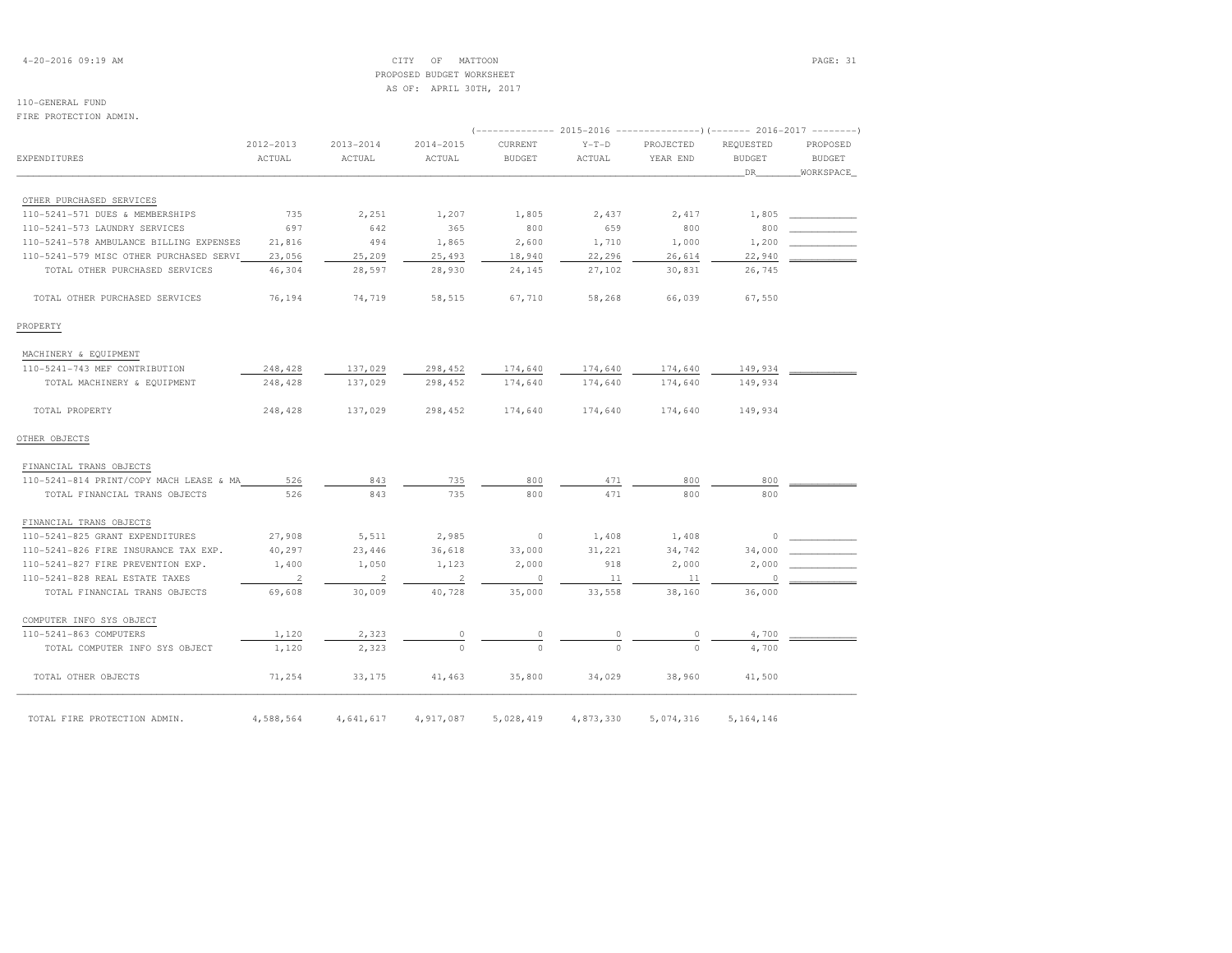# 4-20-2016 09:19 AM CITY OF MATTOON PAGE: 31 PROPOSED BUDGET WORKSHEETAS OF: APRIL 30TH, 2017

# 110-GENERAL FUND

### FIRE PROTECTION ADMIN.

|                                         |                          |                          | (-------------- 2015-2016 -------------------- 2016-2017 --------- ) |               |           |           |               |               |
|-----------------------------------------|--------------------------|--------------------------|----------------------------------------------------------------------|---------------|-----------|-----------|---------------|---------------|
|                                         | 2012-2013                | $2013 - 2014$            | $2014 - 2015$                                                        | CURRENT       | $Y-T-D$   | PROJECTED | REOUESTED     | PROPOSED      |
| <b>EXPENDITURES</b>                     | ACTUAL                   | ACTUAL                   | ACTUAL                                                               | <b>BUDGET</b> | ACTUAL    | YEAR END  | <b>BUDGET</b> | <b>BUDGET</b> |
|                                         |                          |                          |                                                                      |               |           |           | DR.           | WORKSPACE     |
|                                         |                          |                          |                                                                      |               |           |           |               |               |
| OTHER PURCHASED SERVICES                |                          |                          |                                                                      |               |           |           |               |               |
| 110-5241-571 DUES & MEMBERSHIPS         | 735                      | 2,251                    | 1,207                                                                | 1,805         | 2,437     | 2,417     | 1,805         |               |
| 110-5241-573 LAUNDRY SERVICES           | 697                      | 642                      | 365                                                                  | 800           | 659       | 800       | 800           |               |
| 110-5241-578 AMBULANCE BILLING EXPENSES | 21,816                   | 494                      | 1,865                                                                | 2,600         | 1,710     | 1,000     | 1,200         |               |
| 110-5241-579 MISC OTHER PURCHASED SERVI | 23,056                   | 25,209                   | 25,493                                                               | 18,940        | 22,296    | 26,614    | 22,940        |               |
| TOTAL OTHER PURCHASED SERVICES          | 46,304                   | 28,597                   | 28,930                                                               | 24,145        | 27,102    | 30,831    | 26,745        |               |
| TOTAL OTHER PURCHASED SERVICES          | 76,194                   | 74,719                   | 58,515                                                               | 67,710        | 58,268    | 66,039    | 67,550        |               |
| PROPERTY                                |                          |                          |                                                                      |               |           |           |               |               |
| MACHINERY & EQUIPMENT                   |                          |                          |                                                                      |               |           |           |               |               |
| 110-5241-743 MEF CONTRIBUTION           | 248,428                  | 137,029                  | 298,452                                                              | 174,640       | 174,640   | 174,640   | 149,934       |               |
| TOTAL MACHINERY & EQUIPMENT             | 248,428                  | 137,029                  | 298,452                                                              | 174,640       | 174,640   | 174,640   | 149,934       |               |
| TOTAL PROPERTY                          | 248,428                  | 137,029                  | 298,452                                                              | 174,640       | 174,640   | 174,640   | 149,934       |               |
| OTHER OBJECTS                           |                          |                          |                                                                      |               |           |           |               |               |
| FINANCIAL TRANS OBJECTS                 |                          |                          |                                                                      |               |           |           |               |               |
| 110-5241-814 PRINT/COPY MACH LEASE & MA | 526                      | 843                      | 735                                                                  | 800           | 471       | 800       | 800           |               |
| TOTAL FINANCIAL TRANS OBJECTS           | 526                      | 843                      | 735                                                                  | 800           | 471       | 800       | 800           |               |
| FINANCIAL TRANS OBJECTS                 |                          |                          |                                                                      |               |           |           |               |               |
| 110-5241-825 GRANT EXPENDITURES         | 27,908                   | 5,511                    | 2,985                                                                | $\circ$       | 1,408     | 1,408     | 0             |               |
| 110-5241-826 FIRE INSURANCE TAX EXP.    | 40,297                   | 23,446                   | 36,618                                                               | 33,000        | 31,221    | 34,742    | 34,000        |               |
| 110-5241-827 FIRE PREVENTION EXP.       | 1,400                    | 1,050                    | 1,123                                                                | 2,000         | 918       | 2,000     | 2,000         |               |
| 110-5241-828 REAL ESTATE TAXES          | $\overline{\phantom{a}}$ | $\overline{\phantom{0}}$ | $\overline{\phantom{0}}$ 2                                           | $\sim$ 0      | 11        | 11        | $\circ$       |               |
| TOTAL FINANCIAL TRANS OBJECTS           | 69,608                   | 30,009                   | 40,728                                                               | 35,000        | 33,558    | 38,160    | 36,000        |               |
| COMPUTER INFO SYS OBJECT                |                          |                          |                                                                      |               |           |           |               |               |
| 110-5241-863 COMPUTERS                  | 1,120                    | 2,323                    | 0                                                                    | 0             | 0         | $\Omega$  | 4,700         |               |
| TOTAL COMPUTER INFO SYS OBJECT          | 1,120                    | 2,323                    |                                                                      |               |           |           | 4,700         |               |
| TOTAL OTHER OBJECTS                     | 71,254                   | 33,175                   | 41,463                                                               | 35,800        | 34,029    | 38,960    | 41,500        |               |
| TOTAL FIRE PROTECTION ADMIN.            | 4,588,564                | 4,641,617                | 4,917,087                                                            | 5,028,419     | 4,873,330 | 5,074,316 | 5, 164, 146   |               |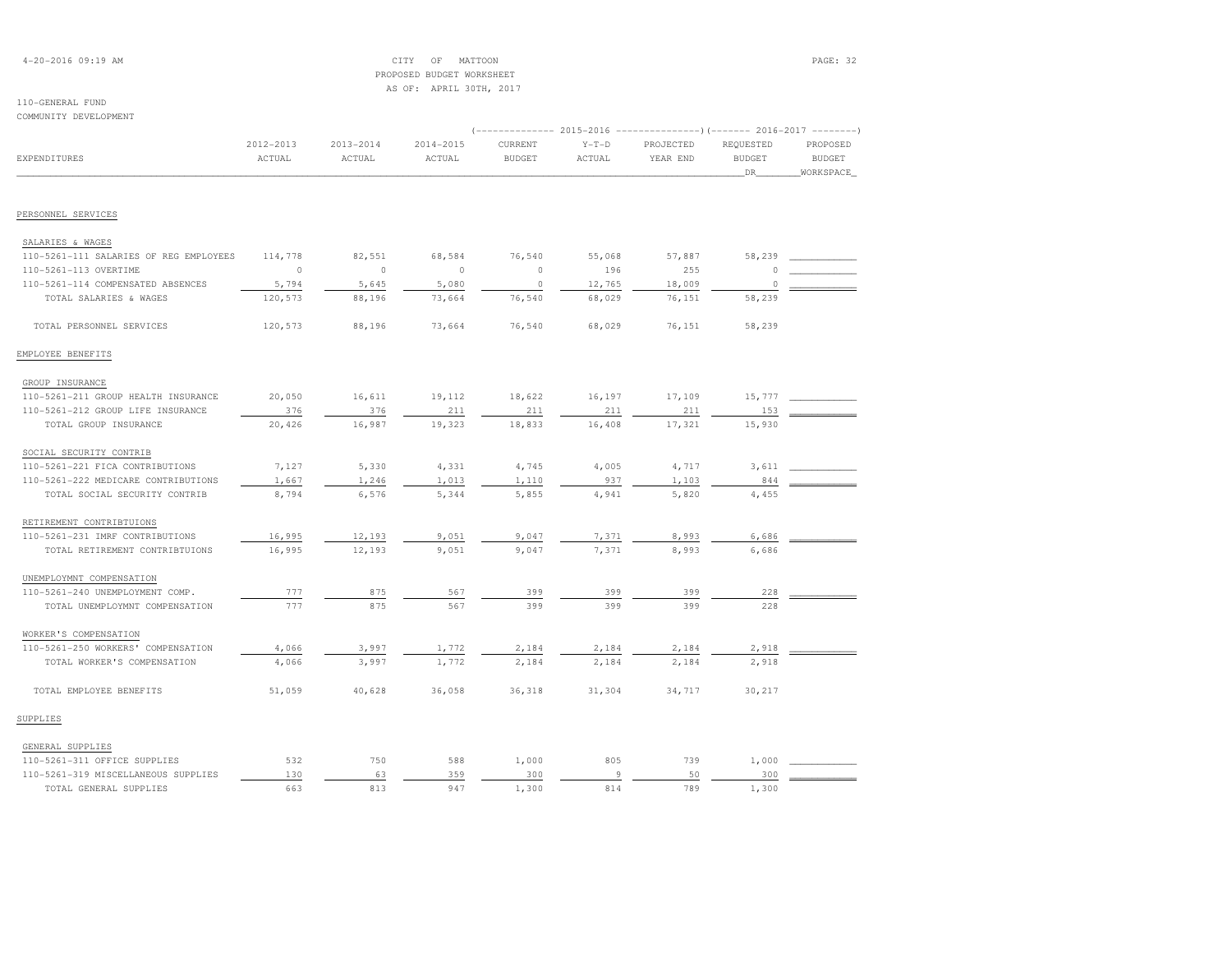# 4-20-2016 09:19 AM CITY OF MATTOON PAGE: 32 PROPOSED BUDGET WORKSHEETAS OF: APRIL 30TH, 2017

|                                        |               |                |           | -------------        2015-2016 ----------------------        2016-2017 ---------- |         |           |                     |                            |
|----------------------------------------|---------------|----------------|-----------|-----------------------------------------------------------------------------------|---------|-----------|---------------------|----------------------------|
|                                        | $2012 - 2013$ | $2013 - 2014$  | 2014-2015 | CURRENT                                                                           | $Y-T-D$ | PROJECTED | REQUESTED           | PROPOSED                   |
| <b>EXPENDITURES</b>                    | ACTUAL        | ACTUAL         | ACTUAL    | <b>BUDGET</b>                                                                     | ACTUAL  | YEAR END  | <b>BUDGET</b><br>DR | <b>BUDGET</b><br>WORKSPACE |
|                                        |               |                |           |                                                                                   |         |           |                     |                            |
| PERSONNEL SERVICES                     |               |                |           |                                                                                   |         |           |                     |                            |
| SALARIES & WAGES                       |               |                |           |                                                                                   |         |           |                     |                            |
| 110-5261-111 SALARIES OF REG EMPLOYEES | 114,778       | 82,551         | 68,584    | 76,540                                                                            | 55,068  | 57,887    | 58,239              |                            |
| 110-5261-113 OVERTIME                  | $\circ$       | $\overline{0}$ | $\circ$   | $\circ$                                                                           | 196     | 255       | $\Omega$            |                            |
| 110-5261-114 COMPENSATED ABSENCES      | 5,794         | 5,645          | 5,080     | $\Omega$                                                                          | 12,765  | 18,009    | $\circ$             |                            |
| TOTAL SALARIES & WAGES                 | 120,573       | 88,196         | 73,664    | 76,540                                                                            | 68,029  | 76,151    | 58,239              |                            |
| TOTAL PERSONNEL SERVICES               | 120,573       | 88,196         | 73,664    | 76,540                                                                            | 68,029  | 76,151    | 58,239              |                            |
| EMPLOYEE BENEFITS                      |               |                |           |                                                                                   |         |           |                     |                            |
| GROUP INSURANCE                        |               |                |           |                                                                                   |         |           |                     |                            |
| 110-5261-211 GROUP HEALTH INSURANCE    | 20,050        | 16,611         | 19,112    | 18,622                                                                            | 16,197  | 17,109    | 15,777              |                            |
| 110-5261-212 GROUP LIFE INSURANCE      | 376           | 376            | 211       | 211                                                                               | 211     | 211       | 153                 |                            |
| TOTAL GROUP INSURANCE                  | 20,426        | 16,987         | 19,323    | 18,833                                                                            | 16,408  | 17,321    | 15,930              |                            |
| SOCIAL SECURITY CONTRIB                |               |                |           |                                                                                   |         |           |                     |                            |
| 110-5261-221 FICA CONTRIBUTIONS        | 7,127         | 5,330          | 4,331     | 4,745                                                                             | 4,005   | 4,717     | 3,611               |                            |
| 110-5261-222 MEDICARE CONTRIBUTIONS    | 1,667         | 1,246          | 1,013     | 1,110                                                                             | 937     | 1,103     | 844                 |                            |
| TOTAL SOCIAL SECURITY CONTRIB          | 8,794         | 6,576          | 5,344     | 5,855                                                                             | 4,941   | 5,820     | 4,455               |                            |
| RETIREMENT CONTRIBTUIONS               |               |                |           |                                                                                   |         |           |                     |                            |
| 110-5261-231 IMRF CONTRIBUTIONS        | 16,995        | 12,193         | 9,051     | 9,047                                                                             | 7,371   | 8,993     | 6,686               |                            |
| TOTAL RETIREMENT CONTRIBTUIONS         | 16,995        | 12,193         | 9,051     | 9,047                                                                             | 7,371   | 8,993     | 6,686               |                            |
| UNEMPLOYMNT COMPENSATION               |               |                |           |                                                                                   |         |           |                     |                            |
| 110-5261-240 UNEMPLOYMENT COMP.        | 777           | 875            | 567       | 399                                                                               | 399     | 399       | 228                 |                            |
| TOTAL UNEMPLOYMNT COMPENSATION         | 777           | 875            | 567       | 399                                                                               | 399     | 399       | 228                 |                            |
| WORKER'S COMPENSATION                  |               |                |           |                                                                                   |         |           |                     |                            |
| 110-5261-250 WORKERS' COMPENSATION     | 4,066         | 3,997          | 1,772     | 2,184                                                                             | 2,184   | 2,184     | 2,918               |                            |
| TOTAL WORKER'S COMPENSATION            | 4,066         | 3,997          | 1,772     | 2,184                                                                             | 2,184   | 2,184     | 2,918               |                            |
| TOTAL EMPLOYEE BENEFITS                | 51,059        | 40,628         | 36,058    | 36,318                                                                            | 31,304  | 34,717    | 30,217              |                            |
| SUPPLIES                               |               |                |           |                                                                                   |         |           |                     |                            |

| 110-5261-311 OFFICE SUPPLIES        |     |  | ,000 |  | 000 |  |
|-------------------------------------|-----|--|------|--|-----|--|
| 110-5261-319 MISCELLANEOUS SUPPLIES |     |  |      |  |     |  |
| TOTAL GENERAL SUPPLIES              | oo. |  | .300 |  | 300 |  |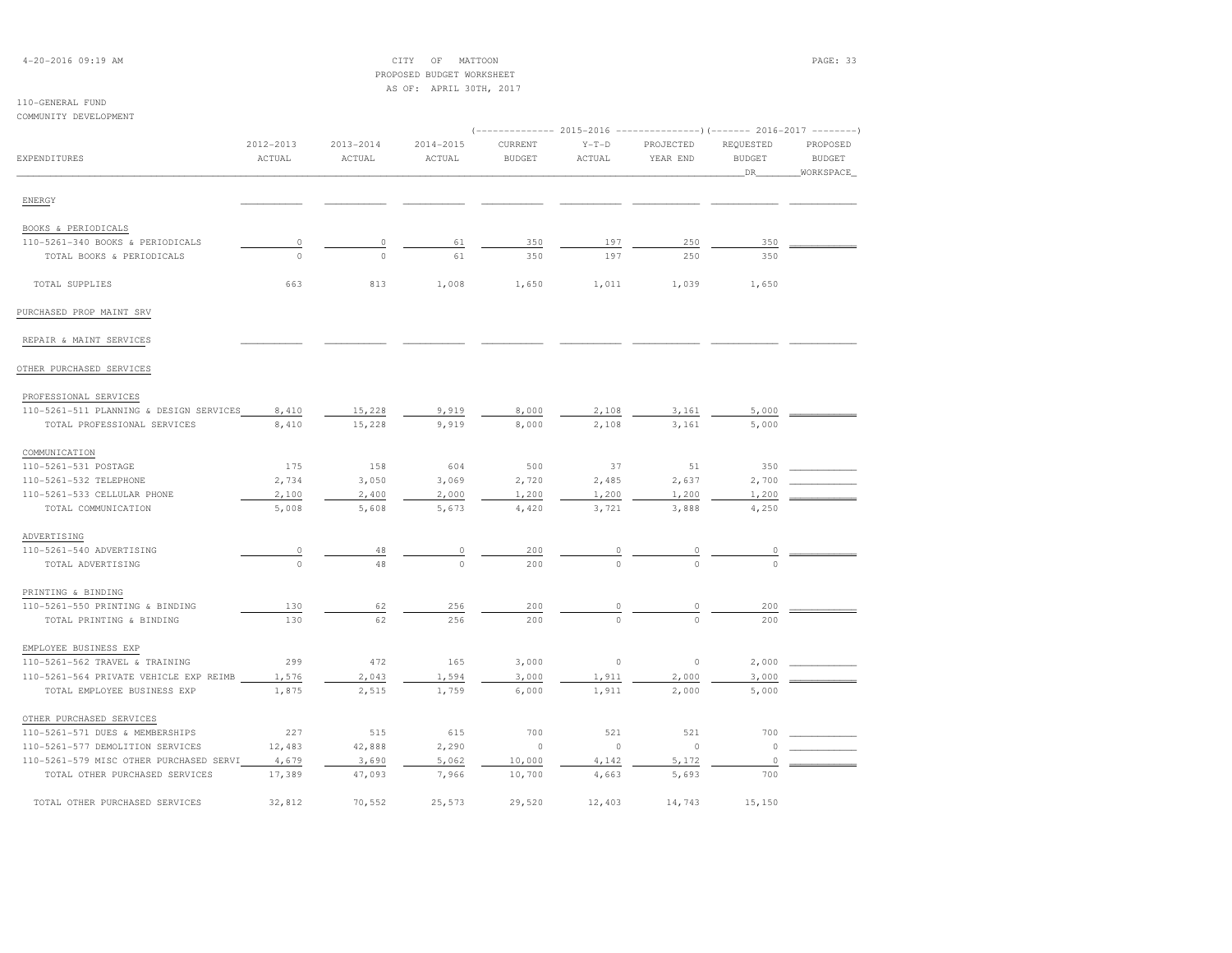# 4-20-2016 09:19 AM CITY OF MATTOON PAGE: 33 PROPOSED BUDGET WORKSHEETAS OF: APRIL 30TH, 2017

| COMMUNITY DEVELOPMENT                   |                         |                         |                         |                          |                   | (-------------- 2015-2016 ----------------) (------- 2016-2017 --------) |                                   |                                        |
|-----------------------------------------|-------------------------|-------------------------|-------------------------|--------------------------|-------------------|--------------------------------------------------------------------------|-----------------------------------|----------------------------------------|
| EXPENDITURES                            | $2012 - 2013$<br>ACTUAL | $2013 - 2014$<br>ACTUAL | $2014 - 2015$<br>ACTUAL | CURRENT<br><b>BUDGET</b> | $Y-T-D$<br>ACTUAL | PROJECTED<br>YEAR END                                                    | REQUESTED<br><b>BUDGET</b><br>DR. | PROPOSED<br><b>BUDGET</b><br>WORKSPACE |
| ENERGY                                  |                         |                         |                         |                          |                   |                                                                          |                                   |                                        |
| BOOKS & PERIODICALS                     |                         |                         |                         |                          |                   |                                                                          |                                   |                                        |
| 110-5261-340 BOOKS & PERIODICALS        | $\circ$                 | $\circ$                 | 61                      | 350                      | 197               | 250                                                                      | 350                               |                                        |
| TOTAL BOOKS & PERIODICALS               | $\Omega$                | $\Omega$                | 61                      | 350                      | 197               | 250                                                                      | 350                               |                                        |
| TOTAL SUPPLIES                          | 663                     | 813                     | 1,008                   | 1,650                    | 1,011             | 1,039                                                                    | 1,650                             |                                        |
| PURCHASED PROP MAINT SRV                |                         |                         |                         |                          |                   |                                                                          |                                   |                                        |
| REPAIR & MAINT SERVICES                 |                         |                         |                         |                          |                   |                                                                          |                                   |                                        |
| OTHER PURCHASED SERVICES                |                         |                         |                         |                          |                   |                                                                          |                                   |                                        |
| PROFESSIONAL SERVICES                   |                         |                         |                         |                          |                   |                                                                          |                                   |                                        |
| 110-5261-511 PLANNING & DESIGN SERVICES | 8,410                   | 15,228                  | 9,919                   | 8,000                    | 2,108             | 3,161                                                                    | 5,000                             |                                        |
| TOTAL PROFESSIONAL SERVICES             | 8,410                   | 15,228                  | 9,919                   | 8,000                    | 2,108             | 3,161                                                                    | 5,000                             |                                        |
| COMMUNICATION                           |                         |                         |                         |                          |                   |                                                                          |                                   |                                        |
| 110-5261-531 POSTAGE                    | 175                     | 158                     | 604                     | 500                      | 37                | 51                                                                       | 350                               |                                        |
| 110-5261-532 TELEPHONE                  | 2,734                   | 3,050                   | 3,069                   | 2,720                    | 2,485             | 2,637                                                                    | 2,700                             |                                        |
| 110-5261-533 CELLULAR PHONE             | 2,100                   | 2,400                   | 2,000                   | 1,200                    | 1,200             | 1,200                                                                    | 1,200                             |                                        |
| TOTAL COMMUNICATION                     | 5,008                   | 5,608                   | 5,673                   | 4,420                    | 3,721             | 3,888                                                                    | 4,250                             |                                        |
| ADVERTISING                             |                         |                         |                         |                          |                   |                                                                          |                                   |                                        |
| 110-5261-540 ADVERTISING                | 0                       | 48                      | 0                       | 200                      |                   |                                                                          | $\overline{0}$                    |                                        |
| TOTAL ADVERTISING                       | $\circ$                 | 48                      | $\Omega$                | 200                      | $\Omega$          | $\cap$                                                                   | $\Omega$                          |                                        |
| PRINTING & BINDING                      |                         |                         |                         |                          |                   |                                                                          |                                   |                                        |
| 110-5261-550 PRINTING & BINDING         | 130                     | 62                      | 256                     | 200                      |                   |                                                                          | 200                               |                                        |
| TOTAL PRINTING & BINDING                | 130                     | 62                      | 256                     | 200                      | $\Omega$          | $\Omega$                                                                 | 200                               |                                        |
| EMPLOYEE BUSINESS EXP                   |                         |                         |                         |                          |                   |                                                                          |                                   |                                        |
| 110-5261-562 TRAVEL & TRAINING          | 299                     | 472                     | 165                     | 3,000                    | $\circ$           | $\circ$                                                                  | 2,000                             |                                        |
| 110-5261-564 PRIVATE VEHICLE EXP REIMB  | 1,576                   | 2,043                   | 1,594                   | 3,000                    | 1,911             | 2,000                                                                    | 3,000                             |                                        |
| TOTAL EMPLOYEE BUSINESS EXP             | 1,875                   | 2,515                   | 1,759                   | 6,000                    | 1,911             | 2,000                                                                    | 5,000                             |                                        |
| OTHER PURCHASED SERVICES                |                         |                         |                         |                          |                   |                                                                          |                                   |                                        |
| 110-5261-571 DUES & MEMBERSHIPS         | 227                     | 515                     | 615                     | 700                      | 521               | 521                                                                      | 700                               |                                        |
| 110-5261-577 DEMOLITION SERVICES        | 12,483                  | 42,888                  | 2,290                   | $\circ$                  | $\circ$           | $\circ$                                                                  | $\circ$                           |                                        |
| 110-5261-579 MISC OTHER PURCHASED SERVI | 4,679                   | 3,690                   | 5,062                   | 10,000                   | 4,142             | 5,172                                                                    | $\circ$                           |                                        |
| TOTAL OTHER PURCHASED SERVICES          | 17,389                  | 47,093                  | 7,966                   | 10,700                   | 4,663             | 5,693                                                                    | 700                               |                                        |
| TOTAL OTHER PURCHASED SERVICES          | 32,812                  | 70,552                  | 25,573                  | 29,520                   | 12,403            | 14,743                                                                   | 15,150                            |                                        |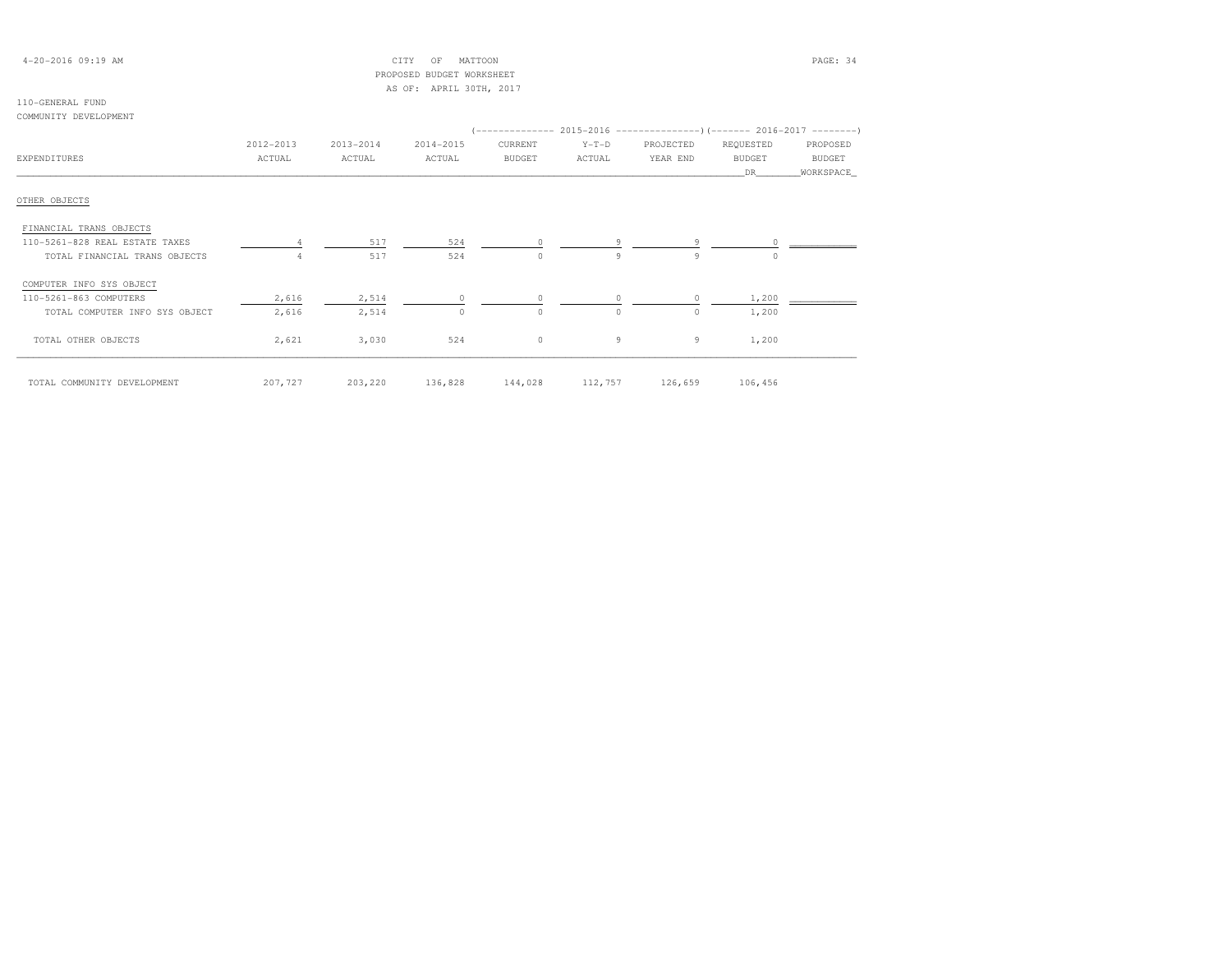| $4 - 20 - 2016$ 09:19 AM |  |  |
|--------------------------|--|--|
|--------------------------|--|--|

 $\text{CITY}$  OF MATTOON  $\blacksquare$  PROPOSED BUDGET WORKSHEETAS OF: APRIL 30TH, 2017

# 110-GENERAL FUND

### COMMUNITY DEVELOPMENT

|                                | 2012-2013 | 2013-2014         | 2014-2015 | CURRENT                                 | $Y-T-D$  | PROJECTED | REQUESTED     | PROPOSED      |  |
|--------------------------------|-----------|-------------------|-----------|-----------------------------------------|----------|-----------|---------------|---------------|--|
| EXPENDITURES                   | ACTUAL    | ACTUAL            | ACTUAL    | BUDGET                                  | ACTUAL   | YEAR END  | <b>BUDGET</b> | <b>BUDGET</b> |  |
|                                |           |                   |           |                                         |          |           | DR.           | WORKSPACE     |  |
|                                |           |                   |           |                                         |          |           |               |               |  |
| OTHER OBJECTS                  |           |                   |           |                                         |          |           |               |               |  |
| FINANCIAL TRANS OBJECTS        |           |                   |           |                                         |          |           |               |               |  |
| 110-5261-828 REAL ESTATE TAXES |           | 517               | 524       | $\circ$                                 |          |           |               |               |  |
| TOTAL FINANCIAL TRANS OBJECTS  | 4         | 517               | 524       | $\Omega$                                | 9        | 9         | $\Omega$      |               |  |
| COMPUTER INFO SYS OBJECT       |           |                   |           |                                         |          |           |               |               |  |
| 110-5261-863 COMPUTERS         | 2,616     | 2,514             |           | $\circ$                                 |          |           | 1,200         |               |  |
| TOTAL COMPUTER INFO SYS OBJECT | 2,616     | 2,514             | 0         | $\circ$                                 | $\Omega$ | $\circ$   | 1,200         |               |  |
| TOTAL OTHER OBJECTS            | 2,621     | 3,030             | 524       | $\circ$                                 | 9        | 9         | 1,200         |               |  |
| TOTAL COMMUNITY DEVELOPMENT    |           | 207, 727 203, 220 |           | 136,828 144,028 112,757 126,659 106,456 |          |           |               |               |  |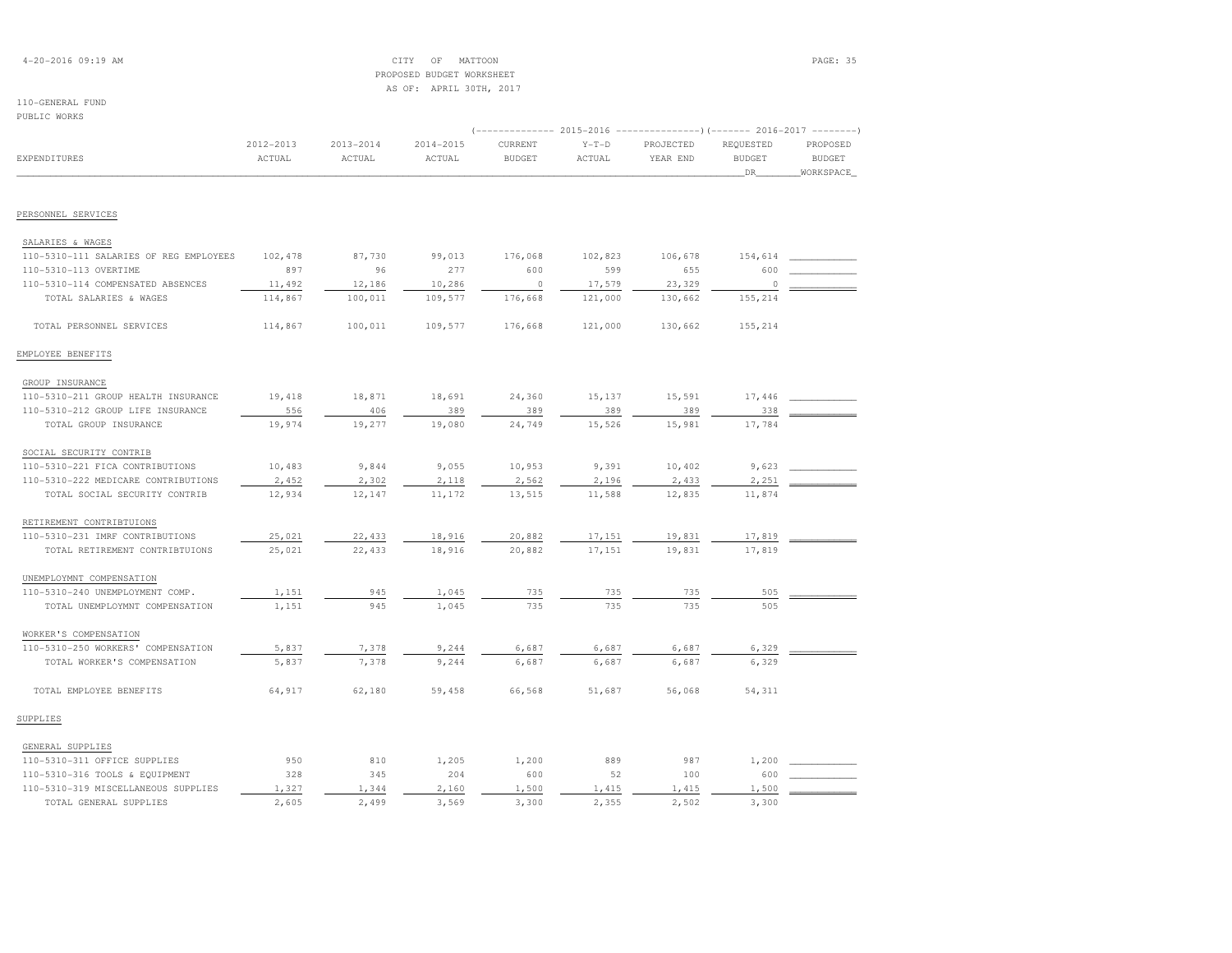| $4 - 20 - 2016$ 09:19 AM |  |  |
|--------------------------|--|--|
|--------------------------|--|--|

# $\begin{array}{ccc} \text{CITY} & \text{OF} & \text{MATION} \end{array}$  PROPOSED BUDGET WORKSHEETAS OF: APRIL 30TH, 2017

# 110-GENERAL FUND

| PUBLIC WORKS                           |               |               |               |               |         |                                                                         |               |               |  |
|----------------------------------------|---------------|---------------|---------------|---------------|---------|-------------------------------------------------------------------------|---------------|---------------|--|
|                                        |               |               |               |               |         | (-------------- 2015-2016 ----------------) (------- 2016-2017 -------- |               |               |  |
|                                        | $2012 - 2013$ | $2013 - 2014$ | $2014 - 2015$ | CURRENT       | $Y-T-D$ | PROJECTED                                                               | REQUESTED     | PROPOSED      |  |
| EXPENDITURES                           | ACTUAL        | ACTUAL        | ACTUAL        | <b>BUDGET</b> | ACTUAL  | YEAR END                                                                | <b>BUDGET</b> | <b>BUDGET</b> |  |
|                                        |               |               |               |               |         |                                                                         | _DR_          | WORKSPACE     |  |
| PERSONNEL SERVICES                     |               |               |               |               |         |                                                                         |               |               |  |
| SALARIES & WAGES                       |               |               |               |               |         |                                                                         |               |               |  |
| 110-5310-111 SALARIES OF REG EMPLOYEES | 102,478       | 87,730        | 99,013        | 176,068       | 102,823 | 106,678                                                                 | 154,614       |               |  |
| 110-5310-113 OVERTIME                  | 897           | 96            | 277           | 600           | 599     | 655                                                                     | 600           |               |  |
| 110-5310-114 COMPENSATED ABSENCES      | 11,492        | 12,186        | 10,286        | $\circ$       | 17,579  | 23,329                                                                  | $\circ$       |               |  |
| TOTAL SALARIES & WAGES                 | 114,867       | 100,011       | 109,577       | 176,668       | 121,000 | 130,662                                                                 | 155,214       |               |  |
| TOTAL PERSONNEL SERVICES               | 114,867       | 100,011       | 109,577       | 176,668       | 121,000 | 130,662                                                                 | 155,214       |               |  |
| EMPLOYEE BENEFITS                      |               |               |               |               |         |                                                                         |               |               |  |
| GROUP INSURANCE                        |               |               |               |               |         |                                                                         |               |               |  |
| 110-5310-211 GROUP HEALTH INSURANCE    | 19,418        | 18,871        | 18,691        | 24,360        | 15,137  | 15,591                                                                  | 17,446        |               |  |
| 110-5310-212 GROUP LIFE INSURANCE      | 556           | 406           | 389           | 389           | 389     | 389                                                                     | 338           |               |  |
| TOTAL GROUP INSURANCE                  | 19,974        | 19,277        | 19,080        | 24,749        | 15,526  | 15,981                                                                  | 17,784        |               |  |
| SOCIAL SECURITY CONTRIB                |               |               |               |               |         |                                                                         |               |               |  |
| 110-5310-221 FICA CONTRIBUTIONS        | 10,483        | 9,844         | 9,055         | 10,953        | 9,391   | 10,402                                                                  | 9,623         |               |  |
| 110-5310-222 MEDICARE CONTRIBUTIONS    | 2,452         | 2,302         | 2,118         | 2,562         | 2,196   | 2,433                                                                   | 2,251         |               |  |
| TOTAL SOCIAL SECURITY CONTRIB          | 12,934        | 12,147        | 11,172        | 13,515        | 11,588  | 12,835                                                                  | 11,874        |               |  |
| RETIREMENT CONTRIBTUIONS               |               |               |               |               |         |                                                                         |               |               |  |
| 110-5310-231 IMRF CONTRIBUTIONS        | 25,021        | 22,433        | 18,916        | 20,882        | 17,151  | 19,831                                                                  | 17,819        |               |  |
| TOTAL RETIREMENT CONTRIBTUIONS         | 25,021        | 22,433        | 18,916        | 20,882        | 17,151  | 19,831                                                                  | 17,819        |               |  |
| UNEMPLOYMNT COMPENSATION               |               |               |               |               |         |                                                                         |               |               |  |
| 110-5310-240 UNEMPLOYMENT COMP.        | 1,151         | 945           | 1,045         | 735           | 735     | 735                                                                     | 505           |               |  |
| TOTAL UNEMPLOYMNT COMPENSATION         | 1,151         | 945           | 1,045         | 735           | 735     | 735                                                                     | 505           |               |  |
| WORKER'S COMPENSATION                  |               |               |               |               |         |                                                                         |               |               |  |
| 110-5310-250 WORKERS' COMPENSATION     | 5,837         | 7,378         | 9,244         | 6,687         | 6,687   | 6,687                                                                   | 6,329         |               |  |
| TOTAL WORKER'S COMPENSATION            | 5,837         | 7,378         | 9,244         | 6,687         | 6,687   | 6,687                                                                   | 6,329         |               |  |
| TOTAL EMPLOYEE BENEFITS                | 64,917        | 62,180        | 59,458        | 66,568        | 51,687  | 56,068                                                                  | 54,311        |               |  |
| SUPPLIES                               |               |               |               |               |         |                                                                         |               |               |  |
| GENERAL SUPPLIES                       |               |               |               |               |         |                                                                         |               |               |  |
| 110-5310-311 OFFICE SUPPLIES           | 950           | 810           | 1,205         | 1,200         | 889     | 987                                                                     | 1,200         |               |  |
| 110-5310-316 TOOLS & EQUIPMENT         | 328           | 345           | 204           | 600           | 52      | 100                                                                     | 600           |               |  |
| 110-5310-319 MISCELLANEOUS SUPPLIES    | 1,327         | 1,344         | 2,160         | 1,500         | 1,415   | 1,415                                                                   | 1,500         |               |  |

TOTAL GENERAL SUPPLIES 2,605 2,499 3,569 3,300 2,355 2,502 3,300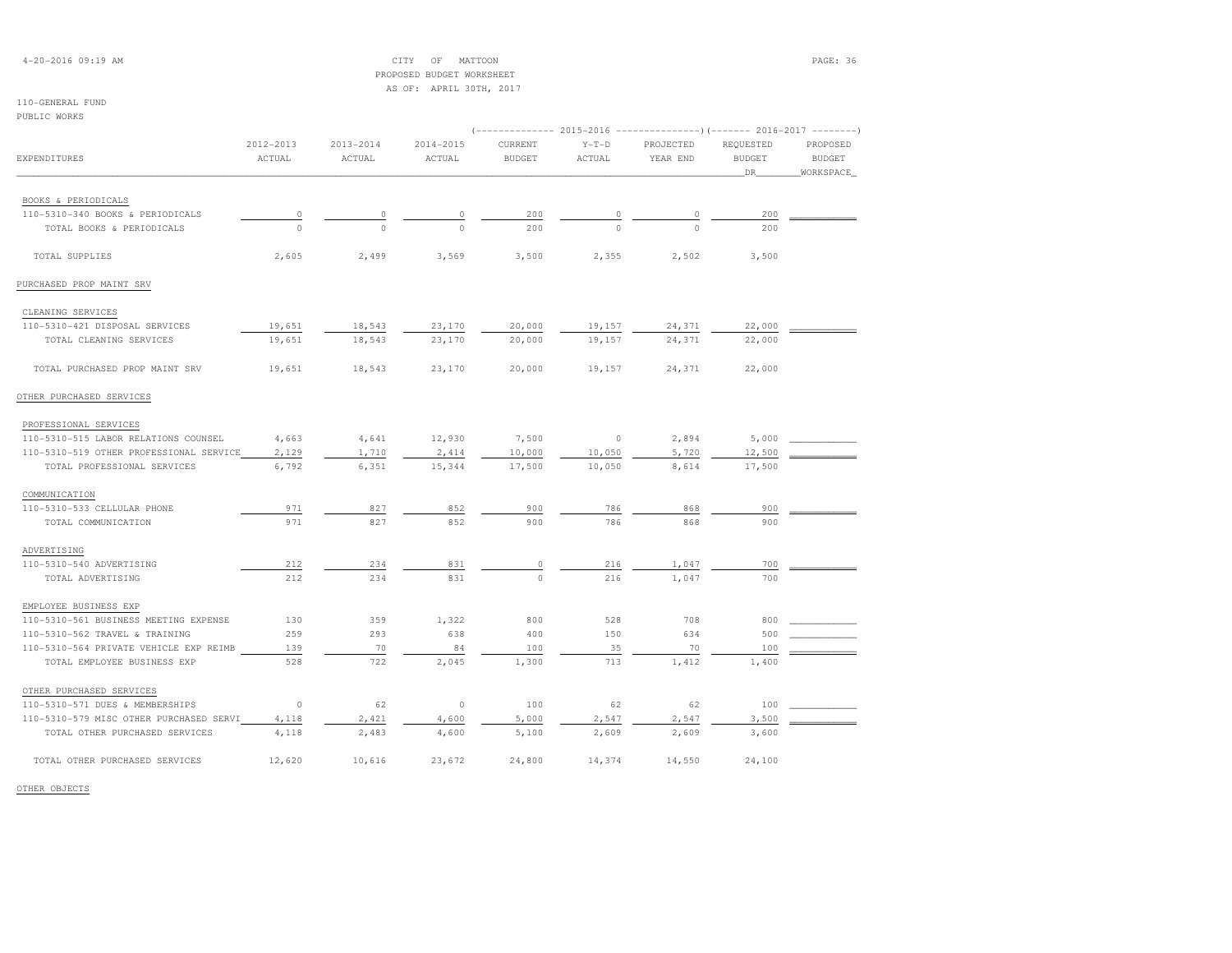| $4 - 20 - 2016$ 09:19 AM |  |  |
|--------------------------|--|--|
|--------------------------|--|--|

# $\text{CITY}$  OF MATTOON  $\blacksquare$  PROPOSED BUDGET WORKSHEETAS OF: APRIL 30TH, 2017

110-GENERAL FUND

| PUBLIC WORKS                            |               | 2013-2014 |               | (-------------- 2015-2016 -----------------) (------- 2016-2017 -------- |          |             |               |               |  |
|-----------------------------------------|---------------|-----------|---------------|--------------------------------------------------------------------------|----------|-------------|---------------|---------------|--|
| <b>EXPENDITURES</b>                     |               |           |               |                                                                          |          |             |               |               |  |
|                                         | $2012 - 2013$ |           | $2014 - 2015$ | CURRENT                                                                  | $Y-T-D$  | PROJECTED   | REQUESTED     | PROPOSED      |  |
|                                         | ACTUAL        | ACTUAL    | ACTUAL        | <b>BUDGET</b>                                                            | ACTUAL   | YEAR END    | <b>BUDGET</b> | <b>BUDGET</b> |  |
|                                         |               |           |               |                                                                          |          |             | DR            | WORKSPACE     |  |
| BOOKS & PERIODICALS                     |               |           |               |                                                                          |          |             |               |               |  |
| 110-5310-340 BOOKS & PERIODICALS        | $\circ$       | $\circ$   | $\circ$       | 200                                                                      | 0        | $\mathbb O$ | 200           |               |  |
| TOTAL BOOKS & PERIODICALS               | $\Omega$      | $\Omega$  | $\bigcap$     | 200                                                                      | $\Omega$ | $\cap$      | 200           |               |  |
|                                         |               |           |               |                                                                          |          |             |               |               |  |
| TOTAL SUPPLIES                          | 2,605         | 2,499     | 3,569         | 3,500                                                                    | 2,355    | 2,502       | 3,500         |               |  |
| PURCHASED PROP MAINT SRV                |               |           |               |                                                                          |          |             |               |               |  |
| CLEANING SERVICES                       |               |           |               |                                                                          |          |             |               |               |  |
| 110-5310-421 DISPOSAL SERVICES          | 19,651        | 18,543    | 23,170        | 20,000                                                                   | 19,157   | 24,371      | 22,000        |               |  |
| TOTAL CLEANING SERVICES                 | 19,651        | 18,543    | 23,170        | 20,000                                                                   | 19,157   | 24,371      | 22,000        |               |  |
| TOTAL PURCHASED PROP MAINT SRV          | 19,651        | 18,543    | 23,170        | 20,000                                                                   | 19,157   | 24,371      | 22,000        |               |  |
| OTHER PURCHASED SERVICES                |               |           |               |                                                                          |          |             |               |               |  |
| PROFESSIONAL SERVICES                   |               |           |               |                                                                          |          |             |               |               |  |
| 110-5310-515 LABOR RELATIONS COUNSEL    | 4,663         | 4,641     | 12,930        | 7,500                                                                    | $\circ$  | 2,894       | 5,000         |               |  |
| 110-5310-519 OTHER PROFESSIONAL SERVICE | 2,129         | 1,710     | 2,414         | 10,000                                                                   | 10,050   | 5,720       | 12,500        |               |  |
| TOTAL PROFESSIONAL SERVICES             | 6,792         | 6,351     | 15,344        | 17,500                                                                   | 10,050   | 8,614       | 17,500        |               |  |
| COMMUNICATION                           |               |           |               |                                                                          |          |             |               |               |  |
| 110-5310-533 CELLULAR PHONE             | 971           | 827       | 852           | 900                                                                      | 786      | 868         | 900           |               |  |
| TOTAL COMMUNICATION                     | 971           | 827       | 852           | 900                                                                      | 786      | 868         | 900           |               |  |
| ADVERTISING                             |               |           |               |                                                                          |          |             |               |               |  |
| 110-5310-540 ADVERTISING                | 212           | 234       | 831           | $\circ$                                                                  | 216      | 1,047       | 700           |               |  |
| TOTAL ADVERTISING                       | 212           | 234       | 831           | $\Omega$                                                                 | 216      | 1,047       | 700           |               |  |
| EMPLOYEE BUSINESS EXP                   |               |           |               |                                                                          |          |             |               |               |  |
| 110-5310-561 BUSINESS MEETING EXPENSE   | 130           | 359       | 1,322         | 800                                                                      | 528      | 708         | 800           |               |  |
| 110-5310-562 TRAVEL & TRAINING          | 259           | 293       | 638           | 400                                                                      | 150      | 634         | 500           |               |  |
| 110-5310-564 PRIVATE VEHICLE EXP REIMB  | 139           | 70        | 84            | 100                                                                      | 35       | 70          | 100           |               |  |
| TOTAL EMPLOYEE BUSINESS EXP             | 528           | 722       | 2,045         | 1,300                                                                    | 713      | 1,412       | 1,400         |               |  |
| OTHER PURCHASED SERVICES                |               |           |               |                                                                          |          |             |               |               |  |
| 110-5310-571 DUES & MEMBERSHIPS         | $\circ$       | 62        | $\circ$       | 100                                                                      | 62       | 62          | 100           |               |  |
| 110-5310-579 MISC OTHER PURCHASED SERVI | 4,118         | 2,421     | 4,600         | 5,000                                                                    | 2,547    | 2,547       | 3,500         |               |  |
| TOTAL OTHER PURCHASED SERVICES          | 4,118         | 2,483     | 4,600         | 5,100                                                                    | 2,609    | 2,609       | 3,600         |               |  |
| TOTAL OTHER PURCHASED SERVICES          | 12,620        | 10,616    | 23,672        | 24,800                                                                   | 14,374   | 14,550      | 24,100        |               |  |

OTHER OBJECTS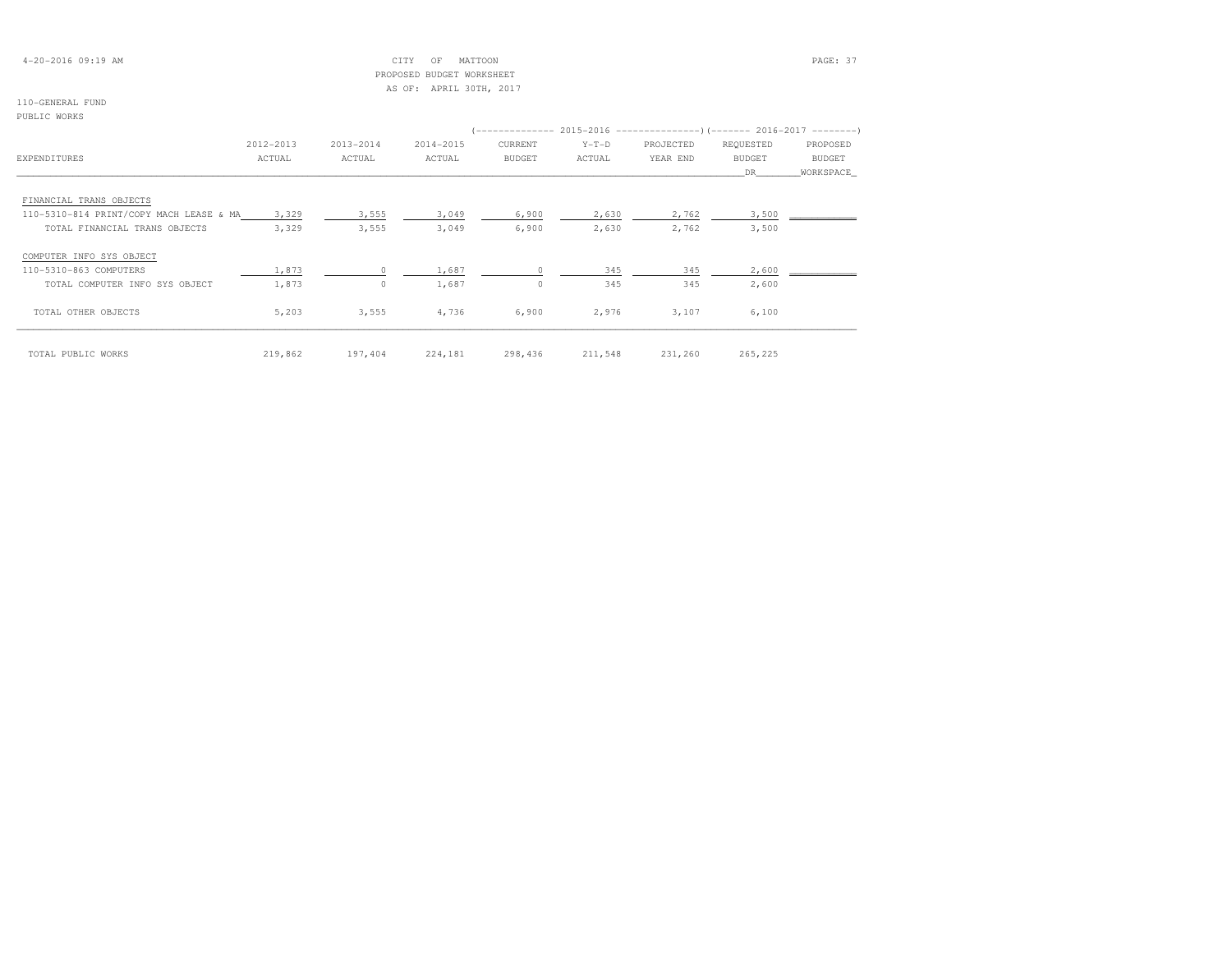## 4-20-2016 09:19 AM CITY OF MATTOON PAGE: 37 PROPOSED BUDGET WORKSHEETAS OF: APRIL 30TH, 2017

## 110-GENERAL FUND

# PUBLIC WORKS

|                                         |           |           |           |         |         | $(-------- 2015-2016 ------------)$ $(-----2016-2017 ------)$ |               |               |
|-----------------------------------------|-----------|-----------|-----------|---------|---------|---------------------------------------------------------------|---------------|---------------|
|                                         | 2012-2013 | 2013-2014 | 2014-2015 | CURRENT | $Y-T-D$ | PROJECTED                                                     | REQUESTED     | PROPOSED      |
| EXPENDITURES                            | ACTUAL    | ACTUAL    | ACTUAL    | BUDGET  | ACTUAL  | YEAR END                                                      | <b>BUDGET</b> | <b>BUDGET</b> |
|                                         |           |           |           |         |         |                                                               | DR            | WORKSPACE     |
|                                         |           |           |           |         |         |                                                               |               |               |
| FINANCIAL TRANS OBJECTS                 |           |           |           |         |         |                                                               |               |               |
| 110-5310-814 PRINT/COPY MACH LEASE & MA | 3,329     | 3,555     | 3,049     | 6,900   | 2,630   | 2,762                                                         | 3,500         |               |
| TOTAL FINANCIAL TRANS OBJECTS           | 3,329     | 3,555     | 3,049     | 6,900   | 2,630   | 2,762                                                         | 3,500         |               |
| COMPUTER INFO SYS OBJECT                |           |           |           |         |         |                                                               |               |               |
| 110-5310-863 COMPUTERS                  | 1,873     |           | 1,687     |         | 345     | 345                                                           | 2,600         |               |
| TOTAL COMPUTER INFO SYS OBJECT          | 1,873     | $\Omega$  | 1,687     | $\circ$ | 345     | 345                                                           | 2,600         |               |
| TOTAL OTHER OBJECTS                     | 5,203     | 3,555     | 4,736     | 6,900   | 2,976   | 3,107                                                         | 6,100         |               |
| TOTAL PUBLIC WORKS                      | 219,862   | 197,404   | 224,181   | 298,436 | 211,548 | 231,260                                                       | 265,225       |               |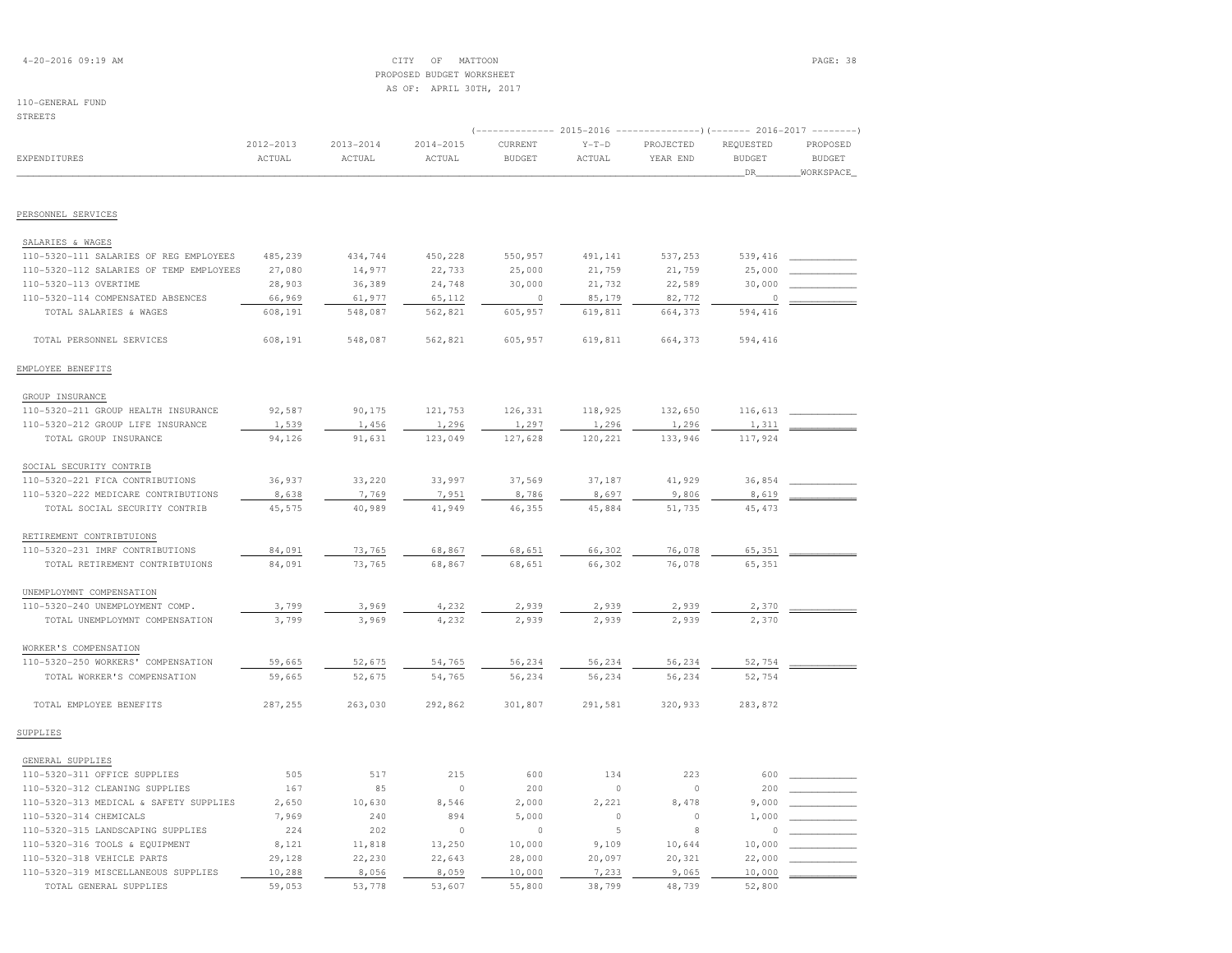| $4 - 20 - 2016$ 09:19 AM |  |  |
|--------------------------|--|--|
|--------------------------|--|--|

## $\text{CITY}$  of MATTOON  $\text{PAGE: } 38$  PROPOSED BUDGET WORKSHEETAS OF: APRIL 30TH, 2017

## 110-GENERAL FUND

| <b>STREETS</b>                          |                         |                         |                         |                                                                                                 |                   |                       |                                   |                           |
|-----------------------------------------|-------------------------|-------------------------|-------------------------|-------------------------------------------------------------------------------------------------|-------------------|-----------------------|-----------------------------------|---------------------------|
| EXPENDITURES                            | $2012 - 2013$<br>ACTUAL | $2013 - 2014$<br>ACTUAL | $2014 - 2015$<br>ACTUAL | (-------------- 2015-2016 ---------------------- 2016-2017 --------<br>CURRENT<br><b>BUDGET</b> | $Y-T-D$<br>ACTUAL | PROJECTED<br>YEAR END | REQUESTED<br><b>BUDGET</b><br>DR. | PROPOSED<br><b>BUDGET</b> |
|                                         |                         |                         |                         |                                                                                                 |                   |                       |                                   | WORKSPACE                 |
| PERSONNEL SERVICES                      |                         |                         |                         |                                                                                                 |                   |                       |                                   |                           |
| SALARIES & WAGES                        |                         |                         |                         |                                                                                                 |                   |                       |                                   |                           |
| 110-5320-111 SALARIES OF REG EMPLOYEES  | 485,239                 | 434,744                 | 450,228                 | 550,957                                                                                         | 491,141           | 537,253               | 539,416                           |                           |
| 110-5320-112 SALARIES OF TEMP EMPLOYEES | 27,080                  | 14,977                  | 22,733                  | 25,000                                                                                          | 21,759            | 21,759                | 25,000                            |                           |
| 110-5320-113 OVERTIME                   | 28,903                  | 36,389                  | 24,748                  | 30,000                                                                                          | 21,732            | 22,589                | 30,000                            |                           |
| 110-5320-114 COMPENSATED ABSENCES       | 66,969                  | 61,977                  | 65,112                  | $\circ$                                                                                         | 85,179            | 82,772                | $\circ$                           |                           |
| TOTAL SALARIES & WAGES                  | 608,191                 | 548,087                 | 562,821                 | 605,957                                                                                         | 619,811           | 664,373               | 594,416                           |                           |
| TOTAL PERSONNEL SERVICES                | 608,191                 | 548,087                 | 562,821                 | 605,957                                                                                         | 619,811           | 664,373               | 594,416                           |                           |
| EMPLOYEE BENEFITS                       |                         |                         |                         |                                                                                                 |                   |                       |                                   |                           |
| GROUP INSURANCE                         |                         |                         |                         |                                                                                                 |                   |                       |                                   |                           |
| 110-5320-211 GROUP HEALTH INSURANCE     | 92,587                  | 90,175                  | 121,753                 | 126,331                                                                                         | 118,925           | 132,650               | 116,613                           |                           |
| 110-5320-212 GROUP LIFE INSURANCE       | 1,539                   | 1,456                   | 1,296                   | 1,297                                                                                           | 1,296             | 1,296                 | 1,311                             |                           |
| TOTAL GROUP INSURANCE                   | 94,126                  | 91,631                  | 123,049                 | 127,628                                                                                         | 120,221           | 133,946               | 117,924                           |                           |
| SOCIAL SECURITY CONTRIB                 |                         |                         |                         |                                                                                                 |                   |                       |                                   |                           |
| 110-5320-221 FICA CONTRIBUTIONS         | 36,937                  | 33,220                  | 33,997                  | 37,569                                                                                          | 37,187            | 41,929                | 36,854                            |                           |
| 110-5320-222 MEDICARE CONTRIBUTIONS     | 8,638                   | 7,769                   | 7,951                   | 8,786                                                                                           | 8,697             | 9,806                 | 8,619                             |                           |
| TOTAL SOCIAL SECURITY CONTRIB           | 45,575                  | 40,989                  | 41,949                  | 46,355                                                                                          | 45,884            | 51,735                | 45, 473                           |                           |
| RETIREMENT CONTRIBTUIONS                |                         |                         |                         |                                                                                                 |                   |                       |                                   |                           |
| 110-5320-231 IMRF CONTRIBUTIONS         | 84,091                  | 73,765                  | 68,867                  | 68,651                                                                                          | 66,302            | 76,078                | 65,351                            |                           |
| TOTAL RETIREMENT CONTRIBTUIONS          | 84,091                  | 73,765                  | 68,867                  | 68,651                                                                                          | 66,302            | 76,078                | 65,351                            |                           |
| UNEMPLOYMNT COMPENSATION                |                         |                         |                         |                                                                                                 |                   |                       |                                   |                           |
| 110-5320-240 UNEMPLOYMENT COMP.         | 3,799                   | 3,969                   | 4,232                   | 2,939                                                                                           | 2,939             | 2,939                 | 2,370                             |                           |
| TOTAL UNEMPLOYMNT COMPENSATION          | 3,799                   | 3,969                   | 4,232                   | 2,939                                                                                           | 2,939             | 2,939                 | 2,370                             |                           |
| WORKER'S COMPENSATION                   |                         |                         |                         |                                                                                                 |                   |                       |                                   |                           |
| 110-5320-250 WORKERS' COMPENSATION      | 59,665                  | 52,675                  | 54,765                  | 56,234                                                                                          | 56,234            | 56,234                | 52,754                            |                           |
| TOTAL WORKER'S COMPENSATION             | 59,665                  | 52,675                  | 54,765                  | 56,234                                                                                          | 56,234            | 56,234                | 52,754                            |                           |
| TOTAL EMPLOYEE BENEFITS                 | 287,255                 | 263,030                 | 292,862                 | 301,807                                                                                         | 291,581           | 320,933               | 283,872                           |                           |
| SUPPLIES                                |                         |                         |                         |                                                                                                 |                   |                       |                                   |                           |
| GENERAL SUPPLIES                        |                         |                         |                         |                                                                                                 |                   |                       |                                   |                           |
| 110-5320-311 OFFICE SUPPLIES            | 505                     | 517                     | 215                     | 600                                                                                             | 134               | 223                   | 600                               |                           |
| 110-5320-312 CLEANING SUPPLIES          | 167                     | 85                      | $\circ$                 | 200                                                                                             | $\circ$           | $\circ$               | 200                               |                           |
| 110-5320-313 MEDICAL & SAFETY SUPPLIES  | 2,650                   | 10,630                  | 8,546                   | 2,000                                                                                           | 2,221             | 8,478                 | 9,000                             |                           |
| 110-5320-314 CHEMICALS                  | 7,969                   | 240                     | 894                     | 5,000                                                                                           | $\circ$           | $\circ$               | 1,000                             |                           |
| 110-5320-315 LANDSCAPING SUPPLIES       | 224                     | 202                     | $\circ$                 | $\circ$                                                                                         | 5                 | 8                     | $\Omega$                          |                           |
| 110-5320-316 TOOLS & EQUIPMENT          | 8,121                   | 11,818                  | 13,250                  | 10,000                                                                                          | 9,109             | 10,644                | 10,000                            |                           |
| 110-5320-318 VEHICLE PARTS              | 29,128                  | 22,230                  | 22,643                  | 28,000                                                                                          | 20,097            | 20,321                | 22,000                            |                           |

110-5320-319 MISCELLANEOUS SUPPLIES 10,288 8,056 8,059 10,000 7,233 9,065 10,000 \_\_\_\_\_\_\_\_\_\_\_\_

TOTAL GENERAL SUPPLIES 59,053 53,778 53,607 55,800 38,799 48,739 52,800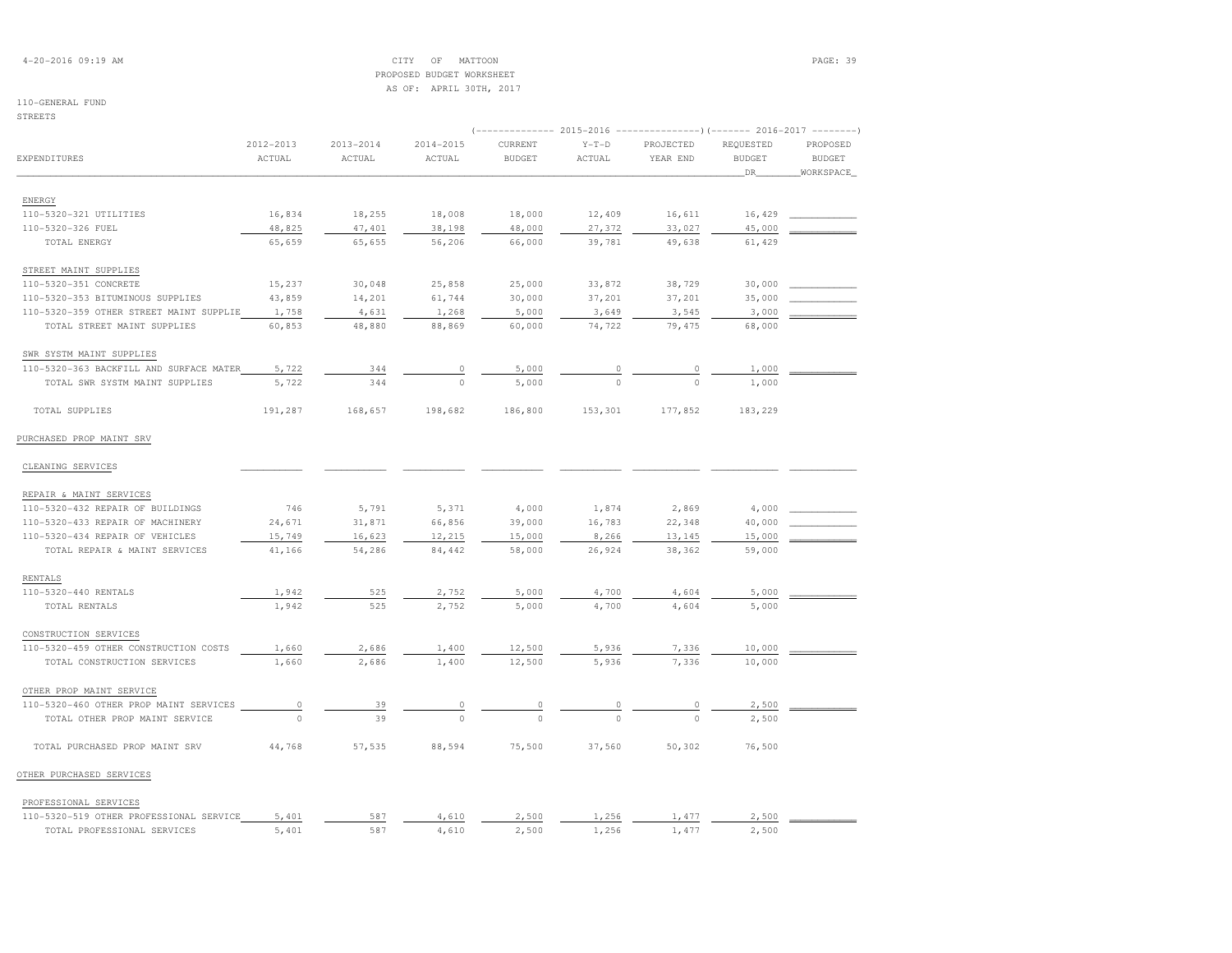## 4-20-2016 09:19 AM CITY OF MATTOON PAGE: 39 PROPOSED BUDGET WORKSHEETAS OF: APRIL 30TH, 2017

| STREETS                                 |           |               |               |                                                                                    |          |           |               |               |
|-----------------------------------------|-----------|---------------|---------------|------------------------------------------------------------------------------------|----------|-----------|---------------|---------------|
|                                         | 2012-2013 | $2013 - 2014$ | $2014 - 2015$ | (-------------- 2015-2016 ----------------) (------- 2016-2017 --------<br>CURRENT | $Y-T-D$  | PROJECTED | REQUESTED     | PROPOSED      |
| EXPENDITURES                            | ACTUAL    | ACTUAL        | ACTUAL        | <b>BUDGET</b>                                                                      | ACTUAL   | YEAR END  | <b>BUDGET</b> | <b>BUDGET</b> |
|                                         |           |               |               |                                                                                    |          |           | _DR_          | WORKSPACE     |
|                                         |           |               |               |                                                                                    |          |           |               |               |
| ENERGY                                  |           |               |               |                                                                                    |          |           |               |               |
| 110-5320-321 UTILITIES                  | 16,834    | 18,255        | 18,008        | 18,000                                                                             | 12,409   | 16,611    | 16,429        |               |
| 110-5320-326 FUEL                       | 48,825    | 47,401        | 38,198        | 48,000                                                                             | 27,372   | 33,027    | 45,000        |               |
| TOTAL ENERGY                            | 65,659    | 65,655        | 56,206        | 66,000                                                                             | 39,781   | 49,638    | 61,429        |               |
| STREET MAINT SUPPLIES                   |           |               |               |                                                                                    |          |           |               |               |
| 110-5320-351 CONCRETE                   | 15,237    | 30,048        | 25,858        | 25,000                                                                             | 33,872   | 38,729    | 30,000        |               |
| 110-5320-353 BITUMINOUS SUPPLIES        | 43,859    | 14,201        | 61,744        | 30,000                                                                             | 37,201   | 37,201    | 35,000        |               |
| 110-5320-359 OTHER STREET MAINT SUPPLIE | 1,758     | 4,631         | 1,268         | 5,000                                                                              | 3,649    | 3,545     | 3,000         |               |
| TOTAL STREET MAINT SUPPLIES             | 60,853    | 48,880        | 88,869        | 60,000                                                                             | 74,722   | 79,475    | 68,000        |               |
| SWR SYSTM MAINT SUPPLIES                |           |               |               |                                                                                    |          |           |               |               |
| 110-5320-363 BACKFILL AND SURFACE MATER | 5,722     | 344           |               | 5,000                                                                              |          |           | 1,000         |               |
| TOTAL SWR SYSTM MAINT SUPPLIES          | 5,722     | 344           | $\circ$       | 5,000                                                                              | $\Omega$ | $\Omega$  | 1,000         |               |
| TOTAL SUPPLIES                          | 191,287   | 168,657       | 198,682       | 186,800                                                                            | 153,301  | 177,852   | 183,229       |               |
| PURCHASED PROP MAINT SRV                |           |               |               |                                                                                    |          |           |               |               |
| CLEANING SERVICES                       |           |               |               |                                                                                    |          |           |               |               |
| REPAIR & MAINT SERVICES                 |           |               |               |                                                                                    |          |           |               |               |
| 110-5320-432 REPAIR OF BUILDINGS        | 746       | 5,791         | 5,371         | 4,000                                                                              | 1,874    | 2,869     | 4,000         |               |
| 110-5320-433 REPAIR OF MACHINERY        | 24,671    | 31,871        | 66,856        | 39,000                                                                             | 16,783   | 22,348    | 40,000        |               |
| 110-5320-434 REPAIR OF VEHICLES         | 15,749    | 16,623        | 12,215        | 15,000                                                                             | 8,266    | 13,145    | 15,000        |               |
| TOTAL REPAIR & MAINT SERVICES           | 41,166    | 54,286        | 84,442        | 58,000                                                                             | 26,924   | 38,362    | 59,000        |               |
| RENTALS                                 |           |               |               |                                                                                    |          |           |               |               |
| 110-5320-440 RENTALS                    | 1,942     | 525           | 2,752         | 5,000                                                                              | 4,700    | 4,604     | 5,000         |               |
| TOTAL RENTALS                           | 1,942     | 525           | 2,752         | 5,000                                                                              | 4,700    | 4,604     | 5,000         |               |
| CONSTRUCTION SERVICES                   |           |               |               |                                                                                    |          |           |               |               |
| 110-5320-459 OTHER CONSTRUCTION COSTS   | 1,660     | 2,686         | 1,400         | 12,500                                                                             | 5,936    | 7,336     | 10,000        |               |
| TOTAL CONSTRUCTION SERVICES             | 1,660     | 2,686         | 1,400         | 12,500                                                                             | 5,936    | 7,336     | 10,000        |               |
| OTHER PROP MAINT SERVICE                |           |               |               |                                                                                    |          |           |               |               |
| 110-5320-460 OTHER PROP MAINT SERVICES  | 0         | 39            |               |                                                                                    |          |           | 2,500         |               |
| TOTAL OTHER PROP MAINT SERVICE          | $\cap$    | 39            |               |                                                                                    |          | $\Omega$  | 2,500         |               |
| TOTAL PURCHASED PROP MAINT SRV          | 44,768    | 57,535        | 88,594        | 75,500                                                                             | 37,560   | 50,302    | 76,500        |               |
| OTHER PURCHASED SERVICES                |           |               |               |                                                                                    |          |           |               |               |
| PROFESSIONAL SERVICES                   |           |               |               |                                                                                    |          |           |               |               |
| 110-5320-519 OTHER PROFESSIONAL SERVICE | 5,401     | 587           | 4,610         | 2,500                                                                              | 1,256    | 1,477     | 2,500         |               |
| TOTAL PROFESSIONAL SERVICES             | 5,401     | 587           | 4,610         | 2,500                                                                              | 1,256    | 1,477     | 2,500         |               |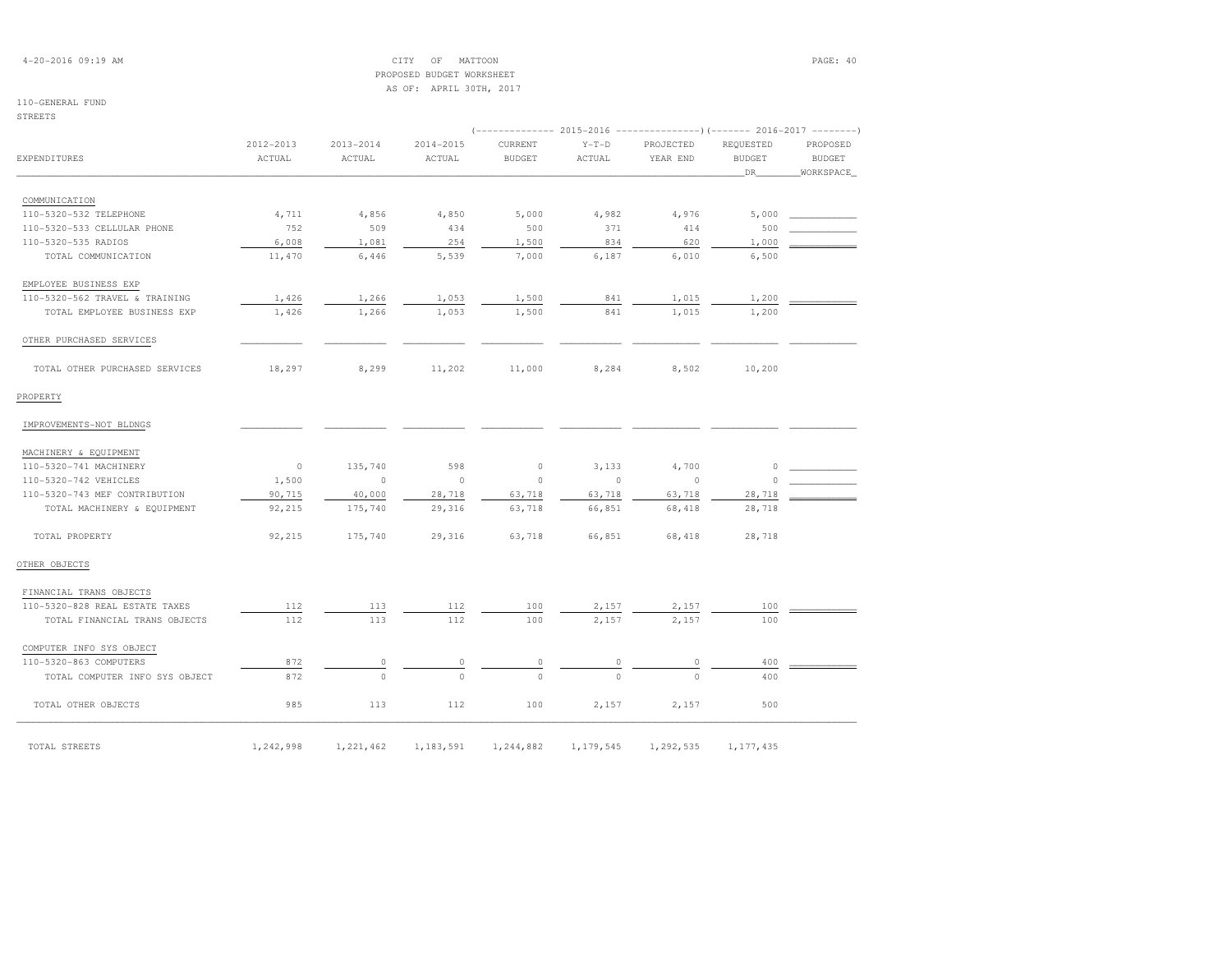## 4-20-2016 09:19 AM CITY OF MATTOON PAGE: 40 PROPOSED BUDGET WORKSHEETAS OF: APRIL 30TH, 2017

## 110-GENERAL FUND

STREETS

|                                | 2012-2013 | $2013 - 2014$ | 2014-2015 | CURRENT       | $Y-T-D$        | PROJECTED | REQUESTED     | PROPOSED      |
|--------------------------------|-----------|---------------|-----------|---------------|----------------|-----------|---------------|---------------|
| EXPENDITURES                   | ACTUAL    | ACTUAL        | ACTUAL    | <b>BUDGET</b> | ACTUAL         | YEAR END  | <b>BUDGET</b> | <b>BUDGET</b> |
|                                |           |               |           |               |                |           | DR            | WORKSPACE     |
| COMMUNICATION                  |           |               |           |               |                |           |               |               |
| 110-5320-532 TELEPHONE         | 4,711     | 4,856         | 4,850     | 5,000         | 4,982          | 4,976     | 5,000         |               |
| 110-5320-533 CELLULAR PHONE    | 752       | 509           | 434       | 500           | 371            | 414       | 500           |               |
| 110-5320-535 RADIOS            | 6,008     | 1,081         | 254       | 1,500         | 834            | 620       | 1,000         |               |
| TOTAL COMMUNICATION            | 11,470    | 6,446         | 5,539     | 7,000         | 6,187          | 6,010     | 6,500         |               |
| EMPLOYEE BUSINESS EXP          |           |               |           |               |                |           |               |               |
| 110-5320-562 TRAVEL & TRAINING | 1,426     | 1,266         | 1,053     | 1,500         | 841            | 1,015     | 1,200         |               |
| TOTAL EMPLOYEE BUSINESS EXP    | 1,426     | 1,266         | 1,053     | 1,500         | 841            | 1,015     | 1,200         |               |
| OTHER PURCHASED SERVICES       |           |               |           |               |                |           |               |               |
| TOTAL OTHER PURCHASED SERVICES | 18,297    | 8,299         | 11,202    | 11,000        | 8,284          | 8,502     | 10,200        |               |
| PROPERTY                       |           |               |           |               |                |           |               |               |
| IMPROVEMENTS-NOT BLDNGS        |           |               |           |               |                |           |               |               |
| MACHINERY & EQUIPMENT          |           |               |           |               |                |           |               |               |
| 110-5320-741 MACHINERY         | $\circ$   | 135,740       | 598       | $\circ$       | 3,133          | 4,700     | $\circ$       |               |
| 110-5320-742 VEHICLES          | 1,500     | $\circ$       | $\circ$   | $\Omega$      | $\overline{0}$ | $\circ$   | $\Omega$      |               |
| 110-5320-743 MEF CONTRIBUTION  | 90,715    | 40,000        | 28,718    | 63,718        | 63,718         | 63,718    | 28,718        |               |
| TOTAL MACHINERY & EQUIPMENT    | 92,215    | 175,740       | 29,316    | 63,718        | 66,851         | 68,418    | 28,718        |               |
| TOTAL PROPERTY                 | 92,215    | 175,740       | 29,316    | 63,718        | 66,851         | 68,418    | 28,718        |               |
| OTHER OBJECTS                  |           |               |           |               |                |           |               |               |
| FINANCIAL TRANS OBJECTS        |           |               |           |               |                |           |               |               |
| 110-5320-828 REAL ESTATE TAXES | 112       | 113           | 112       | 100           | 2,157          | 2,157     | 100           |               |
| TOTAL FINANCIAL TRANS OBJECTS  | 112       | 113           | 112       | 100           | 2,157          | 2,157     | 100           |               |
| COMPUTER INFO SYS OBJECT       |           |               |           |               |                |           |               |               |
| 110-5320-863 COMPUTERS         | 872       | 0             | 0         |               |                |           | 400           |               |
| TOTAL COMPUTER INFO SYS OBJECT | 872       | $\Omega$      | $\Omega$  | $\Omega$      | $\Omega$       | $\Omega$  | 400           |               |
| TOTAL OTHER OBJECTS            | 985       | 113           | 112       | 100           | 2,157          | 2,157     | 500           |               |
|                                |           |               |           |               |                |           |               |               |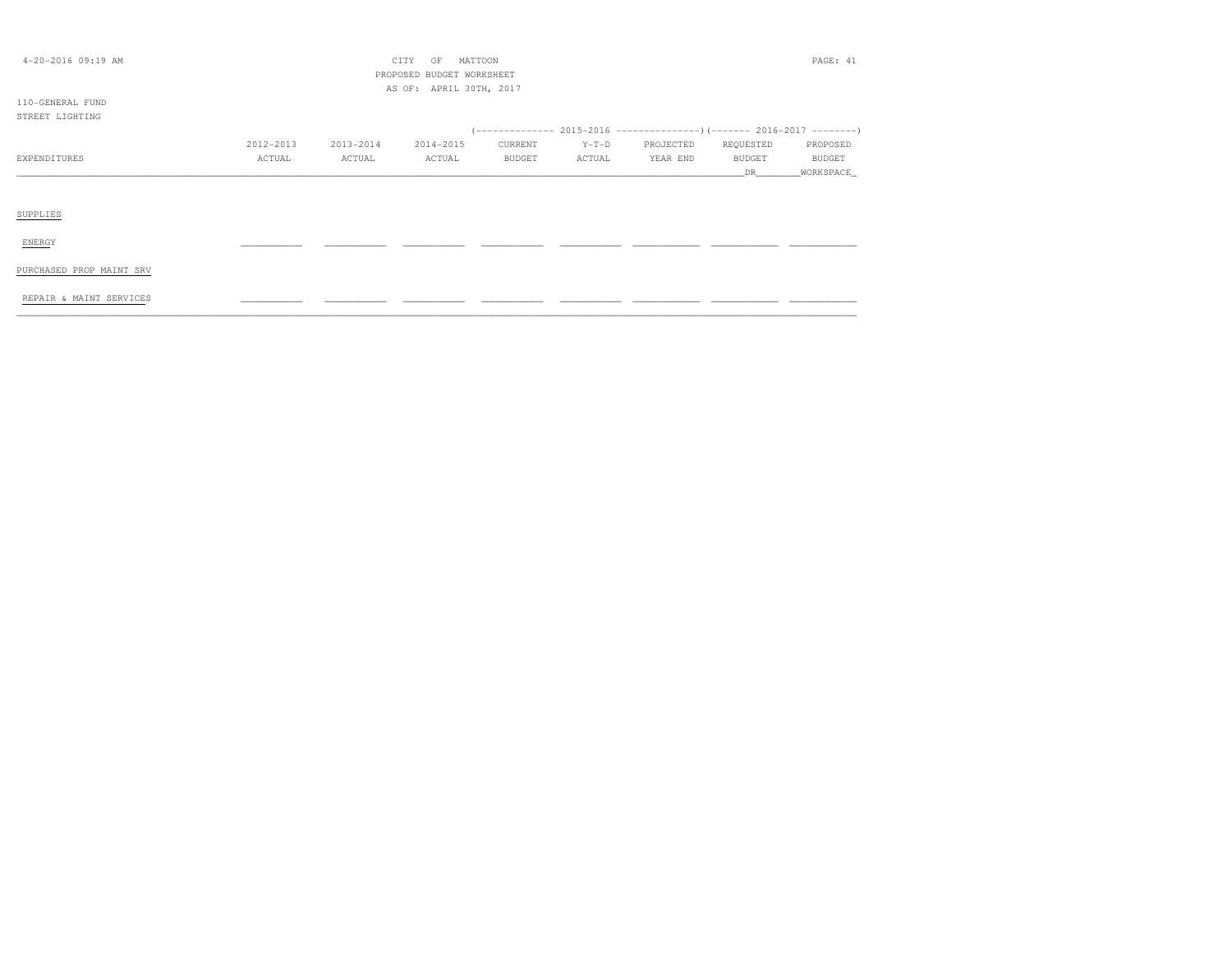| $4 - 20 - 2016$ 09:19 AM |           |           | CITY<br>MATTOON<br>OF<br>PROPOSED BUDGET WORKSHEET<br>AS OF: APRIL 30TH, 2017 |         |         |           |               | PAGE: 41  |
|--------------------------|-----------|-----------|-------------------------------------------------------------------------------|---------|---------|-----------|---------------|-----------|
| 110-GENERAL FUND         |           |           |                                                                               |         |         |           |               |           |
| STREET LIGHTING          |           |           |                                                                               |         |         |           |               |           |
|                          | 2012-2013 | 2013-2014 | 2014-2015                                                                     | CURRENT | $Y-T-D$ | PROJECTED | REQUESTED     | PROPOSED  |
| EXPENDITURES             | ACTUAL    | ACTUAL    | ACTUAL                                                                        | BUDGET  | ACTUAL  | YEAR END  | <b>BUDGET</b> | BUDGET    |
|                          |           |           |                                                                               |         |         |           | DR.           | WORKSPACE |
| SUPPLIES                 |           |           |                                                                               |         |         |           |               |           |
| ENERGY                   |           |           |                                                                               |         |         |           |               |           |
| PURCHASED PROP MAINT SRV |           |           |                                                                               |         |         |           |               |           |
| REPAIR & MAINT SERVICES  |           |           |                                                                               |         |         |           |               |           |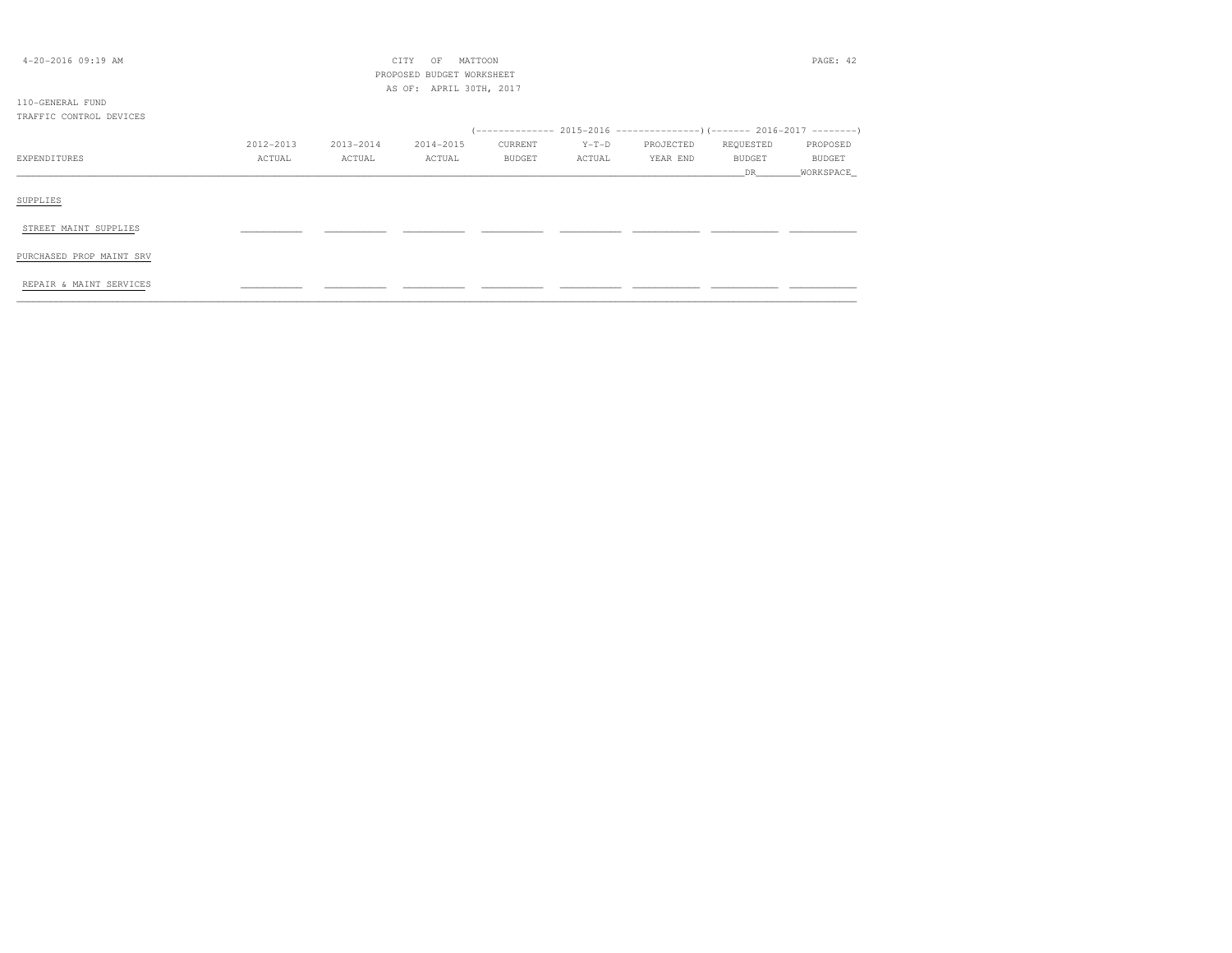| $4 - 20 - 2016$ 09:19 AM |           |           | CITY<br>MATTOON<br>OF     |         |         |                                                                      |           | PAGE: 42      |
|--------------------------|-----------|-----------|---------------------------|---------|---------|----------------------------------------------------------------------|-----------|---------------|
|                          |           |           | PROPOSED BUDGET WORKSHEET |         |         |                                                                      |           |               |
|                          |           |           | AS OF: APRIL 30TH, 2017   |         |         |                                                                      |           |               |
| 110-GENERAL FUND         |           |           |                           |         |         |                                                                      |           |               |
| TRAFFIC CONTROL DEVICES  |           |           |                           |         |         |                                                                      |           |               |
|                          |           |           |                           |         |         | $(---------- 2015-2016$ ---------------) (------- 2016-2017 -------) |           |               |
|                          | 2012-2013 | 2013-2014 | 2014-2015                 | CURRENT | $Y-T-D$ | PROJECTED                                                            | REQUESTED | PROPOSED      |
| EXPENDITURES             | ACTUAL    | ACTUAL    | ACTUAL                    | BUDGET  | ACTUAL  | YEAR END                                                             | BUDGET    | <b>BUDGET</b> |
|                          |           |           |                           |         |         |                                                                      | DR        | WORKSPACE     |
|                          |           |           |                           |         |         |                                                                      |           |               |
| SUPPLIES                 |           |           |                           |         |         |                                                                      |           |               |
|                          |           |           |                           |         |         |                                                                      |           |               |
| STREET MAINT SUPPLIES    |           |           |                           |         |         |                                                                      |           |               |
|                          |           |           |                           |         |         |                                                                      |           |               |
| PURCHASED PROP MAINT SRV |           |           |                           |         |         |                                                                      |           |               |
|                          |           |           |                           |         |         |                                                                      |           |               |
| REPAIR & MAINT SERVICES  |           |           |                           |         |         |                                                                      |           |               |
|                          |           |           |                           |         |         |                                                                      |           |               |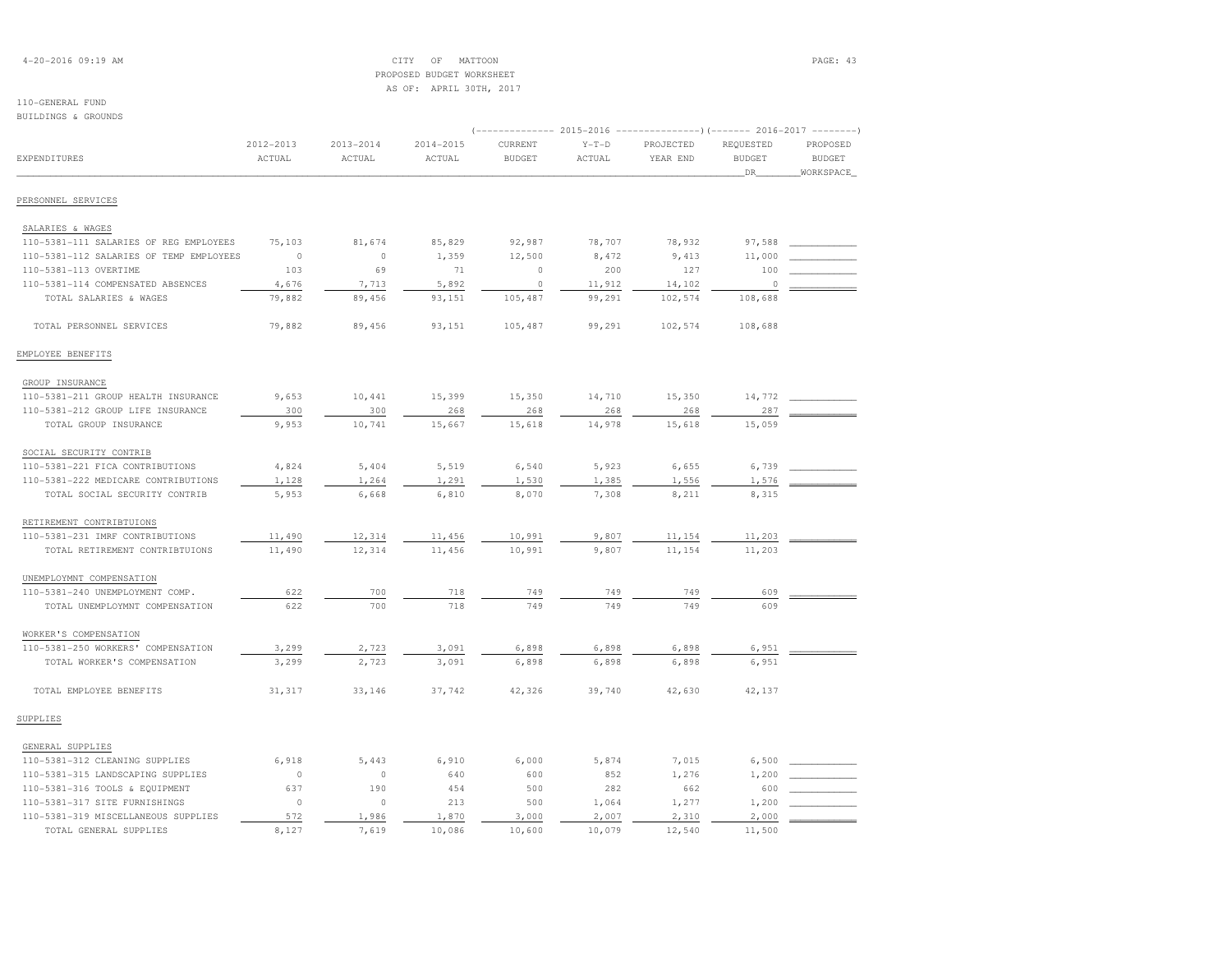## 4-20-2016 09:19 AM CITY OF MATTOON PAGE: 43 PROPOSED BUDGET WORKSHEETAS OF: APRIL 30TH, 2017

| BUILDINGS & GROUNDS                     |                     |                         |                         |                                                  |                   |                       |                                                                             |                                        |
|-----------------------------------------|---------------------|-------------------------|-------------------------|--------------------------------------------------|-------------------|-----------------------|-----------------------------------------------------------------------------|----------------------------------------|
| EXPENDITURES                            | 2012-2013<br>ACTUAL | $2013 - 2014$<br>ACTUAL | $2014 - 2015$<br>ACTUAL | $---------2015-2016$<br>CURRENT<br><b>BUDGET</b> | $Y-T-D$<br>ACTUAL | PROJECTED<br>YEAR END | ----------)(------- 2016-2017 --------<br>REQUESTED<br><b>BUDGET</b><br>DR_ | PROPOSED<br><b>BUDGET</b><br>WORKSPACE |
| PERSONNEL SERVICES                      |                     |                         |                         |                                                  |                   |                       |                                                                             |                                        |
| SALARIES & WAGES                        |                     |                         |                         |                                                  |                   |                       |                                                                             |                                        |
| 110-5381-111 SALARIES OF REG EMPLOYEES  | 75,103              | 81,674                  | 85,829                  | 92,987                                           | 78,707            | 78,932                | 97,588                                                                      |                                        |
| 110-5381-112 SALARIES OF TEMP EMPLOYEES | $\circ$             | $\mathbb O$             | 1,359                   | 12,500                                           | 8,472             | 9,413                 | 11,000                                                                      |                                        |
| 110-5381-113 OVERTIME                   | 103                 | 69                      | 71                      | $\circ$                                          | 200               | 127                   | 100                                                                         |                                        |
| 110-5381-114 COMPENSATED ABSENCES       | 4,676               | 7,713                   | 5,892                   | $\circ$                                          | 11,912            | 14,102                | $\circ$                                                                     |                                        |
| TOTAL SALARIES & WAGES                  | 79,882              | 89,456                  | 93,151                  | 105,487                                          | 99,291            | 102,574               | 108,688                                                                     |                                        |
| TOTAL PERSONNEL SERVICES                | 79,882              | 89,456                  | 93,151                  | 105,487                                          | 99,291            | 102,574               | 108,688                                                                     |                                        |
| EMPLOYEE BENEFITS                       |                     |                         |                         |                                                  |                   |                       |                                                                             |                                        |
| GROUP INSURANCE                         |                     |                         |                         |                                                  |                   |                       |                                                                             |                                        |
| 110-5381-211 GROUP HEALTH INSURANCE     | 9,653               | 10,441                  | 15,399                  | 15,350                                           | 14,710            | 15,350                | 14,772                                                                      |                                        |
| 110-5381-212 GROUP LIFE INSURANCE       | 300                 | 300                     | 268                     | 268                                              | 268               | 268                   | 287                                                                         |                                        |
| TOTAL GROUP INSURANCE                   | 9,953               | 10,741                  | 15,667                  | 15,618                                           | 14,978            | 15,618                | 15,059                                                                      |                                        |
| SOCIAL SECURITY CONTRIB                 |                     |                         |                         |                                                  |                   |                       |                                                                             |                                        |
| 110-5381-221 FICA CONTRIBUTIONS         | 4,824               | 5,404                   | 5,519                   | 6,540                                            | 5,923             | 6,655                 | 6,739                                                                       |                                        |
| 110-5381-222 MEDICARE CONTRIBUTIONS     | 1,128               | 1,264                   | 1,291                   | 1,530                                            | 1,385             | 1,556                 | 1,576                                                                       |                                        |
| TOTAL SOCIAL SECURITY CONTRIB           | 5,953               | 6,668                   | 6,810                   | 8,070                                            | 7,308             | 8,211                 | 8,315                                                                       |                                        |
| RETIREMENT CONTRIBTUIONS                |                     |                         |                         |                                                  |                   |                       |                                                                             |                                        |
| 110-5381-231 IMRF CONTRIBUTIONS         | 11,490              | 12,314                  | 11,456                  | 10,991                                           | 9,807             | 11,154                | 11,203                                                                      |                                        |
| TOTAL RETIREMENT CONTRIBTUIONS          | 11,490              | 12,314                  | 11,456                  | 10,991                                           | 9,807             | 11,154                | 11,203                                                                      |                                        |
| UNEMPLOYMNT COMPENSATION                |                     |                         |                         |                                                  |                   |                       |                                                                             |                                        |
| 110-5381-240 UNEMPLOYMENT COMP.         | 622                 | 700                     | 718                     | 749                                              | 749               | 749                   | 609                                                                         |                                        |
| TOTAL UNEMPLOYMNT COMPENSATION          | 622                 | 700                     | 718                     | 749                                              | 749               | 749                   | 609                                                                         |                                        |
| WORKER'S COMPENSATION                   |                     |                         |                         |                                                  |                   |                       |                                                                             |                                        |
| 110-5381-250 WORKERS' COMPENSATION      | 3,299               | 2,723                   | 3,091                   | 6,898                                            | 6,898             | 6,898                 | 6,951                                                                       |                                        |
| TOTAL WORKER'S COMPENSATION             | 3,299               | 2,723                   | 3,091                   | 6,898                                            | 6,898             | 6,898                 | 6,951                                                                       |                                        |
| TOTAL EMPLOYEE BENEFITS                 | 31,317              | 33,146                  | 37,742                  | 42,326                                           | 39,740            | 42,630                | 42,137                                                                      |                                        |
| SUPPLIES                                |                     |                         |                         |                                                  |                   |                       |                                                                             |                                        |
| GENERAL SUPPLIES                        |                     |                         |                         |                                                  |                   |                       |                                                                             |                                        |
| 110-5381-312 CLEANING SUPPLIES          | 6,918               | 5,443                   | 6,910                   | 6,000                                            | 5,874             | 7,015                 | 6,500                                                                       |                                        |
| 110-5381-315 LANDSCAPING SUPPLIES       | $\circ$             | $\circ$                 | 640                     | 600                                              | 852               | 1,276                 | 1,200                                                                       |                                        |
| 110-5381-316 TOOLS & EQUIPMENT          | 637                 | 190                     | 454                     | 500                                              | 282               | 662                   | 600                                                                         |                                        |
| 110-5381-317 SITE FURNISHINGS           | $\circ$             | $\circ$                 | 213                     | 500                                              | 1,064             | 1,277                 | 1,200                                                                       |                                        |
| 110-5381-319 MISCELLANEOUS SUPPLIES     | 572                 | 1,986                   | 1,870                   | 3,000                                            | 2,007             | 2,310                 | 2,000                                                                       |                                        |
| TOTAL GENERAL SUPPLIES                  | 8,127               | 7,619                   | 10,086                  | 10,600                                           | 10,079            | 12,540                | 11,500                                                                      |                                        |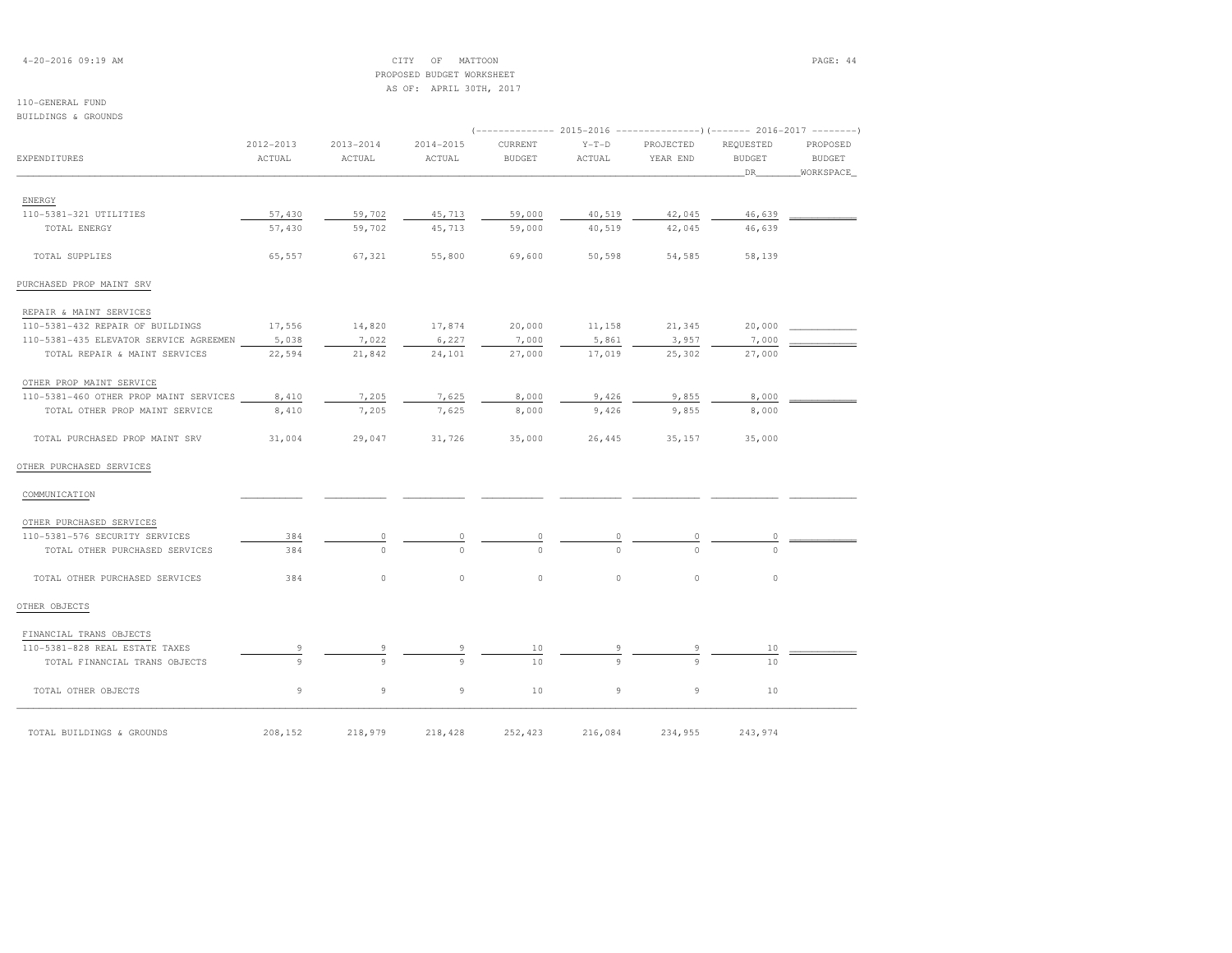| $4 - 20 - 2016$ 09:19 AM |  |  |
|--------------------------|--|--|
|--------------------------|--|--|

# CITY OF MATTOON PAGE: 44 PROPOSED BUDGET WORKSHEET

 AS OF: APRIL 30TH, 2017110-GENERAL FUND BUILDINGS & GROUNDS (-------------- 2015-2016 ---------------)(------- 2016-2017 --------) 2012-2013 2013-2014 2014-2015 CURRENT Y-T-D PROJECTED REQUESTED PROPOSED**BUDGET** EXPENDITURES ACTUAL ACTUAL ACTUAL BUDGET ACTUAL YEAR END BUDGET BUDGETWORKSPACE \_\_\_\_\_\_\_\_\_\_\_\_\_\_\_\_\_\_\_\_\_\_\_\_\_\_\_\_\_\_\_\_\_\_\_\_\_\_\_\_\_\_\_\_\_\_\_\_\_\_\_\_\_\_\_\_\_\_\_\_\_\_\_\_\_\_\_\_\_\_\_\_\_\_\_\_\_\_\_\_\_\_\_\_\_\_\_\_\_\_\_\_\_\_\_\_\_\_\_\_\_\_\_\_\_\_\_\_\_\_\_\_\_\_\_\_\_\_\_\_\_\_\_\_\_\_\_\_\_\_DR\_\_\_\_\_\_\_\_WORKSPACE\_ ENERGY 110-5381-321 UTILITIES 57,430 59,702 45,713 59,000 40,519 42,045 46,639 \_\_\_\_\_\_\_\_\_\_\_\_ TOTAL ENERGY 57,430 59,702 45,713 59,000 40,519 42,045 46,639 TOTAL SUPPLIES 65,557 67,321 55,800 69,600 50,598 54,585 58,139PURCHASED PROP MAINT SRV REPAIR & MAINT SERVICES110-5381-432 REPAIR OF BUILDINGS  $17,556$  14,820  $17,874$  20,000 11,158 21,345 20,000 2000 110-5381-435 ELEVATOR SERVICE AGREEMEN 5,038 7,022 6,227 7,000 5,861 3,957 7,000 TOTAL REPAIR & MAINT SERVICES 22,594 21,842 24,101 27,000 17,019 25,302 27,000 OTHER PROP MAINT SERVICE 110-5381-460 OTHER PROP MAINT SERVICES 8,410 7,205 7,625 8,000 9,426 9,855 8,000 \_\_\_\_\_\_\_\_\_\_\_\_ TOTAL OTHER PROP MAINT SERVICE 8,410 7,205 7,625 8,000 9,426 9,855 8,000 TOTAL PURCHASED PROP MAINT SRV 31,004 29,047 31,726 35,000 26,445 35,157 35,000OTHER PURCHASED SERVICES COMMUNICATION \_\_\_\_\_\_\_\_\_\_\_ \_\_\_\_\_\_\_\_\_\_\_ \_\_\_\_\_\_\_\_\_\_\_ \_\_\_\_\_\_\_\_\_\_\_ \_\_\_\_\_\_\_\_\_\_\_ \_\_\_\_\_\_\_\_\_\_\_\_ \_\_\_\_\_\_\_\_\_\_\_\_ \_\_\_\_\_\_\_\_\_\_\_\_ OTHER PURCHASED SERVICES 110-5381-576 SECURITY SERVICES 384 0 0 0 0 0 0 \_\_\_\_\_\_\_\_\_\_\_\_TOTAL OTHER PURCHASED SERVICES 384 TOTAL OTHER PURCHASED SERVICES 384 0 0 0 0 0 0OTHER OBJECTS FINANCIAL TRANS OBJECTS 110-5381-828 REAL ESTATE TAXES 9 9 9 10 9 9 10 \_\_\_\_\_\_\_\_\_\_\_\_ $-5381-828$  REAL ESTATE TAXES  $\frac{9}{9}$   $\frac{9}{9}$   $\frac{9}{9}$   $\frac{10}{10}$   $\frac{9}{9}$   $\frac{9}{10}$   $\frac{9}{9}$   $\frac{9}{10}$ TOTAL OTHER OBJECTS 9 9 9 10 9 9 10

\_\_\_\_\_\_\_\_\_\_\_\_\_\_\_\_\_\_\_\_\_\_\_\_\_\_\_\_\_\_\_\_\_\_\_\_\_\_\_\_\_\_\_\_\_\_\_\_\_\_\_\_\_\_\_\_\_\_\_\_\_\_\_\_\_\_\_\_\_\_\_\_\_\_\_\_\_\_\_\_\_\_\_\_\_\_\_\_\_\_\_\_\_\_\_\_\_\_\_\_\_\_\_\_\_\_\_\_\_\_\_\_\_\_\_\_\_\_\_\_\_\_\_\_\_\_\_\_\_\_\_\_\_\_\_\_\_\_\_\_\_\_\_\_\_\_\_\_\_\_ TOTAL BUILDINGS & GROUNDS 208,152 218,979 218,428 252,423 216,084 234,955 243,974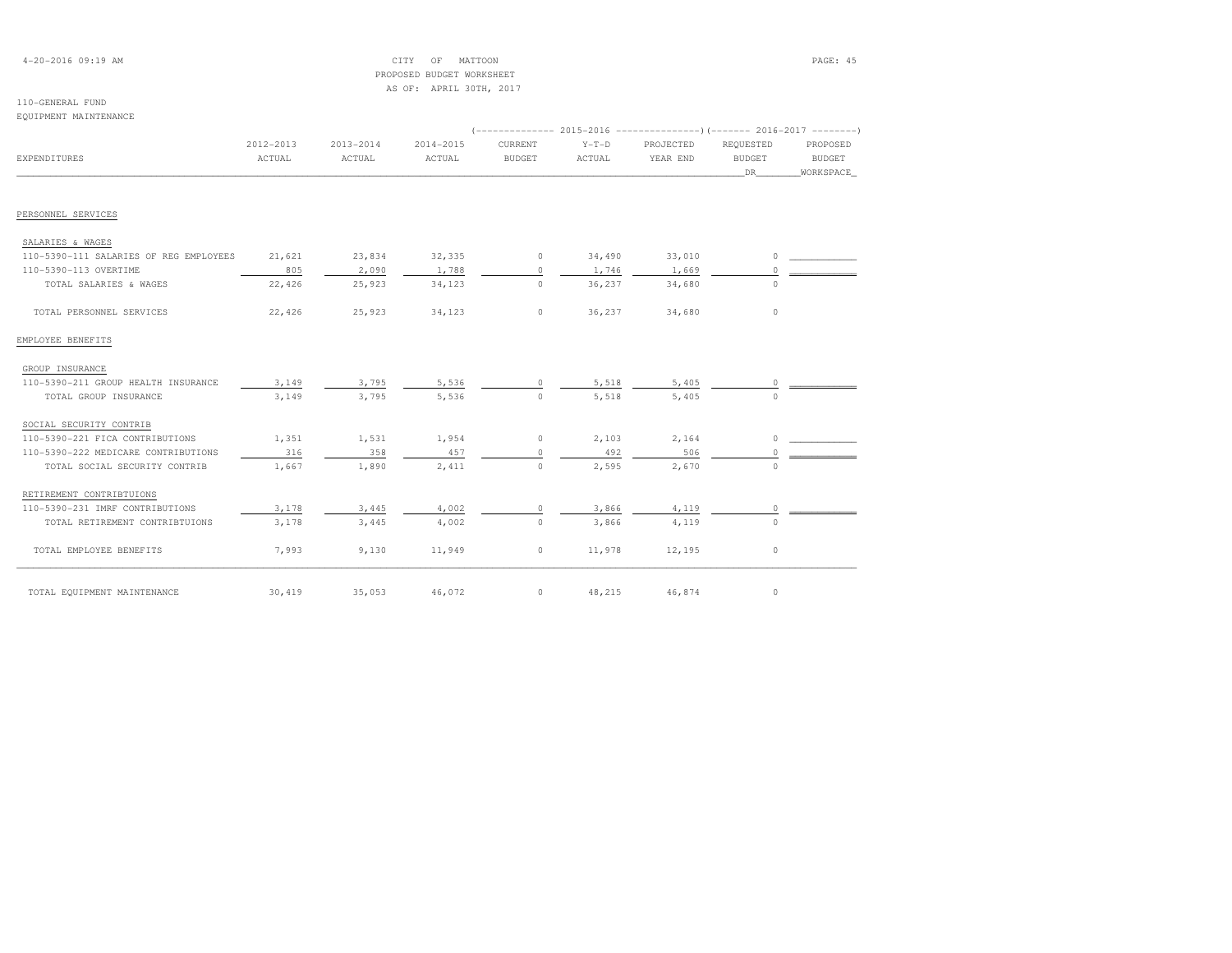# 4-20-2016 09:19 AM CITY OF MATTOON PAGE: 45PROPOSED BUDGET WORKSHEET

|                                        |           |               | AS OF: APRIL 30TH, 2017 |               |         |                                                                          |               |               |
|----------------------------------------|-----------|---------------|-------------------------|---------------|---------|--------------------------------------------------------------------------|---------------|---------------|
| 110-GENERAL FUND                       |           |               |                         |               |         |                                                                          |               |               |
| EQUIPMENT MAINTENANCE                  |           |               |                         |               |         |                                                                          |               |               |
|                                        |           |               |                         |               |         | (-------------- 2015-2016 ----------------) (------- 2016-2017 --------) |               |               |
|                                        | 2012-2013 | $2013 - 2014$ | 2014-2015               | CURRENT       | $Y-T-D$ | PROJECTED                                                                | REOUESTED     | PROPOSED      |
| <b>EXPENDITURES</b>                    | ACTUAL    | ACTUAL        | ACTUAL                  | <b>BUDGET</b> | ACTUAL  | YEAR END                                                                 | <b>BUDGET</b> | <b>BUDGET</b> |
|                                        |           |               |                         |               |         |                                                                          | DR            | WORKSPACE     |
|                                        |           |               |                         |               |         |                                                                          |               |               |
| PERSONNEL SERVICES                     |           |               |                         |               |         |                                                                          |               |               |
| SALARIES & WAGES                       |           |               |                         |               |         |                                                                          |               |               |
| 110-5390-111 SALARIES OF REG EMPLOYEES | 21,621    | 23,834        | 32,335                  | $\circ$       | 34,490  | 33,010                                                                   | $\circ$       |               |
| 110-5390-113 OVERTIME                  | 805       | 2,090         | 1,788                   | $\circ$       | 1,746   | 1,669                                                                    | $\circ$       |               |
| TOTAL SALARIES & WAGES                 | 22,426    | 25,923        | 34,123                  | $\circ$       | 36,237  | 34,680                                                                   | $\circ$       |               |
|                                        |           |               |                         |               |         |                                                                          |               |               |
| TOTAL PERSONNEL SERVICES               | 22,426    | 25,923        | 34,123                  | $\circ$       | 36,237  | 34,680                                                                   | $\circ$       |               |
| EMPLOYEE BENEFITS                      |           |               |                         |               |         |                                                                          |               |               |
| GROUP INSURANCE                        |           |               |                         |               |         |                                                                          |               |               |
| 110-5390-211 GROUP HEALTH INSURANCE    | 3,149     | 3,795         | 5,536                   | $\circ$       | 5,518   | 5,405                                                                    | 0             |               |
| TOTAL GROUP INSURANCE                  | 3,149     | 3,795         | 5,536                   | $\circ$       | 5,518   | 5,405                                                                    | 0             |               |
| SOCIAL SECURITY CONTRIB                |           |               |                         |               |         |                                                                          |               |               |
| 110-5390-221 FICA CONTRIBUTIONS        | 1,351     | 1,531         | 1,954                   | $\circ$       | 2,103   | 2,164                                                                    | $\circ$       |               |
| 110-5390-222 MEDICARE CONTRIBUTIONS    | 316       | 358           | 457                     | $\circ$       | 492     | 506                                                                      | $\circ$       |               |
| TOTAL SOCIAL SECURITY CONTRIB          | 1,667     | 1,890         | 2,411                   | $\Omega$      | 2,595   | 2,670                                                                    | $\Omega$      |               |
| RETIREMENT CONTRIBTUIONS               |           |               |                         |               |         |                                                                          |               |               |
| 110-5390-231 IMRF CONTRIBUTIONS        | 3,178     | 3,445         | 4,002                   | $\circ$       | 3,866   | 4,119                                                                    | $\circ$       |               |
| TOTAL RETIREMENT CONTRIBTUIONS         | 3,178     | 3,445         | 4,002                   | $\circ$       | 3,866   | 4,119                                                                    | $\bigcirc$    |               |
| TOTAL EMPLOYEE BENEFITS                | 7,993     | 9,130         | 11,949                  | $\circ$       | 11,978  | 12,195                                                                   | $\circ$       |               |

\_\_\_\_\_\_\_\_\_\_\_\_\_\_\_\_\_\_\_\_\_\_\_\_\_\_\_\_\_\_\_\_\_\_\_\_\_\_\_\_\_\_\_\_\_\_\_\_\_\_\_\_\_\_\_\_\_\_\_\_\_\_\_\_\_\_\_\_\_\_\_\_\_\_\_\_\_\_\_\_\_\_\_\_\_\_\_\_\_\_\_\_\_\_\_\_\_\_\_\_\_\_\_\_\_\_\_\_\_\_\_\_\_\_\_\_\_\_\_\_\_\_\_\_\_\_\_\_\_\_\_\_\_\_\_\_\_\_\_\_\_\_\_\_\_\_\_\_\_\_ TOTAL EQUIPMENT MAINTENANCE 30,419 35,053 46,072 0 48,215 46,874 0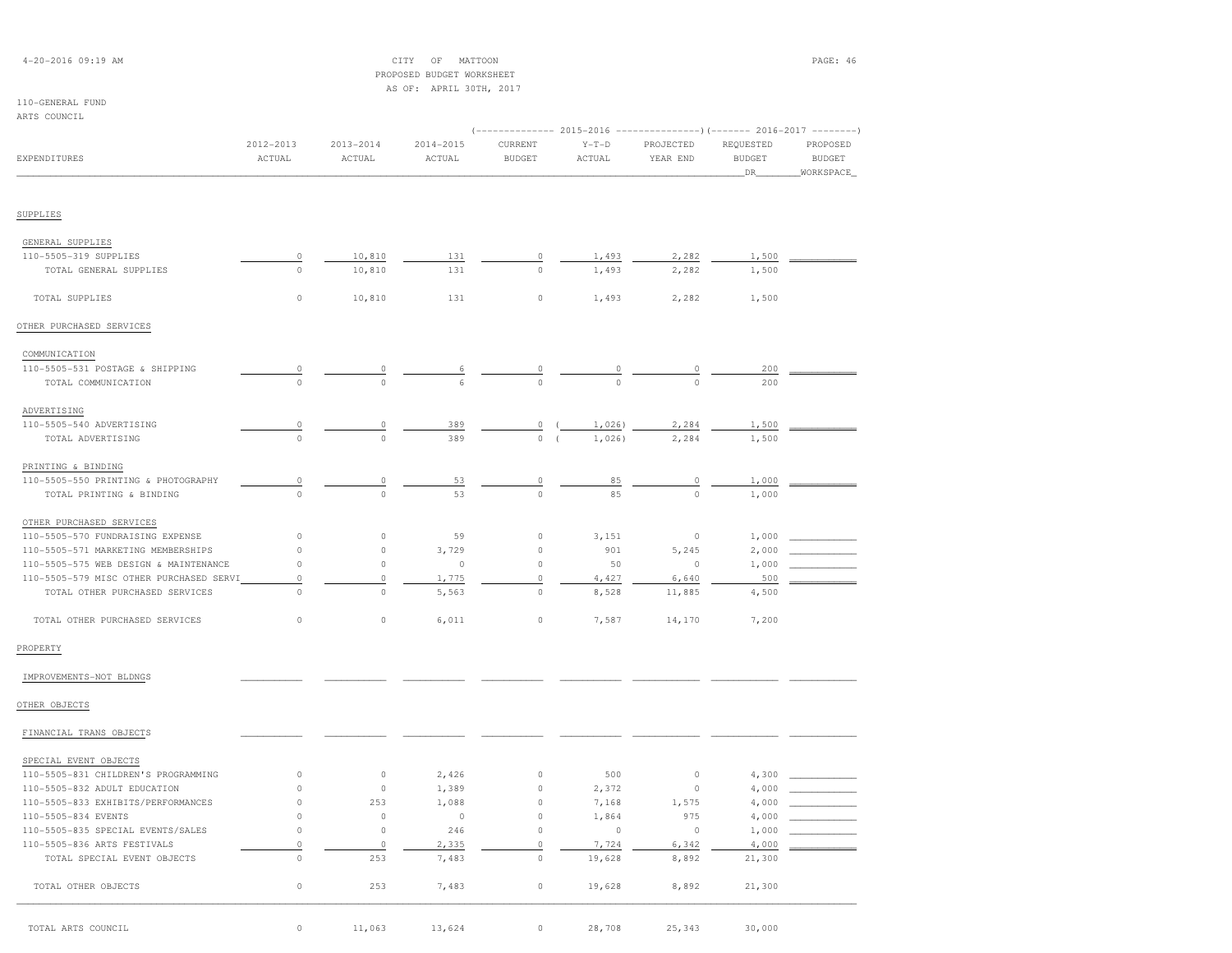| $4 - 20 - 2016$ 09:19 AM |  |  |
|--------------------------|--|--|
|--------------------------|--|--|

## CITY OF MATTOON **PAGE: 46**  PROPOSED BUDGET WORKSHEETAS OF: APRIL 30TH, 2017

## 110-GENERAL FUND

| ARTS COUNCIL                            |                         |                         |                         |                          |                                                                                             |                       |                                  |                                        |
|-----------------------------------------|-------------------------|-------------------------|-------------------------|--------------------------|---------------------------------------------------------------------------------------------|-----------------------|----------------------------------|----------------------------------------|
| <b>EXPENDITURES</b>                     | $2012 - 2013$<br>ACTUAL | $2013 - 2014$<br>ACTUAL | $2014 - 2015$<br>ACTUAL | CURRENT<br><b>BUDGET</b> | (------------- 2015-2016 ---------------) (------- 2016-2017 --------)<br>$Y-T-D$<br>ACTUAL | PROJECTED<br>YEAR END | REQUESTED<br><b>BUDGET</b><br>DR | PROPOSED<br><b>BUDGET</b><br>WORKSPACE |
|                                         |                         |                         |                         |                          |                                                                                             |                       |                                  |                                        |
| SUPPLIES                                |                         |                         |                         |                          |                                                                                             |                       |                                  |                                        |
| GENERAL SUPPLIES                        |                         |                         |                         |                          |                                                                                             |                       |                                  |                                        |
| 110-5505-319 SUPPLIES                   | 0                       | 10,810                  | 131                     | 0                        | 1,493                                                                                       | 2,282                 | 1,500                            |                                        |
| TOTAL GENERAL SUPPLIES                  | $\circ$                 | 10,810                  | 131                     | $\mathbb O$              | 1,493                                                                                       | 2,282                 | 1,500                            |                                        |
| TOTAL SUPPLIES                          | $\circ$                 | 10,810                  | 131                     | $\circ$                  | 1,493                                                                                       | 2,282                 | 1,500                            |                                        |
| OTHER PURCHASED SERVICES                |                         |                         |                         |                          |                                                                                             |                       |                                  |                                        |
| COMMUNICATION                           |                         |                         |                         |                          |                                                                                             |                       |                                  |                                        |
| 110-5505-531 POSTAGE & SHIPPING         | 0                       | 0                       | 6                       | 0                        | 0                                                                                           | 0                     | 200                              |                                        |
| TOTAL COMMUNICATION                     | $\circ$                 | $\circ$                 | 6                       | $\circ$                  | $\mathbf 0$                                                                                 | $\circ$               | 200                              |                                        |
| ADVERTISING                             |                         |                         |                         |                          |                                                                                             |                       |                                  |                                        |
| 110-5505-540 ADVERTISING                | $\circ$                 | 0                       | 389                     | $\mathbb O$              | 1,026)                                                                                      | 2,284                 | 1,500                            |                                        |
| TOTAL ADVERTISING                       | $\mathbf 0$             | $\circ$                 | 389                     | $\circ$                  | 1,026)<br>$\sqrt{ }$                                                                        | 2,284                 | 1,500                            |                                        |
| PRINTING & BINDING                      |                         |                         |                         |                          |                                                                                             |                       |                                  |                                        |
| 110-5505-550 PRINTING & PHOTOGRAPHY     | $\circ$                 | 0                       | 53                      | 0                        | 85                                                                                          | 0                     | 1,000                            |                                        |
| TOTAL PRINTING & BINDING                | $\mathbb O$             | $\mathsf{O}\xspace$     | 53                      | $\Omega$                 | 85                                                                                          | $\mathbb O$           | 1,000                            |                                        |
| OTHER PURCHASED SERVICES                |                         |                         |                         |                          |                                                                                             |                       |                                  |                                        |
| 110-5505-570 FUNDRAISING EXPENSE        | $\circ$                 | $\circ$                 | 59                      | $\mathbb O$              | 3,151                                                                                       | $\mathbb O$           | 1,000                            |                                        |
| 110-5505-571 MARKETING MEMBERSHIPS      | $\circ$                 | $\circ$                 | 3,729                   | $\circ$                  | 901                                                                                         | 5,245                 | 2,000                            |                                        |
| 110-5505-575 WEB DESIGN & MAINTENANCE   | $\circ$                 | $\circ$                 | $\Omega$                | $\circ$                  | 50                                                                                          | $\Omega$              | 1,000                            |                                        |
| 110-5505-579 MISC OTHER PURCHASED SERVI | $\circ$                 | 0                       | 1,775                   | $\circ$                  | 4,427                                                                                       | 6,640                 | 500                              |                                        |
| TOTAL OTHER PURCHASED SERVICES          | $\circ$                 | $\circ$                 | 5,563                   | $\circ$                  | 8,528                                                                                       | 11,885                | 4,500                            |                                        |
| TOTAL OTHER PURCHASED SERVICES          | $\circ$                 | $\circ$                 | 6,011                   | $\circ$                  | 7,587                                                                                       | 14,170                | 7,200                            |                                        |
| PROPERTY                                |                         |                         |                         |                          |                                                                                             |                       |                                  |                                        |
| IMPROVEMENTS-NOT BLDNGS                 |                         |                         |                         |                          |                                                                                             |                       |                                  |                                        |
| OTHER OBJECTS                           |                         |                         |                         |                          |                                                                                             |                       |                                  |                                        |
| FINANCIAL TRANS OBJECTS                 |                         |                         |                         |                          |                                                                                             |                       |                                  |                                        |
| SPECIAL EVENT OBJECTS                   |                         |                         |                         |                          |                                                                                             |                       |                                  |                                        |
| 110-5505-831 CHILDREN'S PROGRAMMING     | $\circ$                 | $\circ$                 | 2,426                   | $\circ$                  | 500                                                                                         | $\circ$               | 4,300                            |                                        |
| 110-5505-832 ADULT EDUCATION            | $\mathbb O$             | $\circ$                 | 1,389                   | 0                        | 2,372                                                                                       | $\circ$               | 4,000                            |                                        |
| 110-5505-833 EXHIBITS/PERFORMANCES      | $\circ$                 | 253                     | 1,088                   | 0                        | 7,168                                                                                       | 1,575                 | 4,000                            |                                        |
| 110-5505-834 EVENTS                     | $\circ$                 | $\circ$                 | $\circ$                 | $\mathbb O$              | 1,864                                                                                       | 975                   | 4,000                            |                                        |
| 110-5505-835 SPECIAL EVENTS/SALES       | $\mathbb O$             | $\circ$                 | 246                     | $\circ$                  | $\circ$                                                                                     | $\Omega$              | 1,000                            |                                        |
| 110-5505-836 ARTS FESTIVALS             | $\circ$                 | $\circ$                 | 2,335                   | $\mathbb O$              | 7,724                                                                                       | 6,342                 | 4,000                            |                                        |
| TOTAL SPECIAL EVENT OBJECTS             | $\circ$                 | 253                     | 7,483                   | $\mathbb O$              | 19,628                                                                                      | 8,892                 | 21,300                           |                                        |
| TOTAL OTHER OBJECTS                     | $\circ$                 | 253                     | 7,483                   | $\circ$                  | 19,628                                                                                      | 8,892                 | 21,300                           |                                        |

\_\_\_\_\_\_\_\_\_\_\_\_\_\_\_\_\_\_\_\_\_\_\_\_\_\_\_\_\_\_\_\_\_\_\_\_\_\_\_\_\_\_\_\_\_\_\_\_\_\_\_\_\_\_\_\_\_\_\_\_\_\_\_\_\_\_\_\_\_\_\_\_\_\_\_\_\_\_\_\_\_\_\_\_\_\_\_\_\_\_\_\_\_\_\_\_\_\_\_\_\_\_\_\_\_\_\_\_\_\_\_\_\_\_\_\_\_\_\_\_\_\_\_\_\_\_\_\_\_\_\_\_\_\_\_\_\_\_\_\_\_\_\_\_\_\_\_\_\_\_ TOTAL ARTS COUNCIL 0 11,063 13,624 0 28,708 25,343 30,000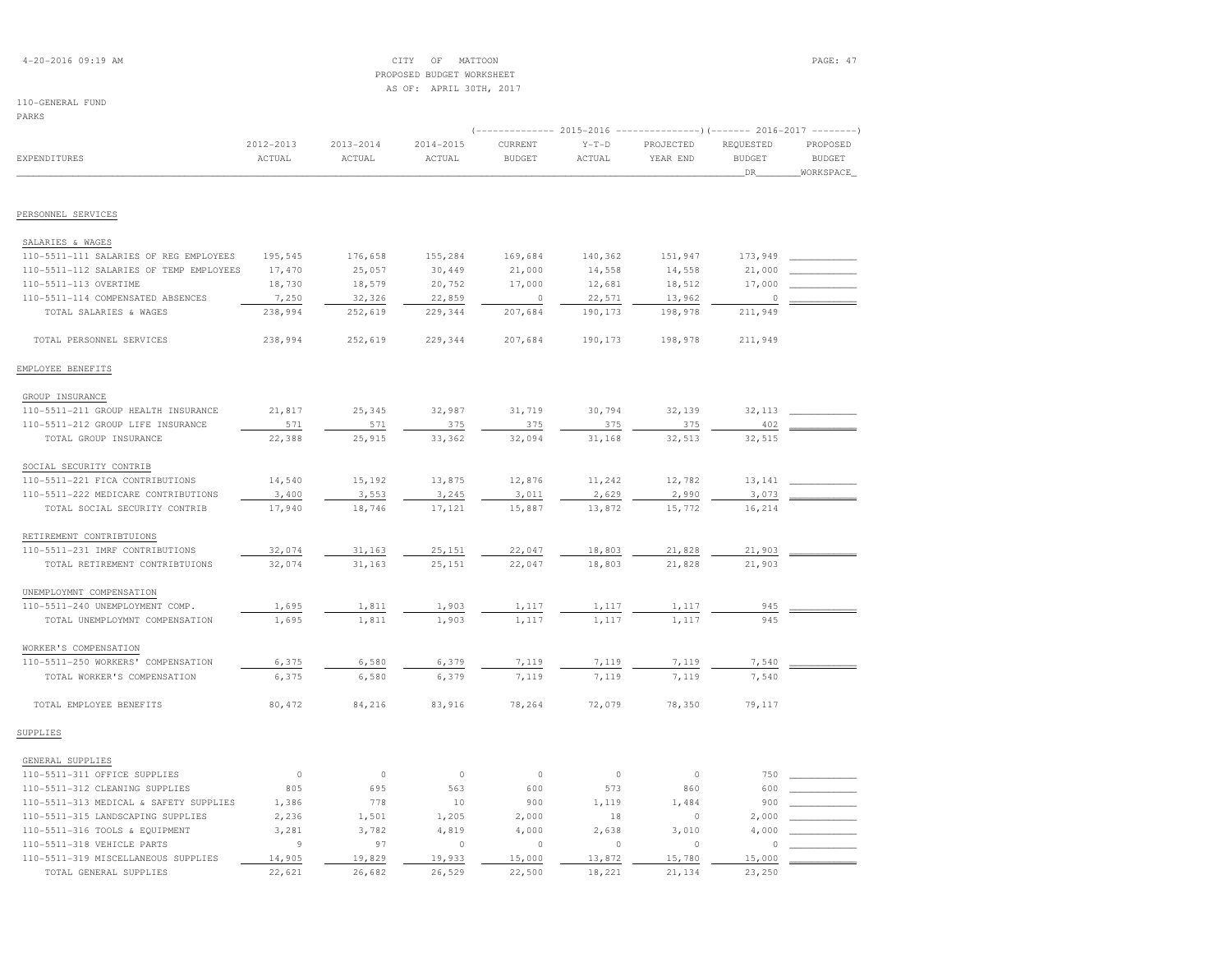| $4 - 20 - 2016$ 09:19 AM |  |  |
|--------------------------|--|--|
|--------------------------|--|--|

## $\text{CITY}$  of MATTOON  $\text{PAGE: } 47$  PROPOSED BUDGET WORKSHEETAS OF: APRIL 30TH, 2017

| PARKS                                   |                     |                         |                         |                          |                   |                                                                                            |                                   |                                        |
|-----------------------------------------|---------------------|-------------------------|-------------------------|--------------------------|-------------------|--------------------------------------------------------------------------------------------|-----------------------------------|----------------------------------------|
| EXPENDITURES                            | 2012-2013<br>ACTUAL | $2013 - 2014$<br>ACTUAL | $2014 - 2015$<br>ACTUAL | CURRENT<br><b>BUDGET</b> | $Y-T-D$<br>ACTUAL | -- 2015-2016 --------------------- (------- 2016-2017 -----------<br>PROJECTED<br>YEAR END | REQUESTED<br><b>BUDGET</b><br>DR. | PROPOSED<br><b>BUDGET</b><br>WORKSPACE |
|                                         |                     |                         |                         |                          |                   |                                                                                            |                                   |                                        |
| PERSONNEL SERVICES                      |                     |                         |                         |                          |                   |                                                                                            |                                   |                                        |
| SALARIES & WAGES                        |                     |                         |                         |                          |                   |                                                                                            |                                   |                                        |
| 110-5511-111 SALARIES OF REG EMPLOYEES  | 195,545             | 176,658                 | 155,284                 | 169,684                  | 140,362           | 151,947                                                                                    | 173,949                           |                                        |
| 110-5511-112 SALARIES OF TEMP EMPLOYEES | 17,470              | 25,057                  | 30,449                  | 21,000                   | 14,558            | 14,558                                                                                     | 21,000                            |                                        |
| 110-5511-113 OVERTIME                   | 18,730              | 18,579                  | 20,752                  | 17,000                   | 12,681            | 18,512                                                                                     | 17,000                            |                                        |
| 110-5511-114 COMPENSATED ABSENCES       | 7,250               | 32,326                  | 22,859                  | $\circ$                  | 22,571            | 13,962                                                                                     | $\circ$                           |                                        |
| TOTAL SALARIES & WAGES                  | 238,994             | 252,619                 | 229,344                 | 207,684                  | 190,173           | 198,978                                                                                    | 211,949                           |                                        |
| TOTAL PERSONNEL SERVICES                | 238,994             | 252,619                 | 229,344                 | 207,684                  | 190,173           | 198,978                                                                                    | 211,949                           |                                        |
| EMPLOYEE BENEFITS                       |                     |                         |                         |                          |                   |                                                                                            |                                   |                                        |
| GROUP INSURANCE                         |                     |                         |                         |                          |                   |                                                                                            |                                   |                                        |
| 110-5511-211 GROUP HEALTH INSURANCE     | 21,817              | 25,345                  | 32,987                  | 31,719                   | 30,794            | 32,139                                                                                     | 32, 113                           |                                        |
| 110-5511-212 GROUP LIFE INSURANCE       | 571                 | 571                     | 375                     | 375                      | 375               | 375                                                                                        | 402                               |                                        |
| TOTAL GROUP INSURANCE                   | 22,388              | 25,915                  | 33,362                  | 32,094                   | 31,168            | 32,513                                                                                     | 32,515                            |                                        |
| SOCIAL SECURITY CONTRIB                 |                     |                         |                         |                          |                   |                                                                                            |                                   |                                        |
| 110-5511-221 FICA CONTRIBUTIONS         | 14,540              | 15,192                  | 13,875                  | 12,876                   | 11,242            | 12,782                                                                                     | 13,141                            |                                        |
| 110-5511-222 MEDICARE CONTRIBUTIONS     | 3,400               | 3,553                   | 3,245                   | 3,011                    | 2,629             | 2,990                                                                                      | 3,073                             |                                        |
| TOTAL SOCIAL SECURITY CONTRIB           | 17,940              | 18,746                  | 17,121                  | 15,887                   | 13,872            | 15,772                                                                                     | 16,214                            |                                        |
| RETIREMENT CONTRIBTUIONS                |                     |                         |                         |                          |                   |                                                                                            |                                   |                                        |
| 110-5511-231 IMRF CONTRIBUTIONS         | 32,074              | 31,163                  | 25,151                  | 22,047                   | 18,803            | 21,828                                                                                     | 21,903                            |                                        |
| TOTAL RETIREMENT CONTRIBTUIONS          | 32,074              | 31,163                  | 25,151                  | 22,047                   | 18,803            | 21,828                                                                                     | 21,903                            |                                        |
| UNEMPLOYMNT COMPENSATION                |                     |                         |                         |                          |                   |                                                                                            |                                   |                                        |
| 110-5511-240 UNEMPLOYMENT COMP.         | 1,695               | 1,811                   | 1,903                   | 1,117                    | 1,117             | 1,117                                                                                      | 945                               |                                        |
| TOTAL UNEMPLOYMNT COMPENSATION          | 1,695               | 1,811                   | 1,903                   | 1,117                    | 1,117             | 1,117                                                                                      | 945                               |                                        |
| WORKER'S COMPENSATION                   |                     |                         |                         |                          |                   |                                                                                            |                                   |                                        |
| 110-5511-250 WORKERS' COMPENSATION      | 6,375               | 6,580                   | 6,379                   | 7,119                    | 7,119             | 7,119                                                                                      | 7,540                             |                                        |
| TOTAL WORKER'S COMPENSATION             | 6,375               | 6,580                   | 6,379                   | 7,119                    | 7,119             | 7,119                                                                                      | 7,540                             |                                        |
| TOTAL EMPLOYEE BENEFITS                 | 80,472              | 84,216                  | 83,916                  | 78,264                   | 72,079            | 78,350                                                                                     | 79,117                            |                                        |
| SUPPLIES                                |                     |                         |                         |                          |                   |                                                                                            |                                   |                                        |
| GENERAL SUPPLIES                        |                     |                         |                         |                          |                   |                                                                                            |                                   |                                        |
| 110-5511-311 OFFICE SUPPLIES            | $\circ$             | $\circ$                 | $\circ$                 | $\mathbb O$              | $\circ$           | $\circ$                                                                                    | 750                               |                                        |
| 110-5511-312 CLEANING SUPPLIES          | 805                 | 695                     | 563                     | 600                      | 573               | 860                                                                                        | 600                               |                                        |
| 110-5511-313 MEDICAL & SAFETY SUPPLIES  | 1,386               | 778                     | 10                      | 900                      | 1,119             | 1,484                                                                                      | 900                               |                                        |
| 110-5511-315 LANDSCAPING SUPPLIES       | 2,236               | 1,501                   | 1,205                   | 2,000                    | 18                | $\Omega$                                                                                   | 2,000                             |                                        |
| 110-5511-316 TOOLS & EQUIPMENT          | 3,281               | 3,782                   | 4,819                   | 4,000                    | 2,638             | 3,010                                                                                      | 4,000                             |                                        |
| 110-5511-318 VEHICLE PARTS              | $\overline{9}$      | 97                      | $\circ$                 | $\circ$                  | $\circ$           | $\circ$                                                                                    | $\Omega$                          |                                        |
| 110-5511-319 MISCELLANEOUS SUPPLIES     | 14,905              | 19,829                  | 19,933                  | 15,000                   | 13,872            | 15,780                                                                                     | 15,000                            |                                        |
| TOTAL GENERAL SUPPLIES                  | 22,621              | 26,682                  | 26,529                  | 22,500                   | 18,221            | 21,134                                                                                     | 23,250                            |                                        |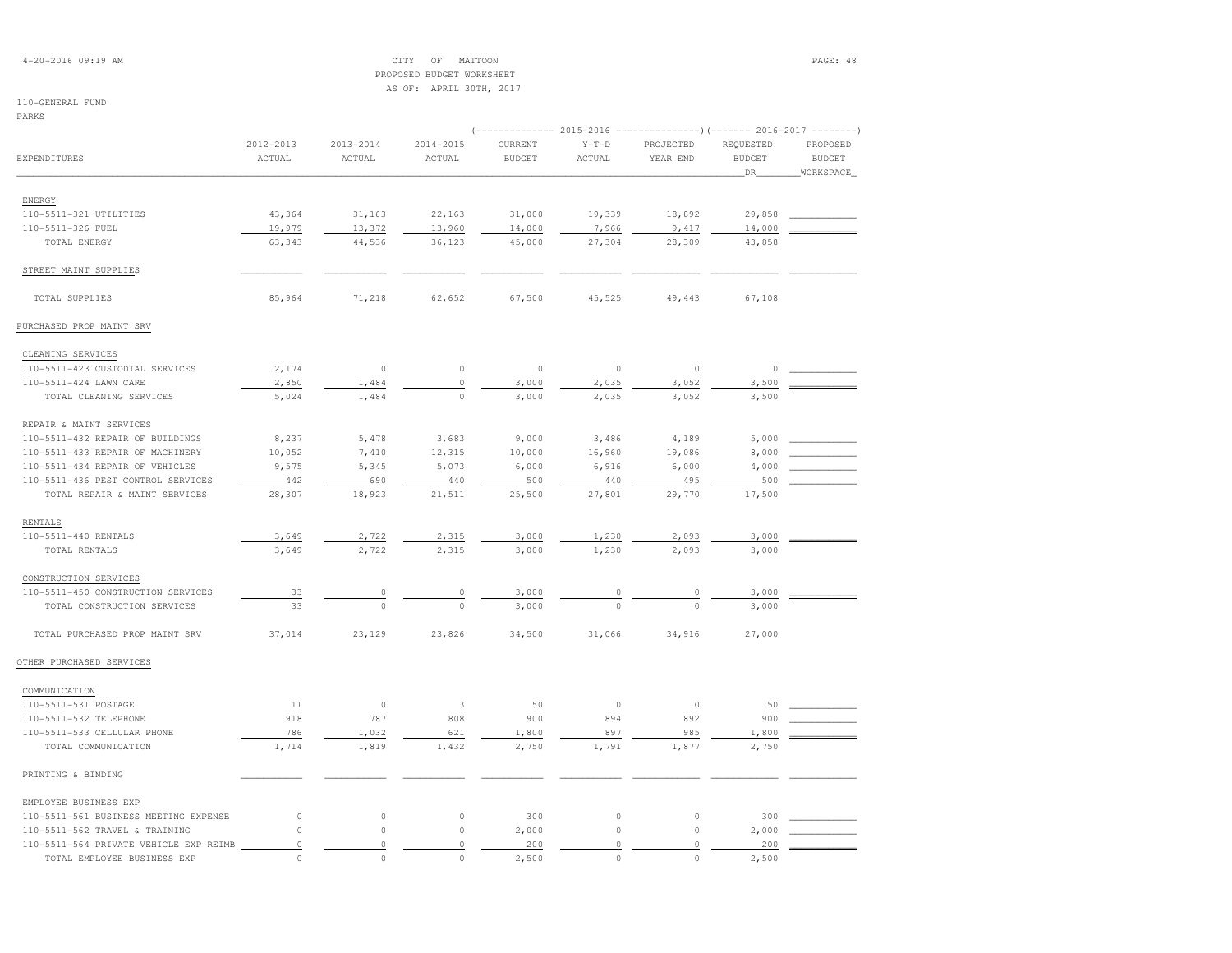## 4-20-2016 09:19 AM CITY OF MATTOON PAGE: 48 PROPOSED BUDGET WORKSHEETAS OF: APRIL 30TH, 2017

| PARKS                                  |             |             |           |               |             |                                                                                |               |               |
|----------------------------------------|-------------|-------------|-----------|---------------|-------------|--------------------------------------------------------------------------------|---------------|---------------|
|                                        | 2012-2013   | 2013-2014   | 2014-2015 | CURRENT       | $Y-T-D$     | (-------------- 2015-2016 -------------------- 2016-2017 --------<br>PROJECTED | REQUESTED     | PROPOSED      |
| EXPENDITURES                           | ACTUAL      | ACTUAL      | ACTUAL    | <b>BUDGET</b> | ACTUAL      | YEAR END                                                                       | <b>BUDGET</b> | <b>BUDGET</b> |
|                                        |             |             |           |               |             |                                                                                | DR            | WORKSPACE     |
|                                        |             |             |           |               |             |                                                                                |               |               |
| ENERGY                                 |             |             |           |               |             |                                                                                |               |               |
| 110-5511-321 UTILITIES                 | 43,364      | 31,163      | 22,163    | 31,000        | 19,339      | 18,892                                                                         | 29,858        |               |
| 110-5511-326 FUEL                      | 19,979      | 13,372      | 13,960    | 14,000        | 7,966       | 9,417                                                                          | 14,000        |               |
| TOTAL ENERGY                           | 63,343      | 44,536      | 36,123    | 45,000        | 27,304      | 28,309                                                                         | 43,858        |               |
| STREET MAINT SUPPLIES                  |             |             |           |               |             |                                                                                |               |               |
| TOTAL SUPPLIES                         | 85,964      | 71,218      | 62,652    | 67,500        | 45,525      | 49,443                                                                         | 67,108        |               |
| PURCHASED PROP MAINT SRV               |             |             |           |               |             |                                                                                |               |               |
| CLEANING SERVICES                      |             |             |           |               |             |                                                                                |               |               |
| 110-5511-423 CUSTODIAL SERVICES        | 2,174       | $\circ$     | $\circ$   | $\circ$       | $\circ$     | $\mathbb O$                                                                    | $\circ$       |               |
| 110-5511-424 LAWN CARE                 | 2,850       | 1,484       | $\circ$   | 3,000         | 2,035       | 3,052                                                                          | 3,500         |               |
| TOTAL CLEANING SERVICES                | 5,024       | 1,484       | $\circ$   | 3,000         | 2,035       | 3,052                                                                          | 3,500         |               |
| REPAIR & MAINT SERVICES                |             |             |           |               |             |                                                                                |               |               |
| 110-5511-432 REPAIR OF BUILDINGS       | 8,237       | 5,478       | 3,683     | 9,000         | 3,486       | 4,189                                                                          | 5,000         |               |
| 110-5511-433 REPAIR OF MACHINERY       | 10,052      | 7,410       | 12,315    | 10,000        | 16,960      | 19,086                                                                         | 8,000         |               |
| 110-5511-434 REPAIR OF VEHICLES        | 9,575       | 5,345       | 5,073     | 6,000         | 6,916       | 6,000                                                                          | 4,000         |               |
| 110-5511-436 PEST CONTROL SERVICES     | 442         | 690         | 440       | 500           | 440         | 495                                                                            | 500           |               |
| TOTAL REPAIR & MAINT SERVICES          | 28,307      | 18,923      | 21,511    | 25,500        | 27,801      | 29,770                                                                         | 17,500        |               |
| <b>RENTALS</b>                         |             |             |           |               |             |                                                                                |               |               |
| 110-5511-440 RENTALS                   | 3,649       | 2,722       | 2,315     | 3,000         | 1,230       | 2,093                                                                          | 3,000         |               |
| TOTAL RENTALS                          | 3,649       | 2,722       | 2,315     | 3,000         | 1,230       | 2,093                                                                          | 3,000         |               |
| CONSTRUCTION SERVICES                  |             |             |           |               |             |                                                                                |               |               |
| 110-5511-450 CONSTRUCTION SERVICES     | 33          | $\circ$     | $\circ$   | 3,000         | 0           | $\mathbb O$                                                                    | 3,000         |               |
| TOTAL CONSTRUCTION SERVICES            | 33          | $\Omega$    | $\Omega$  | 3,000         | $\Omega$    | $\Omega$                                                                       | 3,000         |               |
| TOTAL PURCHASED PROP MAINT SRV         | 37,014      | 23,129      | 23,826    | 34,500        | 31,066      | 34,916                                                                         | 27,000        |               |
| OTHER PURCHASED SERVICES               |             |             |           |               |             |                                                                                |               |               |
| COMMUNICATION                          |             |             |           |               |             |                                                                                |               |               |
| 110-5511-531 POSTAGE                   | 11          | $\circ$     | 3         | 50            | $\circ$     | $\mathbb O$                                                                    | 50            |               |
| 110-5511-532 TELEPHONE                 | 918         | 787         | 808       | 900           | 894         | 892                                                                            | 900           |               |
| 110-5511-533 CELLULAR PHONE            | 786         | 1,032       | 621       | 1,800         | 897         | 985                                                                            | 1,800         |               |
| TOTAL COMMUNICATION                    | 1,714       | 1,819       | 1,432     | 2,750         | 1,791       | 1,877                                                                          | 2,750         |               |
| PRINTING & BINDING                     |             |             |           |               |             |                                                                                |               |               |
| EMPLOYEE BUSINESS EXP                  |             |             |           |               |             |                                                                                |               |               |
| 110-5511-561 BUSINESS MEETING EXPENSE  | $\circ$     | $\circ$     | $\circ$   | 300           | $\circ$     | $\circ$                                                                        | 300           |               |
| 110-5511-562 TRAVEL & TRAINING         | $\mathbb O$ | $\circ$     | $\circ$   | 2,000         | $\mathbb O$ | $\circ$                                                                        | 2,000         |               |
| 110-5511-564 PRIVATE VEHICLE EXP REIMB | $\circ$     | $\mathbb O$ | $\circ$   | 200           | $\mathbb O$ | $\circ$                                                                        | 200           |               |
| TOTAL EMPLOYEE BUSINESS EXP            | $\Omega$    | $\Omega$    | $\circ$   | 2,500         | $\circ$     | $\Omega$                                                                       | 2,500         |               |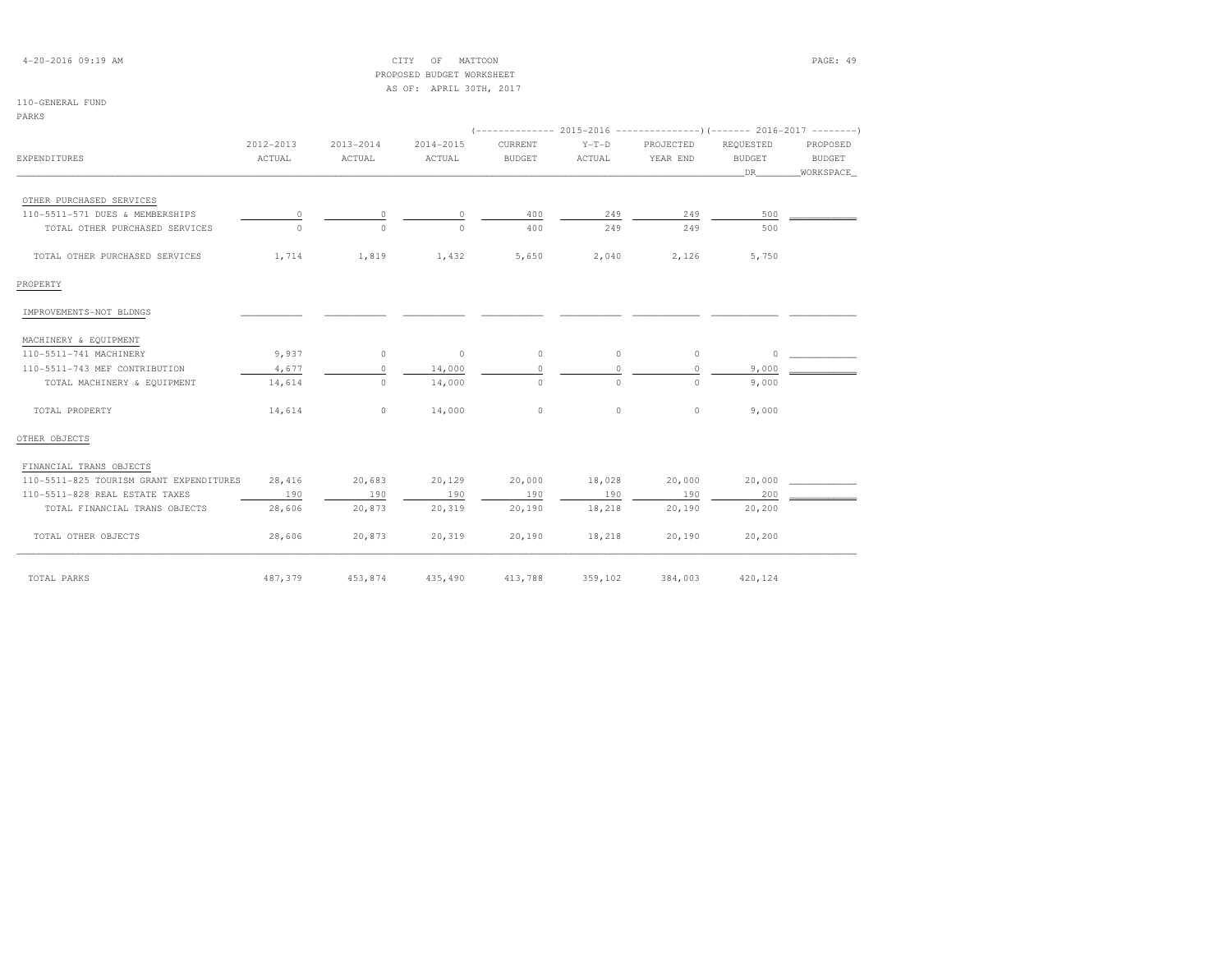| $4 - 20 - 2016$ 09:19 AM                |           |                | PAGE: 49                                             |               |          |           |               |               |
|-----------------------------------------|-----------|----------------|------------------------------------------------------|---------------|----------|-----------|---------------|---------------|
|                                         |           |                | PROPOSED BUDGET WORKSHEET<br>AS OF: APRIL 30TH, 2017 |               |          |           |               |               |
| 110-GENERAL FUND                        |           |                |                                                      |               |          |           |               |               |
| PARKS                                   |           |                |                                                      |               |          |           |               |               |
|                                         |           |                |                                                      |               |          |           |               |               |
|                                         | 2012-2013 | 2013-2014      | 2014-2015                                            | CURRENT       | $Y-T-D$  | PROJECTED | REQUESTED     | PROPOSED      |
| EXPENDITURES                            | ACTUAL    | ACTUAL         | ACTUAL                                               | <b>BUDGET</b> | ACTUAL   | YEAR END  | <b>BUDGET</b> | <b>BUDGET</b> |
|                                         |           |                |                                                      |               |          |           | DR            | WORKSPACE     |
| OTHER PURCHASED SERVICES                |           |                |                                                      |               |          |           |               |               |
| 110-5511-571 DUES & MEMBERSHIPS         | $\circ$   | $\overline{0}$ | 0                                                    | 400           | 249      | 249       | 500           |               |
| TOTAL OTHER PURCHASED SERVICES          | $\Omega$  | $\Omega$       | $\cap$                                               | 400           | 249      | 249       | 500           |               |
| TOTAL OTHER PURCHASED SERVICES          | 1,714     | 1,819          | 1,432                                                | 5,650         | 2,040    | 2,126     | 5,750         |               |
| PROPERTY                                |           |                |                                                      |               |          |           |               |               |
| IMPROVEMENTS-NOT BLDNGS                 |           |                |                                                      |               |          |           |               |               |
| MACHINERY & EQUIPMENT                   |           |                |                                                      |               |          |           |               |               |
| 110-5511-741 MACHINERY                  | 9,937     | $\circ$        | $\circ$                                              | $\circ$       | $\circ$  | $\circ$   | $\circ$       |               |
| 110-5511-743 MEF CONTRIBUTION           | 4,677     | $\circ$        | 14,000                                               | $\circ$       | $\circ$  | $\circ$   | 9,000         |               |
| TOTAL MACHINERY & EQUIPMENT             | 14,614    | $\Omega$       | 14,000                                               | $\Omega$      | $\Omega$ | $\Omega$  | 9,000         |               |
| TOTAL PROPERTY                          | 14,614    | $\circ$        | 14,000                                               | $\Omega$      | $\Omega$ | $\circ$   | 9,000         |               |
| OTHER OBJECTS                           |           |                |                                                      |               |          |           |               |               |
| FINANCIAL TRANS OBJECTS                 |           |                |                                                      |               |          |           |               |               |
| 110-5511-825 TOURISM GRANT EXPENDITURES | 28,416    | 20,683         | 20,129                                               | 20,000        | 18,028   | 20,000    | 20,000        |               |
| 110-5511-828 REAL ESTATE TAXES          | 190       | 190            | 190                                                  | 190           | 190      | 190       | 200           |               |
| TOTAL FINANCIAL TRANS OBJECTS           | 28,606    | 20,873         | 20,319                                               | 20,190        | 18,218   | 20,190    | 20,200        |               |
| TOTAL OTHER OBJECTS                     | 28,606    | 20,873         | 20,319                                               | 20,190        | 18,218   | 20,190    | 20,200        |               |
| TOTAL PARKS                             | 487,379   | 453,874        | 435,490                                              | 413,788       | 359,102  | 384,003   | 420,124       |               |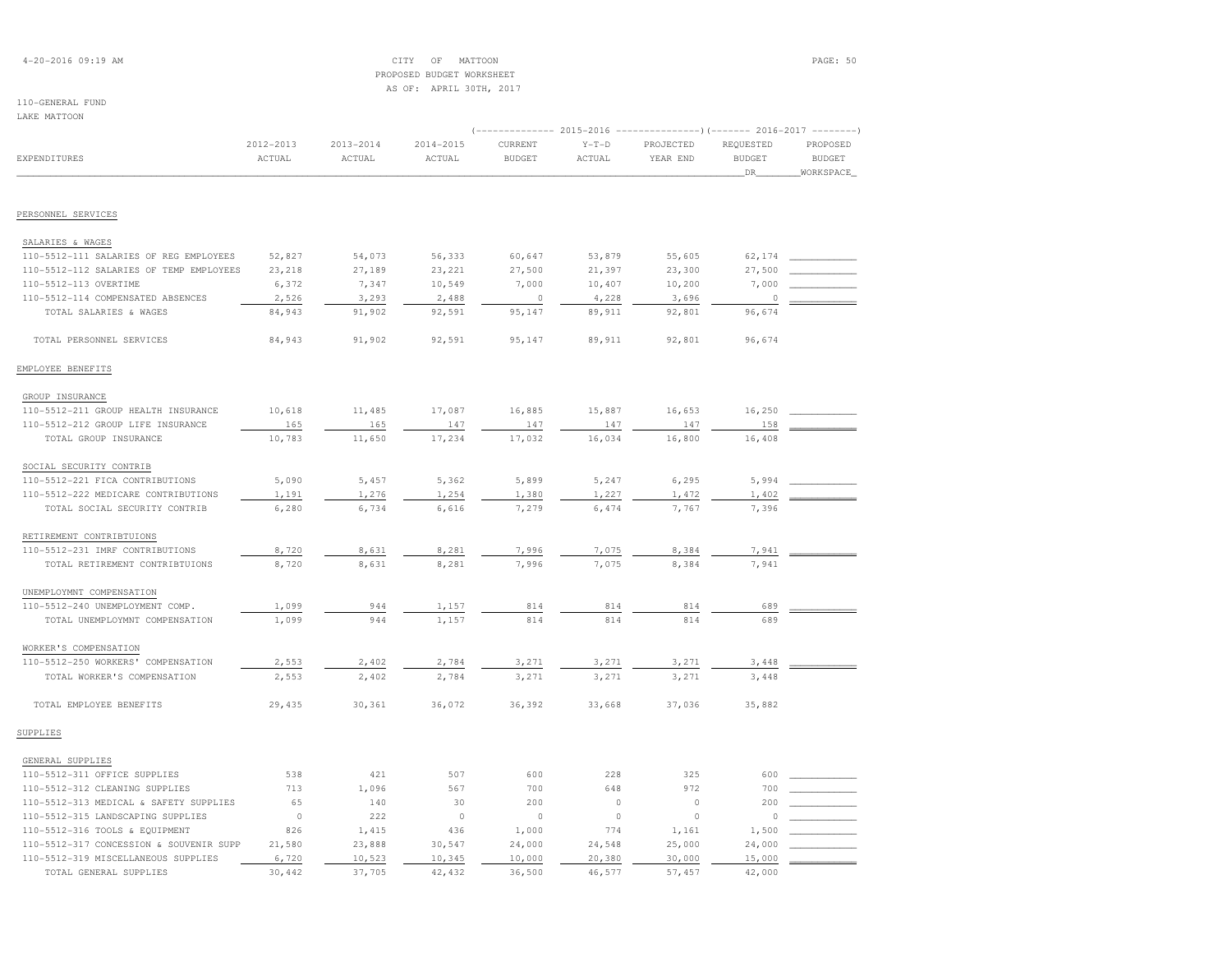## 4-20-2016 09:19 AM CITY OF MATTOON PAGE: 50 PROPOSED BUDGET WORKSHEETAS OF: APRIL 30TH, 2017

| LAKE MATTOON                            |                     |                         |                         |                          |                   |                                                                     |                                  |                                        |
|-----------------------------------------|---------------------|-------------------------|-------------------------|--------------------------|-------------------|---------------------------------------------------------------------|----------------------------------|----------------------------------------|
|                                         |                     |                         |                         |                          |                   | $(----------2015-2016$ ---------------) (------- 2016-2017 -------) |                                  |                                        |
| EXPENDITURES                            | 2012-2013<br>ACTUAL | $2013 - 2014$<br>ACTUAL | $2014 - 2015$<br>ACTUAL | CURRENT<br><b>BUDGET</b> | $Y-T-D$<br>ACTUAL | PROJECTED<br>YEAR END                                               | REQUESTED<br><b>BUDGET</b><br>DR | PROPOSED<br><b>BUDGET</b><br>WORKSPACE |
|                                         |                     |                         |                         |                          |                   |                                                                     |                                  |                                        |
| PERSONNEL SERVICES                      |                     |                         |                         |                          |                   |                                                                     |                                  |                                        |
| SALARIES & WAGES                        |                     |                         |                         |                          |                   |                                                                     |                                  |                                        |
| 110-5512-111 SALARIES OF REG EMPLOYEES  | 52,827              | 54,073                  | 56,333                  | 60,647                   | 53,879            | 55,605                                                              | 62,174                           |                                        |
| 110-5512-112 SALARIES OF TEMP EMPLOYEES | 23,218              | 27,189                  | 23,221                  | 27,500                   | 21,397            | 23,300                                                              | 27,500                           |                                        |
| 110-5512-113 OVERTIME                   | 6,372               | 7,347                   | 10,549                  | 7,000                    | 10,407            | 10,200                                                              | 7,000                            |                                        |
| 110-5512-114 COMPENSATED ABSENCES       | 2,526               | 3,293                   | 2,488                   | $\overline{0}$           | 4,228             | 3,696                                                               | $\mathbb O$                      |                                        |
| TOTAL SALARIES & WAGES                  | 84,943              | 91,902                  | 92,591                  | 95,147                   | 89,911            | 92,801                                                              | 96,674                           |                                        |
| TOTAL PERSONNEL SERVICES                | 84,943              | 91,902                  | 92,591                  | 95,147                   | 89,911            | 92,801                                                              | 96,674                           |                                        |
| EMPLOYEE BENEFITS                       |                     |                         |                         |                          |                   |                                                                     |                                  |                                        |
| GROUP INSURANCE                         |                     |                         |                         |                          |                   |                                                                     |                                  |                                        |
| 110-5512-211 GROUP HEALTH INSURANCE     | 10,618              | 11,485                  | 17,087                  | 16,885                   | 15,887            | 16,653                                                              | 16,250                           |                                        |
| 110-5512-212 GROUP LIFE INSURANCE       | 165                 | 165                     | 147                     | 147                      | 147               | 147                                                                 | 158                              |                                        |
| TOTAL GROUP INSURANCE                   | 10,783              | 11,650                  | 17,234                  | 17,032                   | 16,034            | 16,800                                                              | 16,408                           |                                        |
| SOCIAL SECURITY CONTRIB                 |                     |                         |                         |                          |                   |                                                                     |                                  |                                        |
| 110-5512-221 FICA CONTRIBUTIONS         | 5,090               | 5,457                   | 5,362                   | 5,899                    | 5,247             | 6,295                                                               | 5,994                            |                                        |
| 110-5512-222 MEDICARE CONTRIBUTIONS     | 1,191               | 1,276                   | 1,254                   | 1,380                    | 1,227             | 1,472                                                               | 1,402                            |                                        |
| TOTAL SOCIAL SECURITY CONTRIB           | 6,280               | 6,734                   | 6,616                   | 7,279                    | 6,474             | 7,767                                                               | 7,396                            |                                        |
| RETIREMENT CONTRIBTUIONS                |                     |                         |                         |                          |                   |                                                                     |                                  |                                        |
| 110-5512-231 IMRF CONTRIBUTIONS         | 8,720               | 8,631                   | 8,281                   | 7,996                    | 7,075             | 8,384                                                               | 7,941                            |                                        |
| TOTAL RETIREMENT CONTRIBTUIONS          | 8,720               | 8,631                   | 8,281                   | 7,996                    | 7,075             | 8,384                                                               | 7,941                            |                                        |
| UNEMPLOYMNT COMPENSATION                |                     |                         |                         |                          |                   |                                                                     |                                  |                                        |
| 110-5512-240 UNEMPLOYMENT COMP.         | 1,099               | 944                     | 1,157                   | 814                      | 814               | 814                                                                 | 689                              |                                        |
| TOTAL UNEMPLOYMNT COMPENSATION          | 1,099               | 944                     | 1,157                   | 814                      | 814               | 814                                                                 | 689                              |                                        |
| WORKER'S COMPENSATION                   |                     |                         |                         |                          |                   |                                                                     |                                  |                                        |
| 110-5512-250 WORKERS' COMPENSATION      | 2,553               | 2,402                   | 2,784                   | 3,271                    | 3,271             | 3,271                                                               | 3,448                            |                                        |
| TOTAL WORKER'S COMPENSATION             | 2,553               | 2,402                   | 2,784                   | 3,271                    | 3,271             | 3,271                                                               | 3,448                            |                                        |
| TOTAL EMPLOYEE BENEFITS                 | 29,435              | 30,361                  | 36,072                  | 36,392                   | 33,668            | 37,036                                                              | 35,882                           |                                        |
| SUPPLIES                                |                     |                         |                         |                          |                   |                                                                     |                                  |                                        |
| GENERAL SUPPLIES                        |                     |                         |                         |                          |                   |                                                                     |                                  |                                        |
| 110-5512-311 OFFICE SUPPLIES            | 538                 | 421                     | 507                     | 600                      | 228               | 325                                                                 | 600                              |                                        |
| 110-5512-312 CLEANING SUPPLIES          | 713                 | 1,096                   | 567                     | 700                      | 648               | 972                                                                 | 700                              |                                        |
| 110-5512-313 MEDICAL & SAFETY SUPPLIES  | 65                  | 140                     | 30                      | 200                      | $\mathbb O$       | $\circ$                                                             | 200                              |                                        |
| 110-5512-315 LANDSCAPING SUPPLIES       | $\circ$             | 222                     | $\circ$                 | $\circ$                  | $\mathbb O$       | $\Omega$                                                            | $\circ$                          |                                        |
| 110-5512-316 TOOLS & EQUIPMENT          | 826                 | 1,415                   | 436                     | 1,000                    | 774               | 1,161                                                               | 1,500                            |                                        |
| 110-5512-317 CONCESSION & SOUVENIR SUPP | 21,580              | 23,888                  | 30,547                  | 24,000                   | 24,548            | 25,000                                                              | 24,000                           |                                        |
| 110-5512-319 MISCELLANEOUS SUPPLIES     | 6,720               | 10,523                  | 10,345                  | 10,000                   | 20,380            | 30,000                                                              | 15,000                           |                                        |
| TOTAL GENERAL SUPPLIES                  | 30,442              | 37,705                  | 42,432                  | 36,500                   | 46,577            | 57,457                                                              | 42,000                           |                                        |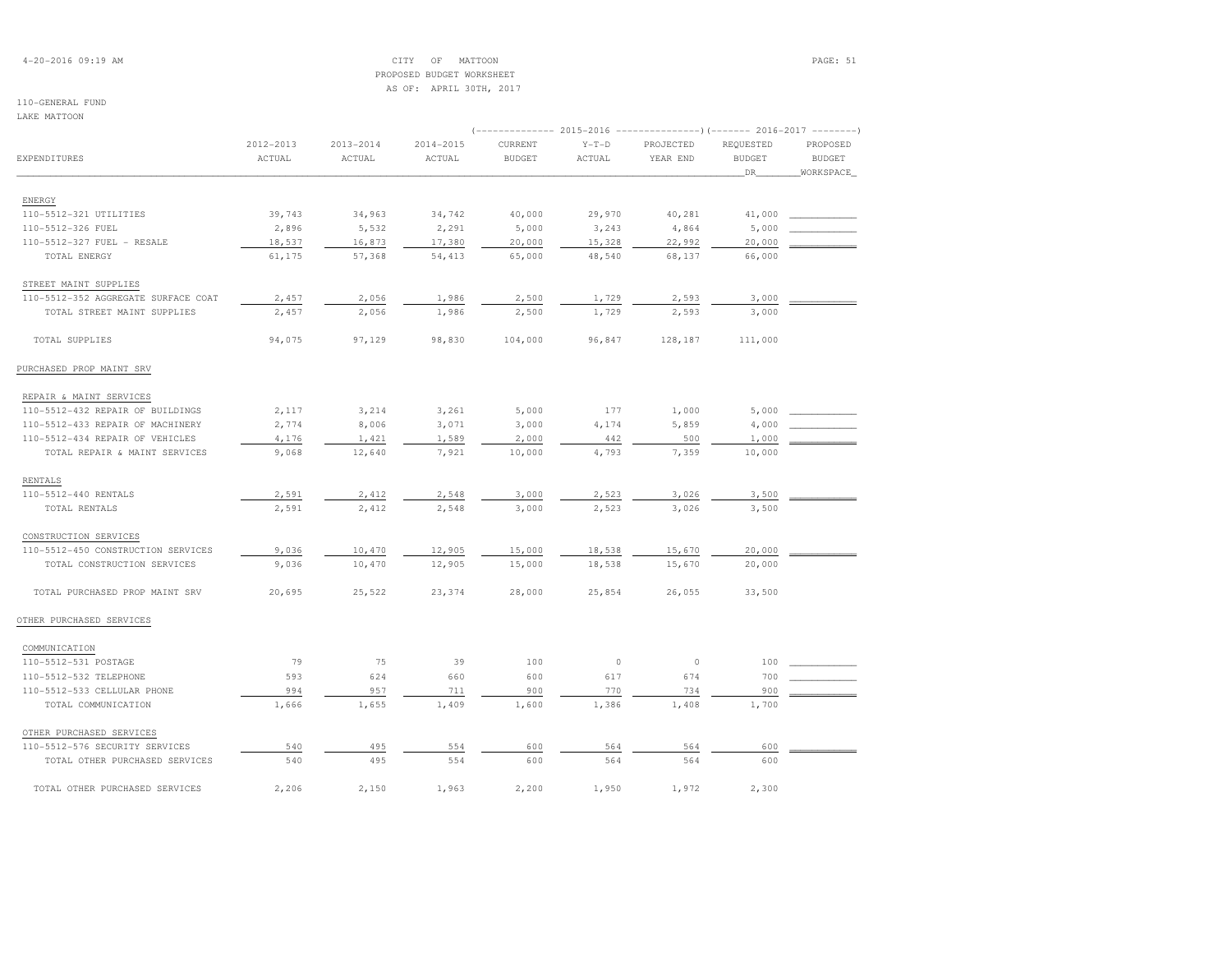## 4-20-2016 09:19 AM CITY OF MATTOON PAGE: 51 PROPOSED BUDGET WORKSHEETAS OF: APRIL 30TH, 2017

## 110-GENERAL FUND

LAKE MATTOON

| LANE MAIIUUN                                |                     |                         |                     |                                                                                                     |                   |                       |                                  |                                        |
|---------------------------------------------|---------------------|-------------------------|---------------------|-----------------------------------------------------------------------------------------------------|-------------------|-----------------------|----------------------------------|----------------------------------------|
| EXPENDITURES                                | 2012-2013<br>ACTUAL | $2013 - 2014$<br>ACTUAL | 2014-2015<br>ACTUAL | (------------- 2015-2016 ----------------) (------- 2016-2017 --------)<br>CURRENT<br><b>BUDGET</b> | $Y-T-D$<br>ACTUAL | PROJECTED<br>YEAR END | REQUESTED<br><b>BUDGET</b><br>DR | PROPOSED<br><b>BUDGET</b><br>WORKSPACE |
|                                             |                     |                         |                     |                                                                                                     |                   |                       |                                  |                                        |
| ENERGY                                      |                     |                         |                     |                                                                                                     |                   |                       |                                  |                                        |
| 110-5512-321 UTILITIES<br>110-5512-326 FUEL | 39,743<br>2,896     | 34,963<br>5,532         | 34,742<br>2,291     | 40,000                                                                                              | 29,970<br>3,243   | 40,281                | 41,000<br>5,000                  |                                        |
| 110-5512-327 FUEL - RESALE                  |                     | 16,873                  | 17,380              | 5,000<br>20,000                                                                                     |                   | 4,864<br>22,992       | 20,000                           |                                        |
| TOTAL ENERGY                                | 18,537<br>61,175    | 57,368                  | 54,413              | 65,000                                                                                              | 15,328<br>48,540  | 68,137                | 66,000                           |                                        |
| STREET MAINT SUPPLIES                       |                     |                         |                     |                                                                                                     |                   |                       |                                  |                                        |
| 110-5512-352 AGGREGATE SURFACE COAT         | 2,457               | 2,056                   | 1,986               | 2,500                                                                                               | 1,729             | 2,593                 | 3,000                            |                                        |
| TOTAL STREET MAINT SUPPLIES                 | 2,457               | 2,056                   | 1,986               | 2,500                                                                                               | 1,729             | 2,593                 | 3,000                            |                                        |
| TOTAL SUPPLIES                              | 94,075              | 97,129                  | 98,830              | 104,000                                                                                             | 96,847            | 128,187               | 111,000                          |                                        |
| PURCHASED PROP MAINT SRV                    |                     |                         |                     |                                                                                                     |                   |                       |                                  |                                        |
| REPAIR & MAINT SERVICES                     |                     |                         |                     |                                                                                                     |                   |                       |                                  |                                        |
| 110-5512-432 REPAIR OF BUILDINGS            | 2,117               | 3,214                   | 3,261               | 5,000                                                                                               | 177               | 1,000                 | 5,000                            |                                        |
| 110-5512-433 REPAIR OF MACHINERY            | 2,774               | 8,006                   | 3,071               | 3,000                                                                                               | 4,174             | 5,859                 | 4,000                            |                                        |
| 110-5512-434 REPAIR OF VEHICLES             | 4,176               | 1,421                   | 1,589               | 2,000                                                                                               | 442               | 500                   | 1,000                            |                                        |
| TOTAL REPAIR & MAINT SERVICES               | 9,068               | 12,640                  | 7,921               | 10,000                                                                                              | 4,793             | 7,359                 | 10,000                           |                                        |
| RENTALS                                     |                     |                         |                     |                                                                                                     |                   |                       |                                  |                                        |
| 110-5512-440 RENTALS                        | 2,591               | 2,412                   | 2,548               | 3,000                                                                                               | 2,523             | 3,026                 | 3,500                            |                                        |
| TOTAL RENTALS                               | 2,591               | 2,412                   | 2,548               | 3,000                                                                                               | 2,523             | 3,026                 | 3,500                            |                                        |
| CONSTRUCTION SERVICES                       |                     |                         |                     |                                                                                                     |                   |                       |                                  |                                        |
| 110-5512-450 CONSTRUCTION SERVICES          | 9,036               | 10,470                  | 12,905              | 15,000                                                                                              | 18,538            | 15,670                | 20,000                           |                                        |
| TOTAL CONSTRUCTION SERVICES                 | 9,036               | 10,470                  | 12,905              | 15,000                                                                                              | 18,538            | 15,670                | 20,000                           |                                        |
| TOTAL PURCHASED PROP MAINT SRV              | 20,695              | 25,522                  | 23,374              | 28,000                                                                                              | 25,854            | 26,055                | 33,500                           |                                        |
| OTHER PURCHASED SERVICES                    |                     |                         |                     |                                                                                                     |                   |                       |                                  |                                        |
| COMMUNICATION                               |                     |                         |                     |                                                                                                     |                   |                       |                                  |                                        |
| 110-5512-531 POSTAGE                        | 79                  | 75                      | 39                  | 100                                                                                                 | $\circ$           | $\circ$               | 100                              |                                        |
| 110-5512-532 TELEPHONE                      | 593                 | 624                     | 660                 | 600                                                                                                 | 617               | 674                   | 700                              |                                        |
| 110-5512-533 CELLULAR PHONE                 | 994                 | 957                     | 711                 | 900                                                                                                 | 770               | 734                   | 900                              |                                        |
| TOTAL COMMUNICATION                         | 1,666               | 1,655                   | 1,409               | 1,600                                                                                               | 1,386             | 1,408                 | 1,700                            |                                        |
| OTHER PURCHASED SERVICES                    |                     |                         |                     |                                                                                                     |                   |                       |                                  |                                        |
| 110-5512-576 SECURITY SERVICES              | 540                 | 495                     | 554                 | 600                                                                                                 | 564               | 564                   | 600                              |                                        |
| TOTAL OTHER PURCHASED SERVICES              | 540                 | 495                     | 554                 | 600                                                                                                 | 564               | 564                   | 600                              |                                        |
| TOTAL OTHER PURCHASED SERVICES              | 2,206               | 2,150                   | 1,963               | 2,200                                                                                               | 1,950             | 1,972                 | 2,300                            |                                        |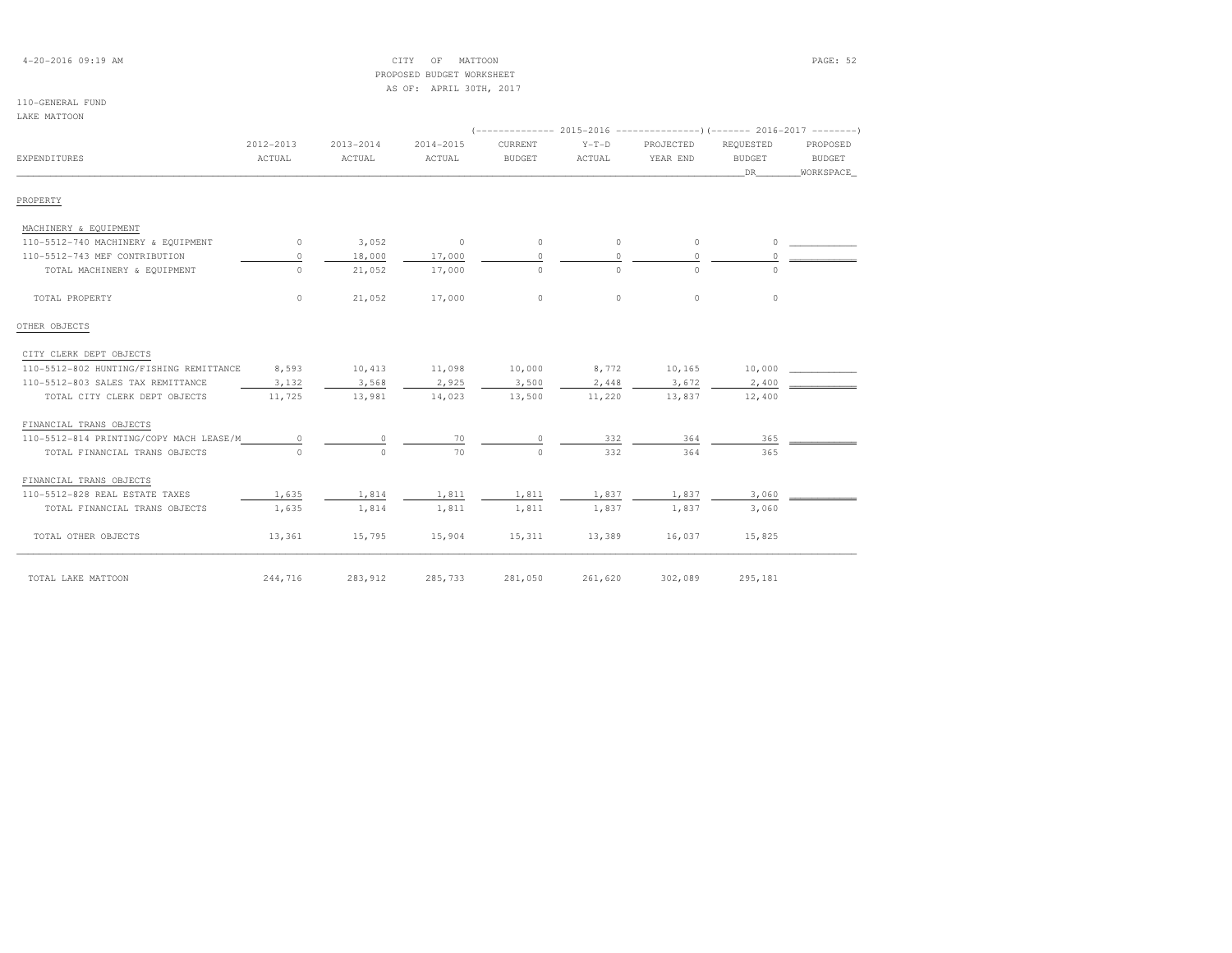## 4-20-2016 09:19 AM CITY OF MATTOON PAGE: 52 PROPOSED BUDGET WORKSHEETAS OF: APRIL 30TH, 2017

| LAKE MATTOON |
|--------------|
|--------------|

| EXPENDITURES                            | 2012-2013<br>ACTUAL | $2013 - 2014$<br>ACTUAL | 2014-2015<br>ACTUAL | CURRENT<br>BUDGET | $Y-T-D$<br>ACTUAL | PROJECTED<br>YEAR END | REQUESTED<br><b>BUDGET</b><br>DR. | PROPOSED<br>BUDGET<br>WORKSPACE |
|-----------------------------------------|---------------------|-------------------------|---------------------|-------------------|-------------------|-----------------------|-----------------------------------|---------------------------------|
| PROPERTY                                |                     |                         |                     |                   |                   |                       |                                   |                                 |
| MACHINERY & EQUIPMENT                   |                     |                         |                     |                   |                   |                       |                                   |                                 |
| 110-5512-740 MACHINERY & EQUIPMENT      | $\circ$             | 3,052                   | $\circ$             | $\circ$           | $\circ$           | $\circ$               | $\circ$                           |                                 |
| 110-5512-743 MEF CONTRIBUTION           | $\circ$             | 18,000                  | 17,000              | $\Omega$          | $\circ$           | $\circ$               | $\Omega$                          |                                 |
| TOTAL MACHINERY & EQUIPMENT             | $\circ$             | 21,052                  | 17,000              | $\Omega$          | $\circ$           | $\Omega$              | $\Omega$                          |                                 |
| TOTAL PROPERTY                          | $\circ$             | 21,052                  | 17,000              | $\circ$           | $\Omega$          | $\Omega$              | $\circ$                           |                                 |
| OTHER OBJECTS                           |                     |                         |                     |                   |                   |                       |                                   |                                 |
| CITY CLERK DEPT OBJECTS                 |                     |                         |                     |                   |                   |                       |                                   |                                 |
| 110-5512-802 HUNTING/FISHING REMITTANCE | 8,593               | 10,413                  | 11,098              | 10,000            | 8,772             | 10,165                | 10,000                            |                                 |
| 110-5512-803 SALES TAX REMITTANCE       | 3,132               | 3,568                   | 2,925               | 3,500             | 2,448             | 3,672                 | 2,400                             |                                 |
| TOTAL CITY CLERK DEPT OBJECTS           | 11,725              | 13,981                  | 14,023              | 13,500            | 11,220            | 13,837                | 12,400                            |                                 |
| FINANCIAL TRANS OBJECTS                 |                     |                         |                     |                   |                   |                       |                                   |                                 |
| 110-5512-814 PRINTING/COPY MACH LEASE/M | $\circ$             | $\circ$                 | 70                  | $\Omega$          | 332               | 364                   | 365                               |                                 |
| TOTAL FINANCIAL TRANS OBJECTS           | $\Omega$            | $\Omega$                | 70                  | $\Omega$          | 332               | 364                   | 365                               |                                 |
| FINANCIAL TRANS OBJECTS                 |                     |                         |                     |                   |                   |                       |                                   |                                 |
| 110-5512-828 REAL ESTATE TAXES          | 1,635               | 1,814                   | 1,811               | 1,811             | 1,837             | 1,837                 | 3,060                             |                                 |
| TOTAL FINANCIAL TRANS OBJECTS           | 1,635               | 1,814                   | 1,811               | 1,811             | 1,837             | 1,837                 | 3,060                             |                                 |
| TOTAL OTHER OBJECTS                     | 13,361              | 15,795                  | 15,904              | 15,311            | 13,389            | 16,037                | 15,825                            |                                 |
| TOTAL LAKE MATTOON                      | 244,716             | 283,912                 | 285,733             | 281,050           | 261,620           | 302,089               | 295,181                           |                                 |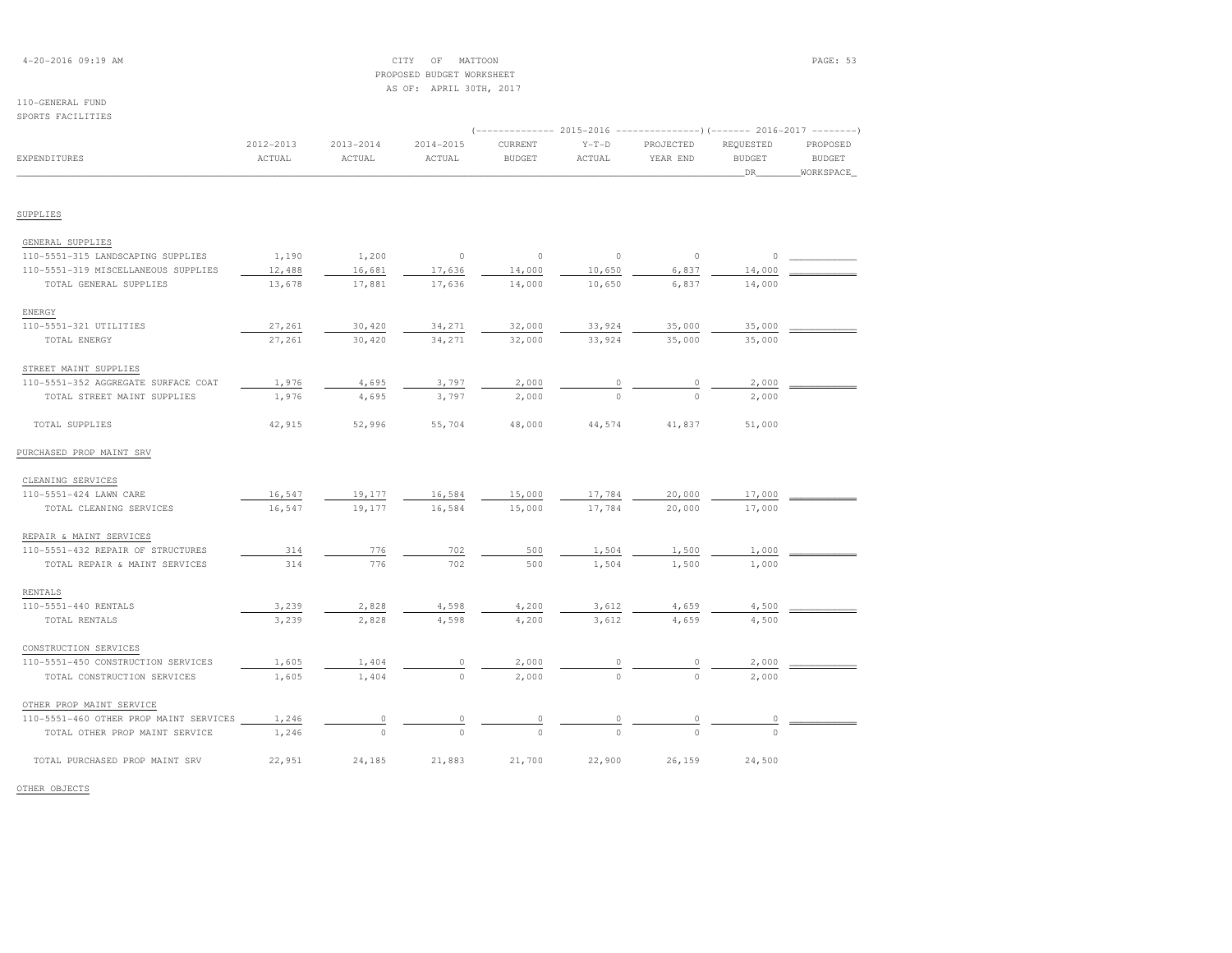## 4-20-2016 09:19 AM CITY OF MATTOON PAGE: 53 PROPOSED BUDGET WORKSHEETAS OF: APRIL 30TH, 2017

# 110-GENERAL FUND

| SPORTS FACILITIES                      |           |               |           |                                                                       |          |           |               |               |
|----------------------------------------|-----------|---------------|-----------|-----------------------------------------------------------------------|----------|-----------|---------------|---------------|
|                                        |           |               |           | (-------------- 2015-2016 ---------------------- 2016-2017 ---------- |          |           |               |               |
|                                        | 2012-2013 | $2013 - 2014$ | 2014-2015 | CURRENT                                                               | $Y-T-D$  | PROJECTED | REQUESTED     | PROPOSED      |
| <b>EXPENDITURES</b>                    | ACTUAL    | ACTUAL        | ACTUAL    | <b>BUDGET</b>                                                         | ACTUAL   | YEAR END  | <b>BUDGET</b> | <b>BUDGET</b> |
|                                        |           |               |           |                                                                       |          |           | DR            | WORKSPACE     |
| SUPPLIES                               |           |               |           |                                                                       |          |           |               |               |
| GENERAL SUPPLIES                       |           |               |           |                                                                       |          |           |               |               |
| 110-5551-315 LANDSCAPING SUPPLIES      | 1,190     | 1,200         | $\circ$   | $\circ$                                                               | $\circ$  | $\circ$   | 0             |               |
| 110-5551-319 MISCELLANEOUS SUPPLIES    | 12,488    | 16,681        | 17,636    | 14,000                                                                | 10,650   | 6,837     | 14,000        |               |
| TOTAL GENERAL SUPPLIES                 | 13,678    | 17,881        | 17,636    | 14,000                                                                | 10,650   | 6,837     | 14,000        |               |
| ENERGY                                 |           |               |           |                                                                       |          |           |               |               |
| 110-5551-321 UTILITIES                 | 27,261    | 30,420        | 34,271    | 32,000                                                                | 33,924   | 35,000    | 35,000        |               |
| TOTAL ENERGY                           | 27,261    | 30,420        | 34,271    | 32,000                                                                | 33,924   | 35,000    | 35,000        |               |
| STREET MAINT SUPPLIES                  |           |               |           |                                                                       |          |           |               |               |
| 110-5551-352 AGGREGATE SURFACE COAT    | 1,976     | 4,695         | 3,797     | 2,000                                                                 | $\circ$  | 0         | 2,000         |               |
| TOTAL STREET MAINT SUPPLIES            | 1,976     | 4,695         | 3,797     | 2,000                                                                 | $\circ$  | $\Omega$  | 2,000         |               |
| TOTAL SUPPLIES                         | 42,915    | 52,996        | 55,704    | 48,000                                                                | 44,574   | 41,837    | 51,000        |               |
| PURCHASED PROP MAINT SRV               |           |               |           |                                                                       |          |           |               |               |
| CLEANING SERVICES                      |           |               |           |                                                                       |          |           |               |               |
| 110-5551-424 LAWN CARE                 | 16,547    | 19,177        | 16,584    | 15,000                                                                | 17,784   | 20,000    | 17,000        |               |
| TOTAL CLEANING SERVICES                | 16,547    | 19,177        | 16,584    | 15,000                                                                | 17,784   | 20,000    | 17,000        |               |
| REPAIR & MAINT SERVICES                |           |               |           |                                                                       |          |           |               |               |
| 110-5551-432 REPAIR OF STRUCTURES      | 314       | 776           | 702       | 500                                                                   | 1,504    | 1,500     | 1,000         |               |
| TOTAL REPAIR & MAINT SERVICES          | 314       | 776           | 702       | 500                                                                   | 1,504    | 1,500     | 1,000         |               |
| RENTALS                                |           |               |           |                                                                       |          |           |               |               |
| 110-5551-440 RENTALS                   | 3,239     | 2,828         | 4,598     | 4,200                                                                 | 3,612    | 4,659     | 4,500         |               |
| TOTAL RENTALS                          | 3,239     | 2,828         | 4,598     | 4,200                                                                 | 3,612    | 4,659     | 4,500         |               |
| CONSTRUCTION SERVICES                  |           |               |           |                                                                       |          |           |               |               |
| 110-5551-450 CONSTRUCTION SERVICES     | 1,605     | 1,404         | 0         | 2,000                                                                 |          |           | 2,000         |               |
| TOTAL CONSTRUCTION SERVICES            | 1,605     | 1,404         | $\circ$   | 2,000                                                                 |          |           | 2,000         |               |
| OTHER PROP MAINT SERVICE               |           |               |           |                                                                       |          |           |               |               |
| 110-5551-460 OTHER PROP MAINT SERVICES | 1,246     | 0             | 0         | 0                                                                     | $\circ$  | 0         | 0             |               |
| TOTAL OTHER PROP MAINT SERVICE         | 1,246     | $\Omega$      | $\Omega$  | $\Omega$                                                              | $\Omega$ | $\Omega$  | $\Omega$      |               |
| TOTAL PURCHASED PROP MAINT SRV         | 22,951    | 24,185        | 21,883    | 21,700                                                                | 22,900   | 26,159    | 24,500        |               |

OTHER OBJECTS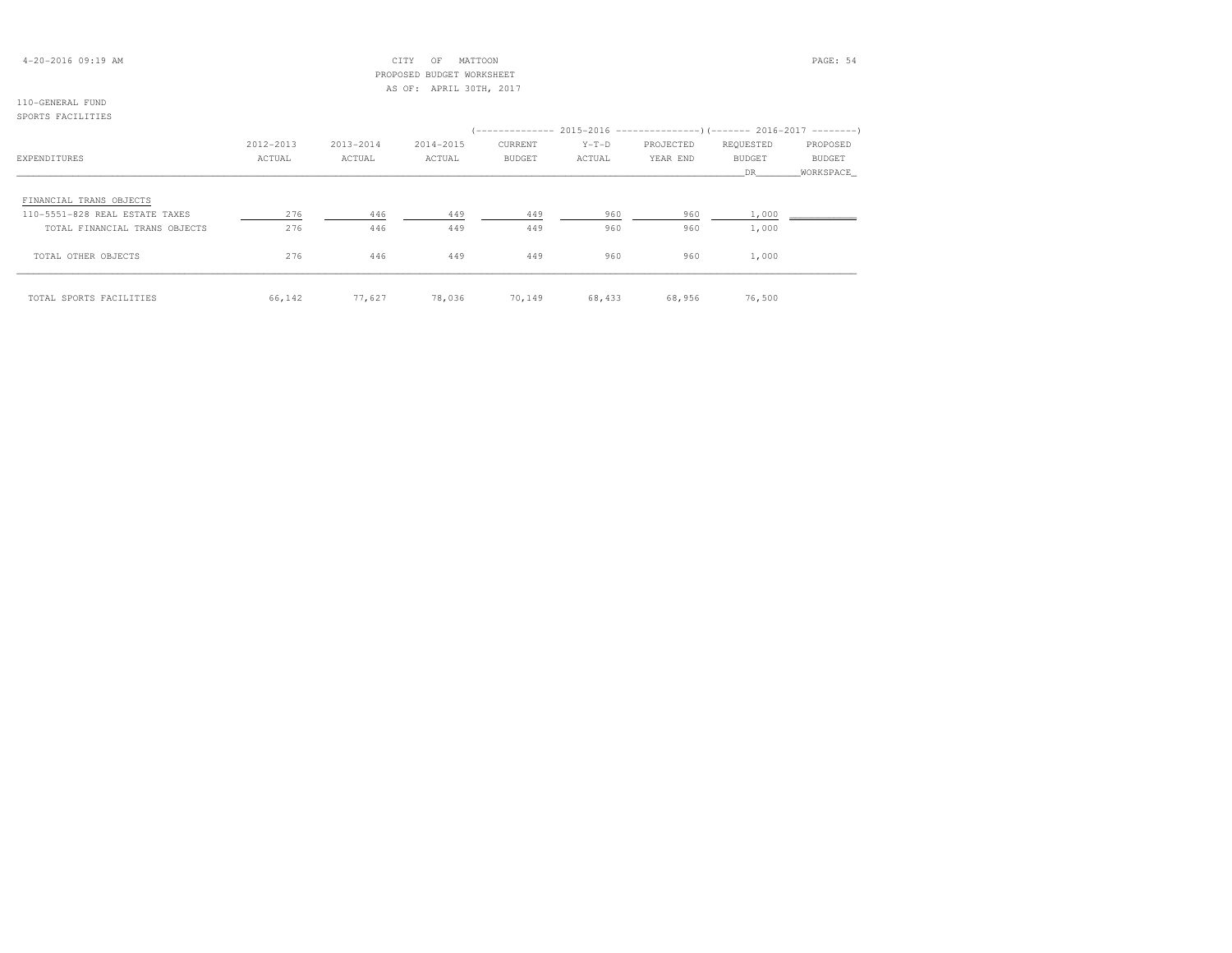## 4-20-2016 09:19 AM CITY OF MATTOON PAGE: 54 PROPOSED BUDGET WORKSHEETAS OF: APRIL 30TH, 2017

# 110-GENERAL FUND

# SPORTS FACILITIES (-------------- 2015-2016 ---------------)(------- 2016-2017 --------) 2012-2013 2013-2014 2014-2015 CURRENT Y-T-D PROJECTED REQUESTED PROPOSED**BUDGET** EXPENDITURES ACTUAL ACTUAL ACTUAL BUDGET ACTUAL YEAR END BUDGET BUDGET \_\_\_\_\_\_\_\_\_\_\_\_\_\_\_\_\_\_\_\_\_\_\_\_\_\_\_\_\_\_\_\_\_\_\_\_\_\_\_\_\_\_\_\_\_\_\_\_\_\_\_\_\_\_\_\_\_\_\_\_\_\_\_\_\_\_\_\_\_\_\_\_\_\_\_\_\_\_\_\_\_\_\_\_\_\_\_\_\_\_\_\_\_\_\_\_\_\_\_\_\_\_\_\_\_\_\_\_\_\_\_\_\_\_\_\_\_\_\_\_\_\_\_\_\_\_\_\_\_\_DR\_\_\_\_\_\_\_\_WORKSPACE\_ FINANCIAL TRANS OBJECTS 110-5551-828 REAL ESTATE TAXES 276 446 449 449 960 960 1,000 \_\_\_\_\_\_\_\_\_\_\_\_TOTAL FINANCIAL TRANS OBJECTS  $276$   $446$   $449$   $449$   $449$   $960$   $960$   $960$   $1,000$  TOTAL OTHER OBJECTS 276 446 449 449 960 960 1,000\_\_\_\_\_\_\_\_\_\_\_\_\_\_\_\_\_\_\_\_\_\_\_\_\_\_\_\_\_\_\_\_\_\_\_\_\_\_\_\_\_\_\_\_\_\_\_\_\_\_\_\_\_\_\_\_\_\_\_\_\_\_\_\_\_\_\_\_\_\_\_\_\_\_\_\_\_\_\_\_\_\_\_\_\_\_\_\_\_\_\_\_\_\_\_\_\_\_\_\_\_\_\_\_\_\_\_\_\_\_\_\_\_\_\_\_\_\_\_\_\_\_\_\_\_\_\_\_\_\_\_\_\_\_\_\_\_\_\_\_\_\_\_\_\_\_\_\_\_\_ TOTAL SPORTS FACILITIES 66,142 77,627 78,036 70,149 68,433 68,956 76,500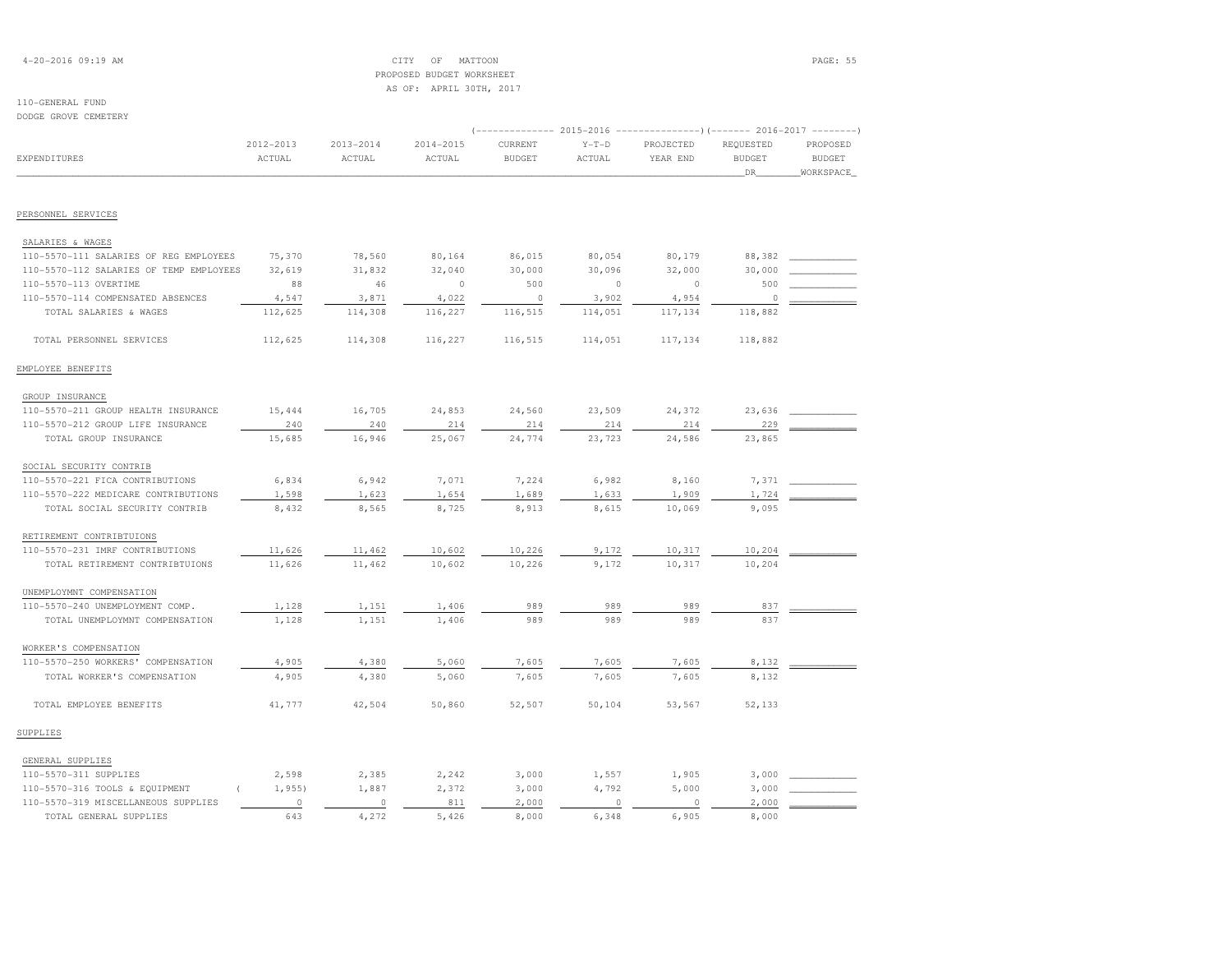## 4-20-2016 09:19 AM CITY OF MATTOON PAGE: 55 PROPOSED BUDGET WORKSHEETAS OF: APRIL 30TH, 2017

| DODGE GROVE CEMETERY                    |               |               |               |               |               |           |                                                                                  |               |
|-----------------------------------------|---------------|---------------|---------------|---------------|---------------|-----------|----------------------------------------------------------------------------------|---------------|
|                                         | 2012-2013     | $2013 - 2014$ | $2014 - 2015$ | CURRENT       | $Y-T-D$       | PROJECTED | (------------- 2015-2016 -------------------- 2016-2017 --------- )<br>REQUESTED | PROPOSED      |
| <b>EXPENDITURES</b>                     | <b>ACTUAL</b> | ACTUAL        | ACTUAL        | <b>BUDGET</b> | <b>ACTUAL</b> | YEAR END  | <b>BUDGET</b>                                                                    | <b>BUDGET</b> |
|                                         |               |               |               |               |               |           | DR                                                                               | WORKSPACE     |
|                                         |               |               |               |               |               |           |                                                                                  |               |
| PERSONNEL SERVICES                      |               |               |               |               |               |           |                                                                                  |               |
| SALARIES & WAGES                        |               |               |               |               |               |           |                                                                                  |               |
| 110-5570-111 SALARIES OF REG EMPLOYEES  | 75,370        | 78,560        | 80,164        | 86,015        | 80,054        | 80,179    | 88,382                                                                           |               |
| 110-5570-112 SALARIES OF TEMP EMPLOYEES | 32,619        | 31,832        | 32,040        | 30,000        | 30,096        | 32,000    | 30,000                                                                           |               |
| 110-5570-113 OVERTIME                   | 88            | 46            | $\circ$       | 500           | $\circ$       | $\circ$   | 500                                                                              |               |
| 110-5570-114 COMPENSATED ABSENCES       | 4,547         | 3,871         | 4,022         | $\circ$       | 3,902         | 4,954     | $\circ$                                                                          |               |
| TOTAL SALARIES & WAGES                  | 112,625       | 114,308       | 116,227       | 116,515       | 114,051       | 117,134   | 118,882                                                                          |               |
| TOTAL PERSONNEL SERVICES                | 112,625       | 114,308       | 116,227       | 116,515       | 114,051       | 117,134   | 118,882                                                                          |               |
| EMPLOYEE BENEFITS                       |               |               |               |               |               |           |                                                                                  |               |
| GROUP INSURANCE                         |               |               |               |               |               |           |                                                                                  |               |
| 110-5570-211 GROUP HEALTH INSURANCE     | 15,444        | 16,705        | 24,853        | 24,560        | 23,509        | 24,372    | 23,636                                                                           |               |
| 110-5570-212 GROUP LIFE INSURANCE       | 240           | 240           | 214           | 214           | 214           | 214       | 229                                                                              |               |
| TOTAL GROUP INSURANCE                   | 15,685        | 16,946        | 25,067        | 24,774        | 23,723        | 24,586    | 23,865                                                                           |               |
| SOCIAL SECURITY CONTRIB                 |               |               |               |               |               |           |                                                                                  |               |
| 110-5570-221 FICA CONTRIBUTIONS         | 6,834         | 6,942         | 7,071         | 7,224         | 6,982         | 8,160     | 7,371                                                                            |               |
| 110-5570-222 MEDICARE CONTRIBUTIONS     | 1,598         | 1,623         | 1,654         | 1,689         | 1,633         | 1,909     | 1,724                                                                            |               |
| TOTAL SOCIAL SECURITY CONTRIB           | 8,432         | 8,565         | 8,725         | 8,913         | 8,615         | 10,069    | 9,095                                                                            |               |
| RETIREMENT CONTRIBTUIONS                |               |               |               |               |               |           |                                                                                  |               |
| 110-5570-231 IMRF CONTRIBUTIONS         | 11,626        | 11,462        | 10,602        | 10,226        | 9,172         | 10,317    | 10,204                                                                           |               |
| TOTAL RETIREMENT CONTRIBTUIONS          | 11,626        | 11,462        | 10,602        | 10,226        | 9,172         | 10,317    | 10,204                                                                           |               |
| UNEMPLOYMNT COMPENSATION                |               |               |               |               |               |           |                                                                                  |               |
| 110-5570-240 UNEMPLOYMENT COMP.         | 1,128         | 1,151         | 1,406         | 989           | 989           | 989       | 837                                                                              |               |
| TOTAL UNEMPLOYMNT COMPENSATION          | 1,128         | 1,151         | 1,406         | 989           | 989           | 989       | 837                                                                              |               |
| WORKER'S COMPENSATION                   |               |               |               |               |               |           |                                                                                  |               |
| 110-5570-250 WORKERS' COMPENSATION      | 4,905         | 4,380         | 5,060         | 7,605         | 7,605         | 7,605     | 8,132                                                                            |               |
| TOTAL WORKER'S COMPENSATION             | 4,905         | 4,380         | 5,060         | 7,605         | 7,605         | 7,605     | 8,132                                                                            |               |
| TOTAL EMPLOYEE BENEFITS                 | 41,777        | 42,504        | 50,860        | 52,507        | 50,104        | 53,567    | 52,133                                                                           |               |
| SUPPLIES                                |               |               |               |               |               |           |                                                                                  |               |
| GENERAL SUPPLIES                        |               |               |               |               |               |           |                                                                                  |               |
| 110-5570-311 SUPPLIES                   | 2,598         | 2,385         | 2,242         | 3,000         | 1,557         | 1,905     | 3,000                                                                            |               |
| 110-5570-316 TOOLS & EQUIPMENT          | 1,955         | 1,887         | 2,372         | 3,000         | 4,792         | 5,000     | 3,000                                                                            |               |
| 110-5570-319 MISCELLANEOUS SUPPLIES     | $\circ$       | $\circ$       | 811           | 2,000         | $\circ$       | $\circ$   | 2,000                                                                            |               |
| TOTAL GENERAL SUPPLIES                  | 643           | 4,272         | 5,426         | 8,000         | 6,348         | 6,905     | 8,000                                                                            |               |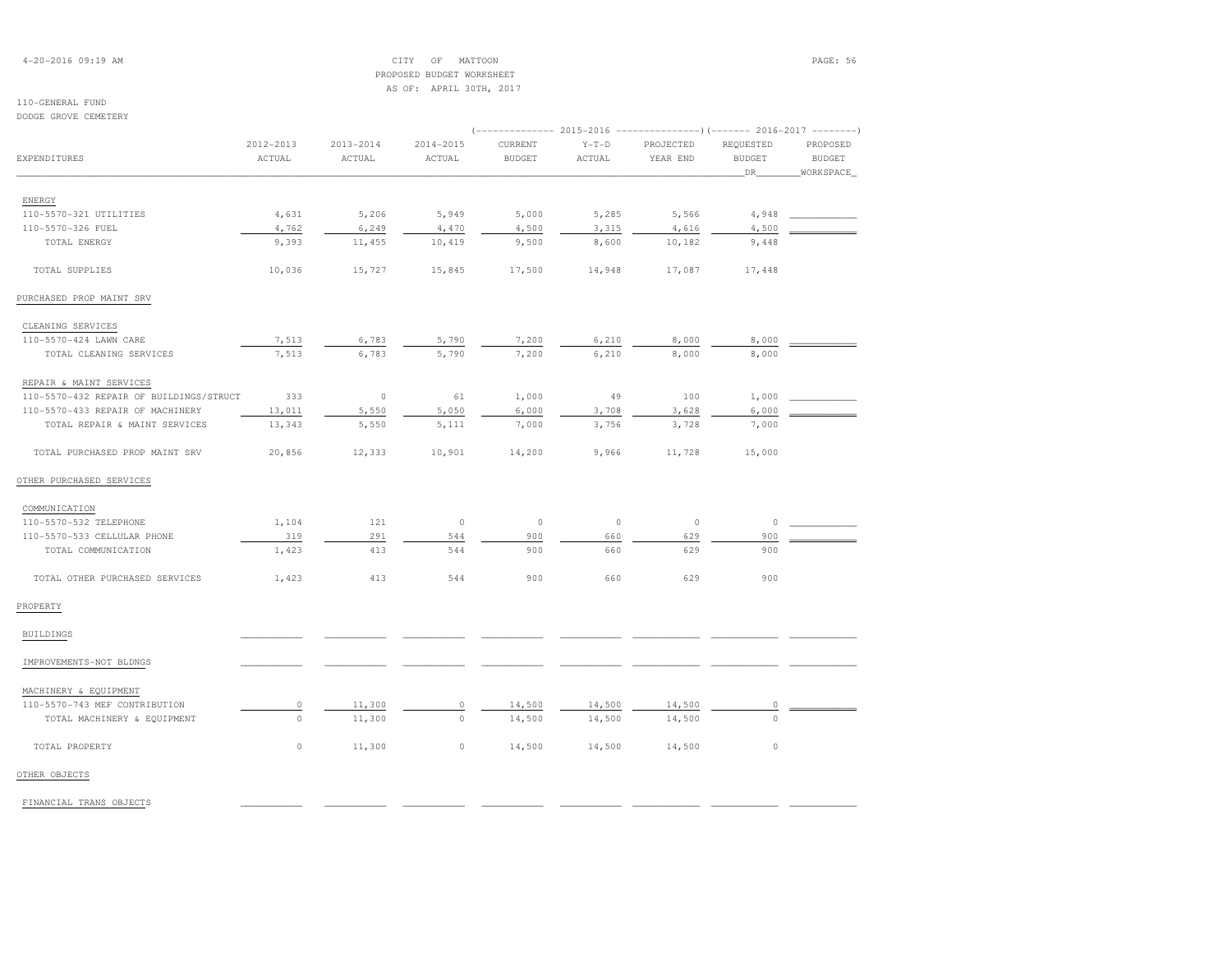## 4-20-2016 09:19 AM CITY OF MATTOON PAGE: 56 PROPOSED BUDGET WORKSHEETAS OF: APRIL 30TH, 2017

# 110-GENERAL FUND

DODGE GROVE CEMETERY

|                                         | 2012-2013 | $2013 - 2014$ | 2014-2015 | CURRENT       | $Y-T-D$ | PROJECTED | REQUESTED           | PROPOSED                   |
|-----------------------------------------|-----------|---------------|-----------|---------------|---------|-----------|---------------------|----------------------------|
| <b>EXPENDITURES</b>                     | ACTUAL    | ACTUAL        | ACTUAL    | <b>BUDGET</b> | ACTUAL  | YEAR END  | <b>BUDGET</b><br>DR | <b>BUDGET</b><br>WORKSPACE |
|                                         |           |               |           |               |         |           |                     |                            |
| ENERGY<br>110-5570-321 UTILITIES        | 4,631     | 5,206         | 5,949     | 5,000         | 5,285   | 5,566     | 4,948               |                            |
| 110-5570-326 FUEL                       | 4,762     | 6,249         | 4,470     | 4,500         | 3,315   | 4,616     | 4,500               |                            |
| TOTAL ENERGY                            | 9,393     | 11,455        | 10,419    | 9,500         | 8,600   | 10,182    | 9,448               |                            |
|                                         |           |               |           |               |         |           |                     |                            |
| TOTAL SUPPLIES                          | 10,036    | 15,727        | 15,845    | 17,500        | 14,948  | 17,087    | 17,448              |                            |
| PURCHASED PROP MAINT SRV                |           |               |           |               |         |           |                     |                            |
| CLEANING SERVICES                       |           |               |           |               |         |           |                     |                            |
| 110-5570-424 LAWN CARE                  | 7,513     | 6,783         | 5,790     | 7,200         | 6,210   | 8,000     | 8,000               |                            |
| TOTAL CLEANING SERVICES                 | 7,513     | 6,783         | 5,790     | 7,200         | 6,210   | 8,000     | 8,000               |                            |
| REPAIR & MAINT SERVICES                 |           |               |           |               |         |           |                     |                            |
| 110-5570-432 REPAIR OF BUILDINGS/STRUCT | 333       | $\circ$       | 61        | 1,000         | 49      | 100       | 1,000               |                            |
| 110-5570-433 REPAIR OF MACHINERY        | 13,011    | 5,550         | 5,050     | 6,000         | 3,708   | 3,628     | 6,000               |                            |
| TOTAL REPAIR & MAINT SERVICES           | 13,343    | 5,550         | 5,111     | 7,000         | 3,756   | 3,728     | 7,000               |                            |
| TOTAL PURCHASED PROP MAINT SRV          | 20,856    | 12,333        | 10,901    | 14,200        | 9,966   | 11,728    | 15,000              |                            |
| OTHER PURCHASED SERVICES                |           |               |           |               |         |           |                     |                            |
| COMMUNICATION                           |           |               |           |               |         |           |                     |                            |
| 110-5570-532 TELEPHONE                  | 1,104     | 121           | $\circ$   | $\circ$       | $\circ$ | $\circ$   | $\circ$             |                            |
| 110-5570-533 CELLULAR PHONE             | 319       | 291           | 544       | 900           | 660     | 629       | 900                 |                            |
| TOTAL COMMUNICATION                     | 1,423     | 413           | 544       | 900           | 660     | 629       | 900                 |                            |
| TOTAL OTHER PURCHASED SERVICES          | 1,423     | 413           | 544       | 900           | 660     | 629       | 900                 |                            |
| PROPERTY                                |           |               |           |               |         |           |                     |                            |
| BUILDINGS                               |           |               |           |               |         |           |                     |                            |
| IMPROVEMENTS-NOT BLDNGS                 |           |               |           |               |         |           |                     |                            |
| MACHINERY & EQUIPMENT                   |           |               |           |               |         |           |                     |                            |
| 110-5570-743 MEF CONTRIBUTION           | $\circ$   | 11,300        | $\circ$   | 14,500        | 14,500  | 14,500    | $\circ$             |                            |
| TOTAL MACHINERY & EQUIPMENT             | $\circ$   | 11,300        | $\circ$   | 14,500        | 14,500  | 14,500    | $\circ$             |                            |
| TOTAL PROPERTY                          | $\circ$   | 11,300        | $\circ$   | 14,500        | 14,500  | 14,500    | $\circ$             |                            |
| OTHER OBJECTS                           |           |               |           |               |         |           |                     |                            |
| FINANCIAL TRANS OBJECTS                 |           |               |           |               |         |           |                     |                            |
|                                         |           |               |           |               |         |           |                     |                            |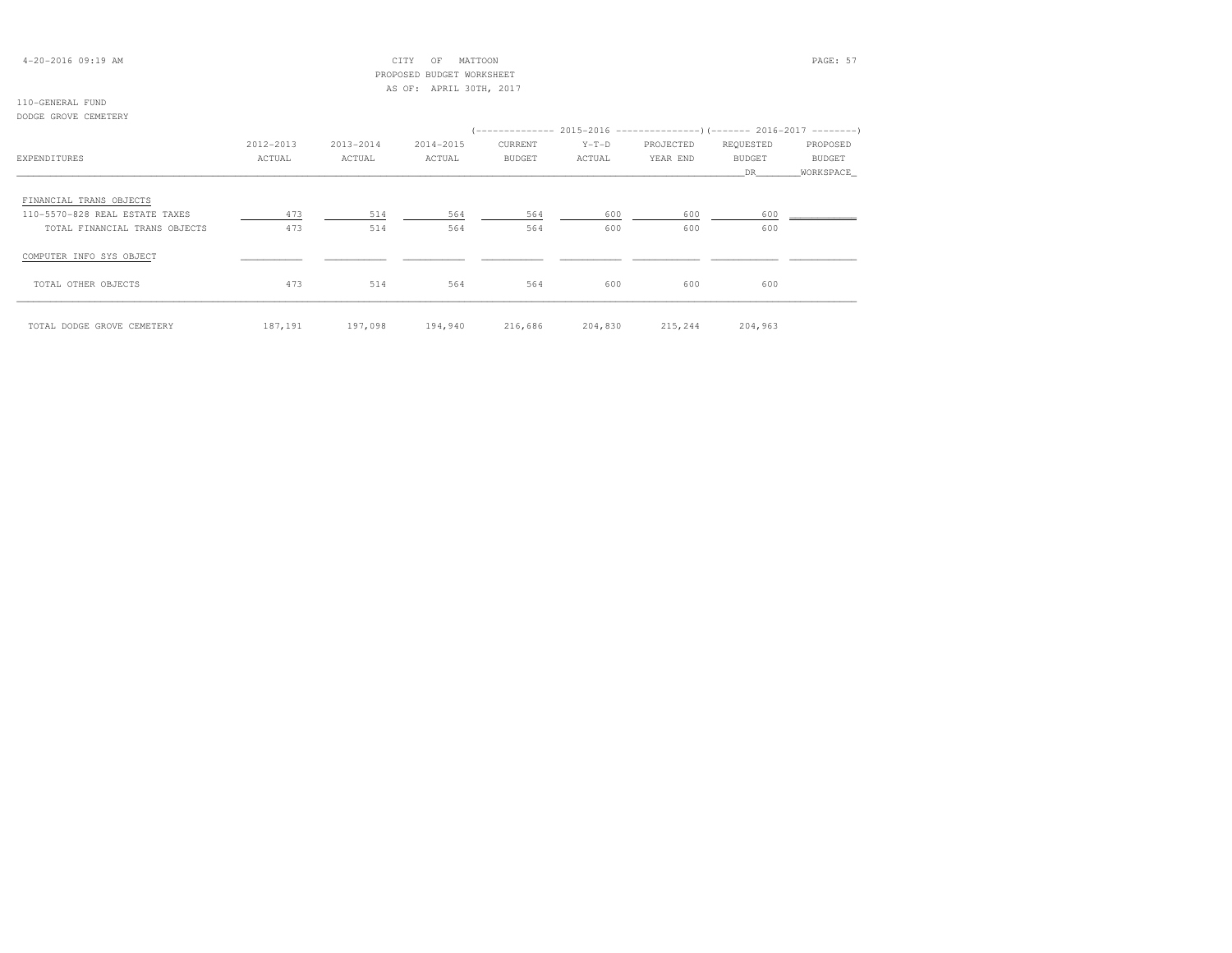## 4-20-2016 09:19 AM CITY OF MATTOON PAGE: 57 PROPOSED BUDGET WORKSHEETAS OF: APRIL 30TH, 2017

## 110-GENERAL FUND

DODGE GROVE CEMETERY

|                                |           |           |           |               |         |           | (-------------- 2015-2016 -------------------- ) (------- 2016-2017 --------- |               |
|--------------------------------|-----------|-----------|-----------|---------------|---------|-----------|-------------------------------------------------------------------------------|---------------|
|                                | 2012-2013 | 2013-2014 | 2014-2015 | CURRENT       | $Y-T-D$ | PROJECTED | REQUESTED                                                                     | PROPOSED      |
| EXPENDITURES                   | ACTUAL    | ACTUAL    | ACTUAL    | <b>BUDGET</b> | ACTUAL  | YEAR END  | <b>BUDGET</b>                                                                 | <b>BUDGET</b> |
|                                |           |           |           |               |         |           | DR                                                                            | WORKSPACE     |
| FINANCIAL TRANS OBJECTS        |           |           |           |               |         |           |                                                                               |               |
| 110-5570-828 REAL ESTATE TAXES | 473       | 514       | 564       | 564           | 600     | 600       | 600                                                                           |               |
| TOTAL FINANCIAL TRANS OBJECTS  | 473       | 514       | 564       | 564           | 600     | 600       | 600                                                                           |               |
| COMPUTER INFO SYS OBJECT       |           |           |           |               |         |           |                                                                               |               |
| TOTAL OTHER OBJECTS            | 473       | 514       | 564       | 564           | 600     | 600       | 600                                                                           |               |
| TOTAL DODGE GROVE CEMETERY     | 187,191   | 197,098   | 194,940   | 216,686       | 204,830 | 215,244   | 204,963                                                                       |               |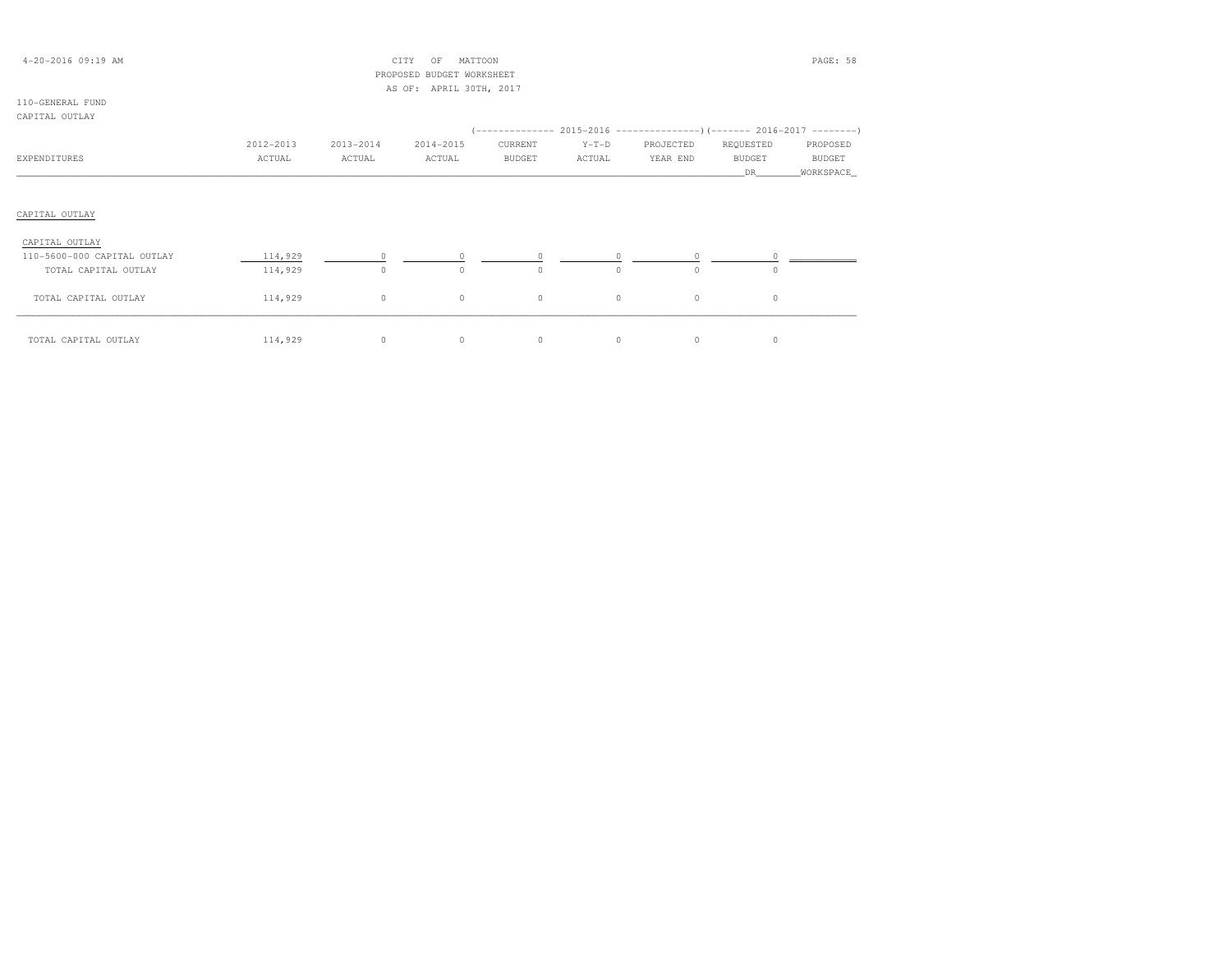| $4 - 20 - 2016$ 09:19 AM    |           |           | CITY<br>MATTOON<br>OF        |               |          |           |               | PAGE: 58  |
|-----------------------------|-----------|-----------|------------------------------|---------------|----------|-----------|---------------|-----------|
|                             |           |           | PROPOSED<br>BUDGET WORKSHEET |               |          |           |               |           |
|                             |           |           | AS OF: APRIL 30TH, 2017      |               |          |           |               |           |
| 110-GENERAL FUND            |           |           |                              |               |          |           |               |           |
| CAPITAL OUTLAY              |           |           |                              |               |          |           |               |           |
|                             |           |           |                              |               |          |           |               |           |
|                             | 2012-2013 | 2013-2014 | 2014-2015                    | CURRENT       | $Y-T-D$  | PROJECTED | REQUESTED     | PROPOSED  |
| EXPENDITURES                | ACTUAL    | ACTUAL    | ACTUAL                       | <b>BUDGET</b> | ACTUAL   | YEAR END  | <b>BUDGET</b> | BUDGET    |
|                             |           |           |                              |               |          |           | DR.           | WORKSPACE |
|                             |           |           |                              |               |          |           |               |           |
|                             |           |           |                              |               |          |           |               |           |
| CAPITAL OUTLAY              |           |           |                              |               |          |           |               |           |
|                             |           |           |                              |               |          |           |               |           |
| CAPITAL OUTLAY              |           |           |                              |               |          |           |               |           |
| 110-5600-000 CAPITAL OUTLAY | 114,929   |           |                              | $\Omega$      | $\Omega$ | $\circ$   |               |           |
| TOTAL CAPITAL OUTLAY        | 114,929   | $\circ$   | $\Omega$                     | $\circ$       | $\Omega$ | $\circ$   | $\Omega$      |           |
| TOTAL CAPITAL OUTLAY        | 114,929   | $\circ$   | 0                            | $\circ$       | $\circ$  | $\circ$   | 0             |           |

\_\_\_\_\_\_\_\_\_\_\_\_\_\_\_\_\_\_\_\_\_\_\_\_\_\_\_\_\_\_\_\_\_\_\_\_\_\_\_\_\_\_\_\_\_\_\_\_\_\_\_\_\_\_\_\_\_\_\_\_\_\_\_\_\_\_\_\_\_\_\_\_\_\_\_\_\_\_\_\_\_\_\_\_\_\_\_\_\_\_\_\_\_\_\_\_\_\_\_\_\_\_\_\_\_\_\_\_\_\_\_\_\_\_\_\_\_\_\_\_\_\_\_\_\_\_\_\_\_\_\_\_\_\_\_\_\_\_\_\_\_\_\_\_\_\_\_\_\_\_ TOTAL CAPITAL OUTLAY 114,929 0 0 0 0 0 0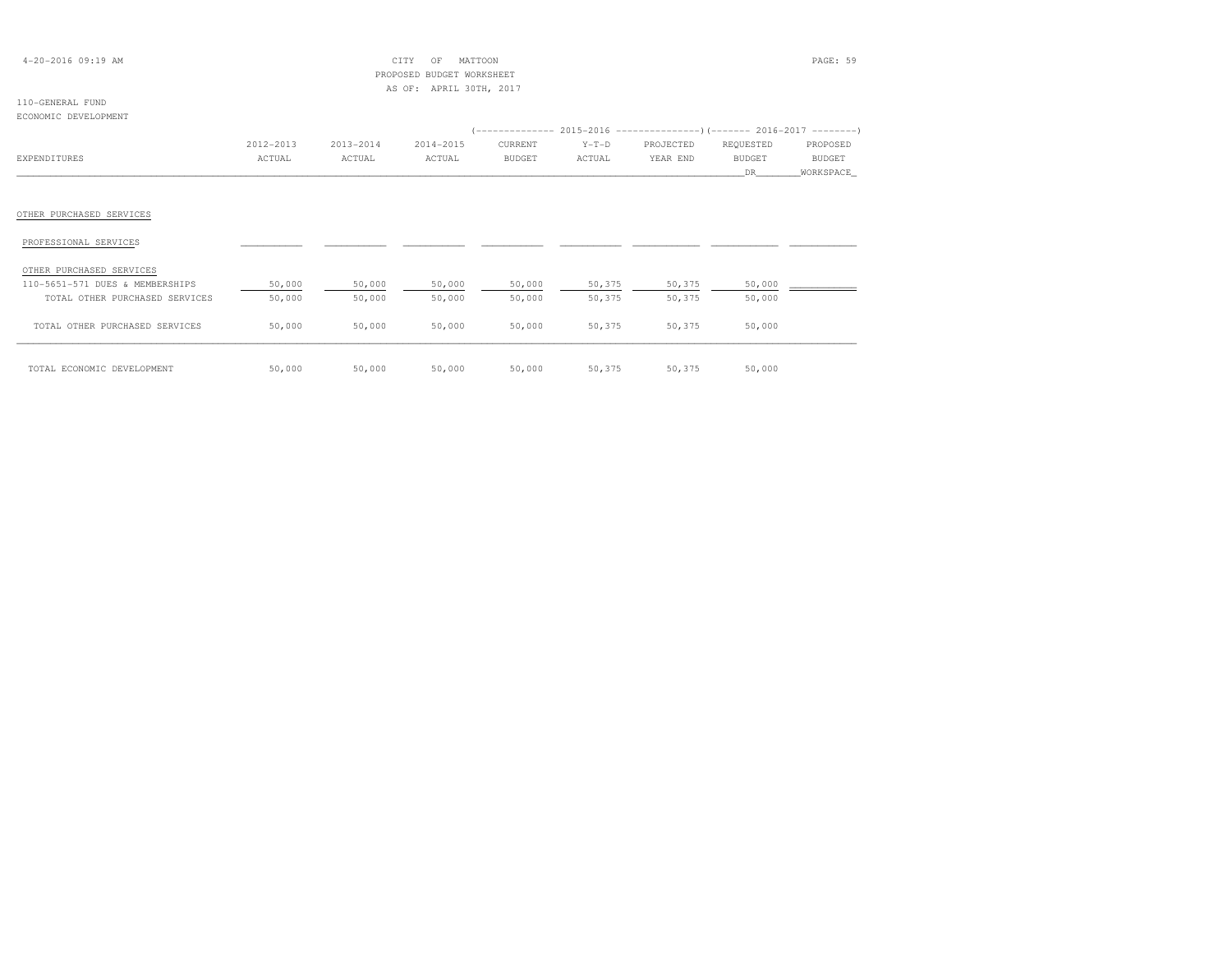| $4 - 20 - 2016$ 09:19 AM                          |           |           | CITY<br>MATTOON<br>ΟF<br>PROPOSED BUDGET WORKSHEET |               |         |           |               | PAGE: 59      |
|---------------------------------------------------|-----------|-----------|----------------------------------------------------|---------------|---------|-----------|---------------|---------------|
|                                                   |           |           | AS OF: APRIL 30TH, 2017                            |               |         |           |               |               |
| 110-GENERAL FUND                                  |           |           |                                                    |               |         |           |               |               |
| ECONOMIC DEVELOPMENT                              |           |           |                                                    |               |         |           |               |               |
|                                                   |           |           |                                                    |               |         |           |               |               |
|                                                   | 2012-2013 | 2013-2014 | 2014-2015                                          | CURRENT       | $Y-T-D$ | PROJECTED | REQUESTED     | PROPOSED      |
| EXPENDITURES                                      | ACTUAL    | ACTUAL    | ACTUAL                                             | <b>BUDGET</b> | ACTUAL  | YEAR END  | <b>BUDGET</b> | <b>BUDGET</b> |
|                                                   |           |           |                                                    |               |         |           | DR.           | WORKSPACE     |
| OTHER PURCHASED SERVICES<br>PROFESSIONAL SERVICES |           |           |                                                    |               |         |           |               |               |
| OTHER PURCHASED SERVICES                          |           |           |                                                    |               |         |           |               |               |
| 110-5651-571 DUES & MEMBERSHIPS                   | 50,000    | 50,000    | 50,000                                             | 50,000        | 50,375  | 50,375    | 50,000        |               |
| TOTAL OTHER PURCHASED SERVICES                    | 50,000    | 50,000    | 50,000                                             | 50,000        | 50,375  | 50,375    | 50,000        |               |
| TOTAL OTHER PURCHASED SERVICES                    | 50,000    | 50,000    | 50,000                                             | 50,000        | 50,375  | 50,375    | 50,000        |               |
| TOTAL ECONOMIC DEVELOPMENT                        | 50,000    | 50,000    | 50,000                                             | 50,000        | 50,375  | 50,375    | 50,000        |               |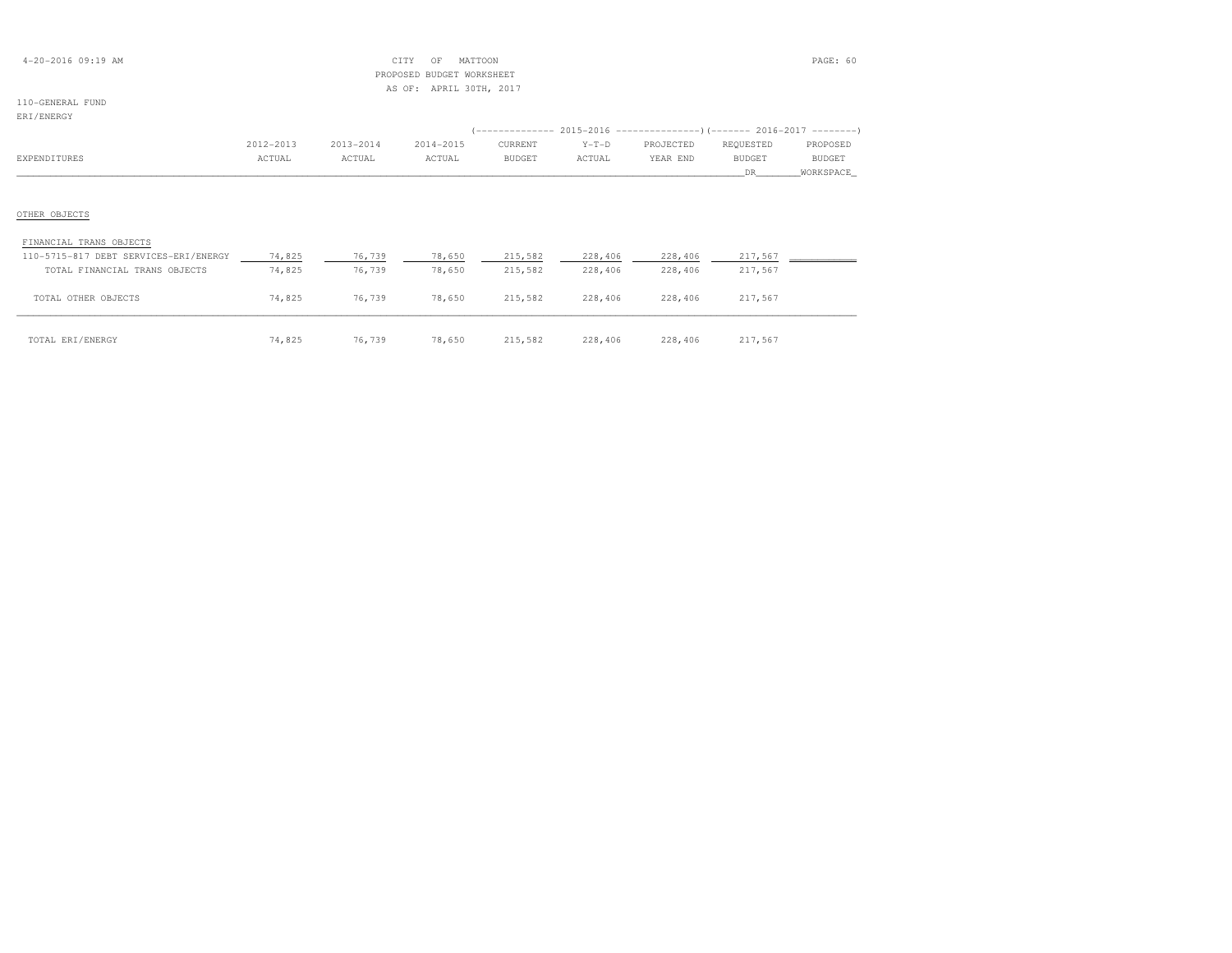| $4 - 20 - 2016$ 09:19 AM |  |  |
|--------------------------|--|--|
|--------------------------|--|--|

## $\begin{array}{ccc} \text{CITY} & \text{OF} & \text{MATION} \end{array}$  PROPOSED BUDGET WORKSHEETAS OF: APRIL 30TH, 2017

## 110-GENERAL FUND

## ERI/ENERGY

| -------------                         |           |           |           |               |         |                                                                         |               |           |
|---------------------------------------|-----------|-----------|-----------|---------------|---------|-------------------------------------------------------------------------|---------------|-----------|
|                                       |           |           |           |               |         | (-------------- 2015-2016 ---------------) (------- 2016-2017 --------) |               |           |
|                                       | 2012-2013 | 2013-2014 | 2014-2015 | CURRENT       | $Y-T-D$ | PROJECTED                                                               | REQUESTED     | PROPOSED  |
| EXPENDITURES                          | ACTUAL    | ACTUAL    | ACTUAL    | <b>BUDGET</b> | ACTUAL  | YEAR END                                                                | <b>BUDGET</b> | BUDGET    |
|                                       |           |           |           |               |         |                                                                         | DR.           | WORKSPACE |
|                                       |           |           |           |               |         |                                                                         |               |           |
|                                       |           |           |           |               |         |                                                                         |               |           |
| OTHER OBJECTS                         |           |           |           |               |         |                                                                         |               |           |
|                                       |           |           |           |               |         |                                                                         |               |           |
| FINANCIAL TRANS OBJECTS               |           |           |           |               |         |                                                                         |               |           |
| 110-5715-817 DEBT SERVICES-ERI/ENERGY | 74,825    | 76,739    | 78,650    | 215,582       | 228,406 | 228,406                                                                 | 217,567       |           |
| TOTAL FINANCIAL TRANS OBJECTS         | 74,825    | 76,739    | 78,650    | 215,582       | 228,406 | 228,406                                                                 | 217,567       |           |
|                                       |           |           |           |               |         |                                                                         |               |           |
| TOTAL OTHER OBJECTS                   | 74,825    | 76,739    | 78,650    | 215,582       | 228,406 | 228,406                                                                 | 217,567       |           |
|                                       |           |           |           |               |         |                                                                         |               |           |

 $\overline{1017}$  Total eri/energy  $\overline{14,825}$   $\overline{74,825}$   $\overline{76,739}$   $\overline{78,650}$   $\overline{215,582}$   $\overline{228,406}$   $\overline{228,406}$   $\overline{217,567}$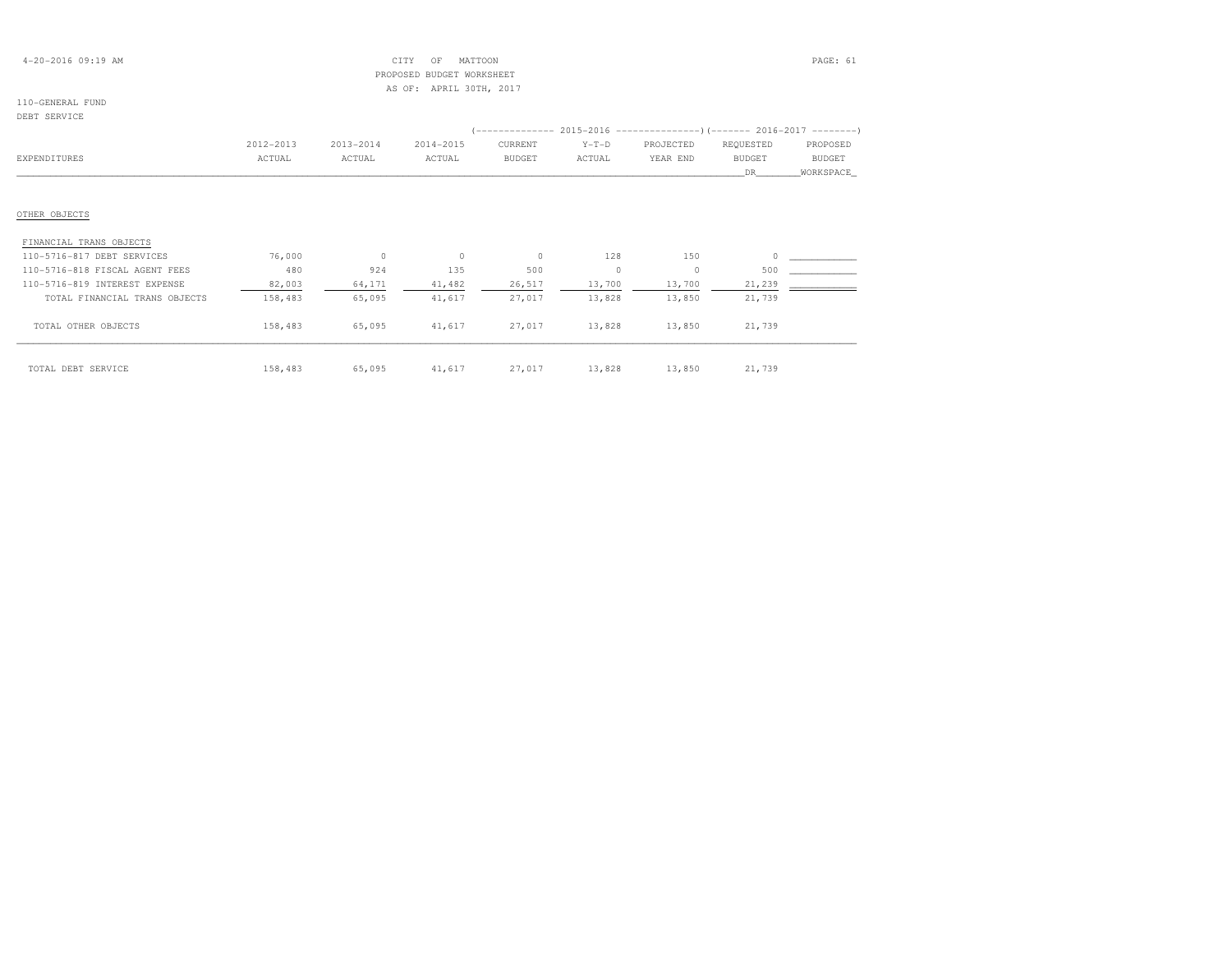| $4 - 20 - 2016$ 09:19 AM |  |  |
|--------------------------|--|--|
|--------------------------|--|--|

## $\text{CITY}$  OF MATTOON  $\text{PAGE: } 61$  PROPOSED BUDGET WORKSHEETAS OF: APRIL 30TH, 2017

## 110-GENERAL FUND

### DEBT SERVICE

|                                                                                               |           |           |           |               |         |           | (-------------- 2015-2016 ---------------------- 2016-2017 --------- |           |
|-----------------------------------------------------------------------------------------------|-----------|-----------|-----------|---------------|---------|-----------|----------------------------------------------------------------------|-----------|
|                                                                                               | 2012-2013 | 2013-2014 | 2014-2015 | CURRENT       | $Y-T-D$ | PROJECTED | REQUESTED                                                            | PROPOSED  |
| EXPENDITURES                                                                                  | ACTUAL    | ACTUAL    | ACTUAL    | <b>BUDGET</b> | ACTUAL  | YEAR END  | <b>BUDGET</b>                                                        | BUDGET    |
|                                                                                               |           |           |           |               |         |           | DR.                                                                  | WORKSPACE |
|                                                                                               |           |           |           |               |         |           |                                                                      |           |
| OTHER OBJECTS                                                                                 |           |           |           |               |         |           |                                                                      |           |
|                                                                                               |           |           |           |               |         |           |                                                                      |           |
| FINANCIAL TRANS OBJECTS                                                                       |           |           |           |               |         |           |                                                                      |           |
|                                                                                               | 76,000    | $\Omega$  | $\circ$   | $\Omega$      | 128     | 150       | $\Omega$                                                             |           |
|                                                                                               | 480       | 924       | 135       | 500           | $\circ$ | $\circ$   | 500                                                                  |           |
| 110-5716-817 DEBT SERVICES<br>110-5716-818 FISCAL AGENT FEES<br>110-5716-819 INTEREST EXPENSE | 82,003    | 64,171    | 41,482    | 26,517        | 13,700  | 13,700    | 21,239                                                               |           |
| TOTAL FINANCIAL TRANS OBJECTS                                                                 | 158,483   | 65,095    | 41,617    | 27,017        | 13,828  | 13,850    | 21,739                                                               |           |

\_\_\_\_\_\_\_\_\_\_\_\_\_\_\_\_\_\_\_\_\_\_\_\_\_\_\_\_\_\_\_\_\_\_\_\_\_\_\_\_\_\_\_\_\_\_\_\_\_\_\_\_\_\_\_\_\_\_\_\_\_\_\_\_\_\_\_\_\_\_\_\_\_\_\_\_\_\_\_\_\_\_\_\_\_\_\_\_\_\_\_\_\_\_\_\_\_\_\_\_\_\_\_\_\_\_\_\_\_\_\_\_\_\_\_\_\_\_\_\_\_\_\_\_\_\_\_\_\_\_\_\_\_\_\_\_\_\_\_\_\_\_\_\_\_\_\_\_\_\_ TOTAL DEBT SERVICE 158,483 65,095 41,617 27,017 13,828 13,850 21,739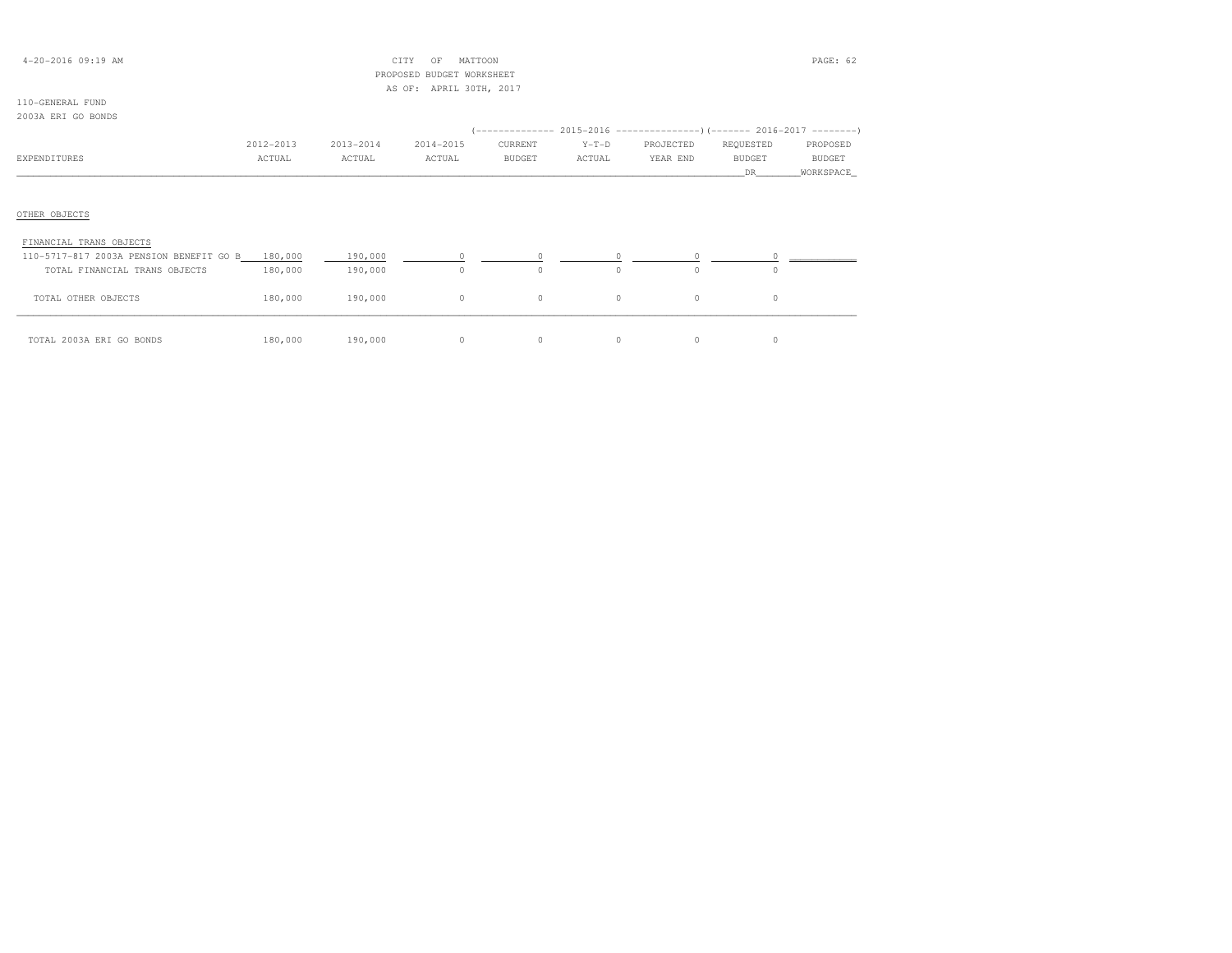| $4 - 20 - 2016$ 09:19 AM                        |           |           | CITY<br>OF<br>MATTOON     |               |          |           |               | PAGE: 62      |
|-------------------------------------------------|-----------|-----------|---------------------------|---------------|----------|-----------|---------------|---------------|
|                                                 |           |           | PROPOSED BUDGET WORKSHEET |               |          |           |               |               |
|                                                 |           |           | AS OF: APRIL 30TH, 2017   |               |          |           |               |               |
| 110-GENERAL FUND                                |           |           |                           |               |          |           |               |               |
| 2003A ERI GO BONDS                              |           |           |                           |               |          |           |               |               |
|                                                 |           |           |                           |               |          |           |               |               |
|                                                 | 2012-2013 | 2013-2014 | 2014-2015                 | CURRENT       | $Y-T-D$  | PROJECTED | REQUESTED     | PROPOSED      |
| EXPENDITURES                                    | ACTUAL    | ACTUAL    | ACTUAL                    | <b>BUDGET</b> | ACTUAL   | YEAR END  | <b>BUDGET</b> | <b>BUDGET</b> |
|                                                 |           |           |                           |               |          |           | DR.           | WORKSPACE     |
|                                                 |           |           |                           |               |          |           |               |               |
|                                                 |           |           |                           |               |          |           |               |               |
| OTHER OBJECTS                                   |           |           |                           |               |          |           |               |               |
|                                                 |           |           |                           |               |          |           |               |               |
| FINANCIAL TRANS OBJECTS                         |           |           |                           |               |          |           |               |               |
| 110-5717-817 2003A PENSION BENEFIT GO B 180,000 |           | 190,000   |                           |               |          |           |               |               |
| TOTAL FINANCIAL TRANS OBJECTS                   | 180,000   | 190,000   | $\Omega$                  | $\Omega$      | $\Omega$ | $\cap$    |               |               |
| TOTAL OTHER OBJECTS                             | 180,000   | 190,000   | $\circ$                   | $\circ$       | 0        | 0         | $\circ$       |               |

\_\_\_\_\_\_\_\_\_\_\_\_\_\_\_\_\_\_\_\_\_\_\_\_\_\_\_\_\_\_\_\_\_\_\_\_\_\_\_\_\_\_\_\_\_\_\_\_\_\_\_\_\_\_\_\_\_\_\_\_\_\_\_\_\_\_\_\_\_\_\_\_\_\_\_\_\_\_\_\_\_\_\_\_\_\_\_\_\_\_\_\_\_\_\_\_\_\_\_\_\_\_\_\_\_\_\_\_\_\_\_\_\_\_\_\_\_\_\_\_\_\_\_\_\_\_\_\_\_\_\_\_\_\_\_\_\_\_\_\_\_\_\_\_\_\_\_\_\_\_ TOTAL 2003A ERI GO BONDS 180,000 190,000 0 0 0 0 0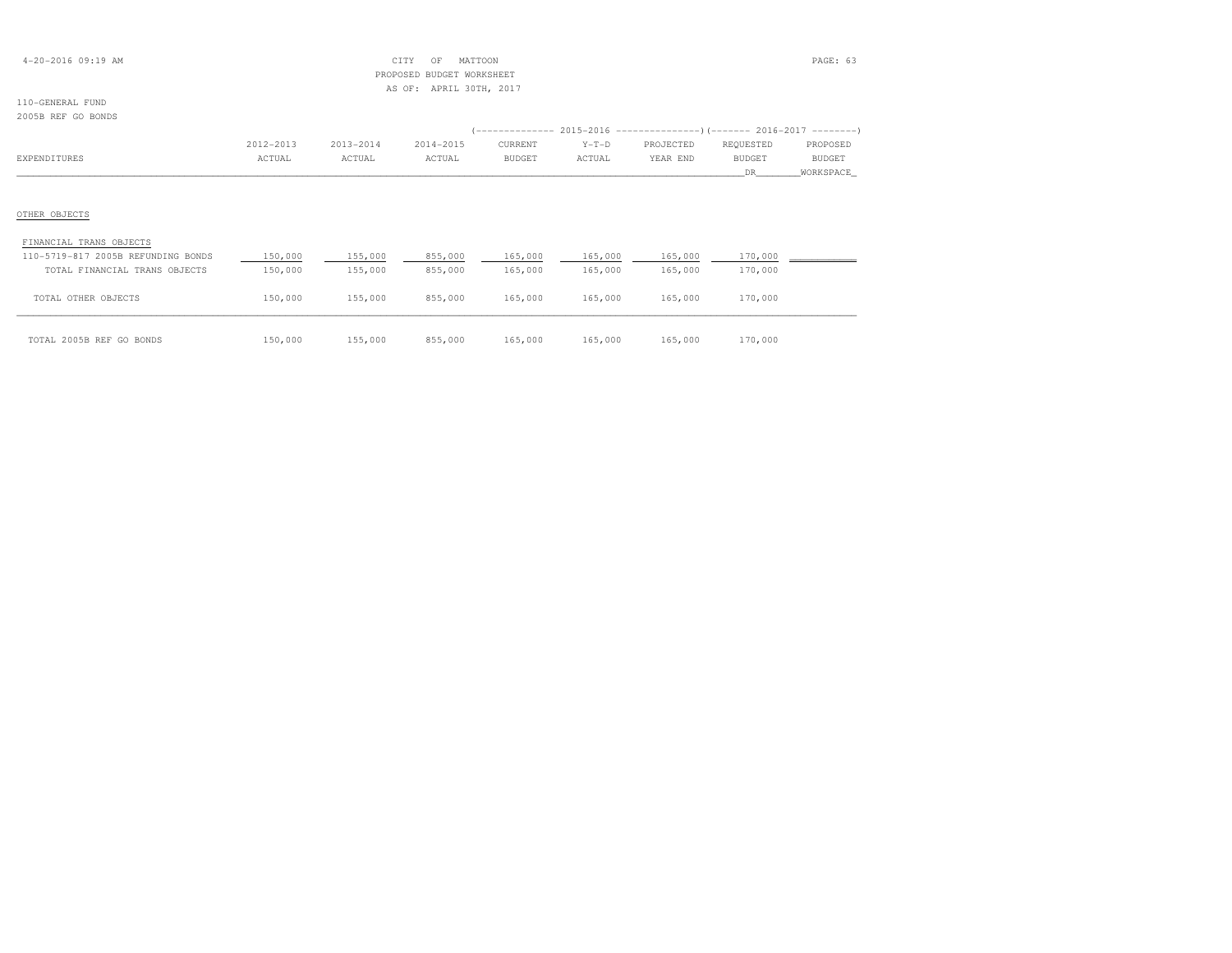| $4 - 20 - 2016$ 09:19 AM |  |
|--------------------------|--|
|--------------------------|--|

## $\begin{array}{ccc} \text{CITY} & \text{OF} & \text{MATTOON} \end{array}$  PROPOSED BUDGET WORKSHEETAS OF: APRIL 30TH, 2017

| 2005B REF GO BONDS                 |           |           |           |         |         |           |                                                                       |           |
|------------------------------------|-----------|-----------|-----------|---------|---------|-----------|-----------------------------------------------------------------------|-----------|
|                                    |           |           |           |         |         |           | (-------------- 2015-2016 --------------------- 2016-2017 --------- ) |           |
|                                    | 2012-2013 | 2013-2014 | 2014-2015 | CURRENT | $Y-T-D$ | PROJECTED | REQUESTED                                                             | PROPOSED  |
| EXPENDITURES                       | ACTUAL    | ACTUAL    | ACTUAL    | BUDGET  | ACTUAL  | YEAR END  | BUDGET                                                                | BUDGET    |
|                                    |           |           |           |         |         |           | DR                                                                    | WORKSPACE |
|                                    |           |           |           |         |         |           |                                                                       |           |
|                                    |           |           |           |         |         |           |                                                                       |           |
| OTHER OBJECTS                      |           |           |           |         |         |           |                                                                       |           |
|                                    |           |           |           |         |         |           |                                                                       |           |
| FINANCIAL TRANS OBJECTS            |           |           |           |         |         |           |                                                                       |           |
| 110-5719-817 2005B REFUNDING BONDS | 150,000   | 155,000   | 855,000   | 165,000 | 165,000 | 165,000   | 170,000                                                               |           |
| TOTAL FINANCIAL TRANS OBJECTS      | 150,000   | 155,000   | 855,000   | 165,000 | 165,000 | 165,000   | 170,000                                                               |           |

| TOTAL OTHER OBJECTS      | 150,000 | 155,000 | 855,000 | 165,000 | 165,000 | 165,000 | 170,000 |  |
|--------------------------|---------|---------|---------|---------|---------|---------|---------|--|
| TOTAL 2005B REF GO BONDS | 150,000 | 155,000 | 855,000 | 165,000 | 165,000 | 165,000 | 170,000 |  |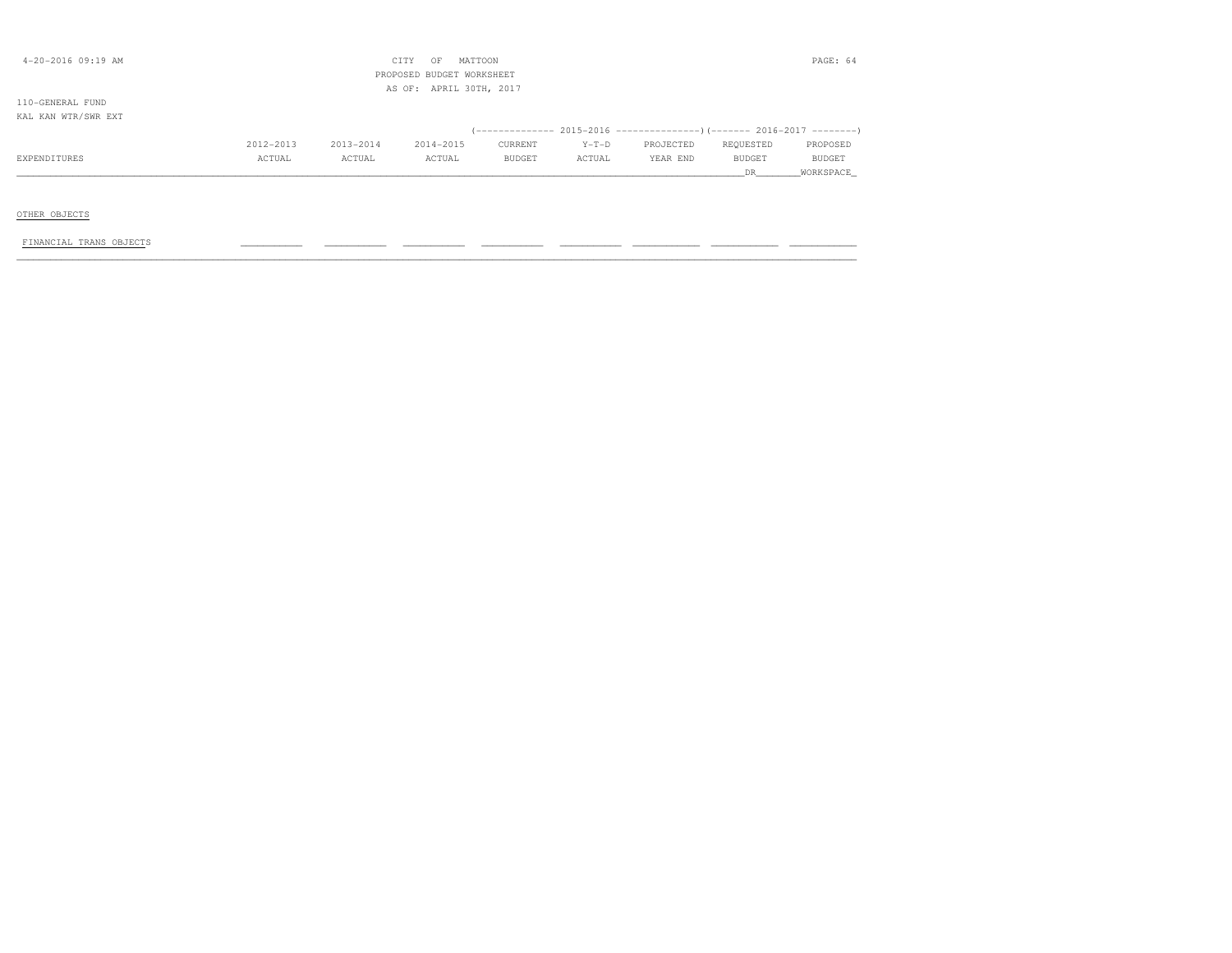| $4 - 20 - 2016$ 09:19 AM |           |           | CITY<br>OF                | MATTOON       |         |           |           | PAGE: 64  |
|--------------------------|-----------|-----------|---------------------------|---------------|---------|-----------|-----------|-----------|
|                          |           |           | PROPOSED BUDGET WORKSHEET |               |         |           |           |           |
|                          |           |           | AS OF: APRIL 30TH, 2017   |               |         |           |           |           |
| 110-GENERAL FUND         |           |           |                           |               |         |           |           |           |
| KAL KAN WTR/SWR EXT      |           |           |                           |               |         |           |           |           |
|                          |           |           |                           |               |         |           |           |           |
|                          | 2012-2013 | 2013-2014 | 2014-2015                 | CURRENT       | $Y-T-D$ | PROJECTED | REQUESTED | PROPOSED  |
| EXPENDITURES             | ACTUAL    | ACTUAL    | ACTUAL                    | <b>BUDGET</b> | ACTUAL  | YEAR END  | BUDGET    | BUDGET    |
|                          |           |           |                           |               |         |           | DR .      | WORKSPACE |
|                          |           |           |                           |               |         |           |           |           |
|                          |           |           |                           |               |         |           |           |           |
| OTHER OBJECTS            |           |           |                           |               |         |           |           |           |
|                          |           |           |                           |               |         |           |           |           |
| FINANCIAL TRANS OBJECTS  |           |           |                           |               |         |           |           |           |
|                          |           |           |                           |               |         |           |           |           |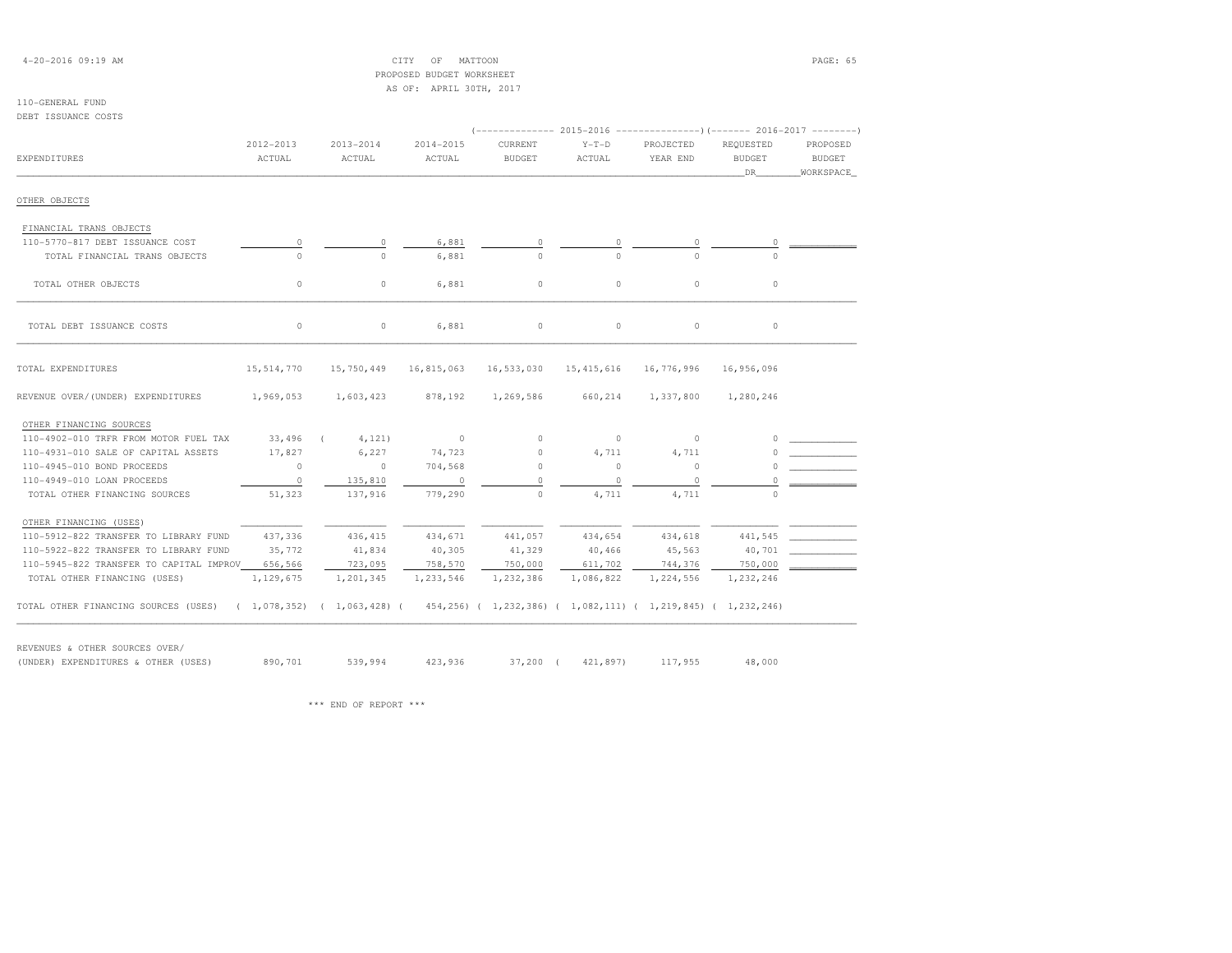## 4-20-2016 09:19 AM CITY OF MATTOON PAGE: 65

 PROPOSED BUDGET WORKSHEETAS OF: APRIL 30TH, 2017

## 110-GENERAL FUND

DEBT ISSUANCE COSTS

| DEDI 1990ANCE COSIS                     |                     |                      |                     | (-------------- 2015-2016 --------------------- 2016-2017 --------- |                     |                       |                                  |                                        |
|-----------------------------------------|---------------------|----------------------|---------------------|---------------------------------------------------------------------|---------------------|-----------------------|----------------------------------|----------------------------------------|
| EXPENDITURES                            | 2012-2013<br>ACTUAL | 2013-2014<br>ACTUAL  | 2014-2015<br>ACTUAL | CURRENT<br><b>BUDGET</b>                                            | $Y-T-D$<br>ACTUAL   | PROJECTED<br>YEAR END | REQUESTED<br><b>BUDGET</b><br>DR | PROPOSED<br><b>BUDGET</b><br>WORKSPACE |
| OTHER OBJECTS                           |                     |                      |                     |                                                                     |                     |                       |                                  |                                        |
| FINANCIAL TRANS OBJECTS                 |                     |                      |                     |                                                                     |                     |                       |                                  |                                        |
| 110-5770-817 DEBT ISSUANCE COST         | $\circ$             | $\circ$              | 6,881               | $\circ$                                                             | 0                   | $\circ$               | $\circ$                          |                                        |
| TOTAL FINANCIAL TRANS OBJECTS           | $\circ$             | $\Omega$             | 6,881               | $\Omega$                                                            | $\Omega$            | $\Omega$              | $\Omega$                         |                                        |
| TOTAL OTHER OBJECTS                     | $\circ$             | 0                    | 6,881               | $\circ$                                                             | $\circ$             | $\circ$               | $\circ$                          |                                        |
| TOTAL DEBT ISSUANCE COSTS               | $\circ$             | 0                    | 6,881               | $\circ$                                                             | $\mathsf{O}\xspace$ | $\circ$               | $\circ$                          |                                        |
| TOTAL EXPENDITURES                      | 15,514,770          | 15,750,449           | 16,815,063          | 16,533,030                                                          | 15, 415, 616        | 16,776,996            | 16,956,096                       |                                        |
| REVENUE OVER/(UNDER) EXPENDITURES       | 1,969,053           | 1,603,423            | 878,192             | 1,269,586                                                           | 660,214             | 1,337,800             | 1,280,246                        |                                        |
| OTHER FINANCING SOURCES                 |                     |                      |                     |                                                                     |                     |                       |                                  |                                        |
| 110-4902-010 TRFR FROM MOTOR FUEL TAX   | 33,496              | 4,121)<br>$\sqrt{2}$ | $\sim$ 0            | $\circ$                                                             | $\circ$             | $\circ$               |                                  |                                        |
| 110-4931-010 SALE OF CAPITAL ASSETS     | 17,827              | 6,227                | 74,723              | $\circ$                                                             | 4,711               | 4,711                 |                                  |                                        |
| 110-4945-010 BOND PROCEEDS              | $\circ$             | $\circ$              | 704,568             | $\Omega$                                                            | $\circ$             | $\circ$               |                                  |                                        |
| 110-4949-010 LOAN PROCEEDS              | $\circ$             | 135,810              | $\overline{0}$      | $\Omega$                                                            | $\circ$             | $\circ$               |                                  |                                        |
| TOTAL OTHER FINANCING SOURCES           | 51,323              | 137,916              | 779,290             | $\circ$                                                             | 4,711               | 4,711                 | $\cap$                           |                                        |
| OTHER FINANCING (USES)                  |                     |                      |                     |                                                                     |                     |                       |                                  |                                        |
| 110-5912-822 TRANSFER TO LIBRARY FUND   | 437,336             | 436, 415             | 434,671             | 441,057                                                             | 434,654             | 434,618               | 441,545                          |                                        |
| 110-5922-822 TRANSFER TO LIBRARY FUND   | 35,772              | 41,834               | 40,305              | 41,329                                                              | 40,466              | 45,563                | 40,701                           |                                        |
| 110-5945-822 TRANSFER TO CAPITAL IMPROV | 656,566             | 723,095              | 758,570             | 750,000                                                             | 611,702             | 744,376               | 750,000                          |                                        |
| TOTAL OTHER FINANCING (USES)            | 1,129,675           | 1,201,345            | 1,233,546           | 1,232,386                                                           | 1,086,822           | 1,224,556             | 1,232,246                        |                                        |

REVENUES & OTHER SOURCES OVER/(UNDER) EXPENDITURES & OTHER (USES) 890,701 539,994 423,936 37,200 ( 421,897) 117,955 48,000

\*\*\* END OF REPORT \*\*\*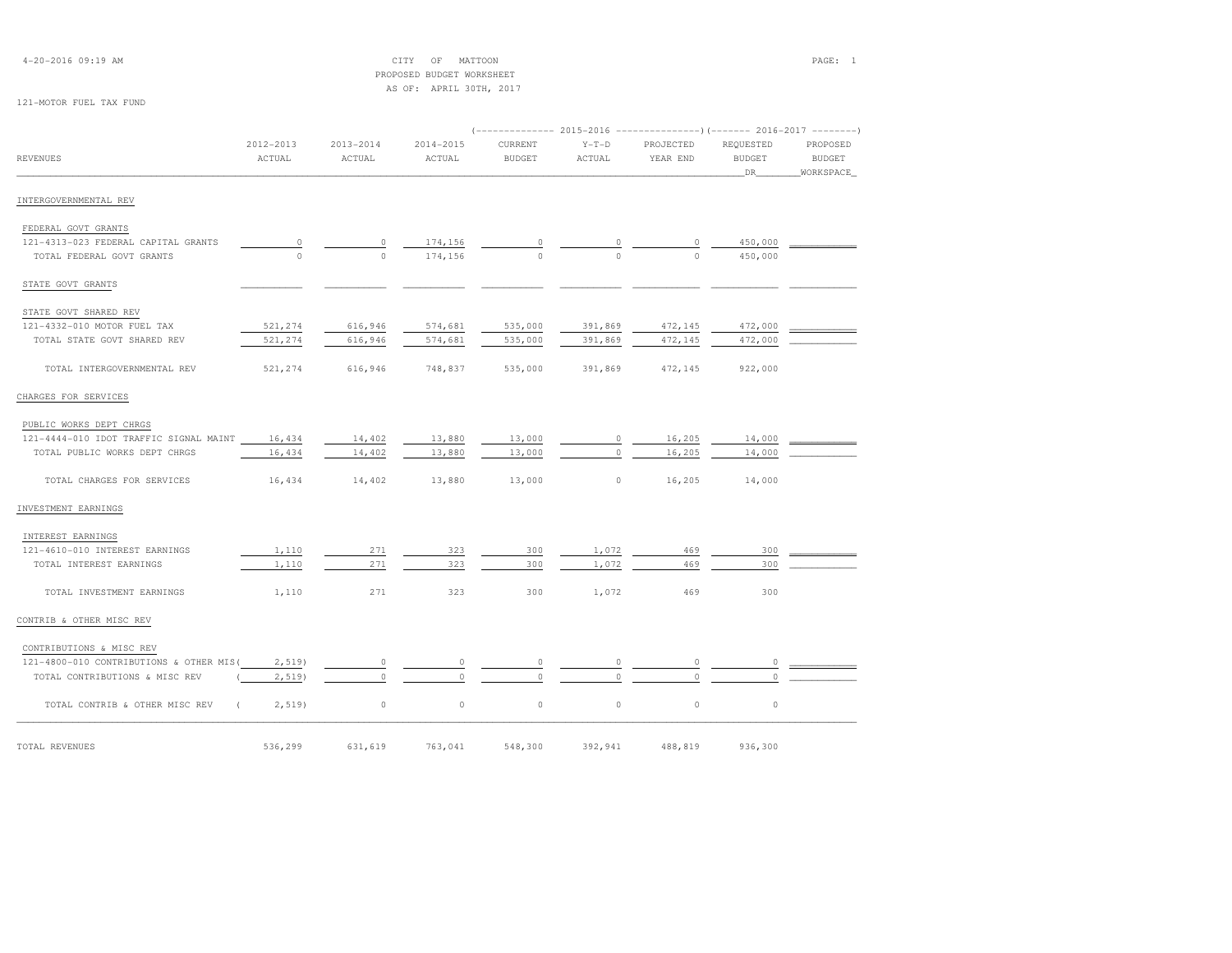| $4 - 20 - 2016$ 09:19 AM |  |  |  |  |
|--------------------------|--|--|--|--|
|--------------------------|--|--|--|--|

 $\begin{array}{cccccccccc} \text{CITY} & \text{OF} & \text{MATION} & \text{PAGE:} & 1 \end{array}$  PROPOSED BUDGET WORKSHEETAS OF: APRIL 30TH, 2017

### 121-MOTOR FUEL TAX FUND

|                                         |                         |                         |                         |                          |                   |                       | (-------------- 2015-2016 ---------------) (------- 2016-2017 --------) |                                 |
|-----------------------------------------|-------------------------|-------------------------|-------------------------|--------------------------|-------------------|-----------------------|-------------------------------------------------------------------------|---------------------------------|
| <b>REVENUES</b>                         | $2012 - 2013$<br>ACTUAL | $2013 - 2014$<br>ACTUAL | $2014 - 2015$<br>ACTUAL | CURRENT<br><b>BUDGET</b> | $Y-T-D$<br>ACTUAL | PROJECTED<br>YEAR END | REQUESTED<br><b>BUDGET</b><br>DR                                        | PROPOSED<br>BUDGET<br>WORKSPACE |
|                                         |                         |                         |                         |                          |                   |                       |                                                                         |                                 |
| INTERGOVERNMENTAL REV                   |                         |                         |                         |                          |                   |                       |                                                                         |                                 |
| FEDERAL GOVT GRANTS                     |                         |                         |                         |                          |                   |                       |                                                                         |                                 |
| 121-4313-023 FEDERAL CAPITAL GRANTS     | $\circ$                 | 0                       | 174,156                 |                          | 0                 |                       | 450,000                                                                 |                                 |
| TOTAL FEDERAL GOVT GRANTS               | $\circ$                 | $\Omega$                | 174,156                 | $\cap$                   | $\cap$            | $\Omega$              | 450,000                                                                 |                                 |
| STATE GOVT GRANTS                       |                         |                         |                         |                          |                   |                       |                                                                         |                                 |
| STATE GOVT SHARED REV                   |                         |                         |                         |                          |                   |                       |                                                                         |                                 |
| 121-4332-010 MOTOR FUEL TAX             | 521,274                 | 616,946                 | 574,681                 | 535,000                  | 391,869           | 472,145               | 472,000                                                                 |                                 |
| TOTAL STATE GOVT SHARED REV             | 521,274                 | 616,946                 | 574,681                 | 535,000                  | 391,869           | 472,145               | 472,000                                                                 |                                 |
| TOTAL INTERGOVERNMENTAL REV             | 521,274                 | 616,946                 | 748,837                 | 535,000                  | 391,869           | 472,145               | 922,000                                                                 |                                 |
| CHARGES FOR SERVICES                    |                         |                         |                         |                          |                   |                       |                                                                         |                                 |
| PUBLIC WORKS DEPT CHRGS                 |                         |                         |                         |                          |                   |                       |                                                                         |                                 |
| 121-4444-010 IDOT TRAFFIC SIGNAL MAINT  | 16,434                  | 14,402                  | 13,880                  | 13,000                   | 0                 | 16,205                | 14,000                                                                  |                                 |
| TOTAL PUBLIC WORKS DEPT CHRGS           | 16,434                  | 14,402                  | 13,880                  | 13,000                   | $\circ$           | 16,205                | 14,000                                                                  |                                 |
| TOTAL CHARGES FOR SERVICES              | 16,434                  | 14,402                  | 13,880                  | 13,000                   | $\circ$           | 16,205                | 14,000                                                                  |                                 |
| INVESTMENT EARNINGS                     |                         |                         |                         |                          |                   |                       |                                                                         |                                 |
| INTEREST EARNINGS                       |                         |                         |                         |                          |                   |                       |                                                                         |                                 |
| 121-4610-010 INTEREST EARNINGS          | 1,110                   | 271                     | 323                     | 300                      | 1,072             | 469                   | 300                                                                     |                                 |
| TOTAL INTEREST EARNINGS                 | 1,110                   | 271                     | 323                     | 300                      | 1,072             | 469                   | 300                                                                     |                                 |
| TOTAL INVESTMENT EARNINGS               | 1,110                   | 271                     | 323                     | 300                      | 1,072             | 469                   | 300                                                                     |                                 |
| CONTRIB & OTHER MISC REV                |                         |                         |                         |                          |                   |                       |                                                                         |                                 |
| CONTRIBUTIONS & MISC REV                |                         |                         |                         |                          |                   |                       |                                                                         |                                 |
| 121-4800-010 CONTRIBUTIONS & OTHER MIS( | 2,519                   | $\circ$                 | $\circ$                 | $\circ$                  | 0                 | $\circ$               | $\circ$                                                                 |                                 |
| TOTAL CONTRIBUTIONS & MISC REV          | $2,519$ )               | $\Omega$                | $\circ$                 | $\circ$                  | $\Omega$          | $\circ$               | 0                                                                       |                                 |
| TOTAL CONTRIB & OTHER MISC REV          | $2,519$ )<br>€.         | $\mathbb O$             | $\circ$                 | $\circ$                  | $\circ$           | $\circ$               | $\circ$                                                                 |                                 |
| TOTAL REVENUES                          | 536,299                 | 631,619                 | 763,041                 | 548,300                  | 392,941           | 488,819               | 936,300                                                                 |                                 |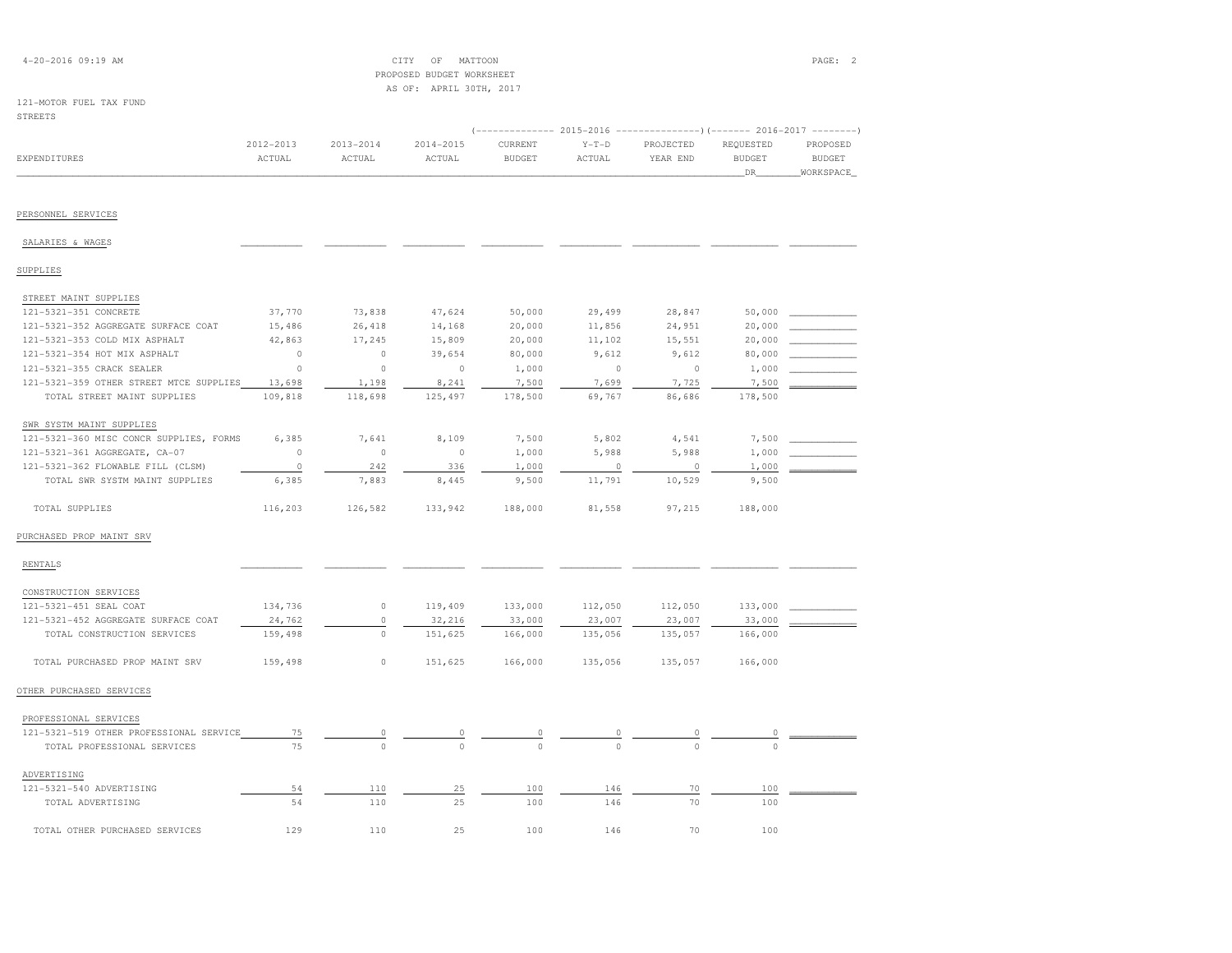| $4 - 20 - 2016$ 09:19 AM                |           |               | OF<br>MATTOON<br>CITY<br>PROPOSED BUDGET WORKSHEET |                |         |                                                                          |                | PAGE: 2       |
|-----------------------------------------|-----------|---------------|----------------------------------------------------|----------------|---------|--------------------------------------------------------------------------|----------------|---------------|
|                                         |           |               | AS OF: APRIL 30TH, 2017                            |                |         |                                                                          |                |               |
| 121-MOTOR FUEL TAX FUND                 |           |               |                                                    |                |         |                                                                          |                |               |
| <b>STREETS</b>                          |           |               |                                                    |                |         |                                                                          |                |               |
|                                         |           |               |                                                    |                |         | (-------------- 2015-2016 ----------------) (------- 2016-2017 --------) |                |               |
|                                         | 2012-2013 | $2013 - 2014$ | 2014-2015                                          | CURRENT        | $Y-T-D$ | PROJECTED                                                                | REQUESTED      | PROPOSED      |
| <b>EXPENDITURES</b>                     | ACTUAL    | ACTUAL        | ACTUAL                                             | <b>BUDGET</b>  | ACTUAL  | YEAR END                                                                 | <b>BUDGET</b>  | <b>BUDGET</b> |
|                                         |           |               |                                                    |                |         |                                                                          | DR             | WORKSPACE     |
|                                         |           |               |                                                    |                |         |                                                                          |                |               |
| PERSONNEL SERVICES                      |           |               |                                                    |                |         |                                                                          |                |               |
|                                         |           |               |                                                    |                |         |                                                                          |                |               |
| SALARIES & WAGES                        |           |               |                                                    |                |         |                                                                          |                |               |
| SUPPLIES                                |           |               |                                                    |                |         |                                                                          |                |               |
| STREET MAINT SUPPLIES                   |           |               |                                                    |                |         |                                                                          |                |               |
| 121-5321-351 CONCRETE                   | 37,770    | 73,838        | 47,624                                             | 50,000         | 29,499  | 28,847                                                                   | 50,000         |               |
| 121-5321-352 AGGREGATE SURFACE COAT     | 15,486    | 26,418        | 14,168                                             | 20,000         | 11,856  | 24,951                                                                   | 20,000         |               |
| 121-5321-353 COLD MIX ASPHALT           | 42,863    | 17,245        | 15,809                                             | 20,000         | 11,102  | 15,551                                                                   | 20,000         |               |
| 121-5321-354 HOT MIX ASPHALT            | $\circ$   | $\circ$       | 39,654                                             | 80,000         | 9,612   | 9,612                                                                    | 80,000         |               |
| 121-5321-355 CRACK SEALER               | $\circ$   | $\circ$       | $\circ$                                            | 1,000          | $\circ$ | $\circ$                                                                  | 1,000          |               |
| 121-5321-359 OTHER STREET MTCE SUPPLIES | 13,698    | 1,198         | 8,241                                              | 7,500          | 7,699   | 7,725                                                                    | 7,500          |               |
| TOTAL STREET MAINT SUPPLIES             | 109,818   | 118,698       | 125,497                                            | 178,500        | 69,767  | 86,686                                                                   | 178,500        |               |
| SWR SYSTM MAINT SUPPLIES                |           |               |                                                    |                |         |                                                                          |                |               |
| 121-5321-360 MISC CONCR SUPPLIES, FORMS | 6,385     | 7,641         | 8,109                                              | 7,500          | 5,802   | 4,541                                                                    | 7,500          |               |
| 121-5321-361 AGGREGATE, CA-07           | $\circ$   | $\circ$       | $\circ$                                            | 1,000          | 5,988   | 5,988                                                                    | 1,000          |               |
| 121-5321-362 FLOWABLE FILL (CLSM)       | $\circ$   | 242           | 336                                                | 1,000          | $\circ$ | $\Omega$                                                                 | 1,000          |               |
| TOTAL SWR SYSTM MAINT SUPPLIES          | 6,385     | 7,883         | 8,445                                              | 9,500          | 11,791  | 10,529                                                                   | 9,500          |               |
| TOTAL SUPPLIES                          | 116,203   | 126,582       | 133,942                                            | 188,000        | 81,558  | 97,215                                                                   | 188,000        |               |
| PURCHASED PROP MAINT SRV                |           |               |                                                    |                |         |                                                                          |                |               |
| RENTALS                                 |           |               |                                                    |                |         |                                                                          |                |               |
|                                         |           |               |                                                    |                |         |                                                                          |                |               |
| CONSTRUCTION SERVICES                   |           |               |                                                    |                |         |                                                                          |                |               |
| 121-5321-451 SEAL COAT                  | 134,736   | $\circ$       | 119,409                                            | 133,000        | 112,050 | 112,050                                                                  | 133,000        |               |
| 121-5321-452 AGGREGATE SURFACE COAT     | 24,762    | $\circ$       | 32,216                                             | 33,000         | 23,007  | 23,007                                                                   | 33,000         |               |
| TOTAL CONSTRUCTION SERVICES             | 159,498   | $\circ$       | 151,625                                            | 166,000        | 135,056 | 135,057                                                                  | 166,000        |               |
| TOTAL PURCHASED PROP MAINT SRV          | 159,498   | $\circ$       | 151,625                                            | 166,000        | 135,056 | 135,057                                                                  | 166,000        |               |
| OTHER PURCHASED SERVICES                |           |               |                                                    |                |         |                                                                          |                |               |
| PROFESSIONAL SERVICES                   |           |               |                                                    |                |         |                                                                          |                |               |
| 121-5321-519 OTHER PROFESSIONAL SERVICE | 75        | $\circ$       |                                                    | $\overline{0}$ |         |                                                                          | $\overline{0}$ |               |
| TOTAL PROFESSIONAL SERVICES             | 75        | $\circ$       | $\circ$                                            |                |         |                                                                          | $\circ$        |               |
| ADVERTISING                             |           |               |                                                    |                |         |                                                                          |                |               |
| 121-5321-540 ADVERTISING                | 54        | 110           | 25                                                 | 100            | 146     | 70                                                                       | 100            |               |
| TOTAL ADVERTISING                       | 54        | 110           | 25                                                 | 100            | 146     | 70                                                                       | 100            |               |
|                                         |           |               |                                                    |                |         |                                                                          |                |               |
| TOTAL OTHER PURCHASED SERVICES          | 129       | 110           | 2.5                                                | 100            | 146     | 70                                                                       | 100            |               |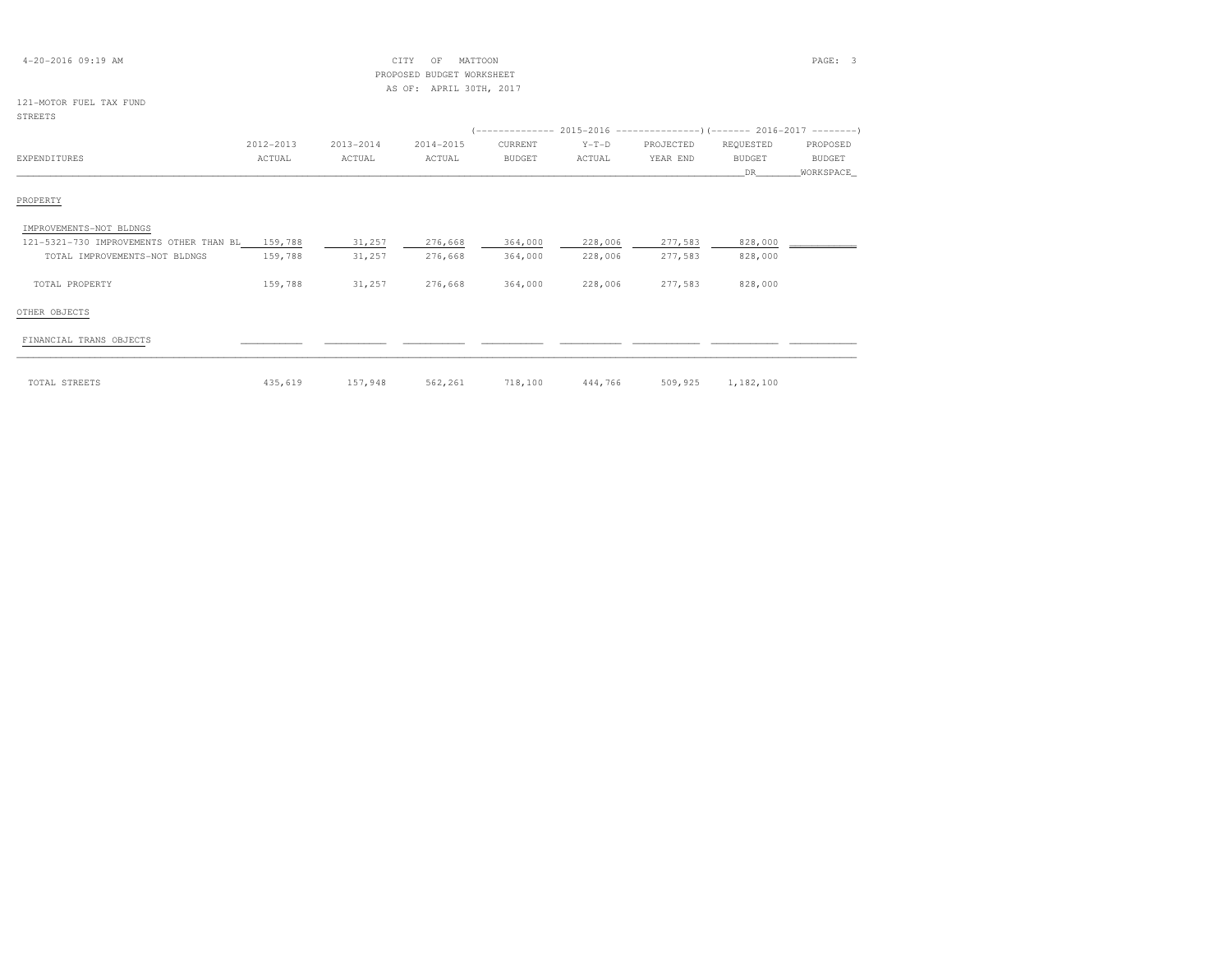| $4 - 20 - 2016$ 09:19 AM                |           |           | MATTOON<br>CITY<br>OF     |               |         |           |               | PAGE: 3       |
|-----------------------------------------|-----------|-----------|---------------------------|---------------|---------|-----------|---------------|---------------|
|                                         |           |           | PROPOSED BUDGET WORKSHEET |               |         |           |               |               |
|                                         |           |           | AS OF: APRIL 30TH, 2017   |               |         |           |               |               |
| 121-MOTOR FUEL TAX FUND                 |           |           |                           |               |         |           |               |               |
| <b>STREETS</b>                          |           |           |                           |               |         |           |               |               |
|                                         |           |           |                           |               |         |           |               |               |
|                                         | 2012-2013 | 2013-2014 | 2014-2015                 | CURRENT       | $Y-T-D$ | PROJECTED | REQUESTED     | PROPOSED      |
| <b>EXPENDITURES</b>                     | ACTUAL    | ACTUAL    | ACTUAL                    | <b>BUDGET</b> | ACTUAL  | YEAR END  | <b>BUDGET</b> | <b>BUDGET</b> |
|                                         |           |           |                           |               |         |           | DR            | WORKSPACE     |
| PROPERTY                                |           |           |                           |               |         |           |               |               |
| IMPROVEMENTS-NOT BLDNGS                 |           |           |                           |               |         |           |               |               |
| 121-5321-730 IMPROVEMENTS OTHER THAN BL | 159,788   | 31,257    | 276,668                   | 364,000       | 228,006 | 277,583   | 828,000       |               |
| TOTAL IMPROVEMENTS-NOT BLDNGS           | 159,788   | 31,257    | 276,668                   | 364,000       | 228,006 | 277,583   | 828,000       |               |
| TOTAL PROPERTY                          | 159,788   | 31,257    | 276,668                   | 364,000       | 228,006 | 277,583   | 828,000       |               |
| OTHER OBJECTS                           |           |           |                           |               |         |           |               |               |
| FINANCIAL TRANS OBJECTS                 |           |           |                           |               |         |           |               |               |
|                                         |           |           |                           |               |         |           |               |               |
| TOTAL STREETS                           | 435,619   | 157,948   | 562,261                   | 718,100       | 444,766 | 509,925   | 1,182,100     |               |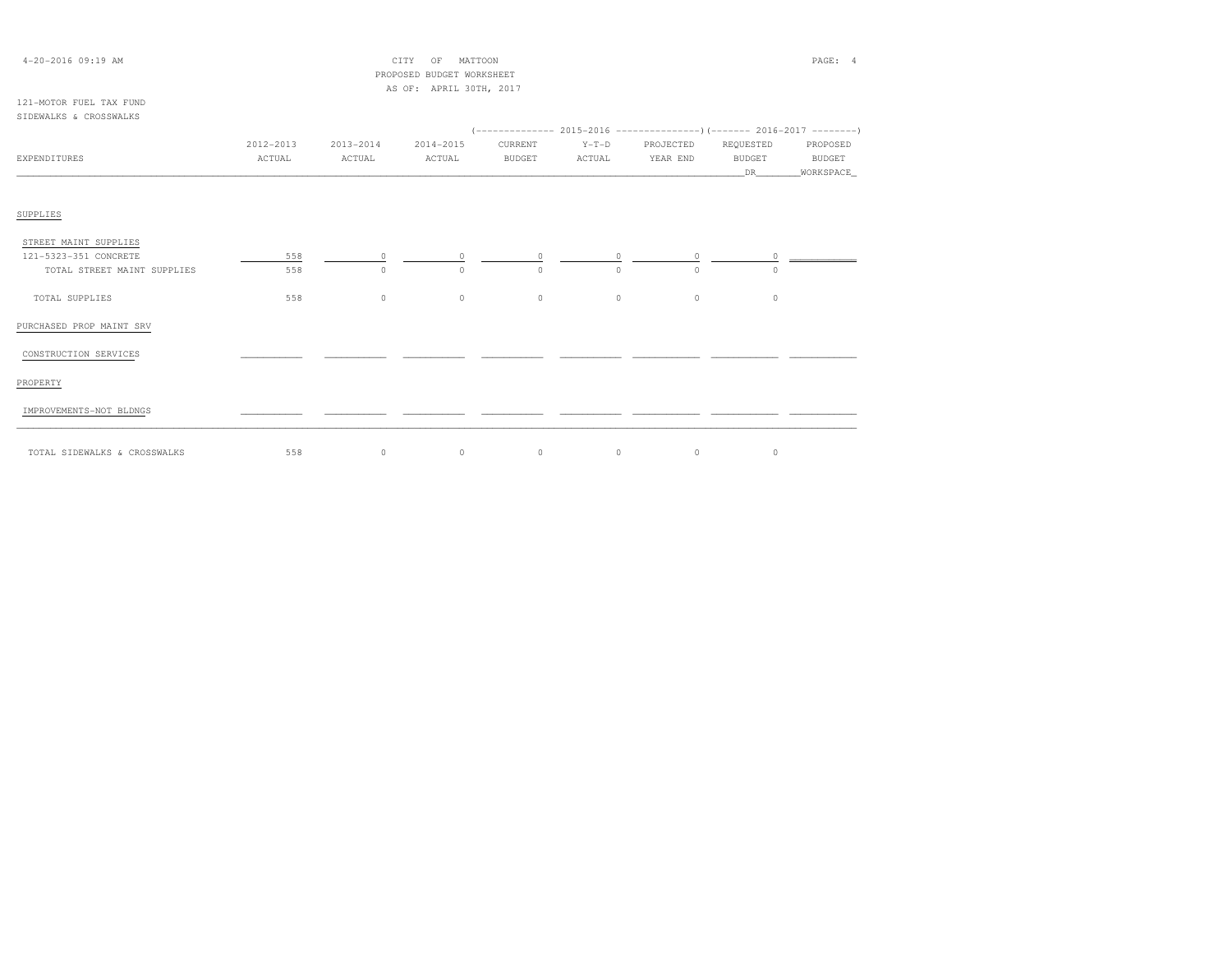| $4 - 20 - 2016$ 09:19 AM                          |           |           | MATTOON<br>CITY<br>OF     |          |         |           |               | PAGE: 4                     |
|---------------------------------------------------|-----------|-----------|---------------------------|----------|---------|-----------|---------------|-----------------------------|
|                                                   |           |           | PROPOSED BUDGET WORKSHEET |          |         |           |               |                             |
|                                                   |           |           | AS OF: APRIL 30TH, 2017   |          |         |           |               |                             |
| 121-MOTOR FUEL TAX FUND<br>SIDEWALKS & CROSSWALKS |           |           |                           |          |         |           |               |                             |
|                                                   |           |           |                           |          |         |           |               |                             |
|                                                   | 2012-2013 | 2013-2014 | 2014-2015                 | CURRENT  | $Y-T-D$ | PROJECTED | REQUESTED     | PROPOSED                    |
| EXPENDITURES                                      | ACTUAL    | ACTUAL    | ACTUAL                    | BUDGET   | ACTUAL  | YEAR END  | <b>BUDGET</b> | <b>BUDGET</b>               |
|                                                   |           |           |                           |          |         |           | DR .          | WORKSPACE                   |
|                                                   |           |           |                           |          |         |           |               |                             |
|                                                   |           |           |                           |          |         |           |               |                             |
| SUPPLIES                                          |           |           |                           |          |         |           |               |                             |
| STREET MAINT SUPPLIES                             |           |           |                           |          |         |           |               |                             |
| 121-5323-351 CONCRETE                             | 558       | $\circ$   | $\circ$                   | $\circ$  | $\circ$ | $\circ$   |               |                             |
| TOTAL STREET MAINT SUPPLIES                       | 558       | $\circ$   | $\Omega$                  | $\Omega$ | $\circ$ | 0         | $\circ$       | $\ddot{\ }$ $\qquad \qquad$ |
|                                                   |           |           |                           |          |         |           |               |                             |
| TOTAL SUPPLIES                                    | 558       | $\circ$   | $\circ$                   | $\circ$  | $\circ$ | $\circ$   | $\circ$       |                             |
|                                                   |           |           |                           |          |         |           |               |                             |
| PURCHASED PROP MAINT SRV                          |           |           |                           |          |         |           |               |                             |
|                                                   |           |           |                           |          |         |           |               |                             |
| CONSTRUCTION SERVICES                             |           |           |                           |          |         |           |               |                             |
|                                                   |           |           |                           |          |         |           |               |                             |
| PROPERTY                                          |           |           |                           |          |         |           |               |                             |
| IMPROVEMENTS-NOT BLDNGS                           |           |           |                           |          |         |           |               |                             |
|                                                   |           |           |                           |          |         |           |               |                             |

\_\_\_\_\_\_\_\_\_\_\_\_\_\_\_\_\_\_\_\_\_\_\_\_\_\_\_\_\_\_\_\_\_\_\_\_\_\_\_\_\_\_\_\_\_\_\_\_\_\_\_\_\_\_\_\_\_\_\_\_\_\_\_\_\_\_\_\_\_\_\_\_\_\_\_\_\_\_\_\_\_\_\_\_\_\_\_\_\_\_\_\_\_\_\_\_\_\_\_\_\_\_\_\_\_\_\_\_\_\_\_\_\_\_\_\_\_\_\_\_\_\_\_\_\_\_\_\_\_\_\_\_\_\_\_\_\_\_\_\_\_\_\_\_\_\_\_\_\_\_ TOTAL SIDEWALKS & CROSSWALKS 558 0 0 0 0 0 0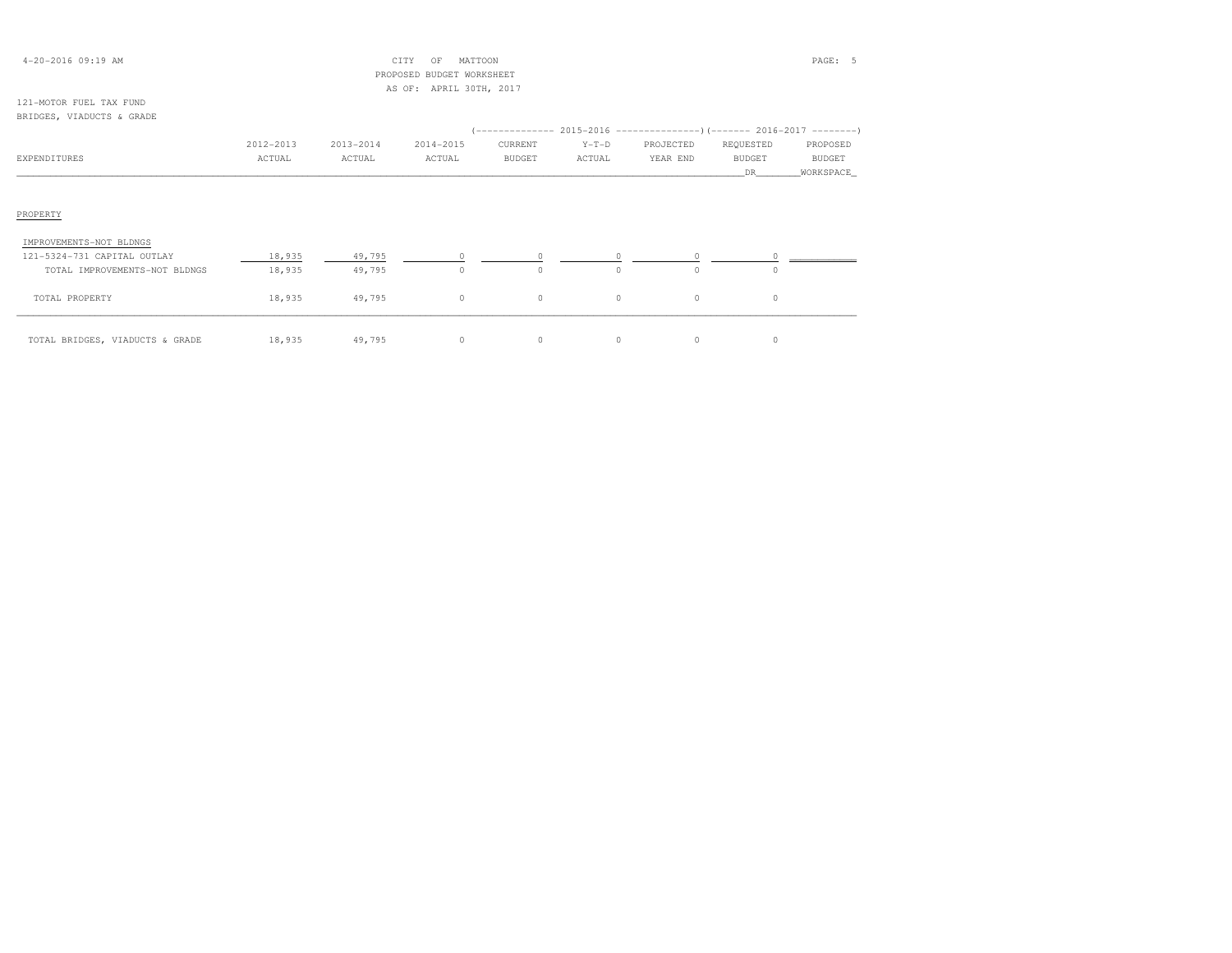| $4 - 20 - 2016$ 09:19 AM  |           |           | CITY<br>OF                | MATTOON       |         |                                                                          |               | PAGE: 5   |
|---------------------------|-----------|-----------|---------------------------|---------------|---------|--------------------------------------------------------------------------|---------------|-----------|
|                           |           |           | PROPOSED BUDGET WORKSHEET |               |         |                                                                          |               |           |
|                           |           |           | AS OF: APRIL 30TH, 2017   |               |         |                                                                          |               |           |
| 121-MOTOR FUEL TAX FUND   |           |           |                           |               |         |                                                                          |               |           |
| BRIDGES, VIADUCTS & GRADE |           |           |                           |               |         |                                                                          |               |           |
|                           |           |           |                           |               |         | (-------------- 2015-2016 ----------------) (------- 2016-2017 --------) |               |           |
|                           | 2012-2013 | 2013-2014 | 2014-2015                 | CURRENT       | $Y-T-D$ | PROJECTED                                                                | REQUESTED     | PROPOSED  |
| EXPENDITURES              | ACTUAL    | ACTUAL    | ACTUAL                    | <b>BUDGET</b> | ACTUAL  | YEAR END                                                                 | <b>BUDGET</b> | BUDGET    |
|                           |           |           |                           |               |         |                                                                          | DR.           | WORKSPACE |
|                           |           |           |                           |               |         |                                                                          |               |           |
|                           |           |           |                           |               |         |                                                                          |               |           |
| PROPERTY                  |           |           |                           |               |         |                                                                          |               |           |
|                           |           |           |                           |               |         |                                                                          |               |           |

| IMPROVEMENTS-NOT BLDNGS         |        |        |  |  |  |
|---------------------------------|--------|--------|--|--|--|
| 121-5324-731 CAPITAL OUTLAY     | 18,935 | 49,795 |  |  |  |
| TOTAL IMPROVEMENTS-NOT BLDNGS   | 18,935 | 49,795 |  |  |  |
| TOTAL PROPERTY                  | 18,935 | 49,795 |  |  |  |
| TOTAL BRIDGES, VIADUCTS & GRADE | 18,935 | 49,795 |  |  |  |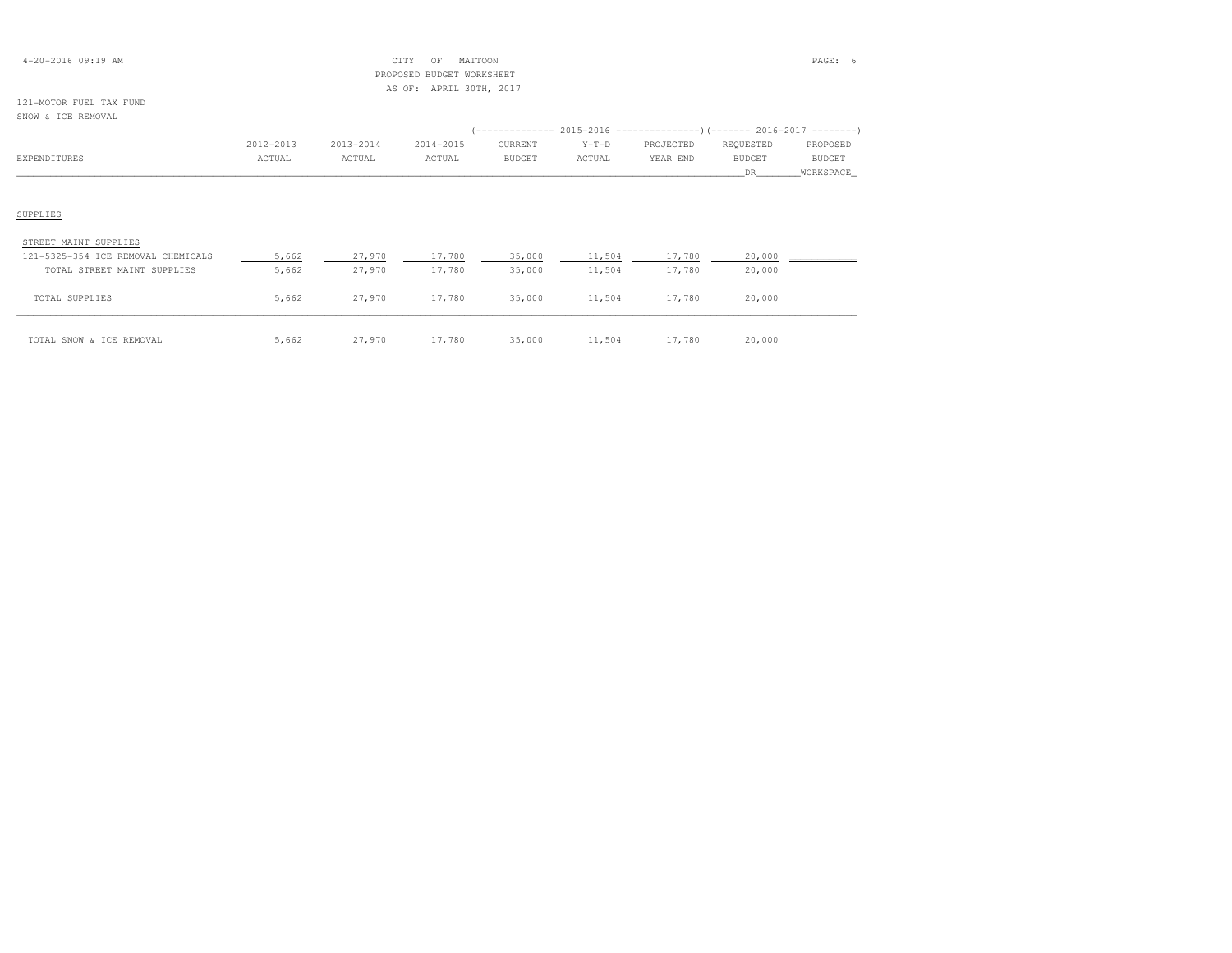## 4-20-2016 09:19 AM CITY OF MATTOON PAGE: 6 PROPOSED BUDGET WORKSHEETAS OF: APRIL 30TH, 2017

### 121-MOTOR FUEL TAX FUNDSNOW & ICE REMOVAL

|                                    |           |           |           |               |         | (-------------- 2015-2016 ---------------) (------- 2016-2017 --------) |               |               |
|------------------------------------|-----------|-----------|-----------|---------------|---------|-------------------------------------------------------------------------|---------------|---------------|
|                                    | 2012-2013 | 2013-2014 | 2014-2015 | CURRENT       | $Y-T-D$ | PROJECTED                                                               | REQUESTED     | PROPOSED      |
| EXPENDITURES                       | ACTUAL    | ACTUAL    | ACTUAL    | <b>BUDGET</b> | ACTUAL  | YEAR END                                                                | <b>BUDGET</b> | <b>BUDGET</b> |
|                                    |           |           |           |               |         |                                                                         | DR            | WORKSPACE     |
| SUPPLIES                           |           |           |           |               |         |                                                                         |               |               |
| STREET MAINT SUPPLIES              |           |           |           |               |         |                                                                         |               |               |
| 121-5325-354 ICE REMOVAL CHEMICALS | 5,662     | 27,970    | 17,780    | 35,000        | 11,504  | 17,780                                                                  | 20,000        |               |
| TOTAL STREET MAINT SUPPLIES        | 5,662     | 27,970    | 17,780    | 35,000        | 11,504  | 17,780                                                                  | 20,000        |               |
| TOTAL SUPPLIES                     | 5,662     | 27,970    | 17,780    | 35,000        | 11,504  | 17,780                                                                  | 20,000        |               |

\_\_\_\_\_\_\_\_\_\_\_\_\_\_\_\_\_\_\_\_\_\_\_\_\_\_\_\_\_\_\_\_\_\_\_\_\_\_\_\_\_\_\_\_\_\_\_\_\_\_\_\_\_\_\_\_\_\_\_\_\_\_\_\_\_\_\_\_\_\_\_\_\_\_\_\_\_\_\_\_\_\_\_\_\_\_\_\_\_\_\_\_\_\_\_\_\_\_\_\_\_\_\_\_\_\_\_\_\_\_\_\_\_\_\_\_\_\_\_\_\_\_\_\_\_\_\_\_\_\_\_\_\_\_\_\_\_\_\_\_\_\_\_\_\_\_\_\_\_\_ TOTAL SNOW & ICE REMOVAL 5,662 27,970 17,780 35,000 11,504 17,780 20,000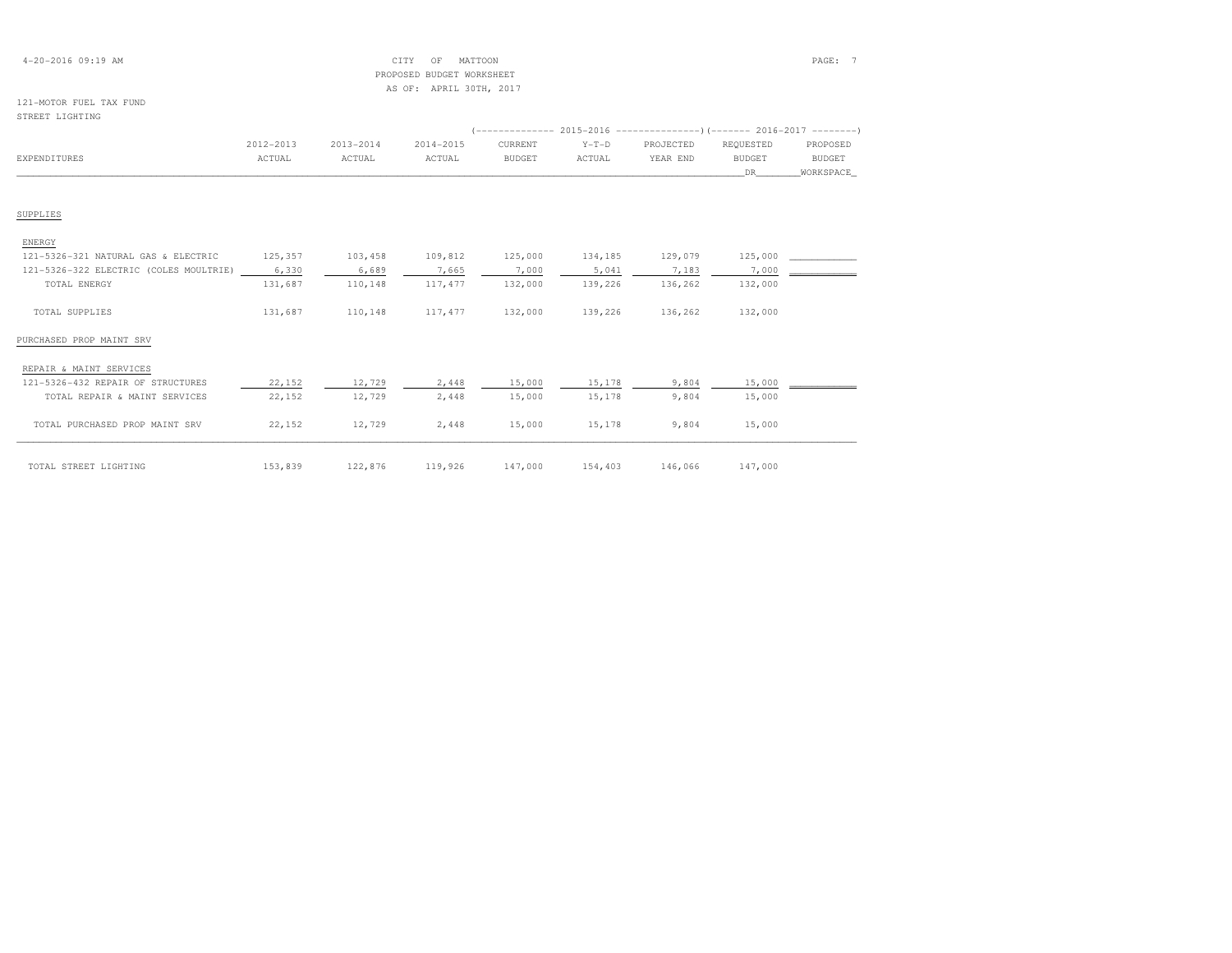## 4-20-2016 09:19 AM CITY OF MATTOON PAGE: 7 PROPOSED BUDGET WORKSHEETAS OF: APRIL 30TH, 2017

### 121-MOTOR FUEL TAX FUNDSTREET LIGHTING

| DINDER BIGHTING                        |           |           |           |               |         |           |                                                                      |               |
|----------------------------------------|-----------|-----------|-----------|---------------|---------|-----------|----------------------------------------------------------------------|---------------|
|                                        |           |           |           |               |         |           | (-------------- 2015-2016 ---------------------- 2016-2017 --------- |               |
|                                        | 2012-2013 | 2013-2014 | 2014-2015 | CURRENT       | $Y-T-D$ | PROJECTED | REQUESTED                                                            | PROPOSED      |
| <b>EXPENDITURES</b>                    | ACTUAL    | ACTUAL    | ACTUAL    | <b>BUDGET</b> | ACTUAL  | YEAR END  | <b>BUDGET</b>                                                        | <b>BUDGET</b> |
|                                        |           |           |           |               |         |           | DR                                                                   | WORKSPACE     |
|                                        |           |           |           |               |         |           |                                                                      |               |
| SUPPLIES                               |           |           |           |               |         |           |                                                                      |               |
| ENERGY                                 |           |           |           |               |         |           |                                                                      |               |
| 121-5326-321 NATURAL GAS & ELECTRIC    | 125,357   | 103,458   | 109,812   | 125,000       | 134,185 | 129,079   | 125,000                                                              |               |
| 121-5326-322 ELECTRIC (COLES MOULTRIE) | 6,330     | 6,689     | 7,665     | 7,000         | 5,041   | 7,183     | 7,000                                                                |               |
| TOTAL ENERGY                           | 131,687   | 110,148   | 117,477   | 132,000       | 139,226 | 136,262   | 132,000                                                              |               |
| TOTAL SUPPLIES                         | 131,687   | 110,148   | 117,477   | 132,000       | 139,226 | 136,262   | 132,000                                                              |               |
| PURCHASED PROP MAINT SRV               |           |           |           |               |         |           |                                                                      |               |
| REPAIR & MAINT SERVICES                |           |           |           |               |         |           |                                                                      |               |

| 121-5326-432 REPAIR OF STRUCTURES | 22,152  | 12,729  | 2,448   | 15,000  | 15,178  | 9,804   | 15,000  |  |
|-----------------------------------|---------|---------|---------|---------|---------|---------|---------|--|
| TOTAL REPAIR & MAINT SERVICES     | 22,152  | 12,729  | 2,448   | 15,000  | 15,178  | 9,804   | 15,000  |  |
|                                   |         |         |         |         |         |         |         |  |
| TOTAL PURCHASED PROP MAINT SRV    | 22,152  | 12,729  | 2,448   | 15,000  | 15,178  | 9,804   | 15,000  |  |
|                                   |         |         |         |         |         |         |         |  |
| TOTAL STREET LIGHTING             | 153,839 | 122,876 | 119,926 | 147,000 | 154,403 | 146,066 | 147,000 |  |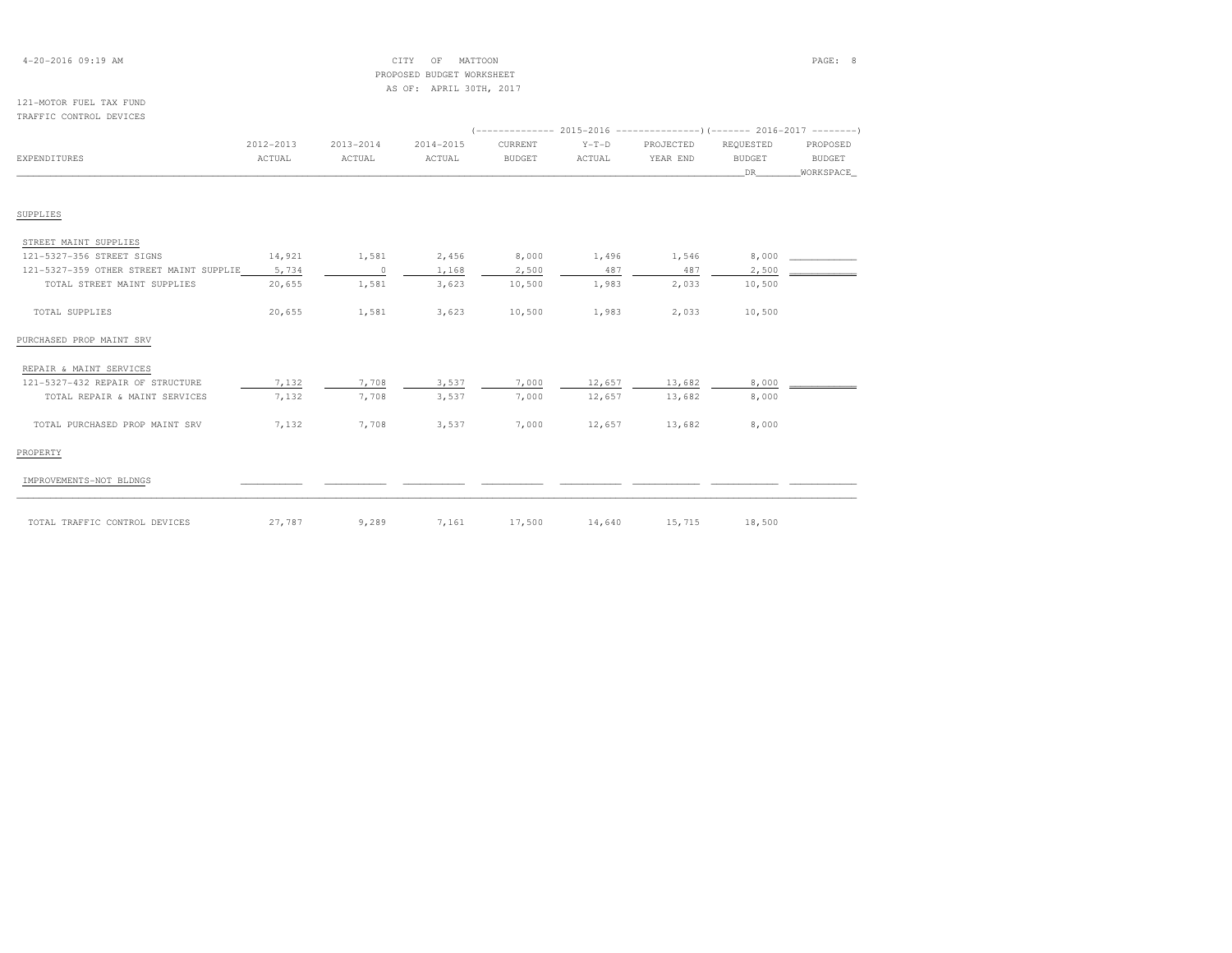| $4 - 20 - 2016$ 09:19 AM |  |
|--------------------------|--|
|--------------------------|--|

### 4-20-2016 09:19 AM CITY OF MATTOON PAGE: 8 PROPOSED BUDGET WORKSHEETAS OF: APRIL 30TH, 2017

#### 121-MOTOR FUEL TAX FUNDTRAFFIC CONTROL DEVICES

| IRAPPIC CONIROL DEVICES                 |           |           |           |               |         |           |               |           |
|-----------------------------------------|-----------|-----------|-----------|---------------|---------|-----------|---------------|-----------|
|                                         | 2012-2013 | 2013-2014 | 2014-2015 | CURRENT       | $Y-T-D$ | PROJECTED | REQUESTED     | PROPOSED  |
| <b>EXPENDITURES</b>                     | ACTUAL    | ACTUAL    | ACTUAL    | <b>BUDGET</b> | ACTUAL  | YEAR END  | <b>BUDGET</b> | BUDGET    |
|                                         |           |           |           |               |         |           | DR            | WORKSPACE |
|                                         |           |           |           |               |         |           |               |           |
| SUPPLIES                                |           |           |           |               |         |           |               |           |
| STREET MAINT SUPPLIES                   |           |           |           |               |         |           |               |           |
| 121-5327-356 STREET SIGNS               | 14,921    | 1,581     | 2,456     | 8,000         | 1,496   | 1,546     | 8,000         |           |
| 121-5327-359 OTHER STREET MAINT SUPPLIE | 5,734     | $\circ$   | 1,168     | 2,500         | 487     | 487       | 2,500         |           |
| TOTAL STREET MAINT SUPPLIES             | 20,655    | 1,581     | 3,623     | 10,500        | 1,983   | 2,033     | 10,500        |           |
| TOTAL SUPPLIES                          | 20,655    | 1,581     | 3,623     | 10,500        | 1,983   | 2,033     | 10,500        |           |
| PURCHASED PROP MAINT SRV                |           |           |           |               |         |           |               |           |
| REPAIR & MAINT SERVICES                 |           |           |           |               |         |           |               |           |
| 121-5327-432 REPAIR OF STRUCTURE        | 7,132     | 7,708     | 3,537     | 7,000         | 12,657  | 13,682    | 8,000         |           |
| TOTAL REPAIR & MAINT SERVICES           | 7,132     | 7,708     | 3,537     | 7,000         | 12,657  | 13,682    | 8,000         |           |
| TOTAL PURCHASED PROP MAINT SRV          | 7,132     | 7,708     | 3,537     | 7,000         | 12,657  | 13,682    | 8,000         |           |
| PROPERTY                                |           |           |           |               |         |           |               |           |
| IMPROVEMENTS-NOT BLDNGS                 |           |           |           |               |         |           |               |           |
| TOTAL TRAFFIC CONTROL DEVICES           | 27,787    | 9,289     | 7,161     | 17,500        | 14,640  | 15,715    | 18,500        |           |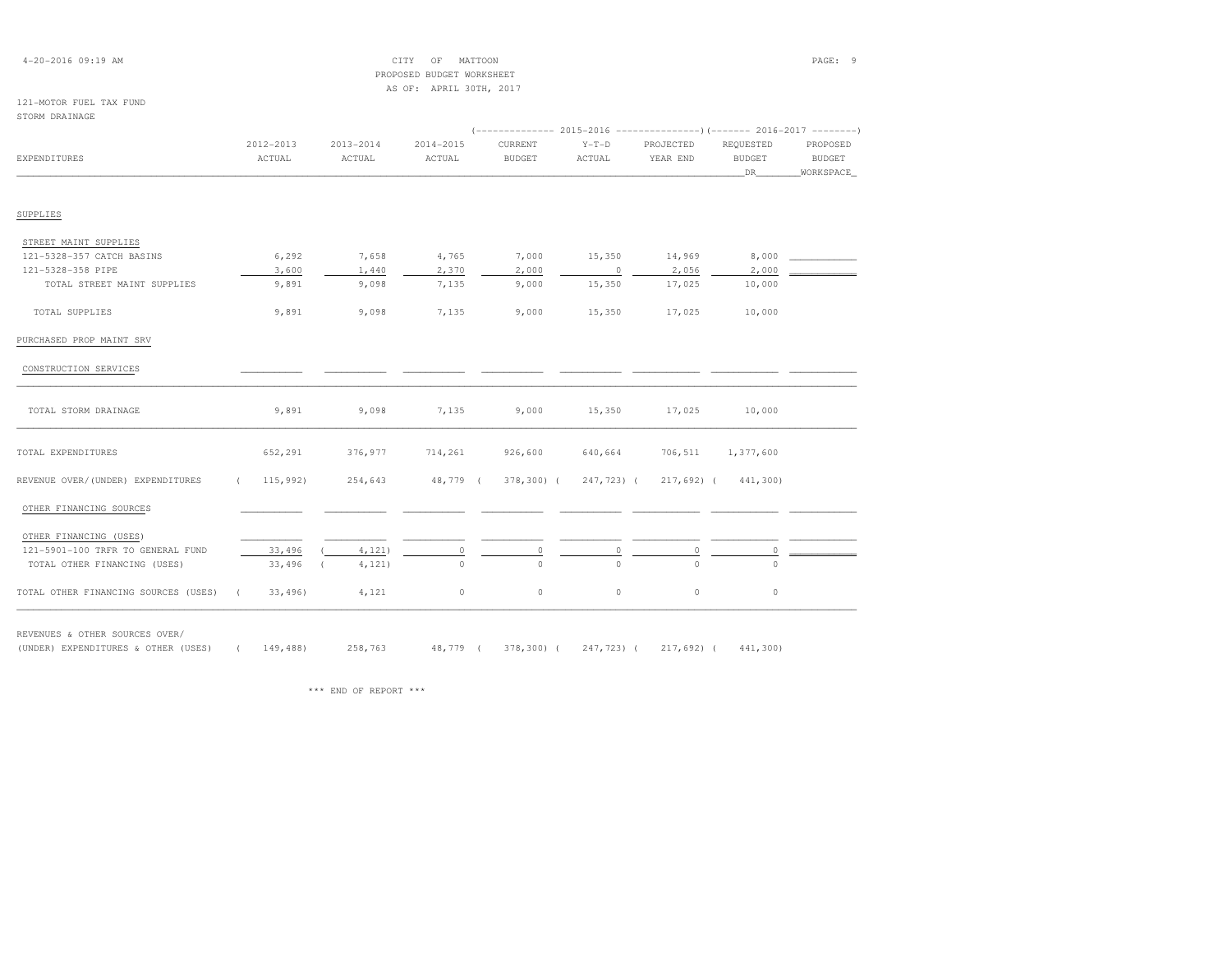| $4 - 20 - 2016$ 09:19 AM |  |  |
|--------------------------|--|--|
|--------------------------|--|--|

### $\begin{array}{ccc} \text{CITY} & \text{OF} & \text{MATTOON} \end{array}$  PROPOSED BUDGET WORKSHEETAS OF: APRIL 30TH, 2017

#### 121-MOTOR FUEL TAX FUNDSTORM DRAINAGE

| EXPENDITURES                         | 2012-2013<br>ACTUAL    | $2013 - 2014$<br>ACTUAL | $2014 - 2015$<br>ACTUAL | CURRENT<br><b>BUDGET</b> | $Y-T-D$<br>ACTUAL | PROJECTED<br>YEAR END | REOUESTED<br><b>BUDGET</b><br>DR | PROPOSED<br><b>BUDGET</b><br>WORKSPACE |
|--------------------------------------|------------------------|-------------------------|-------------------------|--------------------------|-------------------|-----------------------|----------------------------------|----------------------------------------|
|                                      |                        |                         |                         |                          |                   |                       |                                  |                                        |
| SUPPLIES                             |                        |                         |                         |                          |                   |                       |                                  |                                        |
| STREET MAINT SUPPLIES                |                        |                         |                         |                          |                   |                       |                                  |                                        |
| 121-5328-357 CATCH BASINS            | 6,292                  | 7,658                   | 4,765                   | 7,000                    | 15,350            | 14,969                | 8,000                            |                                        |
| 121-5328-358 PIPE                    | 3,600                  | 1,440                   | 2,370                   | 2,000                    | $\overline{0}$    | 2,056                 | 2,000                            |                                        |
| TOTAL STREET MAINT SUPPLIES          | 9,891                  | 9,098                   | 7,135                   | 9,000                    | 15,350            | 17,025                | 10,000                           |                                        |
| TOTAL SUPPLIES                       | 9,891                  | 9,098                   | 7,135                   | 9,000                    | 15,350            | 17,025                | 10,000                           |                                        |
| PURCHASED PROP MAINT SRV             |                        |                         |                         |                          |                   |                       |                                  |                                        |
| CONSTRUCTION SERVICES                |                        |                         |                         |                          |                   |                       |                                  |                                        |
| TOTAL STORM DRAINAGE                 | 9,891                  | 9,098                   | 7,135                   | 9,000                    | 15,350            | 17,025                | 10,000                           |                                        |
| TOTAL EXPENDITURES                   | 652,291                | 376,977                 | 714,261                 | 926,600                  | 640,664           | 706,511               | 1,377,600                        |                                        |
| REVENUE OVER/(UNDER) EXPENDITURES    | 115,992)<br>$\sqrt{2}$ | 254,643                 |                         | 48,779 (378,300) (       | 247,723) (        |                       | 217,692) (441,300)               |                                        |
| OTHER FINANCING SOURCES              |                        |                         |                         |                          |                   |                       |                                  |                                        |
| OTHER FINANCING (USES)               |                        |                         |                         |                          |                   |                       |                                  |                                        |
| 121-5901-100 TRFR TO GENERAL FUND    | 33,496                 | 4,121)                  | 0                       | $\circ$                  | 0                 | $\circ$               | 0                                |                                        |
| TOTAL OTHER FINANCING (USES)         | 33,496                 | 4, 121)                 | $\Omega$                | $\Omega$                 | $\Omega$          | $\Omega$              | $\Omega$                         |                                        |
| TOTAL OTHER FINANCING SOURCES (USES) | 33,496                 | 4,121                   | $\circ$                 | $\circ$                  | $\circ$           | $\circ$               | $\circ$                          |                                        |

REVENUES & OTHER SOURCES OVER/

(UNDER) EXPENDITURES & OTHER (USES) ( 149,488) 258,763 48,779 ( 378,300) ( 247,723) ( 217,692) ( 441,300)

\*\*\* END OF REPORT \*\*\*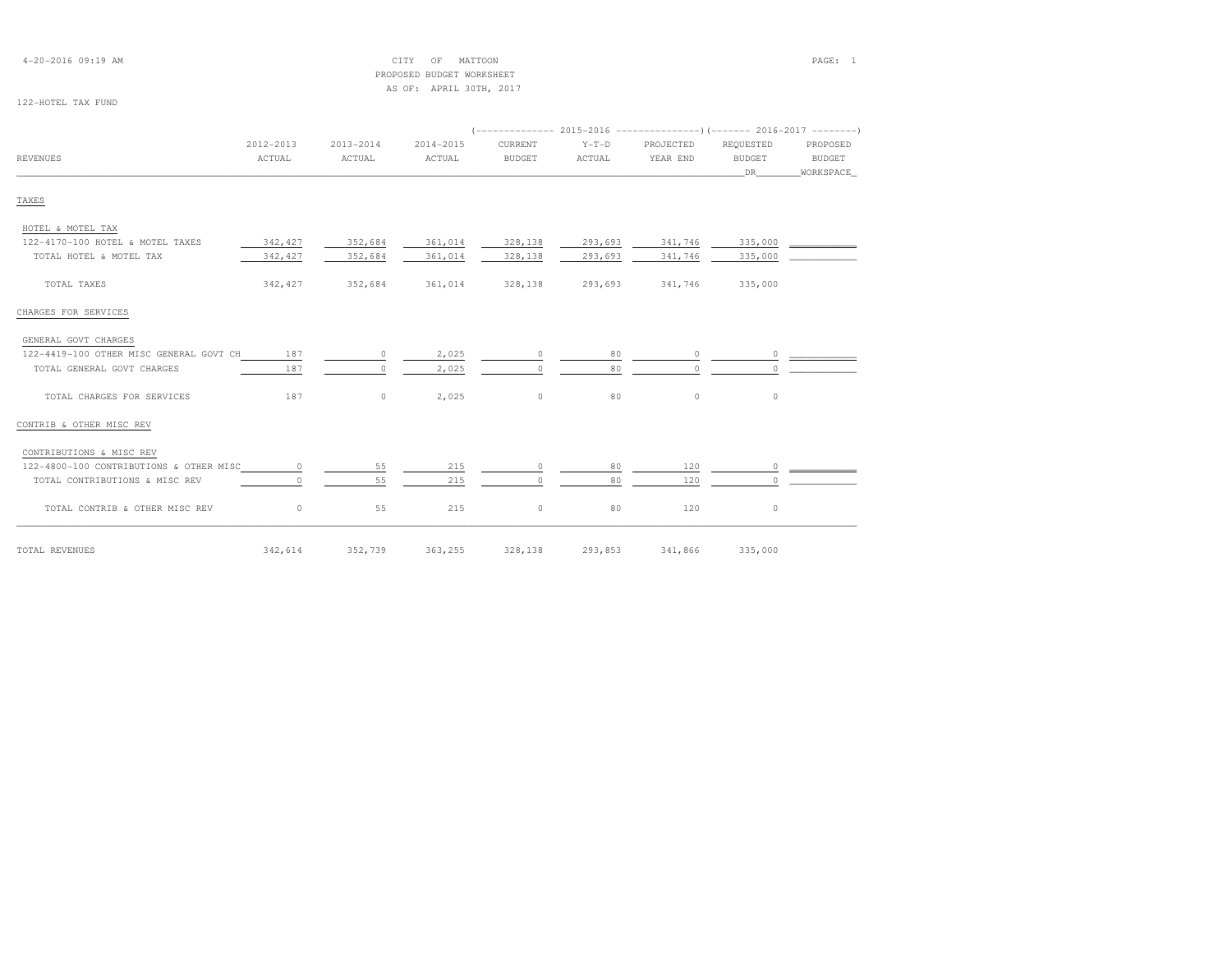| $4 - 20 - 2016$ 09:19 AM |  |  |
|--------------------------|--|--|
|--------------------------|--|--|

### 4-20-2016 09:19 AM CITY OF MATTOON PAGE: 1 PROPOSED BUDGET WORKSHEETAS OF: APRIL 30TH, 2017

### 122-HOTEL TAX FUND

|                                         | 2012-2013 | $2013 - 2014$ | 2014-2015 | CURRENT         | $Y-T-D$ | PROJECTED | REQUESTED    | PROPOSED            |
|-----------------------------------------|-----------|---------------|-----------|-----------------|---------|-----------|--------------|---------------------|
| <b>REVENUES</b>                         | ACTUAL    | ACTUAL        | ACTUAL    | <b>BUDGET</b>   | ACTUAL  | YEAR END  | BUDGET<br>DR | BUDGET<br>WORKSPACE |
|                                         |           |               |           |                 |         |           |              |                     |
| TAXES                                   |           |               |           |                 |         |           |              |                     |
| HOTEL & MOTEL TAX                       |           |               |           |                 |         |           |              |                     |
| 122-4170-100 HOTEL & MOTEL TAXES        | 342, 427  | 352,684       | 361,014   | 328,138         | 293,693 | 341,746   | 335,000      |                     |
| TOTAL HOTEL & MOTEL TAX                 | 342,427   | 352,684       | 361,014   | 328,138         | 293,693 | 341,746   | 335,000      |                     |
| TOTAL TAXES                             | 342,427   | 352,684       |           | 361,014 328,138 | 293,693 | 341,746   | 335,000      |                     |
| CHARGES FOR SERVICES                    |           |               |           |                 |         |           |              |                     |
| GENERAL GOVT CHARGES                    |           |               |           |                 |         |           |              |                     |
| 122-4419-100 OTHER MISC GENERAL GOVT CH | 187       | $\circ$       | 2,025     | $\circ$         | 80      | $\circ$   |              |                     |
| TOTAL GENERAL GOVT CHARGES              | 187       | $\Omega$      | 2,025     | $\Omega$        | 80      | $\Omega$  |              |                     |
| TOTAL CHARGES FOR SERVICES              | 187       | $\circ$       | 2,025     | $\circ$         | 80      | $\circ$   | $\circ$      |                     |
| CONTRIB & OTHER MISC REV                |           |               |           |                 |         |           |              |                     |
| CONTRIBUTIONS & MISC REV                |           |               |           |                 |         |           |              |                     |
| 122-4800-100 CONTRIBUTIONS & OTHER MISC | $\circ$   | 55            | 215       | $\circ$         | 80      | 120       |              |                     |
| TOTAL CONTRIBUTIONS & MISC REV          | $\Omega$  | 55            | 215       | $\Omega$        | 80      | 120       | $\Omega$     |                     |
| TOTAL CONTRIB & OTHER MISC REV          | $\circ$   | 55            | 215       | $\circ$         | 80      | 120       | $\circ$      |                     |

TOTAL REVENUES 342,614 352,739 363,255 328,138 293,853 341,866 335,000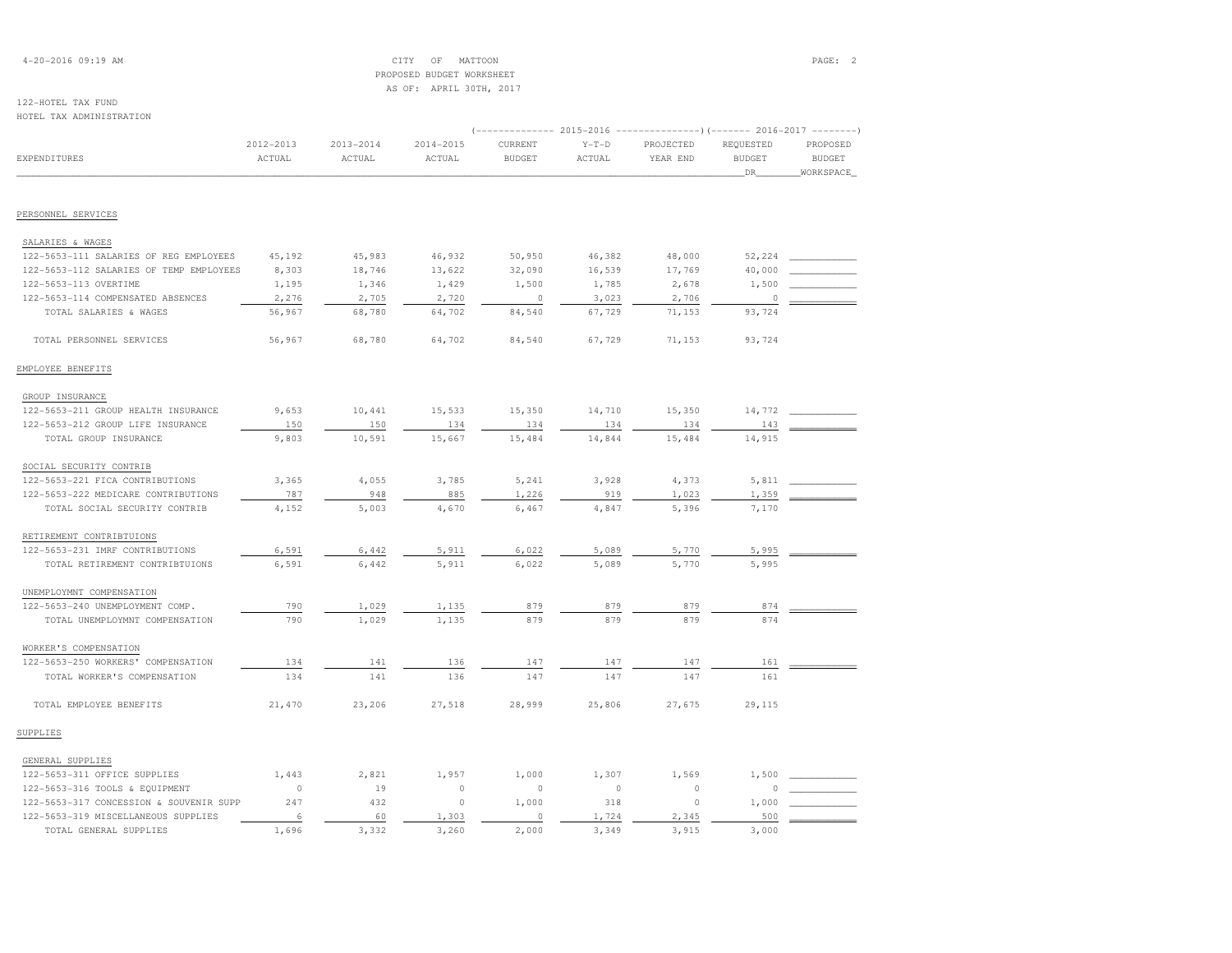### 4-20-2016 09:19 AM CITY OF MATTOON PAGE: 2 PROPOSED BUDGET WORKSHEETAS OF: APRIL 30TH, 2017

# 122-HOTEL TAX FUND

| HOTEL TAX ADMINISTRATION                |                     |                         |                         |                          |                   |                                                                                                |                                   |                                        |
|-----------------------------------------|---------------------|-------------------------|-------------------------|--------------------------|-------------------|------------------------------------------------------------------------------------------------|-----------------------------------|----------------------------------------|
| <b>EXPENDITURES</b>                     | 2012-2013<br>ACTUAL | $2013 - 2014$<br>ACTUAL | $2014 - 2015$<br>ACTUAL | CURRENT<br><b>BUDGET</b> | $Y-T-D$<br>ACTUAL | ------------- 2015-2016 ----------------) (------- 2016-2017 --------<br>PROJECTED<br>YEAR END | REQUESTED<br><b>BUDGET</b><br>DR_ | PROPOSED<br><b>BUDGET</b><br>WORKSPACE |
|                                         |                     |                         |                         |                          |                   |                                                                                                |                                   |                                        |
| PERSONNEL SERVICES                      |                     |                         |                         |                          |                   |                                                                                                |                                   |                                        |
| SALARIES & WAGES                        |                     |                         |                         |                          |                   |                                                                                                |                                   |                                        |
| 122-5653-111 SALARIES OF REG EMPLOYEES  | 45,192              | 45,983                  | 46,932                  | 50,950                   | 46,382            | 48,000                                                                                         | 52,224                            |                                        |
| 122-5653-112 SALARIES OF TEMP EMPLOYEES | 8,303               | 18,746                  | 13,622                  | 32,090                   | 16,539            | 17,769                                                                                         | 40,000                            |                                        |
| 122-5653-113 OVERTIME                   | 1,195               | 1,346                   | 1,429                   | 1,500                    | 1,785             | 2,678                                                                                          | 1,500                             |                                        |
| 122-5653-114 COMPENSATED ABSENCES       | 2,276               | 2,705                   | 2,720                   | $\circ$                  | 3,023             | 2,706                                                                                          | $\theta$                          |                                        |
| TOTAL SALARIES & WAGES                  | 56,967              | 68,780                  | 64,702                  | 84,540                   | 67,729            | 71,153                                                                                         | 93,724                            |                                        |
| TOTAL PERSONNEL SERVICES                | 56,967              | 68,780                  | 64,702                  | 84,540                   | 67,729            | 71,153                                                                                         | 93,724                            |                                        |
| EMPLOYEE BENEFITS                       |                     |                         |                         |                          |                   |                                                                                                |                                   |                                        |
| GROUP INSURANCE                         |                     |                         |                         |                          |                   |                                                                                                |                                   |                                        |
| 122-5653-211 GROUP HEALTH INSURANCE     | 9,653               | 10,441                  | 15,533                  | 15,350                   | 14,710            | 15,350                                                                                         | 14,772                            |                                        |
| 122-5653-212 GROUP LIFE INSURANCE       | 150                 | 150                     | 134                     | 134                      | 134               | 134                                                                                            | 143                               |                                        |
| TOTAL GROUP INSURANCE                   | 9,803               | 10,591                  | 15,667                  | 15,484                   | 14,844            | 15,484                                                                                         | 14,915                            |                                        |
| SOCIAL SECURITY CONTRIB                 |                     |                         |                         |                          |                   |                                                                                                |                                   |                                        |
| 122-5653-221 FICA CONTRIBUTIONS         | 3,365               | 4,055                   | 3,785                   | 5,241                    | 3,928             | 4,373                                                                                          | 5,811                             |                                        |
| 122-5653-222 MEDICARE CONTRIBUTIONS     | 787                 | 948                     | 885                     | 1,226                    | 919               | 1,023                                                                                          | 1,359                             |                                        |
| TOTAL SOCIAL SECURITY CONTRIB           | 4,152               | 5,003                   | 4,670                   | 6,467                    | 4,847             | 5,396                                                                                          | 7,170                             |                                        |
| RETIREMENT CONTRIBTUIONS                |                     |                         |                         |                          |                   |                                                                                                |                                   |                                        |
| 122-5653-231 IMRF CONTRIBUTIONS         | 6,591               | 6,442                   | 5,911                   | 6,022                    | 5,089             | 5,770                                                                                          | 5,995                             |                                        |
| TOTAL RETIREMENT CONTRIBTUIONS          | 6,591               | 6,442                   | 5,911                   | 6,022                    | 5,089             | 5,770                                                                                          | 5,995                             |                                        |
| UNEMPLOYMNT COMPENSATION                |                     |                         |                         |                          |                   |                                                                                                |                                   |                                        |
| 122-5653-240 UNEMPLOYMENT COMP.         | 790                 | 1,029                   | 1,135                   | 879                      | 879               | 879                                                                                            | 874                               |                                        |
| TOTAL UNEMPLOYMNT COMPENSATION          | 790                 | 1,029                   | 1,135                   | 879                      | 879               | 879                                                                                            | 874                               |                                        |
| WORKER'S COMPENSATION                   |                     |                         |                         |                          |                   |                                                                                                |                                   |                                        |
| 122-5653-250 WORKERS' COMPENSATION      | 134                 | 141                     | 136                     | 147                      | 147               | 147                                                                                            | 161                               |                                        |
| TOTAL WORKER'S COMPENSATION             | 134                 | 141                     | 136                     | 147                      | 147               | 147                                                                                            | 161                               |                                        |
| TOTAL EMPLOYEE BENEFITS                 | 21,470              | 23,206                  | 27,518                  | 28,999                   | 25,806            | 27,675                                                                                         | 29,115                            |                                        |
| SUPPLIES                                |                     |                         |                         |                          |                   |                                                                                                |                                   |                                        |
| GENERAL SUPPLIES                        |                     |                         |                         |                          |                   |                                                                                                |                                   |                                        |
| 122-5653-311 OFFICE SUPPLIES            | 1,443               | 2,821                   | 1,957                   | 1,000                    | 1,307             | 1,569                                                                                          | 1,500                             |                                        |
| 122-5653-316 TOOLS & EQUIPMENT          | $\circ$             | 19                      | $\circ$                 | $\circ$                  | $\circ$           | $\circ$                                                                                        | $\Omega$                          |                                        |
| 122-5653-317 CONCESSION & SOUVENIR SUPP | 247                 | 432                     | $\circ$                 | 1,000                    | 318               | $\circ$                                                                                        | 1,000                             |                                        |
| 122-5653-319 MISCELLANEOUS SUPPLIES     | 6                   | 60                      | 1,303                   | $\circ$                  | 1,724             | 2,345                                                                                          | 500                               |                                        |
| TOTAL GENERAL SUPPLIES                  | 1,696               | 3,332                   | 3,260                   | 2,000                    | 3,349             | 3,915                                                                                          | 3,000                             |                                        |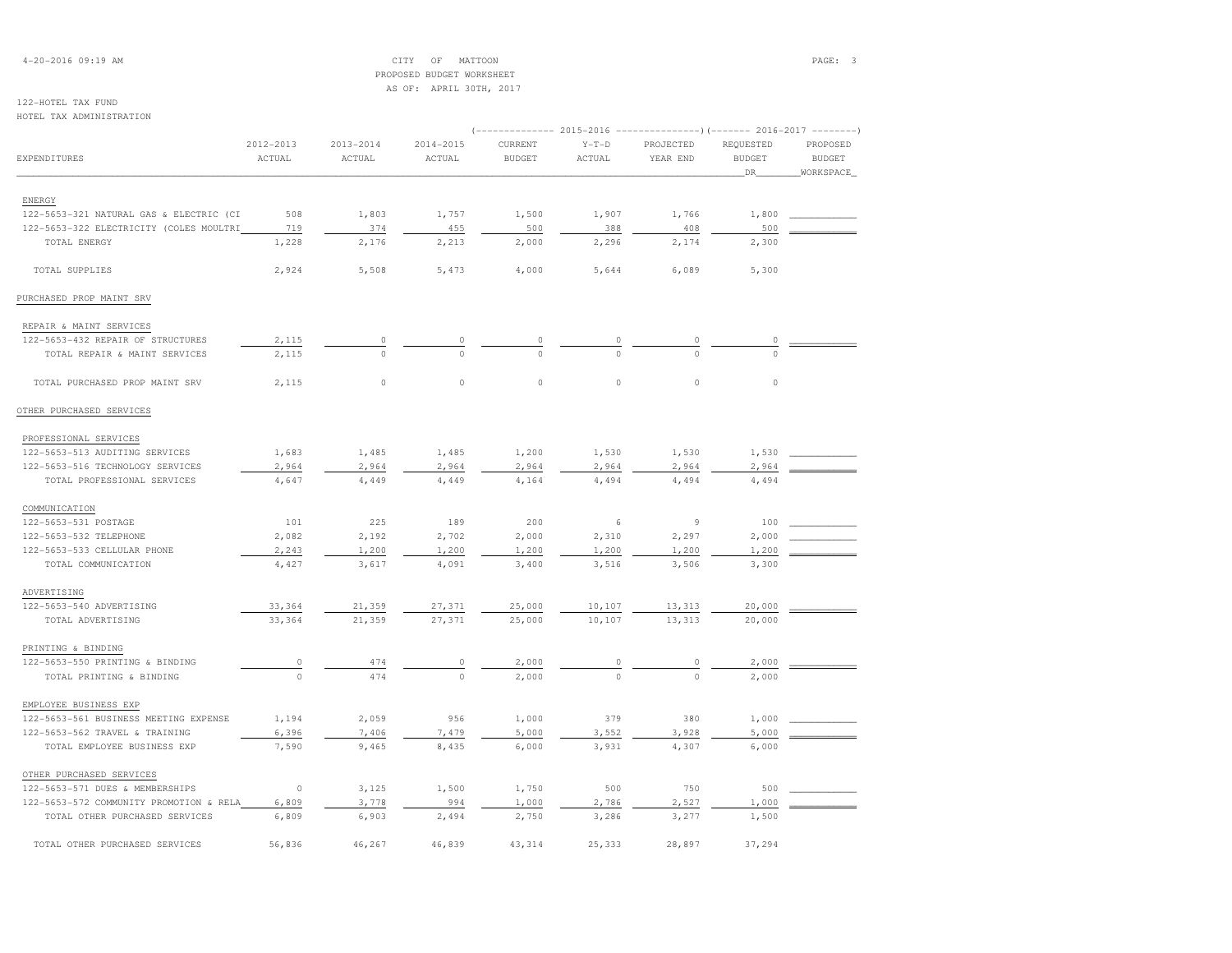### 4-20-2016 09:19 AM CITY OF MATTOON PAGE: 3 PROPOSED BUDGET WORKSHEETAS OF: APRIL 30TH, 2017

## 122-HOTEL TAX FUND

HOTEL TAX ADMINISTRATION

| NOILL IAA ADMINISIRAIION                |                         |                         |                         |                          |                   |                                                                                                  |                                  |                                        |
|-----------------------------------------|-------------------------|-------------------------|-------------------------|--------------------------|-------------------|--------------------------------------------------------------------------------------------------|----------------------------------|----------------------------------------|
| EXPENDITURES                            | $2012 - 2013$<br>ACTUAL | $2013 - 2014$<br>ACTUAL | $2014 - 2015$<br>ACTUAL | CURRENT<br><b>BUDGET</b> | $Y-T-D$<br>ACTUAL | (-------------- 2015-2016 ----------------) (------- 2016-2017 --------<br>PROJECTED<br>YEAR END | REQUESTED<br><b>BUDGET</b><br>DR | PROPOSED<br><b>BUDGET</b><br>WORKSPACE |
|                                         |                         |                         |                         |                          |                   |                                                                                                  |                                  |                                        |
| ENERGY                                  |                         |                         |                         |                          |                   |                                                                                                  |                                  |                                        |
| 122-5653-321 NATURAL GAS & ELECTRIC (CI | 508                     | 1,803                   | 1,757                   | 1,500                    | 1,907             | 1,766                                                                                            | 1,800                            |                                        |
| 122-5653-322 ELECTRICITY (COLES MOULTRI | 719                     | 374                     | 455                     | 500                      | 388               | 408                                                                                              | 500                              |                                        |
| TOTAL ENERGY                            | 1,228                   | 2,176                   | 2,213                   | 2,000                    | 2,296             | 2,174                                                                                            | 2,300                            |                                        |
| TOTAL SUPPLIES                          | 2,924                   | 5,508                   | 5,473                   | 4,000                    | 5,644             | 6,089                                                                                            | 5,300                            |                                        |
| PURCHASED PROP MAINT SRV                |                         |                         |                         |                          |                   |                                                                                                  |                                  |                                        |
| REPAIR & MAINT SERVICES                 |                         |                         |                         |                          |                   |                                                                                                  |                                  |                                        |
| 122-5653-432 REPAIR OF STRUCTURES       | 2,115                   | $\circ$                 | $\Omega$                | 0                        |                   | 0                                                                                                | 0                                |                                        |
| TOTAL REPAIR & MAINT SERVICES           | 2,115                   | $\circ$                 | $\Omega$                | $\Omega$                 | $\Omega$          | $\Omega$                                                                                         | $\Omega$                         |                                        |
| TOTAL PURCHASED PROP MAINT SRV          | 2,115                   | $\circ$                 | $\circ$                 | $\circ$                  | $\circ$           | $\circ$                                                                                          | $\circ$                          |                                        |
| OTHER PURCHASED SERVICES                |                         |                         |                         |                          |                   |                                                                                                  |                                  |                                        |
| PROFESSIONAL SERVICES                   |                         |                         |                         |                          |                   |                                                                                                  |                                  |                                        |
| 122-5653-513 AUDITING SERVICES          | 1,683                   | 1,485                   | 1,485                   | 1,200                    | 1,530             | 1,530                                                                                            | 1,530                            |                                        |
| 122-5653-516 TECHNOLOGY SERVICES        | 2,964                   | 2,964                   | 2,964                   | 2,964                    | 2,964             | 2,964                                                                                            | 2,964                            |                                        |
| TOTAL PROFESSIONAL SERVICES             | 4,647                   | 4,449                   | 4,449                   | 4,164                    | 4,494             | 4,494                                                                                            | 4,494                            |                                        |
| COMMUNICATION                           |                         |                         |                         |                          |                   |                                                                                                  |                                  |                                        |
| 122-5653-531 POSTAGE                    | 101                     | 225                     | 189                     | 200                      | 6                 | 9                                                                                                | 100                              |                                        |
| 122-5653-532 TELEPHONE                  | 2,082                   | 2,192                   | 2,702                   | 2,000                    | 2,310             | 2,297                                                                                            | 2,000                            |                                        |
| 122-5653-533 CELLULAR PHONE             | 2,243                   | 1,200                   | 1,200                   | 1,200                    | 1,200             | 1,200                                                                                            | 1,200                            |                                        |
| TOTAL COMMUNICATION                     | 4,427                   | 3,617                   | 4,091                   | 3,400                    | 3,516             | 3,506                                                                                            | 3,300                            |                                        |
| ADVERTISING                             |                         |                         |                         |                          |                   |                                                                                                  |                                  |                                        |
| 122-5653-540 ADVERTISING                | 33,364                  | 21,359                  | 27,371                  | 25,000                   | 10,107            | 13,313                                                                                           | 20,000                           |                                        |
| TOTAL ADVERTISING                       | 33,364                  | 21,359                  | 27,371                  | 25,000                   | 10,107            | 13,313                                                                                           | 20,000                           |                                        |
| PRINTING & BINDING                      |                         |                         |                         |                          |                   |                                                                                                  |                                  |                                        |
| 122-5653-550 PRINTING & BINDING         | $\circ$                 | 474                     | 0                       | 2,000                    | $\circ$           | 0                                                                                                | 2,000                            |                                        |
| TOTAL PRINTING & BINDING                | $\Omega$                | 474                     | $\Omega$                | 2,000                    | $\Omega$          | $\cap$                                                                                           | 2,000                            |                                        |
| EMPLOYEE BUSINESS EXP                   |                         |                         |                         |                          |                   |                                                                                                  |                                  |                                        |
| 122-5653-561 BUSINESS MEETING EXPENSE   | 1,194                   | 2,059                   | 956                     | 1,000                    | 379               | 380                                                                                              | 1,000                            |                                        |
| 122-5653-562 TRAVEL & TRAINING          | 6,396                   | 7,406                   | 7,479                   | 5,000                    | 3,552             | 3,928                                                                                            | 5,000                            |                                        |
| TOTAL EMPLOYEE BUSINESS EXP             | 7,590                   | 9,465                   | 8,435                   | 6,000                    | 3,931             | 4,307                                                                                            | 6,000                            |                                        |
| OTHER PURCHASED SERVICES                |                         |                         |                         |                          |                   |                                                                                                  |                                  |                                        |
| 122-5653-571 DUES & MEMBERSHIPS         | $\circ$                 | 3,125                   | 1,500                   | 1,750                    | 500               | 750                                                                                              | 500                              |                                        |
| 122-5653-572 COMMUNITY PROMOTION & RELA | 6,809                   | 3,778                   | 994                     | 1,000                    | 2,786             | 2,527                                                                                            | 1,000                            |                                        |
| TOTAL OTHER PURCHASED SERVICES          | 6,809                   | 6,903                   | 2,494                   | 2,750                    | 3,286             | 3,277                                                                                            | 1,500                            |                                        |
| TOTAL OTHER PURCHASED SERVICES          | 56,836                  | 46,267                  | 46,839                  | 43, 314                  | 25,333            | 28,897                                                                                           | 37,294                           |                                        |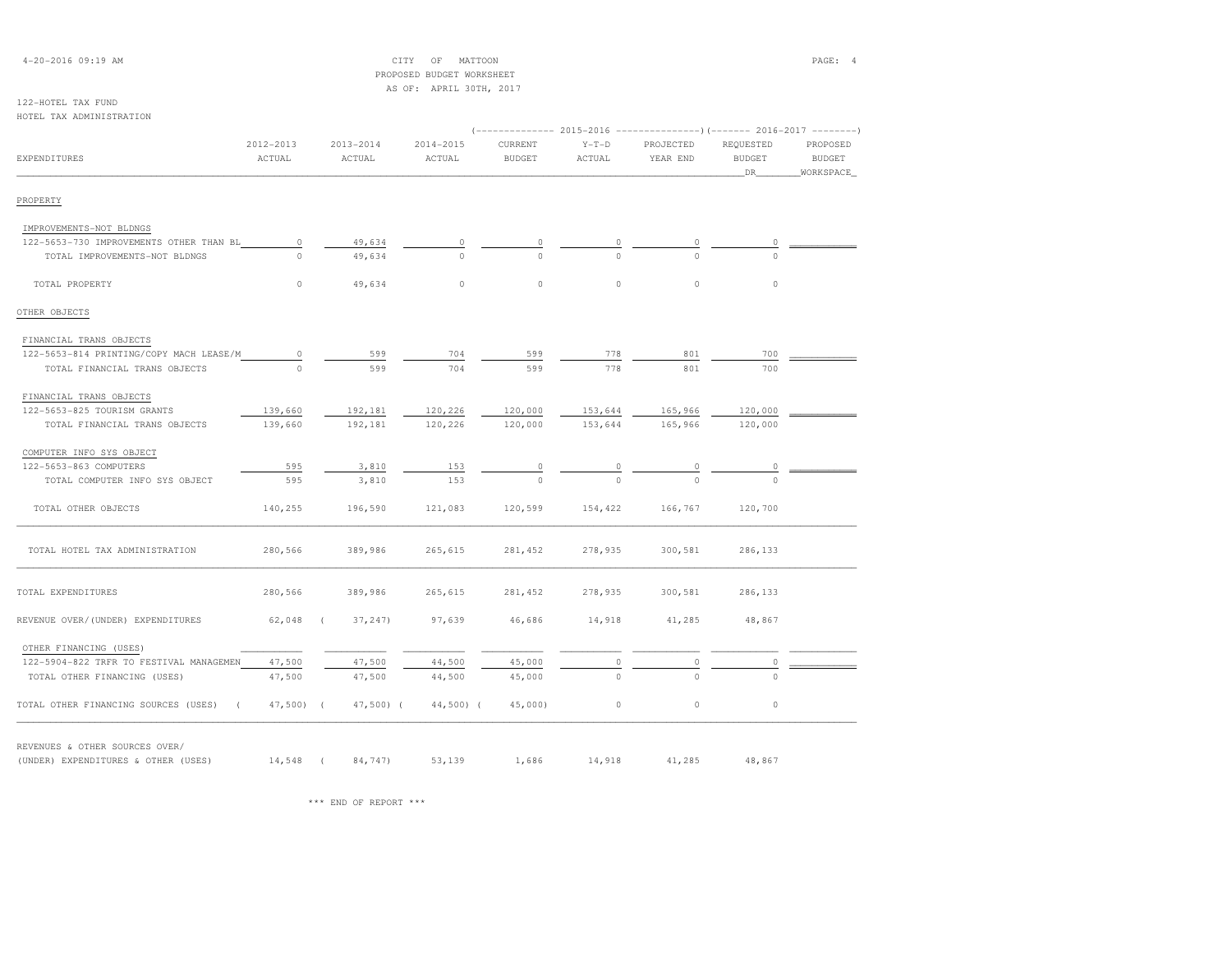| $4 - 20 - 2016$ 09:19 AM |  |  |
|--------------------------|--|--|
|--------------------------|--|--|

### $CITY$  OF MATTOON PAGE: 4 PROPOSED BUDGET WORKSHEETAS OF: APRIL 30TH, 2017

# 122-HOTEL TAX FUND

| HOTEL TAX ADMINISTRATION                |                         |            |                         | (-------------- 2015-2016 ---------------) (------- 2016-2017 --------) |                          |                   |                       |                                  |                                        |
|-----------------------------------------|-------------------------|------------|-------------------------|-------------------------------------------------------------------------|--------------------------|-------------------|-----------------------|----------------------------------|----------------------------------------|
| <b>EXPENDITURES</b>                     | $2012 - 2013$<br>ACTUAL |            | $2013 - 2014$<br>ACTUAL | 2014-2015<br>ACTUAL                                                     | CURRENT<br><b>BUDGET</b> | $Y-T-D$<br>ACTUAL | PROJECTED<br>YEAR END | REQUESTED<br><b>BUDGET</b><br>DR | PROPOSED<br><b>BUDGET</b><br>WORKSPACE |
| PROPERTY                                |                         |            |                         |                                                                         |                          |                   |                       |                                  |                                        |
| IMPROVEMENTS-NOT BLDNGS                 |                         |            |                         |                                                                         |                          |                   |                       |                                  |                                        |
| 122-5653-730 IMPROVEMENTS OTHER THAN BL | $\circ$                 |            | 49,634                  | 0                                                                       | $\circ$                  | 0                 | $\circ$               | 0                                |                                        |
| TOTAL IMPROVEMENTS-NOT BLDNGS           | $\Omega$                |            | 49,634                  | $\Omega$                                                                | $\Omega$                 | $\Omega$          | $\Omega$              | $\Omega$                         |                                        |
| TOTAL PROPERTY                          | $\circ$                 |            | 49,634                  | $\circ$                                                                 | $\circ$                  | $\circ$           | $\circ$               | $\circ$                          |                                        |
| OTHER OBJECTS                           |                         |            |                         |                                                                         |                          |                   |                       |                                  |                                        |
| FINANCIAL TRANS OBJECTS                 |                         |            |                         |                                                                         |                          |                   |                       |                                  |                                        |
| 122-5653-814 PRINTING/COPY MACH LEASE/M | $\circ$                 |            | 599                     | 704                                                                     | 599                      | 778               | 801                   | 700                              |                                        |
| TOTAL FINANCIAL TRANS OBJECTS           | $\Omega$                |            | 599                     | 704                                                                     | 599                      | 778               | 801                   | 700                              |                                        |
| FINANCIAL TRANS OBJECTS                 |                         |            |                         |                                                                         |                          |                   |                       |                                  |                                        |
| 122-5653-825 TOURISM GRANTS             | 139,660                 |            | 192,181                 | 120,226                                                                 | 120,000                  | 153,644           | 165,966               | 120,000                          |                                        |
| TOTAL FINANCIAL TRANS OBJECTS           | 139,660                 |            | 192,181                 | 120,226                                                                 | 120,000                  | 153,644           | 165,966               | 120,000                          |                                        |
| COMPUTER INFO SYS OBJECT                |                         |            |                         |                                                                         |                          |                   |                       |                                  |                                        |
| 122-5653-863 COMPUTERS                  | 595                     |            | 3,810                   | 153                                                                     | $\circ$                  | 0                 | $\mathbb O$           | $\circ$                          |                                        |
| TOTAL COMPUTER INFO SYS OBJECT          | 595                     |            | 3,810                   | 153                                                                     | $\Omega$                 | $\Omega$          | $\Omega$              | $\Omega$                         |                                        |
| TOTAL OTHER OBJECTS                     | 140,255                 |            | 196,590                 | 121,083                                                                 | 120,599                  | 154,422           | 166,767               | 120,700                          |                                        |
| TOTAL HOTEL TAX ADMINISTRATION          | 280,566                 |            | 389,986                 | 265,615                                                                 | 281,452                  | 278,935           | 300,581               | 286,133                          |                                        |
| TOTAL EXPENDITURES                      | 280,566                 |            | 389,986                 | 265,615                                                                 | 281,452                  | 278,935           | 300,581               | 286,133                          |                                        |
| REVENUE OVER/(UNDER) EXPENDITURES       | 62,048                  |            | 37, 247                 | 97,639                                                                  | 46,686                   | 14,918            | 41,285                | 48,867                           |                                        |
| OTHER FINANCING (USES)                  |                         |            |                         |                                                                         |                          |                   |                       |                                  |                                        |
| 122-5904-822 TRFR TO FESTIVAL MANAGEMEN | 47,500                  |            | 47,500                  | 44,500                                                                  | 45,000                   | $\circ$           | $\mathbb O$           | $\circ$                          |                                        |
| TOTAL OTHER FINANCING (USES)            | 47,500                  |            | 47,500                  | 44,500                                                                  | 45,000                   | $\Omega$          | $\Omega$              | $\Omega$                         |                                        |
| TOTAL OTHER FINANCING SOURCES (USES)    | 47,500)                 | $\sqrt{ }$ | $47,500$ (              | $44,500$ ) (                                                            | $45,000$ )               | $\circ$           | $\circ$               | $\circ$                          |                                        |

REVENUES & OTHER SOURCES OVER/

(UNDER) EXPENDITURES & OTHER (USES) 14,548 ( 84,747) 53,139 1,686 14,918 41,285 48,867

\*\*\* END OF REPORT \*\*\*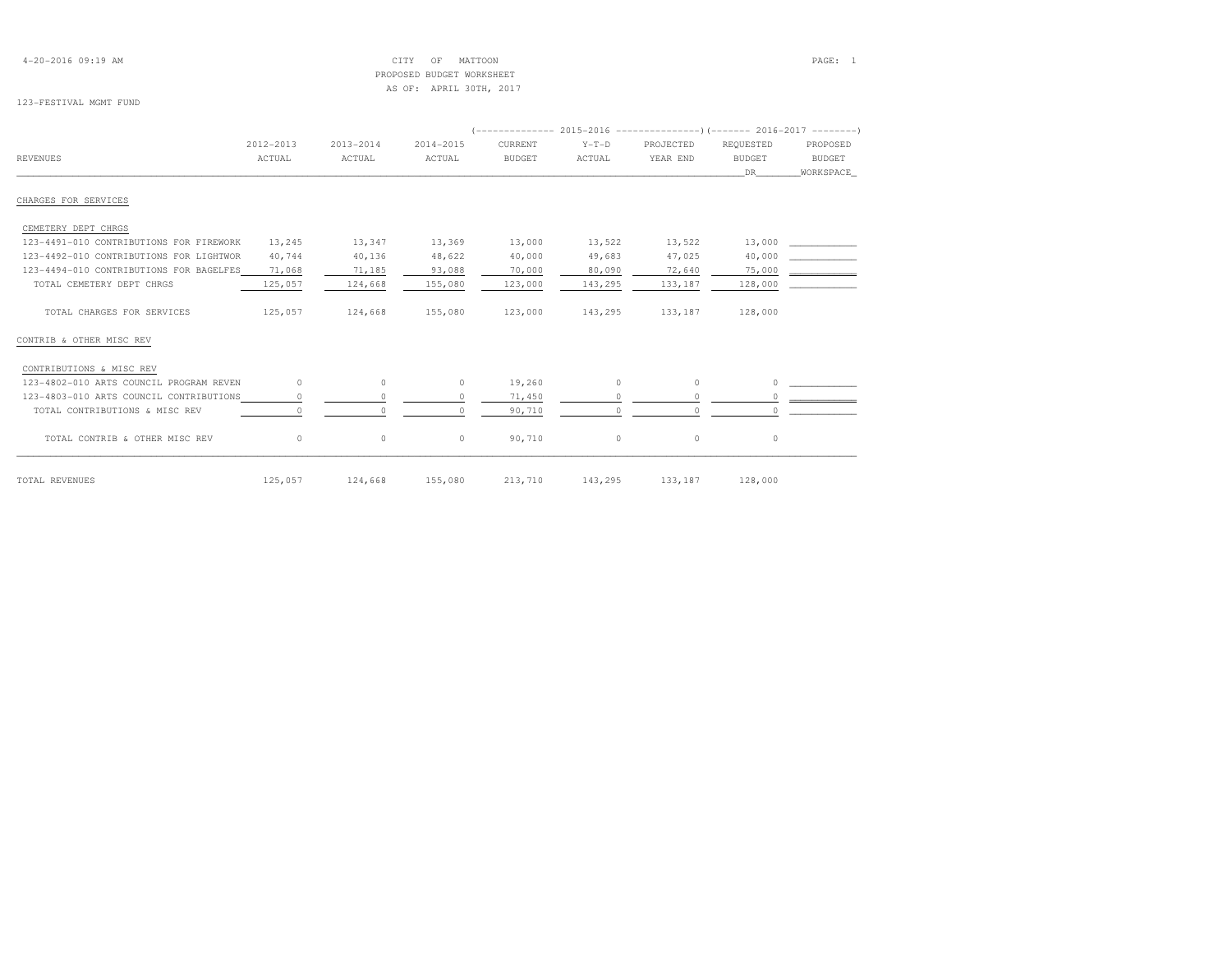4-20-2016 09:19 AM CITY OF MATTOON PAGE: 1 PROPOSED BUDGET WORKSHEETAS OF: APRIL 30TH, 2017

#### 123-FESTIVAL MGMT FUND

| <b>REVENUES</b>                         | 2012-2013<br>ACTUAL | 2013-2014<br>ACTUAL | 2014-2015<br>ACTUAL | CURRENT<br><b>BUDGET</b> | $Y-T-D$<br>ACTUAL | PROJECTED<br>YEAR END | REQUESTED<br><b>BUDGET</b><br>DR. | PROPOSED<br>BUDGET<br>WORKSPACE |
|-----------------------------------------|---------------------|---------------------|---------------------|--------------------------|-------------------|-----------------------|-----------------------------------|---------------------------------|
| CHARGES FOR SERVICES                    |                     |                     |                     |                          |                   |                       |                                   |                                 |
| CEMETERY DEPT CHRGS                     |                     |                     |                     |                          |                   |                       |                                   |                                 |
| 123-4491-010 CONTRIBUTIONS FOR FIREWORK | 13,245              | 13,347              | 13,369              | 13,000                   | 13,522            | 13,522                | 13,000                            |                                 |
| 123-4492-010 CONTRIBUTIONS FOR LIGHTWOR | 40,744              | 40,136              | 48,622              | 40,000                   | 49,683            | 47,025                | 40,000                            |                                 |
| 123-4494-010 CONTRIBUTIONS FOR BAGELFES | 71,068              | 71,185              | 93,088              | 70,000                   | 80,090            | 72,640                | 75,000                            |                                 |
| TOTAL CEMETERY DEPT CHRGS               | 125,057             | 124,668             | 155,080             | 123,000                  | 143,295           | 133,187               | 128,000                           |                                 |
| TOTAL CHARGES FOR SERVICES              | 125,057             | 124,668             | 155,080             | 123,000                  | 143,295           | 133,187               | 128,000                           |                                 |
| CONTRIB & OTHER MISC REV                |                     |                     |                     |                          |                   |                       |                                   |                                 |
| CONTRIBUTIONS & MISC REV                |                     |                     |                     |                          |                   |                       |                                   |                                 |
| 123-4802-010 ARTS COUNCIL PROGRAM REVEN | $\Omega$            | $\circ$             | $\circ$             | 19,260                   | $\Omega$          | $\Omega$              | $\Omega$                          |                                 |
| 123-4803-010 ARTS COUNCIL CONTRIBUTIONS | $\circ$             |                     |                     | 71,450                   |                   |                       | 0                                 |                                 |
| TOTAL CONTRIBUTIONS & MISC REV          | $\Omega$            |                     | $\Omega$            | 90,710                   | $\cap$            | $\cap$                | $\Omega$                          |                                 |
| TOTAL CONTRIB & OTHER MISC REV          | $\circ$             | $\circ$             | $\circ$             | 90,710                   | $\circ$           | $\circ$               | $\circ$                           |                                 |
| TOTAL REVENUES                          | 125,057             | 124,668 155,080     |                     |                          | 213,710 143,295   | 133, 187              | 128,000                           |                                 |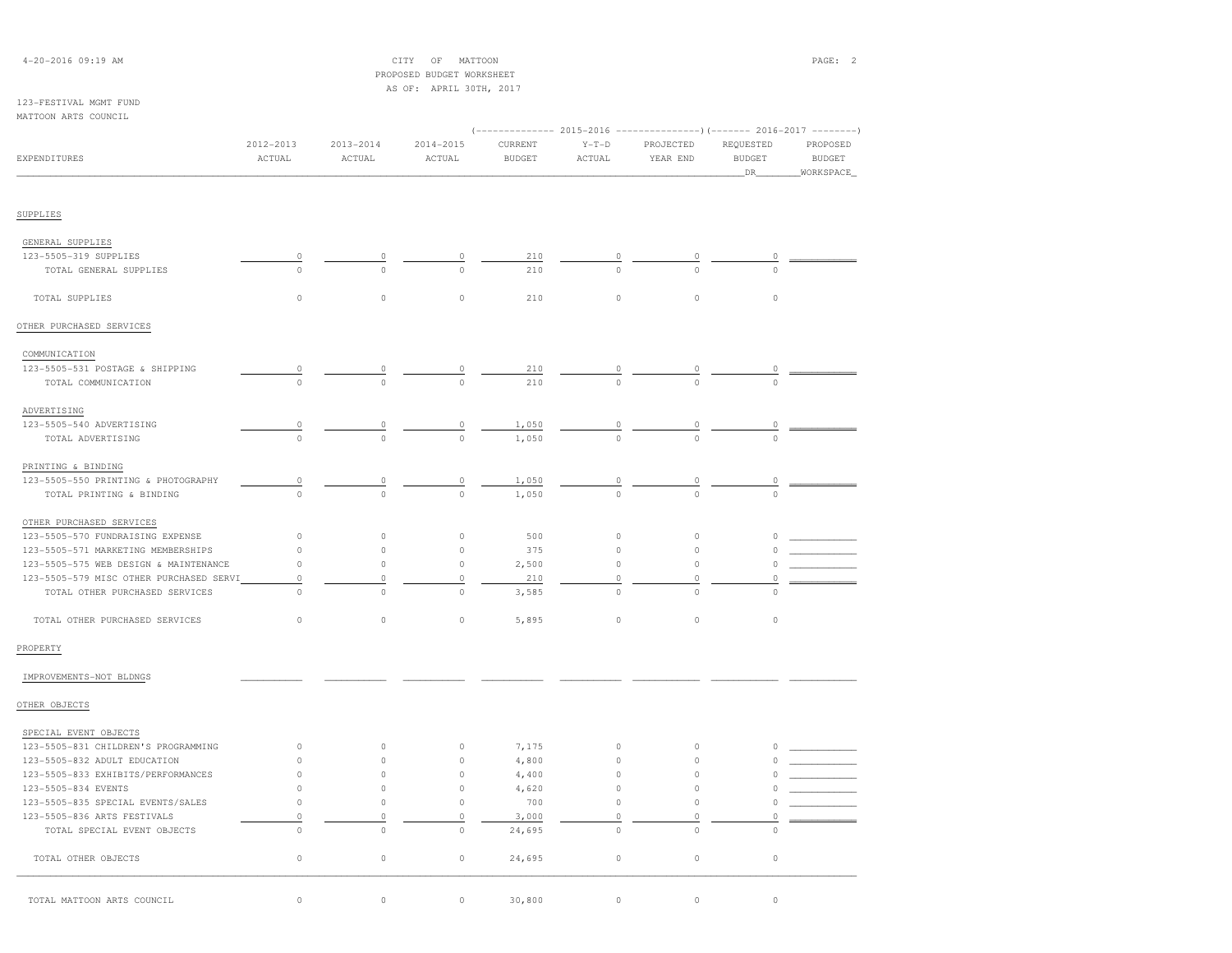### 4-20-2016 09:19 AM CITY OF MATTOON PAGE: 2 PROPOSED BUDGET WORKSHEETAS OF: APRIL 30TH, 2017

### 123-FESTIVAL MGMT FUNDMAT

| MATTOON ARTS COUNCIL                    |                         |                         |                         |                          |                   |                       |                                  |                                        |
|-----------------------------------------|-------------------------|-------------------------|-------------------------|--------------------------|-------------------|-----------------------|----------------------------------|----------------------------------------|
| EXPENDITURES                            | $2012 - 2013$<br>ACTUAL | $2013 - 2014$<br>ACTUAL | $2014 - 2015$<br>ACTUAL | CURRENT<br><b>BUDGET</b> | $Y-T-D$<br>ACTUAL | PROJECTED<br>YEAR END | REQUESTED<br><b>BUDGET</b><br>DR | PROPOSED<br><b>BUDGET</b><br>WORKSPACE |
| SUPPLIES                                |                         |                         |                         |                          |                   |                       |                                  |                                        |
| GENERAL SUPPLIES                        |                         |                         |                         |                          |                   |                       |                                  |                                        |
| 123-5505-319 SUPPLIES                   | 0                       |                         | 0                       | 210                      | 0                 |                       | 0                                |                                        |
| TOTAL GENERAL SUPPLIES                  | $\circ$                 | $\Omega$                | $\cap$                  | 210                      | $\triangle$       |                       | $\Omega$                         |                                        |
| TOTAL SUPPLIES                          | $\circ$                 | $\circ$                 | $\circ$                 | 210                      | $\circ$           | $\circ$               | $\circ$                          |                                        |
| OTHER PURCHASED SERVICES                |                         |                         |                         |                          |                   |                       |                                  |                                        |
| COMMUNICATION                           |                         |                         |                         |                          |                   |                       |                                  |                                        |
| 123-5505-531 POSTAGE & SHIPPING         | 0                       | 0                       | 0                       | 210                      | $\theta$          | 0                     | $\circ$                          |                                        |
| TOTAL COMMUNICATION                     | $\Omega$                | $\Omega$                |                         | 210                      |                   | $\Omega$              | $\Omega$                         |                                        |
| ADVERTISING                             |                         |                         |                         |                          |                   |                       |                                  |                                        |
| 123-5505-540 ADVERTISING                | 0                       |                         | 0                       | 1,050                    | 0                 | 0                     | $\circ$                          |                                        |
| TOTAL ADVERTISING                       | $\Omega$                | $\Omega$                | $\Omega$                | 1,050                    | $\Omega$          | $\Omega$              | $\Omega$                         |                                        |
| PRINTING & BINDING                      |                         |                         |                         |                          |                   |                       |                                  |                                        |
| 123-5505-550 PRINTING & PHOTOGRAPHY     | $\circ$                 | 0                       | $\mathbb O$             | 1,050                    | $\overline{0}$    | $\overline{0}$        | $\circ$                          |                                        |
| TOTAL PRINTING & BINDING                | $\Omega$                | $\Omega$                | $\theta$                | 1,050                    | $\Omega$          | $\Omega$              | $\Omega$                         |                                        |
| OTHER PURCHASED SERVICES                |                         |                         |                         |                          |                   |                       |                                  |                                        |
| 123-5505-570 FUNDRAISING EXPENSE        | $\circ$                 | $\circ$                 | $\circ$                 | 500                      | $\circ$           | $\circ$               | 0                                |                                        |
| 123-5505-571 MARKETING MEMBERSHIPS      | $\circ$                 | $\circ$                 | $\circ$                 | 375                      | $\mathbb O$       | $\circ$               | 0                                |                                        |
| 123-5505-575 WEB DESIGN & MAINTENANCE   | $\circ$                 | $\circ$                 | $\circ$                 | 2,500                    | $\mathbb O$       | $\circ$               | 0                                |                                        |
| 123-5505-579 MISC OTHER PURCHASED SERVI | $\circ$                 | $\circ$                 | $\circ$                 | 210                      | $\circ$           | $\Omega$              | 0                                |                                        |
| TOTAL OTHER PURCHASED SERVICES          | $\Omega$                | $\Omega$                | $\circ$                 | 3,585                    | $\circ$           | $\Omega$              | $\Omega$                         |                                        |
| TOTAL OTHER PURCHASED SERVICES          | $\circ$                 | $\circ$                 | $\circ$                 | 5,895                    | $\mathbb O$       | $\circ$               | $\circ$                          |                                        |
| PROPERTY                                |                         |                         |                         |                          |                   |                       |                                  |                                        |
| IMPROVEMENTS-NOT BLDNGS                 |                         |                         |                         |                          |                   |                       |                                  |                                        |
| OTHER OBJECTS                           |                         |                         |                         |                          |                   |                       |                                  |                                        |
| SPECIAL EVENT OBJECTS                   |                         |                         |                         |                          |                   |                       |                                  |                                        |
| 123-5505-831 CHILDREN'S PROGRAMMING     | $\circ$                 | $\circ$                 | $\circ$                 | 7,175                    | $\circ$           | $\circ$               |                                  |                                        |
| 123-5505-832 ADULT EDUCATION            | $\circ$                 | $\circ$                 | $\circ$                 | 4,800                    | $\circ$           | $\circ$               |                                  |                                        |
| 123-5505-833 EXHIBITS/PERFORMANCES      | $\circ$                 | $\circ$                 | $\circ$                 | 4,400                    | $\circ$           | $\circ$               |                                  |                                        |
| 123-5505-834 EVENTS                     | $\circ$                 | $\circ$                 | $\circ$                 | 4,620                    | $\circ$           | $\circ$               | 0                                |                                        |
| 123-5505-835 SPECIAL EVENTS/SALES       | $\Omega$                | $\circ$                 | $\Omega$                | 700                      | $\circ$           | $\circ$               | 0                                |                                        |

123-5505-836 ARTS FESTIVALS 0 0 0 3,000 0 0 0 \_\_\_\_\_\_\_\_\_\_\_\_

TOTAL OTHER OBJECTS 0 0 0 24,695 0 0 0

TOTAL SPECIAL EVENT OBJECTS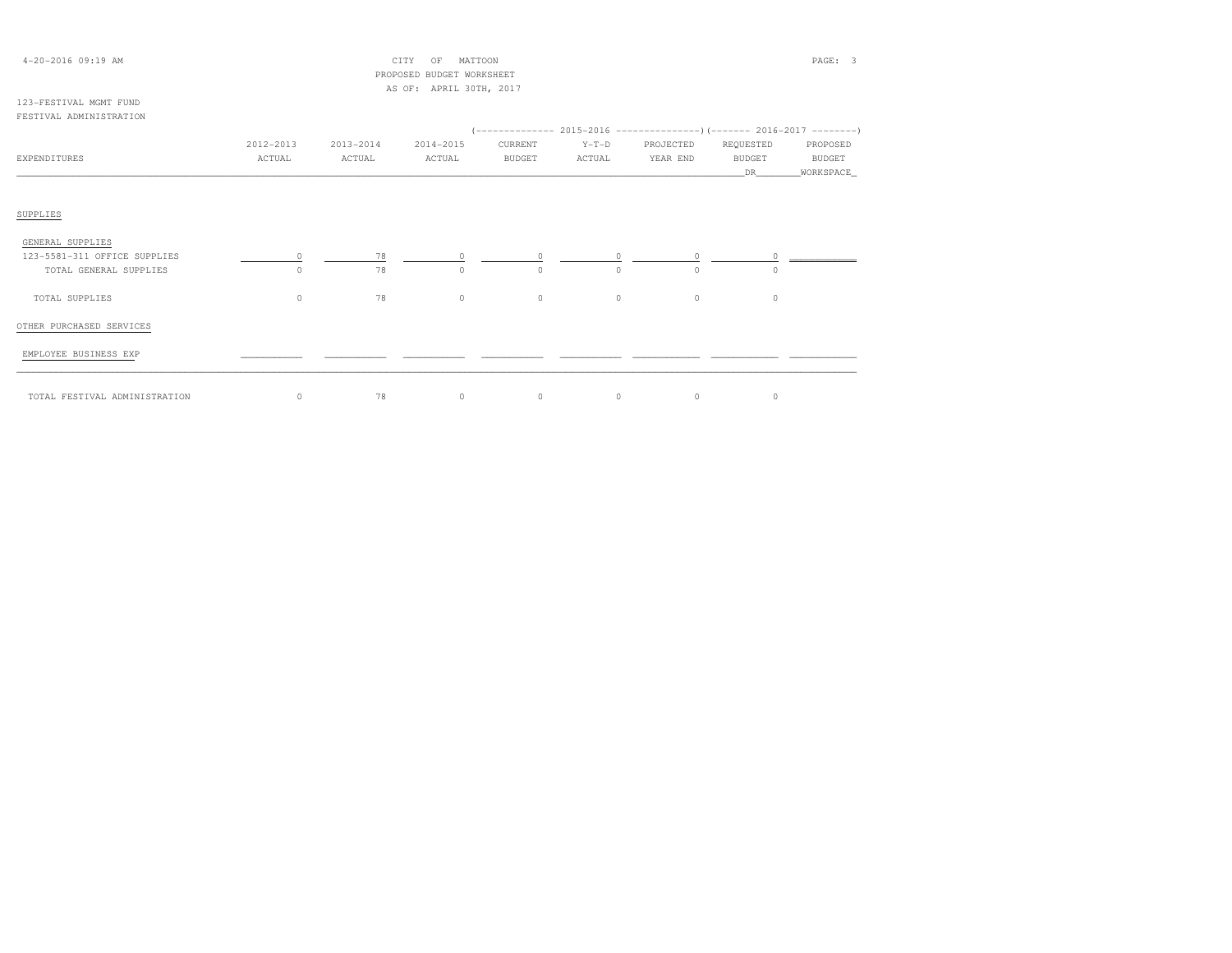| $4 - 20 - 2016$ 09:19 AM |           |           | CITY<br>OF                | MATTOON       |         |           |               | PAGE: 3       |
|--------------------------|-----------|-----------|---------------------------|---------------|---------|-----------|---------------|---------------|
|                          |           |           | PROPOSED BUDGET WORKSHEET |               |         |           |               |               |
|                          |           |           | AS OF: APRIL 30TH, 2017   |               |         |           |               |               |
| 123-FESTIVAL MGMT FUND   |           |           |                           |               |         |           |               |               |
| FESTIVAL ADMINISTRATION  |           |           |                           |               |         |           |               |               |
|                          |           |           |                           |               |         |           |               |               |
|                          | 2012-2013 | 2013-2014 | 2014-2015                 | CURRENT       | $Y-T-D$ | PROJECTED | REOUESTED     | PROPOSED      |
| EXPENDITURES             | ACTUAL    | ACTUAL    | ACTUAL                    | <b>BUDGET</b> | ACTUAL  | YEAR END  | <b>BUDGET</b> | <b>BUDGET</b> |

SUPPLIES

# GENERAL SUPPLIES123-5581-311 OFFICE SUPPLIES  $123-5581-311$  OFFICE SUPPLIES  $\begin{array}{cccccccc} 0 & \text{---} & 78 & \text{---} & 0 & \text{---} & 0 & \text{---} & 0 & \text{---} & 0 & \text{---} & 0 & \text{---} & 0 & \text{---} & 0 & \text{---} & 0 & \text{---} & 0 & \text{---} & 0 & \text{---} & 0 & 0 & \text{---} & 0 & \text{---} & 0 & \text{---} & 0 & \text{---} & 0 & \text{---} & 0 & \text{---} & 0 & \text{---} & 0 & \text{$  TOTAL SUPPLIES 0 78 0 0 0 0 0OTHER PURCHASED SERVICESEMPLOYEE BUSINESS EXP \_\_\_\_\_\_\_\_\_\_\_ \_\_\_\_\_\_\_\_\_\_\_ \_\_\_\_\_\_\_\_\_\_\_ \_\_\_\_\_\_\_\_\_\_\_ \_\_\_\_\_\_\_\_\_\_\_ \_\_\_\_\_\_\_\_\_\_\_\_ \_\_\_\_\_\_\_\_\_\_\_\_ \_\_\_\_\_\_\_\_\_\_\_\_

\_\_\_\_\_\_\_\_\_\_\_\_\_\_\_\_\_\_\_\_\_\_\_\_\_\_\_\_\_\_\_\_\_\_\_\_\_\_\_\_\_\_\_\_\_\_\_\_\_\_\_\_\_\_\_\_\_\_\_\_\_\_\_\_\_\_\_\_\_\_\_\_\_\_\_\_\_\_\_\_\_\_\_\_\_\_\_\_\_\_\_\_\_\_\_\_\_\_\_\_\_\_\_\_\_\_\_\_\_\_\_\_\_\_\_\_\_\_\_\_\_\_\_\_\_\_\_\_\_\_DR\_\_\_\_\_\_\_\_WORKSPACE\_

\_\_\_\_\_\_\_\_\_\_\_\_\_\_\_\_\_\_\_\_\_\_\_\_\_\_\_\_\_\_\_\_\_\_\_\_\_\_\_\_\_\_\_\_\_\_\_\_\_\_\_\_\_\_\_\_\_\_\_\_\_\_\_\_\_\_\_\_\_\_\_\_\_\_\_\_\_\_\_\_\_\_\_\_\_\_\_\_\_\_\_\_\_\_\_\_\_\_\_\_\_\_\_\_\_\_\_\_\_\_\_\_\_\_\_\_\_\_\_\_\_\_\_\_\_\_\_\_\_\_\_\_\_\_\_\_\_\_\_\_\_\_\_\_\_\_\_\_\_\_ TOTAL FESTIVAL ADMINISTRATION 0 78 0 0 0 0 0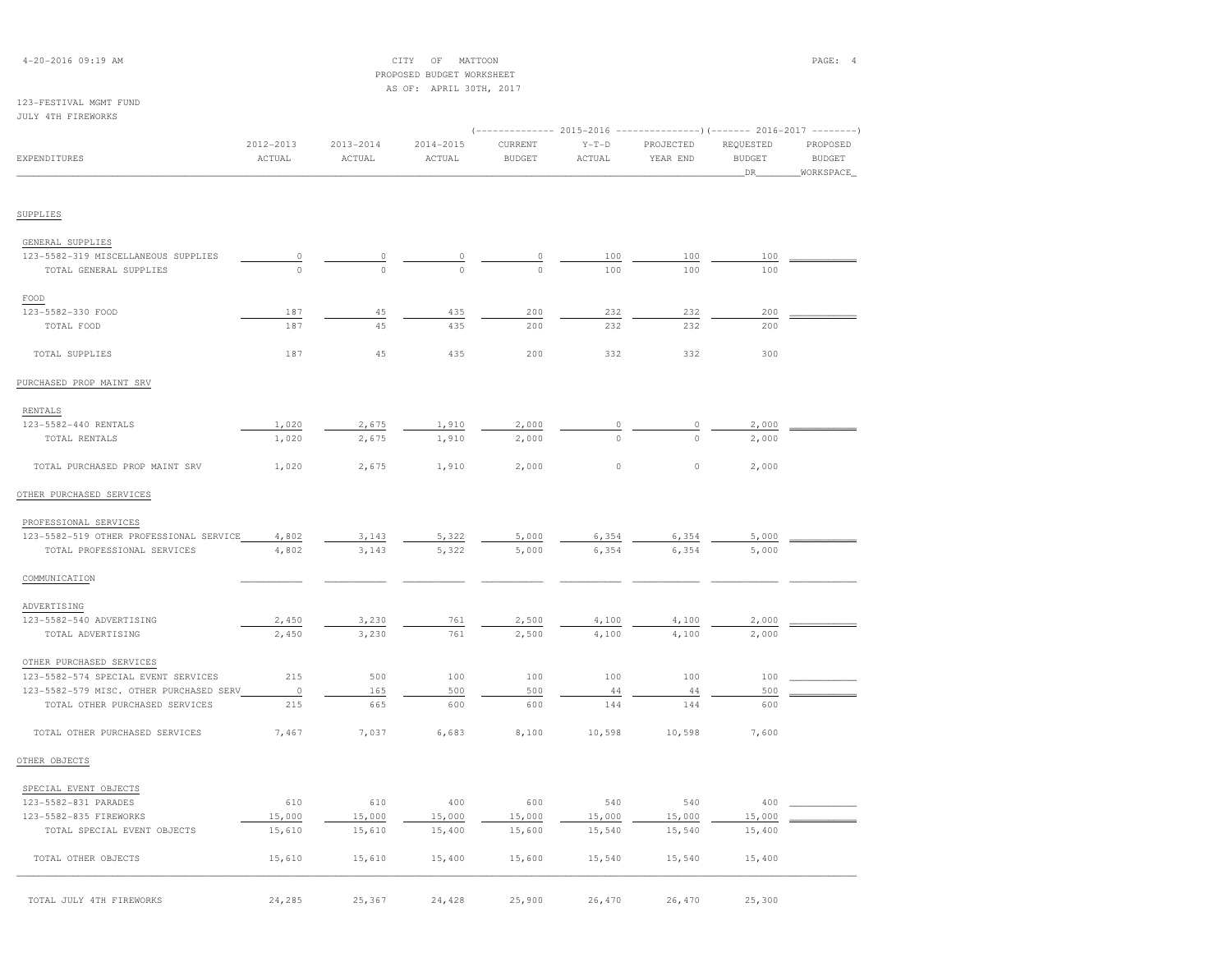| $4 - 20 - 2016$ 09:19 AM |  |  |
|--------------------------|--|--|
|--------------------------|--|--|

CITY OF MATTOON **PAGE: 4**  PROPOSED BUDGET WORKSHEETAS OF: APRIL 30TH, 2017

## 123-FESTIVAL MGMT FUND

## JULY 4TH FIREWORKS (-------------- 2015-2016 ---------------)(------- 2016-2017 --------) 2012-2013 2013-2014 2014-2015 CURRENT Y-T-D PROJECTED REQUESTED PROPOSED**BUDGET** EXPENDITURES ACTUAL ACTUAL ACTUAL BUDGET ACTUAL YEAR END BUDGET BUDGETWORKSPACE \_\_\_\_\_\_\_\_\_\_\_\_\_\_\_\_\_\_\_\_\_\_\_\_\_\_\_\_\_\_\_\_\_\_\_\_\_\_\_\_\_\_\_\_\_\_\_\_\_\_\_\_\_\_\_\_\_\_\_\_\_\_\_\_\_\_\_\_\_\_\_\_\_\_\_\_\_\_\_\_\_\_\_\_\_\_\_\_\_\_\_\_\_\_\_\_\_\_\_\_\_\_\_\_\_\_\_\_\_\_\_\_\_\_\_\_\_\_\_\_\_\_\_\_\_\_\_\_\_\_DR\_\_\_\_\_\_\_\_WORKSPACE\_SUPPLIES GENERAL SUPPLIES123-5582-319 MISCELLANEOUS SUPPLIES 123-5582-319 MISCELLANEOUS SUPPLIES 0 0 0 0 100 100 100 \_\_\_\_\_\_\_\_\_\_\_\_ TOTAL GENERAL SUPPLIES 0 0 0 0 100 100 100 FOOD123-5582-330 FOOD 123-5582-330 FOOD 187 45 435 200 232 232 200 \_\_\_\_\_\_\_\_\_\_\_\_ TOTAL FOOD 187 45 435 200 232 232 200 TOTAL SUPPLIES 187 45 435 200 332 332 300PURCHASED PROP MAINT SRV RENTALS 123-5582-440 RENTALS 1,020 2,675 1,910 2,000 0 0 2,000 \_\_\_\_\_\_\_\_\_\_\_\_ TOTAL RENTALS 1,020 2,675 1,910 2,000 0 0 2,000 TOTAL PURCHASED PROP MAINT SRV 1,020 2,675 1,910 2,000 0 0 2,000OTHER PURCHASED SERVICES PROFESSIONAL SERVICES 123-5582-519 OTHER PROFESSIONAL SERVICE 4,802 3,143 5,322 5,000 6,354 6,354 5,000 \_\_\_\_\_\_\_\_\_\_\_\_ TOTAL PROFESSIONAL SERVICES 4,802 3,143 5,322 5,000 6,354 6,354 5,000 COMMUNICATION \_\_\_\_\_\_\_\_\_\_\_ \_\_\_\_\_\_\_\_\_\_\_ \_\_\_\_\_\_\_\_\_\_\_ \_\_\_\_\_\_\_\_\_\_\_ \_\_\_\_\_\_\_\_\_\_\_ \_\_\_\_\_\_\_\_\_\_\_\_ \_\_\_\_\_\_\_\_\_\_\_\_ \_\_\_\_\_\_\_\_\_\_\_\_ ADVERTISING 123-5582-540 ADVERTISING 2,450 3,230 761 2,500 4,100 4,100 2,000 \_\_\_\_\_\_\_\_\_\_\_\_TOTAL ADVERTISING 2,450 3,230 761 2,500 4,100 4,100 2,000 OTHER PURCHASED SERVICES 123-5582-574 SPECIAL EVENT SERVICES 215 500 100 100 100 100 100 \_\_\_\_\_\_\_\_\_\_\_\_123-5582-579 MISC. OTHER PURCHASED SERV 0 165 500 500 44 44 500 \_\_\_\_\_\_\_\_\_\_\_\_

| TOTAL OTHER PURCHASED SERVICES | 7,467  | 7,037  | 6,683  | 8,100  | 10,598 | 10,598 | 7,600  |  |
|--------------------------------|--------|--------|--------|--------|--------|--------|--------|--|
| OTHER OBJECTS                  |        |        |        |        |        |        |        |  |
| SPECIAL EVENT OBJECTS          |        |        |        |        |        |        |        |  |
| 123-5582-831 PARADES           | 610    | 610    | 400    | 600    | 540    | 540    | 400    |  |
| 123-5582-835 FIREWORKS         | 15,000 | 15,000 | 15,000 | 15,000 | 15,000 | 15,000 | 15,000 |  |
| TOTAL SPECIAL EVENT OBJECTS    | 15,610 | 15,610 | 15,400 | 15,600 | 15,540 | 15,540 | 15,400 |  |
| TOTAL OTHER OBJECTS            | 15,610 | 15,610 | 15,400 | 15,600 | 15,540 | 15,540 | 15,400 |  |
| TOTAL JULY 4TH FIREWORKS       | 24,285 | 25,367 | 24,428 | 25,900 | 26,470 | 26,470 | 25,300 |  |

TOTAL OTHER PURCHASED SERVICES  $215$  665 600 600 144 144 600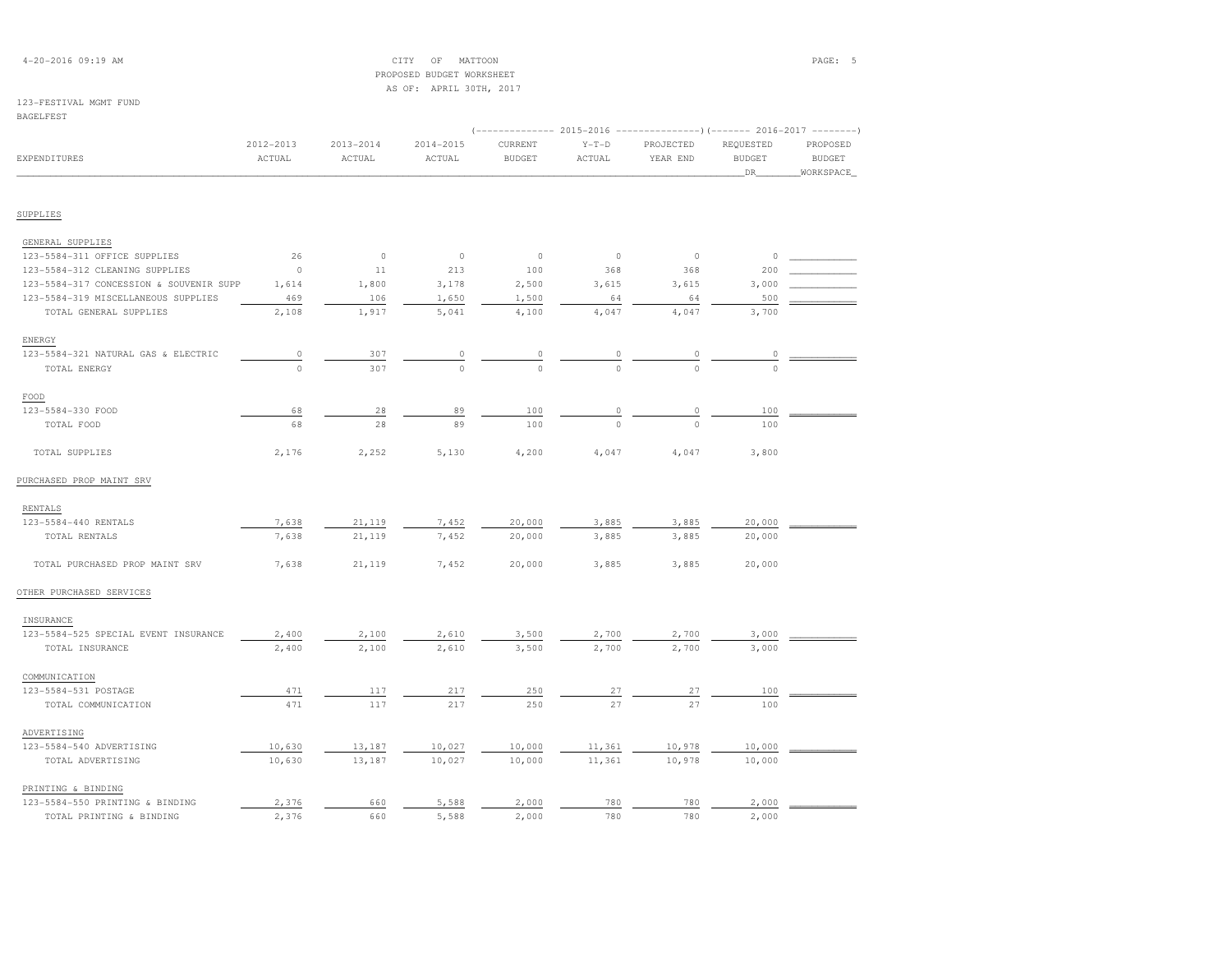| $4 - 20 - 2016$ 09:19 AM |  |  |
|--------------------------|--|--|
|--------------------------|--|--|

### $\begin{array}{cccccccccc} \text{CITY} & \text{OF} & \text{MATION} & \text{PAGE:} & \text{5} \end{array}$  PROPOSED BUDGET WORKSHEETAS OF: APRIL 30TH, 2017

#### 123-FESTIVAL MGMT FUND

PRINTING & BINDING

| BAGELFES' |  |
|-----------|--|
|-----------|--|

|                                         | $2012 - 2013$ | $2013 - 2014$ | $2014 - 2015$ | CURRENT       | $Y-T-D$ | PROJECTED   | REQUESTED             | PROPOSED                   |
|-----------------------------------------|---------------|---------------|---------------|---------------|---------|-------------|-----------------------|----------------------------|
| <b>EXPENDITURES</b>                     | ACTUAL        | ACTUAL        | ACTUAL        | <b>BUDGET</b> | ACTUAL  | YEAR END    | <b>BUDGET</b><br>_DR_ | <b>BUDGET</b><br>WORKSPACE |
|                                         |               |               |               |               |         |             |                       |                            |
| SUPPLIES                                |               |               |               |               |         |             |                       |                            |
| GENERAL SUPPLIES                        |               |               |               |               |         |             |                       |                            |
| 123-5584-311 OFFICE SUPPLIES            | 26            | $\circ$       | $\circ$       | $\circ$       | $\circ$ | $\circ$     | $\circ$               |                            |
| 123-5584-312 CLEANING SUPPLIES          | $\circ$       | 11            | 213           | 100           | 368     | 368         | 200                   |                            |
| 123-5584-317 CONCESSION & SOUVENIR SUPP | 1,614         | 1,800         | 3,178         | 2,500         | 3,615   | 3,615       | 3,000                 |                            |
| 123-5584-319 MISCELLANEOUS SUPPLIES     | 469           | 106           | 1,650         | 1,500         | 64      | 64          | 500                   |                            |
| TOTAL GENERAL SUPPLIES                  | 2,108         | 1,917         | 5,041         | 4,100         | 4,047   | 4,047       | 3,700                 |                            |
| ENERGY                                  |               |               |               |               |         |             |                       |                            |
| 123-5584-321 NATURAL GAS & ELECTRIC     | 0             | 307           | 0             | $\circ$       | 0       | 0           | $\circ$               |                            |
| TOTAL ENERGY                            | $\mathbb O$   | 307           | $\circ$       | $\circ$       | $\circ$ | $\circ$     | $\circ$               |                            |
| FOOD                                    |               |               |               |               |         |             |                       |                            |
| 123-5584-330 FOOD                       | 68            | 28            | 89            | 100           | $\circ$ | $\mathbb O$ | 100                   |                            |
| TOTAL FOOD                              | 68            | 28            | 89            | 100           | $\circ$ | $\circ$     | 100                   |                            |
| TOTAL SUPPLIES                          | 2,176         | 2,252         | 5,130         | 4,200         | 4,047   | 4,047       | 3,800                 |                            |
| PURCHASED PROP MAINT SRV                |               |               |               |               |         |             |                       |                            |
| RENTALS                                 |               |               |               |               |         |             |                       |                            |
| 123-5584-440 RENTALS                    | 7,638         | 21,119        | 7,452         | 20,000        | 3,885   | 3,885       | 20,000                |                            |
| TOTAL RENTALS                           | 7,638         | 21,119        | 7,452         | 20,000        | 3,885   | 3,885       | 20,000                |                            |
| TOTAL PURCHASED PROP MAINT SRV          | 7,638         | 21,119        | 7,452         | 20,000        | 3,885   | 3,885       | 20,000                |                            |
| OTHER PURCHASED SERVICES                |               |               |               |               |         |             |                       |                            |
| INSURANCE                               |               |               |               |               |         |             |                       |                            |
| 123-5584-525 SPECIAL EVENT INSURANCE    | 2,400         | 2,100         | 2,610         | 3,500         | 2,700   | 2,700       | 3,000                 |                            |
| TOTAL INSURANCE                         | 2,400         | 2,100         | 2,610         | 3,500         | 2,700   | 2,700       | 3,000                 |                            |
| COMMUNICATION                           |               |               |               |               |         |             |                       |                            |
| 123-5584-531 POSTAGE                    | 471           | 117           | 217           | 250           | 27      | 27          | 100                   |                            |
| TOTAL COMMUNICATION                     | 471           | 117           | 217           | 250           | 27      | 27          | 100                   |                            |
| ADVERTISING                             |               |               |               |               |         |             |                       |                            |
| 123-5584-540 ADVERTISING                | 10,630        | 13,187        | 10,027        | 10,000        | 11,361  | 10,978      | 10,000                |                            |
| TOTAL ADVERTISING                       | 10,630        | 13,187        | 10,027        | 10,000        | 11,361  | 10,978      | 10,000                |                            |

 123-5584-550 PRINTING & BINDING 2,376 660 5,588 2,000 780 780 2,000 \_\_\_\_\_\_\_\_\_\_\_\_ $-5584-550$  PRINTING & BINDING  $\begin{array}{ccccccccc} & 2,376 & & -660 & & 5,588 & & 2,000 & & -780 & & -780 & & -2,000 \end{array}$ <br>
TOTAL PRINTING & BINDING  $\begin{array}{ccccccccc} & 2,376 & & -660 & & 5,588 & & 2,000 & & -780 & & -780 & & 780 & & 2,000 \end{array}$ 

| $2016 - 2017 - -$ |  |
|-------------------|--|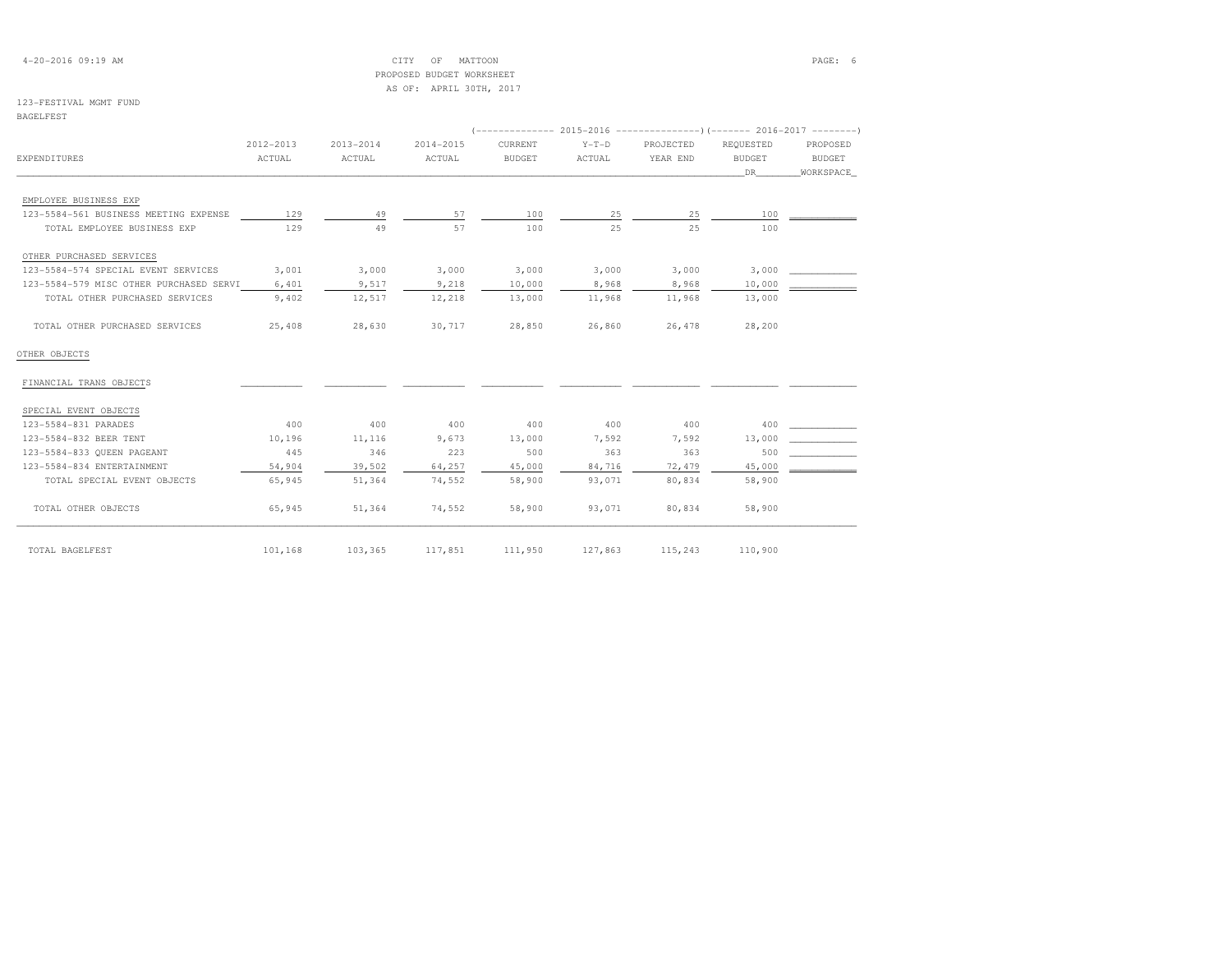4-20-2016 09:19 AM CITY OF MATTOON PAGE: 6 PROPOSED BUDGET WORKSHEETAS OF: APRIL 30TH, 2017

### 123-FESTIVAL MGMT FUND

| . .<br>۰. |  | $\sim$ |  |  |
|-----------|--|--------|--|--|

|                                         | 2012-2013 | 2013-2014 | 2014-2015 | CURRENT | $Y-T-D$ | PROJECTED | REOUESTED | PROPOSED  |
|-----------------------------------------|-----------|-----------|-----------|---------|---------|-----------|-----------|-----------|
| EXPENDITURES                            | ACTUAL    | ACTUAL    | ACTUAL    | BUDGET  | ACTUAL  | YEAR END  | BUDGET    | BUDGET    |
|                                         |           |           |           |         |         |           | DR        | WORKSPACE |
| EMPLOYEE BUSINESS EXP                   |           |           |           |         |         |           |           |           |
| 123-5584-561 BUSINESS MEETING EXPENSE   | 129       | 49        | 57        | 100     | 25      | 25        | 100       |           |
| TOTAL EMPLOYEE BUSINESS EXP             | 129       | 49        | 57        | 100     | 25      | 25        | 100       |           |
| OTHER PURCHASED SERVICES                |           |           |           |         |         |           |           |           |
| 123-5584-574 SPECIAL EVENT SERVICES     | 3,001     | 3,000     | 3,000     | 3,000   | 3,000   | 3,000     | 3,000     |           |
| 123-5584-579 MISC OTHER PURCHASED SERVI | 6,401     | 9,517     | 9,218     | 10,000  | 8,968   | 8,968     | 10,000    |           |
| TOTAL OTHER PURCHASED SERVICES          | 9,402     | 12,517    | 12,218    | 13,000  | 11,968  | 11,968    | 13,000    |           |
| TOTAL OTHER PURCHASED SERVICES          | 25,408    | 28,630    | 30,717    | 28,850  | 26,860  | 26,478    | 28,200    |           |
| OTHER OBJECTS                           |           |           |           |         |         |           |           |           |
| FINANCIAL TRANS OBJECTS                 |           |           |           |         |         |           |           |           |
| SPECIAL EVENT OBJECTS                   |           |           |           |         |         |           |           |           |
| 123-5584-831 PARADES                    | 400       | 400       | 400       | 400     | 400     | 400       | 400       |           |
| 123-5584-832 BEER TENT                  | 10,196    | 11,116    | 9,673     | 13,000  | 7,592   | 7,592     | 13,000    |           |
| 123-5584-833 QUEEN PAGEANT              | 445       | 346       | 223       | 500     | 363     | 363       | 500       |           |
| 123-5584-834 ENTERTAINMENT              | 54,904    | 39,502    | 64,257    | 45,000  | 84,716  | 72,479    | 45,000    |           |
| TOTAL SPECIAL EVENT OBJECTS             | 65,945    | 51,364    | 74,552    | 58,900  | 93,071  | 80,834    | 58,900    |           |
| TOTAL OTHER OBJECTS                     | 65,945    | 51,364    | 74,552    | 58,900  | 93,071  | 80,834    | 58,900    |           |
| TOTAL BAGELFEST                         | 101,168   | 103,365   | 117,851   | 111,950 | 127,863 | 115,243   | 110,900   |           |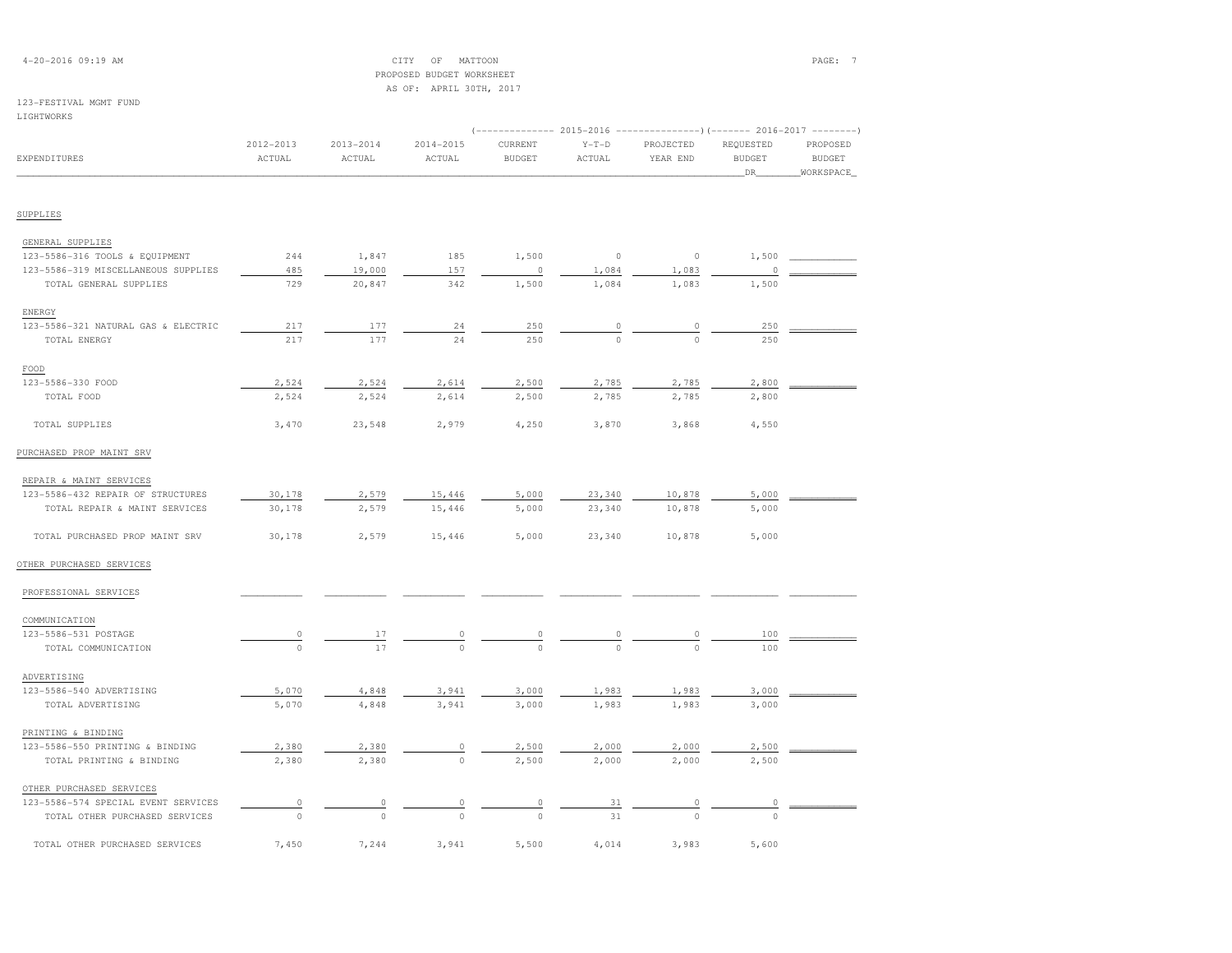| $4 - 20 - 2016$ 09:19 AM |  |  |
|--------------------------|--|--|
|--------------------------|--|--|

4-2017 CHEMP OF MATTOON CONTROL CONTROL CONTROL CONTROL CONTROL CONTROL CONTROL CONTROL CONTROL CONTROL CONTROL CONTROL CONTROL CONTROL CONTROL CONTROL CONTROL CONTROL CONTROL CONTROL CONTROL CONTROL CONTROL CONTROL CONTRO

#### 123-FESTIVAL MGMT FUNDLIGHTWORKS

## PROPOSED BUDGET WORKSHEET AS OF: APRIL 30TH, 2017 (-------------- 2015-2016 ---------------)(------- 2016-2017 --------) 2012-2013 2013-2014 2014-2015 CURRENT Y-T-D PROJECTED REQUESTED PROPOSED**BUDGET** EXPENDITURES ACTUAL ACTUAL ACTUAL BUDGET ACTUAL YEAR END BUDGET BUDGET\_\_\_\_\_\_\_\_\_\_\_\_\_\_\_\_\_\_\_\_\_\_\_\_\_\_\_\_\_\_\_\_\_\_\_\_\_\_\_\_\_\_\_\_\_\_\_\_\_\_\_\_\_\_\_\_\_\_\_\_\_\_\_\_\_\_\_\_\_\_\_\_\_\_\_\_\_\_\_\_\_\_\_\_\_\_\_\_\_\_\_\_\_\_\_\_\_\_\_\_\_\_\_\_\_\_\_\_\_\_\_\_\_\_\_\_\_\_\_\_\_\_\_\_\_\_\_\_\_\_DR\_\_\_\_\_\_\_\_WORKSPACE\_

### SUPPLIES

| GENERAL SUPPLIES                    |       |        |       |          |          |          |          |  |
|-------------------------------------|-------|--------|-------|----------|----------|----------|----------|--|
| 123-5586-316 TOOLS & EQUIPMENT      | 244   | 1,847  | 185   | 1,500    | $\circ$  | $\circ$  | 1,500    |  |
| 123-5586-319 MISCELLANEOUS SUPPLIES | 485   | 19,000 | 157   | $\Omega$ | 1,084    | 1,083    | $\Omega$ |  |
| TOTAL GENERAL SUPPLIES              | 729   | 20,847 | 342   | 1,500    | 1,084    | 1,083    | 1,500    |  |
| ENERGY                              |       |        |       |          |          |          |          |  |
| 123-5586-321 NATURAL GAS & ELECTRIC | 217   | 177    | 24    | 250      | $\Omega$ | $\Omega$ | 250      |  |
| TOTAL ENERGY                        | 217   | 177    | 24    | 250      | $\circ$  | $\circ$  | 250      |  |
| FOOD                                |       |        |       |          |          |          |          |  |
| 123-5586-330 FOOD                   | 2,524 | 2,524  | 2,614 | 2,500    | 2,785    | 2,785    | 2,800    |  |
| TOTAL FOOD                          | 2,524 | 2,524  | 2,614 | 2,500    | 2,785    | 2,785    | 2,800    |  |
| TOTAL SUPPLIES                      | 3,470 | 23,548 | 2,979 | 4,250    | 3,870    | 3,868    | 4,550    |  |
| PURCHASED PROP MAINT SRV            |       |        |       |          |          |          |          |  |
| REPAIR & MAINT SERVICES             |       |        |       |          |          |          |          |  |

| 123-5586-432 REPAIR OF STRUCTURES | 30,178 | 2,579 | 15,446 | 5,000 | 23,340 | 10,878 | 5,000 |  |
|-----------------------------------|--------|-------|--------|-------|--------|--------|-------|--|
| TOTAL REPAIR & MAINT SERVICES     | 30,178 | 2,579 | 15,446 | 5,000 | 23,340 | 10,878 | 5,000 |  |
|                                   |        |       |        |       |        |        |       |  |
| TOTAL PURCHASED PROP MAINT SRV    | 30,178 | 2,579 | 15,446 | 5,000 | 23,340 | 10,878 | 5,000 |  |

### OTHER PURCHASED SERVICES

| PROFESSIONAL SERVICES               |          |         |         |         |          |         |          |  |
|-------------------------------------|----------|---------|---------|---------|----------|---------|----------|--|
| COMMUNICATION                       |          |         |         |         |          |         |          |  |
| 123-5586-531 POSTAGE                | 0        | 17      | $\circ$ | $\circ$ | $\circ$  | $\circ$ | 100      |  |
| TOTAL COMMUNICATION                 | $\Omega$ | 17      | $\circ$ | $\circ$ | $\Omega$ | $\circ$ | 100      |  |
| ADVERTISING                         |          |         |         |         |          |         |          |  |
| 123-5586-540 ADVERTISING            | 5,070    | 4,848   | 3,941   | 3,000   | 1,983    | 1,983   | 3,000    |  |
| TOTAL ADVERTISING                   | 5,070    | 4,848   | 3,941   | 3,000   | 1,983    | 1,983   | 3,000    |  |
| PRINTING & BINDING                  |          |         |         |         |          |         |          |  |
| 123-5586-550 PRINTING & BINDING     | 2,380    | 2,380   | $\cap$  | 2,500   | 2,000    | 2,000   | 2,500    |  |
| TOTAL PRINTING & BINDING            | 2,380    | 2,380   | $\circ$ | 2,500   | 2,000    | 2,000   | 2,500    |  |
| OTHER PURCHASED SERVICES            |          |         |         |         |          |         |          |  |
| 123-5586-574 SPECIAL EVENT SERVICES |          |         |         |         | 31       |         |          |  |
| TOTAL OTHER PURCHASED SERVICES      | 0        | $\circ$ | $\circ$ | $\circ$ | 31       | $\circ$ | $\Omega$ |  |
| TOTAL OTHER PURCHASED SERVICES      | 7,450    | 7,244   | 3,941   | 5,500   | 4,014    | 3,983   | 5,600    |  |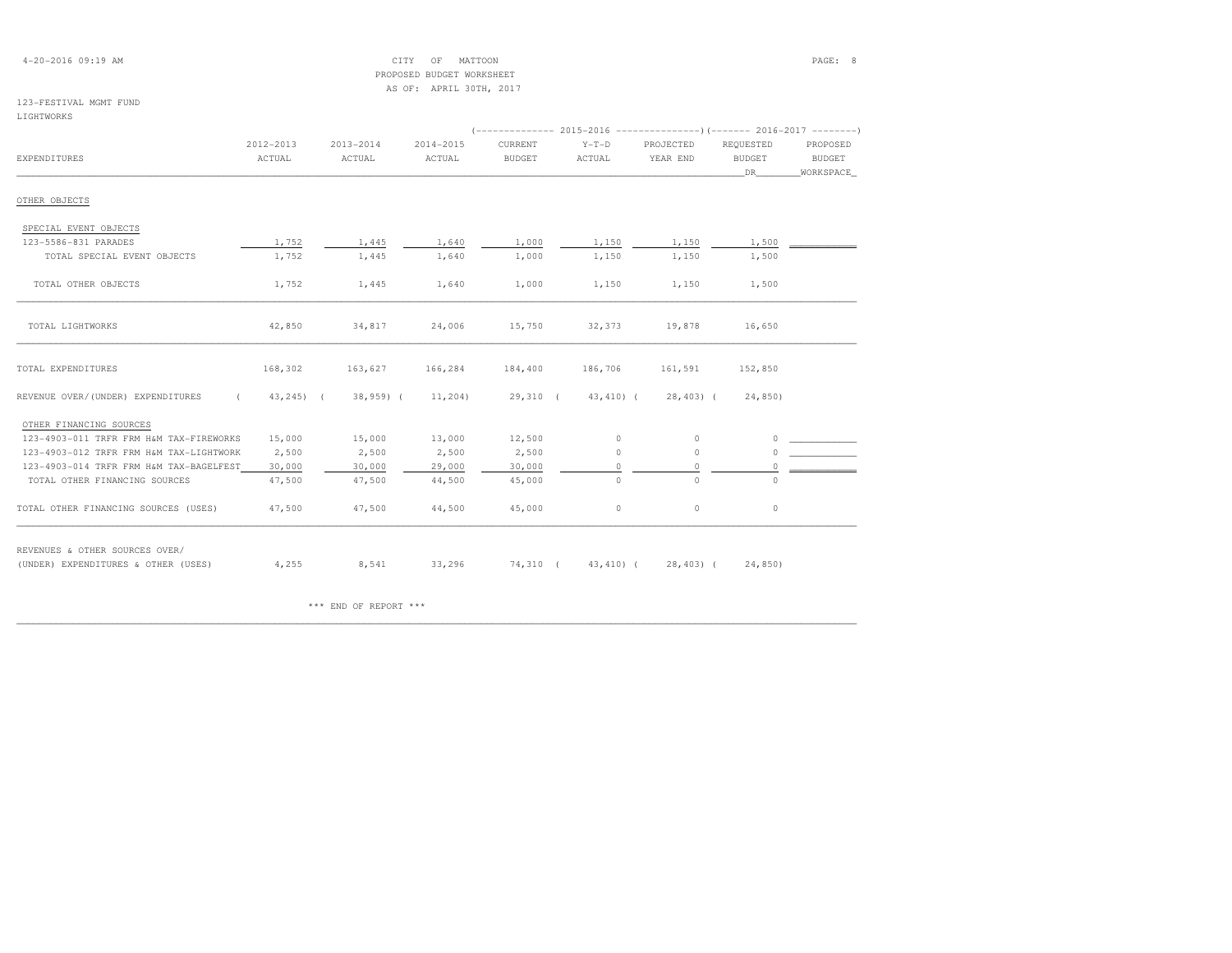### 4-20-2016 09:19 AM CITY OF MATTOON PAGE: 8 PROPOSED BUDGET WORKSHEETAS OF: APRIL 30TH, 2017

### 123-FESTIVAL MGMT FUND

### LIGHTWORKS

|                                         | 2012-2013     | $2013 - 2014$ | $2014 - 2015$ | CURRENT       | $Y-T-D$      | PROJECTED           | REQUESTED     | PROPOSED      |
|-----------------------------------------|---------------|---------------|---------------|---------------|--------------|---------------------|---------------|---------------|
| EXPENDITURES                            | ACTUAL        | ACTUAL        | ACTUAL        | <b>BUDGET</b> | ACTUAL       | YEAR END            | <b>BUDGET</b> | <b>BUDGET</b> |
|                                         |               |               |               |               |              |                     | DR.           | WORKSPACE     |
| OTHER OBJECTS                           |               |               |               |               |              |                     |               |               |
| SPECIAL EVENT OBJECTS                   |               |               |               |               |              |                     |               |               |
| 123-5586-831 PARADES                    | 1,752         | 1,445         | 1,640         | 1,000         | 1,150        | 1,150               | 1,500         |               |
| TOTAL SPECIAL EVENT OBJECTS             | 1,752         | 1,445         | 1,640         | 1,000         | 1,150        | 1,150               | 1,500         |               |
| TOTAL OTHER OBJECTS                     | 1,752         | 1,445         | 1,640         | 1,000         | 1,150        | 1,150               | 1,500         |               |
| TOTAL LIGHTWORKS                        | 42,850        | 34,817        | 24,006        | 15,750        | 32,373       | 19,878              | 16,650        |               |
| TOTAL EXPENDITURES                      | 168,302       | 163,627       | 166,284       | 184,400       | 186,706      | 161,591             | 152,850       |               |
| REVENUE OVER/(UNDER) EXPENDITURES       | $43, 245$ ) ( | $38,959$ (    | 11,204)       | $29,310$ (    | $43, 410)$ ( | $28,403$ (          | 24,850)       |               |
| OTHER FINANCING SOURCES                 |               |               |               |               |              |                     |               |               |
| 123-4903-011 TRFR FRM H&M TAX-FIREWORKS | 15,000        | 15,000        | 13,000        | 12,500        | $\circ$      | $\circ$             | $\Omega$      |               |
| 123-4903-012 TRFR FRM H&M TAX-LIGHTWORK | 2,500         | 2,500         | 2,500         | 2,500         | 0            | $\circ$             | 0             |               |
| 123-4903-014 TRFR FRM H&M TAX-BAGELFEST | 30,000        | 30,000        | 29,000        | 30,000        | 0            | $\circ$             | $\circ$       |               |
| TOTAL OTHER FINANCING SOURCES           | 47,500        | 47,500        | 44,500        | 45,000        | $\circ$      | $\circ$             | $\Omega$      |               |
| TOTAL OTHER FINANCING SOURCES (USES)    | 47,500        | 47,500        | 44,500        | 45,000        | 0            | $\circ$             | $\circ$       |               |
| REVENUES & OTHER SOURCES OVER/          |               |               |               |               |              |                     |               |               |
| (UNDER) EXPENDITURES & OTHER (USES)     | 4,255         | 8,541         | 33,296        | 74,310 (      |              | 43,410) ( 28,403) ( | 24,850)       |               |

\*\*\* END OF REPORT \*\*\*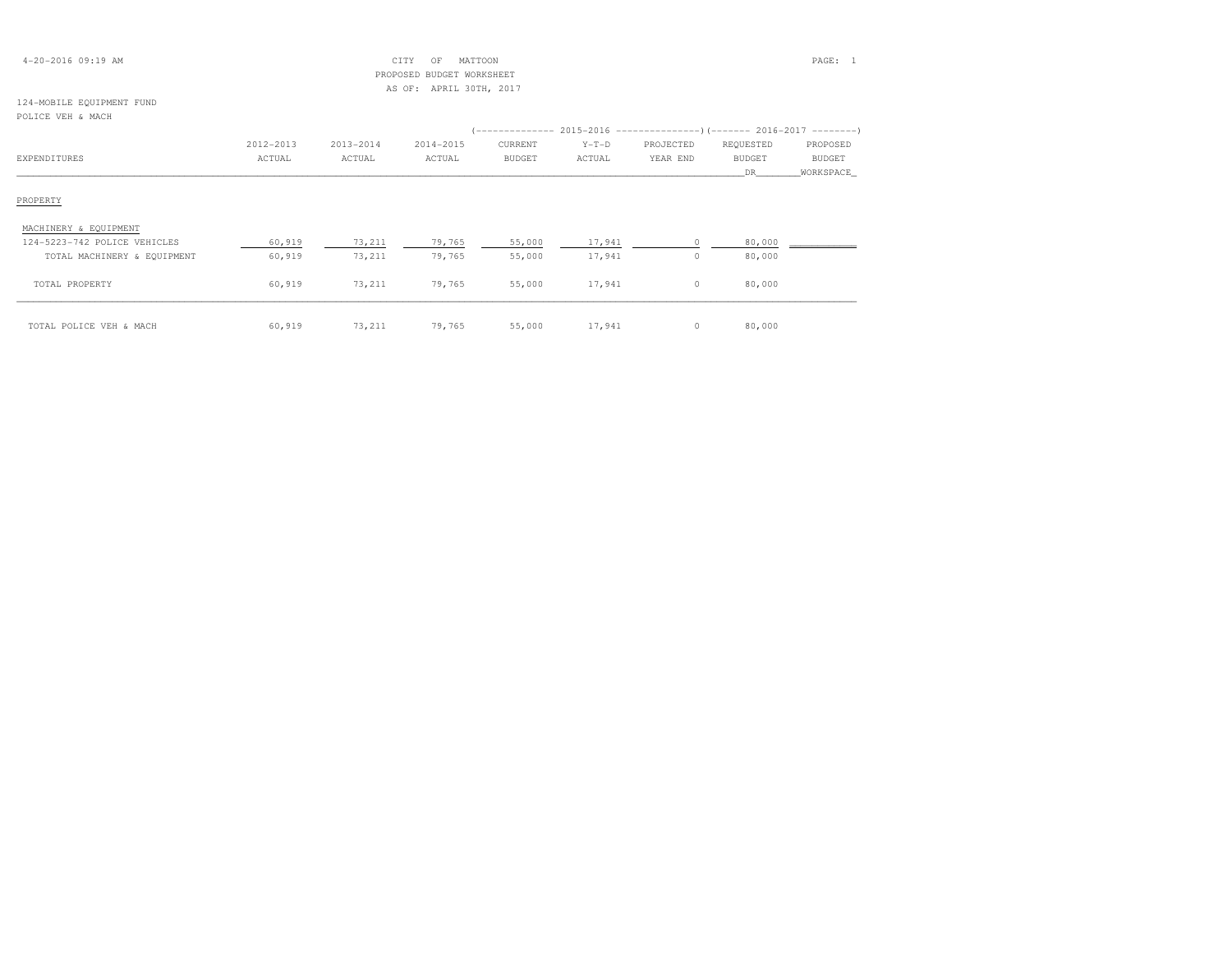| 4-20-2016 09:19 AM |  |  |
|--------------------|--|--|
|--------------------|--|--|

### 4-20-2016 09:19 AM CITY OF MATTOON PAGE: 1 PROPOSED BUDGET WORKSHEETAS OF: APRIL 30TH, 2017

#### 124-MOBILE EQUIPMENT FUNDPOLICE VEH & MACH

| 2012-2013 | 2013-2014 | 2014-2015        | CURRENT       | $Y-T-D$ | PROJECTED | REQUESTED                             | PROPOSED                                                                            |
|-----------|-----------|------------------|---------------|---------|-----------|---------------------------------------|-------------------------------------------------------------------------------------|
| ACTUAL    | ACTUAL    | ACTUAL           | <b>BUDGET</b> | ACTUAL  | YEAR END  | <b>BUDGET</b>                         | <b>BUDGET</b>                                                                       |
|           |           |                  |               |         |           | DR                                    | WORKSPACE                                                                           |
|           |           |                  |               |         |           |                                       |                                                                                     |
|           |           |                  |               |         |           |                                       |                                                                                     |
|           |           |                  |               |         |           |                                       |                                                                                     |
| 60,919    | 73, 211   | 79,765           | 55,000        | 17,941  |           | 80,000                                |                                                                                     |
| 60,919    | 73,211    | 79,765           | 55,000        | 17,941  |           | 80,000                                |                                                                                     |
| 60,919    | 73,211    | 79,765           | 55,000        | 17,941  | $\circ$   | 80,000                                |                                                                                     |
|           |           |                  |               |         |           |                                       |                                                                                     |
|           |           | 73,211<br>60,919 |               |         |           | 79,765<br>55,000<br>17,941<br>$\circ$ | (-------------- 2015-2016 ----------------) (------- 2016-2017 ---------)<br>80,000 |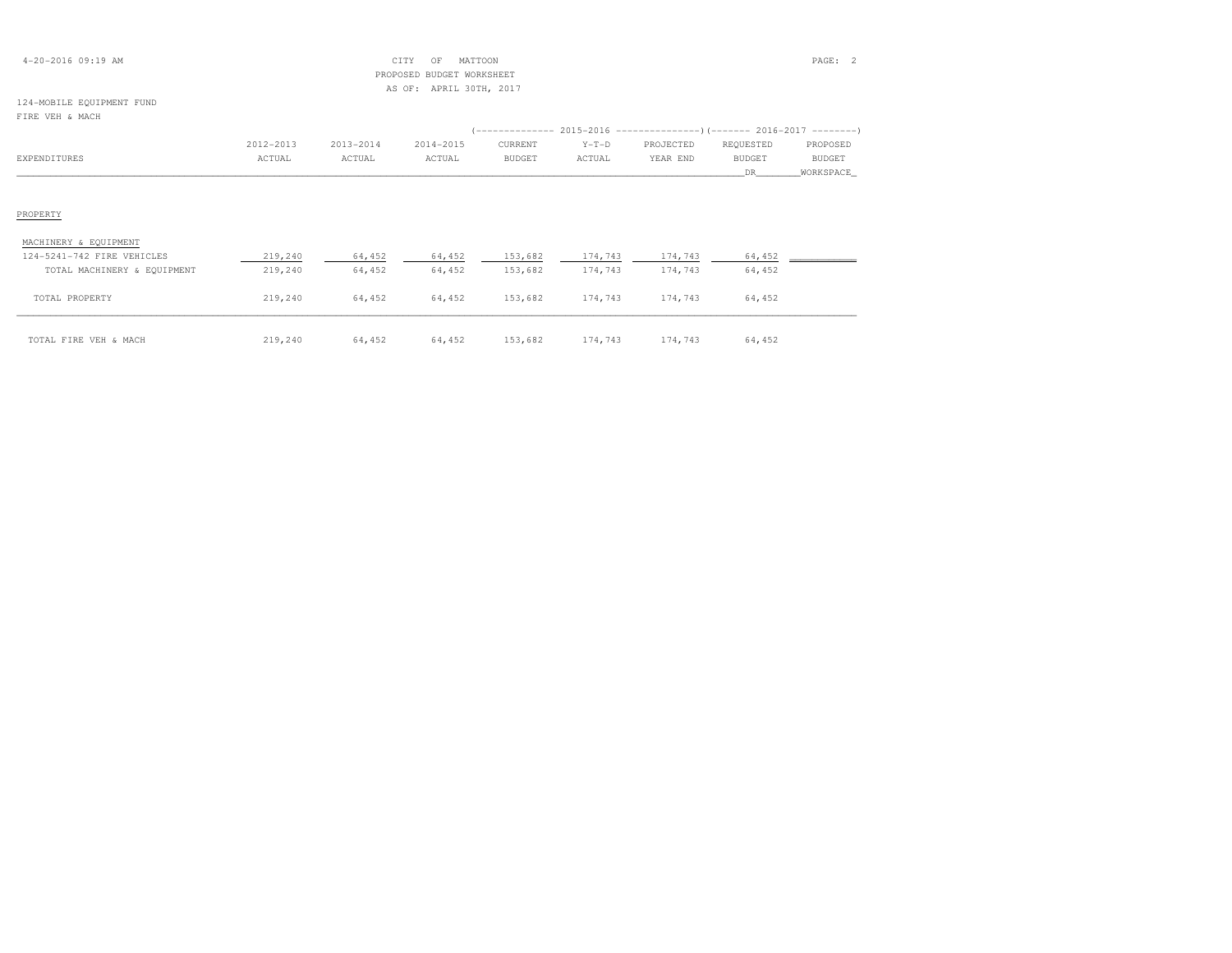| $4 - 20 - 2016$ 09:19 AM |  |
|--------------------------|--|
|--------------------------|--|

### 4-20-2016 09:19 AM CITY OF MATTOON PAGE: 2 PROPOSED BUDGET WORKSHEETAS OF: APRIL 30TH, 2017

#### 124-MOBILE EQUIPMENT FUNDFIRE VEH & MACH

| FIKE VEH & MACH             |           |           |           |               |         |           |               |               |
|-----------------------------|-----------|-----------|-----------|---------------|---------|-----------|---------------|---------------|
|                             |           |           |           |               |         |           |               |               |
|                             | 2012-2013 | 2013-2014 | 2014-2015 | CURRENT       | $Y-T-D$ | PROJECTED | REQUESTED     | PROPOSED      |
| EXPENDITURES                | ACTUAL    | ACTUAL    | ACTUAL    | <b>BUDGET</b> | ACTUAL  | YEAR END  | <b>BUDGET</b> | <b>BUDGET</b> |
|                             |           |           |           |               |         |           | DR.           | WORKSPACE     |
|                             |           |           |           |               |         |           |               |               |
|                             |           |           |           |               |         |           |               |               |
| PROPERTY                    |           |           |           |               |         |           |               |               |
|                             |           |           |           |               |         |           |               |               |
| MACHINERY & EQUIPMENT       |           |           |           |               |         |           |               |               |
| 124-5241-742 FIRE VEHICLES  | 219,240   | 64,452    | 64,452    | 153,682       | 174,743 | 174,743   | 64,452        |               |
| TOTAL MACHINERY & EQUIPMENT | 219,240   | 64,452    | 64,452    | 153,682       | 174,743 | 174,743   | 64,452        |               |
|                             |           |           |           |               |         |           |               |               |
| TOTAL PROPERTY              | 219,240   | 64,452    | 64,452    | 153,682       | 174,743 | 174,743   | 64,452        |               |
|                             |           |           |           |               |         |           |               |               |

174,743 64,452 64,452 64,452 64,452 174,743 174,743 64,452 1753,682 174,743 64,452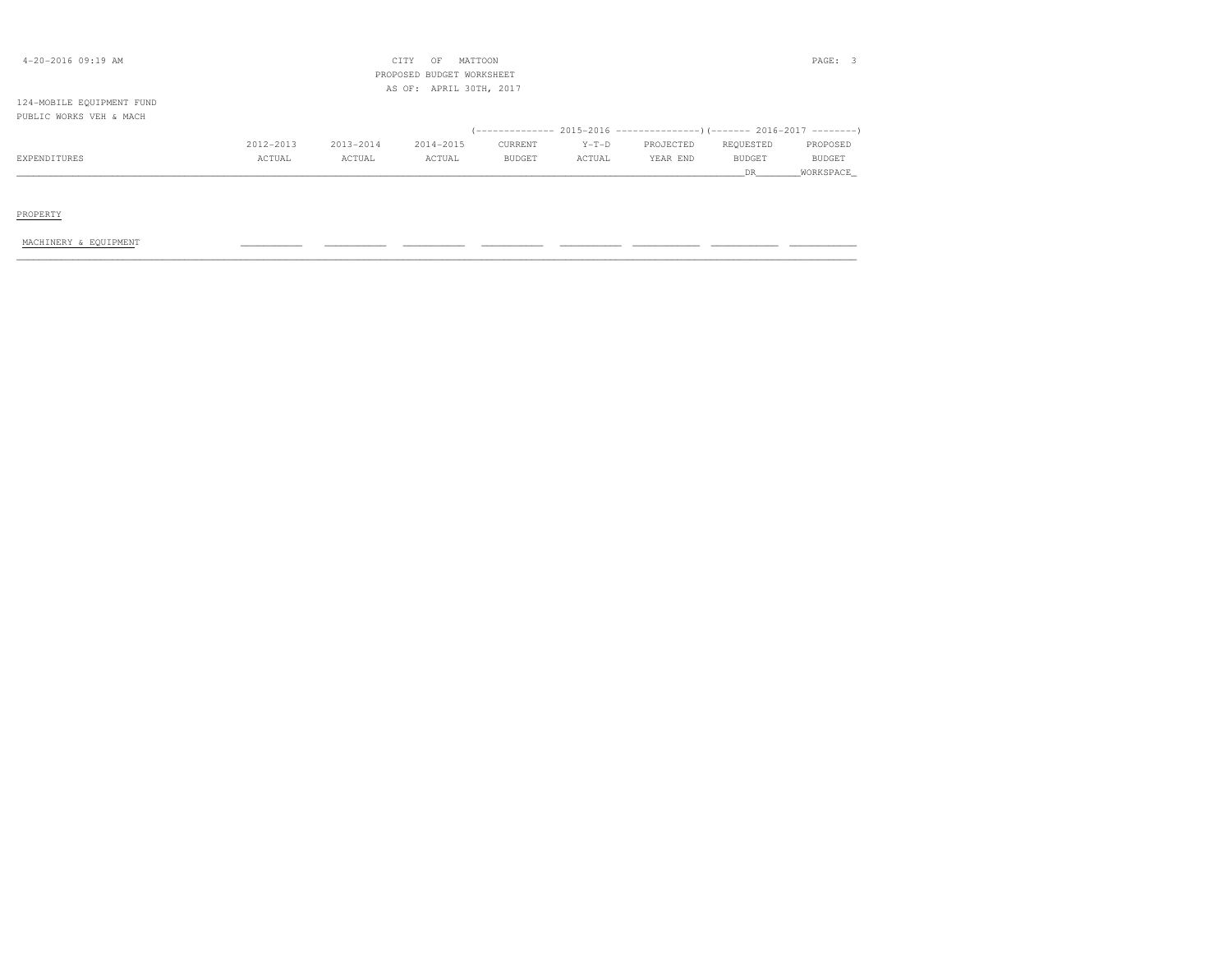| $4 - 20 - 2016$ 09:19 AM  |           |           | CITY<br>OF<br>PROPOSED BUDGET WORKSHEET | MATTOON       |         |                                                                          |               | PAGE: 3   |
|---------------------------|-----------|-----------|-----------------------------------------|---------------|---------|--------------------------------------------------------------------------|---------------|-----------|
|                           |           |           | AS OF: APRIL 30TH, 2017                 |               |         |                                                                          |               |           |
| 124-MOBILE EQUIPMENT FUND |           |           |                                         |               |         |                                                                          |               |           |
| PUBLIC WORKS VEH & MACH   |           |           |                                         |               |         |                                                                          |               |           |
|                           |           |           |                                         |               |         | (-------------- 2015-2016 ----------------) (------- 2016-2017 --------) |               |           |
|                           | 2012-2013 | 2013-2014 | 2014-2015                               | CURRENT       | $Y-T-D$ | PROJECTED                                                                | REQUESTED     | PROPOSED  |
| EXPENDITURES              | ACTUAL    | ACTUAL    | ACTUAL                                  | <b>BUDGET</b> | ACTUAL  | YEAR END                                                                 | <b>BUDGET</b> | BUDGET    |
|                           |           |           |                                         |               |         |                                                                          | DR.           | WORKSPACE |
|                           |           |           |                                         |               |         |                                                                          |               |           |
|                           |           |           |                                         |               |         |                                                                          |               |           |
| PROPERTY                  |           |           |                                         |               |         |                                                                          |               |           |
|                           |           |           |                                         |               |         |                                                                          |               |           |

MACHINERY & EQUIPMENT \_\_\_\_\_\_\_\_\_\_\_ \_\_\_\_\_\_\_\_\_\_\_ \_\_\_\_\_\_\_\_\_\_\_ \_\_\_\_\_\_\_\_\_\_\_ \_\_\_\_\_\_\_\_\_\_\_ \_\_\_\_\_\_\_\_\_\_\_\_ \_\_\_\_\_\_\_\_\_\_\_\_ \_\_\_\_\_\_\_\_\_\_\_\_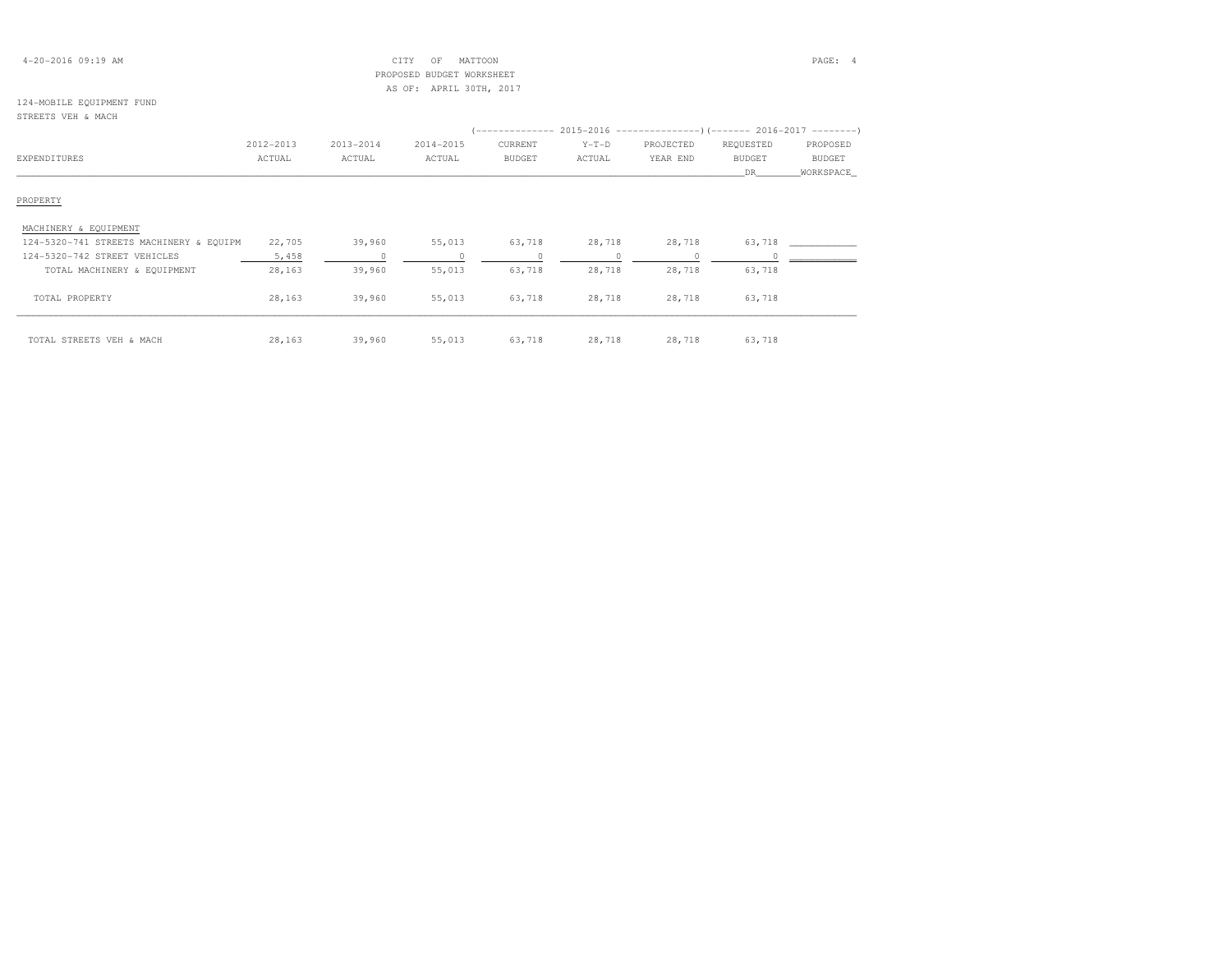### 4-20-2016 09:19 AM CITY OF MATTOON PAGE: 4 PROPOSED BUDGET WORKSHEETAS OF: APRIL 30TH, 2017

## 124-MOBILE EQUIPMENT FUND

## STREETS VEH & MACH (-------------- 2015-2016 ---------------)(------- 2016-2017 --------) 2012-2013 2013-2014 2014-2015 CURRENT Y-T-D PROJECTED REQUESTED PROPOSED**BUDGET** EXPENDITURES ACTUAL ACTUAL ACTUAL BUDGET ACTUAL YEAR END BUDGET BUDGET \_\_\_\_\_\_\_\_\_\_\_\_\_\_\_\_\_\_\_\_\_\_\_\_\_\_\_\_\_\_\_\_\_\_\_\_\_\_\_\_\_\_\_\_\_\_\_\_\_\_\_\_\_\_\_\_\_\_\_\_\_\_\_\_\_\_\_\_\_\_\_\_\_\_\_\_\_\_\_\_\_\_\_\_\_\_\_\_\_\_\_\_\_\_\_\_\_\_\_\_\_\_\_\_\_\_\_\_\_\_\_\_\_\_\_\_\_\_\_\_\_\_\_\_\_\_\_\_\_\_DR\_\_\_\_\_\_\_\_WORKSPACE\_PROPERTY MACHINERY & EQUIPMENT 124-5320-741 STREETS MACHINERY & EQUIPM 22,705 39,960 55,013 63,718 28,718 28,718 63,718 \_\_\_\_\_\_\_\_\_\_\_\_ 124-5320-742 STREET VEHICLES 5,458 0 0 0 0 0 0 \_\_\_\_\_\_\_\_\_\_\_\_ TOTAL MACHINERY & EQUIPMENT 28,163 39,960 55,013 63,718 28,718 28,718 63,718 TOTAL PROPERTY 28,163 39,960 55,013 63,718 28,718 28,718 63,718\_\_\_\_\_\_\_\_\_\_\_\_\_\_\_\_\_\_\_\_\_\_\_\_\_\_\_\_\_\_\_\_\_\_\_\_\_\_\_\_\_\_\_\_\_\_\_\_\_\_\_\_\_\_\_\_\_\_\_\_\_\_\_\_\_\_\_\_\_\_\_\_\_\_\_\_\_\_\_\_\_\_\_\_\_\_\_\_\_\_\_\_\_\_\_\_\_\_\_\_\_\_\_\_\_\_\_\_\_\_\_\_\_\_\_\_\_\_\_\_\_\_\_\_\_\_\_\_\_\_\_\_\_\_\_\_\_\_\_\_\_\_\_\_\_\_\_\_\_\_ TOTAL STREETS VEH & MACH 28,163 39,960 55,013 63,718 28,718 28,718 63,718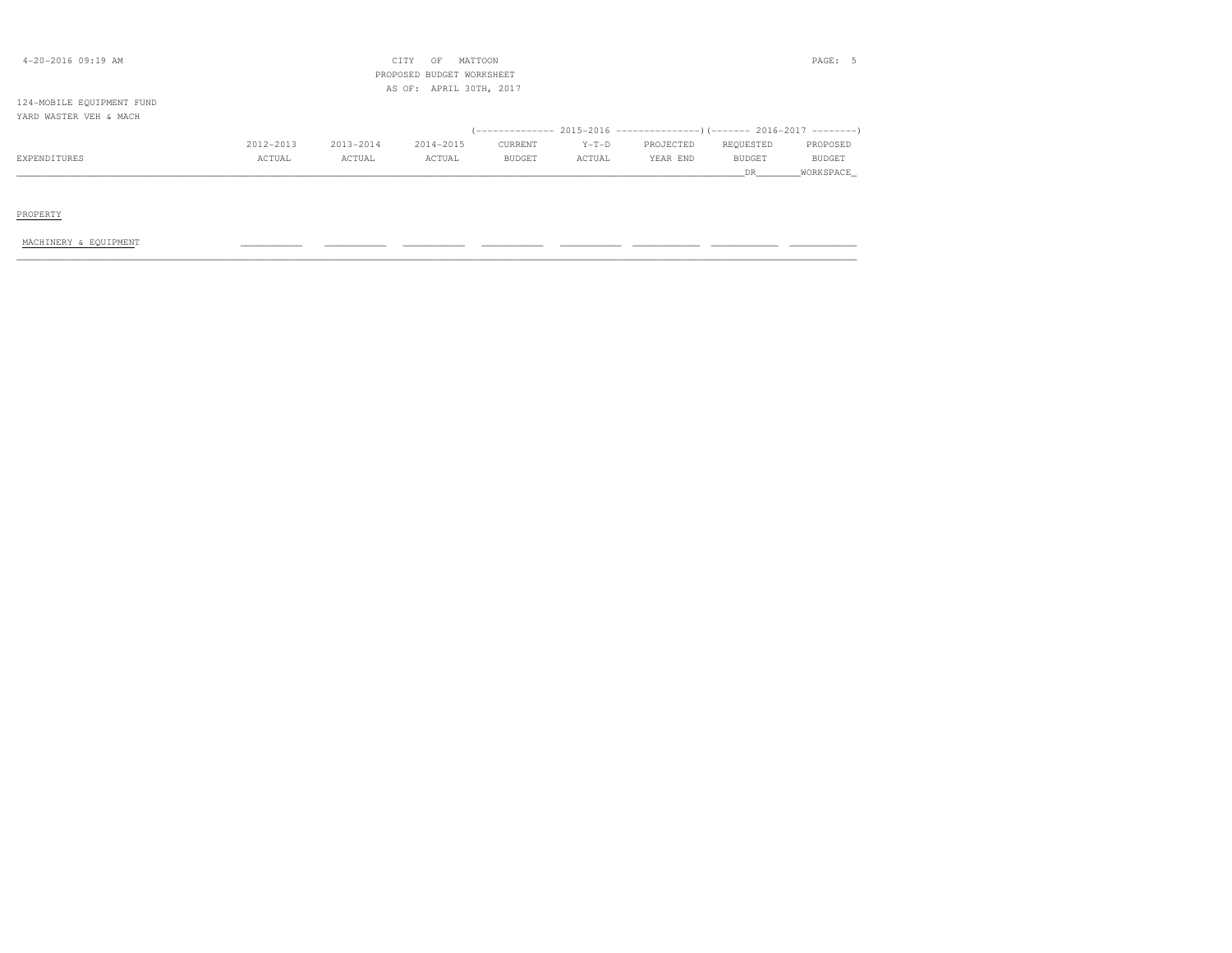| $4 - 20 - 2016$ 09:19 AM                            |           |           | CITY<br>OF<br>PROPOSED BUDGET WORKSHEET | MATTOON |         |                                                                            |           | PAGE: 5   |
|-----------------------------------------------------|-----------|-----------|-----------------------------------------|---------|---------|----------------------------------------------------------------------------|-----------|-----------|
|                                                     |           |           | AS OF: APRIL 30TH, 2017                 |         |         |                                                                            |           |           |
| 124-MOBILE EQUIPMENT FUND<br>YARD WASTER VEH & MACH |           |           |                                         |         |         |                                                                            |           |           |
|                                                     |           |           |                                         |         |         | (-------------- 2015-2016 -----------------) (------- 2016-2017 ---------) |           |           |
|                                                     | 2012-2013 | 2013-2014 | 2014-2015                               | CURRENT | $Y-T-D$ | PROJECTED                                                                  | REQUESTED | PROPOSED  |
| EXPENDITURES                                        | ACTUAL    | ACTUAL    | ACTUAL                                  | BUDGET  | ACTUAL  | YEAR END                                                                   | BUDGET    | BUDGET    |
|                                                     |           |           |                                         |         |         |                                                                            | DR.       | WORKSPACE |
|                                                     |           |           |                                         |         |         |                                                                            |           |           |
| PROPERTY                                            |           |           |                                         |         |         |                                                                            |           |           |

MACHINERY & EQUIPMENT \_\_\_\_\_\_\_\_\_\_\_ \_\_\_\_\_\_\_\_\_\_\_ \_\_\_\_\_\_\_\_\_\_\_ \_\_\_\_\_\_\_\_\_\_\_ \_\_\_\_\_\_\_\_\_\_\_ \_\_\_\_\_\_\_\_\_\_\_\_ \_\_\_\_\_\_\_\_\_\_\_\_ \_\_\_\_\_\_\_\_\_\_\_\_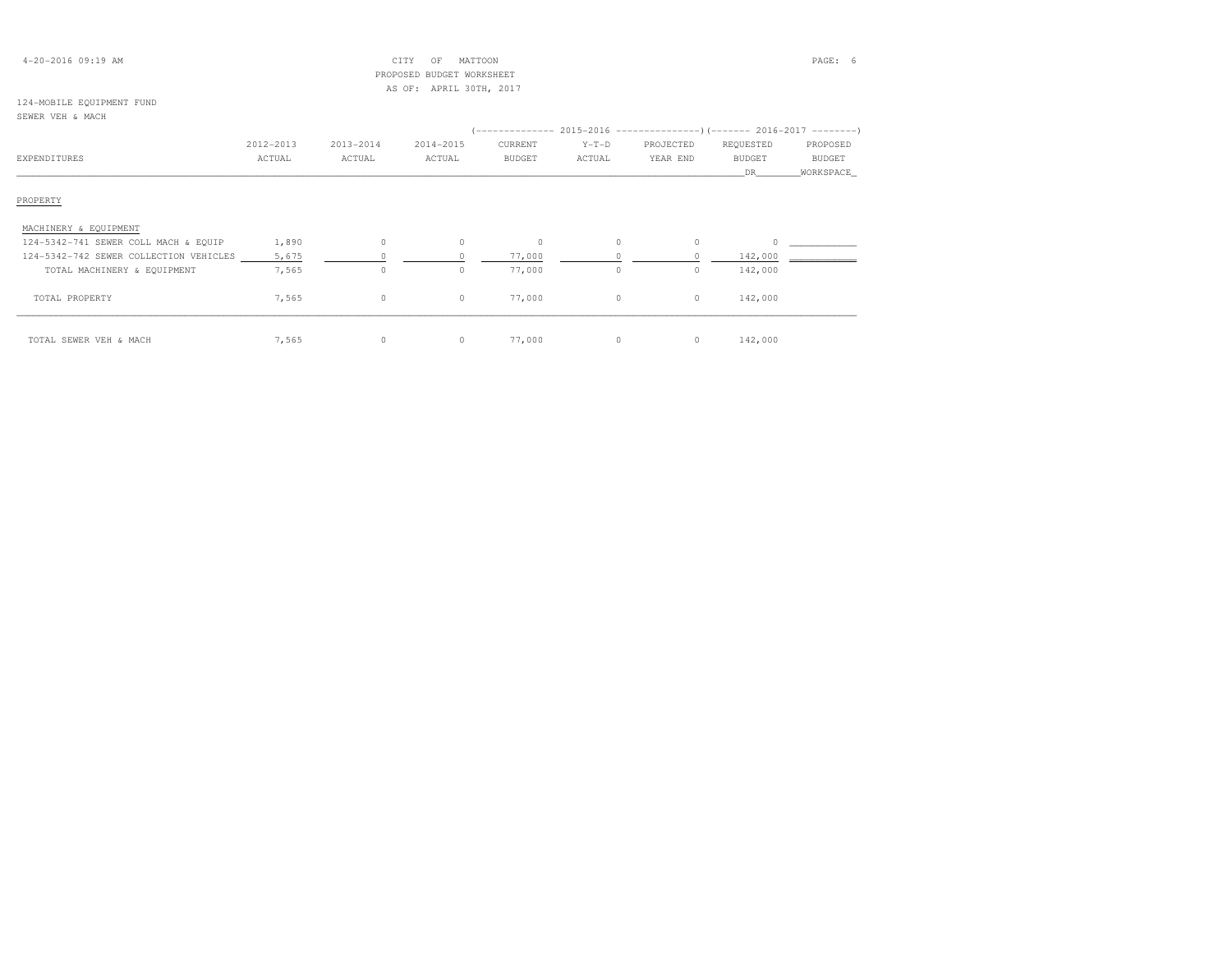### 4-20-2016 09:19 AM CITY OF MATTOON PAGE: 6 PROPOSED BUDGET WORKSHEETAS OF: APRIL 30TH, 2017

## 124-MOBILE EQUIPMENT FUND

### SEWER VEH & MACH

| EXPENDITURES                           | 2012-2013<br>ACTUAL | 2013-2014<br>ACTUAL | 2014-2015<br>ACTUAL | CURRENT<br><b>BUDGET</b> | $Y-T-D$<br>ACTUAL | PROJECTED<br>YEAR END | REQUESTED<br><b>BUDGET</b><br>DR | PROPOSED<br><b>BUDGET</b><br>WORKSPACE |
|----------------------------------------|---------------------|---------------------|---------------------|--------------------------|-------------------|-----------------------|----------------------------------|----------------------------------------|
| PROPERTY                               |                     |                     |                     |                          |                   |                       |                                  |                                        |
| MACHINERY & EQUIPMENT                  |                     |                     |                     |                          |                   |                       |                                  |                                        |
| 124-5342-741 SEWER COLL MACH & EQUIP   | 1,890               | $\circ$             | 0                   | $\circ$                  | 0                 | $\circ$               | $\Omega$                         |                                        |
| 124-5342-742 SEWER COLLECTION VEHICLES | 5,675               |                     |                     | 77,000                   |                   |                       | 142,000                          |                                        |
| TOTAL MACHINERY & EQUIPMENT            | 7,565               | $\circ$             | 0                   | 77,000                   | 0                 | $\circ$               | 142,000                          |                                        |
| TOTAL PROPERTY                         | 7,565               | $\circ$             | $\circ$             | 77,000                   | 0                 | $\circ$               | 142,000                          |                                        |
| TOTAL SEWER VEH & MACH                 | 7,565               | $\circ$             | $\circ$             | 77,000                   | $\Omega$          | $\circ$               | 142,000                          |                                        |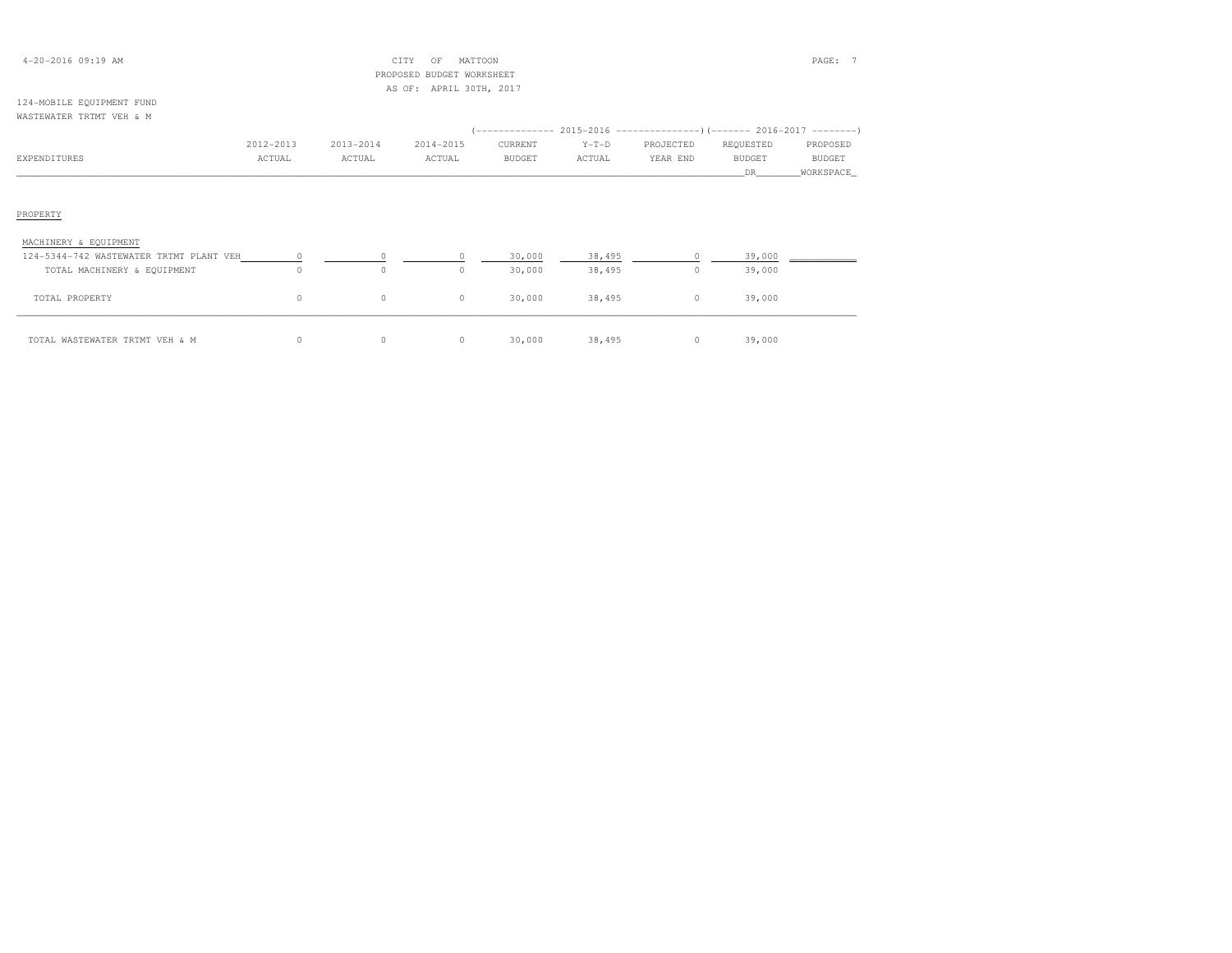### 4-20-2016 09:19 AM CITY OF MATTOON PAGE: 7 PROPOSED BUDGET WORKSHEETAS OF: APRIL 30TH, 2017

#### 124-MOBILE EQUIPMENT FUNDWASTEWATER TRTMT VEH & M

| EXPENDITURES                              | 2012-2013<br>ACTUAL | 2013-2014<br>ACTUAL | 2014-2015<br>ACTUAL | (-------------- 2015-2016 ---------------) (------- 2016-2017 --------)<br>CURRENT<br>BUDGET | $Y-T-D$<br>ACTUAL | PROJECTED<br>YEAR END | REQUESTED<br><b>BUDGET</b> | PROPOSED<br>BUDGET |
|-------------------------------------------|---------------------|---------------------|---------------------|----------------------------------------------------------------------------------------------|-------------------|-----------------------|----------------------------|--------------------|
|                                           |                     |                     |                     |                                                                                              |                   |                       | DR 1                       | WORKSPACE          |
|                                           |                     |                     |                     |                                                                                              |                   |                       |                            |                    |
|                                           |                     |                     |                     |                                                                                              |                   |                       |                            |                    |
| PROPERTY                                  |                     |                     |                     |                                                                                              |                   |                       |                            |                    |
| MACHINERY & EQUIPMENT                     |                     |                     |                     |                                                                                              |                   |                       |                            |                    |
| 124-5344-742 WASTEWATER TRTMT PLANT VEH 0 |                     |                     |                     | 30,000                                                                                       | 38,495            | $\overline{0}$        | 39,000                     |                    |
| TOTAL MACHINERY & EQUIPMENT               | $\Omega$            | $\Omega$            | $\Omega$            | 30,000                                                                                       | 38,495            | $\circ$               | 39,000                     |                    |
| TOTAL PROPERTY                            | $\circ$             | $\circ$             | $\circ$             | 30,000                                                                                       | 38,495            | $\circ$               | 39,000                     |                    |
| TOTAL WASTEWATER TRTMT VEH & M            | 0                   | 0                   | $\circ$             | 30,000                                                                                       | 38,495            | $\circ$               | 39,000                     |                    |

| VEH 。<br>TOTAL WASTEWATER<br>TRTMT<br>M<br>$\alpha$ $\alpha$ |  | 000 | $\Delta$ Q $\Gamma$<br>3 Q | 000 |
|--------------------------------------------------------------|--|-----|----------------------------|-----|
|                                                              |  |     |                            |     |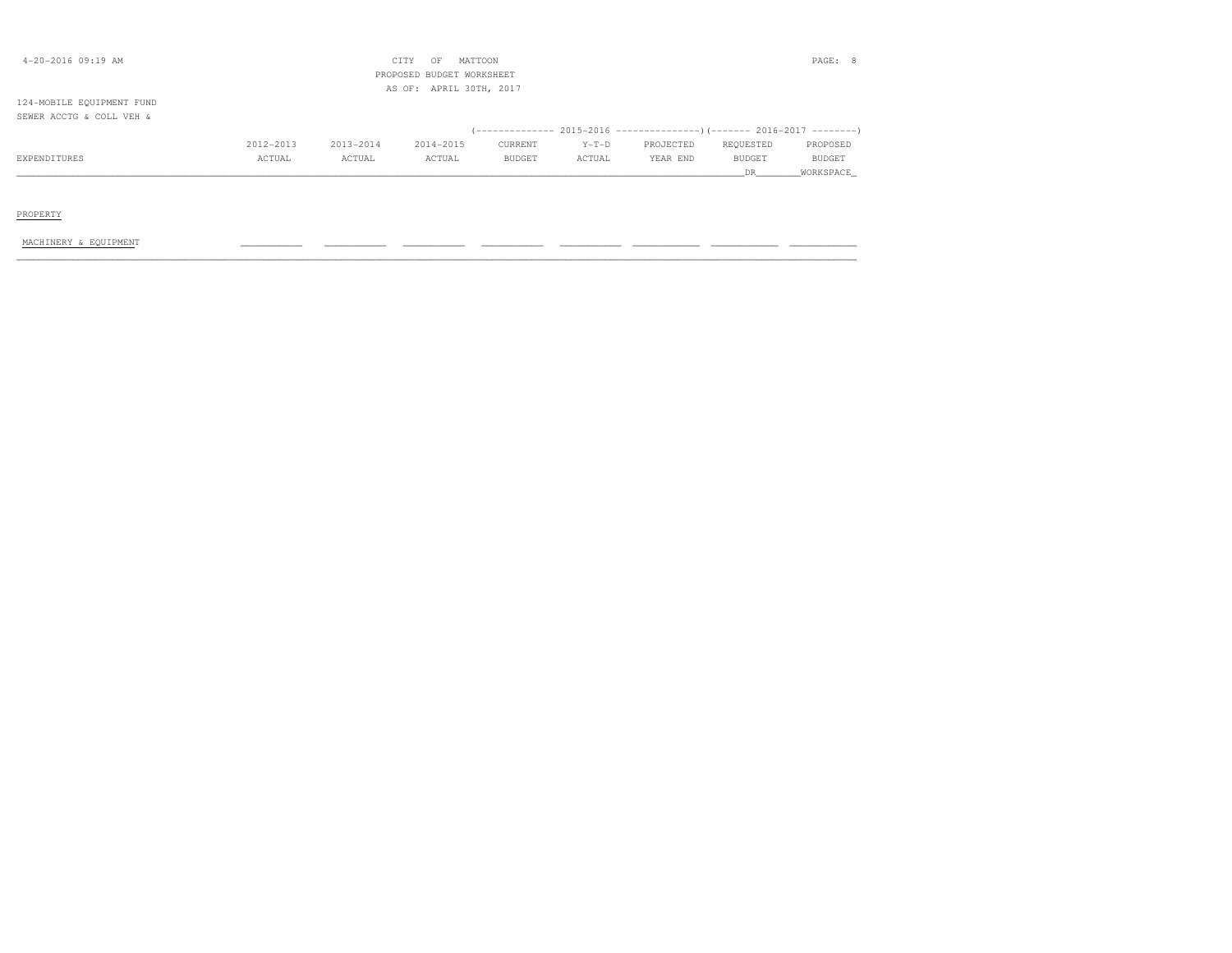| $4 - 20 - 2016$ 09:19 AM  |           |           | MATTOON<br>CITY<br>OF<br>PROPOSED BUDGET WORKSHEET |               |         |                                                                         |               | PAGE: 8   |
|---------------------------|-----------|-----------|----------------------------------------------------|---------------|---------|-------------------------------------------------------------------------|---------------|-----------|
|                           |           |           | AS OF: APRIL 30TH, 2017                            |               |         |                                                                         |               |           |
| 124-MOBILE EQUIPMENT FUND |           |           |                                                    |               |         |                                                                         |               |           |
| SEWER ACCTG & COLL VEH &  |           |           |                                                    |               |         |                                                                         |               |           |
|                           |           |           |                                                    |               |         | (-------------- 2015-2016 ---------------) (------- 2016-2017 --------) |               |           |
|                           | 2012-2013 | 2013-2014 | 2014-2015                                          | CURRENT       | $Y-T-D$ | PROJECTED                                                               | REQUESTED     | PROPOSED  |
| EXPENDITURES              | ACTUAL    | ACTUAL    | ACTUAL                                             | <b>BUDGET</b> | ACTUAL  | YEAR END                                                                | <b>BUDGET</b> | BUDGET    |
|                           |           |           |                                                    |               |         |                                                                         | DR.           | WORKSPACE |
|                           |           |           |                                                    |               |         |                                                                         |               |           |
|                           |           |           |                                                    |               |         |                                                                         |               |           |
| PROPERTY                  |           |           |                                                    |               |         |                                                                         |               |           |

MACHINERY & EQUIPMENT \_\_\_\_\_\_\_\_\_\_\_ \_\_\_\_\_\_\_\_\_\_\_ \_\_\_\_\_\_\_\_\_\_\_ \_\_\_\_\_\_\_\_\_\_\_ \_\_\_\_\_\_\_\_\_\_\_ \_\_\_\_\_\_\_\_\_\_\_\_ \_\_\_\_\_\_\_\_\_\_\_\_ \_\_\_\_\_\_\_\_\_\_\_\_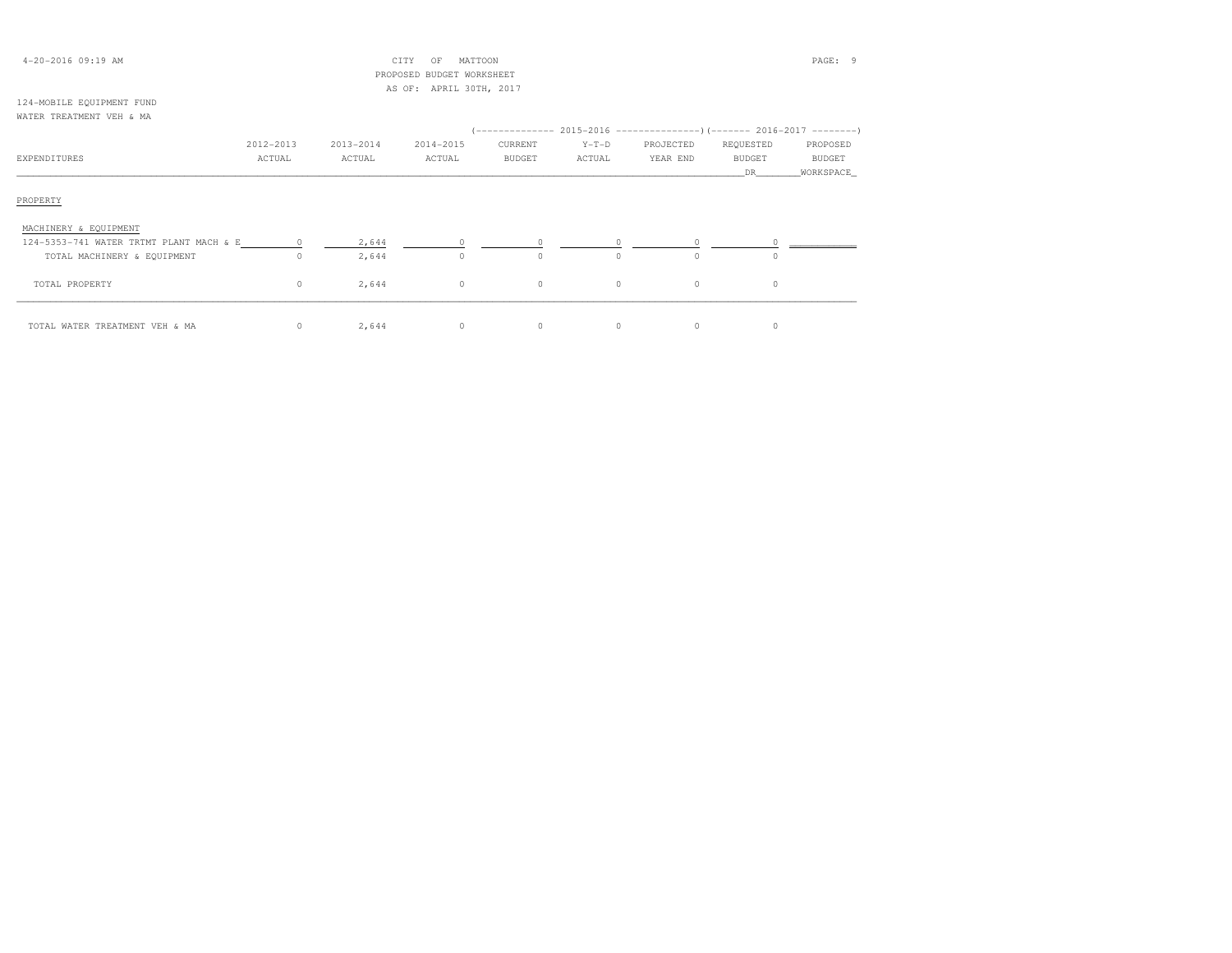| $4 - 20 - 2016$ 09:19 AM  |           |           | CITY<br>OF              | MATTOON |         |                                                                                 |           | PAGE: 9       |
|---------------------------|-----------|-----------|-------------------------|---------|---------|---------------------------------------------------------------------------------|-----------|---------------|
|                           |           |           |                         |         |         |                                                                                 |           |               |
|                           |           |           | AS OF: APRIL 30TH, 2017 |         |         |                                                                                 |           |               |
| 124-MOBILE EQUIPMENT FUND |           |           |                         |         |         |                                                                                 |           |               |
| WATER TREATMENT VEH & MA  |           |           |                         |         |         |                                                                                 |           |               |
|                           |           |           |                         |         |         | (-------------- 2015-2016 -------------------- ) (------- 2016-2017 --------- ) |           |               |
|                           | 2012-2013 | 2013-2014 | 2014-2015               | CURRENT | $Y-T-D$ | PROJECTED                                                                       | REQUESTED | PROPOSED      |
| EXPENDITURES              | ACTUAL    | ACTUAL    | ACTUAL                  | BUDGET  | ACTUAL  | YEAR END                                                                        | BUDGET    | <b>BUDGET</b> |
|                           |           |           |                         |         |         |                                                                                 | DR.       | WORKSPACE     |
|                           |           |           |                         |         |         |                                                                                 |           |               |

### PROPERTY

| MACHINERY & EQUIPMENT                   |       |  |  |  |
|-----------------------------------------|-------|--|--|--|
| 124-5353-741 WATER TRTMT PLANT MACH & E | 2,644 |  |  |  |
| TOTAL MACHINERY & EQUIPMENT             | 2,644 |  |  |  |
|                                         |       |  |  |  |
| TOTAL PROPERTY                          | 2,644 |  |  |  |
|                                         |       |  |  |  |
| TOTAL WATER TREATMENT VEH & MA          | 2,644 |  |  |  |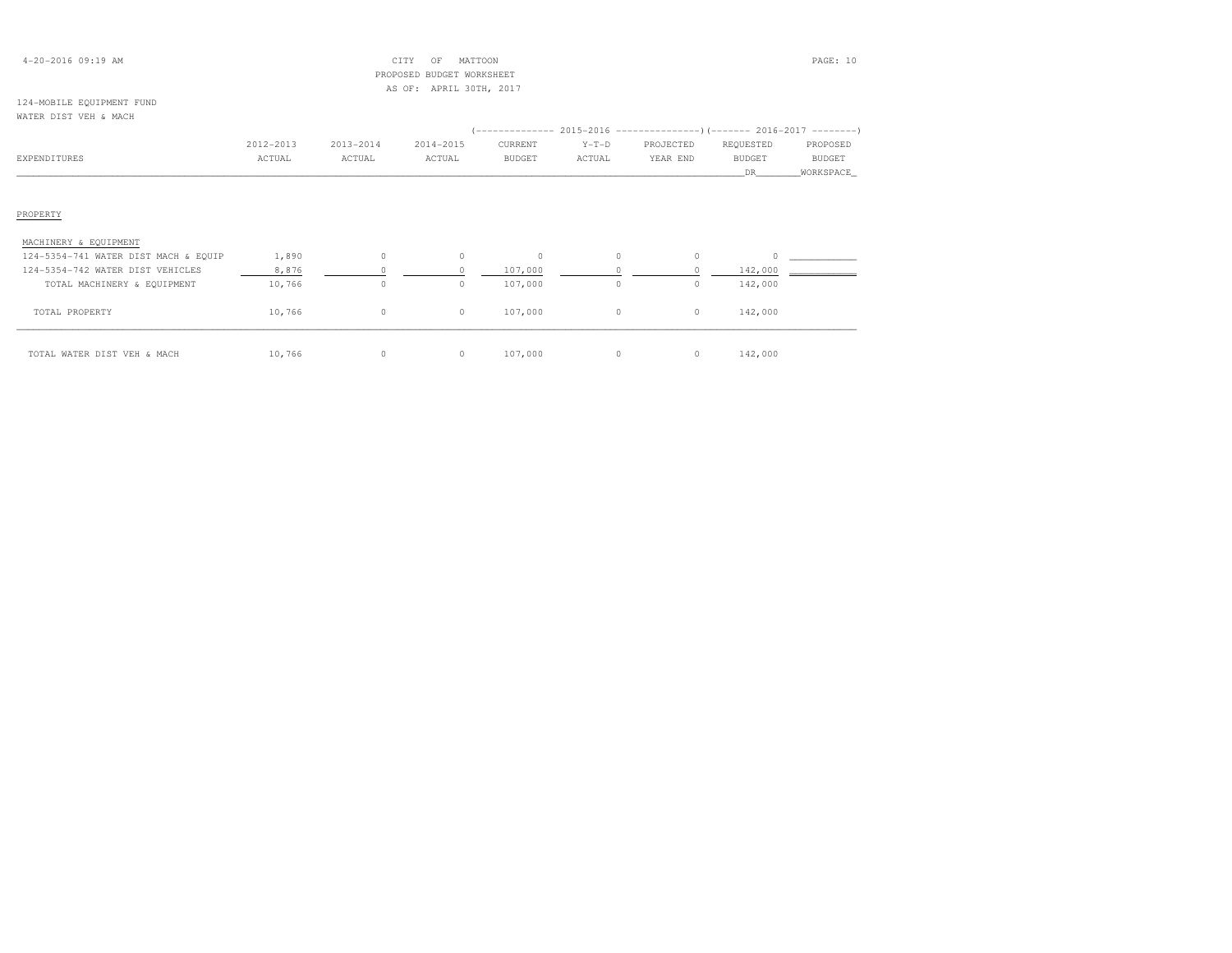### 4-20-2016 09:19 AM CITY OF MATTOON PAGE: 10 PROPOSED BUDGET WORKSHEETAS OF: APRIL 30TH, 2017

#### 124-MOBILE EQUIPMENT FUNDWATER DIST VEH & MACH

|                                      |           |           |           |               |         | (-------------- 2015-2016 ----------------) (------- 2016-2017 ---------) |               |               |
|--------------------------------------|-----------|-----------|-----------|---------------|---------|---------------------------------------------------------------------------|---------------|---------------|
|                                      | 2012-2013 | 2013-2014 | 2014-2015 | CURRENT       | $Y-T-D$ | PROJECTED                                                                 | REQUESTED     | PROPOSED      |
| EXPENDITURES                         | ACTUAL    | ACTUAL    | ACTUAL    | <b>BUDGET</b> | ACTUAL  | YEAR END                                                                  | <b>BUDGET</b> | <b>BUDGET</b> |
|                                      |           |           |           |               |         |                                                                           | DR.           | WORKSPACE_    |
|                                      |           |           |           |               |         |                                                                           |               |               |
|                                      |           |           |           |               |         |                                                                           |               |               |
| PROPERTY                             |           |           |           |               |         |                                                                           |               |               |
| MACHINERY & EQUIPMENT                |           |           |           |               |         |                                                                           |               |               |
| 124-5354-741 WATER DIST MACH & EQUIP | 1,890     | $\circ$   | $\circ$   | $\circ$       | $\circ$ |                                                                           |               |               |
| 124-5354-742 WATER DIST VEHICLES     | 8,876     | $\Omega$  | $\Omega$  | 107,000       |         |                                                                           | 142,000       |               |
| TOTAL MACHINERY & EQUIPMENT          | 10,766    | $\circ$   | $\circ$   | 107,000       | $\circ$ | 0                                                                         | 142,000       |               |
| TOTAL PROPERTY                       | 10,766    | $\circ$   | $\circ$   | 107,000       | $\circ$ | $\circ$                                                                   | 142,000       |               |
|                                      |           |           |           |               |         |                                                                           |               |               |
| TOTAL WATER DIST VEH & MACH          | 10,766    | 0         | $\circ$   | 107,000       | $\circ$ | 0                                                                         | 142,000       |               |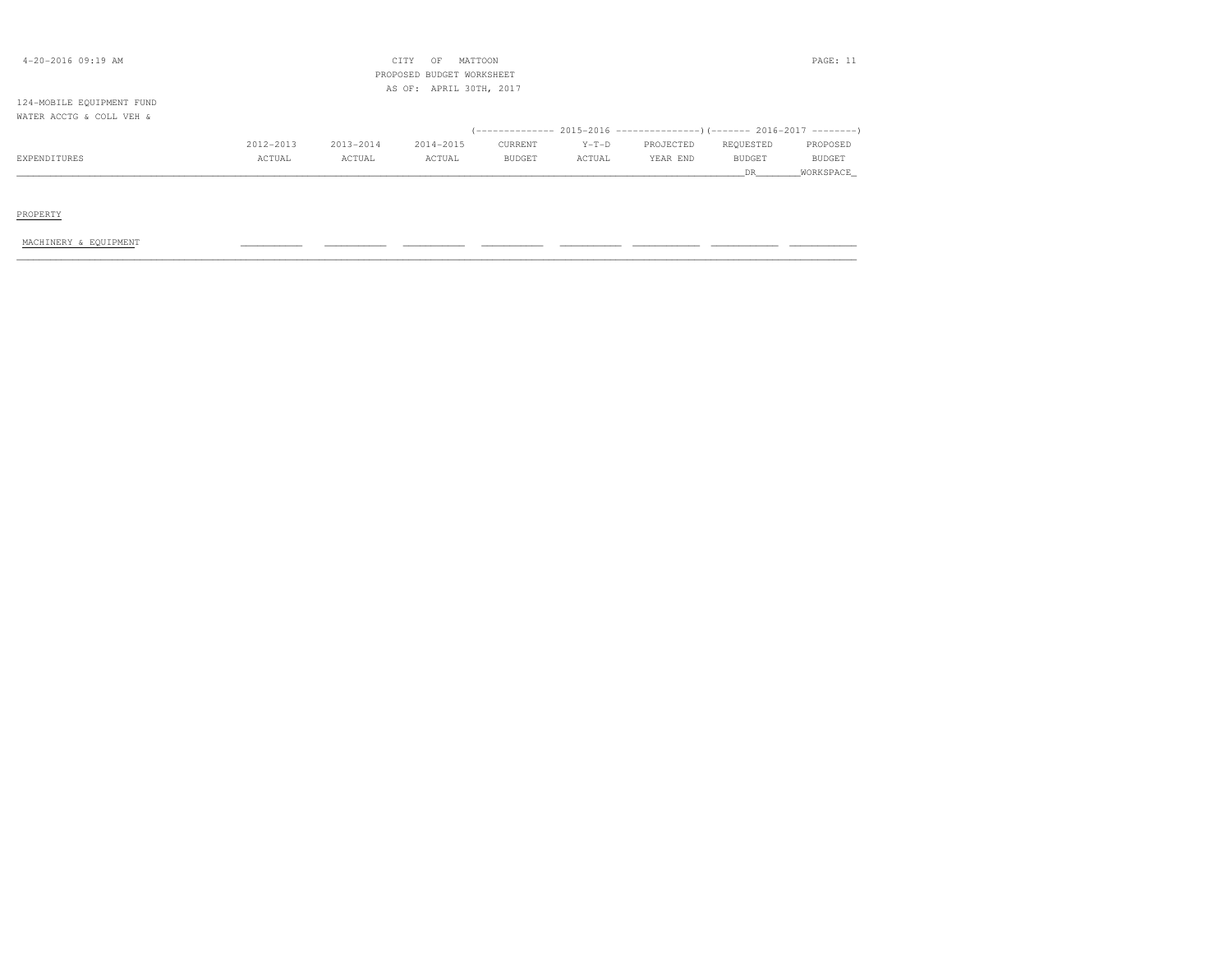| $4 - 20 - 2016$ 09:19 AM  |           |           | OF<br>CITY<br>PROPOSED BUDGET WORKSHEET | MATTOON |         |                                                                      |               | PAGE: 11  |
|---------------------------|-----------|-----------|-----------------------------------------|---------|---------|----------------------------------------------------------------------|---------------|-----------|
| 124-MOBILE EQUIPMENT FUND |           |           | AS OF: APRIL 30TH, 2017                 |         |         |                                                                      |               |           |
| WATER ACCTG & COLL VEH &  |           |           |                                         |         |         | (-------------- 2015-2016 --------------------- 2016-2017 ---------) |               |           |
|                           | 2012-2013 | 2013-2014 | 2014-2015                               | CURRENT | $Y-T-D$ | PROJECTED                                                            | REQUESTED     | PROPOSED  |
| EXPENDITURES              | ACTUAL    | ACTUAL    | ACTUAL                                  | BUDGET  | ACTUAL  | YEAR END                                                             | <b>BUDGET</b> | BUDGET    |
|                           |           |           |                                         |         |         |                                                                      | DR.           | WORKSPACE |
|                           |           |           |                                         |         |         |                                                                      |               |           |
| PROPERTY                  |           |           |                                         |         |         |                                                                      |               |           |

MACHINERY & EQUIPMENT \_\_\_\_\_\_\_\_\_\_\_ \_\_\_\_\_\_\_\_\_\_\_ \_\_\_\_\_\_\_\_\_\_\_ \_\_\_\_\_\_\_\_\_\_\_ \_\_\_\_\_\_\_\_\_\_\_ \_\_\_\_\_\_\_\_\_\_\_\_ \_\_\_\_\_\_\_\_\_\_\_\_ \_\_\_\_\_\_\_\_\_\_\_\_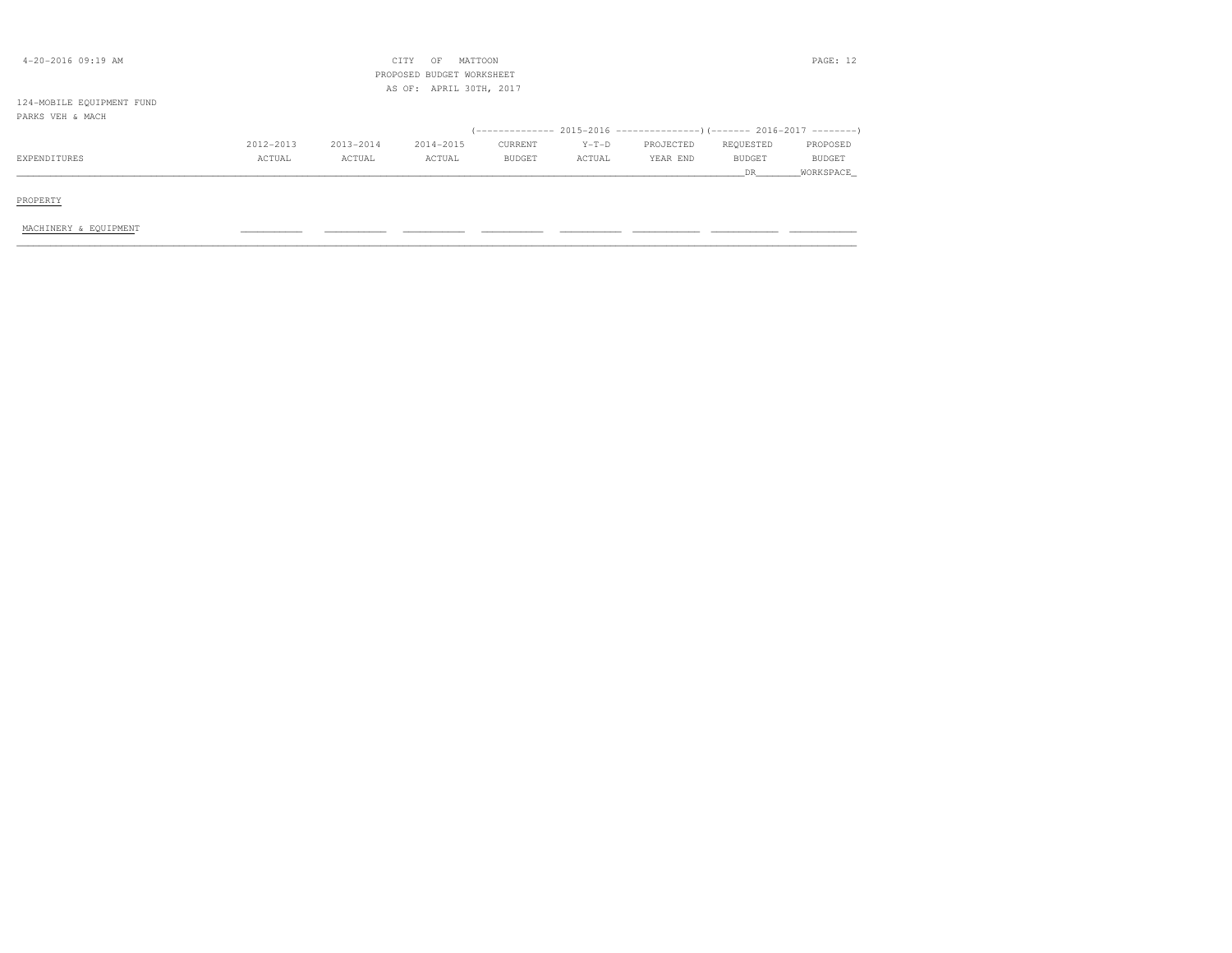| 4-20-2016 09:19 AM        |           |           | MATTOON<br>CITY<br>OF<br>PROPOSED BUDGET WORKSHEET<br>AS OF: APRIL 30TH, 2017 |         |         |           |               | PAGE: 12      |
|---------------------------|-----------|-----------|-------------------------------------------------------------------------------|---------|---------|-----------|---------------|---------------|
| 124-MOBILE EQUIPMENT FUND |           |           |                                                                               |         |         |           |               |               |
| PARKS VEH & MACH          |           |           |                                                                               |         |         |           |               |               |
|                           |           |           |                                                                               |         |         |           |               |               |
|                           | 2012-2013 | 2013-2014 | 2014-2015                                                                     | CURRENT | $Y-T-D$ | PROJECTED | REQUESTED     | PROPOSED      |
| EXPENDITURES              | ACTUAL    | ACTUAL    | ACTUAL                                                                        | BUDGET  | ACTUAL  | YEAR END  | <b>BUDGET</b> | <b>BUDGET</b> |
|                           |           |           |                                                                               |         |         |           | DR            | WORKSPACE     |
| PROPERTY                  |           |           |                                                                               |         |         |           |               |               |
| MACHINERY & EQUIPMENT     |           |           |                                                                               |         |         |           |               |               |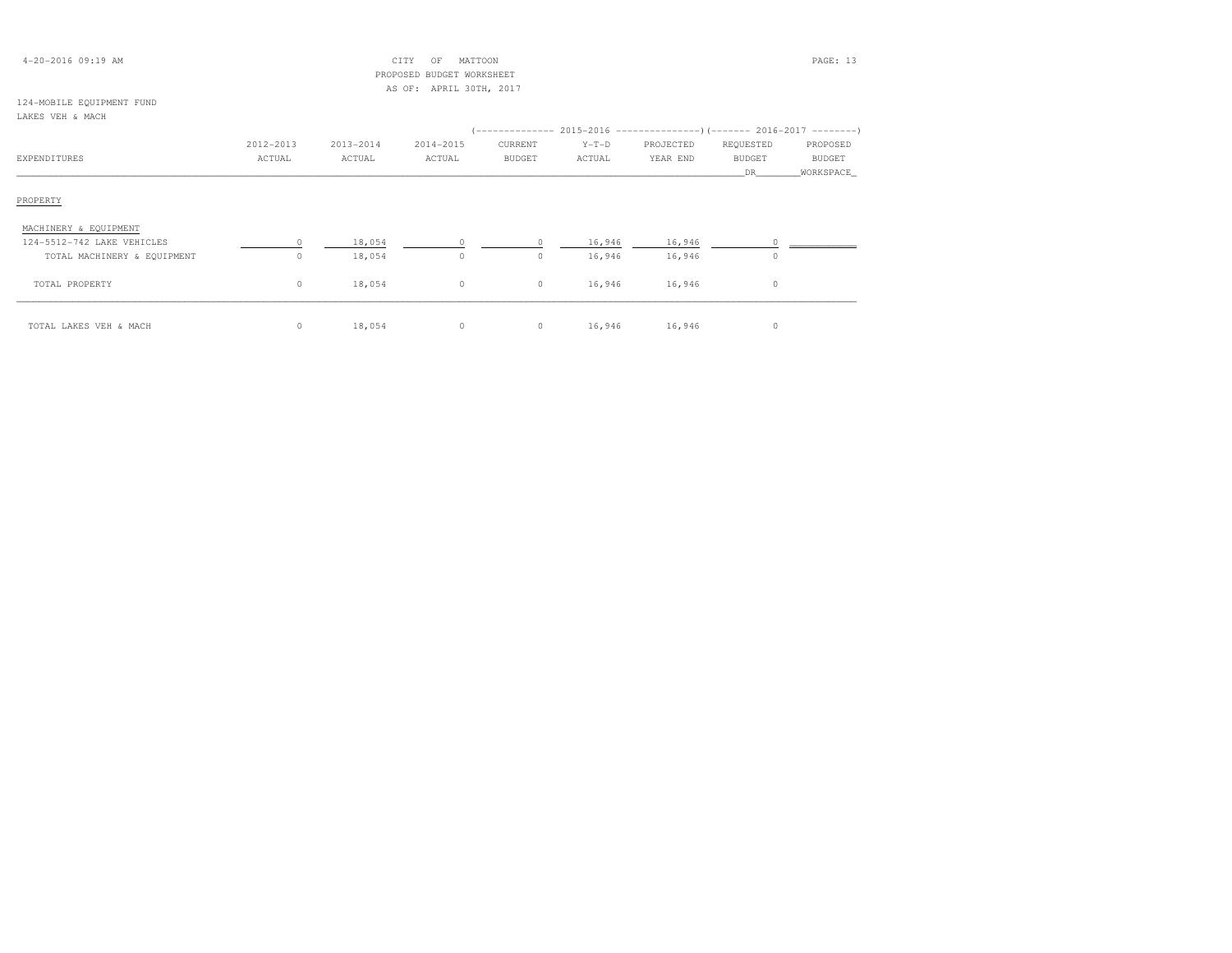| $4 - 20 - 2016$ 09:19 AM |  |  |
|--------------------------|--|--|
|--------------------------|--|--|

### $\text{CITY}$  OF MATTOON  $\blacksquare$  PROPOSED BUDGET WORKSHEETAS OF: APRIL 30TH, 2017

#### 124-MOBILE EQUIPMENT FUNDLAKES VEH & MACH

| LAKES VEH & MACH            |           |           |           |               |         |                                                                           |               |               |
|-----------------------------|-----------|-----------|-----------|---------------|---------|---------------------------------------------------------------------------|---------------|---------------|
|                             |           |           |           |               |         | (-------------- 2015-2016 ----------------) (------- 2016-2017 ---------) |               |               |
|                             | 2012-2013 | 2013-2014 | 2014-2015 | CURRENT       | $Y-T-D$ | PROJECTED                                                                 | REQUESTED     | PROPOSED      |
| EXPENDITURES                | ACTUAL    | ACTUAL    | ACTUAL    | <b>BUDGET</b> | ACTUAL  | YEAR END                                                                  | <b>BUDGET</b> | <b>BUDGET</b> |
|                             |           |           |           |               |         |                                                                           | DR.           | WORKSPACE     |
| PROPERTY                    |           |           |           |               |         |                                                                           |               |               |
| MACHINERY & EQUIPMENT       |           |           |           |               |         |                                                                           |               |               |
| 124-5512-742 LAKE VEHICLES  | $\Omega$  | 18,054    | $\Omega$  | $\Omega$      | 16,946  | 16,946                                                                    |               |               |
| TOTAL MACHINERY & EQUIPMENT | 0         | 18,054    | $\circ$   | $\circ$       | 16,946  | 16,946                                                                    | $\Omega$      |               |
| TOTAL PROPERTY              | $\circ$   | 18,054    | $\circ$   | $\circ$       | 16,946  | 16,946                                                                    | $\circ$       |               |
| TOTAL LAKES VEH & MACH      | $\circ$   | 18,054    | $\circ$   | $\circ$       | 16,946  | 16,946                                                                    | 0             |               |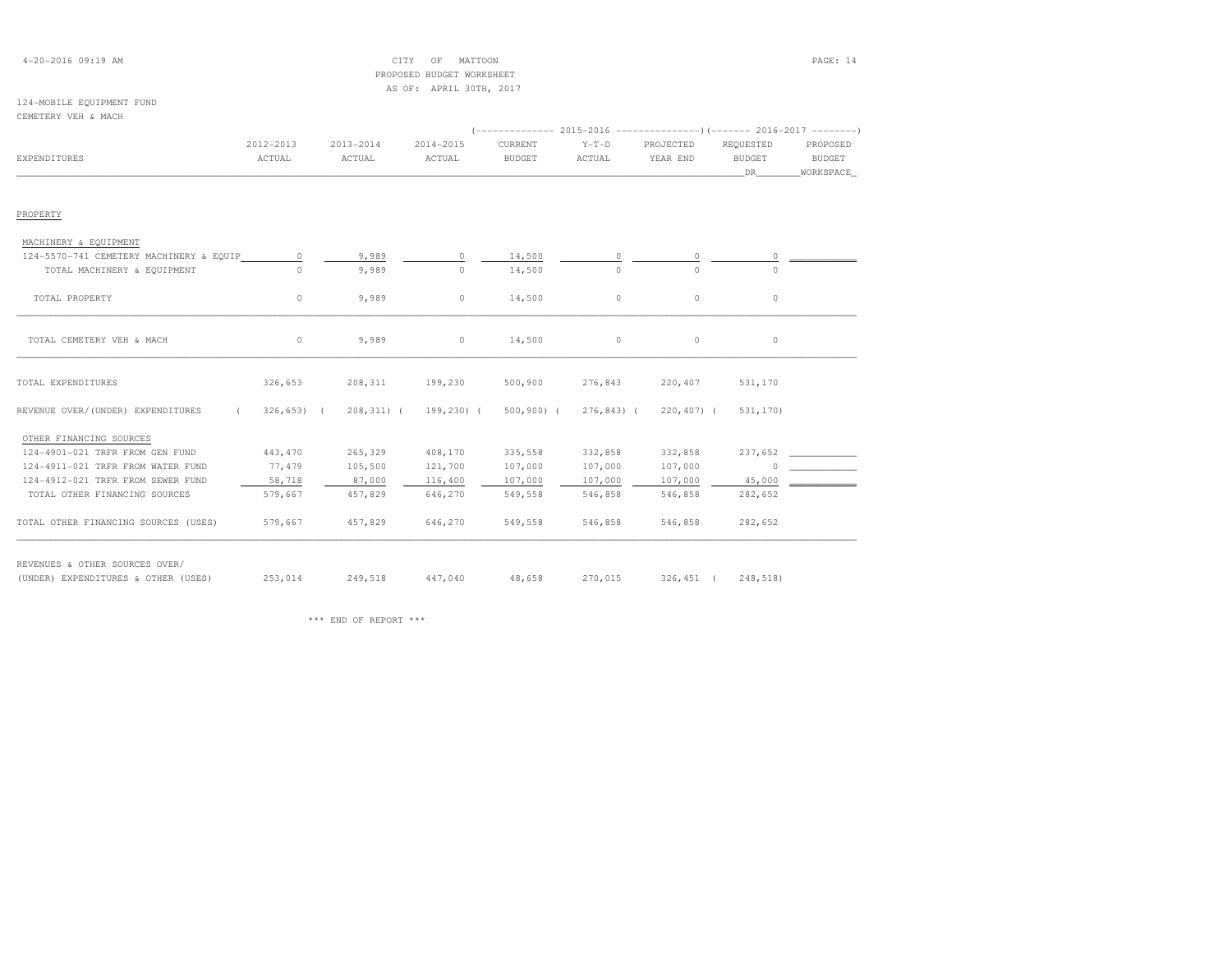### 4-20-2016 09:19 AM CITY OF MATTOON PAGE: 14 PROPOSED BUDGET WORKSHEETAS OF: APRIL 30TH, 2017

### 124-MOBILE EQUIPMENT FUNDCEMETERY VEH & MACH

|                                         | 2012-2013      | $2013 - 2014$ | $2014 - 2015$ | CURRENT       | $Y-T-D$       | PROJECTED      | REQUESTED     | PROPOSED      |
|-----------------------------------------|----------------|---------------|---------------|---------------|---------------|----------------|---------------|---------------|
| EXPENDITURES                            | ACTUAL         | ACTUAL        | ACTUAL        | <b>BUDGET</b> | ACTUAL        | YEAR END       | <b>BUDGET</b> | <b>BUDGET</b> |
|                                         |                |               |               |               |               |                | DR            | WORKSPACE     |
|                                         |                |               |               |               |               |                |               |               |
|                                         |                |               |               |               |               |                |               |               |
| PROPERTY                                |                |               |               |               |               |                |               |               |
| MACHINERY & EQUIPMENT                   |                |               |               |               |               |                |               |               |
| 124-5570-741 CEMETERY MACHINERY & EQUIP | $\circ$        | 9,989         | $\circ$       | 14,500        | $\circ$       | $\circ$        | 0             |               |
| TOTAL MACHINERY & EQUIPMENT             | $\Omega$       | 9,989         | $\circ$       | 14,500        | $\Omega$      | $\Omega$       | $\Omega$      |               |
| TOTAL PROPERTY                          | 0              | 9,989         | $\circ$       | 14,500        | 0             | $\circ$        | $\circ$       |               |
|                                         |                |               |               |               |               |                |               |               |
| TOTAL CEMETERY VEH & MACH               | $\circ$        | 9,989         | $\circ$       | 14,500        | $\circ$       | $\circ$        | $\circ$       |               |
|                                         |                |               |               |               |               |                |               |               |
| TOTAL EXPENDITURES                      | 326,653        | 208,311       | 199,230       | 500,900       | 276,843       | 220,407        | 531,170       |               |
| REVENUE OVER/(UNDER) EXPENDITURES       | $326, 653$ ) ( | $208, 311)$ ( | $199, 230$ (  | $500, 900)$ ( | $276,843$ ) ( | $220, 407$ ) ( | 531, 170      |               |
| OTHER FINANCING SOURCES                 |                |               |               |               |               |                |               |               |
| 124-4901-021 TRFR FROM GEN FUND         | 443,470        | 265,329       | 408,170       | 335,558       | 332,858       | 332,858        | 237,652       |               |
| 124-4911-021 TRFR FROM WATER FUND       | 77,479         | 105,500       | 121,700       | 107,000       | 107,000       | 107,000        | $\circ$       |               |
| 124-4912-021 TRFR FROM SEWER FUND       | 58,718         | 87,000        | 116,400       | 107,000       | 107,000       | 107,000        | 45,000        |               |
| TOTAL OTHER FINANCING SOURCES           | 579,667        | 457,829       | 646,270       | 549,558       | 546,858       | 546,858        | 282,652       |               |
| TOTAL OTHER FINANCING SOURCES (USES)    | 579,667        | 457,829       | 646,270       | 549,558       | 546,858       | 546,858        | 282,652       |               |

\*\*\* END OF REPORT \*\*\*

(UNDER) EXPENDITURES & OTHER (USES) 253,014 249,518 447,040 48,658 270,015 326,451 ( 248,518)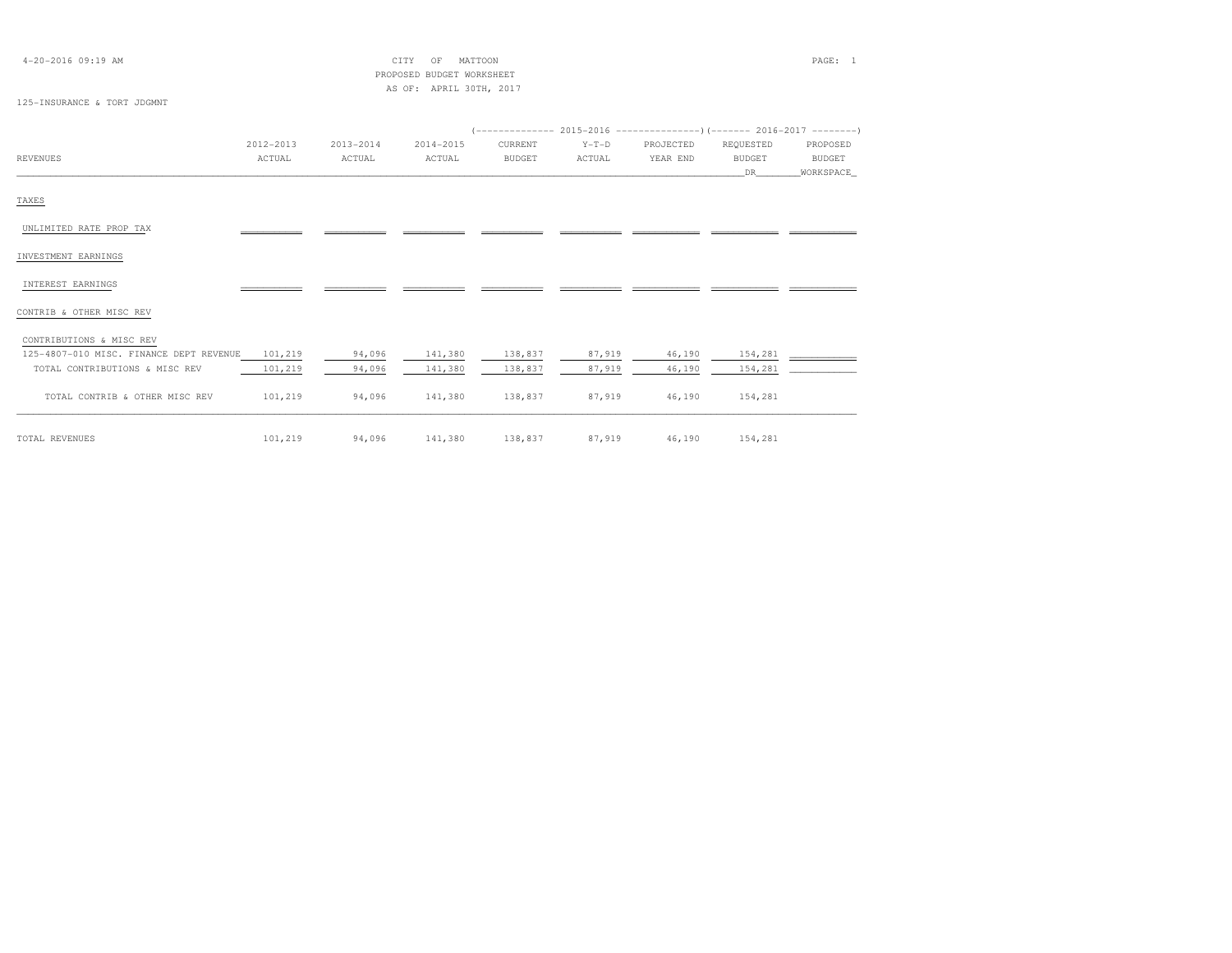| $4 - 20 - 2016$ 09:19 AM                |           |               | MATTOON<br>CITY<br>OF<br>PROPOSED BUDGET WORKSHEET<br>AS OF: APRIL 30TH, 2017 |               |         |           |                     | PAGE: 1                    |
|-----------------------------------------|-----------|---------------|-------------------------------------------------------------------------------|---------------|---------|-----------|---------------------|----------------------------|
| 125-INSURANCE & TORT JDGMNT             |           |               |                                                                               |               |         |           |                     |                            |
|                                         |           |               |                                                                               |               |         |           |                     |                            |
|                                         | 2012-2013 | $2013 - 2014$ | 2014-2015                                                                     | CURRENT       | $Y-T-D$ | PROJECTED | REQUESTED           | PROPOSED                   |
| <b>REVENUES</b>                         | ACTUAL    | ACTUAL        | ACTUAL                                                                        | <b>BUDGET</b> | ACTUAL  | YEAR END  | <b>BUDGET</b><br>DR | <b>BUDGET</b><br>WORKSPACE |
|                                         |           |               |                                                                               |               |         |           |                     |                            |
| TAXES                                   |           |               |                                                                               |               |         |           |                     |                            |
| UNLIMITED RATE PROP TAX                 |           |               |                                                                               |               |         |           |                     |                            |
| INVESTMENT EARNINGS                     |           |               |                                                                               |               |         |           |                     |                            |
| INTEREST EARNINGS                       |           |               |                                                                               |               |         |           |                     |                            |
| CONTRIB & OTHER MISC REV                |           |               |                                                                               |               |         |           |                     |                            |
| CONTRIBUTIONS & MISC REV                |           |               |                                                                               |               |         |           |                     |                            |
| 125-4807-010 MISC. FINANCE DEPT REVENUE | 101,219   | 94,096        | 141,380                                                                       | 138,837       | 87,919  | 46,190    | 154,281             |                            |
| TOTAL CONTRIBUTIONS & MISC REV          | 101,219   | 94,096        | 141,380                                                                       | 138,837       | 87,919  | 46,190    | 154,281             |                            |
| TOTAL CONTRIB & OTHER MISC REV          | 101,219   | 94,096        | 141,380                                                                       | 138,837       | 87,919  | 46,190    | 154,281             |                            |
| TOTAL REVENUES                          | 101,219   | 94,096        | 141,380                                                                       | 138,837       | 87,919  | 46,190    | 154,281             |                            |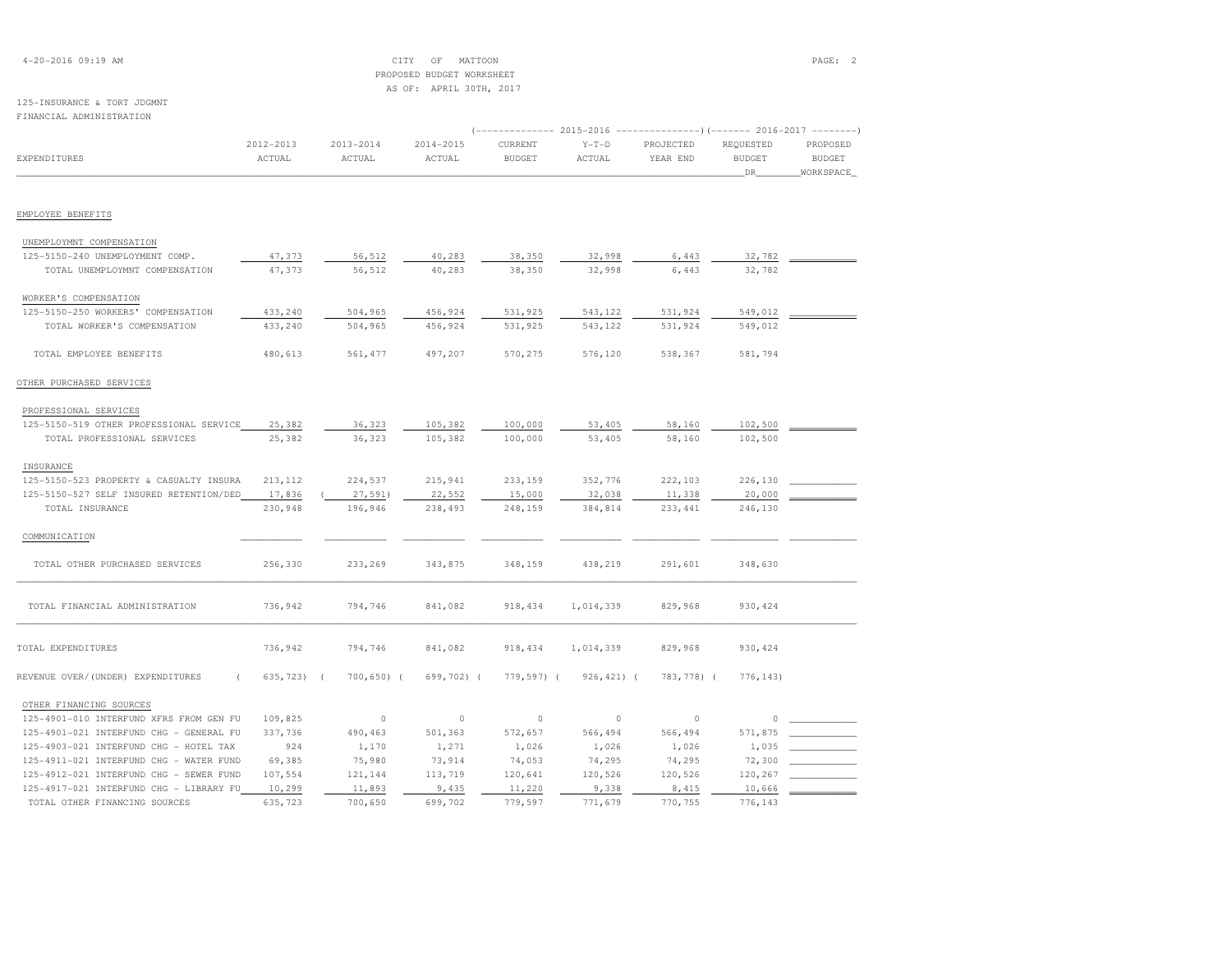| $4 - 20 - 2016$ 09:19 AM |  |  |
|--------------------------|--|--|
|--------------------------|--|--|

### 4-20-2016 09:19 AM CITY OF MATTOON PAGE: 2 PROPOSED BUDGET WORKSHEETAS OF: APRIL 30TH, 2017

# 125-INSURANCE & TORT JDGMNT

| FINANCIAL ADMINISTRATION                |                     |                          |                         |                          |                   | (-------------- 2015-2016 ---------------------- 2016-2017 -------- |                                    |                                        |
|-----------------------------------------|---------------------|--------------------------|-------------------------|--------------------------|-------------------|---------------------------------------------------------------------|------------------------------------|----------------------------------------|
| EXPENDITURES                            | 2012-2013<br>ACTUAL | $2013 - 2014$<br>ACTUAL  | $2014 - 2015$<br>ACTUAL | CURRENT<br><b>BUDGET</b> | $Y-T-D$<br>ACTUAL | PROJECTED<br>YEAR END                                               | REQUESTED<br><b>BUDGET</b><br>_DR_ | PROPOSED<br><b>BUDGET</b><br>WORKSPACE |
|                                         |                     |                          |                         |                          |                   |                                                                     |                                    |                                        |
| EMPLOYEE BENEFITS                       |                     |                          |                         |                          |                   |                                                                     |                                    |                                        |
| UNEMPLOYMNT COMPENSATION                |                     |                          |                         |                          |                   |                                                                     |                                    |                                        |
| 125-5150-240 UNEMPLOYMENT COMP.         | 47,373              | 56,512                   | 40,283                  | 38,350                   | 32,998            | 6,443                                                               | 32,782                             |                                        |
| TOTAL UNEMPLOYMNT COMPENSATION          | 47,373              | 56,512                   | 40,283                  | 38,350                   | 32,998            | 6,443                                                               | 32,782                             |                                        |
| WORKER'S COMPENSATION                   |                     |                          |                         |                          |                   |                                                                     |                                    |                                        |
| 125-5150-250 WORKERS' COMPENSATION      | 433,240             | 504,965                  | 456,924                 | 531,925                  | 543,122           | 531,924                                                             | 549,012                            |                                        |
| TOTAL WORKER'S COMPENSATION             | 433,240             | 504,965                  | 456,924                 | 531,925                  | 543,122           | 531,924                                                             | 549,012                            |                                        |
| TOTAL EMPLOYEE BENEFITS                 | 480,613             | 561, 477                 | 497,207                 | 570,275                  | 576,120           | 538,367                                                             | 581,794                            |                                        |
| OTHER PURCHASED SERVICES                |                     |                          |                         |                          |                   |                                                                     |                                    |                                        |
| PROFESSIONAL SERVICES                   |                     |                          |                         |                          |                   |                                                                     |                                    |                                        |
| 125-5150-519 OTHER PROFESSIONAL SERVICE | 25,382              | 36,323                   | 105,382                 | 100,000                  | 53,405            | 58,160                                                              | 102,500                            |                                        |
| TOTAL PROFESSIONAL SERVICES             | 25,382              | 36,323                   | 105,382                 | 100,000                  | 53,405            | 58,160                                                              | 102,500                            |                                        |
| INSURANCE                               |                     |                          |                         |                          |                   |                                                                     |                                    |                                        |
| 125-5150-523 PROPERTY & CASUALTY INSURA | 213,112             | 224,537                  | 215,941                 | 233,159                  | 352,776           | 222,103                                                             | 226,130                            |                                        |
| 125-5150-527 SELF INSURED RETENTION/DED | 17,836              | 27,591)                  | 22,552                  | 15,000                   | 32,038            | 11,338                                                              | 20,000                             |                                        |
| TOTAL INSURANCE                         | 230,948             | 196,946                  | 238,493                 | 248,159                  | 384,814           | 233, 441                                                            | 246,130                            |                                        |
| COMMUNICATION                           |                     |                          |                         |                          |                   |                                                                     |                                    |                                        |
| TOTAL OTHER PURCHASED SERVICES          | 256,330             | 233,269                  | 343,875                 | 348,159                  | 438,219           | 291,601                                                             | 348,630                            |                                        |
| TOTAL FINANCIAL ADMINISTRATION          | 736,942             | 794,746                  | 841,082                 | 918,434                  | 1,014,339         | 829,968                                                             | 930, 424                           |                                        |
| TOTAL EXPENDITURES                      | 736,942             | 794,746                  | 841,082                 | 918,434                  | 1,014,339         | 829,968                                                             | 930, 424                           |                                        |
| REVENUE OVER/(UNDER) EXPENDITURES       | 635,723)            | 700,650) (<br>$\sqrt{ }$ | 699,702) (              | 779,597) (               | $926, 421)$ (     | 783,778) (                                                          | 776, 143)                          |                                        |
| OTHER FINANCING SOURCES                 |                     |                          |                         |                          |                   |                                                                     |                                    |                                        |
| 125-4901-010 INTERFUND XFRS FROM GEN FU | 109,825             | $\circ$                  | $\circ$                 | $\circ$                  | $\circ$           | $\circ$                                                             | $\circ$                            |                                        |
| 125-4901-021 INTERFUND CHG - GENERAL FU | 337,736             | 490,463                  | 501,363                 | 572,657                  | 566,494           | 566,494                                                             | 571,875                            |                                        |
| 125-4903-021 INTERFUND CHG - HOTEL TAX  | 924                 | 1,170                    | 1,271                   | 1,026                    | 1,026             | 1,026                                                               | 1,035                              |                                        |
| 125-4911-021 INTERFUND CHG - WATER FUND | 69,385              | 75,980                   | 73,914                  | 74,053                   | 74,295            | 74,295                                                              | 72,300                             |                                        |
| 125-4912-021 INTERFUND CHG - SEWER FUND | 107,554             | 121,144                  | 113,719                 | 120,641                  | 120,526           | 120,526                                                             | 120,267                            |                                        |
| 125-4917-021 INTERFUND CHG - LIBRARY FU | 10,299              | 11,893                   | 9,435                   | 11,220                   | 9,338             | 8,415                                                               | 10,666                             |                                        |
| TOTAL OTHER FINANCING SOURCES           | 635,723             | 700,650                  | 699,702                 | 779,597                  | 771,679           | 770,755                                                             | 776,143                            |                                        |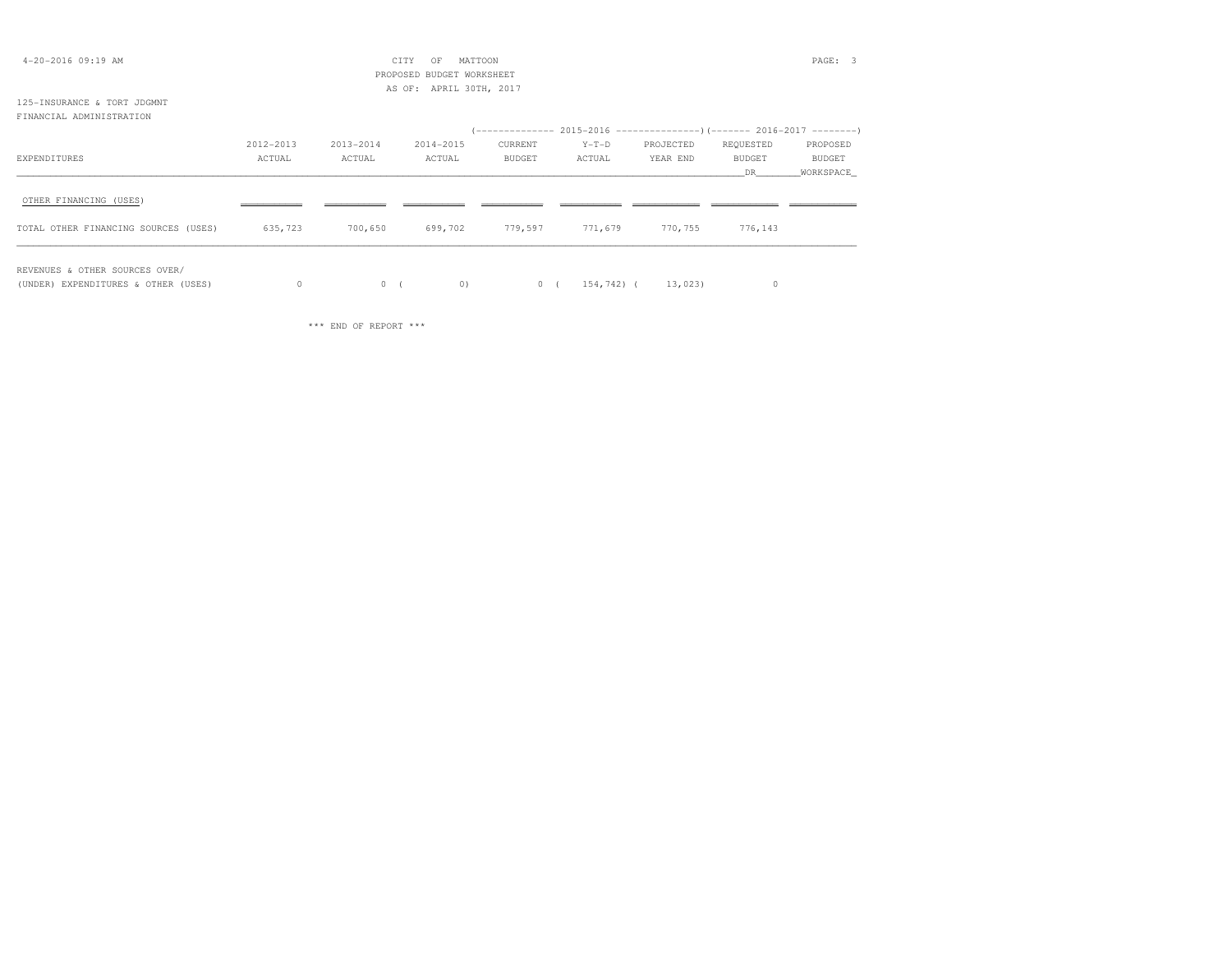| $4 - 20 - 2016$ 09:19 AM             |           |           | CITY<br>MATTOON<br>OF     |               |         |           |               | PAGE: 3       |
|--------------------------------------|-----------|-----------|---------------------------|---------------|---------|-----------|---------------|---------------|
|                                      |           |           | PROPOSED BUDGET WORKSHEET |               |         |           |               |               |
|                                      |           |           | AS OF: APRIL 30TH, 2017   |               |         |           |               |               |
| 125-INSURANCE & TORT JDGMNT          |           |           |                           |               |         |           |               |               |
| FINANCIAL ADMINISTRATION             |           |           |                           |               |         |           |               |               |
|                                      |           |           |                           |               |         |           |               |               |
|                                      | 2012-2013 | 2013-2014 | 2014-2015                 | CURRENT       | $Y-T-D$ | PROJECTED | REQUESTED     | PROPOSED      |
| EXPENDITURES                         | ACTUAL    | ACTUAL    | ACTUAL                    | <b>BUDGET</b> | ACTUAL  | YEAR END  | <b>BUDGET</b> | <b>BUDGET</b> |
|                                      |           |           |                           |               |         |           | DR.           | WORKSPACE     |
| OTHER FINANCING (USES)               |           |           |                           |               |         |           |               |               |
| TOTAL OTHER FINANCING SOURCES (USES) | 635,723   | 700,650   | 699,702                   | 779,597       | 771,679 | 770,755   | 776,143       |               |
|                                      |           |           |                           |               |         |           |               |               |

REVENUES & OTHER SOURCES OVER/

(UNDER) EXPENDITURES & OTHER (USES) 0 0 ( 0 ) 0 ( 154,742) ( 13,023) 0

\*\*\* END OF REPORT \*\*\*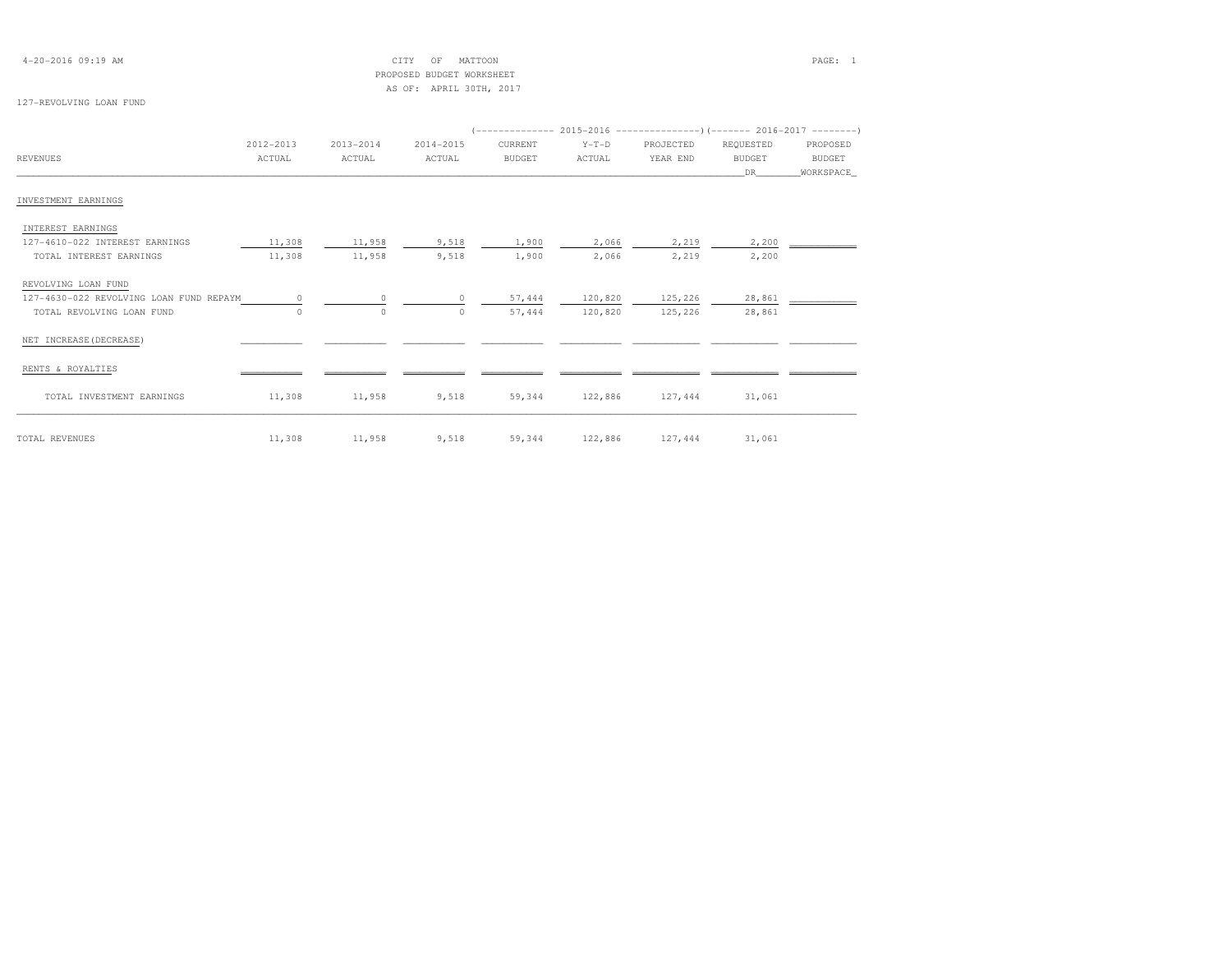| $4 - 20 - 2016$ 09:19 AM |  |  |  |  |
|--------------------------|--|--|--|--|
|--------------------------|--|--|--|--|

### $\text{CITY}$  of MATTOON  $\text{PAGE:}$  1 PROPOSED BUDGET WORKSHEETAS OF: APRIL 30TH, 2017

### 127-REVOLVING LOAN FUND

|                                         |           |           |           |               |         | (------------- 2015-2016 -----------------) (------- 2016-2017 --------' |               |           |
|-----------------------------------------|-----------|-----------|-----------|---------------|---------|--------------------------------------------------------------------------|---------------|-----------|
|                                         | 2012-2013 | 2013-2014 | 2014-2015 | CURRENT       | $Y-T-D$ | PROJECTED                                                                | REQUESTED     | PROPOSED  |
| <b>REVENUES</b>                         | ACTUAL    | ACTUAL    | ACTUAL    | <b>BUDGET</b> | ACTUAL  | YEAR END                                                                 | <b>BUDGET</b> | BUDGET    |
|                                         |           |           |           |               |         |                                                                          | DR.           | WORKSPACE |
| INVESTMENT EARNINGS                     |           |           |           |               |         |                                                                          |               |           |
| INTEREST EARNINGS                       |           |           |           |               |         |                                                                          |               |           |
| 127-4610-022 INTEREST EARNINGS          | 11,308    | 11,958    | 9,518     | 1,900         | 2,066   | 2,219                                                                    | 2,200         |           |
| TOTAL INTEREST EARNINGS                 | 11,308    | 11,958    | 9,518     | 1,900         | 2,066   | 2,219                                                                    | 2,200         |           |
| REVOLVING LOAN FUND                     |           |           |           |               |         |                                                                          |               |           |
| 127-4630-022 REVOLVING LOAN FUND REPAYM | $\Omega$  | $\Omega$  | $\Omega$  | 57,444        | 120,820 | 125,226                                                                  | 28,861        |           |
| TOTAL REVOLVING LOAN FUND               | $\Omega$  | $\circ$   | $\Omega$  | 57,444        | 120,820 | 125,226                                                                  | 28,861        |           |
| NET INCREASE (DECREASE)                 |           |           |           |               |         |                                                                          |               |           |
| RENTS & ROYALTIES                       |           |           |           |               |         |                                                                          |               |           |
| TOTAL INVESTMENT EARNINGS               | 11,308    | 11,958    | 9,518     | 59,344        | 122,886 | 127,444                                                                  | 31,061        |           |
| TOTAL REVENUES                          | 11,308    | 11,958    | 9,518     | 59,344        | 122,886 | 127,444                                                                  | 31,061        |           |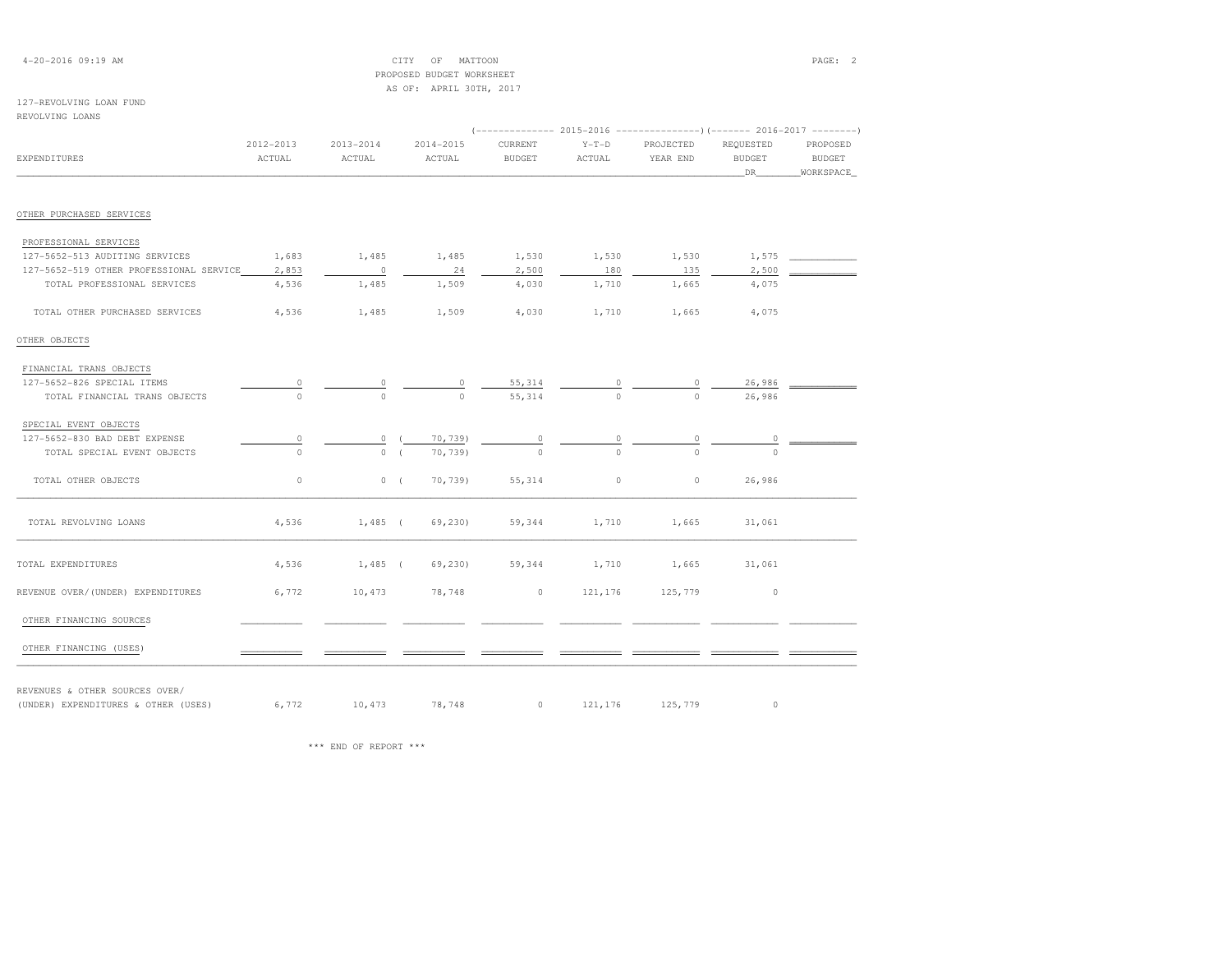| $4 - 20 - 2016$ 09:19 AM |  |  |
|--------------------------|--|--|
|--------------------------|--|--|

4-2017 OF MATTOON PAGE: 2 PROPOSED BUDGET WORKSHEETAS OF: APRIL 30TH, 2017

### 127-REVOLVING LOAN FUND

# REVOLVING LOANS (-------------- 2015-2016 ---------------)(------- 2016-2017 --------) 2012-2013 2013-2014 2014-2015 CURRENT Y-T-D PROJECTED REQUESTED PROPOSEDEXPENDITURES ACTUAL ACTUAL ACTUAL BUDGET ACTUAL YEAR END BUDGET BUDGET\_\_\_\_\_\_\_\_\_\_\_\_\_\_\_\_\_\_\_\_\_\_\_\_\_\_\_\_\_\_\_\_\_\_\_\_\_\_\_\_\_\_\_\_\_\_\_\_\_\_\_\_\_\_\_\_\_\_\_\_\_\_\_\_\_\_\_\_\_\_\_\_\_\_\_\_\_\_\_\_\_\_\_\_\_\_\_\_\_\_\_\_\_\_\_\_\_\_\_\_\_\_\_\_\_\_\_\_\_\_\_\_\_\_\_\_\_\_\_\_\_\_\_\_\_\_\_\_\_\_DR\_\_\_\_\_\_\_\_WORKSPACE\_OTHER PURCHASED SERVICES PROFESSIONAL SERVICES 127-5652-513 AUDITING SERVICES 1,683 1,485 1,485 1,530 1,530 1,530 1,575 \_\_\_\_\_\_\_\_\_\_\_\_127-5652-519 OTHER PROFESSIONAL SERVICE 2,853 0 0 24 2,500 1 180 180 135 2,500 = TOTAL PROFESSIONAL SERVICES 4,536 1,485 1,509 4,030 1,710 1,665 4,075 TOTAL OTHER PURCHASED SERVICES 4,536 1,485 1,509 4,030 1,710 1,665 4,075OTHER OBJECTS FINANCIAL TRANS OBJECTS127-5652-826 SPECIAL ITEMS 0 0 55,314 0 0 26,986 \_\_\_\_\_\_\_\_\_\_\_\_\_\_\_ TOTAL FINANCIAL TRANS OBJECTS 0 0 0 55,314 0 0 26,986 SPECIAL EVENT OBJECTS 127-5652-830 BAD DEBT EXPENSE 0 0 ( 70,739) 0 0 0 0 \_\_\_\_\_\_\_\_\_\_\_\_TOTAL SPECIAL EVENT OBJECTS  $0$  0 ( 70,739) 0 0 0 0 TOTAL OTHER OBJECTS 0 0 ( 70,739) 55,314 0 0 26,986\_\_\_\_\_\_\_\_\_\_\_\_\_\_\_\_\_\_\_\_\_\_\_\_\_\_\_\_\_\_\_\_\_\_\_\_\_\_\_\_\_\_\_\_\_\_\_\_\_\_\_\_\_\_\_\_\_\_\_\_\_\_\_\_\_\_\_\_\_\_\_\_\_\_\_\_\_\_\_\_\_\_\_\_\_\_\_\_\_\_\_\_\_\_\_\_\_\_\_\_\_\_\_\_\_\_\_\_\_\_\_\_\_\_\_\_\_\_\_\_\_\_\_\_\_\_\_\_\_\_\_\_\_\_\_\_\_\_\_\_\_\_\_\_\_\_\_\_\_\_ TOTAL REVOLVING LOANS 4,536 1,485 ( 69,230) 59,344 1,710 1,665 31,061TOTAL EXPENDITURES 4,536 1,485 ( 69,230) 59,344 1,710 1,665 31,061

OTHER FINANCING SOURCES

OTHER FINANCING (USES)

REVENUES & OTHER SOURCES OVER/

(UNDER) EXPENDITURES & OTHER (USES)  $6,772$  10,473  $78,748$  0 121,176 125,779 0 0

REVENUE OVER/(UNDER) EXPENDITURES 6,772 10,473 78,748 0 121,176 125,779 0 0

\*\*\* END OF REPORT \*\*\*

**BUDGET** 

WORKSPACE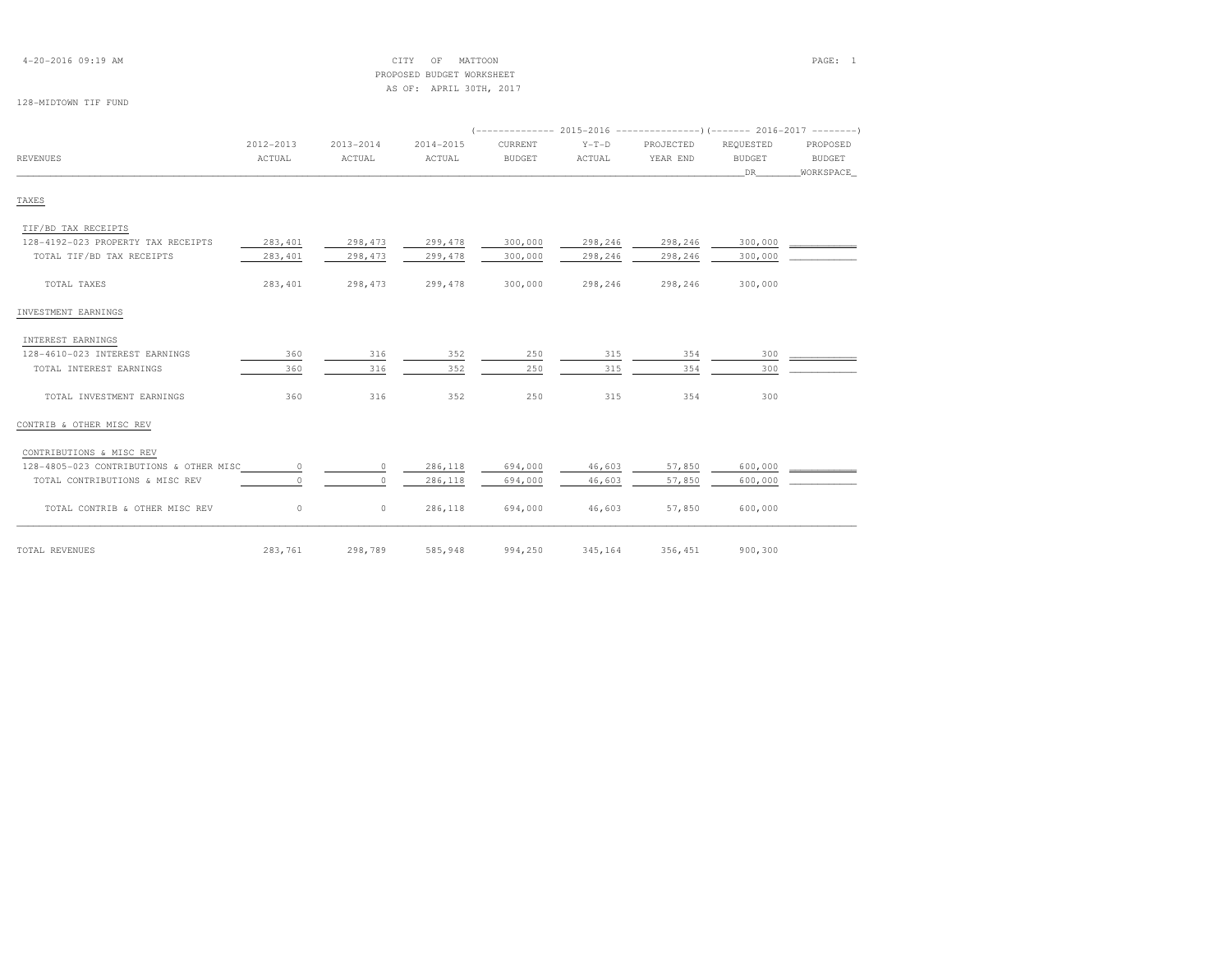| $4 - 20 - 2016$ 09:19 AM |  |  |
|--------------------------|--|--|
|--------------------------|--|--|

### $\text{CITY}$  of MATTOON  $\text{PAGE:}$  1 PROPOSED BUDGET WORKSHEETAS OF: APRIL 30TH, 2017

#### 128-MIDTOWN TIF FUND

|                                         | 2012-2013 | $2013 - 2014$ | 2014-2015 | CURRENT       | $Y-T-D$ | PROJECTED | REQUESTED     | PROPOSED      |
|-----------------------------------------|-----------|---------------|-----------|---------------|---------|-----------|---------------|---------------|
| <b>REVENUES</b>                         | ACTUAL    | ACTUAL        | ACTUAL    | <b>BUDGET</b> | ACTUAL  | YEAR END  | <b>BUDGET</b> | <b>BUDGET</b> |
|                                         |           |               |           |               |         |           | DR.           | WORKSPACE     |
| TAXES                                   |           |               |           |               |         |           |               |               |
| TIF/BD TAX RECEIPTS                     |           |               |           |               |         |           |               |               |
| 128-4192-023 PROPERTY TAX RECEIPTS      | 283,401   | 298,473       | 299,478   | 300,000       | 298,246 | 298,246   | 300,000       |               |
| TOTAL TIF/BD TAX RECEIPTS               | 283,401   | 298,473       | 299,478   | 300,000       | 298,246 | 298,246   | 300,000       |               |
| TOTAL TAXES                             | 283,401   | 298,473       | 299,478   | 300,000       | 298,246 | 298,246   | 300,000       |               |
| INVESTMENT EARNINGS                     |           |               |           |               |         |           |               |               |
| INTEREST EARNINGS                       |           |               |           |               |         |           |               |               |
| 128-4610-023 INTEREST EARNINGS          | 360       | 316           | 352       | 250           | 315     | 354       | 300           |               |
| TOTAL INTEREST EARNINGS                 | 360       | 316           | 352       | 250           | 315     | 354       | 300           |               |
| TOTAL INVESTMENT EARNINGS               | 360       | 316           | 352       | 250           | 315     | 354       | 300           |               |
| CONTRIB & OTHER MISC REV                |           |               |           |               |         |           |               |               |
| CONTRIBUTIONS & MISC REV                |           |               |           |               |         |           |               |               |
| 128-4805-023 CONTRIBUTIONS & OTHER MISC | $\circ$   | $\circ$       | 286,118   | 694,000       | 46,603  | 57,850    | 600,000       |               |
| TOTAL CONTRIBUTIONS & MISC REV          | $\circ$   | $\Omega$      | 286,118   | 694,000       | 46,603  | 57,850    | 600,000       |               |
| TOTAL CONTRIB & OTHER MISC REV          | $\circ$   | $\circ$       | 286,118   | 694,000       | 46,603  | 57,850    | 600,000       |               |
| TOTAL REVENUES                          | 283,761   | 298,789       | 585,948   | 994,250       | 345,164 | 356,451   | 900,300       |               |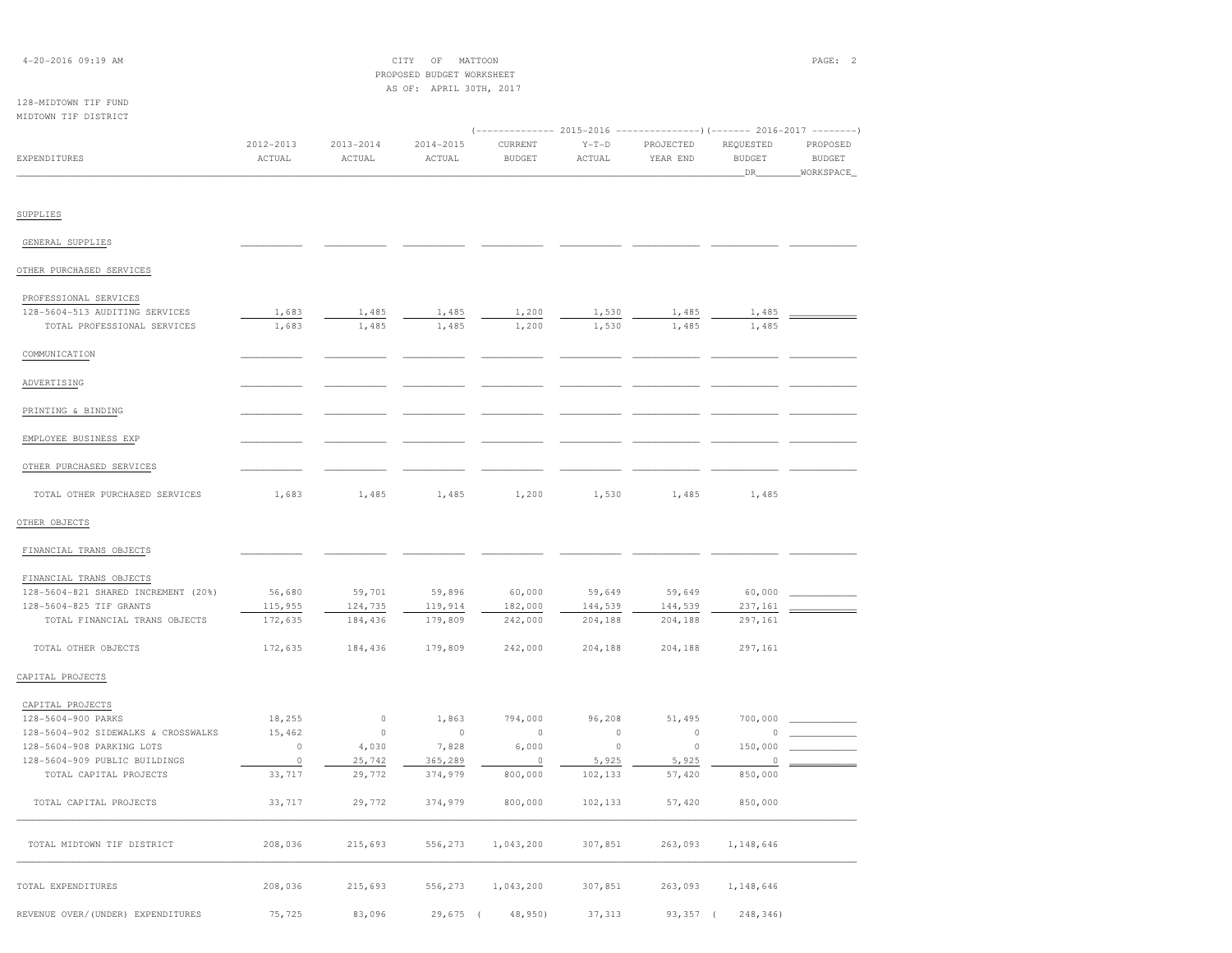| 4-20-2016 09:19 AM                                             |                   |                   | CITY<br>$\mathbb{O}\mathbb{F}$<br>PROPOSED BUDGET WORKSHEET | MATTOON                                                                           |                   |                   |                       | PAGE: 2                      |
|----------------------------------------------------------------|-------------------|-------------------|-------------------------------------------------------------|-----------------------------------------------------------------------------------|-------------------|-------------------|-----------------------|------------------------------|
| 128-MIDTOWN TIF FUND                                           |                   |                   | AS OF: APRIL 30TH, 2017                                     |                                                                                   |                   |                   |                       |                              |
| MIDTOWN TIF DISTRICT                                           |                   |                   |                                                             |                                                                                   |                   |                   |                       |                              |
|                                                                | 2012-2013         | 2013-2014         | 2014-2015                                                   | (------------- 2015-2016 ---------------) (------- 2016-2017 --------)<br>CURRENT | $Y-T-D$           | PROJECTED         | REQUESTED             | PROPOSED                     |
| <b>EXPENDITURES</b>                                            | ACTUAL            | ACTUAL            | ACTUAL                                                      | <b>BUDGET</b>                                                                     | ACTUAL            | YEAR END          | <b>BUDGET</b><br>_DR_ | <b>BUDGET</b><br>_WORKSPACE_ |
|                                                                |                   |                   |                                                             |                                                                                   |                   |                   |                       |                              |
| SUPPLIES                                                       |                   |                   |                                                             |                                                                                   |                   |                   |                       |                              |
| GENERAL SUPPLIES                                               |                   |                   |                                                             |                                                                                   |                   |                   |                       |                              |
| OTHER PURCHASED SERVICES                                       |                   |                   |                                                             |                                                                                   |                   |                   |                       |                              |
| PROFESSIONAL SERVICES                                          |                   |                   |                                                             |                                                                                   |                   |                   |                       |                              |
| 128-5604-513 AUDITING SERVICES<br>TOTAL PROFESSIONAL SERVICES  | 1,683<br>1,683    | 1,485<br>1,485    | 1,485<br>1,485                                              | 1,200<br>1,200                                                                    | 1,530<br>1,530    | 1,485<br>1,485    | 1,485<br>1,485        |                              |
|                                                                |                   |                   |                                                             |                                                                                   |                   |                   |                       |                              |
| COMMUNICATION                                                  |                   |                   |                                                             |                                                                                   |                   |                   |                       |                              |
| ADVERTISING                                                    |                   |                   |                                                             |                                                                                   |                   |                   |                       |                              |
| PRINTING & BINDING                                             |                   |                   |                                                             |                                                                                   |                   |                   |                       |                              |
| EMPLOYEE BUSINESS EXP                                          |                   |                   |                                                             |                                                                                   |                   |                   |                       |                              |
| OTHER PURCHASED SERVICES                                       |                   |                   |                                                             |                                                                                   |                   |                   |                       |                              |
| TOTAL OTHER PURCHASED SERVICES                                 | 1,683             | 1,485             | 1,485                                                       | 1,200                                                                             | 1,530             | 1,485             | 1,485                 |                              |
| OTHER OBJECTS                                                  |                   |                   |                                                             |                                                                                   |                   |                   |                       |                              |
| FINANCIAL TRANS OBJECTS                                        |                   |                   |                                                             |                                                                                   |                   |                   |                       |                              |
| FINANCIAL TRANS OBJECTS                                        |                   |                   |                                                             |                                                                                   |                   |                   |                       |                              |
| 128-5604-821 SHARED INCREMENT (20%)<br>128-5604-825 TIF GRANTS | 56,680<br>115,955 | 59,701<br>124,735 | 59,896<br>119,914                                           | 60,000<br>182,000                                                                 | 59,649<br>144,539 | 59,649<br>144,539 | 60,000<br>237,161     |                              |
| TOTAL FINANCIAL TRANS OBJECTS                                  | 172,635           | 184,436           | 179,809                                                     | 242,000                                                                           | 204,188           | 204,188           | 297,161               |                              |
| TOTAL OTHER OBJECTS                                            | 172,635           | 184,436           | 179,809                                                     | 242,000                                                                           | 204,188           | 204,188           | 297,161               |                              |
| CAPITAL PROJECTS                                               |                   |                   |                                                             |                                                                                   |                   |                   |                       |                              |
| CAPITAL PROJECTS                                               |                   |                   |                                                             |                                                                                   |                   |                   |                       |                              |
| 128-5604-900 PARKS                                             | 18,255            | $\circ$           | 1,863                                                       | 794,000                                                                           | 96,208            | 51,495            | 700,000               |                              |
| 128-5604-902 SIDEWALKS & CROSSWALKS                            | 15,462            | $\circ$           | $\circ$                                                     | $\circ$                                                                           | $\circ$           | $\circ$           | $\circ$               |                              |
| 128-5604-908 PARKING LOTS                                      | $\circ$           | 4,030             | 7,828                                                       | 6,000                                                                             | $\circ$           | $\circ$           | 150,000               |                              |
| 128-5604-909 PUBLIC BUILDINGS                                  | $\circ$           | 25,742            | 365,289                                                     | $\circ$                                                                           | 5,925             | 5,925             | $\circ$               |                              |
| TOTAL CAPITAL PROJECTS                                         | 33,717            | 29,772            | 374,979                                                     | 800,000                                                                           | 102,133           | 57,420            | 850,000               |                              |
| TOTAL CAPITAL PROJECTS                                         | 33,717            | 29,772            | 374,979                                                     | 800,000                                                                           | 102,133           | 57,420            | 850,000               |                              |
| TOTAL MIDTOWN TIF DISTRICT                                     | 208,036           | 215,693           | 556,273                                                     | 1,043,200                                                                         | 307,851           | 263,093           | 1,148,646             |                              |
| TOTAL EXPENDITURES                                             | 208,036           | 215,693           | 556,273                                                     | 1,043,200                                                                         | 307,851           | 263,093           | 1,148,646             |                              |
| REVENUE OVER/(UNDER) EXPENDITURES                              | 75,725            | 83,096            | 29,675                                                      | 48,950)                                                                           | 37,313            | $93,357$ (        | 248,346)              |                              |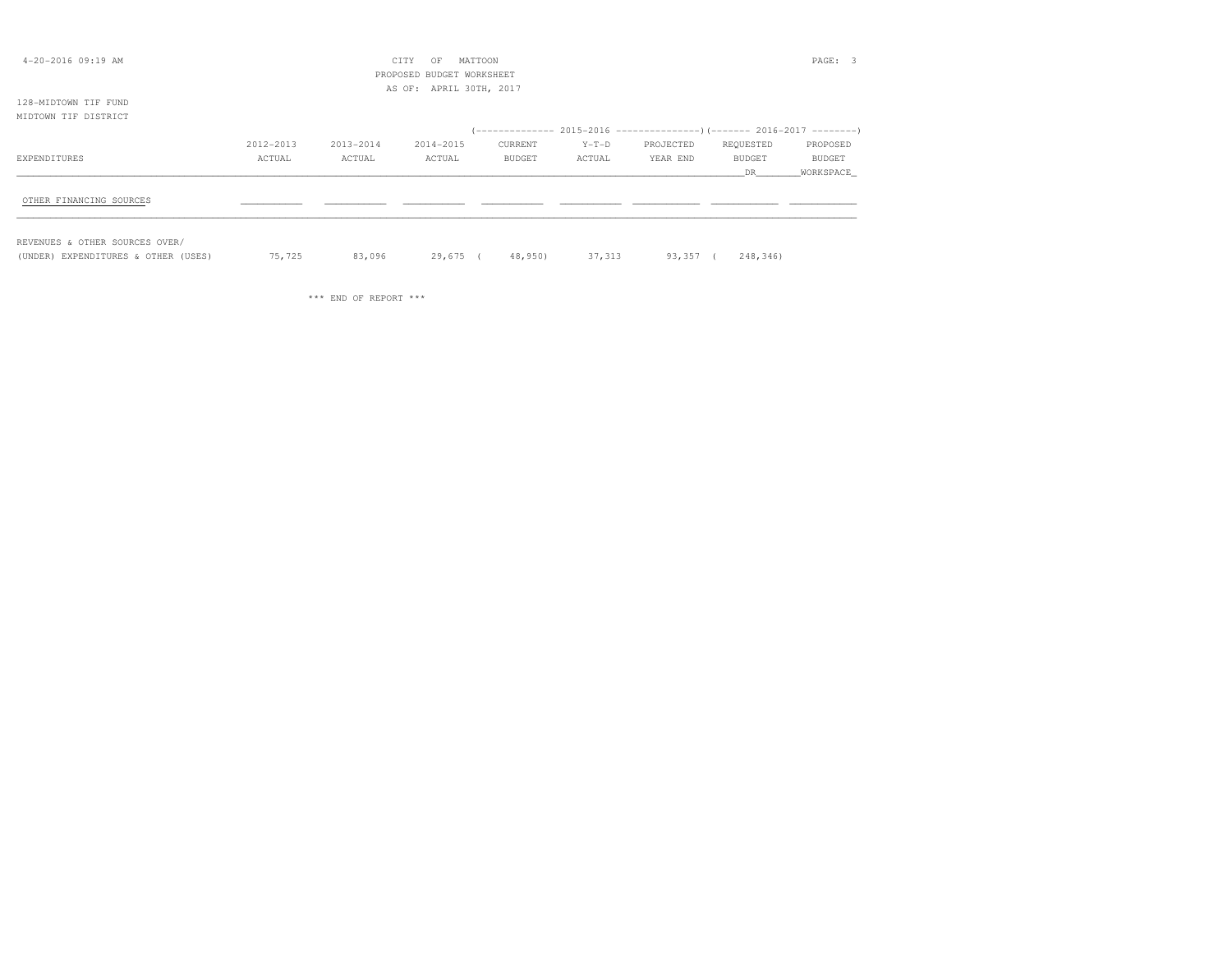| $4 - 20 - 2016$ 09:19 AM       |           |           | MATTOON<br>CITY<br>OF     |         |         |                                                                          |           | PAGE: 3   |
|--------------------------------|-----------|-----------|---------------------------|---------|---------|--------------------------------------------------------------------------|-----------|-----------|
|                                |           |           | PROPOSED BUDGET WORKSHEET |         |         |                                                                          |           |           |
|                                |           |           | AS OF: APRIL 30TH, 2017   |         |         |                                                                          |           |           |
| 128-MIDTOWN TIF FUND           |           |           |                           |         |         |                                                                          |           |           |
| MIDTOWN TIF DISTRICT           |           |           |                           |         |         |                                                                          |           |           |
|                                |           |           |                           |         |         | (-------------- 2015-2016 ----------------) (------- 2016-2017 --------) |           |           |
|                                | 2012-2013 | 2013-2014 | 2014-2015                 | CURRENT | $Y-T-D$ | PROJECTED                                                                | REQUESTED | PROPOSED  |
| EXPENDITURES                   | ACTUAL    | ACTUAL    | ACTUAL                    | BUDGET  | ACTUAL  | YEAR END                                                                 | BUDGET    | BUDGET    |
|                                |           |           |                           |         |         |                                                                          | DR.       | WORKSPACE |
|                                |           |           |                           |         |         |                                                                          |           |           |
| OTHER FINANCING SOURCES        |           |           |                           |         |         |                                                                          |           |           |
|                                |           |           |                           |         |         |                                                                          |           |           |
|                                |           |           |                           |         |         |                                                                          |           |           |
| REVENUES & OTHER SOURCES OVER/ |           |           |                           |         |         |                                                                          |           |           |

(UNDER) EXPENDITURES & OTHER (USES) 75,725 83,096 29,675 ( 48,950) 37,313 93,357 ( 248,346)

\*\*\* END OF REPORT \*\*\*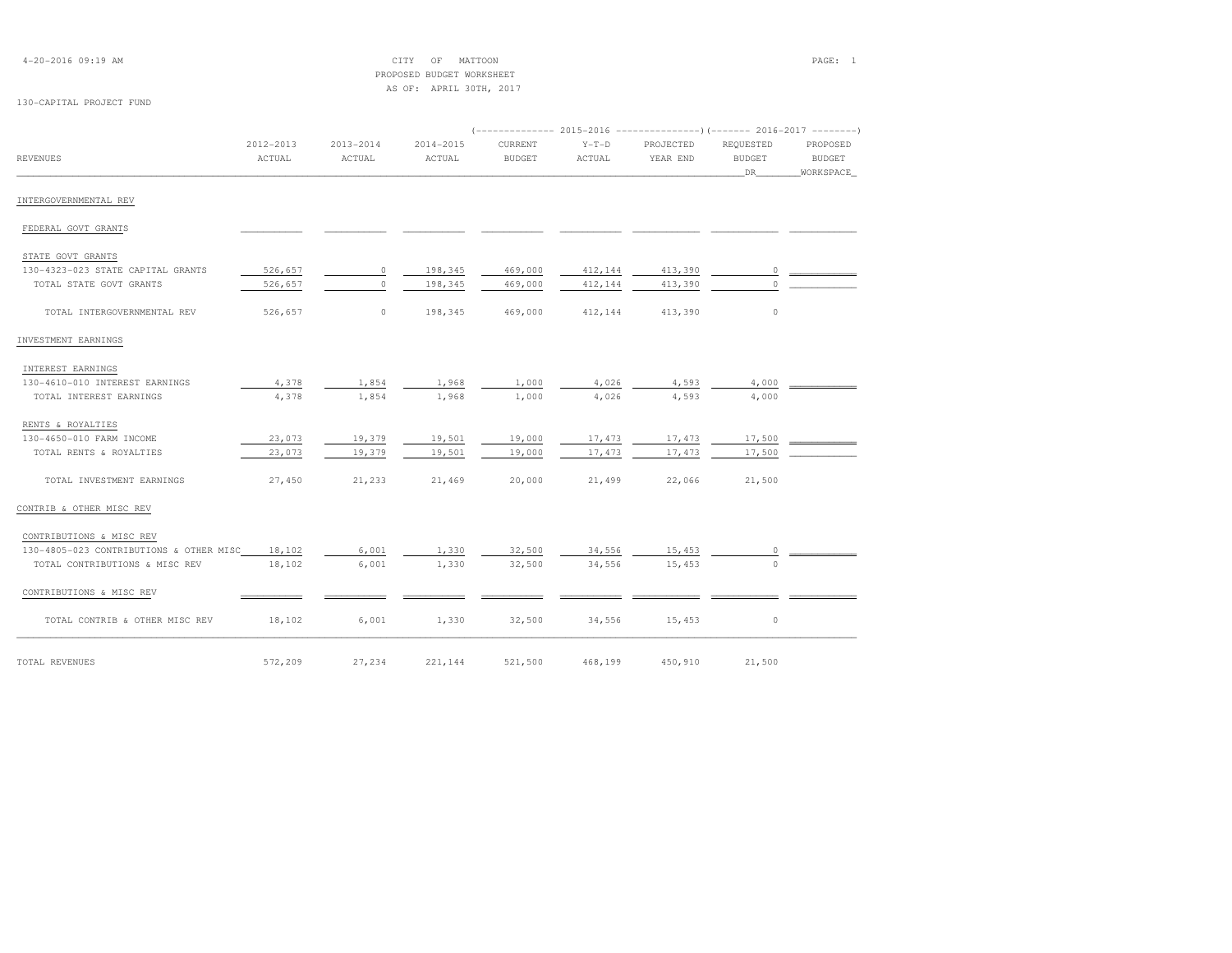| $4 - 20 - 2016$ 09:19 AM |  |  |
|--------------------------|--|--|
|--------------------------|--|--|

# 4-20-2016 09:19 AM CITY OF MATTOON PAGE: 1 PROPOSED BUDGET WORKSHEETAS OF: APRIL 30TH, 2017

# 130-CAPITAL PROJECT FUND

|                                         | 2012-2013 | 2013-2014 | 2014-2015 | CURRENT       | $Y-T-D$ | PROJECTED | REQUESTED     | PROPOSED      |
|-----------------------------------------|-----------|-----------|-----------|---------------|---------|-----------|---------------|---------------|
| <b>REVENUES</b>                         | ACTUAL    | ACTUAL    | ACTUAL    | <b>BUDGET</b> | ACTUAL  | YEAR END  | <b>BUDGET</b> | <b>BUDGET</b> |
|                                         |           |           |           |               |         |           | DR            | WORKSPACE     |
| INTERGOVERNMENTAL REV                   |           |           |           |               |         |           |               |               |
| FEDERAL GOVT GRANTS                     |           |           |           |               |         |           |               |               |
| STATE GOVT GRANTS                       |           |           |           |               |         |           |               |               |
| 130-4323-023 STATE CAPITAL GRANTS       | 526,657   | $\circ$   | 198,345   | 469,000       | 412,144 | 413,390   | $\circ$       |               |
| TOTAL STATE GOVT GRANTS                 | 526,657   | $\circ$   | 198,345   | 469,000       | 412,144 | 413,390   | $\circ$       |               |
| TOTAL INTERGOVERNMENTAL REV             | 526,657   | $\circ$   | 198,345   | 469,000       | 412,144 | 413,390   | $\circ$       |               |
| INVESTMENT EARNINGS                     |           |           |           |               |         |           |               |               |
| INTEREST EARNINGS                       |           |           |           |               |         |           |               |               |
| 130-4610-010 INTEREST EARNINGS          | 4,378     | 1,854     | 1,968     | 1,000         | 4,026   | 4,593     | 4,000         |               |
| TOTAL INTEREST EARNINGS                 | 4,378     | 1,854     | 1,968     | 1,000         | 4,026   | 4,593     | 4,000         |               |
| RENTS & ROYALTIES                       |           |           |           |               |         |           |               |               |
| 130-4650-010 FARM INCOME                | 23,073    | 19,379    | 19,501    | 19,000        | 17,473  | 17,473    | 17,500        |               |
| TOTAL RENTS & ROYALTIES                 | 23,073    | 19,379    | 19,501    | 19,000        | 17,473  | 17,473    | 17,500        |               |
| TOTAL INVESTMENT EARNINGS               | 27,450    | 21,233    | 21,469    | 20,000        | 21,499  | 22,066    | 21,500        |               |
| CONTRIB & OTHER MISC REV                |           |           |           |               |         |           |               |               |
| CONTRIBUTIONS & MISC REV                |           |           |           |               |         |           |               |               |
| 130-4805-023 CONTRIBUTIONS & OTHER MISC | 18,102    | 6,001     | 1,330     | 32,500        | 34,556  | 15,453    | 0             |               |
| TOTAL CONTRIBUTIONS & MISC REV          | 18,102    | 6,001     | 1,330     | 32,500        | 34,556  | 15,453    | $\cap$        |               |
| CONTRIBUTIONS & MISC REV                |           |           |           |               |         |           |               |               |
| TOTAL CONTRIB & OTHER MISC REV          | 18,102    | 6,001     | 1,330     | 32,500        | 34,556  | 15,453    | $\circ$       |               |
| TOTAL REVENUES                          | 572,209   | 27,234    | 221,144   | 521,500       | 468,199 | 450,910   | 21,500        |               |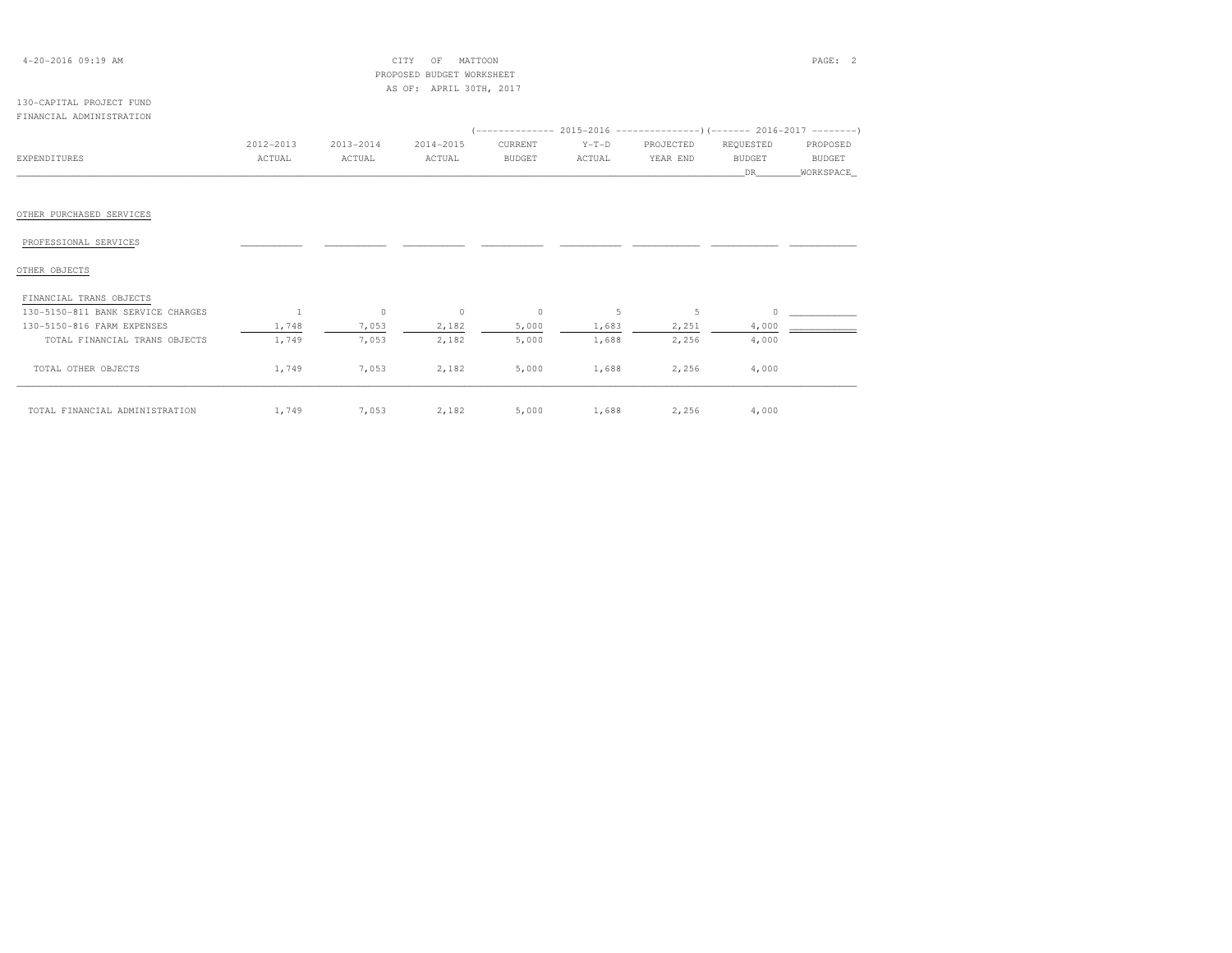| $4 - 20 - 2016$ 09:19 AM          |               |                | CITY<br>MATTOON<br>OF     |                                                                        |         |           |               | PAGE: 2       |
|-----------------------------------|---------------|----------------|---------------------------|------------------------------------------------------------------------|---------|-----------|---------------|---------------|
|                                   |               |                | PROPOSED BUDGET WORKSHEET |                                                                        |         |           |               |               |
|                                   |               |                | AS OF: APRIL 30TH, 2017   |                                                                        |         |           |               |               |
| 130-CAPITAL PROJECT FUND          |               |                |                           |                                                                        |         |           |               |               |
| FINANCIAL ADMINISTRATION          |               |                |                           |                                                                        |         |           |               |               |
|                                   |               |                |                           | (-------------- 2015-2016 ---------------)(------- 2016-2017 --------) |         |           |               |               |
|                                   | $2012 - 2013$ | $2013 - 2014$  | 2014-2015                 | CURRENT                                                                | $Y-T-D$ | PROJECTED | REQUESTED     | PROPOSED      |
| <b>EXPENDITURES</b>               | ACTUAL        | ACTUAL         | ACTUAL                    | <b>BUDGET</b>                                                          | ACTUAL  | YEAR END  | <b>BUDGET</b> | <b>BUDGET</b> |
|                                   |               |                |                           |                                                                        |         |           | DR.           | WORKSPACE     |
|                                   |               |                |                           |                                                                        |         |           |               |               |
|                                   |               |                |                           |                                                                        |         |           |               |               |
| OTHER PURCHASED SERVICES          |               |                |                           |                                                                        |         |           |               |               |
|                                   |               |                |                           |                                                                        |         |           |               |               |
| PROFESSIONAL SERVICES             |               |                |                           |                                                                        |         |           |               |               |
|                                   |               |                |                           |                                                                        |         |           |               |               |
| OTHER OBJECTS                     |               |                |                           |                                                                        |         |           |               |               |
|                                   |               |                |                           |                                                                        |         |           |               |               |
| FINANCIAL TRANS OBJECTS           |               |                |                           |                                                                        |         |           |               |               |
| 130-5150-811 BANK SERVICE CHARGES | 1             | $\overline{0}$ | $\circ$                   | $\circ$                                                                | 5       | 5         |               |               |
| 130-5150-816 FARM EXPENSES        | 1,748         | 7,053          | 2,182                     | 5,000                                                                  | 1,683   | 2,251     | 4,000         |               |
| TOTAL FINANCIAL TRANS OBJECTS     | 1,749         | 7,053          | 2,182                     | 5,000                                                                  | 1,688   | 2,256     | 4,000         |               |
|                                   |               |                |                           |                                                                        |         |           |               |               |
| TOTAL OTHER OBJECTS               | 1,749         | 7,053          | 2,182                     | 5,000                                                                  | 1,688   | 2,256     | 4,000         |               |
|                                   |               |                |                           |                                                                        |         |           |               |               |
|                                   |               |                |                           |                                                                        |         |           |               |               |
| TOTAL FINANCIAL ADMINISTRATION    | 1,749         | 7,053          | 2,182                     | 5,000                                                                  | 1,688   | 2,256     | 4,000         |               |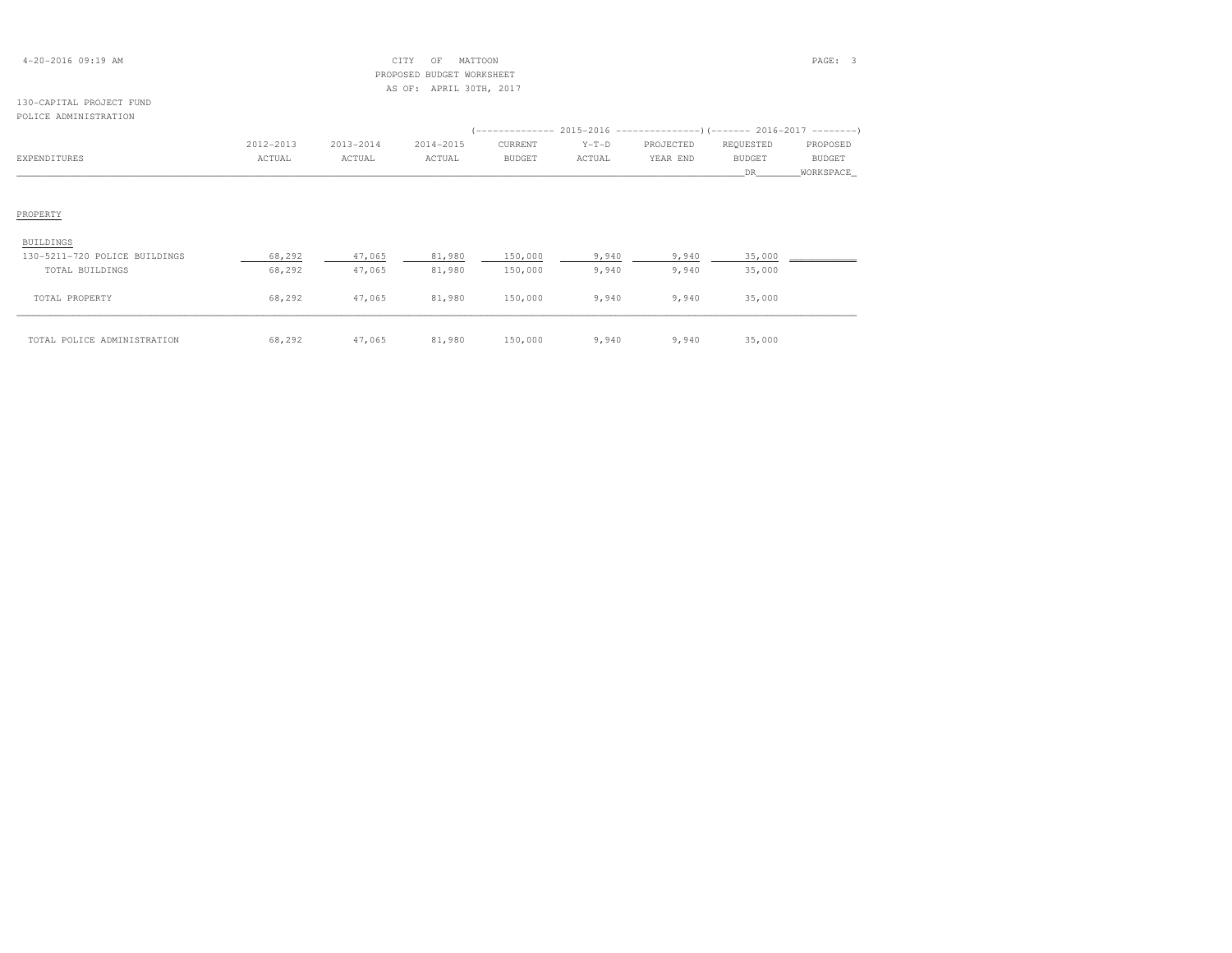|  | $4 - 20 - 2016$ 09:19 AM |  |
|--|--------------------------|--|
|--|--------------------------|--|

# 4-20-2016 09:19 AM CITY OF MATTOON PAGE: 3 PROPOSED BUDGET WORKSHEETAS OF: APRIL 30TH, 2017

## 130-CAPITAL PROJECT FUNDPOLICE ADMINISTRATION

| L OLICE INDIIINIU INII LON    |           |           |           |               |         |           |               |           |
|-------------------------------|-----------|-----------|-----------|---------------|---------|-----------|---------------|-----------|
|                               |           |           |           |               |         |           |               |           |
|                               | 2012-2013 | 2013-2014 | 2014-2015 | CURRENT       | $Y-T-D$ | PROJECTED | REQUESTED     | PROPOSED  |
| EXPENDITURES                  | ACTUAL    | ACTUAL    | ACTUAL    | <b>BUDGET</b> | ACTUAL  | YEAR END  | <b>BUDGET</b> | BUDGET    |
|                               |           |           |           |               |         |           | DR.           | WORKSPACE |
|                               |           |           |           |               |         |           |               |           |
| PROPERTY                      |           |           |           |               |         |           |               |           |
| BUILDINGS                     |           |           |           |               |         |           |               |           |
| 130-5211-720 POLICE BUILDINGS | 68,292    | 47,065    | 81,980    | 150,000       | 9,940   | 9,940     | 35,000        |           |
| TOTAL BUILDINGS               | 68,292    | 47,065    | 81,980    | 150,000       | 9,940   | 9,940     | 35,000        |           |
| TOTAL PROPERTY                | 68,292    | 47,065    | 81,980    | 150,000       | 9,940   | 9,940     | 35,000        |           |
| TOTAL POLICE ADMINISTRATION   | 68,292    | 47,065    | 81,980    | 150,000       | 9,940   | 9,940     | 35,000        |           |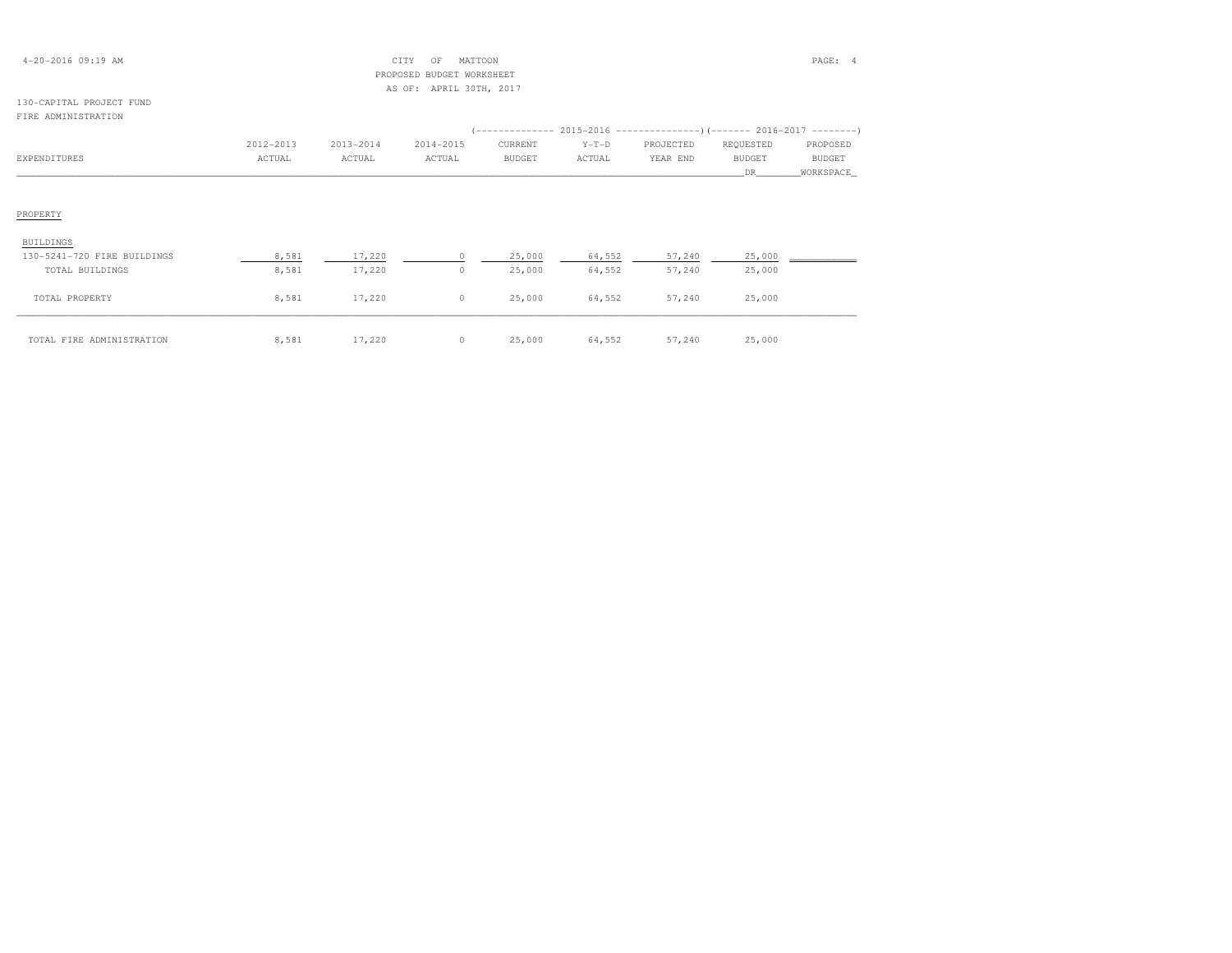| $4 - 20 - 2016$ 09:19 AM |  |
|--------------------------|--|
|--------------------------|--|

# $CITY$  OF MATTOON PAGE: 4 PROPOSED BUDGET WORKSHEETAS OF: APRIL 30TH, 2017

## 130-CAPITAL PROJECT FUNDFIRE ADMINISTRATION

|                             |           |           |           |         |         | $(----------2015-2016$ ---------------) (------- 2016-2017 -------) |               |           |  |  |
|-----------------------------|-----------|-----------|-----------|---------|---------|---------------------------------------------------------------------|---------------|-----------|--|--|
|                             | 2012-2013 | 2013-2014 | 2014-2015 | CURRENT | $Y-T-D$ | PROJECTED                                                           | REQUESTED     | PROPOSED  |  |  |
| EXPENDITURES                | ACTUAL    | ACTUAL    | ACTUAL    | BUDGET  | ACTUAL  | YEAR END                                                            | <b>BUDGET</b> | BUDGET    |  |  |
|                             |           |           |           |         |         |                                                                     | DR.           | WORKSPACE |  |  |
| PROPERTY                    |           |           |           |         |         |                                                                     |               |           |  |  |
| BUILDINGS                   |           |           |           |         |         |                                                                     |               |           |  |  |
| 130-5241-720 FIRE BUILDINGS | 8,581     | 17,220    |           | 25,000  | 64,552  | 57,240                                                              | 25,000        |           |  |  |
| TOTAL BUILDINGS             | 8,581     | 17,220    | $\circ$   | 25,000  | 64,552  | 57,240                                                              | 25,000        |           |  |  |
| TOTAL PROPERTY              | 8,581     | 17,220    | $\circ$   | 25,000  | 64,552  | 57,240                                                              | 25,000        |           |  |  |
| TOTAL FIRE ADMINISTRATION   | 8,581     | 17,220    | $\circ$   | 25,000  | 64,552  | 57,240                                                              | 25,000        |           |  |  |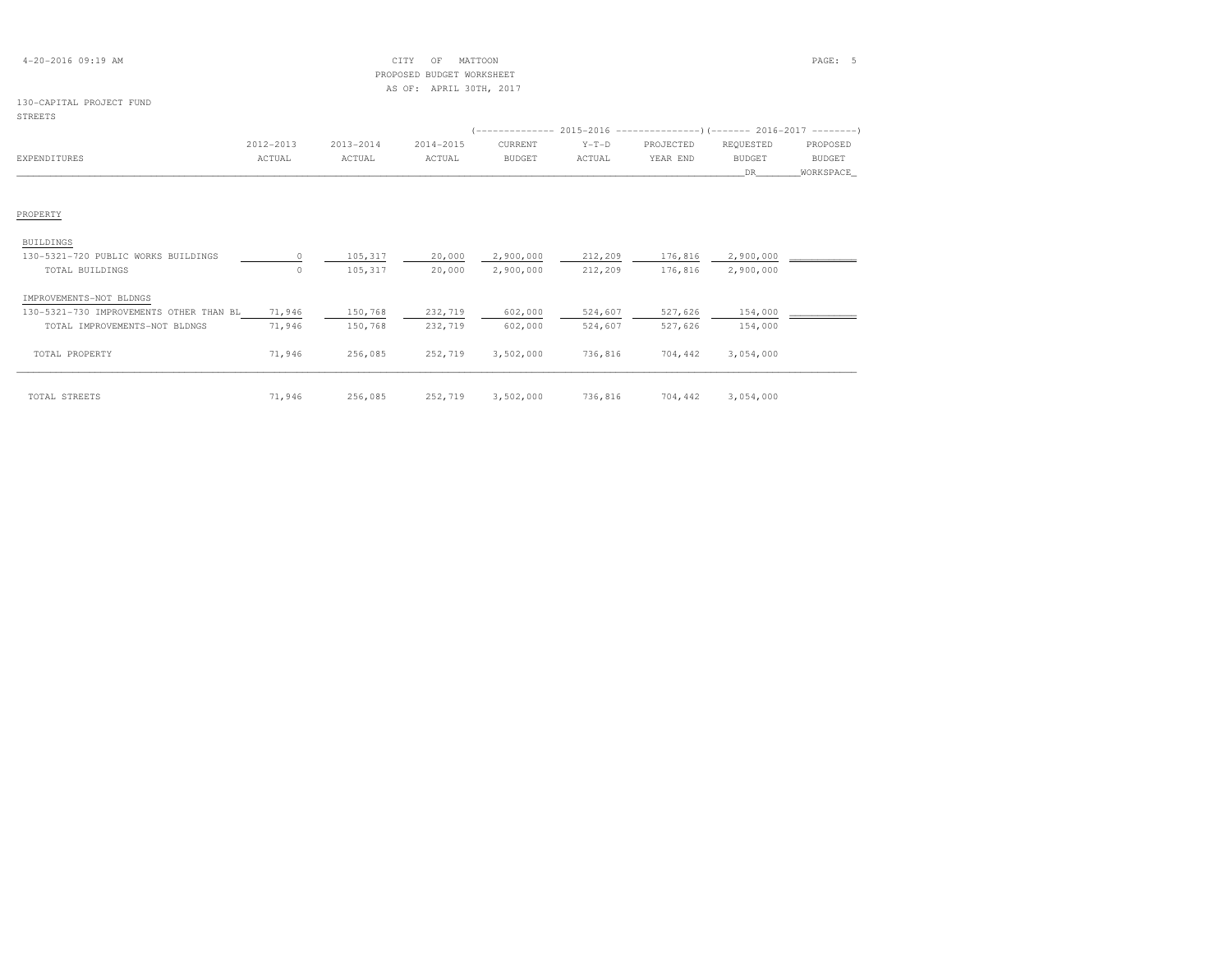| $4 - 20 - 2016$ 09:19 AM                | CITY<br>MATTOON<br>OF<br>PROPOSED<br>BUDGET WORKSHEET<br>AS OF: APRIL 30TH, 2017 |               |           |               |         |           |               |               |
|-----------------------------------------|----------------------------------------------------------------------------------|---------------|-----------|---------------|---------|-----------|---------------|---------------|
| 130-CAPITAL PROJECT FUND                |                                                                                  |               |           |               |         |           |               |               |
| <b>STREETS</b>                          |                                                                                  |               |           |               |         |           |               |               |
|                                         |                                                                                  |               |           |               |         |           |               |               |
|                                         | 2012-2013                                                                        | $2013 - 2014$ | 2014-2015 | CURRENT       | $Y-T-D$ | PROJECTED | REQUESTED     | PROPOSED      |
| <b>EXPENDITURES</b>                     | ACTUAL                                                                           | ACTUAL        | ACTUAL    | <b>BUDGET</b> | ACTUAL  | YEAR END  | <b>BUDGET</b> | <b>BUDGET</b> |
|                                         |                                                                                  |               |           |               |         |           | DR.           | WORKSPACE     |
|                                         |                                                                                  |               |           |               |         |           |               |               |
| PROPERTY                                |                                                                                  |               |           |               |         |           |               |               |
| <b>BUILDINGS</b>                        |                                                                                  |               |           |               |         |           |               |               |
| 130-5321-720 PUBLIC WORKS BUILDINGS     | $\Omega$                                                                         | 105,317       | 20,000    | 2,900,000     | 212,209 | 176,816   | 2,900,000     |               |
| TOTAL BUILDINGS                         | $\circ$                                                                          | 105,317       | 20,000    | 2,900,000     | 212,209 | 176,816   | 2,900,000     |               |
| IMPROVEMENTS-NOT BLDNGS                 |                                                                                  |               |           |               |         |           |               |               |
| 130-5321-730 IMPROVEMENTS OTHER THAN BL | 71,946                                                                           | 150,768       | 232,719   | 602,000       | 524,607 | 527,626   | 154,000       |               |
| TOTAL IMPROVEMENTS-NOT BLDNGS           | 71,946                                                                           | 150,768       | 232,719   | 602,000       | 524,607 | 527,626   | 154,000       |               |
| TOTAL PROPERTY                          | 71,946                                                                           | 256,085       | 252,719   | 3,502,000     | 736,816 | 704,442   | 3,054,000     |               |

| TOTAL STREETS | 71,946 | 256,085 | 252,719 | 3,502,000 | 736,816 | 704,442 | 3,054,000 |
|---------------|--------|---------|---------|-----------|---------|---------|-----------|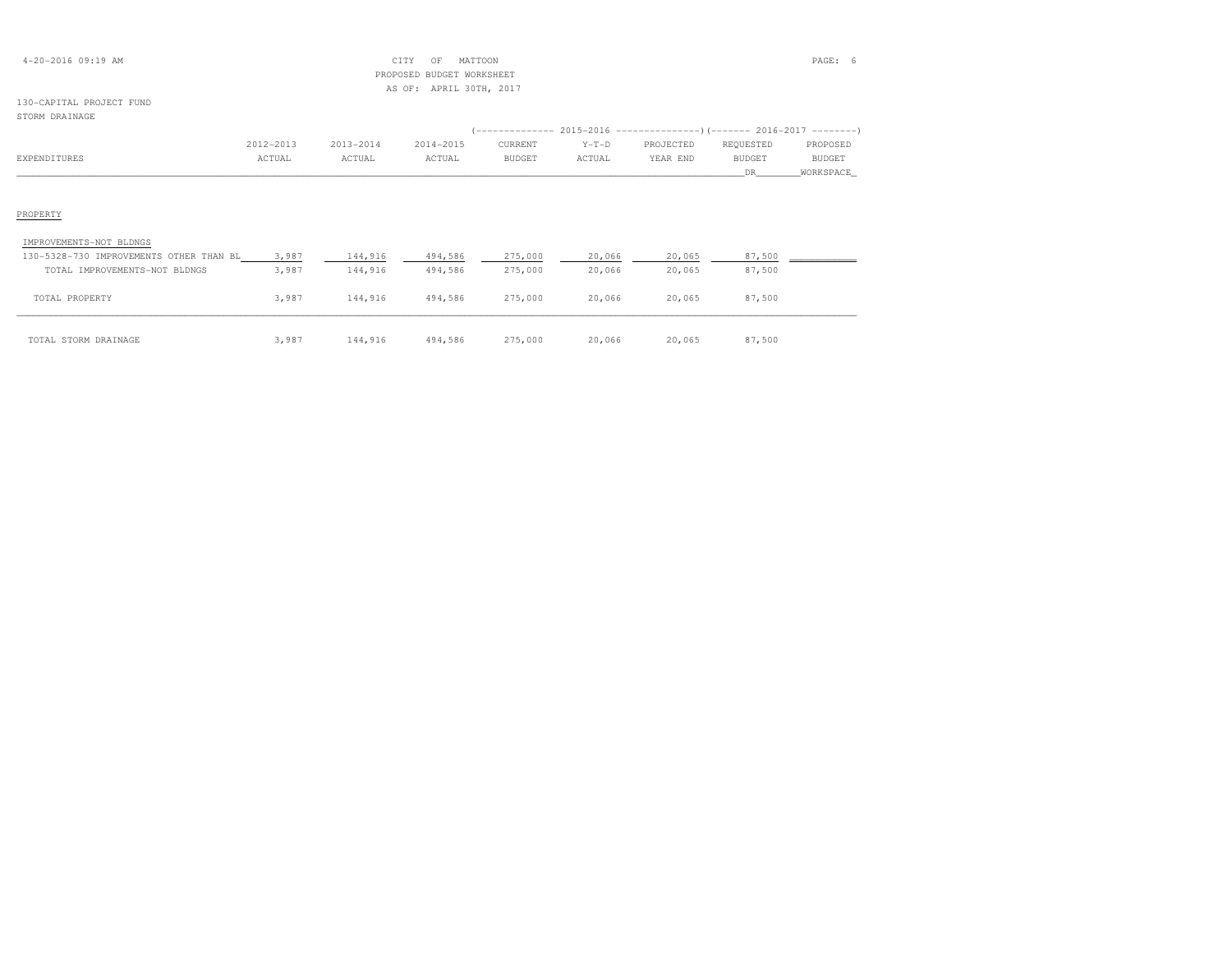| $4 - 20 - 2016$ 09:19 AM |  |  |
|--------------------------|--|--|
|--------------------------|--|--|

# $\begin{array}{ccc} \text{CITY} & \text{OF} & \text{MATION} \end{array}$  PROPOSED BUDGET WORKSHEETAS OF: APRIL 30TH, 2017

## 130-CAPITAL PROJECT FUNDSTORM DRAINAGE

| JIUN'I DNAINAGE                         |           |           |           |               |         |                                                            |               |               |
|-----------------------------------------|-----------|-----------|-----------|---------------|---------|------------------------------------------------------------|---------------|---------------|
|                                         |           |           |           |               |         | $(-------- 2015-2016 --------- 0(---- 2016-2017 ------ 1)$ |               |               |
|                                         | 2012-2013 | 2013-2014 | 2014-2015 | CURRENT       | $Y-T-D$ | PROJECTED                                                  | REQUESTED     | PROPOSED      |
| EXPENDITURES                            | ACTUAL    | ACTUAL    | ACTUAL    | <b>BUDGET</b> | ACTUAL  | YEAR END                                                   | <b>BUDGET</b> | <b>BUDGET</b> |
|                                         |           |           |           |               |         |                                                            | DR            | WORKSPACE     |
|                                         |           |           |           |               |         |                                                            |               |               |
|                                         |           |           |           |               |         |                                                            |               |               |
| PROPERTY                                |           |           |           |               |         |                                                            |               |               |
|                                         |           |           |           |               |         |                                                            |               |               |
| IMPROVEMENTS-NOT BLDNGS                 |           |           |           |               |         |                                                            |               |               |
| 130-5328-730 IMPROVEMENTS OTHER THAN BL | 3,987     | 144,916   | 494,586   | 275,000       | 20,066  | 20,065                                                     | 87,500        |               |
| TOTAL IMPROVEMENTS-NOT BLDNGS           | 3,987     | 144,916   | 494,586   | 275,000       | 20,066  | 20,065                                                     | 87,500        |               |
|                                         |           |           |           |               |         |                                                            |               |               |
| TOTAL PROPERTY                          | 3,987     | 144,916   | 494,586   | 275,000       | 20,066  | 20,065                                                     | 87,500        |               |
|                                         |           |           |           |               |         |                                                            |               |               |
|                                         |           |           |           |               |         |                                                            |               |               |

| STORM DRAINAGE<br>TOTAL | 987ء | 144,916 | 494,586<br>. | 275,000 | 20,066<br>. | 20,065<br>. | 7,500 |
|-------------------------|------|---------|--------------|---------|-------------|-------------|-------|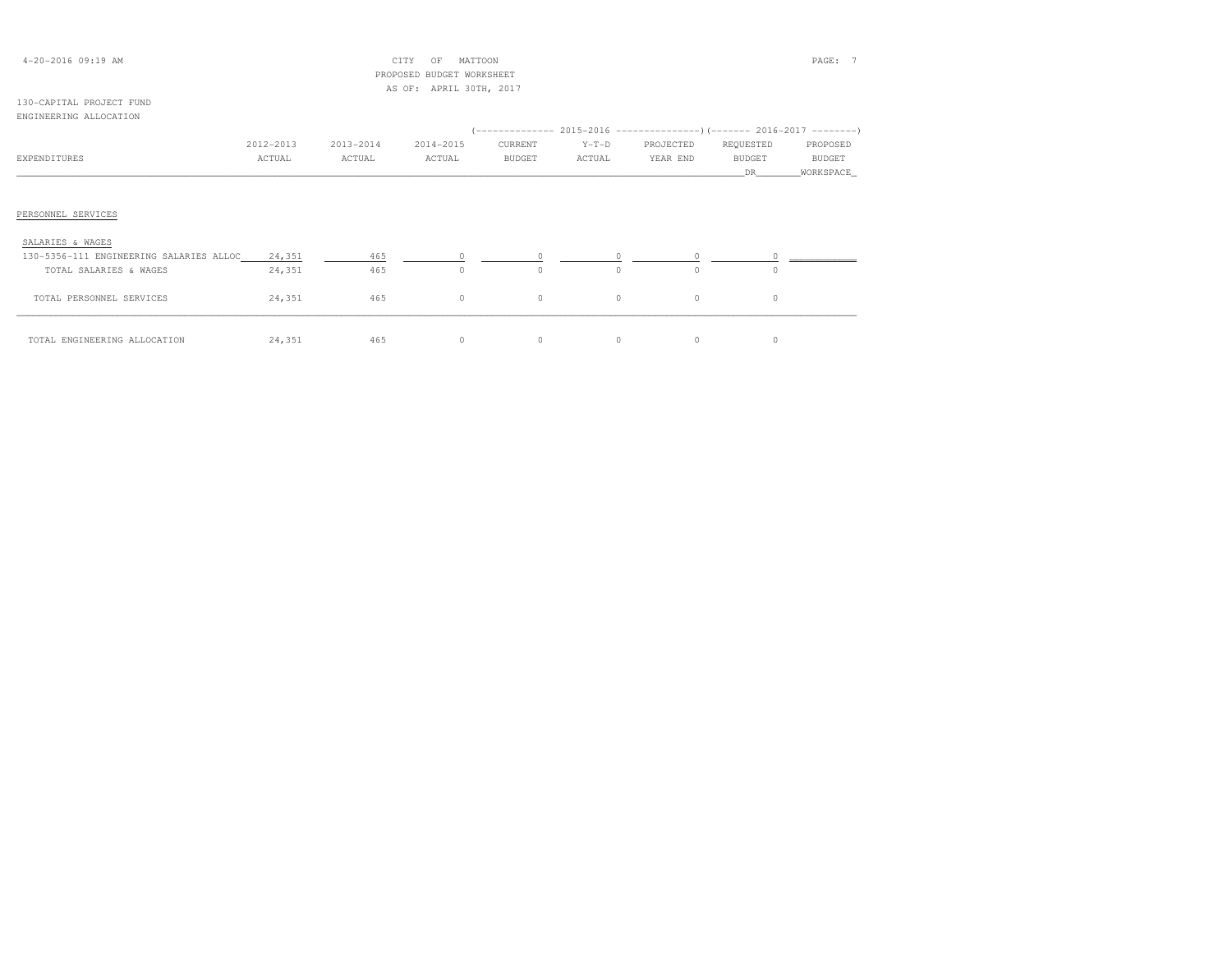| 4-20-2016 09:19 AM                      |           |           | CITY<br>OF<br>MATTOON     |          |         |           |               | PAGE:      |
|-----------------------------------------|-----------|-----------|---------------------------|----------|---------|-----------|---------------|------------|
|                                         |           |           | PROPOSED BUDGET WORKSHEET |          |         |           |               |            |
|                                         |           |           | AS OF: APRIL 30TH, 2017   |          |         |           |               |            |
| 130-CAPITAL PROJECT FUND                |           |           |                           |          |         |           |               |            |
| ENGINEERING ALLOCATION                  |           |           |                           |          |         |           |               |            |
|                                         |           |           |                           |          |         |           |               |            |
|                                         | 2012-2013 | 2013-2014 | 2014-2015                 | CURRENT  | $Y-T-D$ | PROJECTED | REQUESTED     | PROPOSED   |
| EXPENDITURES                            | ACTUAL    | ACTUAL    | ACTUAL                    | BUDGET   | ACTUAL  | YEAR END  | <b>BUDGET</b> | BUDGET     |
|                                         |           |           |                           |          |         |           | DR.           | WORKSPACE_ |
|                                         |           |           |                           |          |         |           |               |            |
|                                         |           |           |                           |          |         |           |               |            |
| PERSONNEL SERVICES                      |           |           |                           |          |         |           |               |            |
|                                         |           |           |                           |          |         |           |               |            |
| SALARIES & WAGES                        |           |           |                           |          |         |           |               |            |
| 130-5356-111 ENGINEERING SALARIES ALLOC | 24,351    | 465       |                           | $\Omega$ | $\circ$ | $\Omega$  |               |            |
| TOTAL SALARIES & WAGES                  | 24,351    | 465       | $\circ$                   | $\circ$  | $\circ$ | $\cap$    | $\Omega$      |            |
|                                         |           |           |                           |          |         |           |               |            |
| TOTAL PERSONNEL SERVICES                | 24,351    | 465       | $\circ$                   | $\circ$  | $\circ$ | $\circ$   | $\circ$       |            |
|                                         |           |           |                           |          |         |           |               |            |

\_\_\_\_\_\_\_\_\_\_\_\_\_\_\_\_\_\_\_\_\_\_\_\_\_\_\_\_\_\_\_\_\_\_\_\_\_\_\_\_\_\_\_\_\_\_\_\_\_\_\_\_\_\_\_\_\_\_\_\_\_\_\_\_\_\_\_\_\_\_\_\_\_\_\_\_\_\_\_\_\_\_\_\_\_\_\_\_\_\_\_\_\_\_\_\_\_\_\_\_\_\_\_\_\_\_\_\_\_\_\_\_\_\_\_\_\_\_\_\_\_\_\_\_\_\_\_\_\_\_\_\_\_\_\_\_\_\_\_\_\_\_\_\_\_\_\_\_\_\_ TOTAL ENGINEERING ALLOCATION 24,351 465 0 0 0 0 0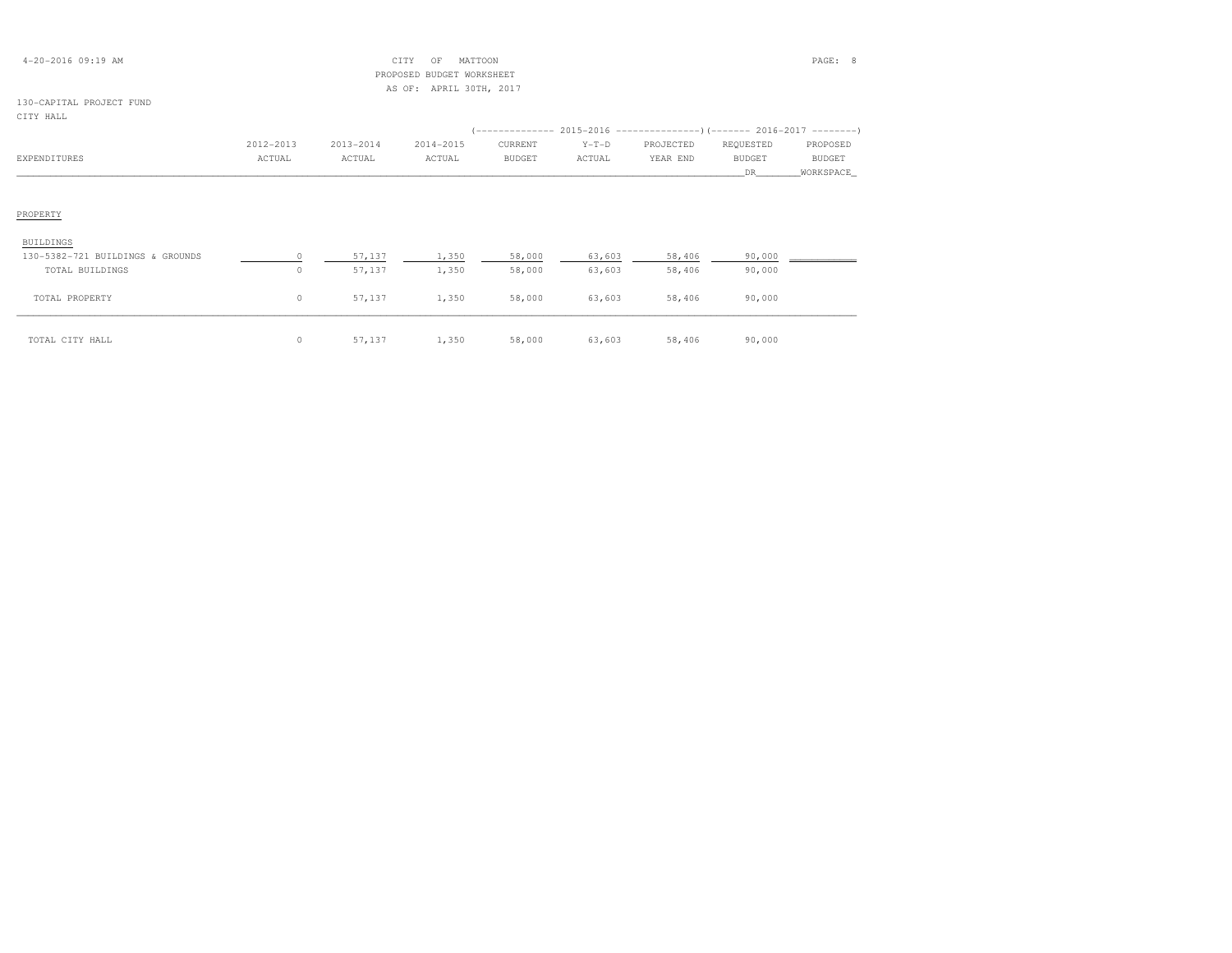|  | $4 - 20 - 2016$ 09:19 AM |  |  |
|--|--------------------------|--|--|
|--|--------------------------|--|--|

# 4-20-2016 09:19 AM CITY OF MATTOON PAGE: 8 PROPOSED BUDGET WORKSHEETAS OF: APRIL 30TH, 2017

# 130-CAPITAL PROJECT FUND

| CITY HALL                        |           |           |           |               |         |                                                                                        |               |             |
|----------------------------------|-----------|-----------|-----------|---------------|---------|----------------------------------------------------------------------------------------|---------------|-------------|
|                                  | 2012-2013 | 2013-2014 | 2014-2015 | CURRENT       | $Y-T-D$ | (-------------- 2015-2016 ----------------) (------- 2016-2017 ---------)<br>PROJECTED | REQUESTED     | PROPOSED    |
| EXPENDITURES                     | ACTUAL    | ACTUAL    | ACTUAL    | <b>BUDGET</b> | ACTUAL  | YEAR END                                                                               | <b>BUDGET</b> | BUDGET      |
|                                  |           |           |           |               |         |                                                                                        | DR.           | _WORKSPACE_ |
|                                  |           |           |           |               |         |                                                                                        |               |             |
| PROPERTY                         |           |           |           |               |         |                                                                                        |               |             |
| BUILDINGS                        |           |           |           |               |         |                                                                                        |               |             |
| 130-5382-721 BUILDINGS & GROUNDS |           | 57,137    | 1,350     | 58,000        | 63,603  | 58,406                                                                                 | 90,000        |             |
| TOTAL BUILDINGS                  | $\circ$   | 57,137    | 1,350     | 58,000        | 63,603  | 58,406                                                                                 | 90,000        |             |
| TOTAL PROPERTY                   | $\circ$   | 57,137    | 1,350     | 58,000        | 63,603  | 58,406                                                                                 | 90,000        |             |
| TOTAL CITY HALL                  | $\circ$   | 57,137    | 1,350     | 58,000        | 63,603  | 58,406                                                                                 | 90,000        |             |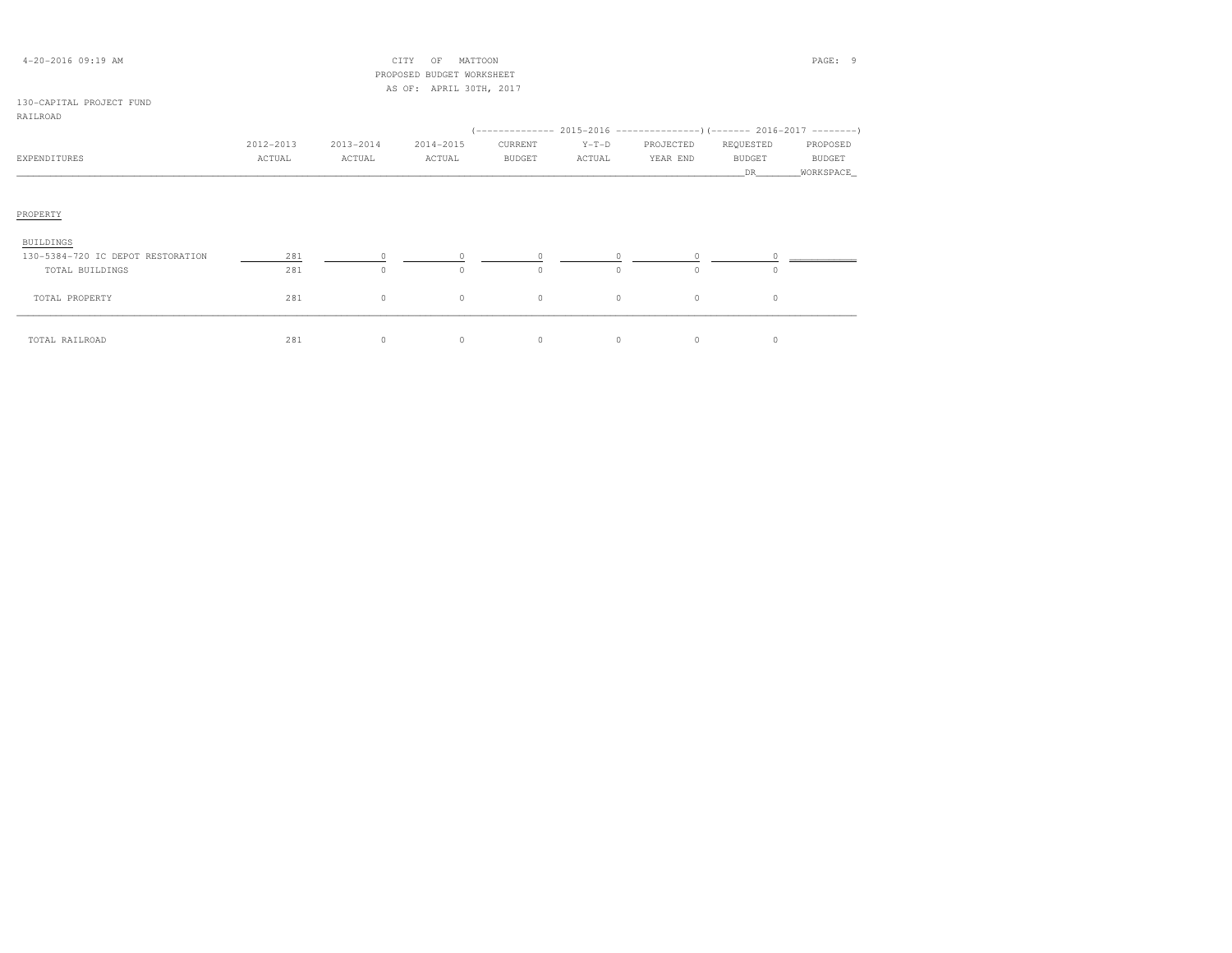| $4 - 20 - 2016$ 09:19 AM          |           |           | CITY<br>MATTOON<br>OF     |               |          |           |                                                                          | PAGE: 9       |
|-----------------------------------|-----------|-----------|---------------------------|---------------|----------|-----------|--------------------------------------------------------------------------|---------------|
|                                   |           |           | PROPOSED BUDGET WORKSHEET |               |          |           |                                                                          |               |
|                                   |           |           | AS OF: APRIL 30TH, 2017   |               |          |           |                                                                          |               |
| 130-CAPITAL PROJECT FUND          |           |           |                           |               |          |           |                                                                          |               |
| RAILROAD                          |           |           |                           |               |          |           |                                                                          |               |
|                                   |           |           |                           |               |          |           | (-------------- 2015-2016 ----------------)(------- 2016-2017 ---------) |               |
|                                   | 2012-2013 | 2013-2014 | 2014-2015                 | CURRENT       | $Y-T-D$  | PROJECTED | REQUESTED                                                                | PROPOSED      |
| EXPENDITURES                      | ACTUAL    | ACTUAL    | ACTUAL                    | <b>BUDGET</b> | ACTUAL   | YEAR END  | <b>BUDGET</b>                                                            | <b>BUDGET</b> |
|                                   |           |           |                           |               |          |           | DR.                                                                      | WORKSPACE     |
|                                   |           |           |                           |               |          |           |                                                                          |               |
| PROPERTY<br><b>BUILDINGS</b>      |           |           |                           |               |          |           |                                                                          |               |
| 130-5384-720 IC DEPOT RESTORATION | 281       | $\Omega$  | $\Omega$                  |               | $\Omega$ | $\Omega$  |                                                                          |               |
| TOTAL BUILDINGS                   | 281       | $\circ$   | $\circ$                   | 0             | $\Omega$ | $\Omega$  | $\cap$                                                                   |               |
|                                   |           |           |                           |               |          |           |                                                                          |               |
| TOTAL PROPERTY                    | 281       | $\circ$   | $\circ$                   | $\circ$       | $\circ$  | $\circ$   | $\circ$                                                                  |               |
|                                   |           |           |                           |               |          |           |                                                                          |               |
|                                   |           |           |                           |               |          |           |                                                                          |               |
| TOTAL RAILROAD                    | 281       | $\circ$   | $\circ$                   | $\circ$       | $\circ$  | $\circ$   | 0                                                                        |               |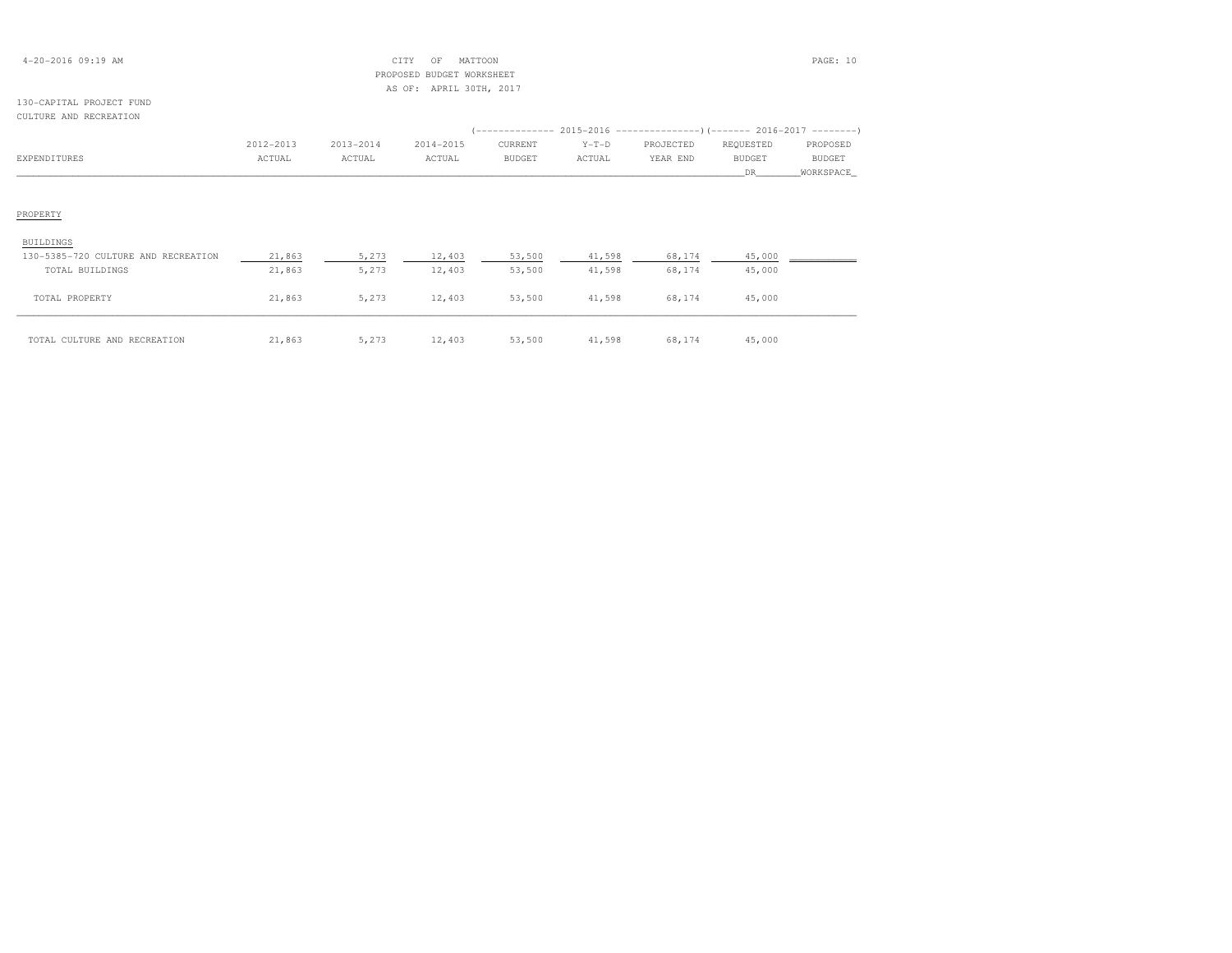| $4 - 20 - 2016$ 09:19 AM |  |  |
|--------------------------|--|--|
|--------------------------|--|--|

# $\begin{array}{ccc} \text{CITY} & \text{OF} & \text{MATION} \end{array}$  PROPOSED BUDGET WORKSHEETAS OF: APRIL 30TH, 2017

# 130-CAPITAL PROJECT FUNDCULTURE AND RECREATION

|                                     |           |           |           |         |         | (-------------- 2015-2016 ---------------) (------- 2016-2017 --------) |           |           |
|-------------------------------------|-----------|-----------|-----------|---------|---------|-------------------------------------------------------------------------|-----------|-----------|
|                                     | 2012-2013 | 2013-2014 | 2014-2015 | CURRENT | $Y-T-D$ | PROJECTED                                                               | REQUESTED | PROPOSED  |
| EXPENDITURES                        | ACTUAL    | ACTUAL    | ACTUAL    | BUDGET  | ACTUAL  | YEAR END                                                                | BUDGET    | BUDGET    |
|                                     |           |           |           |         |         |                                                                         | DR —      | WORKSPACE |
|                                     |           |           |           |         |         |                                                                         |           |           |
| PROPERTY                            |           |           |           |         |         |                                                                         |           |           |
| BUILDINGS                           |           |           |           |         |         |                                                                         |           |           |
| 130-5385-720 CULTURE AND RECREATION | 21,863    | 5,273     | 12,403    | 53,500  | 41,598  | 68,174                                                                  | 45,000    |           |
| TOTAL BUILDINGS                     | 21,863    | 5,273     | 12,403    | 53,500  | 41,598  | 68,174                                                                  | 45,000    |           |
| TOTAL PROPERTY                      | 21,863    | 5,273     | 12,403    | 53,500  | 41,598  | 68,174                                                                  | 45,000    |           |
| TOTAL CULTURE AND RECREATION        | 21,863    | 5,273     | 12,403    | 53,500  | 41,598  | 68,174                                                                  | 45,000    |           |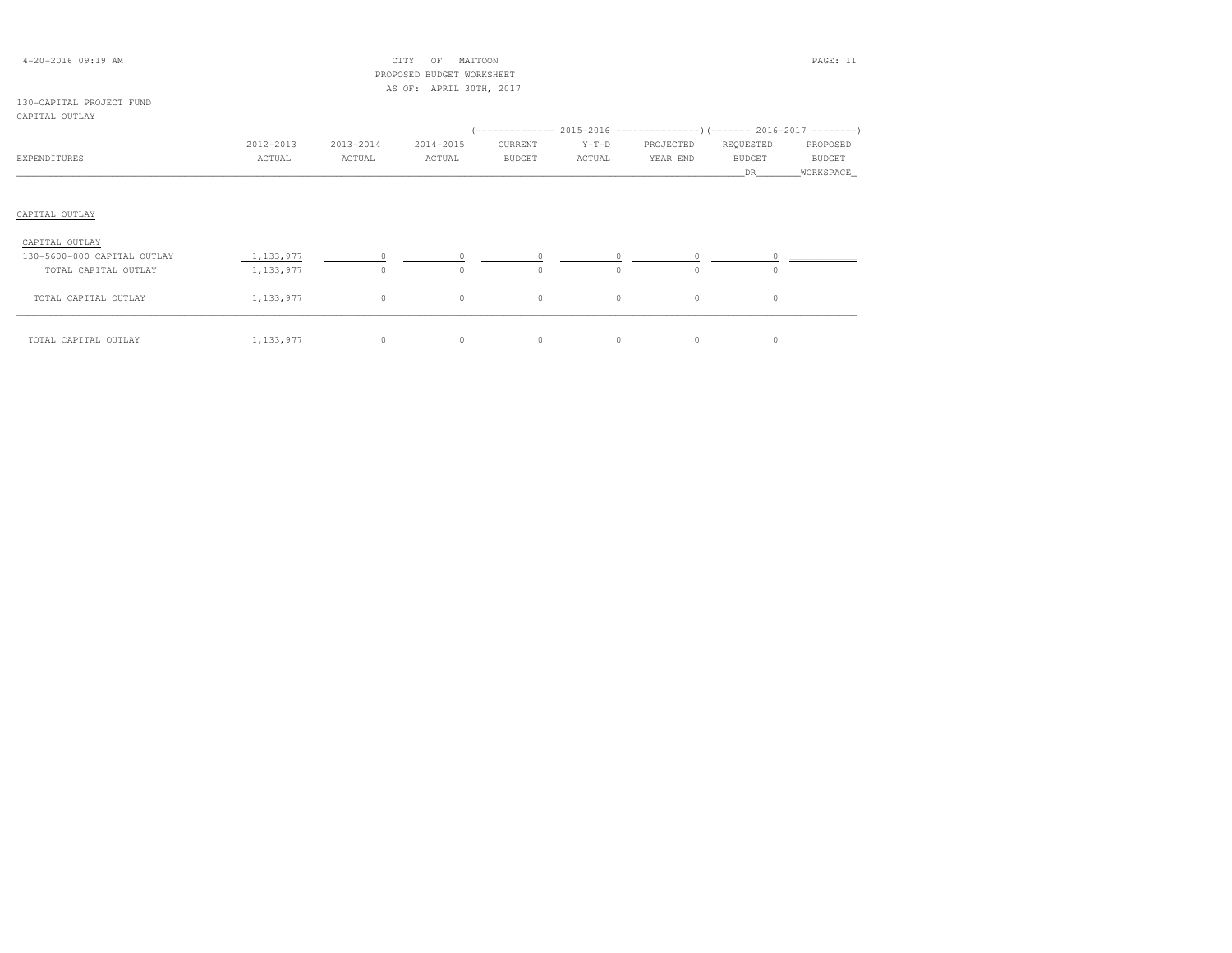|  | $4 - 20 - 2016$ 09:19 AM |  |  |
|--|--------------------------|--|--|
|--|--------------------------|--|--|

# $\text{CITY}$  OF MATTOON PAGE: 11 PROPOSED BUDGET WORKSHEETAS OF: APRIL 30TH, 2017

## 130-CAPITAL PROJECT FUNDCAPITAL OUTLAY

| CAFIIAD OUIDAI              |             |           |           |               |          |           |               |           |
|-----------------------------|-------------|-----------|-----------|---------------|----------|-----------|---------------|-----------|
|                             |             |           |           |               |          |           |               |           |
|                             | 2012-2013   | 2013-2014 | 2014-2015 | CURRENT       | $Y-T-D$  | PROJECTED | REQUESTED     | PROPOSED  |
| EXPENDITURES                | ACTUAL      | ACTUAL    | ACTUAL    | <b>BUDGET</b> | ACTUAL   | YEAR END  | <b>BUDGET</b> | BUDGET    |
|                             |             |           |           |               |          |           | DR            | WORKSPACE |
|                             |             |           |           |               |          |           |               |           |
| CAPITAL OUTLAY              |             |           |           |               |          |           |               |           |
| CAPITAL OUTLAY              |             |           |           |               |          |           |               |           |
| 130-5600-000 CAPITAL OUTLAY | 1,133,977   | $\circ$   | $\circ$   | $\circ$       |          |           |               |           |
| TOTAL CAPITAL OUTLAY        | 1,133,977   | $\circ$   | $\Omega$  | $\Omega$      | $\Omega$ | $\Omega$  | $\Omega$      |           |
| TOTAL CAPITAL OUTLAY        | 1, 133, 977 | $\circ$   | $\circ$   | $\circ$       | $\circ$  | $\circ$   | $\circ$       |           |
| TOTAL CAPITAL OUTLAY        | 1, 133, 977 | $\circ$   | $\circ$   | $\circ$       | $\circ$  | $\circ$   | $\circ$       |           |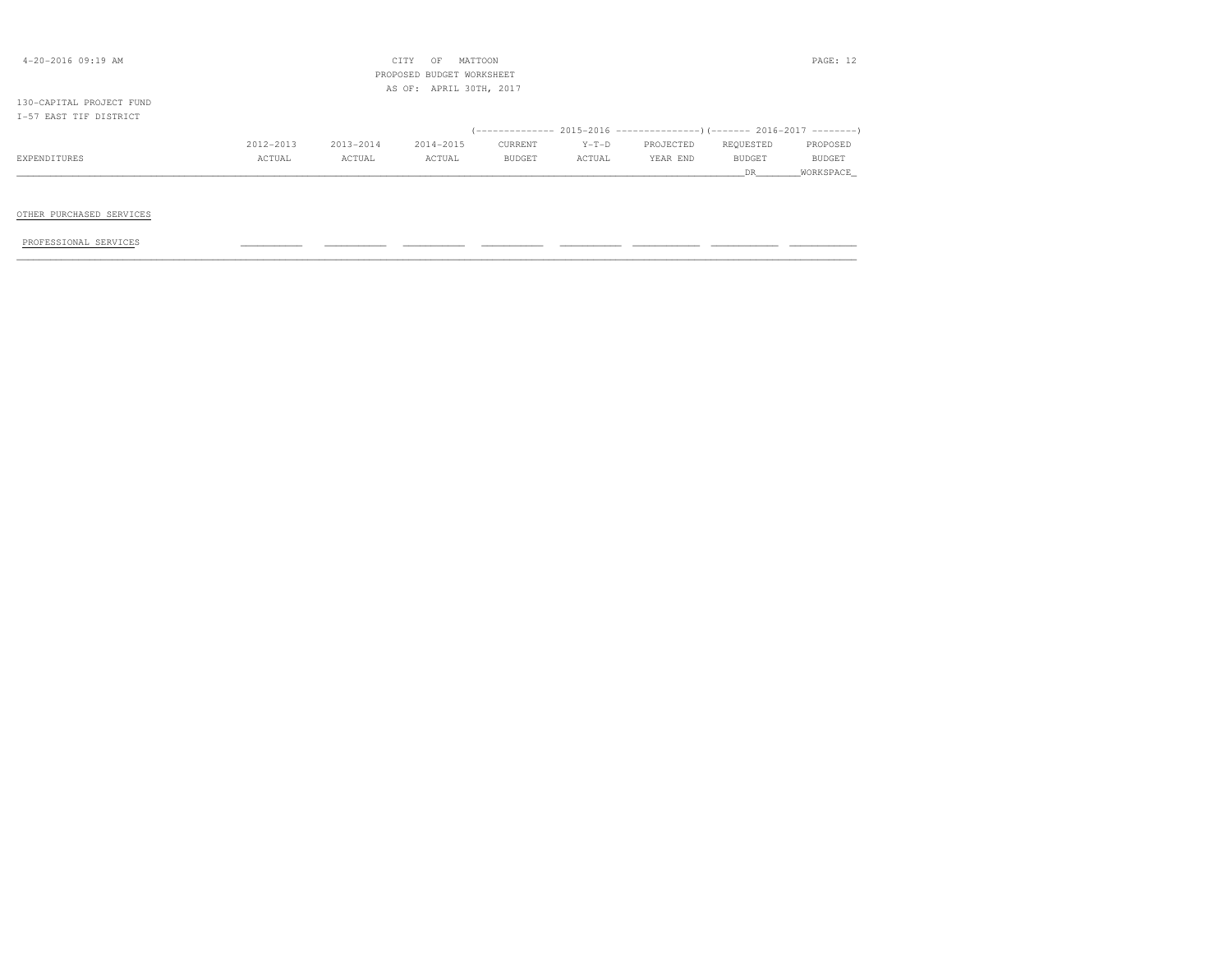| $4 - 20 - 2016$ 09:19 AM                           |           |           | CITY<br>OF<br>PROPOSED BUDGET WORKSHEET | MATTOON       |         |                                                                                       |                      | PAGE: 12            |
|----------------------------------------------------|-----------|-----------|-----------------------------------------|---------------|---------|---------------------------------------------------------------------------------------|----------------------|---------------------|
| 130-CAPITAL PROJECT FUND<br>I-57 EAST TIF DISTRICT |           |           | AS OF: APRIL 30TH, 2017                 |               |         |                                                                                       |                      |                     |
|                                                    | 2012-2013 | 2013-2014 | 2014-2015                               | CURRENT       | $Y-T-D$ | (-------------- 2015-2016 ----------------) (------- 2016-2017 --------)<br>PROJECTED | REQUESTED            | PROPOSED            |
| EXPENDITURES                                       | ACTUAL    | ACTUAL    | ACTUAL                                  | <b>BUDGET</b> | ACTUAL  | YEAR END                                                                              | <b>BUDGET</b><br>DR. | BUDGET<br>WORKSPACE |
| OTHER PURCHASED SERVICES                           |           |           |                                         |               |         |                                                                                       |                      |                     |

PROFESSIONAL SERVICES \_\_\_\_\_\_\_\_\_\_\_ \_\_\_\_\_\_\_\_\_\_\_ \_\_\_\_\_\_\_\_\_\_\_ \_\_\_\_\_\_\_\_\_\_\_ \_\_\_\_\_\_\_\_\_\_\_ \_\_\_\_\_\_\_\_\_\_\_\_ \_\_\_\_\_\_\_\_\_\_\_\_ \_\_\_\_\_\_\_\_\_\_\_\_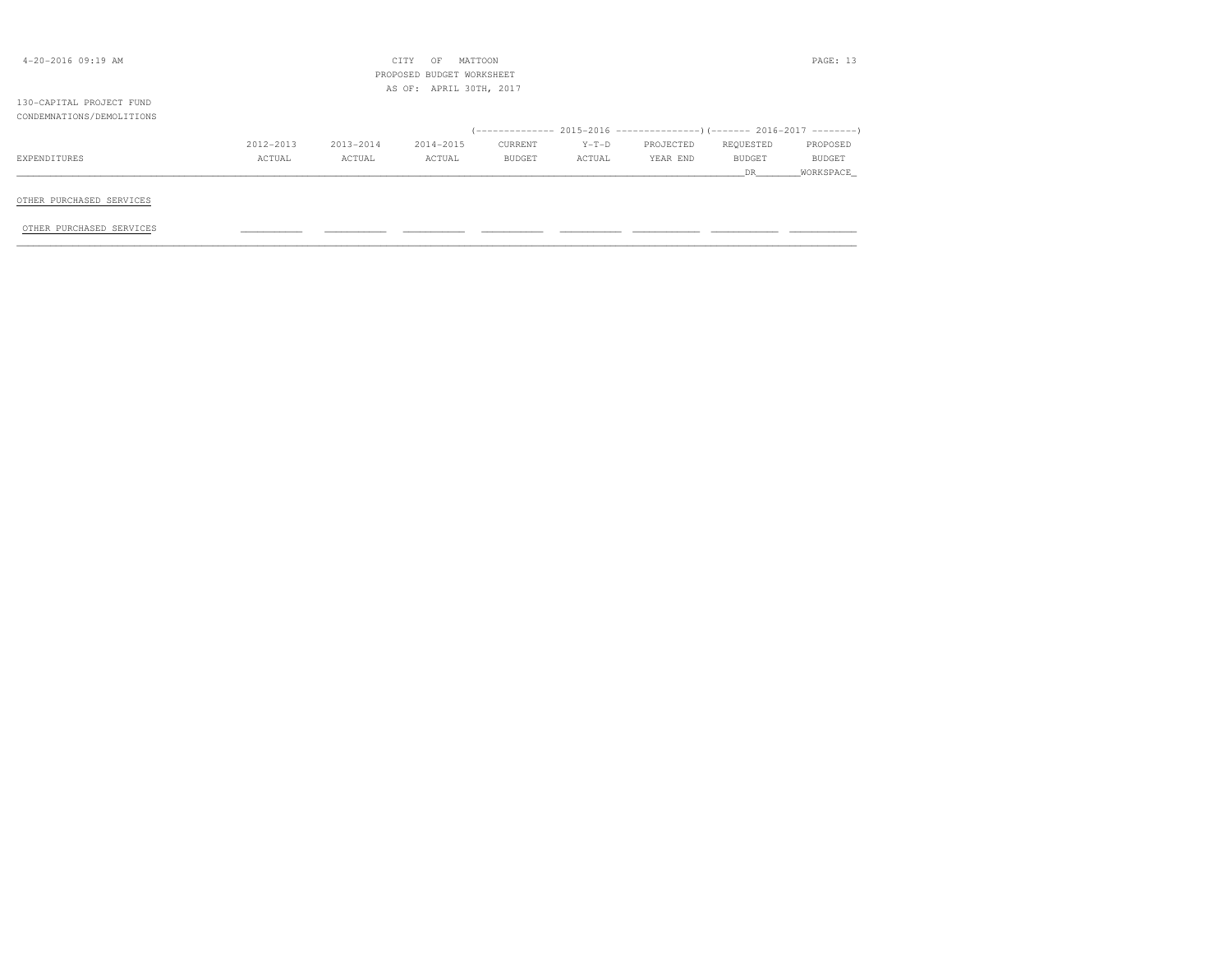|           |           | OF        |         |                                                                 |           |           | PAGE: 13                                                                 |
|-----------|-----------|-----------|---------|-----------------------------------------------------------------|-----------|-----------|--------------------------------------------------------------------------|
|           |           |           |         |                                                                 |           |           |                                                                          |
|           |           |           |         |                                                                 |           |           |                                                                          |
|           |           |           |         |                                                                 |           |           |                                                                          |
| 2012-2013 | 2013-2014 | 2014-2015 | CURRENT | $Y-T-D$                                                         | PROJECTED | REQUESTED | PROPOSED                                                                 |
| ACTUAL    | ACTUAL    | ACTUAL    | BUDGET  | ACTUAL                                                          | YEAR END  | BUDGET    | BUDGET                                                                   |
|           |           |           |         |                                                                 |           | DR —      | WORKSPACE                                                                |
|           |           |           |         |                                                                 |           |           |                                                                          |
|           |           |           | CITY    | MATTOON<br>PROPOSED BUDGET WORKSHEET<br>AS OF: APRIL 30TH, 2017 |           |           | (-------------- 2015-2016 ----------------) (------- 2016-2017 --------) |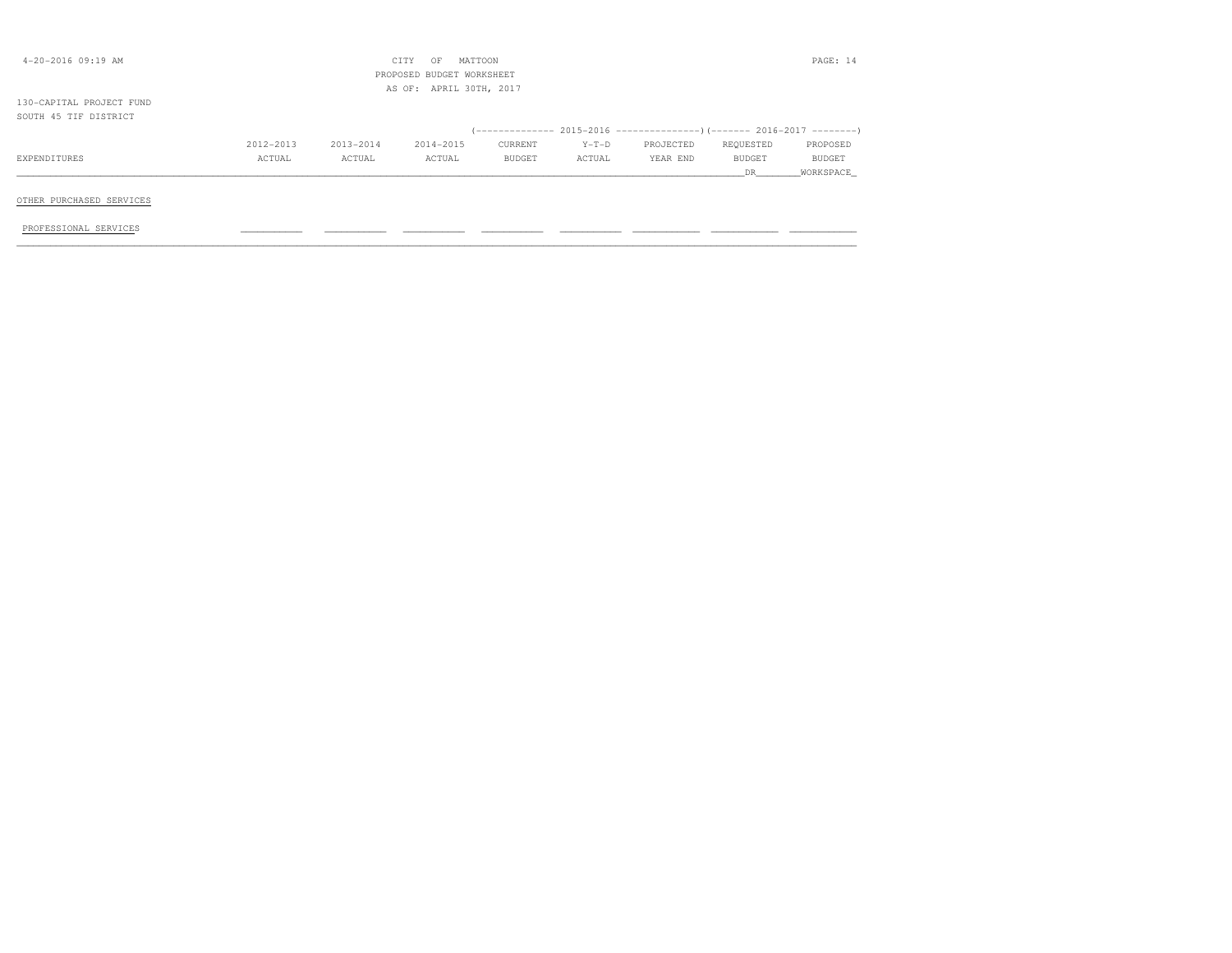| $4 - 20 - 2016$ 09:19 AM |           |           | MATTOON<br>CITY<br>OF     |               |         |           |               | PAGE: 14  |
|--------------------------|-----------|-----------|---------------------------|---------------|---------|-----------|---------------|-----------|
|                          |           |           | PROPOSED BUDGET WORKSHEET |               |         |           |               |           |
|                          |           |           | AS OF: APRIL 30TH, 2017   |               |         |           |               |           |
| 130-CAPITAL PROJECT FUND |           |           |                           |               |         |           |               |           |
| SOUTH 45 TIF DISTRICT    |           |           |                           |               |         |           |               |           |
|                          |           |           |                           |               |         |           |               |           |
|                          | 2012-2013 | 2013-2014 | 2014-2015                 | CURRENT       | $Y-T-D$ | PROJECTED | REQUESTED     | PROPOSED  |
| EXPENDITURES             | ACTUAL    | ACTUAL    | ACTUAL                    | <b>BUDGET</b> | ACTUAL  | YEAR END  | <b>BUDGET</b> | BUDGET    |
|                          |           |           |                           |               |         |           | DR            | WORKSPACE |
|                          |           |           |                           |               |         |           |               |           |
| OTHER PURCHASED SERVICES |           |           |                           |               |         |           |               |           |
|                          |           |           |                           |               |         |           |               |           |
| PROFESSIONAL SERVICES    |           |           |                           |               |         |           |               |           |
|                          |           |           |                           |               |         |           |               |           |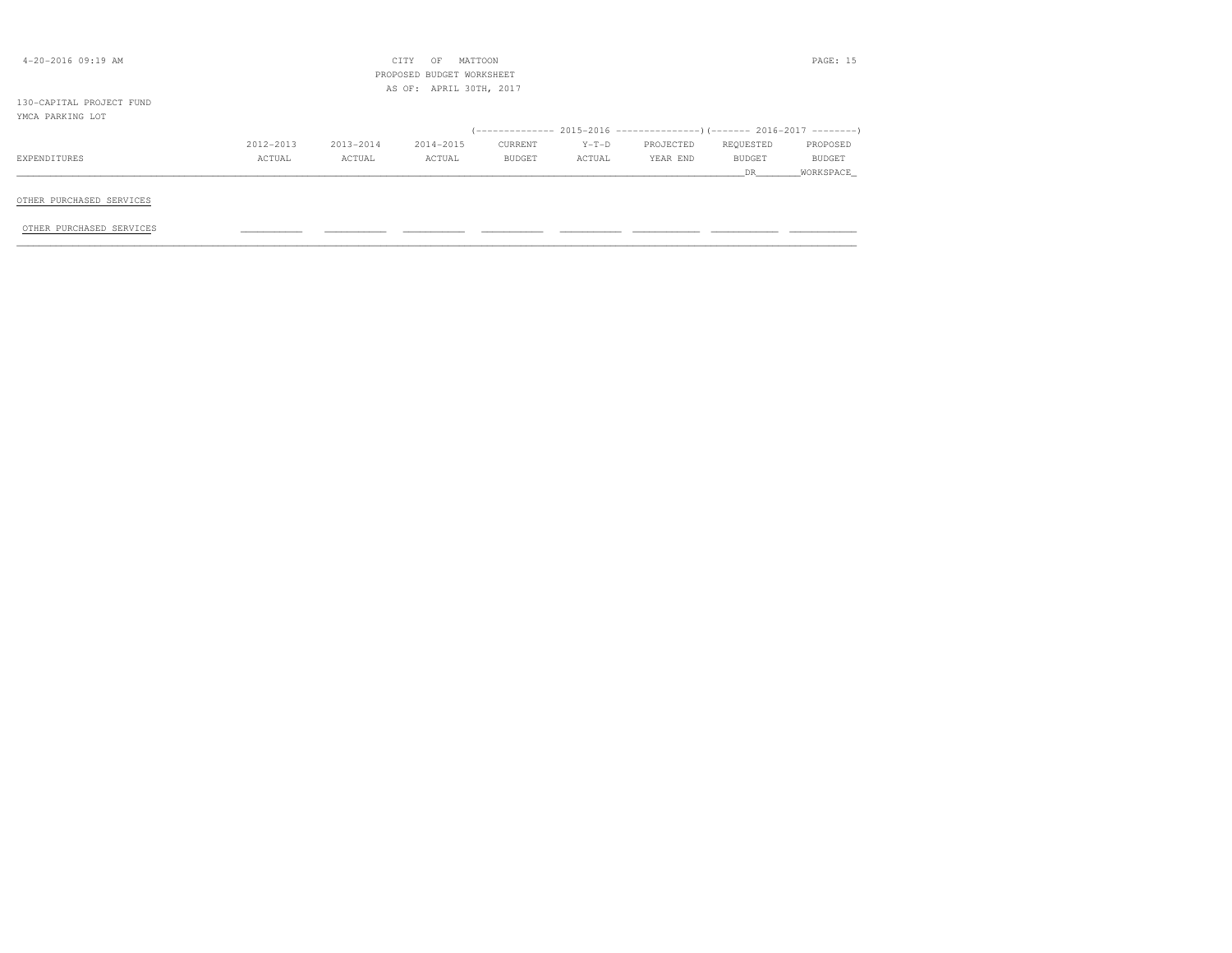| 4-20-2016 09:19 AM       |           |           | CITY<br>OF<br>MATTOON<br>PROPOSED BUDGET WORKSHEET<br>AS OF: APRIL 30TH, 2017 |         |         |                                                                      |           | PAGE: 15  |
|--------------------------|-----------|-----------|-------------------------------------------------------------------------------|---------|---------|----------------------------------------------------------------------|-----------|-----------|
| 130-CAPITAL PROJECT FUND |           |           |                                                                               |         |         |                                                                      |           |           |
| YMCA PARKING LOT         |           |           |                                                                               |         |         |                                                                      |           |           |
|                          |           |           |                                                                               |         |         | (-------------- 2015-2016 --------------------- 2016-2017 ---------) |           |           |
|                          | 2012-2013 | 2013-2014 | 2014-2015                                                                     | CURRENT | $Y-T-D$ | PROJECTED                                                            | REQUESTED | PROPOSED  |
| EXPENDITURES             | ACTUAL    | ACTUAL    | ACTUAL                                                                        | BUDGET  | ACTUAL  | YEAR END                                                             | BUDGET    | BUDGET    |
|                          |           |           |                                                                               |         |         |                                                                      | DR.       | WORKSPACE |
| OTHER PURCHASED SERVICES |           |           |                                                                               |         |         |                                                                      |           |           |
| OTHER PURCHASED SERVICES |           |           |                                                                               |         |         |                                                                      |           |           |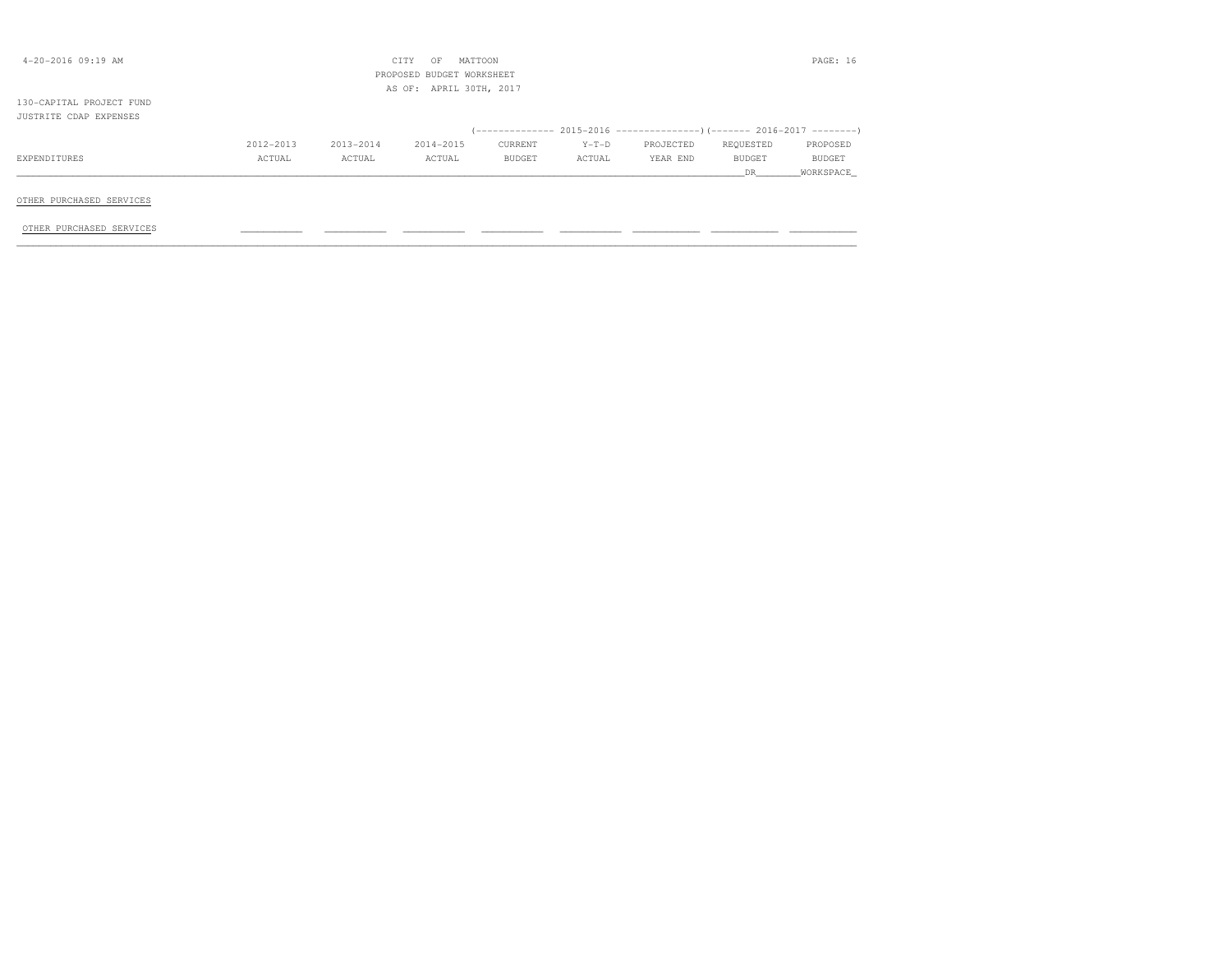| $4 - 20 - 2016$ 09:19 AM                             |           |           | OF<br>CITY<br>PROPOSED BUDGET WORKSHEET<br>AS OF: APRIL 30TH, 2017 | MATTOON |         |                                                                          |           | PAGE: 16  |
|------------------------------------------------------|-----------|-----------|--------------------------------------------------------------------|---------|---------|--------------------------------------------------------------------------|-----------|-----------|
| 130-CAPITAL PROJECT FUND                             |           |           |                                                                    |         |         |                                                                          |           |           |
| JUSTRITE CDAP EXPENSES                               |           |           |                                                                    |         |         |                                                                          |           |           |
|                                                      |           |           |                                                                    |         |         | (-------------- 2015-2016 ----------------) (------- 2016-2017 --------) |           |           |
|                                                      | 2012-2013 | 2013-2014 | 2014-2015                                                          | CURRENT | $Y-T-D$ | PROJECTED                                                                | REQUESTED | PROPOSED  |
| EXPENDITURES                                         | ACTUAL    | ACTUAL    | ACTUAL                                                             | BUDGET  | ACTUAL  | YEAR END                                                                 | BUDGET    | BUDGET    |
|                                                      |           |           |                                                                    |         |         |                                                                          | DR DR     | WORKSPACE |
| OTHER PURCHASED SERVICES<br>OTHER PURCHASED SERVICES |           |           |                                                                    |         |         |                                                                          |           |           |
|                                                      |           |           |                                                                    |         |         |                                                                          |           |           |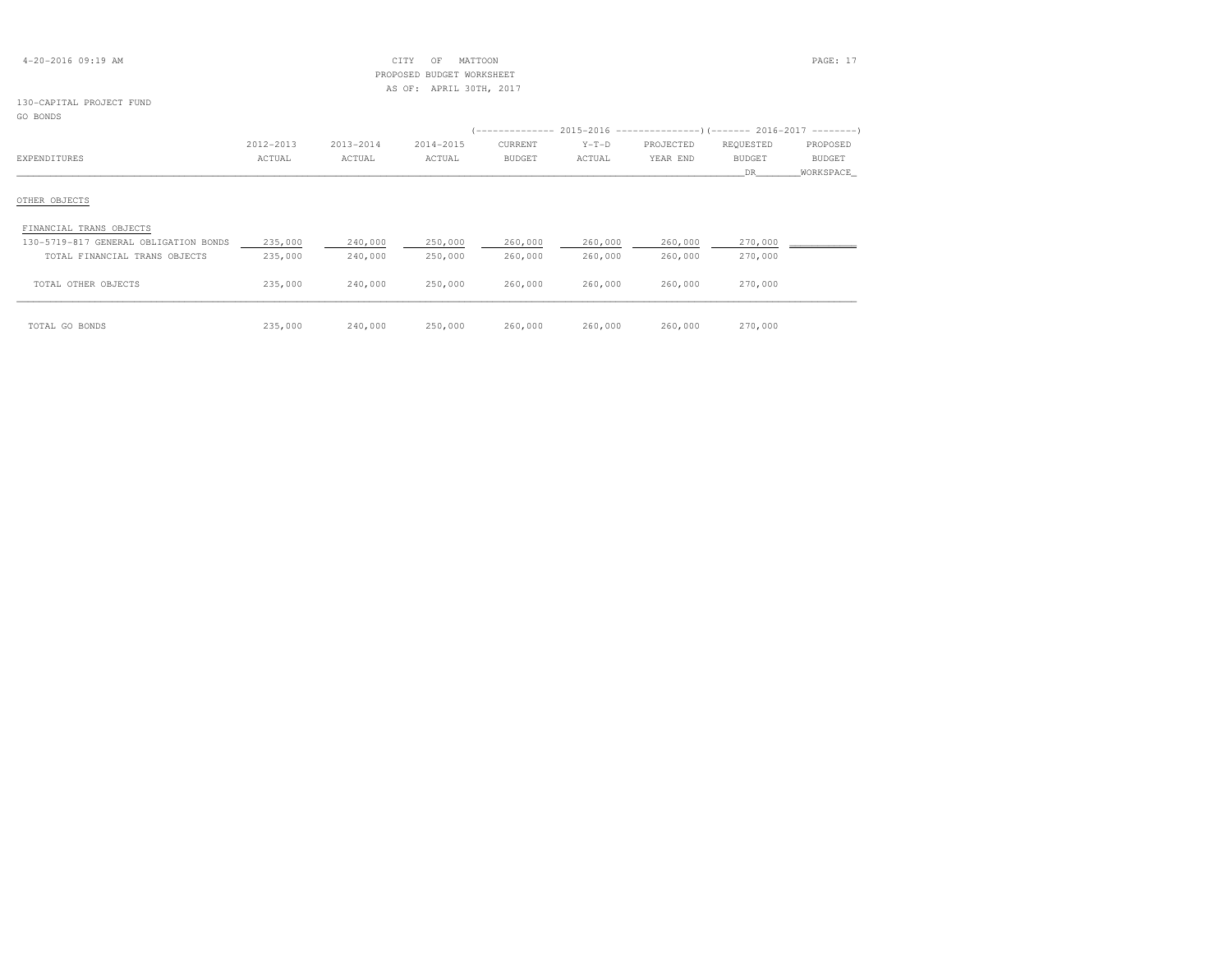| $4 - 20 - 2016$ 09:19 AM |  |
|--------------------------|--|
|--------------------------|--|

# $\text{CITY}$  OF MATTOON PAGE: 17 PROPOSED BUDGET WORKSHEETAS OF: APRIL 30TH, 2017

# 130-CAPITAL PROJECT FUND

# GO BONDS

|                                       | 2012-2013 | 2013-2014 | 2014-2015 | CURRENT       | $Y-T-D$ | PROJECTED | REQUESTED     | PROPOSED      |
|---------------------------------------|-----------|-----------|-----------|---------------|---------|-----------|---------------|---------------|
| EXPENDITURES                          | ACTUAL    | ACTUAL    | ACTUAL    | <b>BUDGET</b> | ACTUAL  | YEAR END  | <b>BUDGET</b> | <b>BUDGET</b> |
|                                       |           |           |           |               |         |           | DR.           | WORKSPACE     |
| OTHER OBJECTS                         |           |           |           |               |         |           |               |               |
| FINANCIAL TRANS OBJECTS               |           |           |           |               |         |           |               |               |
| 130-5719-817 GENERAL OBLIGATION BONDS | 235,000   | 240,000   | 250,000   | 260,000       | 260,000 | 260,000   | 270,000       |               |
| TOTAL FINANCIAL TRANS OBJECTS         | 235,000   | 240,000   | 250,000   | 260,000       | 260,000 | 260,000   | 270,000       |               |
| TOTAL OTHER OBJECTS                   | 235,000   | 240,000   | 250,000   | 260,000       | 260,000 | 260,000   | 270,000       |               |
| TOTAL GO BONDS                        | 235,000   | 240,000   | 250,000   | 260,000       | 260,000 | 260,000   | 270,000       |               |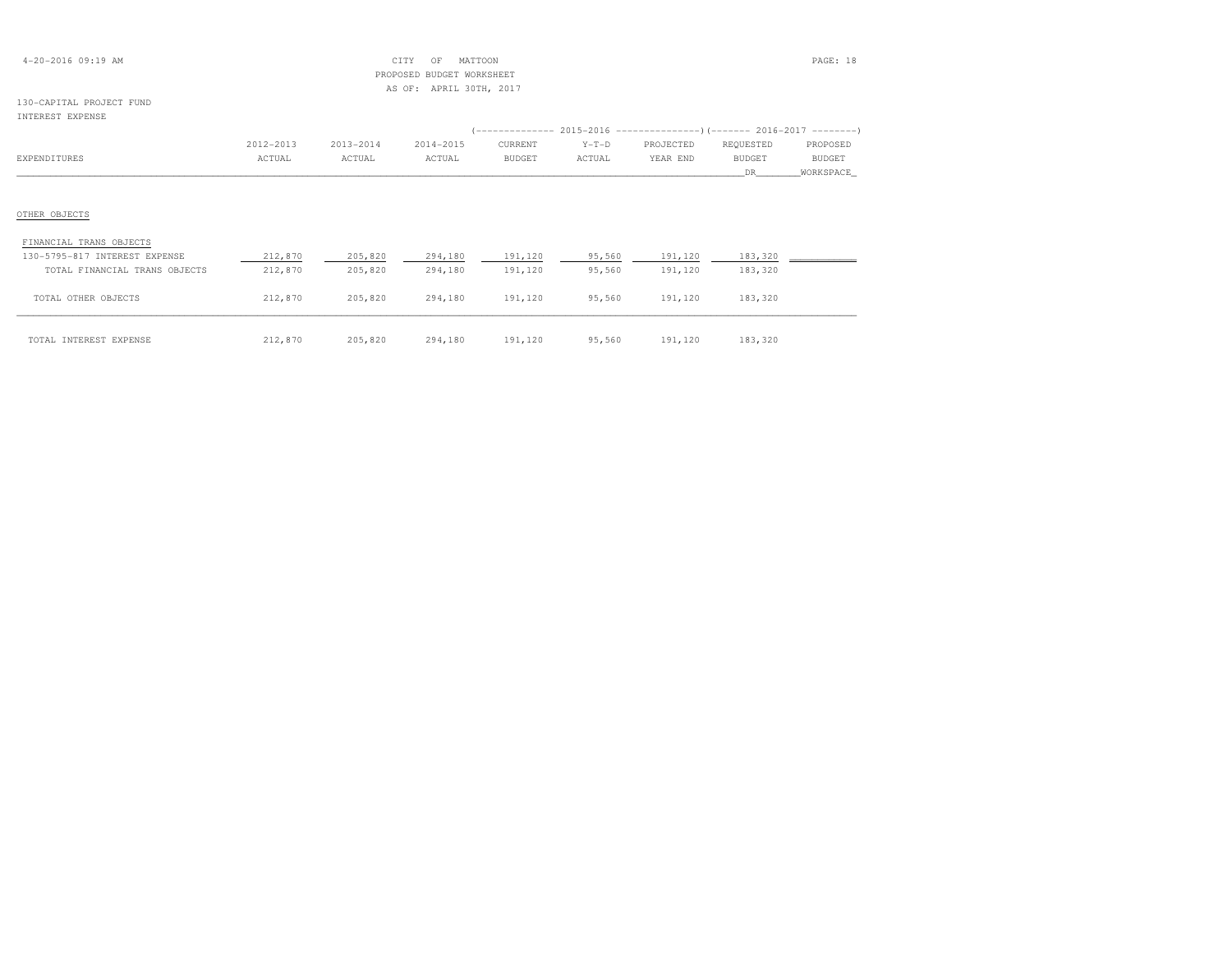| $4 - 20 - 2016$ 09:19 AM |  |  |
|--------------------------|--|--|
|--------------------------|--|--|

# $\begin{array}{ccc} \text{CITY} & \text{OF} & \text{MATTOON} \end{array}$  PROPOSED BUDGET WORKSHEETAS OF: APRIL 30TH, 2017

#### 130-CAPITAL PROJECT FUNDINTEREST EXPENSE

| TMITUTOI PULPIMOD             |           |           |           |         |         |           |           |           |
|-------------------------------|-----------|-----------|-----------|---------|---------|-----------|-----------|-----------|
|                               |           |           |           |         |         |           |           |           |
|                               | 2012-2013 | 2013-2014 | 2014-2015 | CURRENT | $Y-T-D$ | PROJECTED | REQUESTED | PROPOSED  |
| EXPENDITURES                  | ACTUAL    | ACTUAL    | ACTUAL    | BUDGET  | ACTUAL  | YEAR END  | BUDGET    | BUDGET    |
|                               |           |           |           |         |         |           | DR        | WORKSPACE |
|                               |           |           |           |         |         |           |           |           |
| OTHER OBJECTS                 |           |           |           |         |         |           |           |           |
| FINANCIAL TRANS OBJECTS       |           |           |           |         |         |           |           |           |
| 130-5795-817 INTEREST EXPENSE | 212,870   | 205,820   | 294,180   | 191,120 | 95,560  | 191,120   | 183,320   |           |
| TOTAL FINANCIAL TRANS OBJECTS | 212,870   | 205,820   | 294,180   | 191,120 | 95,560  | 191,120   | 183,320   |           |
| TOTAL OTHER OBJECTS           | 212,870   | 205,820   | 294,180   | 191,120 | 95,560  | 191,120   | 183,320   |           |
|                               |           |           |           |         |         |           |           |           |

| TOTAL INTEREST EXPENSE | 212,870 | 205,820 | 294,180<br>. | 191,120<br>$\sim$ $\sim$ $\sim$ $\sim$ | 95,560 | 191,120<br>$\sim$ $\sim$ $\sim$ $\sim$ $\sim$ | 183,320 |
|------------------------|---------|---------|--------------|----------------------------------------|--------|-----------------------------------------------|---------|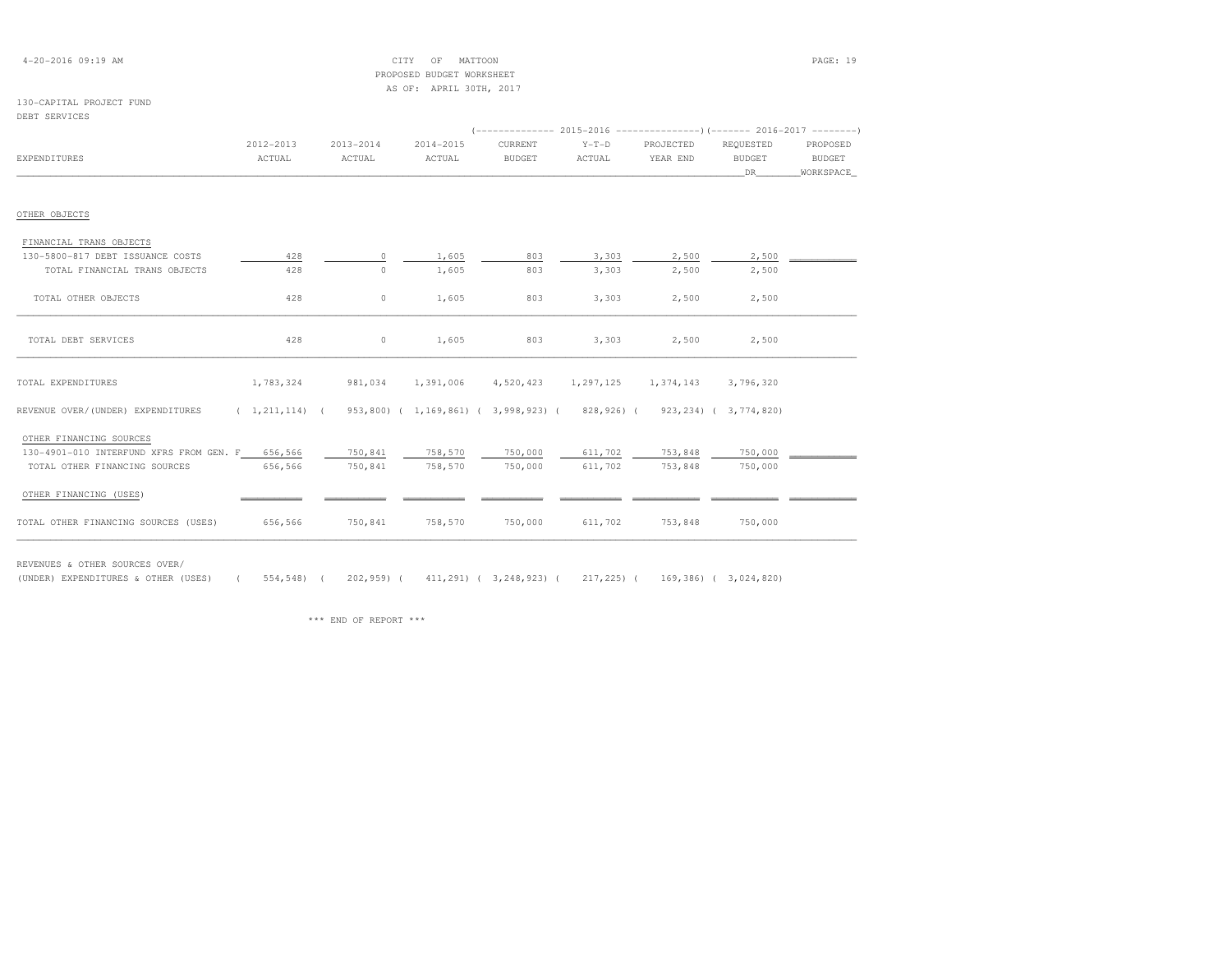# 4-20-2016 09:19 AM CITY OF MATTOON PAGE: 19 PROPOSED BUDGET WORKSHEETAS OF: APRIL 30TH, 2017

## 130-CAPITAL PROJECT FUNDDEBT SERVICES

|                                                 | $2012 - 2013$ | $2013 - 2014$                                                                                     | 2014-2015         | CURRENT       | $Y-T-D$   | PROJECTED | REQUESTED     | PROPOSED      |
|-------------------------------------------------|---------------|---------------------------------------------------------------------------------------------------|-------------------|---------------|-----------|-----------|---------------|---------------|
| EXPENDITURES                                    | ACTUAL        | ACTUAL                                                                                            | ACTUAL            | <b>BUDGET</b> | ACTUAL    | YEAR END  | <b>BUDGET</b> | <b>BUDGET</b> |
|                                                 |               |                                                                                                   |                   |               |           |           | DR.           | WORKSPACE     |
| OTHER OBJECTS                                   |               |                                                                                                   |                   |               |           |           |               |               |
| FINANCIAL TRANS OBJECTS                         |               |                                                                                                   |                   |               |           |           |               |               |
| 130-5800-817 DEBT ISSUANCE COSTS                | 428           | $\circ$                                                                                           | 1,605             | 803           | 3,303     | 2,500     | 2,500         |               |
| TOTAL FINANCIAL TRANS OBJECTS                   | 428           | $\circ$                                                                                           | 1,605             | 803           | 3,303     | 2,500     | 2,500         |               |
| TOTAL OTHER OBJECTS                             | 428           | $\circ$                                                                                           | 1,605             | 803           | 3,303     | 2,500     | 2,500         |               |
| TOTAL DEBT SERVICES                             | 428           | $0 \qquad \qquad$                                                                                 | 1,605             | 803           | 3,303     | 2,500     | 2,500         |               |
| TOTAL EXPENDITURES                              | 1,783,324     |                                                                                                   | 981,034 1,391,006 | 4,520,423     | 1,297,125 | 1,374,143 | 3,796,320     |               |
| REVENUE OVER/(UNDER) EXPENDITURES               |               | $(1,211,114)$ ( $953,800)$ ( $1,169,861)$ ( $3,998,923)$ ( $828,926)$ ( $923,234)$ ( $3,774,820)$ |                   |               |           |           |               |               |
| OTHER FINANCING SOURCES                         |               |                                                                                                   |                   |               |           |           |               |               |
| 130-4901-010 INTERFUND XFRS FROM GEN. F 656,566 |               | 750,841                                                                                           | 758,570           | 750,000       | 611,702   | 753,848   | 750,000       |               |
| TOTAL OTHER FINANCING SOURCES                   | 656,566       | 750,841                                                                                           | 758,570           | 750,000       | 611,702   | 753,848   | 750,000       |               |
| OTHER FINANCING (USES)                          |               |                                                                                                   |                   |               |           |           |               |               |
| TOTAL OTHER FINANCING SOURCES (USES)            | 656,566       | 750,841                                                                                           | 758,570           | 750,000       | 611,702   | 753,848   | 750,000       |               |

REVENUES & OTHER SOURCES OVER/

(UNDER) EXPENDITURES & OTHER (USES) ( 554,548) ( 202,959) ( 411,291) ( 3,248,923) ( 217,225) ( 169,386) ( 3,024,820)

\*\*\* END OF REPORT \*\*\*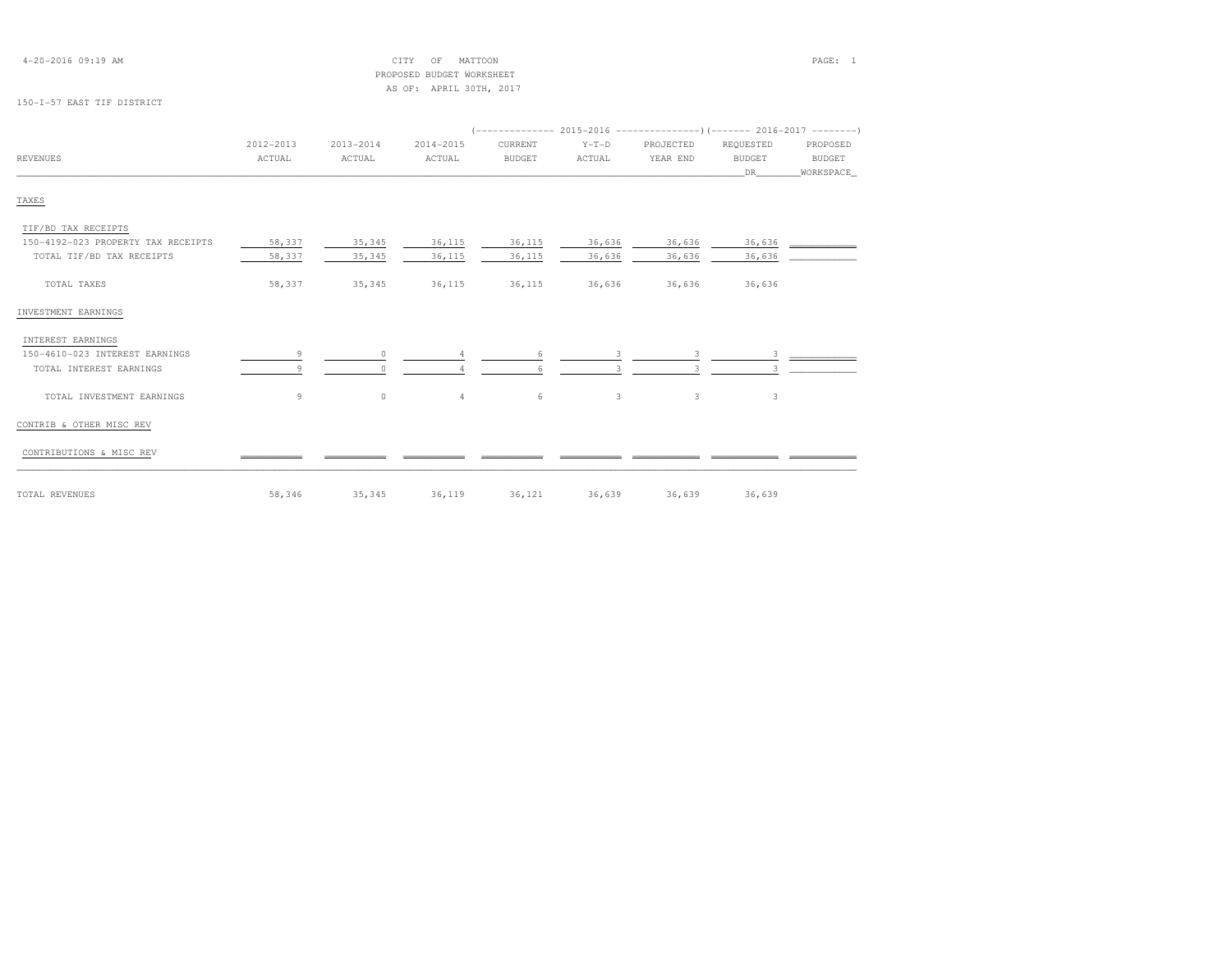| $4 - 20 - 2016$ 09:19 AM |  |
|--------------------------|--|
|--------------------------|--|

# 4-20-2016 09:19 AM CITY OF MATTOON PAGE: 1 PROPOSED BUDGET WORKSHEETAS OF: APRIL 30TH, 2017

## 150-I-57 EAST TIF DISTRICT

|                                    | 2012-2013 | 2013-2014 | 2014-2015      | CURRENT       | $Y-T-D$ | PROJECTED | REQUESTED     | PROPOSED  |  |  |  |
|------------------------------------|-----------|-----------|----------------|---------------|---------|-----------|---------------|-----------|--|--|--|
| <b>REVENUES</b>                    | ACTUAL    | ACTUAL    | ACTUAL         | <b>BUDGET</b> | ACTUAL  | YEAR END  | <b>BUDGET</b> | BUDGET    |  |  |  |
|                                    |           |           |                |               |         |           | DR            | WORKSPACE |  |  |  |
| TAXES                              |           |           |                |               |         |           |               |           |  |  |  |
| TIF/BD TAX RECEIPTS                |           |           |                |               |         |           |               |           |  |  |  |
| 150-4192-023 PROPERTY TAX RECEIPTS | 58,337    | 35,345    | 36,115         | 36,115        | 36,636  | 36,636    | 36,636        |           |  |  |  |
| TOTAL TIF/BD TAX RECEIPTS          | 58,337    | 35,345    | 36,115         | 36,115        | 36,636  | 36,636    | 36,636        |           |  |  |  |
| TOTAL TAXES                        | 58,337    | 35,345    | 36,115         | 36,115        | 36,636  | 36,636    | 36,636        |           |  |  |  |
| INVESTMENT EARNINGS                |           |           |                |               |         |           |               |           |  |  |  |
| INTEREST EARNINGS                  |           |           |                |               |         |           |               |           |  |  |  |
| 150-4610-023 INTEREST EARNINGS     |           | $\Omega$  |                | 6             | 3       | 3         | 3             |           |  |  |  |
| TOTAL INTEREST EARNINGS            |           |           |                |               |         |           |               |           |  |  |  |
| TOTAL INVESTMENT EARNINGS          | 9         | $\circ$   | $\overline{4}$ | 6             | 3       | 3         | 3             |           |  |  |  |
| CONTRIB & OTHER MISC REV           |           |           |                |               |         |           |               |           |  |  |  |
| CONTRIBUTIONS & MISC REV           |           |           |                |               |         |           |               |           |  |  |  |
| TOTAL REVENUES                     | 58,346    | 35,345    | 36,119         | 36,121        | 36,639  | 36,639    | 36,639        |           |  |  |  |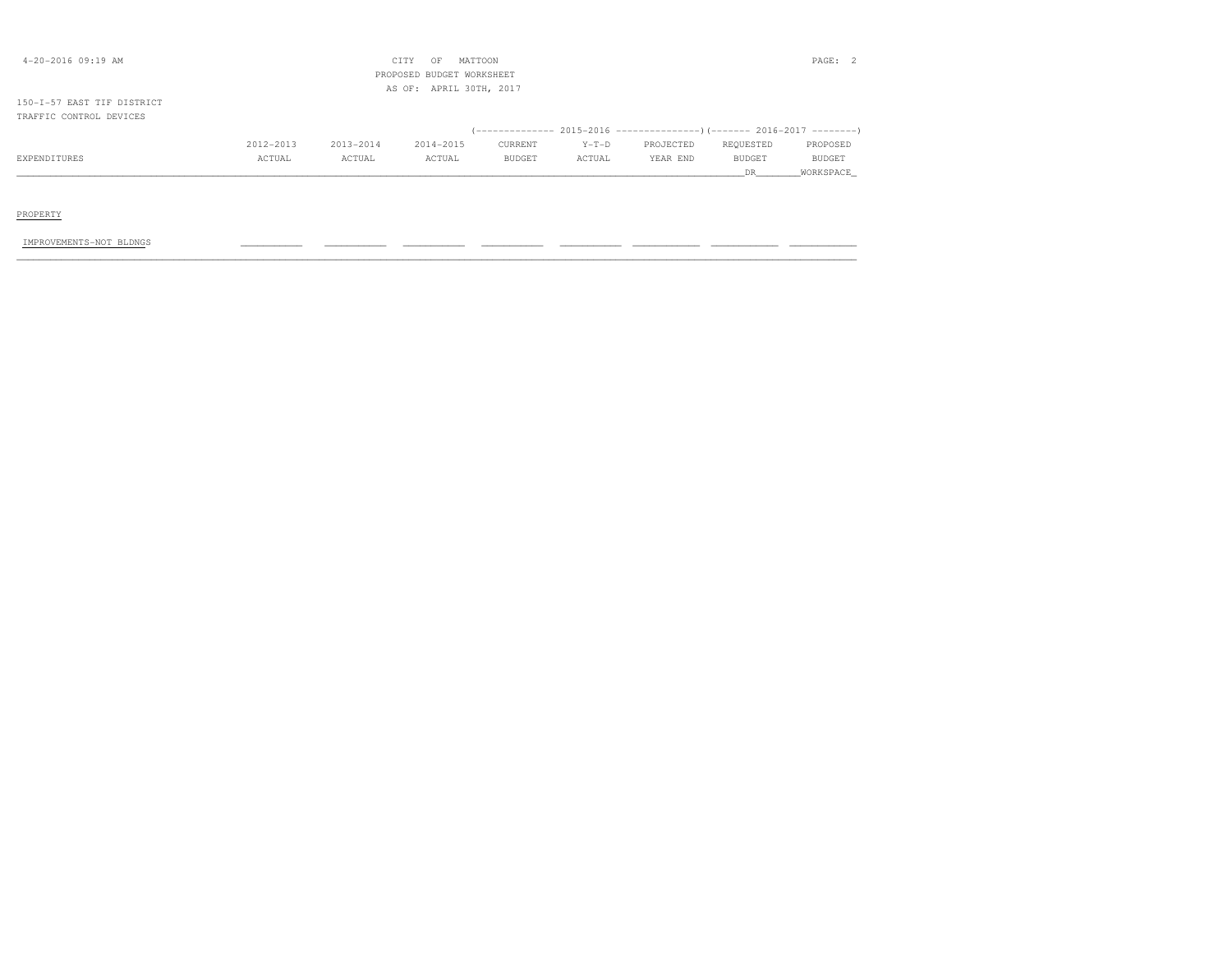| $4 - 20 - 2016$ 09:19 AM   |           |           | CITY<br>OF<br>PROPOSED BUDGET WORKSHEET | MATTOON |         |                                                                           |               | PAGE: 2   |
|----------------------------|-----------|-----------|-----------------------------------------|---------|---------|---------------------------------------------------------------------------|---------------|-----------|
|                            |           |           | AS OF: APRIL 30TH, 2017                 |         |         |                                                                           |               |           |
| 150-I-57 EAST TIF DISTRICT |           |           |                                         |         |         |                                                                           |               |           |
| TRAFFIC CONTROL DEVICES    |           |           |                                         |         |         |                                                                           |               |           |
|                            |           |           |                                         |         |         | (-------------- 2015-2016 --------------------        2016-2017 --------' |               |           |
|                            | 2012-2013 | 2013-2014 | 2014-2015                               | CURRENT | $Y-T-D$ | PROJECTED                                                                 | REQUESTED     | PROPOSED  |
| EXPENDITURES               | ACTUAL    | ACTUAL    | ACTUAL                                  | BUDGET  | ACTUAL  | YEAR END                                                                  | <b>BUDGET</b> | BUDGET    |
|                            |           |           |                                         |         |         |                                                                           | DR.           | WORKSPACE |
|                            |           |           |                                         |         |         |                                                                           |               |           |
|                            |           |           |                                         |         |         |                                                                           |               |           |
| PROPERTY                   |           |           |                                         |         |         |                                                                           |               |           |
|                            |           |           |                                         |         |         |                                                                           |               |           |

IMPROVEMENTS-NOT BLDNGS \_\_\_\_\_\_\_\_\_\_\_ \_\_\_\_\_\_\_\_\_\_\_ \_\_\_\_\_\_\_\_\_\_\_ \_\_\_\_\_\_\_\_\_\_\_ \_\_\_\_\_\_\_\_\_\_\_ \_\_\_\_\_\_\_\_\_\_\_\_ \_\_\_\_\_\_\_\_\_\_\_\_ \_\_\_\_\_\_\_\_\_\_\_\_ \_\_\_\_\_\_\_\_\_\_\_\_\_\_\_\_\_\_\_\_\_\_\_\_\_\_\_\_\_\_\_\_\_\_\_\_\_\_\_\_\_\_\_\_\_\_\_\_\_\_\_\_\_\_\_\_\_\_\_\_\_\_\_\_\_\_\_\_\_\_\_\_\_\_\_\_\_\_\_\_\_\_\_\_\_\_\_\_\_\_\_\_\_\_\_\_\_\_\_\_\_\_\_\_\_\_\_\_\_\_\_\_\_\_\_\_\_\_\_\_\_\_\_\_\_\_\_\_\_\_\_\_\_\_\_\_\_\_\_\_\_\_\_\_\_\_\_\_\_\_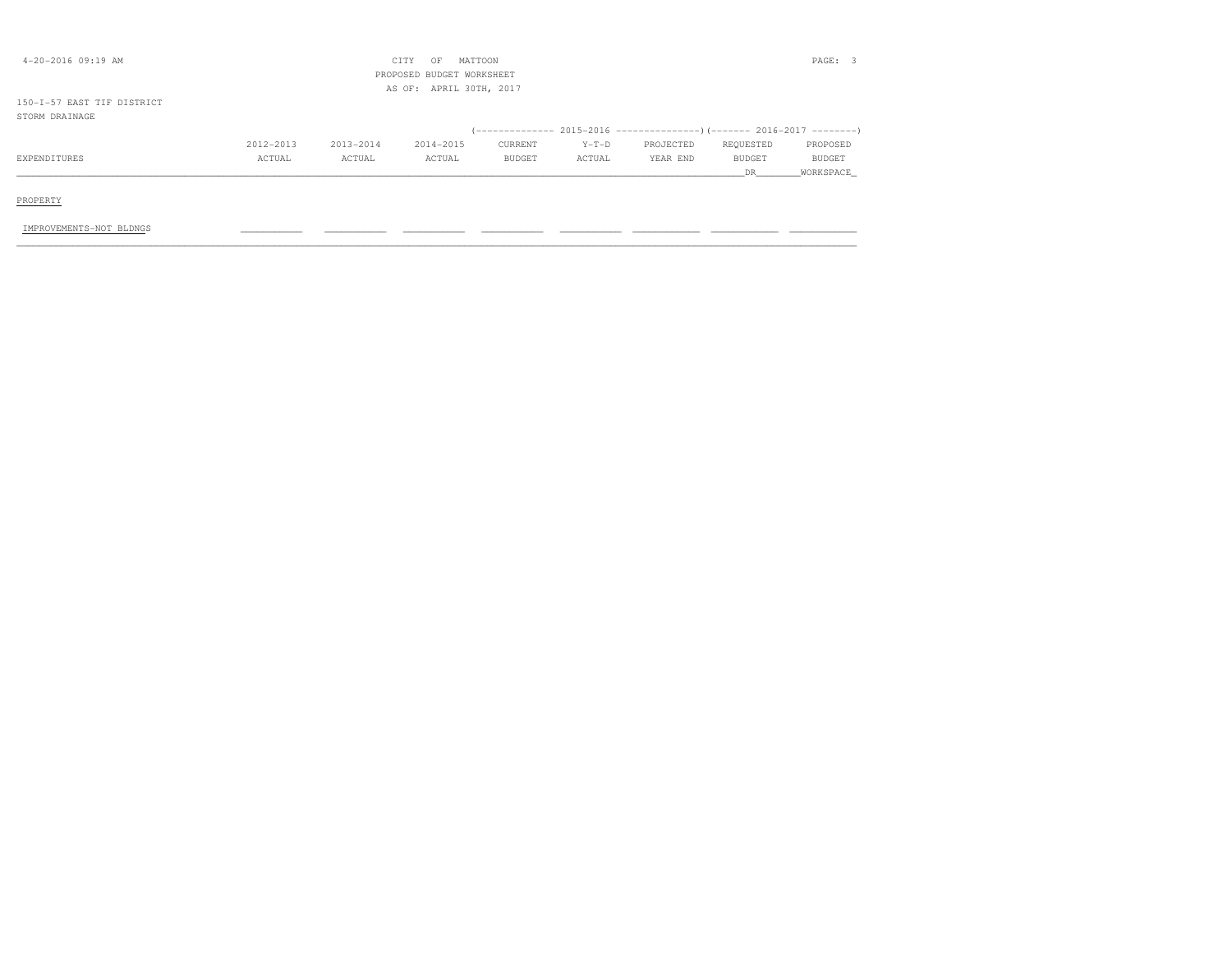| $4 - 20 - 2016$ 09:19 AM   |           |           | MATTOON<br>CITY<br>OF<br>PROPOSED BUDGET WORKSHEET<br>AS OF: APRIL 30TH, 2017 |         |         |                                                                      |               | PAGE: 3   |
|----------------------------|-----------|-----------|-------------------------------------------------------------------------------|---------|---------|----------------------------------------------------------------------|---------------|-----------|
| 150-I-57 EAST TIF DISTRICT |           |           |                                                                               |         |         |                                                                      |               |           |
| STORM DRAINAGE             |           |           |                                                                               |         |         |                                                                      |               |           |
|                            |           |           |                                                                               |         |         | (-------------- 2015-2016 ---------------------- 2016-2017 --------- |               |           |
|                            | 2012-2013 | 2013-2014 | 2014-2015                                                                     | CURRENT | $Y-T-D$ | PROJECTED                                                            | REQUESTED     | PROPOSED  |
| EXPENDITURES               | ACTUAL    | ACTUAL    | ACTUAL                                                                        | BUDGET  | ACTUAL  | YEAR END                                                             | <b>BUDGET</b> | BUDGET    |
|                            |           |           |                                                                               |         |         |                                                                      | DR.           | WORKSPACE |
| PROPERTY                   |           |           |                                                                               |         |         |                                                                      |               |           |
| IMPROVEMENTS-NOT BLDNGS    |           |           |                                                                               |         |         |                                                                      |               |           |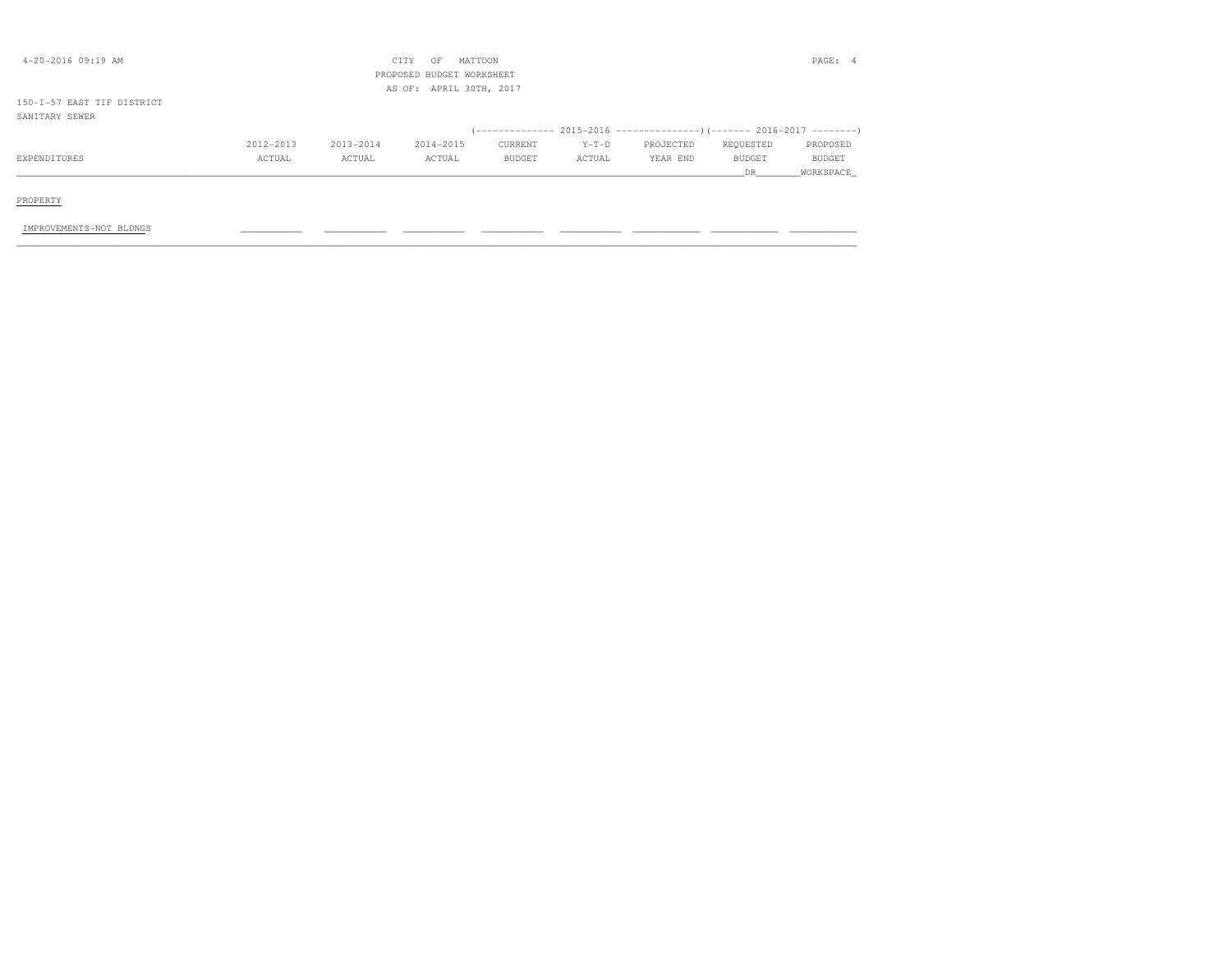| $4 - 20 - 2016$ 09:19 AM                     |           |           | MATTOON<br>CITY<br>OF<br>PROPOSED BUDGET WORKSHEET<br>AS OF: APRIL 30TH, 2017 |         |         |                                                                          |                      | PAGE: 4             |
|----------------------------------------------|-----------|-----------|-------------------------------------------------------------------------------|---------|---------|--------------------------------------------------------------------------|----------------------|---------------------|
| 150-I-57 EAST TIF DISTRICT<br>SANITARY SEWER |           |           |                                                                               |         |         |                                                                          |                      |                     |
|                                              |           |           |                                                                               |         |         | (-------------- 2015-2016 ----------------) (------- 2016-2017 --------) |                      |                     |
|                                              | 2012-2013 | 2013-2014 | 2014-2015                                                                     | CURRENT | $Y-T-D$ | PROJECTED                                                                | REQUESTED            | PROPOSED            |
| EXPENDITURES                                 | ACTUAL    | ACTUAL    | ACTUAL                                                                        | BUDGET  | ACTUAL  | YEAR END                                                                 | <b>BUDGET</b><br>DR. | BUDGET<br>WORKSPACE |
| PROPERTY                                     |           |           |                                                                               |         |         |                                                                          |                      |                     |
| IMPROVEMENTS-NOT BLDNGS                      |           |           |                                                                               |         |         |                                                                          |                      |                     |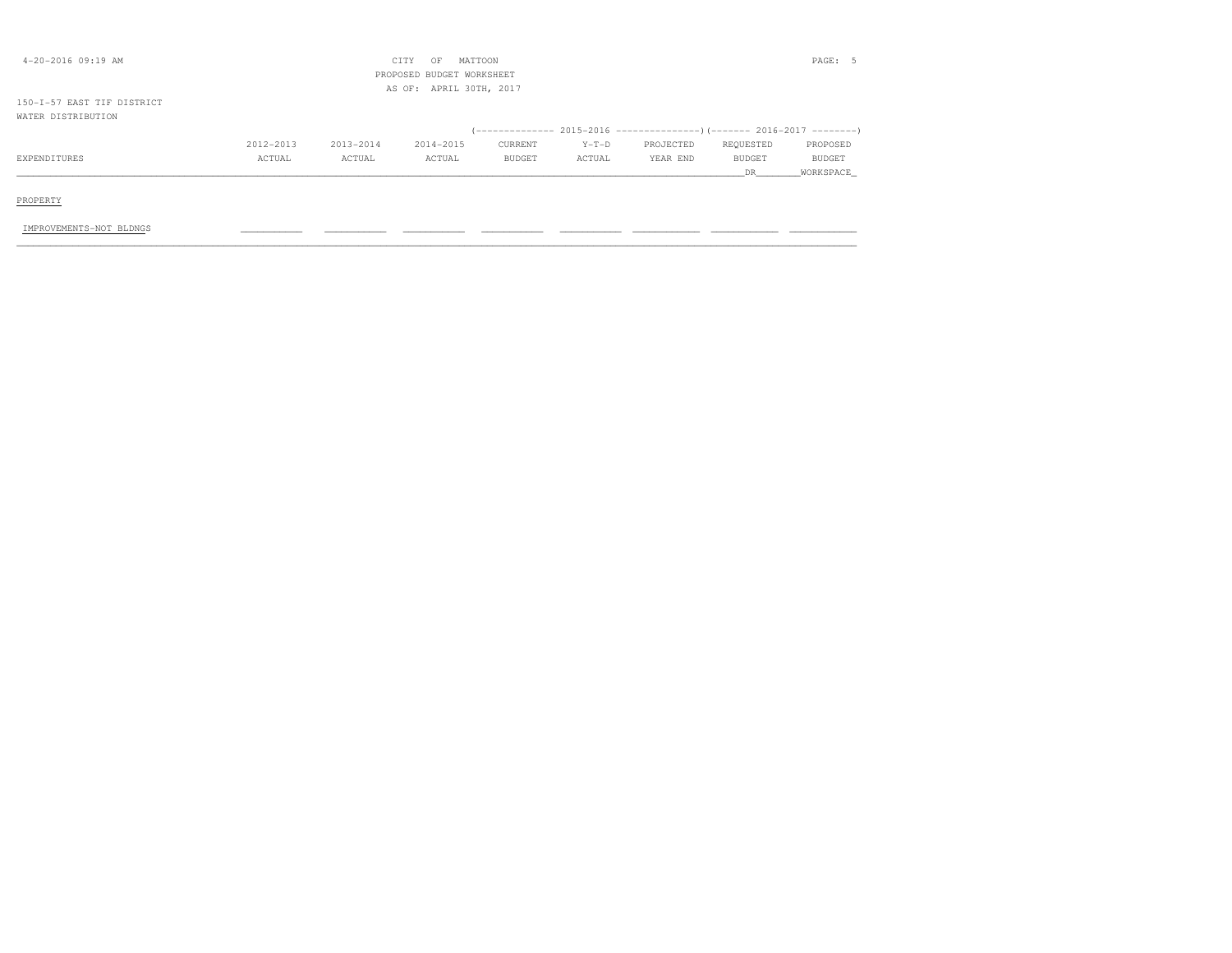| $4 - 20 - 2016$ 09:19 AM                         |           |           | MATTOON<br>CITY<br>OF<br>PROPOSED BUDGET WORKSHEET |         |         |           |           | PAGE: 5   |
|--------------------------------------------------|-----------|-----------|----------------------------------------------------|---------|---------|-----------|-----------|-----------|
|                                                  |           |           | AS OF: APRIL 30TH, 2017                            |         |         |           |           |           |
| 150-I-57 EAST TIF DISTRICT<br>WATER DISTRIBUTION |           |           |                                                    |         |         |           |           |           |
|                                                  |           |           |                                                    |         |         |           |           |           |
|                                                  | 2012-2013 | 2013-2014 | 2014-2015                                          | CURRENT | $Y-T-D$ | PROJECTED | REQUESTED | PROPOSED  |
| EXPENDITURES                                     | ACTUAL    | ACTUAL    | ACTUAL                                             | BUDGET  | ACTUAL  | YEAR END  | BUDGET    | BUDGET    |
|                                                  |           |           |                                                    |         |         |           | DR.       | WORKSPACE |
| PROPERTY                                         |           |           |                                                    |         |         |           |           |           |
| IMPROVEMENTS-NOT BLDNGS                          |           |           |                                                    |         |         |           |           |           |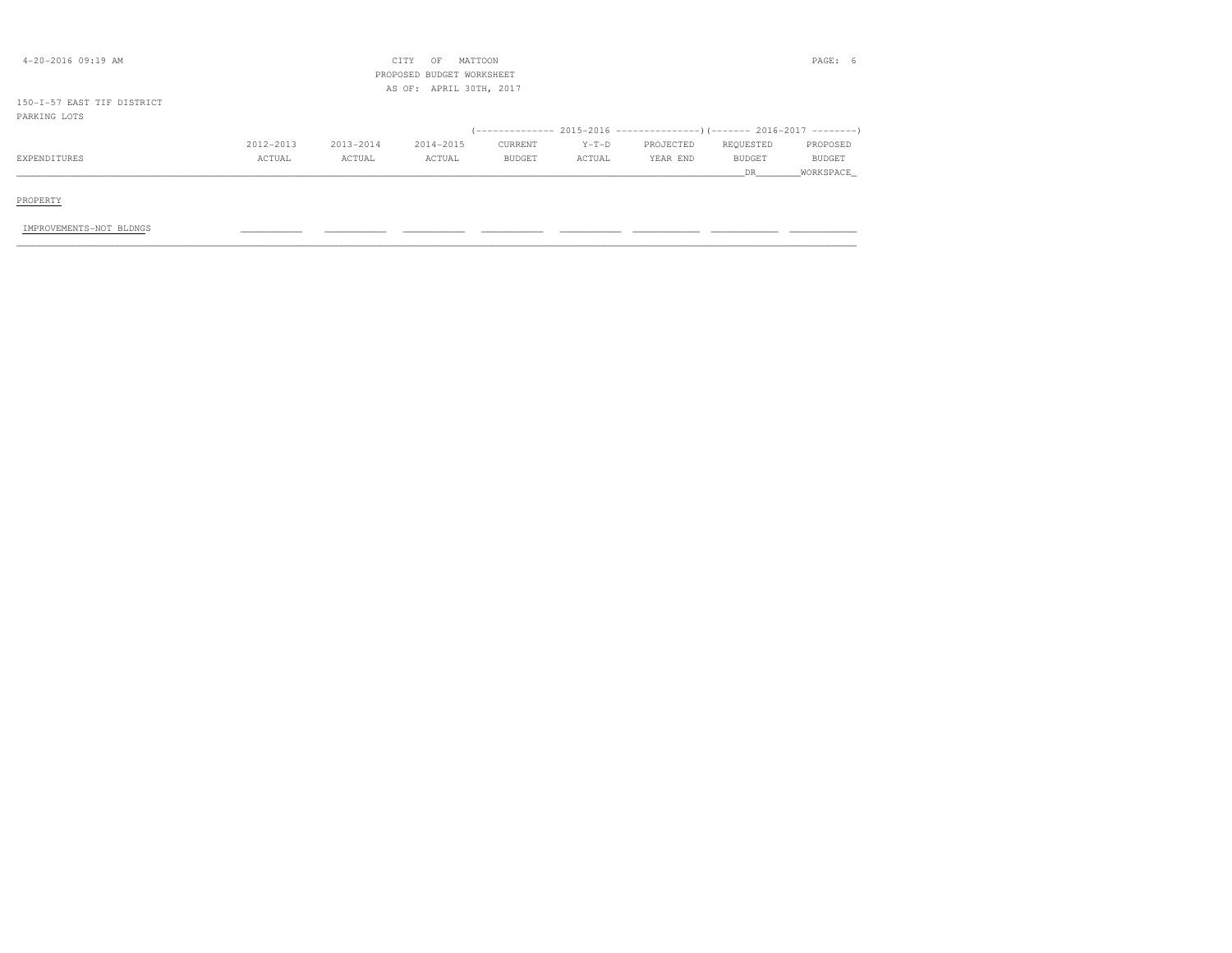| $4 - 20 - 2016$ 09:19 AM                   |           |           | MATTOON<br>CITY<br>OF<br>PROPOSED BUDGET WORKSHEET<br>AS OF: APRIL 30TH, 2017 |         |         |                                                                      |           | PAGE: 6   |
|--------------------------------------------|-----------|-----------|-------------------------------------------------------------------------------|---------|---------|----------------------------------------------------------------------|-----------|-----------|
| 150-I-57 EAST TIF DISTRICT<br>PARKING LOTS |           |           |                                                                               |         |         |                                                                      |           |           |
|                                            |           |           |                                                                               |         |         | (-------------- 2015-2016 ---------------------- 2016-2017 --------- |           |           |
|                                            | 2012-2013 | 2013-2014 | 2014-2015                                                                     | CURRENT | $Y-T-D$ | PROJECTED                                                            | REQUESTED | PROPOSED  |
| EXPENDITURES                               | ACTUAL    | ACTUAL    | ACTUAL                                                                        | BUDGET  | ACTUAL  | YEAR END                                                             | BUDGET    | BUDGET    |
|                                            |           |           |                                                                               |         |         |                                                                      | DR.       | WORKSPACE |
| PROPERTY                                   |           |           |                                                                               |         |         |                                                                      |           |           |
| IMPROVEMENTS-NOT BLDNGS                    |           |           |                                                                               |         |         |                                                                      |           |           |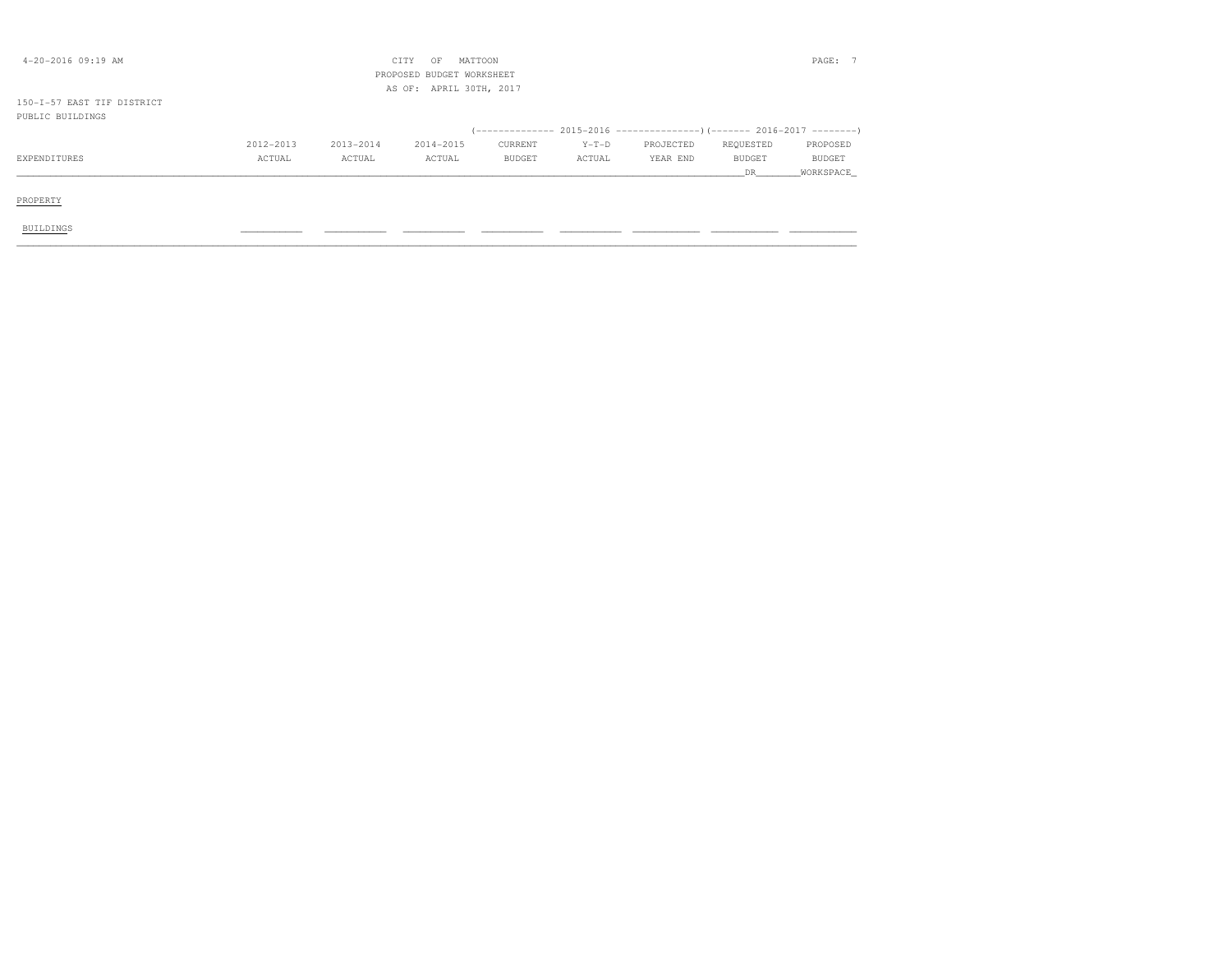| $4 - 20 - 2016$ 09:19 AM                       |           |           | MATTOON<br>CITY<br>OF<br>PROPOSED BUDGET WORKSHEET<br>AS OF: APRIL 30TH, 2017 |         |         |           |           | PAGE: 7       |
|------------------------------------------------|-----------|-----------|-------------------------------------------------------------------------------|---------|---------|-----------|-----------|---------------|
| 150-I-57 EAST TIF DISTRICT<br>PUBLIC BUILDINGS |           |           |                                                                               |         |         |           |           |               |
|                                                |           |           |                                                                               |         |         |           |           |               |
|                                                | 2012-2013 | 2013-2014 | 2014-2015                                                                     | CURRENT | $Y-T-D$ | PROJECTED | REQUESTED | PROPOSED      |
| EXPENDITURES                                   | ACTUAL    | ACTUAL    | ACTUAL                                                                        | BUDGET  | ACTUAL  | YEAR END  | BUDGET    | <b>BUDGET</b> |
|                                                |           |           |                                                                               |         |         |           | DR        | WORKSPACE     |
| PROPERTY                                       |           |           |                                                                               |         |         |           |           |               |
| <b>BUILDINGS</b>                               |           |           |                                                                               |         |         |           |           |               |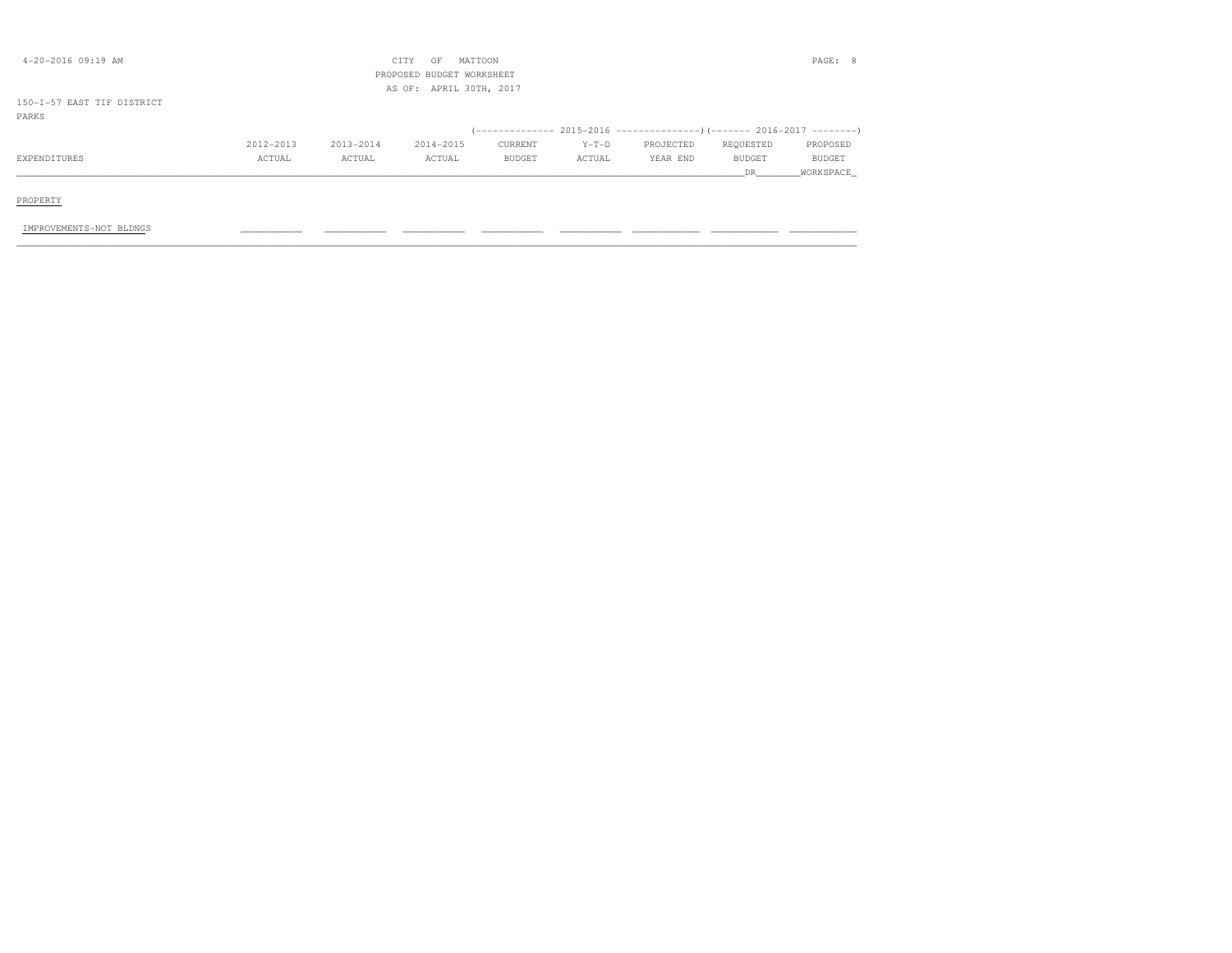| $4 - 20 - 2016$ 09:19 AM   |           |           | MATTOON<br>CITY<br>OF<br>PROPOSED BUDGET WORKSHEET<br>AS OF: APRIL 30TH, 2017 |         |         |                                                                         |               | PAGE: 8   |
|----------------------------|-----------|-----------|-------------------------------------------------------------------------------|---------|---------|-------------------------------------------------------------------------|---------------|-----------|
| 150-I-57 EAST TIF DISTRICT |           |           |                                                                               |         |         |                                                                         |               |           |
| PARKS                      |           |           |                                                                               |         |         |                                                                         |               |           |
|                            |           |           |                                                                               |         |         | (------------- 2015-2016 ----------------) (------- 2016-2017 --------) |               |           |
|                            | 2012-2013 | 2013-2014 | 2014-2015                                                                     | CURRENT | $Y-T-D$ | PROJECTED                                                               | REQUESTED     | PROPOSED  |
| EXPENDITURES               | ACTUAL    | ACTUAL    | ACTUAL                                                                        | BUDGET  | ACTUAL  | YEAR END                                                                | <b>BUDGET</b> | BUDGET    |
|                            |           |           |                                                                               |         |         |                                                                         | DR.           | WORKSPACE |
|                            |           |           |                                                                               |         |         |                                                                         |               |           |
| PROPERTY                   |           |           |                                                                               |         |         |                                                                         |               |           |
|                            |           |           |                                                                               |         |         |                                                                         |               |           |
| IMPROVEMENTS-NOT BLDNGS    |           |           |                                                                               |         |         |                                                                         |               |           |
|                            |           |           |                                                                               |         |         |                                                                         |               |           |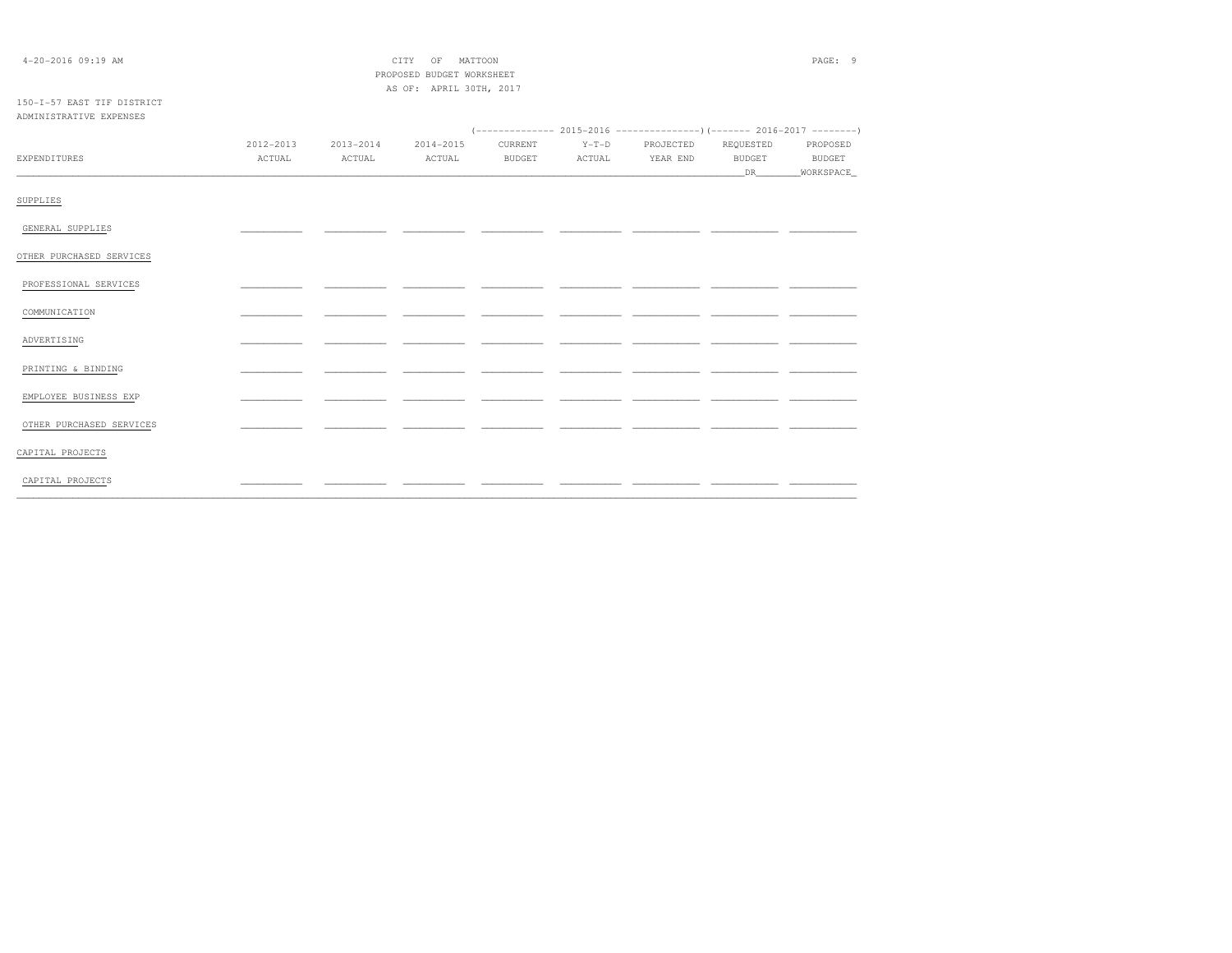| $4 - 20 - 2016$ 09:19 AM   |           |               | MATTOON<br>CITY<br>OF     |               |         |           |               | PAGE: 9       |
|----------------------------|-----------|---------------|---------------------------|---------------|---------|-----------|---------------|---------------|
|                            |           |               | PROPOSED BUDGET WORKSHEET |               |         |           |               |               |
|                            |           |               | AS OF: APRIL 30TH, 2017   |               |         |           |               |               |
| 150-I-57 EAST TIF DISTRICT |           |               |                           |               |         |           |               |               |
| ADMINISTRATIVE EXPENSES    |           |               |                           |               |         |           |               |               |
|                            |           |               |                           |               |         |           |               |               |
|                            | 2012-2013 | $2013 - 2014$ | 2014-2015                 | CURRENT       | $Y-T-D$ | PROJECTED | REQUESTED     | PROPOSED      |
| EXPENDITURES               | ACTUAL    | ACTUAL        | ACTUAL                    | <b>BUDGET</b> | ACTUAL  | YEAR END  | <b>BUDGET</b> | <b>BUDGET</b> |
|                            |           |               |                           |               |         |           | DR            | _WORKSPACE_   |
|                            |           |               |                           |               |         |           |               |               |
| SUPPLIES                   |           |               |                           |               |         |           |               |               |
| GENERAL SUPPLIES           |           |               |                           |               |         |           |               |               |
|                            |           |               |                           |               |         |           |               |               |
| OTHER PURCHASED SERVICES   |           |               |                           |               |         |           |               |               |
|                            |           |               |                           |               |         |           |               |               |
| PROFESSIONAL SERVICES      |           |               |                           |               |         |           |               |               |
|                            |           |               |                           |               |         |           |               |               |
| COMMUNICATION              |           |               |                           |               |         |           |               |               |
| ADVERTISING                |           |               |                           |               |         |           |               |               |
|                            |           |               |                           |               |         |           |               |               |
| PRINTING & BINDING         |           |               |                           |               |         |           |               |               |
|                            |           |               |                           |               |         |           |               |               |
| EMPLOYEE BUSINESS EXP      |           |               |                           |               |         |           |               |               |
|                            |           |               |                           |               |         |           |               |               |
| OTHER PURCHASED SERVICES   |           |               |                           |               |         |           |               |               |
| CAPITAL PROJECTS           |           |               |                           |               |         |           |               |               |
|                            |           |               |                           |               |         |           |               |               |
| CAPITAL PROJECTS           |           |               |                           |               |         |           |               |               |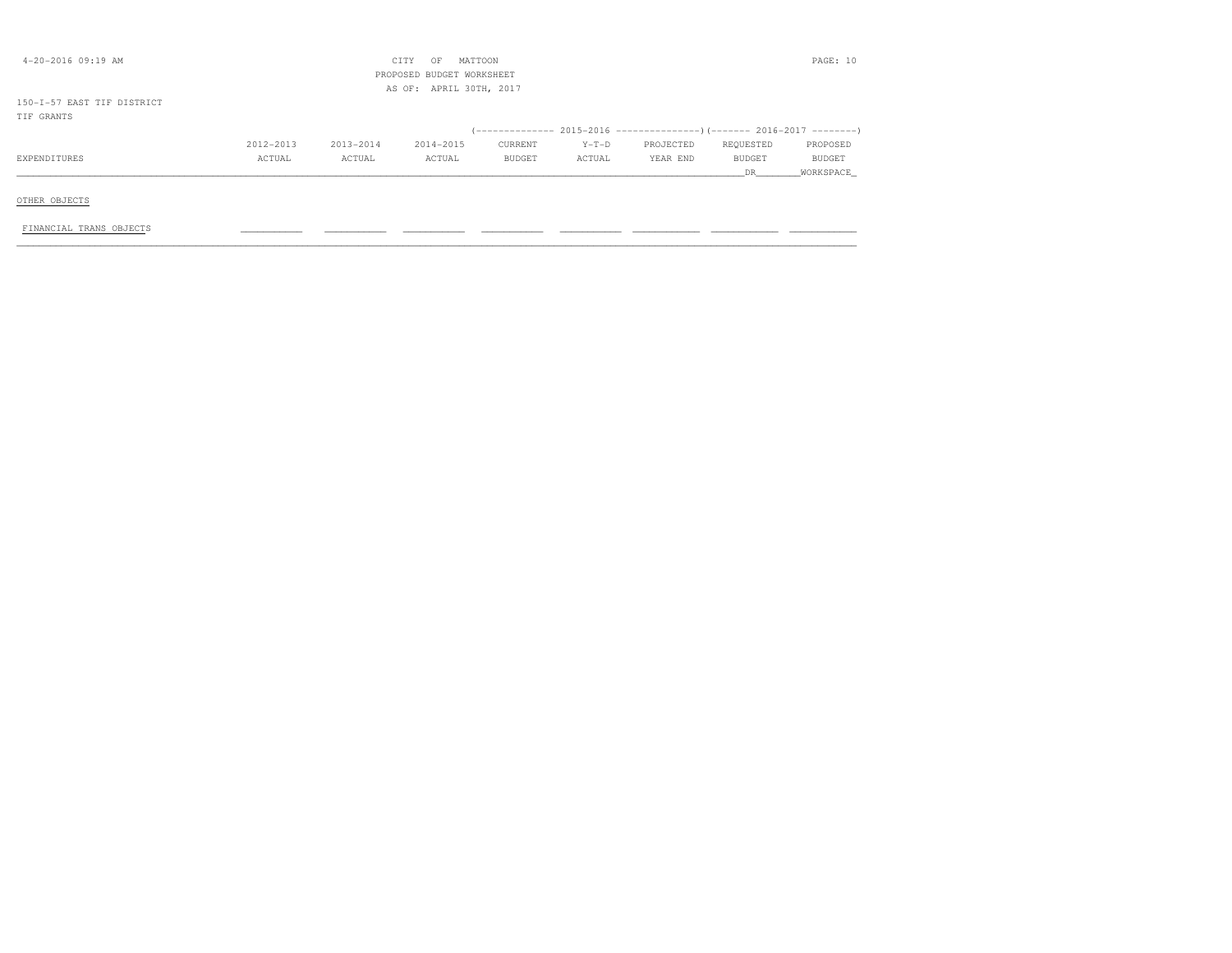| $4 - 20 - 2016$ 09:19 AM   |           |           | CITY<br>OF<br>PROPOSED BUDGET WORKSHEET<br>AS OF: APRIL 30TH, 2017 | MATTOON |         |                                                                           |           | PAGE: 10  |
|----------------------------|-----------|-----------|--------------------------------------------------------------------|---------|---------|---------------------------------------------------------------------------|-----------|-----------|
| 150-I-57 EAST TIF DISTRICT |           |           |                                                                    |         |         |                                                                           |           |           |
| TIF GRANTS                 |           |           |                                                                    |         |         |                                                                           |           |           |
|                            |           |           |                                                                    |         |         | (-------------- 2015–2016 -----------------) (------- 2016–2017 --------' |           |           |
|                            | 2012-2013 | 2013-2014 | 2014-2015                                                          | CURRENT | $Y-T-D$ | PROJECTED                                                                 | REQUESTED | PROPOSED  |
| EXPENDITURES               | ACTUAL    | ACTUAL    | ACTUAL                                                             | BUDGET  | ACTUAL  | YEAR END                                                                  | BUDGET    | BUDGET    |
|                            |           |           |                                                                    |         |         |                                                                           | DR.       | WORKSPACE |
| OTHER OBJECTS              |           |           |                                                                    |         |         |                                                                           |           |           |
| FINANCIAL TRANS OBJECTS    |           |           |                                                                    |         |         |                                                                           |           |           |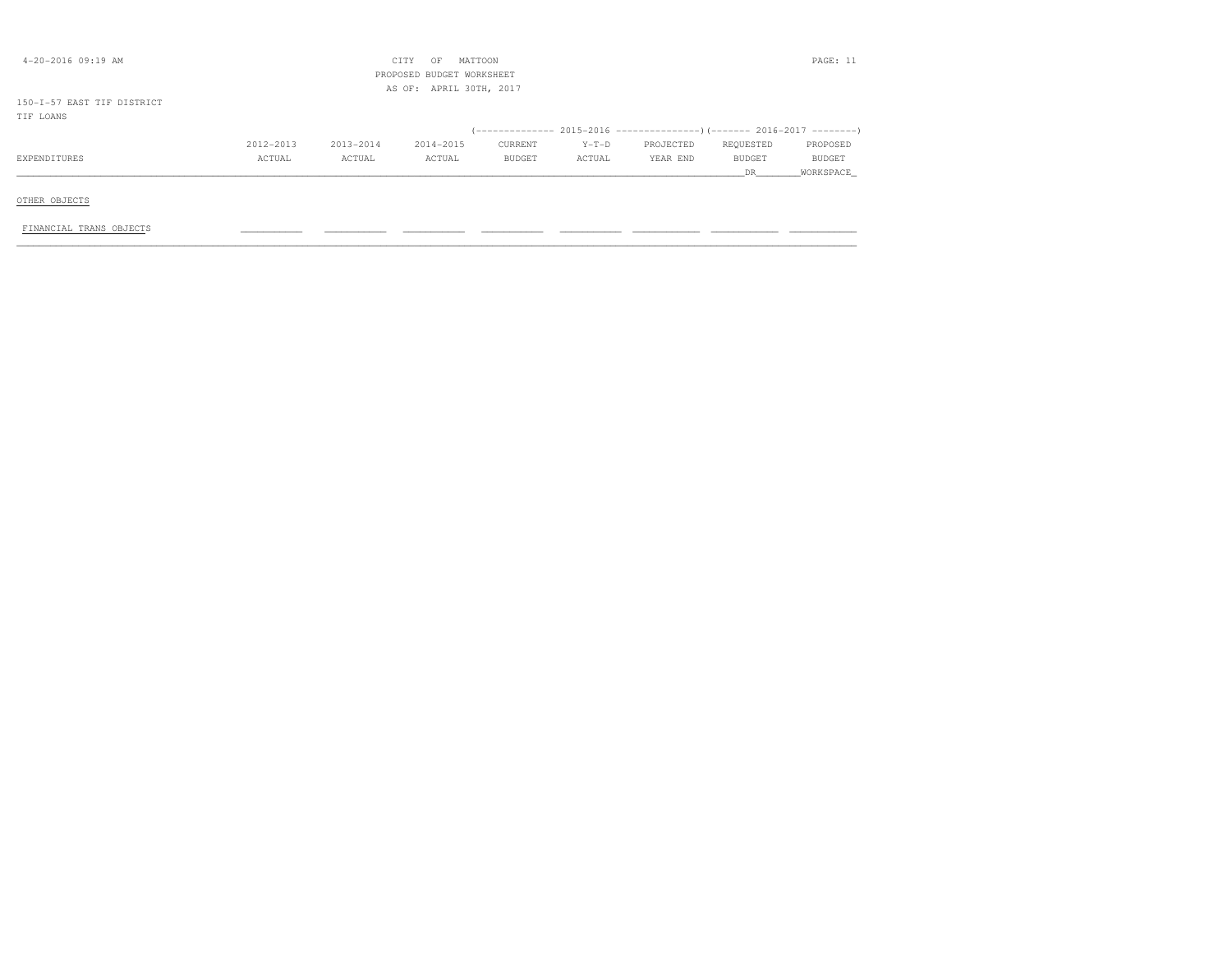| $4 - 20 - 2016$ 09:19 AM                |           |           | MATTOON<br>CITY<br>OF<br>PROPOSED BUDGET WORKSHEET<br>AS OF: APRIL 30TH, 2017 |         |         |                                                                          |                      | PAGE: 11            |
|-----------------------------------------|-----------|-----------|-------------------------------------------------------------------------------|---------|---------|--------------------------------------------------------------------------|----------------------|---------------------|
| 150-I-57 EAST TIF DISTRICT<br>TIF LOANS |           |           |                                                                               |         |         |                                                                          |                      |                     |
|                                         |           |           |                                                                               |         |         | (-------------- 2015-2016 ----------------) (------- 2016-2017 --------) |                      |                     |
|                                         | 2012-2013 | 2013-2014 | 2014-2015                                                                     | CURRENT | $Y-T-D$ | PROJECTED                                                                | REQUESTED            | PROPOSED            |
| EXPENDITURES                            | ACTUAL    | ACTUAL    | ACTUAL                                                                        | BUDGET  | ACTUAL  | YEAR END                                                                 | <b>BUDGET</b><br>DR. | BUDGET<br>WORKSPACE |
| OTHER OBJECTS                           |           |           |                                                                               |         |         |                                                                          |                      |                     |
| FINANCIAL TRANS OBJECTS                 |           |           |                                                                               |         |         |                                                                          |                      |                     |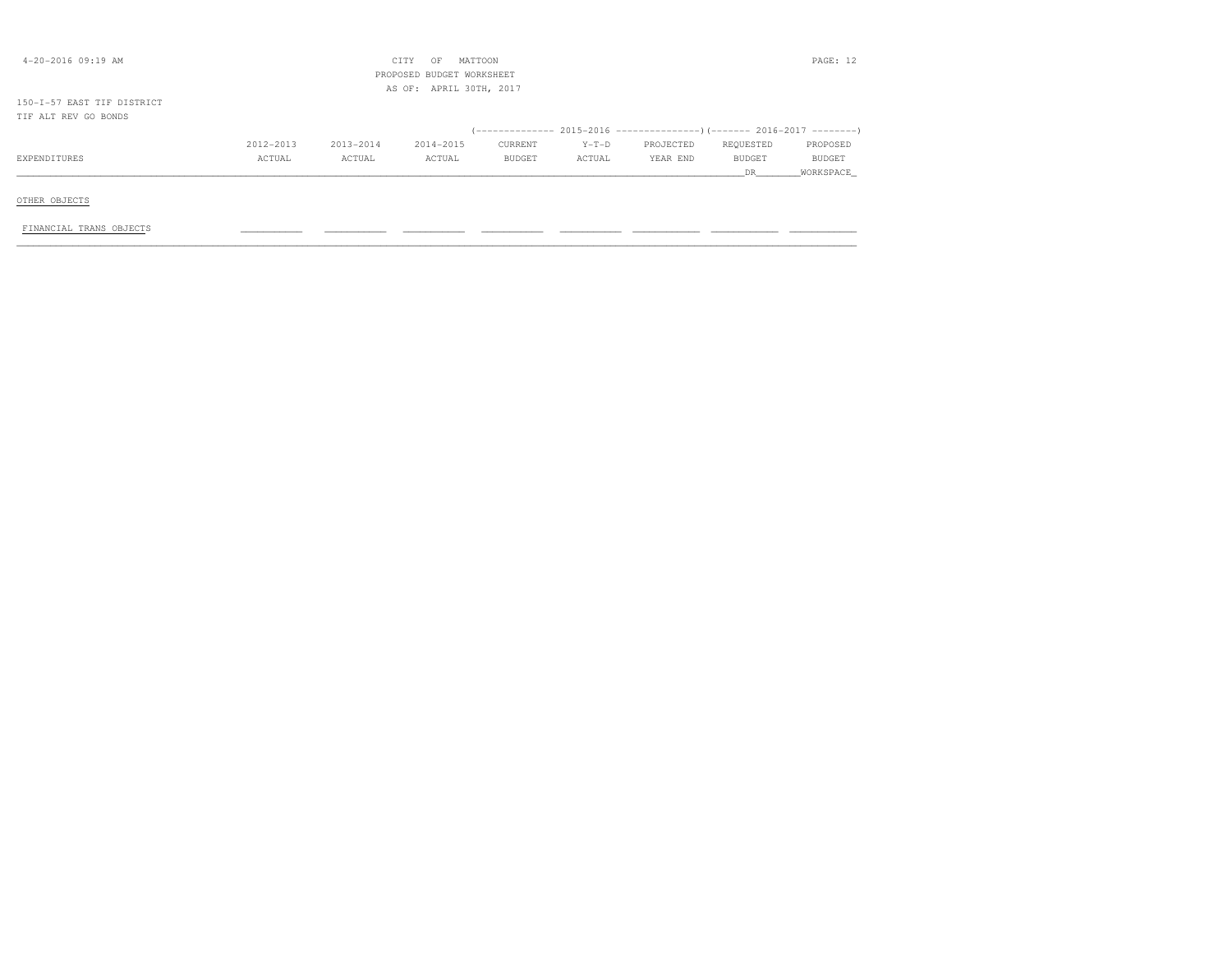|           |           | OF        |               |                                                                 |           |           | PAGE: 12  |
|-----------|-----------|-----------|---------------|-----------------------------------------------------------------|-----------|-----------|-----------|
|           |           |           |               |                                                                 |           |           |           |
|           |           |           |               |                                                                 |           |           |           |
|           |           |           |               |                                                                 |           |           |           |
|           |           |           |               |                                                                 |           |           |           |
| 2012-2013 | 2013-2014 | 2014-2015 | CURRENT       | $Y-T-D$                                                         | PROJECTED | REQUESTED | PROPOSED  |
| ACTUAL    | ACTUAL    | ACTUAL    | <b>BUDGET</b> | ACTUAL                                                          | YEAR END  | BUDGET    | BUDGET    |
|           |           |           |               |                                                                 |           | DR.       | WORKSPACE |
|           |           |           |               |                                                                 |           |           |           |
|           |           |           |               |                                                                 |           |           |           |
|           |           |           |               |                                                                 |           |           |           |
|           |           |           |               |                                                                 |           |           |           |
|           |           |           | CITY          | MATTOON<br>PROPOSED BUDGET WORKSHEET<br>AS OF: APRIL 30TH, 2017 |           |           |           |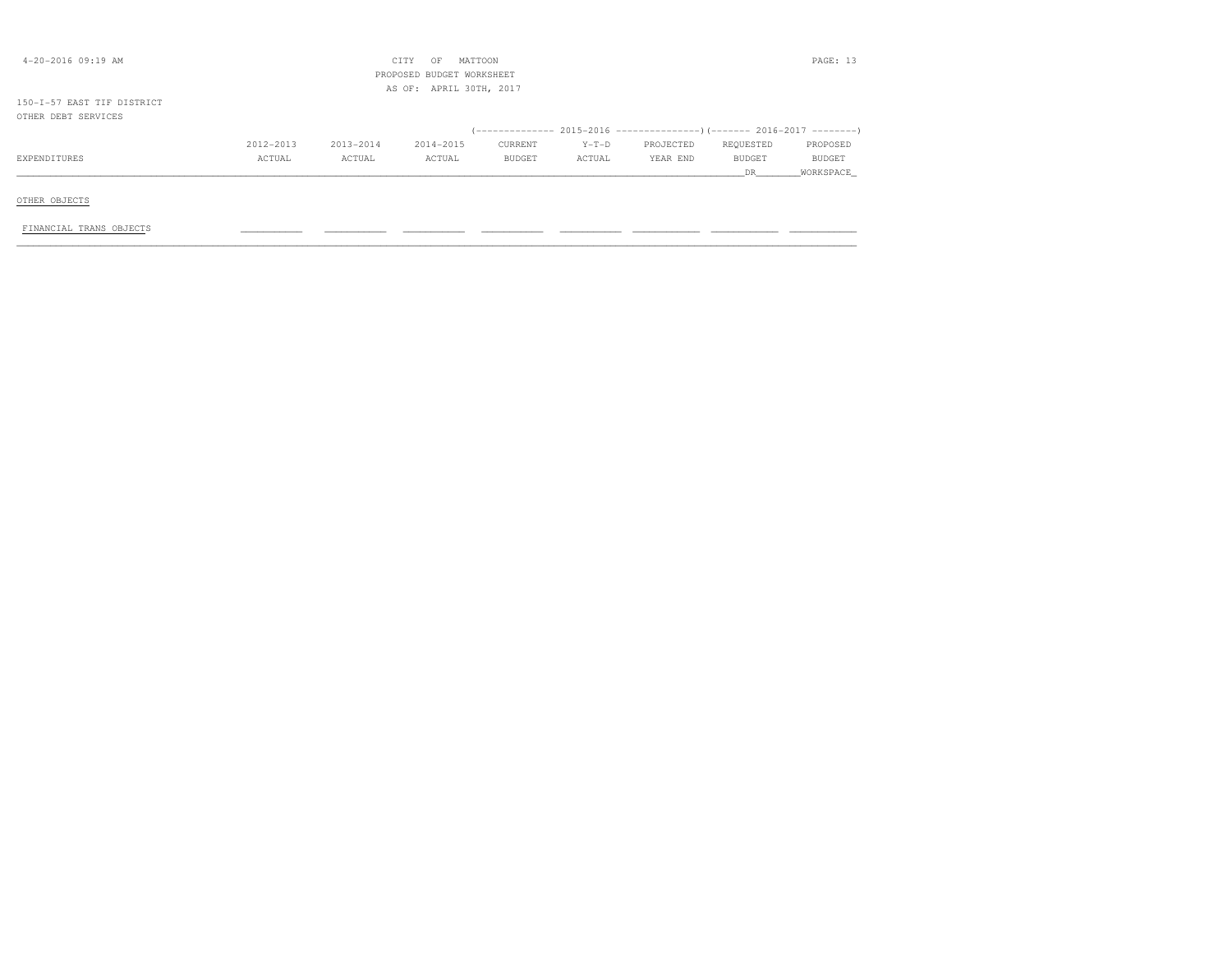| 4-20-2016 09:19 AM                                |           |           | MATTOON<br>CITY<br>OF<br>PROPOSED BUDGET WORKSHEET |               |         |           |               | PAGE: 13  |
|---------------------------------------------------|-----------|-----------|----------------------------------------------------|---------------|---------|-----------|---------------|-----------|
| 150-I-57 EAST TIF DISTRICT<br>OTHER DEBT SERVICES |           |           | AS OF: APRIL 30TH, 2017                            |               |         |           |               |           |
|                                                   |           |           |                                                    |               |         |           |               |           |
|                                                   | 2012-2013 | 2013-2014 | 2014-2015                                          | CURRENT       | $Y-T-D$ | PROJECTED | REQUESTED     | PROPOSED  |
| EXPENDITURES                                      | ACTUAL    | ACTUAL    | ACTUAL                                             | <b>BUDGET</b> | ACTUAL  | YEAR END  | <b>BUDGET</b> | BUDGET    |
|                                                   |           |           |                                                    |               |         |           | DR.           | WORKSPACE |
| OTHER OBJECTS                                     |           |           |                                                    |               |         |           |               |           |
| FINANCIAL TRANS OBJECTS                           |           |           |                                                    |               |         |           |               |           |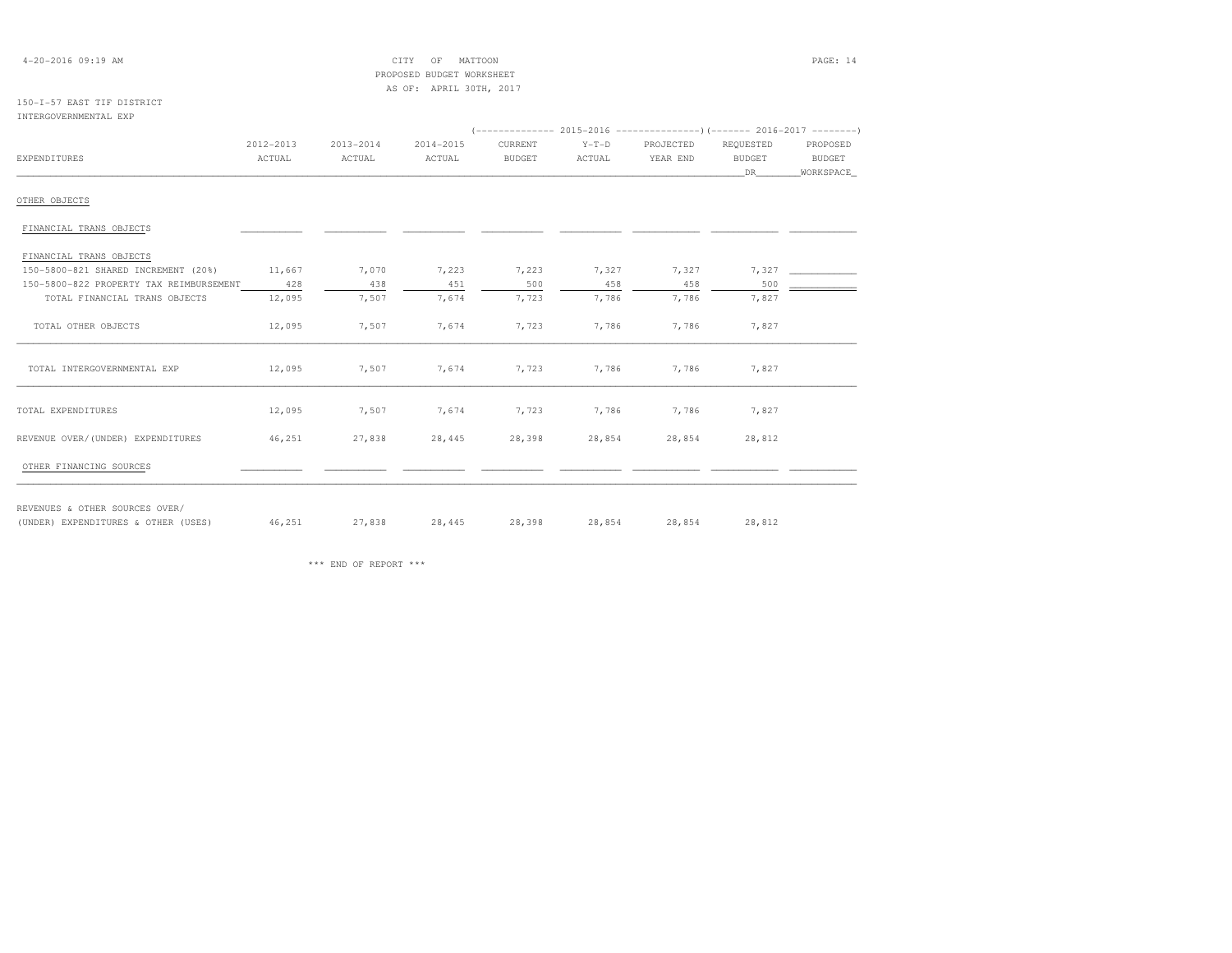| $4 - 20 - 2016$ 09:19 AM                |           |           | CITY<br>OF                | MATTOON       |         |           |               | PAGE: 14      |
|-----------------------------------------|-----------|-----------|---------------------------|---------------|---------|-----------|---------------|---------------|
|                                         |           |           | PROPOSED BUDGET WORKSHEET |               |         |           |               |               |
|                                         |           |           | AS OF: APRIL 30TH, 2017   |               |         |           |               |               |
| 150-I-57 EAST TIF DISTRICT              |           |           |                           |               |         |           |               |               |
| INTERGOVERNMENTAL EXP                   |           |           |                           |               |         |           |               |               |
|                                         |           |           |                           |               |         |           |               |               |
|                                         | 2012-2013 | 2013-2014 | 2014-2015                 | CURRENT       | $Y-T-D$ | PROJECTED | REQUESTED     | PROPOSED      |
| <b>EXPENDITURES</b>                     | ACTUAL    | ACTUAL    | ACTUAL                    | <b>BUDGET</b> | ACTUAL  | YEAR END  | <b>BUDGET</b> | <b>BUDGET</b> |
|                                         |           |           |                           |               |         |           | DR.           | WORKSPACE     |
| OTHER OBJECTS                           |           |           |                           |               |         |           |               |               |
| FINANCIAL TRANS OBJECTS                 |           |           |                           |               |         |           |               |               |
| FINANCIAL TRANS OBJECTS                 |           |           |                           |               |         |           |               |               |
| 150-5800-821 SHARED INCREMENT (20%)     | 11,667    | 7,070     | 7,223                     | 7,223         | 7,327   | 7,327     | 7,327         |               |
| 150-5800-822 PROPERTY TAX REIMBURSEMENT | 428       | 438       | 451                       | 500           | 458     | 458       | 500           |               |
| TOTAL FINANCIAL TRANS OBJECTS           | 12,095    | 7,507     | 7,674                     | 7,723         | 7,786   | 7,786     | 7,827         |               |
| TOTAL OTHER OBJECTS                     | 12,095    | 7,507     | 7,674                     | 7,723         | 7,786   | 7,786     | 7,827         |               |
| TOTAL INTERGOVERNMENTAL EXP             | 12,095    | 7,507     | 7,674                     | 7,723         | 7,786   | 7,786     | 7,827         |               |

\*\*\* END OF REPORT \*\*\*

REVENUES & OTHER SOURCES OVER/

TOTAL EXPENDITURES 12,095 7,507 7,674 7,723 7,786 7,786 7,827REVENUE OVER/(UNDER) EXPENDITURES 46,251 27,838 28,445 28,398 28,854 28,854 28,812OTHER FINANCING SOURCES \_\_\_\_\_\_\_\_\_\_\_ \_\_\_\_\_\_\_\_\_\_\_ \_\_\_\_\_\_\_\_\_\_\_ \_\_\_\_\_\_\_\_\_\_\_ \_\_\_\_\_\_\_\_\_\_\_ \_\_\_\_\_\_\_\_\_\_\_\_ \_\_\_\_\_\_\_\_\_\_\_\_ \_\_\_\_\_\_\_\_\_\_\_\_

(UNDER) EXPENDITURES & OTHER (USES) 46,251 27,838 28,445 28,398 28,854 28,854 28,812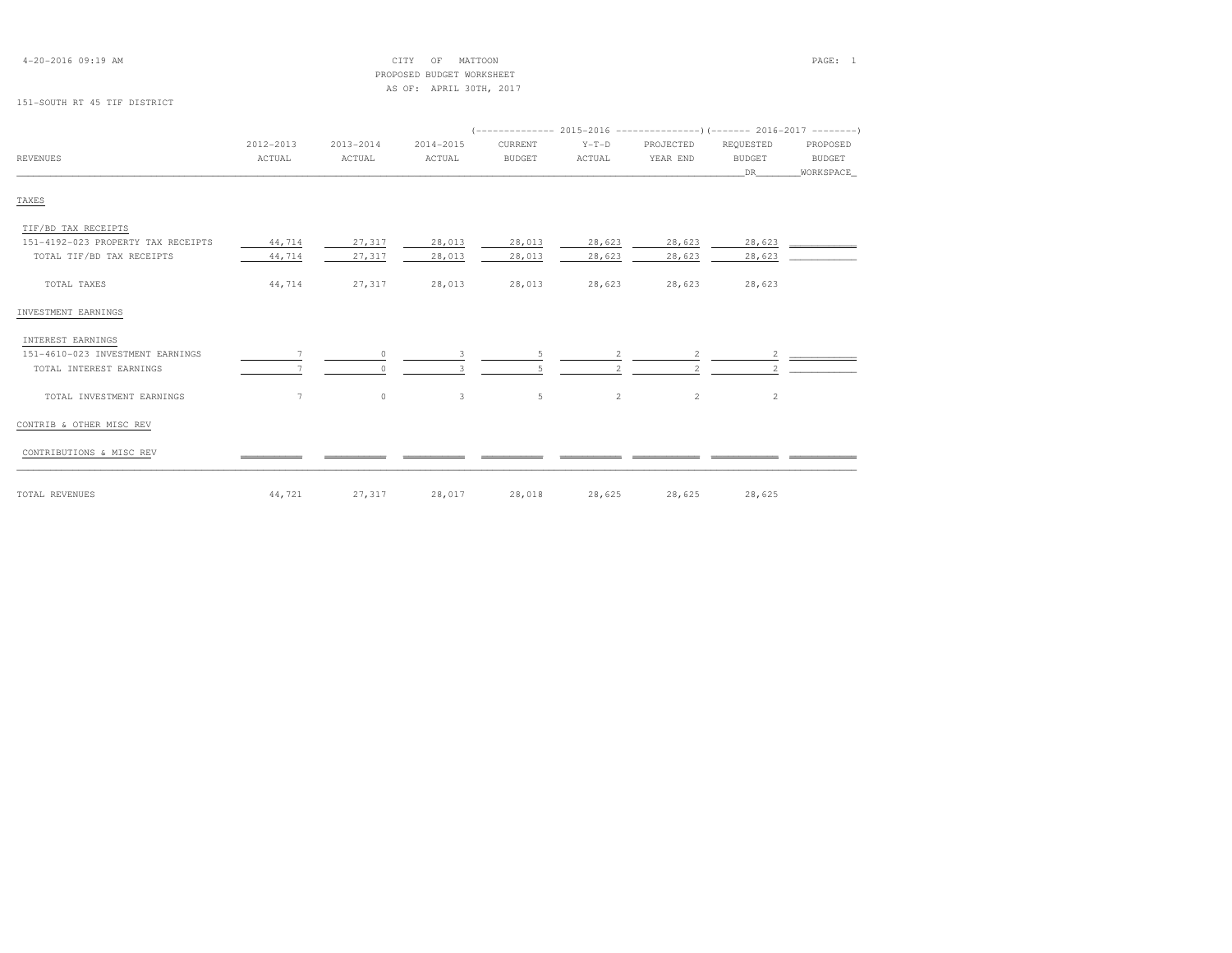| $4 - 20 - 2016$ 09:19 AM |  |  |
|--------------------------|--|--|
|--------------------------|--|--|

# $\begin{array}{ccc} \text{CITY} & \text{OF} & \text{MATTOON} \end{array}$  PROPOSED BUDGET WORKSHEETAS OF: APRIL 30TH, 2017

# 151-SOUTH RT 45 TIF DISTRICT

|                                    | 2012-2013 | $2013 - 2014$ | 2014-2015    | CURRENT       | $Y-T-D$ | PROJECTED                | REQUESTED      | PROPOSED      |
|------------------------------------|-----------|---------------|--------------|---------------|---------|--------------------------|----------------|---------------|
| <b>REVENUES</b>                    | ACTUAL    | ACTUAL        | ACTUAL       | <b>BUDGET</b> | ACTUAL  | YEAR END                 | <b>BUDGET</b>  | <b>BUDGET</b> |
|                                    |           |               |              |               |         |                          | DR             | WORKSPACE     |
| TAXES                              |           |               |              |               |         |                          |                |               |
| TIF/BD TAX RECEIPTS                |           |               |              |               |         |                          |                |               |
| 151-4192-023 PROPERTY TAX RECEIPTS | 44,714    | 27,317        | 28,013       | 28,013        | 28,623  | 28,623                   | 28,623         |               |
| TOTAL TIF/BD TAX RECEIPTS          | 44,714    | 27,317        | 28,013       | 28,013        | 28,623  | 28,623                   | 28,623         |               |
| TOTAL TAXES                        | 44,714    | 27,317        | 28,013       | 28,013        | 28,623  | 28,623                   | 28,623         |               |
| INVESTMENT EARNINGS                |           |               |              |               |         |                          |                |               |
| INTEREST EARNINGS                  |           |               |              |               |         |                          |                |               |
| 151-4610-023 INVESTMENT EARNINGS   |           | $\Omega$      | 3            | 5             | 2       | 2                        | 2              |               |
| TOTAL INTEREST EARNINGS            |           |               |              |               |         | $\overline{\mathcal{L}}$ |                |               |
| TOTAL INVESTMENT EARNINGS          | 7         | $\circ$       | $\mathbf{3}$ | 5             | 2       | 2                        | $\overline{c}$ |               |
| CONTRIB & OTHER MISC REV           |           |               |              |               |         |                          |                |               |
| CONTRIBUTIONS & MISC REV           |           |               |              |               |         |                          |                |               |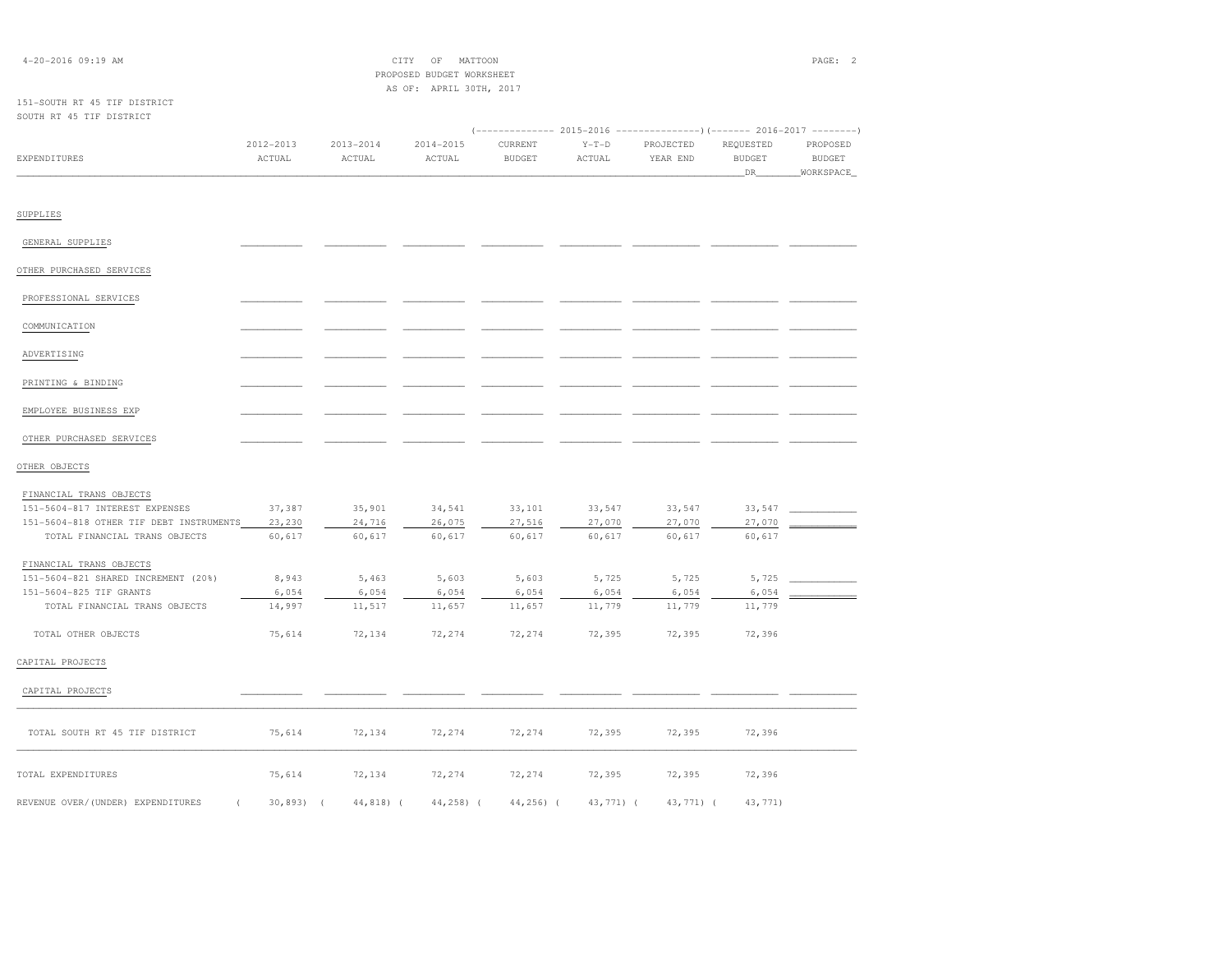| 4-20-2016 09:19 AM                                                                                                                    | CITY<br>OF<br>MATTOON<br>PROPOSED BUDGET WORKSHEET<br>AS OF: APRIL 30TH, 2017 |                            |                            |                            |                                                                                             |                            |                                  | PAGE: 2                                |
|---------------------------------------------------------------------------------------------------------------------------------------|-------------------------------------------------------------------------------|----------------------------|----------------------------|----------------------------|---------------------------------------------------------------------------------------------|----------------------------|----------------------------------|----------------------------------------|
| 151-SOUTH RT 45 TIF DISTRICT<br>SOUTH RT 45 TIF DISTRICT                                                                              |                                                                               |                            |                            |                            |                                                                                             |                            |                                  |                                        |
| <b>EXPENDITURES</b>                                                                                                                   | 2012-2013<br>ACTUAL                                                           | 2013-2014<br>ACTUAL        | $2014 - 2015$<br>ACTUAL    | CURRENT<br><b>BUDGET</b>   | (------------- 2015-2016 ---------------) (------- 2016-2017 --------)<br>$Y-T-D$<br>ACTUAL | PROJECTED<br>YEAR END      | REQUESTED<br><b>BUDGET</b><br>DR | PROPOSED<br><b>BUDGET</b><br>WORKSPACE |
| SUPPLIES                                                                                                                              |                                                                               |                            |                            |                            |                                                                                             |                            |                                  |                                        |
| GENERAL SUPPLIES                                                                                                                      |                                                                               |                            |                            |                            |                                                                                             |                            |                                  |                                        |
| OTHER PURCHASED SERVICES                                                                                                              |                                                                               |                            |                            |                            |                                                                                             |                            |                                  |                                        |
| PROFESSIONAL SERVICES                                                                                                                 |                                                                               |                            |                            |                            |                                                                                             |                            |                                  |                                        |
| COMMUNICATION                                                                                                                         |                                                                               |                            |                            |                            |                                                                                             |                            |                                  |                                        |
| ADVERTISING                                                                                                                           |                                                                               |                            |                            |                            |                                                                                             |                            |                                  |                                        |
| PRINTING & BINDING                                                                                                                    |                                                                               |                            |                            |                            |                                                                                             |                            |                                  |                                        |
| EMPLOYEE BUSINESS EXP                                                                                                                 |                                                                               |                            |                            |                            |                                                                                             |                            |                                  |                                        |
| OTHER PURCHASED SERVICES                                                                                                              |                                                                               |                            |                            |                            |                                                                                             |                            |                                  |                                        |
| OTHER OBJECTS                                                                                                                         |                                                                               |                            |                            |                            |                                                                                             |                            |                                  |                                        |
| FINANCIAL TRANS OBJECTS<br>151-5604-817 INTEREST EXPENSES<br>151-5604-818 OTHER TIF DEBT INSTRUMENTS<br>TOTAL FINANCIAL TRANS OBJECTS | 37,387<br>23,230<br>60,617                                                    | 35,901<br>24,716<br>60,617 | 34,541<br>26,075<br>60,617 | 33,101<br>27,516<br>60,617 | 33,547<br>27,070<br>60,617                                                                  | 33,547<br>27,070<br>60,617 | 33,547<br>27,070<br>60,617       |                                        |
| FINANCIAL TRANS OBJECTS<br>151-5604-821 SHARED INCREMENT (20%)<br>151-5604-825 TIF GRANTS<br>TOTAL FINANCIAL TRANS OBJECTS            | 8,943<br>6,054<br>14,997                                                      | 5,463<br>6,054<br>11,517   | 5,603<br>6,054<br>11,657   | 5,603<br>6,054<br>11,657   | 5,725<br>6,054<br>11,779                                                                    | 5,725<br>6,054<br>11,779   | 5,725<br>6,054<br>11,779         |                                        |
| TOTAL OTHER OBJECTS                                                                                                                   | 75,614                                                                        | 72,134                     | 72,274                     | 72,274                     | 72,395                                                                                      | 72,395                     | 72,396                           |                                        |
| CAPITAL PROJECTS                                                                                                                      |                                                                               |                            |                            |                            |                                                                                             |                            |                                  |                                        |
| CAPITAL PROJECTS                                                                                                                      |                                                                               |                            |                            |                            |                                                                                             |                            |                                  |                                        |
| TOTAL SOUTH RT 45 TIF DISTRICT                                                                                                        | 75,614                                                                        | 72,134                     | 72,274                     | 72,274                     | 72,395                                                                                      | 72,395                     | 72,396                           |                                        |
| TOTAL EXPENDITURES                                                                                                                    | 75,614                                                                        | 72,134                     | 72,274                     | 72,274                     | 72,395                                                                                      | 72,395                     | 72,396                           |                                        |
| REVENUE OVER/(UNDER) EXPENDITURES                                                                                                     | 30,893)                                                                       | 44,818) (                  | $44, 258$ ) (              | $44, 256$ ) (              | 43,771) (                                                                                   | 43,771) (                  | 43,771)                          |                                        |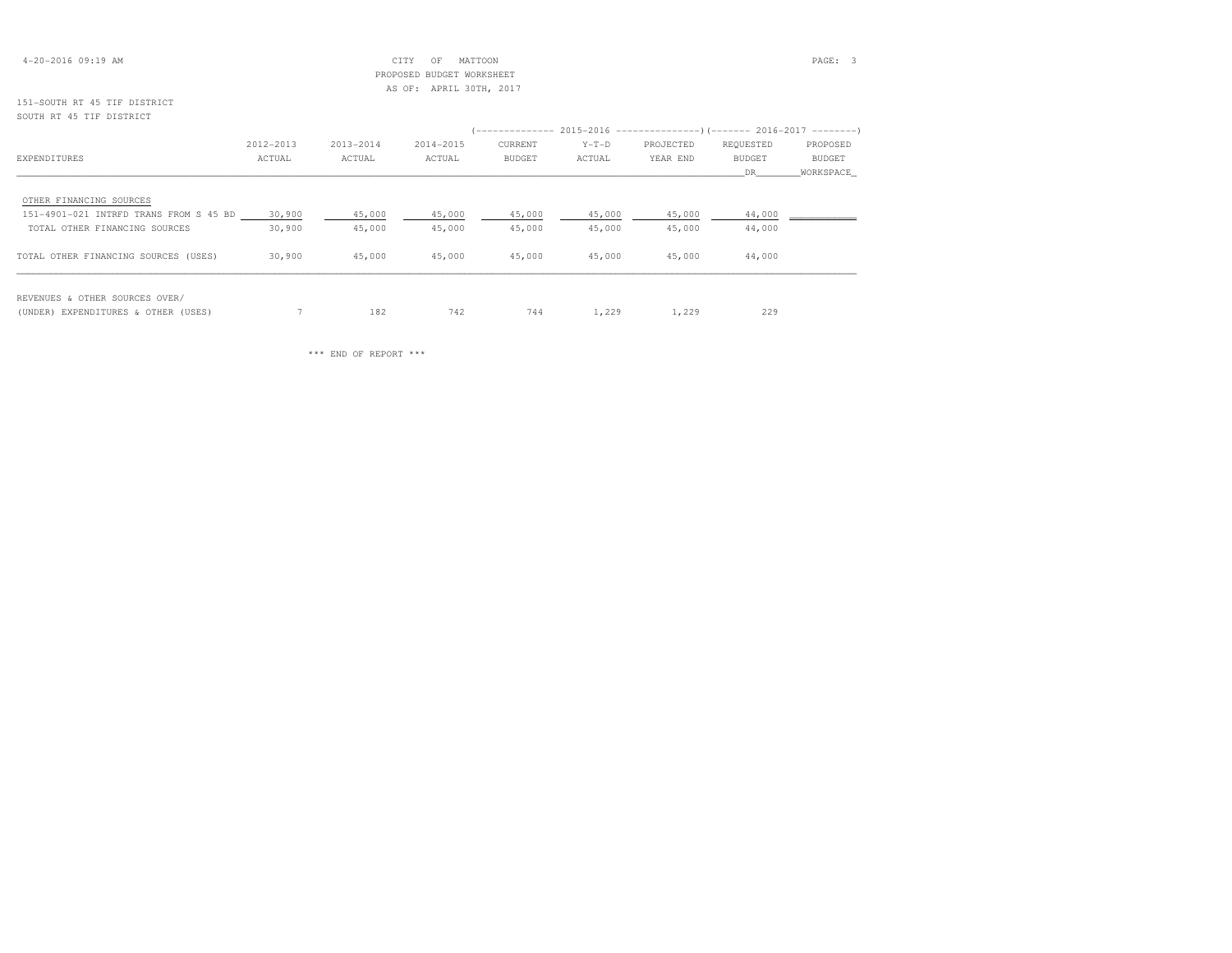| $4 - 20 - 2016$ 09:19 AM |  |  |
|--------------------------|--|--|
|--------------------------|--|--|

# 4-20-2016 09:19 AM CITY OF MATTOON PAGE: 3 PROPOSED BUDGET WORKSHEETAS OF: APRIL 30TH, 2017

# 151-SOUTH RT 45 TIF DISTRICTSOUTH RT 45 TIF DISTRICT

|                                        |           |           |           | (-------------- 2015-2016 ----------------) (------- 2016-2017 --------) |         |           |           |               |  |
|----------------------------------------|-----------|-----------|-----------|--------------------------------------------------------------------------|---------|-----------|-----------|---------------|--|
|                                        | 2012-2013 | 2013-2014 | 2014-2015 | CURRENT                                                                  | $Y-T-D$ | PROJECTED | REQUESTED | PROPOSED      |  |
| EXPENDITURES                           | ACTUAL    | ACTUAL    | ACTUAL    | BUDGET                                                                   | ACTUAL  | YEAR END  | BUDGET    | <b>BUDGET</b> |  |
|                                        |           |           |           |                                                                          |         |           | DR.       | WORKSPACE     |  |
| OTHER FINANCING SOURCES                |           |           |           |                                                                          |         |           |           |               |  |
| 151-4901-021 INTRFD TRANS FROM S 45 BD | 30,900    | 45,000    | 45,000    | 45,000                                                                   | 45,000  | 45,000    | 44,000    |               |  |
| TOTAL OTHER FINANCING SOURCES          | 30,900    | 45,000    | 45,000    | 45,000                                                                   | 45,000  | 45,000    | 44,000    |               |  |
| TOTAL OTHER FINANCING SOURCES (USES)   | 30,900    | 45,000    | 45,000    | 45,000                                                                   | 45,000  | 45,000    | 44,000    |               |  |
| REVENUES & OTHER SOURCES OVER/         |           |           |           |                                                                          |         |           |           |               |  |

(UNDER) EXPENDITURES & OTHER (USES) 7 182 742 744 1,229 1,229 229

\*\*\* END OF REPORT \*\*\*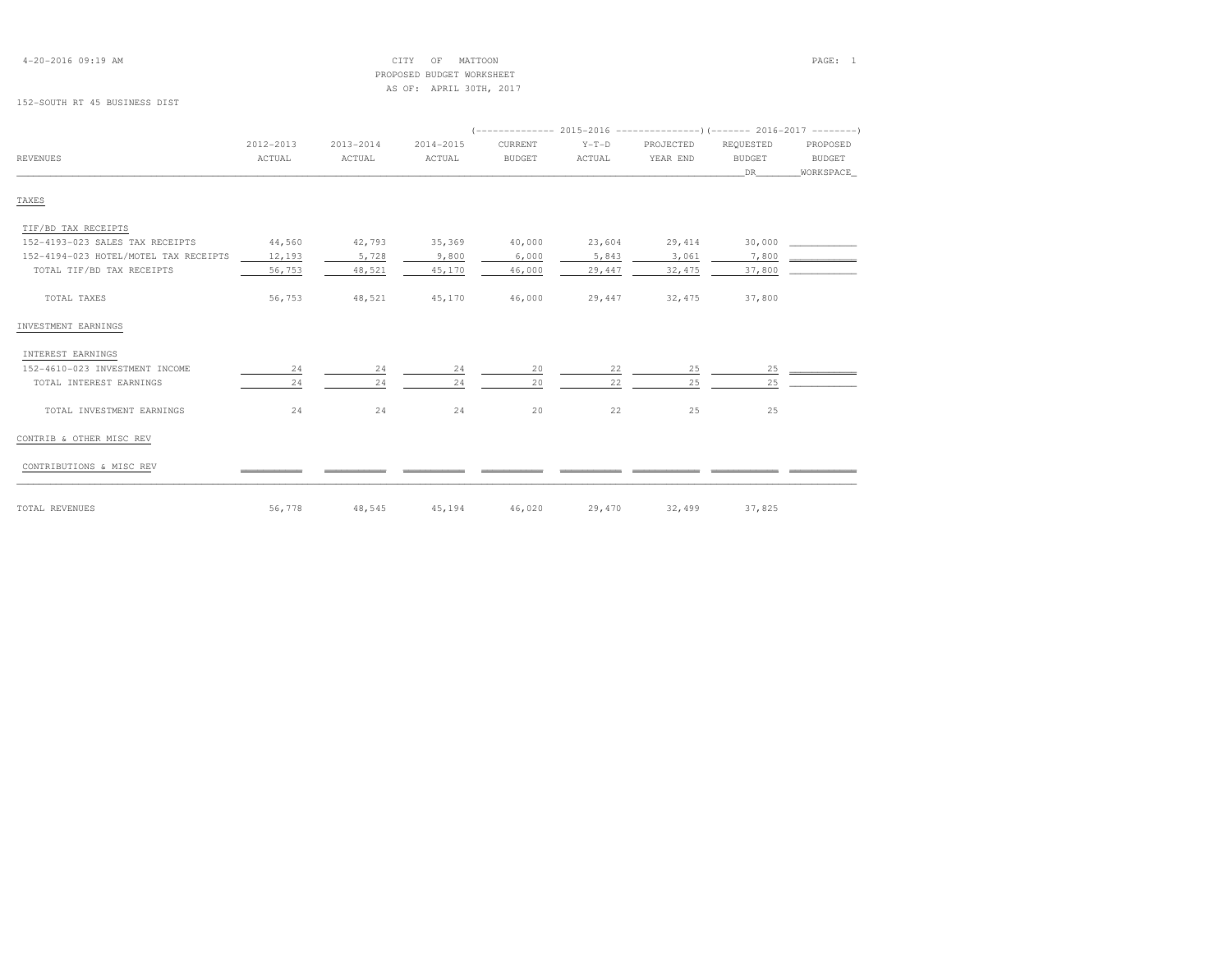| $4 - 20 - 2016$ 09:19 AM |  |  |
|--------------------------|--|--|
|--------------------------|--|--|

 4-20-2016 09:19 AM CITY OF MATTOON PAGE: 1 PROPOSED BUDGET WORKSHEETAS OF: APRIL 30TH, 2017

### 152-SOUTH RT 45 BUSINESS DIST

| REVENUES                              | 2012-2013<br>ACTUAL | $2013 - 2014$<br>ACTUAL | $2014 - 2015$<br>ACTUAL | CURRENT<br><b>BUDGET</b> | $Y-T-D$<br>ACTUAL | PROJECTED<br>YEAR END | REQUESTED<br><b>BUDGET</b> | PROPOSED<br><b>BUDGET</b> |
|---------------------------------------|---------------------|-------------------------|-------------------------|--------------------------|-------------------|-----------------------|----------------------------|---------------------------|
|                                       |                     |                         |                         |                          |                   |                       | DR                         | WORKSPACE                 |
|                                       |                     |                         |                         |                          |                   |                       |                            |                           |
| TAXES                                 |                     |                         |                         |                          |                   |                       |                            |                           |
| TIF/BD TAX RECEIPTS                   |                     |                         |                         |                          |                   |                       |                            |                           |
| 152-4193-023 SALES TAX RECEIPTS       | 44,560              | 42,793                  | 35,369                  | 40,000                   | 23,604            | 29,414                | 30,000                     |                           |
| 152-4194-023 HOTEL/MOTEL TAX RECEIPTS | 12,193              | 5,728                   | 9,800                   | 6,000                    | 5,843             | 3,061                 | 7,800                      |                           |
| TOTAL TIF/BD TAX RECEIPTS             | 56,753              | 48,521                  | 45,170                  | 46,000                   | 29,447            | 32, 475               | 37,800                     |                           |
| TOTAL TAXES                           | 56,753              | 48,521                  | 45,170                  | 46,000                   | 29,447            | 32,475                | 37,800                     |                           |
| INVESTMENT EARNINGS                   |                     |                         |                         |                          |                   |                       |                            |                           |
| INTEREST EARNINGS                     |                     |                         |                         |                          |                   |                       |                            |                           |
| 152-4610-023 INVESTMENT INCOME        | 24                  | 24                      | 24                      | 20                       | 22                | 25                    | 25                         |                           |
| TOTAL INTEREST EARNINGS               | 24                  | 24                      | 24                      | 20                       | 22                | 25                    | 25                         |                           |
| TOTAL INVESTMENT EARNINGS             | 24                  | 24                      | 24                      | 20                       | 22                | 25                    | 25                         |                           |
| CONTRIB & OTHER MISC REV              |                     |                         |                         |                          |                   |                       |                            |                           |
| CONTRIBUTIONS & MISC REV              |                     |                         |                         |                          |                   |                       |                            |                           |
| TOTAL REVENUES                        | 56,778              | 48,545                  | 45,194                  | 46,020                   | 29,470            | 32,499                | 37,825                     |                           |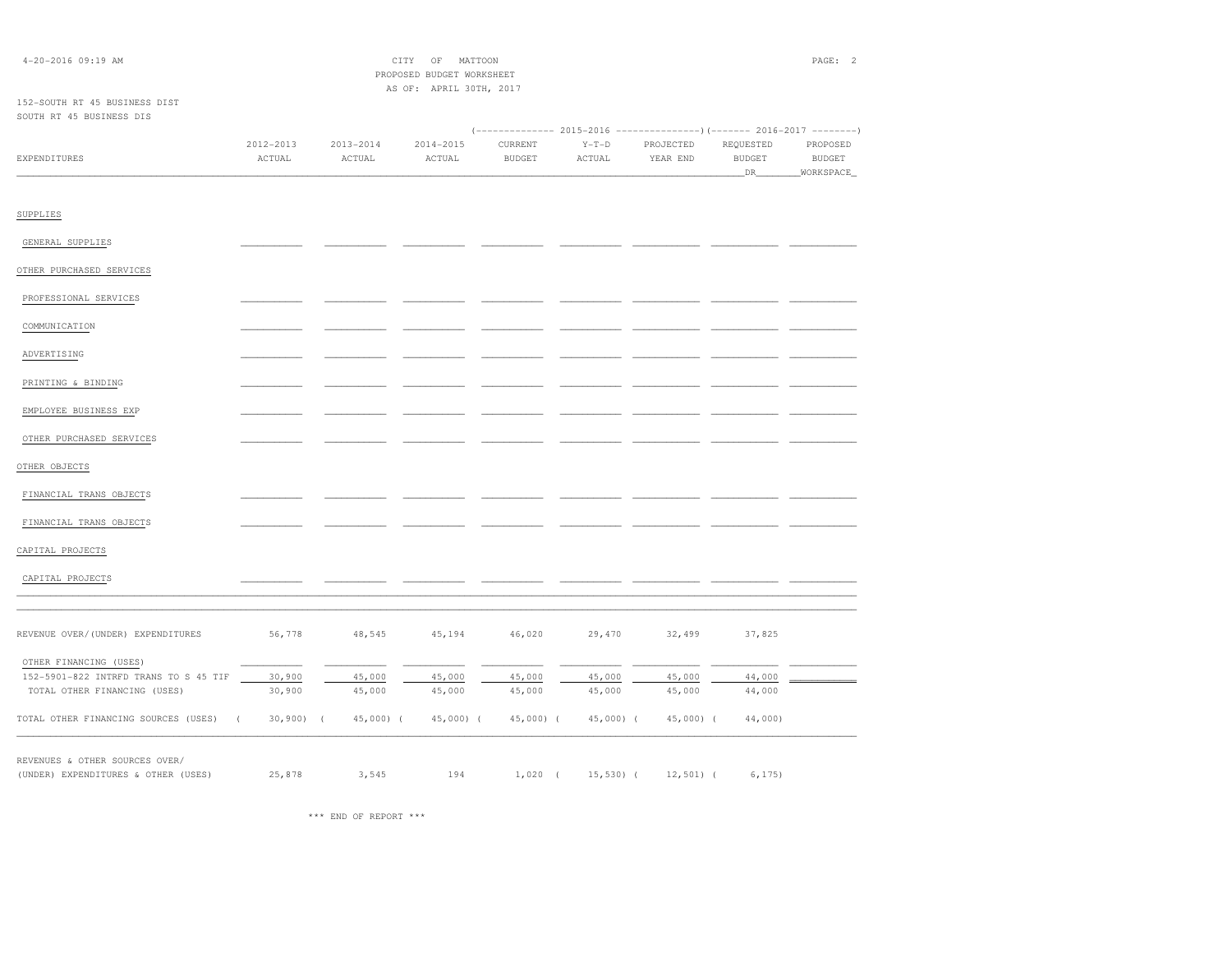| 4-20-2016 09:19 AM                                     |           |                       | $\mathrm{OF}$<br>CITY     | MATTOON       |            |                                                                       |                      | PAGE: 2             |
|--------------------------------------------------------|-----------|-----------------------|---------------------------|---------------|------------|-----------------------------------------------------------------------|----------------------|---------------------|
|                                                        |           |                       | PROPOSED BUDGET WORKSHEET |               |            |                                                                       |                      |                     |
| 152-SOUTH RT 45 BUSINESS DIST                          |           |                       | AS OF: APRIL 30TH, 2017   |               |            |                                                                       |                      |                     |
| SOUTH RT 45 BUSINESS DIS                               |           |                       |                           |               |            |                                                                       |                      |                     |
|                                                        |           |                       |                           |               |            | (------------- 2015-2016 ---------------)(------- 2016-2017 --------) |                      |                     |
|                                                        | 2012-2013 | $2013 - 2014$         | $2014 - 2015$             | CURRENT       | $Y-T-D$    | PROJECTED                                                             | REQUESTED            | PROPOSED            |
| EXPENDITURES                                           | ACTUAL    | ACTUAL                | ACTUAL                    | <b>BUDGET</b> | ACTUAL     | YEAR END                                                              | <b>BUDGET</b><br>DR. | BUDGET<br>WORKSPACE |
|                                                        |           |                       |                           |               |            |                                                                       |                      |                     |
| SUPPLIES                                               |           |                       |                           |               |            |                                                                       |                      |                     |
| GENERAL SUPPLIES                                       |           |                       |                           |               |            |                                                                       |                      |                     |
| OTHER PURCHASED SERVICES                               |           |                       |                           |               |            |                                                                       |                      |                     |
| PROFESSIONAL SERVICES                                  |           |                       |                           |               |            |                                                                       |                      |                     |
| COMMUNICATION                                          |           |                       |                           |               |            |                                                                       |                      |                     |
| ADVERTISING                                            |           |                       |                           |               |            |                                                                       |                      |                     |
| PRINTING & BINDING                                     |           |                       |                           |               |            |                                                                       |                      |                     |
| EMPLOYEE BUSINESS EXP                                  |           |                       |                           |               |            |                                                                       |                      |                     |
| OTHER PURCHASED SERVICES                               |           |                       |                           |               |            |                                                                       |                      |                     |
| OTHER OBJECTS                                          |           |                       |                           |               |            |                                                                       |                      |                     |
| FINANCIAL TRANS OBJECTS                                |           |                       |                           |               |            |                                                                       |                      |                     |
| FINANCIAL TRANS OBJECTS                                |           |                       |                           |               |            |                                                                       |                      |                     |
| CAPITAL PROJECTS                                       |           |                       |                           |               |            |                                                                       |                      |                     |
| CAPITAL PROJECTS                                       |           |                       |                           |               |            |                                                                       |                      |                     |
| REVENUE OVER/(UNDER) EXPENDITURES                      | 56,778    | 48,545                | 45,194                    | 46,020        | 29,470     | 32,499                                                                | 37,825               |                     |
| OTHER FINANCING (USES)                                 |           |                       |                           |               |            |                                                                       |                      |                     |
| 152-5901-822 INTRFD TRANS TO S 45 TIF                  | 30,900    | 45,000                | 45,000                    | 45,000        | 45,000     | 45,000                                                                | 44,000               |                     |
| TOTAL OTHER FINANCING (USES)                           | 30,900    | 45,000                | 45,000                    | 45,000        | 45,000     | 45,000                                                                | 44,000               |                     |
| TOTAL OTHER FINANCING SOURCES (USES)<br>$\overline{ }$ | 30,900    | 45,000) (<br>$\left($ | 45,000) (                 | 45,000) (     | 45,000) (  | 45,000) (                                                             | 44,000)              |                     |
| REVENUES & OTHER SOURCES OVER/                         |           |                       |                           |               |            |                                                                       |                      |                     |
| (UNDER) EXPENDITURES & OTHER (USES)                    | 25,878    | 3,545                 | 194                       | $1,020$ (     | $15,530$ ( | $12,501$ (                                                            | 6, 175)              |                     |

\*\*\* END OF REPORT \*\*\*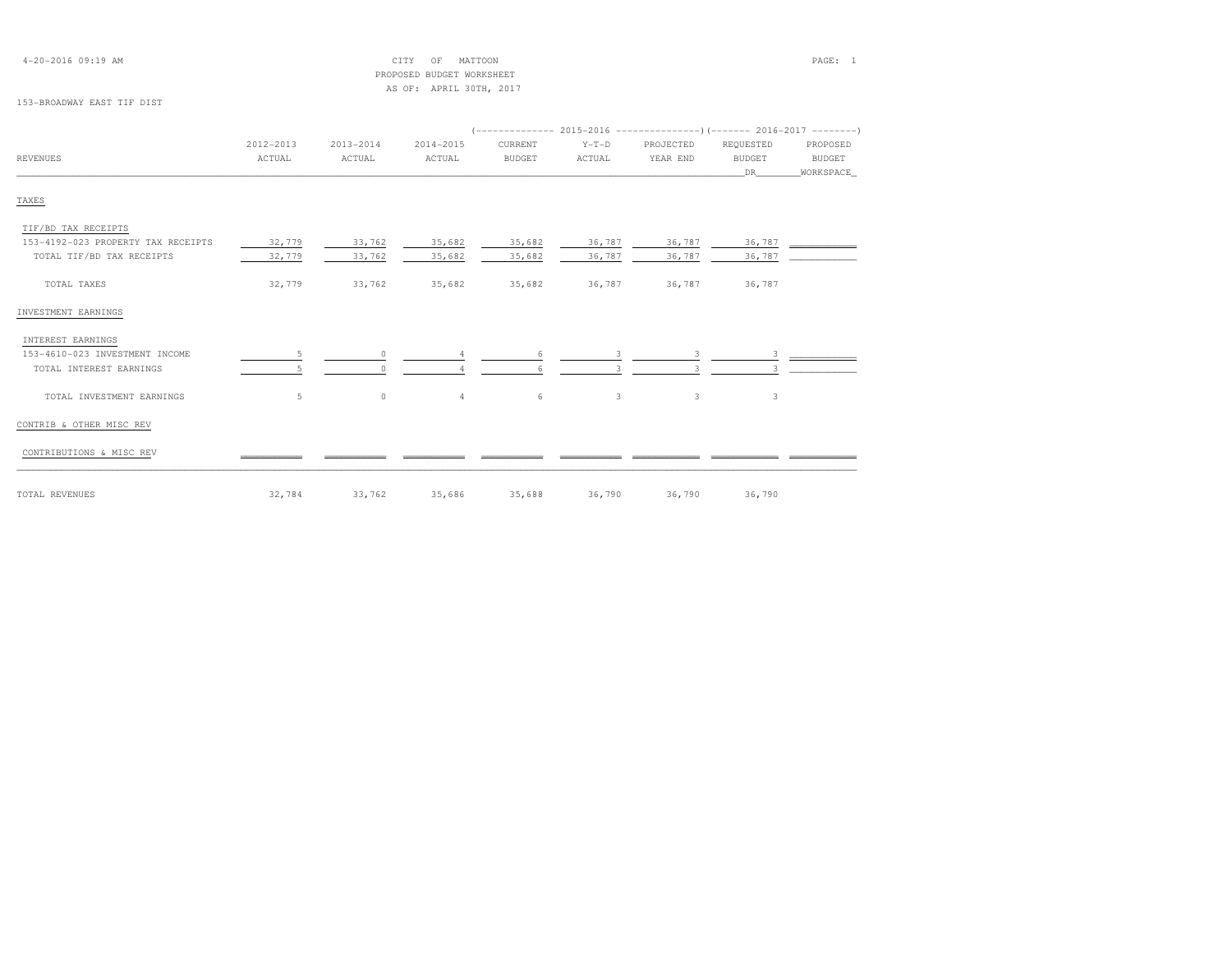| $4 - 20 - 2016$ 09:19 AM |  |  |
|--------------------------|--|--|
|--------------------------|--|--|

## 4-20-2016 09:19 AM CITY OF MATTOON PAGE: 1 PROPOSED BUDGET WORKSHEETAS OF: APRIL 30TH, 2017

### 153-BROADWAY EAST TIF DIST

|                                    | 2012-2013 | $2013 - 2014$ | $2014 - 2015$  | CURRENT       | $Y-T-D$ | PROJECTED | REQUESTED     | PROPOSED      |
|------------------------------------|-----------|---------------|----------------|---------------|---------|-----------|---------------|---------------|
| <b>REVENUES</b>                    | ACTUAL    | ACTUAL        | ACTUAL         | <b>BUDGET</b> | ACTUAL  | YEAR END  | <b>BUDGET</b> | <b>BUDGET</b> |
|                                    |           |               |                |               |         |           | DR            | WORKSPACE     |
| TAXES                              |           |               |                |               |         |           |               |               |
| TIF/BD TAX RECEIPTS                |           |               |                |               |         |           |               |               |
| 153-4192-023 PROPERTY TAX RECEIPTS | 32,779    | 33,762        | 35,682         | 35,682        | 36,787  | 36,787    | 36,787        |               |
| TOTAL TIF/BD TAX RECEIPTS          | 32,779    | 33,762        | 35,682         | 35,682        | 36,787  | 36,787    | 36,787        |               |
| TOTAL TAXES                        | 32,779    | 33,762        | 35,682         | 35,682        | 36,787  | 36,787    | 36,787        |               |
| INVESTMENT EARNINGS                |           |               |                |               |         |           |               |               |
| INTEREST EARNINGS                  |           |               |                |               |         |           |               |               |
| 153-4610-023 INVESTMENT INCOME     | -5        | $\Omega$      |                | 6             |         | 3         | 3             |               |
| TOTAL INTEREST EARNINGS            |           |               |                |               |         |           |               |               |
| TOTAL INVESTMENT EARNINGS          | 5         | $\circ$       | $\overline{4}$ | 6             | 3       | 3         | 3             |               |
| CONTRIB & OTHER MISC REV           |           |               |                |               |         |           |               |               |
| CONTRIBUTIONS & MISC REV           |           |               |                |               |         |           |               |               |
| TOTAL REVENUES                     | 32,784    | 33,762        | 35,686         | 35,688        | 36,790  | 36,790    | 36,790        |               |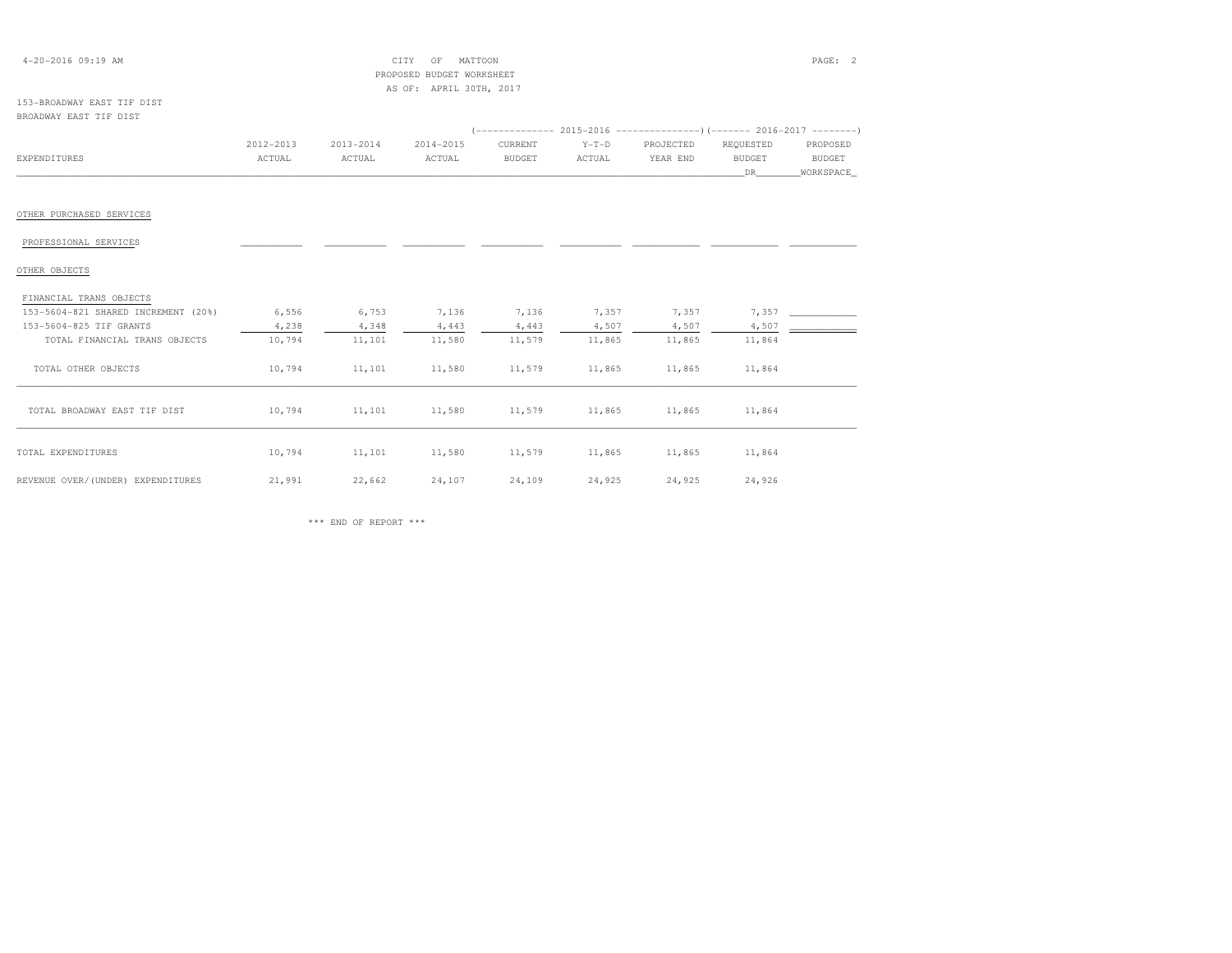| $4 - 20 - 2016$ 09:19 AM                                       |                     |                     | CITY<br>OF<br>MATTOON                                |                          |                   |                       |                                  | PAGE: 2                                |
|----------------------------------------------------------------|---------------------|---------------------|------------------------------------------------------|--------------------------|-------------------|-----------------------|----------------------------------|----------------------------------------|
|                                                                |                     |                     | PROPOSED BUDGET WORKSHEET<br>AS OF: APRIL 30TH, 2017 |                          |                   |                       |                                  |                                        |
| 153-BROADWAY EAST TIF DIST<br>BROADWAY EAST TIF DIST           |                     |                     |                                                      |                          |                   |                       |                                  |                                        |
| <b>EXPENDITURES</b>                                            | 2012-2013<br>ACTUAL | 2013-2014<br>ACTUAL | 2014-2015<br>ACTUAL                                  | CURRENT<br><b>BUDGET</b> | $Y-T-D$<br>ACTUAL | PROJECTED<br>YEAR END | REQUESTED<br><b>BUDGET</b><br>DR | PROPOSED<br><b>BUDGET</b><br>WORKSPACE |
| OTHER PURCHASED SERVICES                                       |                     |                     |                                                      |                          |                   |                       |                                  |                                        |
| PROFESSIONAL SERVICES                                          |                     |                     |                                                      |                          |                   |                       |                                  |                                        |
| OTHER OBJECTS                                                  |                     |                     |                                                      |                          |                   |                       |                                  |                                        |
| FINANCIAL TRANS OBJECTS<br>153-5604-821 SHARED INCREMENT (20%) | 6,556               | 6,753               | 7,136                                                | 7,136                    | 7,357             | 7,357                 | 7,357                            |                                        |
| 153-5604-825 TIF GRANTS                                        | 4,238               | 4,348               | 4,443                                                | 4,443                    | 4,507             | 4,507                 | 4,507                            |                                        |
| TOTAL FINANCIAL TRANS OBJECTS                                  | 10,794              | 11,101              | 11,580                                               | 11,579                   | 11,865            | 11,865                | 11,864                           |                                        |
| TOTAL OTHER OBJECTS                                            | 10,794              | 11,101              | 11,580                                               | 11,579                   | 11,865            | 11,865                | 11,864                           |                                        |
| TOTAL BROADWAY EAST TIF DIST                                   | 10,794              | 11,101              | 11,580                                               | 11,579                   | 11,865            | 11,865                | 11,864                           |                                        |
| TOTAL EXPENDITURES                                             | 10,794              | 11,101              | 11,580                                               | 11,579                   | 11,865            | 11,865                | 11,864                           |                                        |
| REVENUE OVER/(UNDER) EXPENDITURES                              | 21,991              | 22,662              | 24,107                                               | 24,109                   | 24,925            | 24,925                | 24,926                           |                                        |

 $\;\;$  \*\*\* END OF REPORT \*\*\*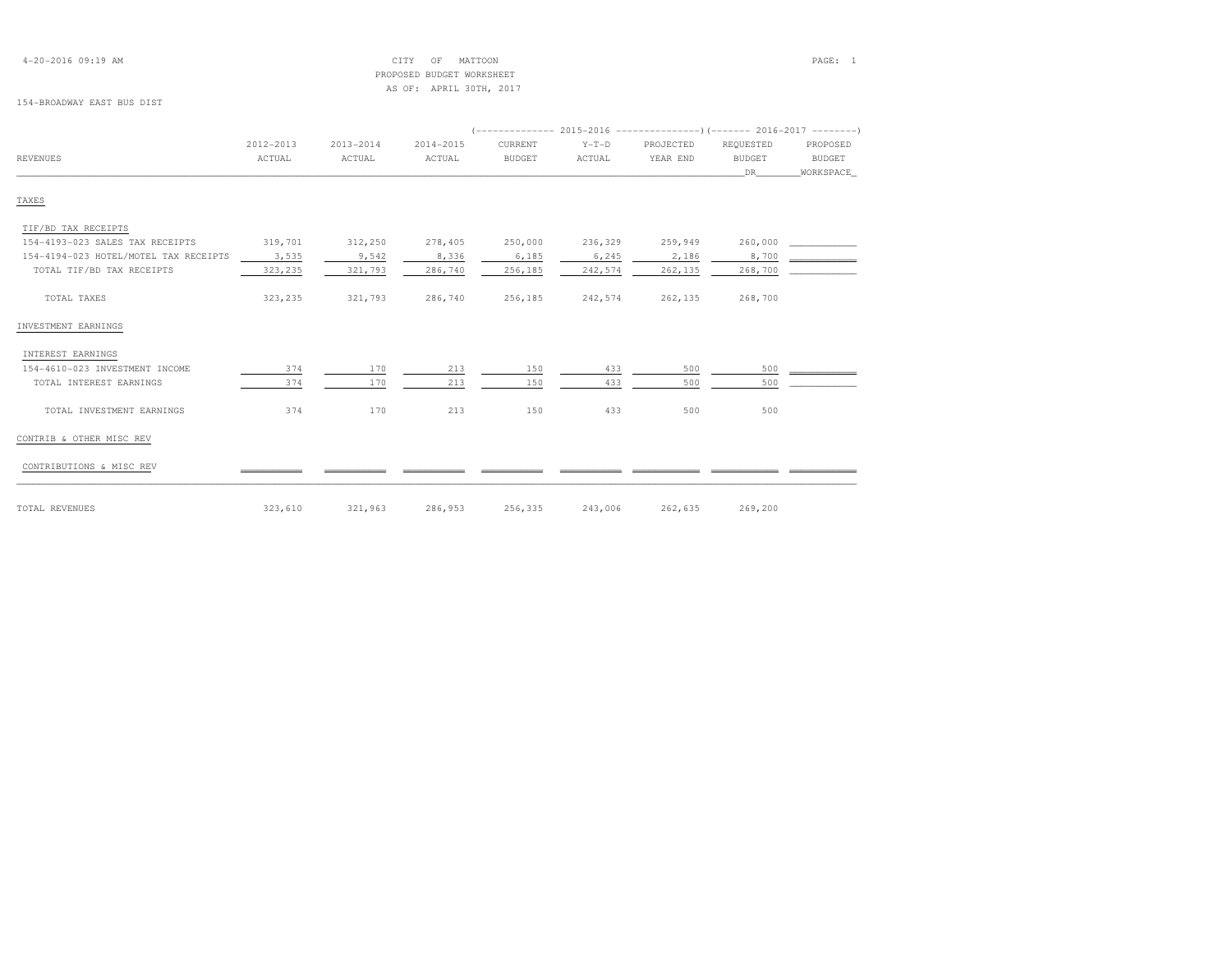|  |  | $4 - 20 - 2016$ 09:19 AM |  |
|--|--|--------------------------|--|
|--|--|--------------------------|--|

## 4-20-2016 09:19 AM CITY OF MATTOON PAGE: 1 PROPOSED BUDGET WORKSHEETAS OF: APRIL 30TH, 2017

## 154-BROADWAY EAST BUS DIST

| <b>REVENUES</b>                       | ACTUAL  | ACTUAL  | ACTUAL  | <b>BUDGET</b> |         |          |               |               |
|---------------------------------------|---------|---------|---------|---------------|---------|----------|---------------|---------------|
|                                       |         |         |         |               | ACTUAL  | YEAR END | <b>BUDGET</b> | <b>BUDGET</b> |
|                                       |         |         |         |               |         |          | DR.           | WORKSPACE     |
|                                       |         |         |         |               |         |          |               |               |
| TAXES                                 |         |         |         |               |         |          |               |               |
| TIF/BD TAX RECEIPTS                   |         |         |         |               |         |          |               |               |
| 154-4193-023 SALES TAX RECEIPTS       | 319,701 | 312,250 | 278,405 | 250,000       | 236,329 | 259,949  | 260,000       |               |
| 154-4194-023 HOTEL/MOTEL TAX RECEIPTS | 3,535   | 9,542   | 8,336   | 6,185         | 6,245   | 2,186    | 8,700         |               |
| TOTAL TIF/BD TAX RECEIPTS             | 323,235 | 321,793 | 286,740 | 256,185       | 242,574 | 262,135  | 268,700       |               |
| TOTAL TAXES                           | 323,235 | 321,793 | 286,740 | 256,185       | 242,574 | 262,135  | 268,700       |               |
| INVESTMENT EARNINGS                   |         |         |         |               |         |          |               |               |
| INTEREST EARNINGS                     |         |         |         |               |         |          |               |               |
| 154-4610-023 INVESTMENT INCOME        | 374     | 170     | 213     | 150           | 433     | 500      | 500           |               |
| TOTAL INTEREST EARNINGS               | 374     | 170     | 213     | 150           | 433     | 500      | 500           |               |
| TOTAL INVESTMENT EARNINGS             | 374     | 170     | 213     | 150           | 433     | 500      | 500           |               |
| CONTRIB & OTHER MISC REV              |         |         |         |               |         |          |               |               |
| CONTRIBUTIONS & MISC REV              |         |         |         |               |         |          |               |               |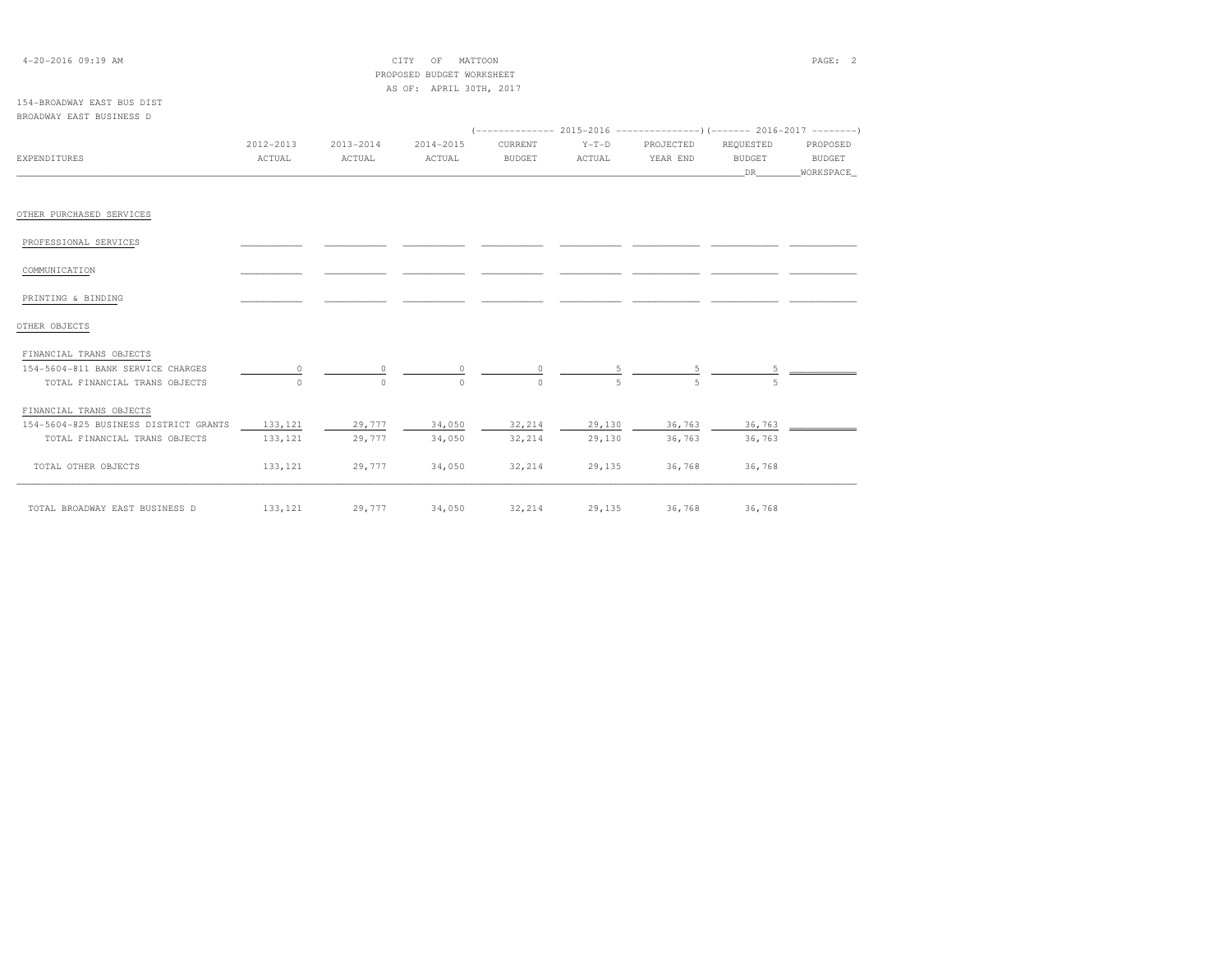| $4 - 20 - 2016$ 09:19 AM              |           |               | CITY<br>OF<br>MATTOON     |               |         |           |               | PAGE: 2       |
|---------------------------------------|-----------|---------------|---------------------------|---------------|---------|-----------|---------------|---------------|
|                                       |           |               | PROPOSED BUDGET WORKSHEET |               |         |           |               |               |
|                                       |           |               | AS OF: APRIL 30TH, 2017   |               |         |           |               |               |
| 154-BROADWAY EAST BUS DIST            |           |               |                           |               |         |           |               |               |
| BROADWAY EAST BUSINESS D              |           |               |                           |               |         |           |               |               |
|                                       |           |               |                           |               |         |           |               |               |
|                                       | 2012-2013 | $2013 - 2014$ | $2014 - 2015$             | CURRENT       | $Y-T-D$ | PROJECTED | REQUESTED     | PROPOSED      |
| <b>EXPENDITURES</b>                   | ACTUAL    | ACTUAL        | ACTUAL                    | <b>BUDGET</b> | ACTUAL  | YEAR END  | <b>BUDGET</b> | <b>BUDGET</b> |
|                                       |           |               |                           |               |         |           | DR            | WORKSPACE     |
| OTHER PURCHASED SERVICES              |           |               |                           |               |         |           |               |               |
| PROFESSIONAL SERVICES                 |           |               |                           |               |         |           |               |               |
| COMMUNICATION                         |           |               |                           |               |         |           |               |               |
| PRINTING & BINDING                    |           |               |                           |               |         |           |               |               |
| OTHER OBJECTS                         |           |               |                           |               |         |           |               |               |
| FINANCIAL TRANS OBJECTS               |           |               |                           |               |         |           |               |               |
| 154-5604-811 BANK SERVICE CHARGES     | $\circ$   | 0             | 0                         | 0             |         |           |               |               |
| TOTAL FINANCIAL TRANS OBJECTS         |           | $\Omega$      | $\cap$                    | $\cap$        |         |           |               |               |
| FINANCIAL TRANS OBJECTS               |           |               |                           |               |         |           |               |               |
| 154-5604-825 BUSINESS DISTRICT GRANTS | 133, 121  | 29,777        | 34,050                    | 32,214        | 29,130  | 36,763    | 36,763        |               |
| TOTAL FINANCIAL TRANS OBJECTS         | 133, 121  | 29,777        | 34,050                    | 32,214        | 29,130  | 36,763    | 36,763        |               |
| TOTAL OTHER OBJECTS                   | 133, 121  | 29,777        | 34,050                    | 32,214        | 29,135  | 36,768    | 36,768        |               |
| TOTAL BROADWAY EAST BUSINESS D        | 133, 121  | 29,777        | 34,050                    | 32,214        | 29,135  | 36,768    | 36,768        |               |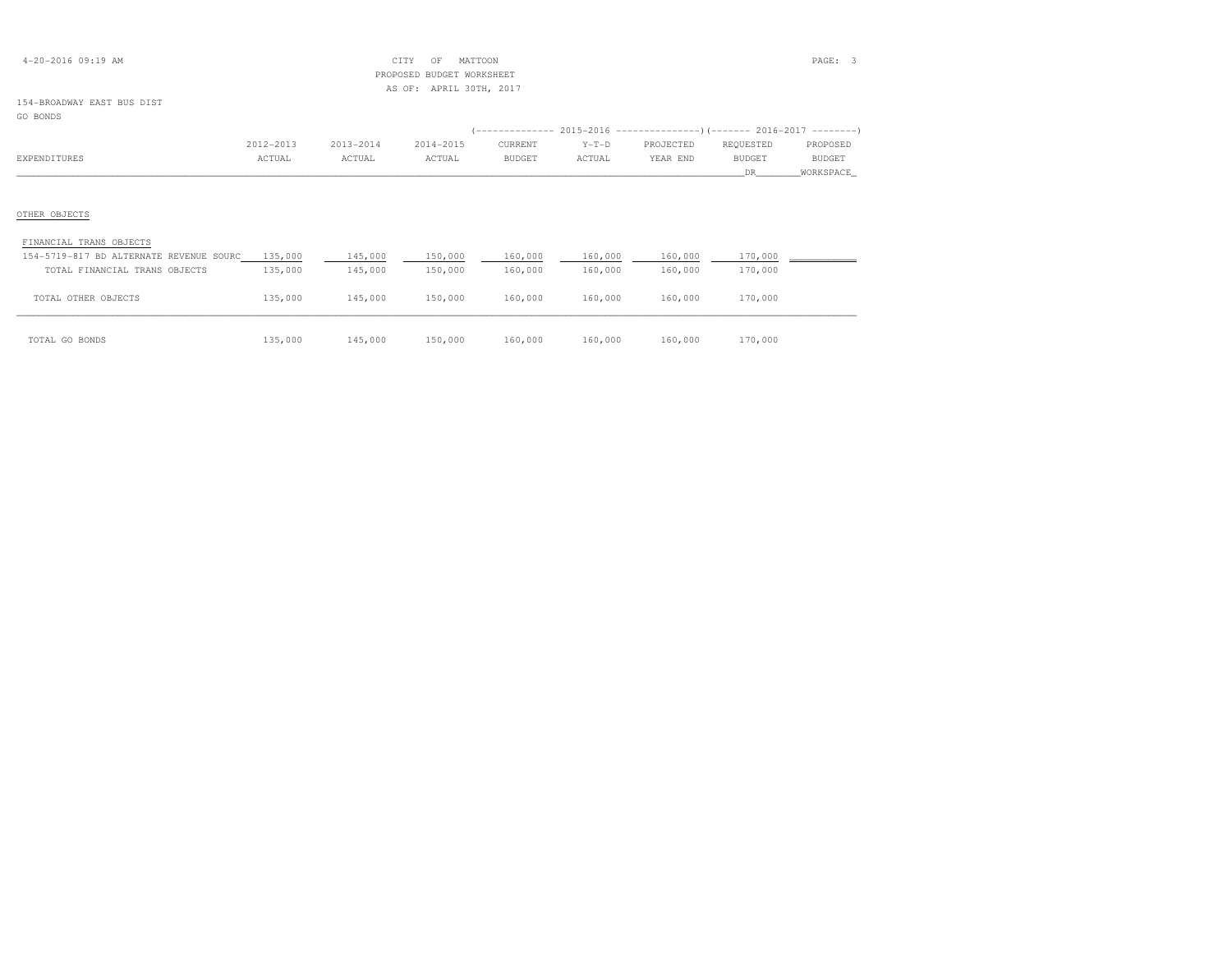| $4 - 20 - 2016$ 09:19 AM |
|--------------------------|
|--------------------------|

## $\begin{array}{ccc} \text{CITY} & \text{OF} & \text{MATION} \end{array}$  PROPOSED BUDGET WORKSHEETAS OF: APRIL 30TH, 2017

## 154-BROADWAY EAST BUS DIST

# GO BONDS (-------------- 2015-2016 ---------------)(------- 2016-2017 --------) 2012-2013 2013-2014 2014-2015 CURRENT Y-T-D PROJECTED REQUESTED PROPOSED**BUDGET** EXPENDITURES ACTUAL ACTUAL ACTUAL BUDGET ACTUAL YEAR END BUDGET BUDGET \_\_\_\_\_\_\_\_\_\_\_\_\_\_\_\_\_\_\_\_\_\_\_\_\_\_\_\_\_\_\_\_\_\_\_\_\_\_\_\_\_\_\_\_\_\_\_\_\_\_\_\_\_\_\_\_\_\_\_\_\_\_\_\_\_\_\_\_\_\_\_\_\_\_\_\_\_\_\_\_\_\_\_\_\_\_\_\_\_\_\_\_\_\_\_\_\_\_\_\_\_\_\_\_\_\_\_\_\_\_\_\_\_\_\_\_\_\_\_\_\_\_\_\_\_\_\_\_\_\_DR\_\_\_\_\_\_\_\_WORKSPACE\_OTHER OBJECTS FINANCIAL TRANS OBJECTS 154-5719-817 BD ALTERNATE REVENUE SOURC 135,000 145,000 150,000 160,000 160,000 160,000 170,000 \_\_\_\_\_\_\_\_\_\_\_\_ TOTAL FINANCIAL TRANS OBJECTS 135,000 145,000 150,000 160,000 160,000 160,000 170,000TOTAL OTHER OBJECTS 135,000 145,000 150,000 160,000 160,000 160,000 170,000

| TOTAL GO BONDS | 135,000 | 145,000 | 150,000 | 160,000 | 160,000 | 160,000 | 170,000 |
|----------------|---------|---------|---------|---------|---------|---------|---------|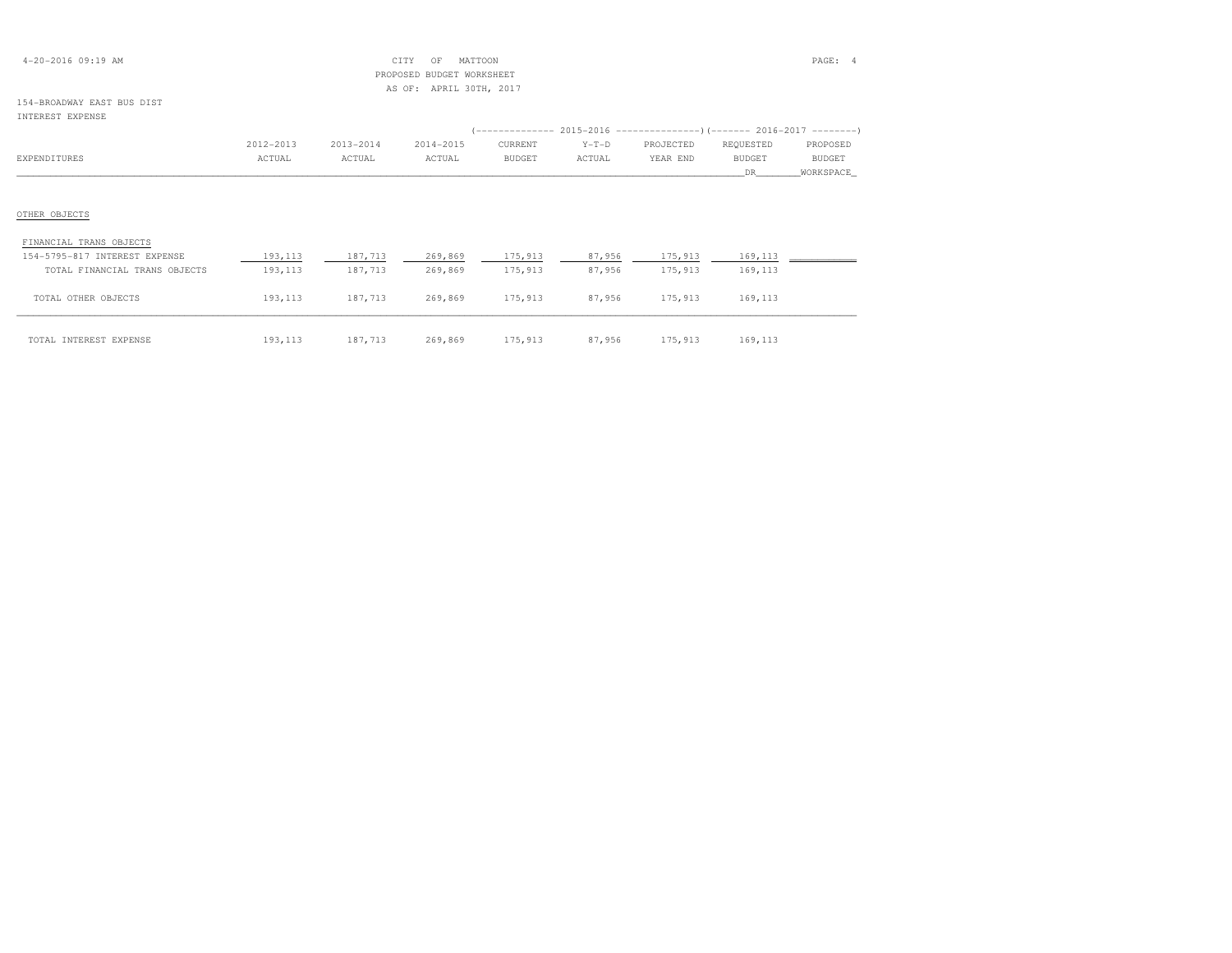| $4 - 20 - 2016$ 09:19 AM |  |
|--------------------------|--|
|--------------------------|--|

## 4-20-2016 09:19 AM CITY OF MATTOON PAGE: 4 PROPOSED BUDGET WORKSHEETAS OF: APRIL 30TH, 2017

### 154-BROADWAY EAST BUS DISTINTEREST EXPENSE

|                                                          | 2012-2013           | 2013-2014          | 2014-2015          | CURRENT            | $Y-T-D$          | PROJECTED          | REQUESTED          | PROPOSED      |
|----------------------------------------------------------|---------------------|--------------------|--------------------|--------------------|------------------|--------------------|--------------------|---------------|
| EXPENDITURES                                             | ACTUAL              | ACTUAL             | ACTUAL             | <b>BUDGET</b>      | ACTUAL           | YEAR END           | <b>BUDGET</b>      | <b>BUDGET</b> |
|                                                          |                     |                    |                    |                    |                  |                    | DR.                | WORKSPACE     |
|                                                          |                     |                    |                    |                    |                  |                    |                    |               |
| OTHER OBJECTS                                            |                     |                    |                    |                    |                  |                    |                    |               |
| FINANCIAL TRANS OBJECTS<br>154-5795-817 INTEREST EXPENSE |                     |                    |                    |                    |                  |                    |                    |               |
| TOTAL FINANCIAL TRANS OBJECTS                            | 193,113<br>193, 113 | 187,713<br>187,713 | 269,869<br>269,869 | 175,913<br>175,913 | 87,956<br>87,956 | 175,913<br>175,913 | 169,113<br>169,113 |               |

| TOTAL INTEREST EXPENSE | 193,113 | 187 713<br>101, 110 | 269,869 | 175,913 | 87,956 | '75,913 | 169 113<br>L V J 7 1 1 J |
|------------------------|---------|---------------------|---------|---------|--------|---------|--------------------------|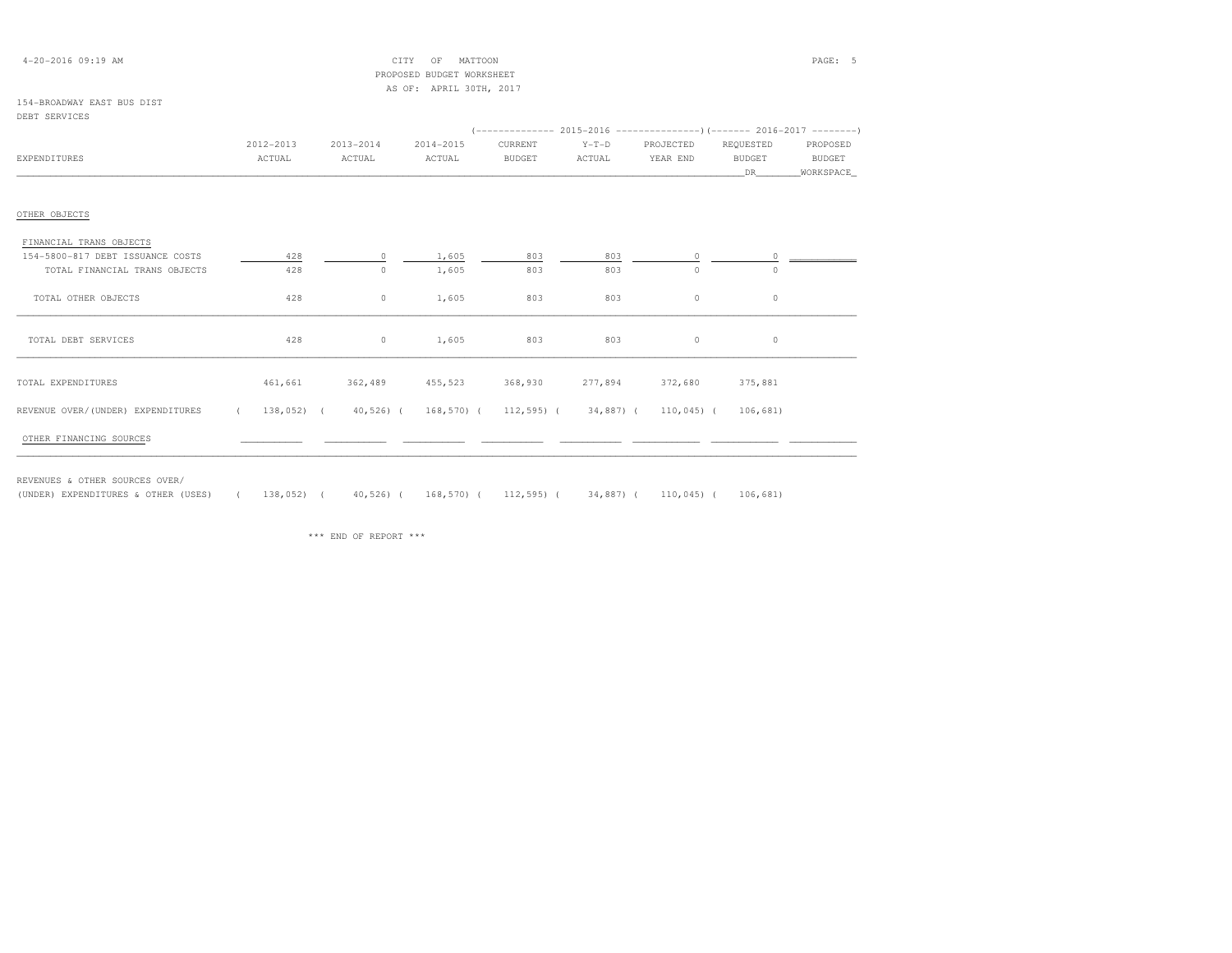|--|

 $\begin{array}{ccccccc}\n\text{CITY} & \text{OF} & \text{MATTOON}\n\end{array}$  PROPOSED BUDGET WORKSHEETAS OF: APRIL 30TH, 2017

### 154-BROADWAY EAST BUS DISTDEBT SERVICES

| EXPENDITURES                                                                                          | 2012-2013<br>ACTUAL | 2013-2014<br>ACTUAL             | 2014-2015<br>ACTUAL | CURRENT<br><b>BUDGET</b> | $Y-T-D$<br>ACTUAL | $(-$ -------------- 2015-2016 --------------------- 2016-2017 ---------<br>PROJECTED<br>YEAR END | REQUESTED<br><b>BUDGET</b> | PROPOSED<br>BUDGET |
|-------------------------------------------------------------------------------------------------------|---------------------|---------------------------------|---------------------|--------------------------|-------------------|--------------------------------------------------------------------------------------------------|----------------------------|--------------------|
|                                                                                                       |                     |                                 |                     |                          |                   |                                                                                                  | DR —                       | WORKSPACE          |
|                                                                                                       |                     |                                 |                     |                          |                   |                                                                                                  |                            |                    |
| OTHER OBJECTS                                                                                         |                     |                                 |                     |                          |                   |                                                                                                  |                            |                    |
| FINANCIAL TRANS OBJECTS                                                                               |                     |                                 |                     |                          |                   |                                                                                                  |                            |                    |
| 154-5800-817 DEBT ISSUANCE COSTS                                                                      | 428                 | $\circ$                         | 1,605               | 803                      | 803               | $\circ$                                                                                          | $\circ$                    |                    |
| TOTAL FINANCIAL TRANS OBJECTS                                                                         | 428                 | $\circ$                         | 1,605               | 803                      | 803               | $\circ$                                                                                          | $\circ$                    |                    |
| TOTAL OTHER OBJECTS                                                                                   | 428                 | $\circ$                         | 1,605               | 803                      | 803               | $\circ$                                                                                          | $\circ$                    |                    |
| TOTAL DEBT SERVICES                                                                                   | 428                 |                                 | $0 \t 1,605$        | 803                      | 803               | $\circ$                                                                                          | $\circ$                    |                    |
| TOTAL EXPENDITURES                                                                                    |                     | 461,661 362,489 455,523 368,930 |                     |                          |                   | 277,894 372,680                                                                                  | 375,881                    |                    |
| REVENUE OVER/(UNDER) EXPENDITURES (138,052) (40,526) (168,570) (112,595) (34,887) (110,045) (106,681) |                     |                                 |                     |                          |                   |                                                                                                  |                            |                    |
| OTHER FINANCING SOURCES                                                                               |                     |                                 |                     |                          |                   |                                                                                                  |                            |                    |

REVENUES & OTHER SOURCES OVER/

(UNDER) EXPENDITURES & OTHER (USES) ( 138,052) ( 40,526) ( 168,570) ( 112,595) ( 34,887) ( 110,045) ( 106,681)

\*\*\* END OF REPORT \*\*\*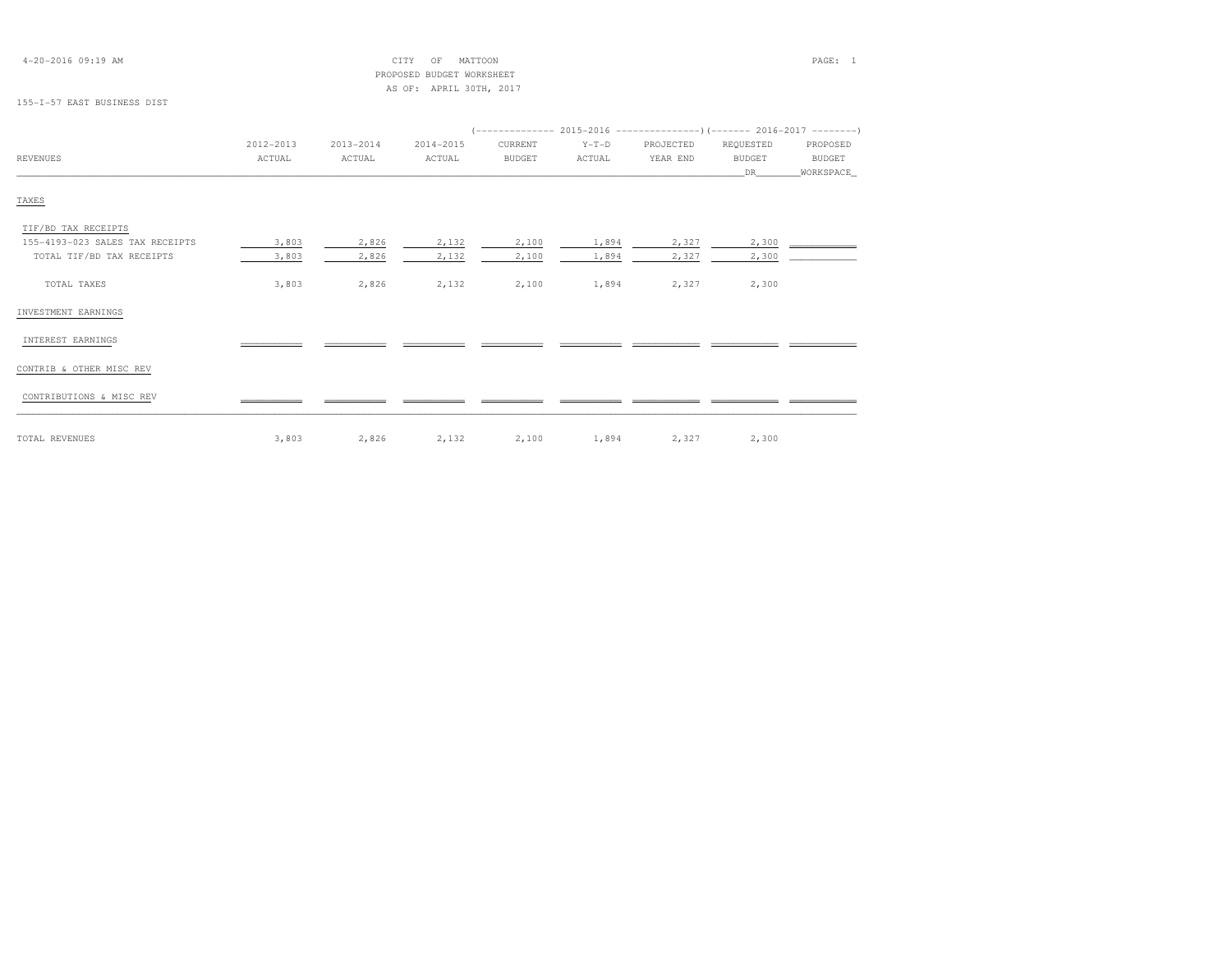| $4 - 20 - 2016$ 09:19 AM        |               | CITY<br>PROPOSED | PAGE: 1                                     |               |         |           |               |               |
|---------------------------------|---------------|------------------|---------------------------------------------|---------------|---------|-----------|---------------|---------------|
|                                 |               |                  | BUDGET WORKSHEET<br>AS OF: APRIL 30TH, 2017 |               |         |           |               |               |
| 155-1-57 EAST BUSINESS DIST     |               |                  |                                             |               |         |           |               |               |
|                                 |               |                  |                                             |               |         |           |               |               |
|                                 | $2012 - 2013$ | 2013-2014        | 2014-2015                                   | CURRENT       | $Y-T-D$ | PROJECTED | REQUESTED     | PROPOSED      |
| REVENUES                        | ACTUAL        | ACTUAL           | ACTUAL                                      | <b>BUDGET</b> | ACTUAL  | YEAR END  | <b>BUDGET</b> | <b>BUDGET</b> |
|                                 |               |                  |                                             |               |         |           | DR            | WORKSPACE     |
| TAXES                           |               |                  |                                             |               |         |           |               |               |
| TIF/BD TAX RECEIPTS             |               |                  |                                             |               |         |           |               |               |
| 155-4193-023 SALES TAX RECEIPTS | 3,803         | 2,826            | 2,132                                       | 2,100         | 1,894   | 2,327     | 2,300         |               |
| TOTAL TIF/BD TAX RECEIPTS       | 3,803         | 2,826            | 2,132                                       | 2,100         | 1,894   | 2,327     | 2,300         |               |
| TOTAL TAXES                     | 3,803         | 2,826            | 2,132                                       | 2,100         | 1,894   | 2,327     | 2,300         |               |
| INVESTMENT EARNINGS             |               |                  |                                             |               |         |           |               |               |
| INTEREST EARNINGS               |               |                  |                                             |               |         |           |               |               |

CONTRIB & OTHER MISC REV

CONTRIBUTIONS & MISC REV \_\_\_\_\_\_\_\_\_\_\_ \_\_\_\_\_\_\_\_\_\_\_ \_\_\_\_\_\_\_\_\_\_\_ \_\_\_\_\_\_\_\_\_\_\_ \_\_\_\_\_\_\_\_\_\_\_ \_\_\_\_\_\_\_\_\_\_\_\_ \_\_\_\_\_\_\_\_\_\_\_\_ \_\_\_\_\_\_\_\_\_\_\_\_

TOTAL REVENUES 3,803 2,826 2,132 2,100 1,894 2,327 2,300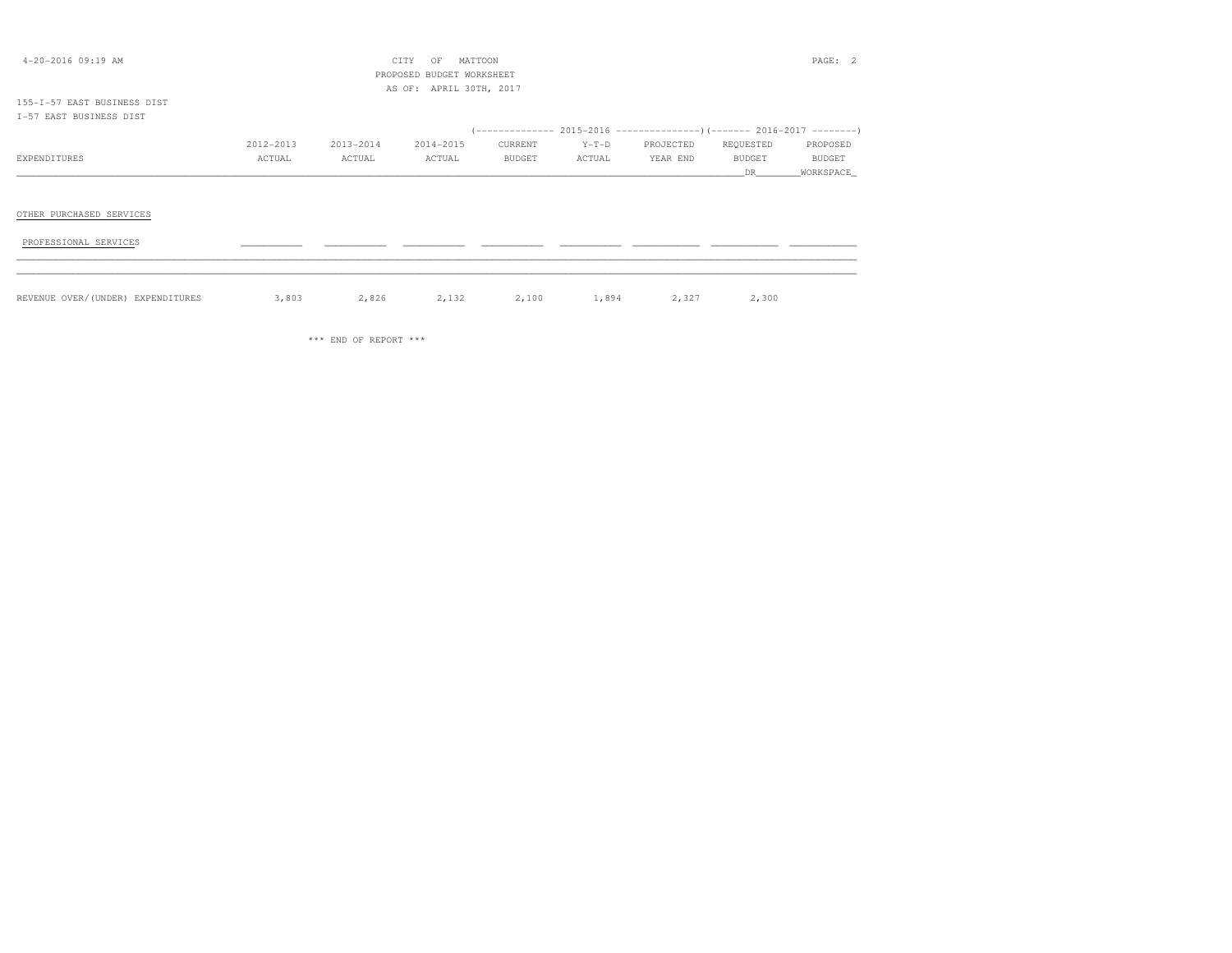| $4 - 20 - 2016$ 09:19 AM          |           |           | CITY<br>OF<br>PROPOSED BUDGET WORKSHEET | MATTOON       |         |                                                                         |                 | PAGE: 2             |
|-----------------------------------|-----------|-----------|-----------------------------------------|---------------|---------|-------------------------------------------------------------------------|-----------------|---------------------|
|                                   |           |           | AS OF: APRIL 30TH, 2017                 |               |         |                                                                         |                 |                     |
| 155-1-57 EAST BUSINESS DIST       |           |           |                                         |               |         |                                                                         |                 |                     |
| I-57 EAST BUSINESS DIST           |           |           |                                         |               |         | (-------------- 2015-2016 ---------------) (------- 2016-2017 --------) |                 |                     |
|                                   | 2012-2013 | 2013-2014 | 2014-2015                               | CURRENT       | $Y-T-D$ | PROJECTED                                                               | REQUESTED       | PROPOSED            |
| EXPENDITURES                      | ACTUAL    | ACTUAL    | ACTUAL                                  | <b>BUDGET</b> | ACTUAL  | YEAR END                                                                | BUDGET<br>DR DR | BUDGET<br>WORKSPACE |
|                                   |           |           |                                         |               |         |                                                                         |                 |                     |
| OTHER PURCHASED SERVICES          |           |           |                                         |               |         |                                                                         |                 |                     |
| PROFESSIONAL SERVICES             |           |           |                                         |               |         |                                                                         |                 |                     |
|                                   |           |           |                                         |               |         |                                                                         |                 |                     |
| REVENUE OVER/(UNDER) EXPENDITURES | 3,803     | 2,826     | 2,132                                   | 2,100         | 1,894   | 2,327                                                                   | 2,300           |                     |

\*\*\* END OF REPORT \*\*\*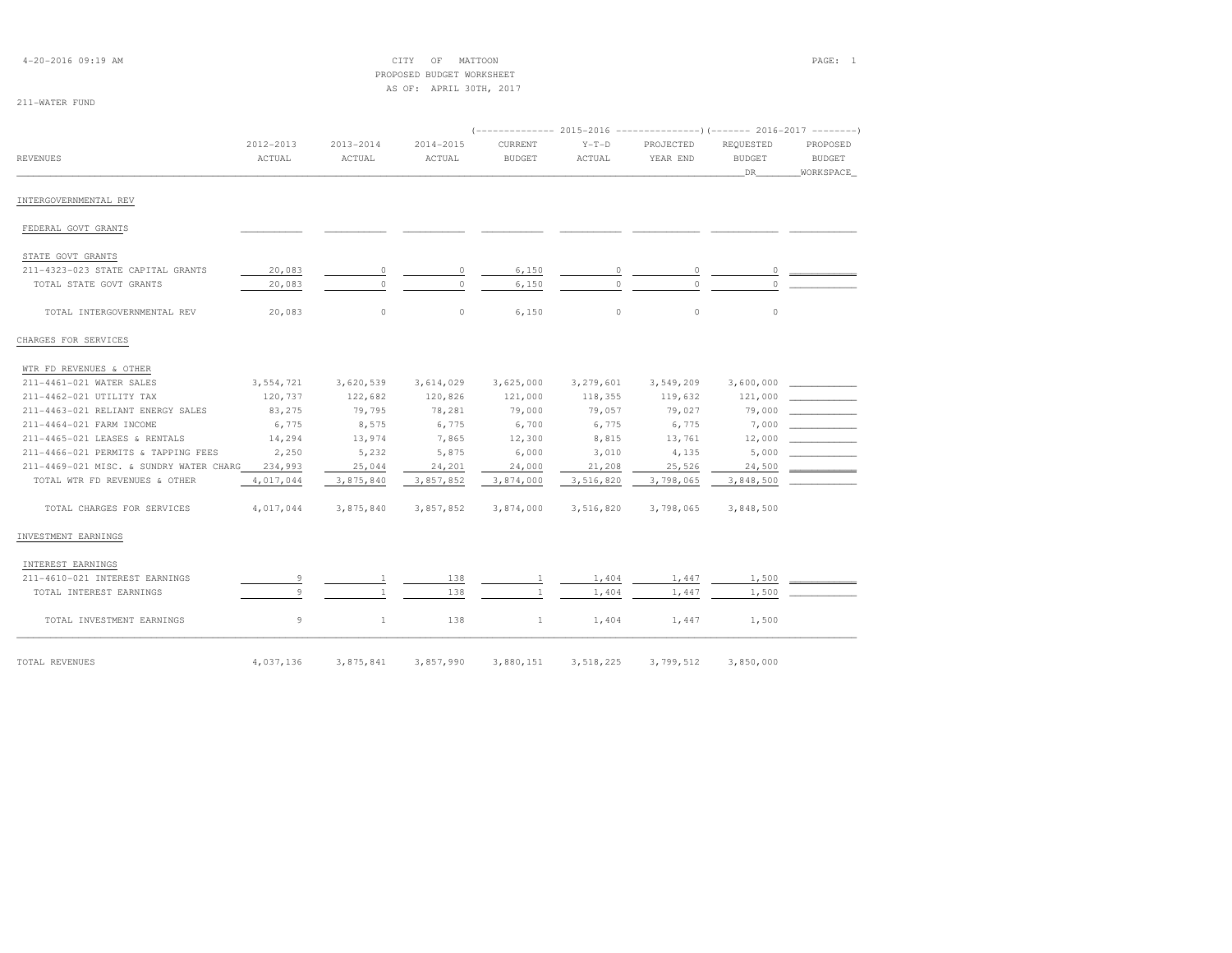| $4 - 20 - 2016$ 09:19 AM |  |  |
|--------------------------|--|--|
|--------------------------|--|--|

4-2017 OF MATTOON CITY OF MATTOON PAGE: 1 PROPOSED BUDGET WORKSHEETAS OF: APRIL 30TH, 2017

| <b>REVENUES</b>                         | 2012-2013<br>ACTUAL | 2013-2014<br>ACTUAL | 2014-2015<br>ACTUAL | <b>CURRENT</b><br>BUDGET | $Y-T-D$<br>ACTUAL | PROJECTED<br>YEAR END | REOUESTED<br><b>BUDGET</b><br>DR. | PROPOSED<br><b>BUDGET</b><br>WORKSPACE |
|-----------------------------------------|---------------------|---------------------|---------------------|--------------------------|-------------------|-----------------------|-----------------------------------|----------------------------------------|
| INTERGOVERNMENTAL REV                   |                     |                     |                     |                          |                   |                       |                                   |                                        |
| FEDERAL GOVT GRANTS                     |                     |                     |                     |                          |                   |                       |                                   |                                        |
| STATE GOVT GRANTS                       |                     |                     |                     |                          |                   |                       |                                   |                                        |
| 211-4323-023 STATE CAPITAL GRANTS       | 20,083              | 0                   | 0                   | 6,150                    | 0                 | $\circ$               | $\circ$                           |                                        |
| TOTAL STATE GOVT GRANTS                 | 20,083              | $\Omega$            | $\Omega$            | 6,150                    |                   |                       | $\Omega$                          |                                        |
| TOTAL INTERGOVERNMENTAL REV             | 20,083              | $\circ$             | $\circ$             | 6,150                    | $\circ$           | $\circ$               | $\circ$                           |                                        |
| CHARGES FOR SERVICES                    |                     |                     |                     |                          |                   |                       |                                   |                                        |
| WTR FD REVENUES & OTHER                 |                     |                     |                     |                          |                   |                       |                                   |                                        |
| 211-4461-021 WATER SALES                | 3,554,721           | 3,620,539           | 3,614,029           | 3,625,000                | 3,279,601         | 3,549,209             |                                   |                                        |
| 211-4462-021 UTILITY TAX                | 120,737             | 122,682             | 120,826             | 121,000                  | 118,355           | 119,632               | 121,000                           |                                        |
| 211-4463-021 RELIANT ENERGY SALES       | 83,275              | 79,795              | 78,281              | 79,000                   | 79,057            | 79,027                |                                   | 79,000                                 |
| 211-4464-021 FARM INCOME                | 6,775               | 8,575               | 6,775               | 6,700                    | 6,775             | 6,775                 |                                   | 7,000                                  |
| 211-4465-021 LEASES & RENTALS           | 14,294              | 13,974              | 7,865               | 12,300                   | 8,815             | 13,761                | 12,000                            |                                        |
| 211-4466-021 PERMITS & TAPPING FEES     | 2,250               | 5,232               | 5,875               | 6,000                    | 3,010             | 4,135                 | 5,000                             |                                        |
| 211-4469-021 MISC. & SUNDRY WATER CHARG | 234,993             | 25,044              | 24,201              | 24,000                   | 21,208            | 25,526                | 24,500                            |                                        |
| TOTAL WTR FD REVENUES & OTHER           | 4,017,044           | 3,875,840           | 3,857,852           | 3,874,000                | 3,516,820         | 3,798,065             | 3,848,500                         |                                        |
| TOTAL CHARGES FOR SERVICES              | 4,017,044           | 3,875,840           | 3,857,852           | 3,874,000                | 3,516,820         | 3,798,065             | 3,848,500                         |                                        |
| INVESTMENT EARNINGS                     |                     |                     |                     |                          |                   |                       |                                   |                                        |
| INTEREST EARNINGS                       |                     |                     |                     |                          |                   |                       |                                   |                                        |
| 211-4610-021 INTEREST EARNINGS          |                     | <sup>1</sup>        | 138                 | $\mathbf{1}$             | 1,404             | 1,447                 | 1,500                             |                                        |
| TOTAL INTEREST EARNINGS                 | Q                   |                     | 138                 |                          | 1,404             | 1,447                 | 1,500                             |                                        |
| TOTAL INVESTMENT EARNINGS               | 9                   | $\mathbf{1}$        | 138                 | $\mathbf{1}$             | 1,404             | 1,447                 | 1,500                             |                                        |
| TOTAL REVENUES                          | 4,037,136           | 3,875,841           | 3,857,990           | 3,880,151                | 3,518,225         | 3,799,512             | 3,850,000                         |                                        |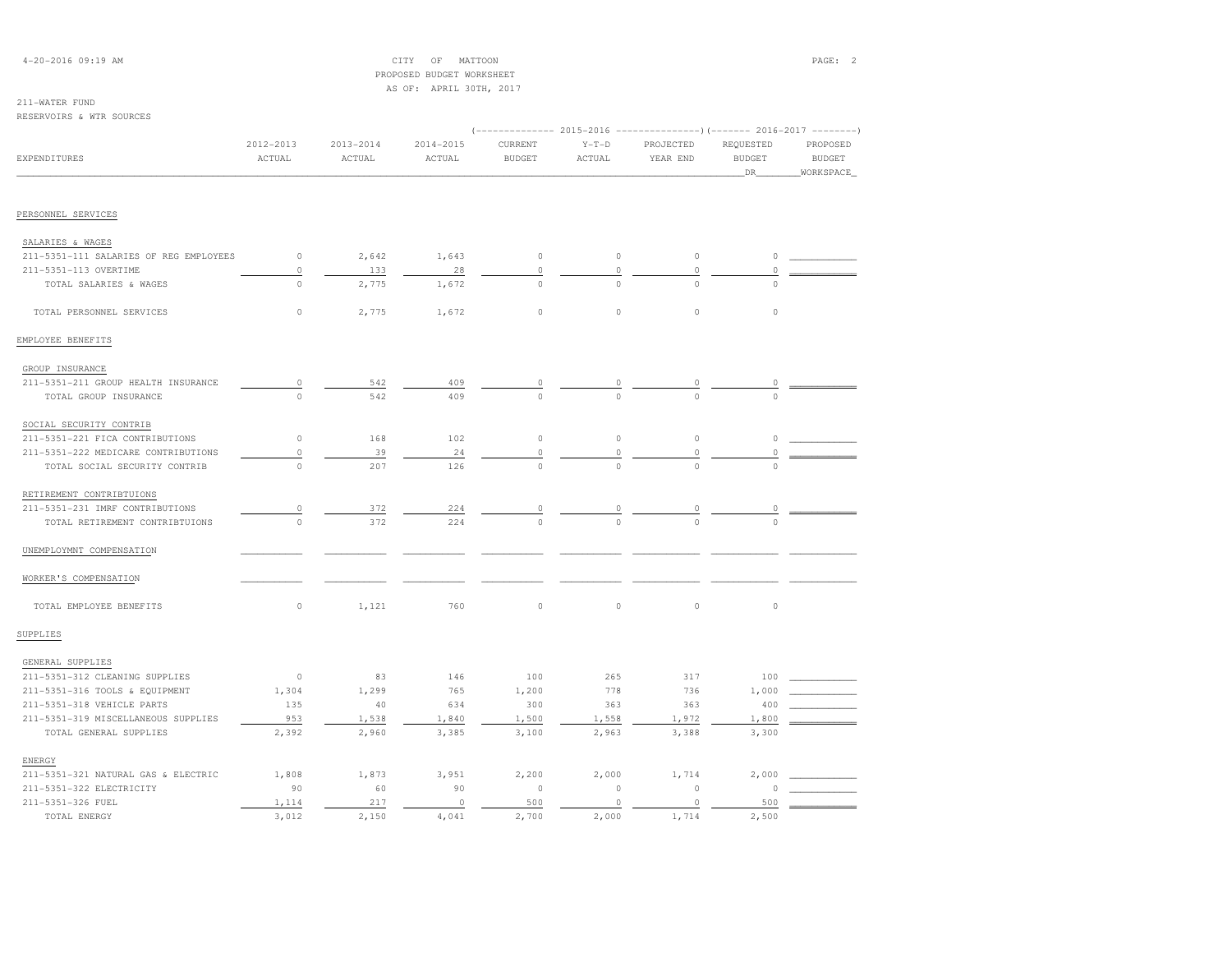## 4-20-2016 09:19 AM CITY OF MATTOON PAGE: 2 PROPOSED BUDGET WORKSHEETAS OF: APRIL 30TH, 2017

| RESERVOIRS & WTR SOURCES               |                         |                         |                         |                                                                                                 |                   |                       |                            |                           |
|----------------------------------------|-------------------------|-------------------------|-------------------------|-------------------------------------------------------------------------------------------------|-------------------|-----------------------|----------------------------|---------------------------|
| <b>EXPENDITURES</b>                    | $2012 - 2013$<br>ACTUAL | $2013 - 2014$<br>ACTUAL | $2014 - 2015$<br>ACTUAL | $(----------2015-2016$ ---------------) (------- 2016-2017 -------)<br>CURRENT<br><b>BUDGET</b> | $Y-T-D$<br>ACTUAL | PROJECTED<br>YEAR END | REQUESTED<br><b>BUDGET</b> | PROPOSED<br><b>BUDGET</b> |
|                                        |                         |                         |                         |                                                                                                 |                   |                       | DR                         | WORKSPACE                 |
| PERSONNEL SERVICES                     |                         |                         |                         |                                                                                                 |                   |                       |                            |                           |
| SALARIES & WAGES                       |                         |                         |                         |                                                                                                 |                   |                       |                            |                           |
| 211-5351-111 SALARIES OF REG EMPLOYEES | $\circ$                 | 2,642                   | 1,643                   | $\circ$                                                                                         | $\circ$           | $\mathbb O$           | $\circ$                    |                           |
| 211-5351-113 OVERTIME                  | $\circ$                 | 133                     | 28                      | $\circ$                                                                                         | $\circ$           | $\circ$               | $\circ$                    |                           |
| TOTAL SALARIES & WAGES                 | $\circ$                 | 2,775                   | 1,672                   | $\circ$                                                                                         | $\circ$           | $\Omega$              | $\Omega$                   |                           |
| TOTAL PERSONNEL SERVICES               | $\circ$                 | 2,775                   | 1,672                   | $\circ$                                                                                         | $\circ$           | $\circ$               | $\circ$                    |                           |
| EMPLOYEE BENEFITS                      |                         |                         |                         |                                                                                                 |                   |                       |                            |                           |
| GROUP INSURANCE                        |                         |                         |                         |                                                                                                 |                   |                       |                            |                           |
| 211-5351-211 GROUP HEALTH INSURANCE    | $\circ$                 | 542                     | 409                     | $\circ$                                                                                         | 0                 | 0                     | 0                          |                           |
| TOTAL GROUP INSURANCE                  | $\circ$                 | 542                     | 409                     | $\circ$                                                                                         | $\circ$           | $\circ$               | $\circ$                    |                           |
| SOCIAL SECURITY CONTRIB                |                         |                         |                         |                                                                                                 |                   |                       |                            |                           |
| 211-5351-221 FICA CONTRIBUTIONS        | $\circ$                 | 168                     | 102                     | $\circ$                                                                                         | $\circ$           | $\circ$               | $\circ$                    |                           |
| 211-5351-222 MEDICARE CONTRIBUTIONS    | $\circ$                 | 39                      | 24                      | $\circ$                                                                                         | $\mathbb O$       | 0                     | $\theta$                   |                           |
| TOTAL SOCIAL SECURITY CONTRIB          | $\circ$                 | 207                     | 126                     | $\circ$                                                                                         | $\Omega$          | $\Omega$              | $\triangle$                |                           |
| RETIREMENT CONTRIBTUIONS               |                         |                         |                         |                                                                                                 |                   |                       |                            |                           |
| 211-5351-231 IMRF CONTRIBUTIONS        | $\circ$                 | 372                     | 224                     | 0                                                                                               | $\circ$           | 0                     | $\circ$                    |                           |
| TOTAL RETIREMENT CONTRIBTUIONS         | $\Omega$                | 372                     | 224                     | $\Omega$                                                                                        |                   | $\cap$                | $\cap$                     |                           |
| UNEMPLOYMNT COMPENSATION               |                         |                         |                         |                                                                                                 |                   |                       |                            |                           |
| WORKER'S COMPENSATION                  |                         |                         |                         |                                                                                                 |                   |                       |                            |                           |
| TOTAL EMPLOYEE BENEFITS                | $\circ$                 | 1,121                   | 760                     | $\mathbb O$                                                                                     | $\circ$           | $\mathbb O$           | $\circ$                    |                           |
| SUPPLIES                               |                         |                         |                         |                                                                                                 |                   |                       |                            |                           |
| GENERAL SUPPLIES                       |                         |                         |                         |                                                                                                 |                   |                       |                            |                           |
| 211-5351-312 CLEANING SUPPLIES         | $\circ$                 | 83                      | 146                     | 100                                                                                             | 265               | 317                   | 100                        |                           |
| 211-5351-316 TOOLS & EQUIPMENT         | 1,304                   | 1,299                   | 765                     | 1,200                                                                                           | 778               | 736                   | 1,000                      |                           |
| 211-5351-318 VEHICLE PARTS             | 135                     | 40                      | 634                     | 300                                                                                             | 363               | 363                   | 400                        |                           |
| 211-5351-319 MISCELLANEOUS SUPPLIES    | 953                     | 1,538                   | 1,840                   | 1,500                                                                                           | 1,558             | 1,972                 | 1,800                      |                           |
| TOTAL GENERAL SUPPLIES                 | 2,392                   | 2,960                   | 3,385                   | 3,100                                                                                           | 2,963             | 3,388                 | 3,300                      |                           |
| ENERGY                                 |                         |                         |                         |                                                                                                 |                   |                       |                            |                           |
| 211-5351-321 NATURAL GAS & ELECTRIC    | 1,808                   | 1,873                   | 3,951                   | 2,200                                                                                           | 2,000             | 1,714                 | 2,000                      |                           |
| 211-5351-322 ELECTRICITY               | 90                      | 60                      | 90                      | $\mathbb O$                                                                                     | $\mathbb O$       | $\mathbb O$           | $\Omega$                   |                           |
| 211-5351-326 FUEL                      | 1,114                   | 217                     | $\circ$                 | 500                                                                                             | $\circ$           | $\circ$               | 500                        |                           |
| TOTAL ENERGY                           | 3,012                   | 2,150                   | 4,041                   | 2,700                                                                                           | 2,000             | 1,714                 | 2.500                      |                           |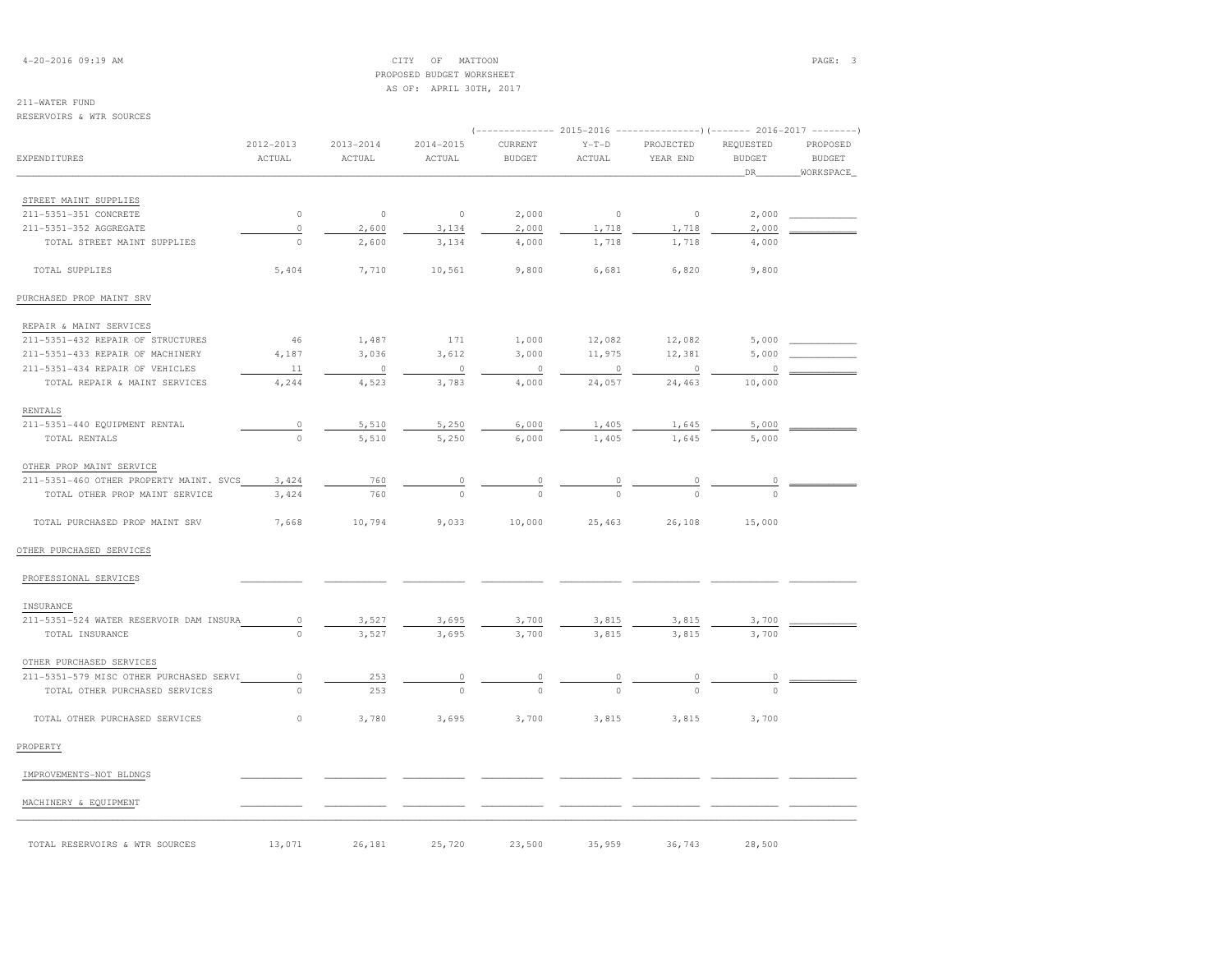4-20-2016 09:19 AM CITY OF MATTOON PAGE: 3 PROPOSED BUDGET WORKSHEETAS OF: APRIL 30TH, 2017

## 211-WATER FUND

### RESERVOIRS & WTR SOURCES

| <b>EXPENDITURES</b><br>STREET MAINT SUPPLIES<br>211-5351-351 CONCRETE<br>211-5351-352 AGGREGATE<br>TOTAL STREET MAINT SUPPLIES | 2012-2013<br>ACTUAL<br>$\mathbb O$<br>$\circ$ | 2013-2014<br>ACTUAL | 2014-2015<br>ACTUAL | CURRENT<br><b>BUDGET</b> | $Y-T-D$<br>ACTUAL | PROJECTED<br>YEAR END | REQUESTED<br><b>BUDGET</b><br>DR_ | PROPOSED<br><b>BUDGET</b><br>WORKSPACE |
|--------------------------------------------------------------------------------------------------------------------------------|-----------------------------------------------|---------------------|---------------------|--------------------------|-------------------|-----------------------|-----------------------------------|----------------------------------------|
|                                                                                                                                |                                               |                     |                     |                          |                   |                       |                                   |                                        |
|                                                                                                                                |                                               |                     |                     |                          |                   |                       |                                   |                                        |
|                                                                                                                                |                                               |                     |                     |                          |                   |                       |                                   |                                        |
|                                                                                                                                |                                               | $\circ$             | $\mathbb O$         | 2,000                    | $\circ$           | $\mathbb O$           | 2,000                             |                                        |
|                                                                                                                                |                                               | 2,600               | 3,134               | 2,000                    | 1,718             | 1,718                 | 2,000                             |                                        |
|                                                                                                                                | $\circ$                                       | 2,600               | 3,134               | 4,000                    | 1,718             | 1,718                 | 4,000                             |                                        |
| TOTAL SUPPLIES                                                                                                                 | 5,404                                         | 7,710               | 10,561              | 9,800                    | 6,681             | 6,820                 | 9,800                             |                                        |
| PURCHASED PROP MAINT SRV                                                                                                       |                                               |                     |                     |                          |                   |                       |                                   |                                        |
| REPAIR & MAINT SERVICES                                                                                                        |                                               |                     |                     |                          |                   |                       |                                   |                                        |
| 211-5351-432 REPAIR OF STRUCTURES                                                                                              | 46                                            | 1,487               | 171                 | 1,000                    | 12,082            | 12,082                | 5,000                             |                                        |
| 211-5351-433 REPAIR OF MACHINERY                                                                                               | 4,187                                         | 3,036               | 3,612               | 3,000                    | 11,975            | 12,381                | 5,000                             |                                        |
| 211-5351-434 REPAIR OF VEHICLES                                                                                                | 11                                            | $\circ$             | $\circ$             | $\circ$                  | $\circ$           | $\mathbb O$           | $\circ$                           |                                        |
| TOTAL REPAIR & MAINT SERVICES                                                                                                  | 4,244                                         | 4,523               | 3,783               | 4,000                    | 24,057            | 24,463                | 10,000                            |                                        |
| RENTALS                                                                                                                        |                                               |                     |                     |                          |                   |                       |                                   |                                        |
| 211-5351-440 EQUIPMENT RENTAL                                                                                                  | $\circ$                                       | 5,510               | 5,250               | 6,000                    | 1,405             | 1,645                 | 5,000                             |                                        |
| TOTAL RENTALS                                                                                                                  | $\circ$                                       | 5,510               | 5,250               | 6,000                    | 1,405             | 1,645                 | 5,000                             |                                        |
| OTHER PROP MAINT SERVICE                                                                                                       |                                               |                     |                     |                          |                   |                       |                                   |                                        |
| 211-5351-460 OTHER PROPERTY MAINT. SVCS                                                                                        | 3,424                                         | 760                 |                     | $\frac{0}{0}$            | $\frac{0}{0}$     |                       | $\overline{0}$                    |                                        |
| TOTAL OTHER PROP MAINT SERVICE                                                                                                 | 3,424                                         | 760                 |                     |                          |                   |                       |                                   |                                        |
| TOTAL PURCHASED PROP MAINT SRV                                                                                                 | 7,668                                         | 10,794              | 9,033               | 10,000                   | 25,463            | 26,108                | 15,000                            |                                        |
| OTHER PURCHASED SERVICES                                                                                                       |                                               |                     |                     |                          |                   |                       |                                   |                                        |
| PROFESSIONAL SERVICES                                                                                                          |                                               |                     |                     |                          |                   |                       |                                   |                                        |
| INSURANCE                                                                                                                      |                                               |                     |                     |                          |                   |                       |                                   |                                        |
| 211-5351-524 WATER RESERVOIR DAM INSURA                                                                                        | $\circ$                                       | 3,527               | 3,695               | 3,700                    | 3,815             | 3,815                 | 3,700                             |                                        |
| TOTAL INSURANCE                                                                                                                | $\circ$                                       | 3,527               | 3,695               | 3,700                    | 3,815             | 3,815                 | 3,700                             |                                        |
| OTHER PURCHASED SERVICES                                                                                                       |                                               |                     |                     |                          |                   |                       |                                   |                                        |
| 211-5351-579 MISC OTHER PURCHASED SERVI                                                                                        | 0                                             | 253                 |                     |                          |                   |                       |                                   |                                        |
| TOTAL OTHER PURCHASED SERVICES                                                                                                 | $\Omega$                                      | 253                 | $\Omega$            |                          |                   |                       |                                   |                                        |
| TOTAL OTHER PURCHASED SERVICES                                                                                                 | $\circ$                                       | 3,780               | 3,695               | 3,700                    | 3,815             | 3,815                 | 3,700                             |                                        |
| PROPERTY                                                                                                                       |                                               |                     |                     |                          |                   |                       |                                   |                                        |
| IMPROVEMENTS-NOT BLDNGS                                                                                                        |                                               |                     |                     |                          |                   |                       |                                   |                                        |
| MACHINERY & EQUIPMENT                                                                                                          |                                               |                     |                     |                          |                   |                       |                                   |                                        |

TOTAL RESERVOIRS & WTR SOURCES  $13,071$   $26,181$   $25,720$   $23,500$   $35,959$   $36,743$   $28,500$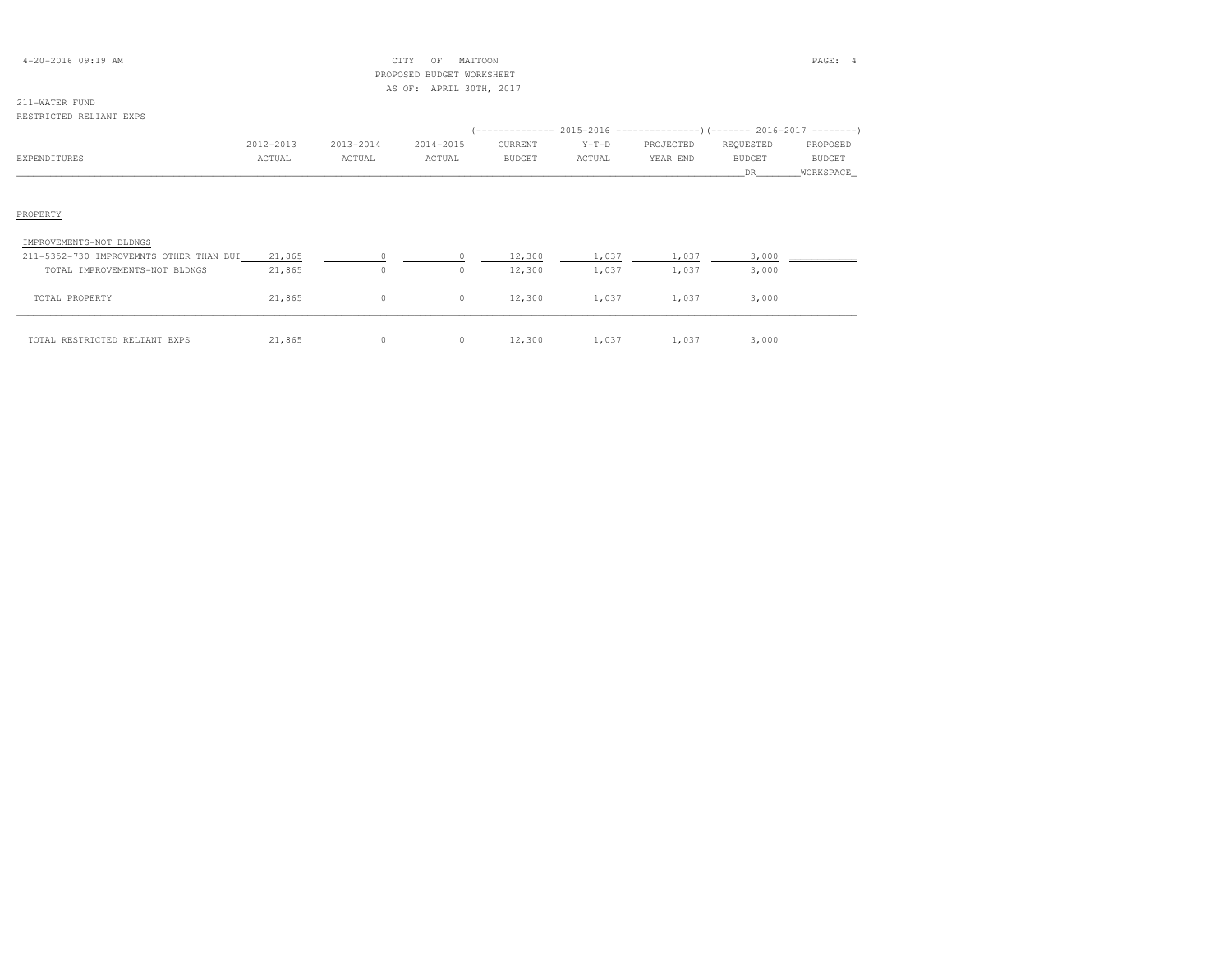| $4 - 20 - 2016$ 09:19 AM |  |  |
|--------------------------|--|--|
|--------------------------|--|--|

## $CITY$  OF MATTOON PAGE: 4 PROPOSED BUDGET WORKSHEETAS OF: APRIL 30TH, 2017

| RESTRICTED RELIANT EXPS                 |           |           |           |                                                                                      |         |           |               |               |  |
|-----------------------------------------|-----------|-----------|-----------|--------------------------------------------------------------------------------------|---------|-----------|---------------|---------------|--|
|                                         | 2012-2013 | 2013-2014 | 2014-2015 | (-------------- 2015–2016 -----------------) (------- 2016–2017 --------'<br>CURRENT | $Y-T-D$ | PROJECTED | REQUESTED     | PROPOSED      |  |
| <b>EXPENDITURES</b>                     | ACTUAL    | ACTUAL    | ACTUAL    | <b>BUDGET</b>                                                                        | ACTUAL  | YEAR END  | <b>BUDGET</b> | <b>BUDGET</b> |  |
|                                         |           |           |           |                                                                                      |         |           | DR.           | WORKSPACE     |  |
|                                         |           |           |           |                                                                                      |         |           |               |               |  |
| PROPERTY                                |           |           |           |                                                                                      |         |           |               |               |  |
| IMPROVEMENTS-NOT BLDNGS                 |           |           |           |                                                                                      |         |           |               |               |  |
| 211-5352-730 IMPROVEMNTS OTHER THAN BUI | 21,865    |           |           | 12,300                                                                               | 1,037   | 1,037     | 3,000         |               |  |
| TOTAL IMPROVEMENTS-NOT BLDNGS           | 21,865    | 0         | $\circ$   | 12,300                                                                               | 1,037   | 1,037     | 3,000         |               |  |
| TOTAL PROPERTY                          | 21,865    | $\circ$   | $\circ$   | 12,300                                                                               | 1,037   | 1,037     | 3,000         |               |  |
| TOTAL RESTRICTED RELIANT EXPS           | 21,865    | 0         | $\circ$   | 12,300                                                                               | 1,037   | 1,037     | 3,000         |               |  |

| TAL RESTRICTED RELIANT EXPS | ,865 |  | .2.300 | $\cdot$ $\circ$ | 037 | 000 |
|-----------------------------|------|--|--------|-----------------|-----|-----|
|                             |      |  |        |                 |     |     |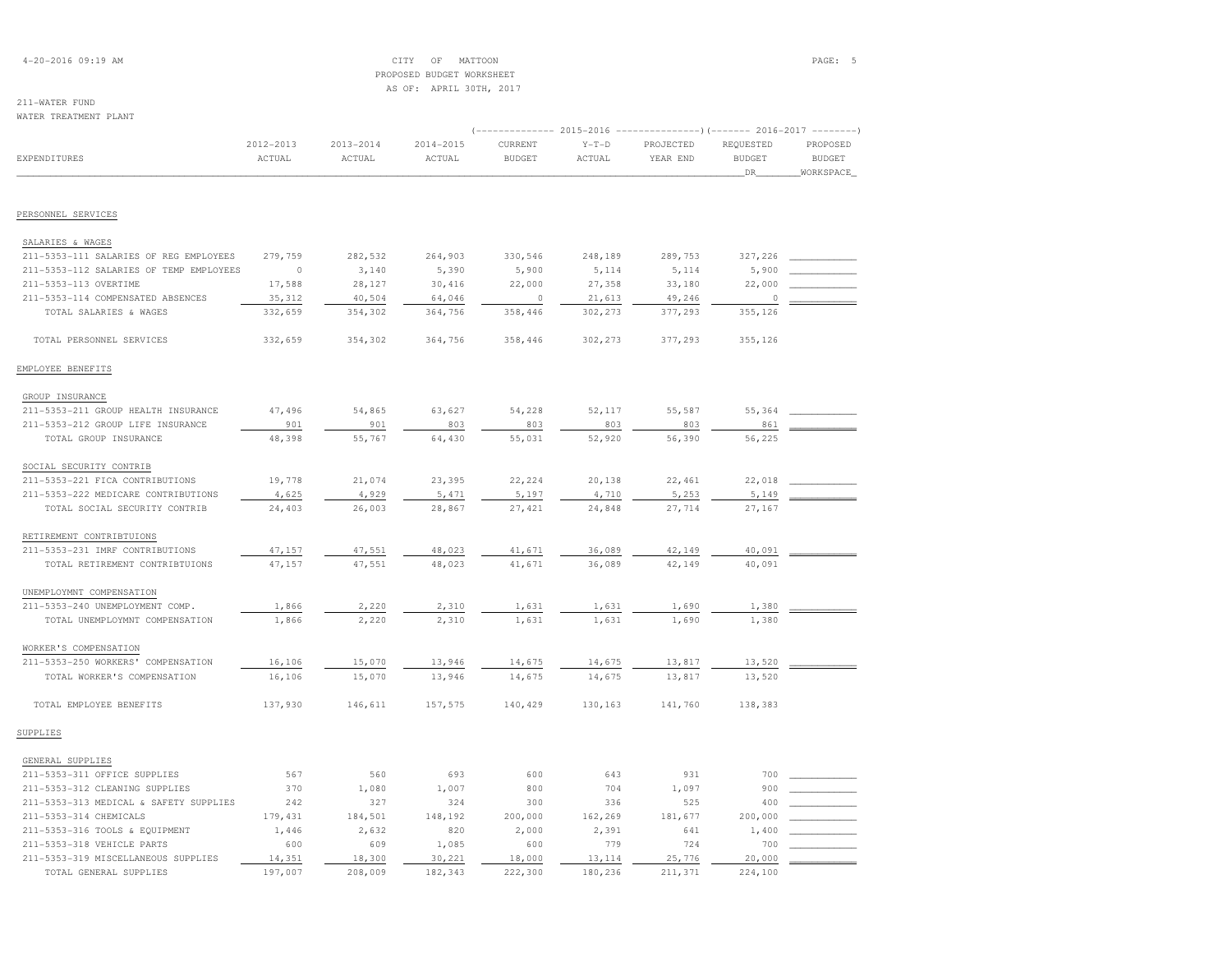## 4-20-2016 09:19 AM CITY OF MATTOON PAGE: 5 PROPOSED BUDGET WORKSHEETAS OF: APRIL 30TH, 2017

# 211-WATER FUND

| WATER TREATMENT PLANT                   |                     |                         |                         |                          |                   | (-------------- 2015-2016 -----------------) (------- 2016-2017 -------- |                                   |                                        |
|-----------------------------------------|---------------------|-------------------------|-------------------------|--------------------------|-------------------|--------------------------------------------------------------------------|-----------------------------------|----------------------------------------|
| <b>EXPENDITURES</b>                     | 2012-2013<br>ACTUAL | $2013 - 2014$<br>ACTUAL | $2014 - 2015$<br>ACTUAL | CURRENT<br><b>BUDGET</b> | $Y-T-D$<br>ACTUAL | PROJECTED<br>YEAR END                                                    | REQUESTED<br><b>BUDGET</b><br>DR_ | PROPOSED<br><b>BUDGET</b><br>WORKSPACE |
| PERSONNEL SERVICES                      |                     |                         |                         |                          |                   |                                                                          |                                   |                                        |
| SALARIES & WAGES                        |                     |                         |                         |                          |                   |                                                                          |                                   |                                        |
| 211-5353-111 SALARIES OF REG EMPLOYEES  | 279,759             | 282,532                 | 264,903                 | 330,546                  | 248,189           | 289,753                                                                  | 327,226                           |                                        |
| 211-5353-112 SALARIES OF TEMP EMPLOYEES | $\circ$             | 3,140                   | 5,390                   | 5,900                    | 5,114             | 5,114                                                                    | 5,900                             |                                        |
| 211-5353-113 OVERTIME                   | 17,588              | 28,127                  | 30,416                  | 22,000                   | 27,358            | 33,180                                                                   | 22,000                            |                                        |
| 211-5353-114 COMPENSATED ABSENCES       | 35, 312             | 40,504                  | 64,046                  | $\circ$                  | 21,613            | 49,246                                                                   | $\circ$                           |                                        |
| TOTAL SALARIES & WAGES                  | 332,659             | 354,302                 | 364,756                 | 358,446                  | 302,273           | 377,293                                                                  | 355,126                           |                                        |
| TOTAL PERSONNEL SERVICES                | 332,659             | 354,302                 | 364,756                 | 358,446                  | 302,273           | 377,293                                                                  | 355,126                           |                                        |
| EMPLOYEE BENEFITS                       |                     |                         |                         |                          |                   |                                                                          |                                   |                                        |
| GROUP INSURANCE                         |                     |                         |                         |                          |                   |                                                                          |                                   |                                        |
| 211-5353-211 GROUP HEALTH INSURANCE     | 47,496              | 54,865                  | 63,627                  | 54,228                   | 52,117            | 55,587                                                                   | 55,364                            |                                        |
| 211-5353-212 GROUP LIFE INSURANCE       | 901                 | 901                     | 803                     | 803                      | 803               | 803                                                                      | 861                               |                                        |
| TOTAL GROUP INSURANCE                   | 48,398              | 55,767                  | 64,430                  | 55,031                   | 52,920            | 56,390                                                                   | 56,225                            |                                        |
| SOCIAL SECURITY CONTRIB                 |                     |                         |                         |                          |                   |                                                                          |                                   |                                        |
| 211-5353-221 FICA CONTRIBUTIONS         | 19,778              | 21,074                  | 23,395                  | 22,224                   | 20,138            | 22,461                                                                   | 22,018                            |                                        |
| 211-5353-222 MEDICARE CONTRIBUTIONS     | 4,625               | 4,929                   | 5,471                   | 5,197                    | 4,710             | 5,253                                                                    | 5,149                             |                                        |
| TOTAL SOCIAL SECURITY CONTRIB           | 24,403              | 26,003                  | 28,867                  | 27,421                   | 24,848            | 27,714                                                                   | 27,167                            |                                        |
| RETIREMENT CONTRIBTUIONS                |                     |                         |                         |                          |                   |                                                                          |                                   |                                        |
| 211-5353-231 IMRF CONTRIBUTIONS         | 47,157              | 47,551                  | 48,023                  | 41,671                   | 36,089            | 42,149                                                                   | 40,091                            |                                        |
| TOTAL RETIREMENT CONTRIBTUIONS          | 47,157              | 47,551                  | 48,023                  | 41,671                   | 36,089            | 42,149                                                                   | 40,091                            |                                        |
| UNEMPLOYMNT COMPENSATION                |                     |                         |                         |                          |                   |                                                                          |                                   |                                        |
| 211-5353-240 UNEMPLOYMENT COMP.         | 1,866               | 2,220                   | 2,310                   | 1,631                    | 1,631             | 1,690                                                                    | 1,380                             |                                        |
| TOTAL UNEMPLOYMNT COMPENSATION          | 1,866               | 2,220                   | 2,310                   | 1,631                    | 1,631             | 1,690                                                                    | 1,380                             |                                        |
| WORKER'S COMPENSATION                   |                     |                         |                         |                          |                   |                                                                          |                                   |                                        |
| 211-5353-250 WORKERS' COMPENSATION      | 16,106              | 15,070                  | 13,946                  | 14,675                   | 14,675            | 13,817                                                                   | 13,520                            |                                        |
| TOTAL WORKER'S COMPENSATION             | 16,106              | 15,070                  | 13,946                  | 14,675                   | 14,675            | 13,817                                                                   | 13,520                            |                                        |
| TOTAL EMPLOYEE BENEFITS                 | 137,930             | 146,611                 | 157,575                 | 140,429                  | 130,163           | 141,760                                                                  | 138,383                           |                                        |
| SUPPLIES                                |                     |                         |                         |                          |                   |                                                                          |                                   |                                        |
| GENERAL SUPPLIES                        |                     |                         |                         |                          |                   |                                                                          |                                   |                                        |
| 211-5353-311 OFFICE SUPPLIES            | 567                 | 560                     | 693                     | 600                      | 643               | 931                                                                      | 700                               |                                        |
| 211-5353-312 CLEANING SUPPLIES          | 370                 | 1,080                   | 1,007                   | 800                      | 704               | 1,097                                                                    | 900                               |                                        |
| 211-5353-313 MEDICAL & SAFETY SUPPLIES  | 242                 | 327                     | 324                     | 300                      | 336               | 525                                                                      | 400                               |                                        |
| 211-5353-314 CHEMICALS                  | 179, 431            | 184,501                 | 148,192                 | 200,000                  | 162,269           | 181,677                                                                  | 200,000                           |                                        |
| 211-5353-316 TOOLS & EQUIPMENT          | 1,446               | 2,632                   | 820                     | 2,000                    | 2,391             | 641                                                                      | 1,400                             |                                        |
| 211-5353-318 VEHICLE PARTS              | 600                 | 609                     | 1,085                   | 600                      | 779               | 724                                                                      | 700                               |                                        |

211-5353-319 MISCELLANEOUS SUPPLIES 14,351 18,300 30,221 18,000 13,114 25,776 20,000 \_\_\_\_\_\_\_\_\_\_\_\_

TOTAL GENERAL SUPPLIES 197,007 208,009 182,343 222,300 180,236 211,371 224,100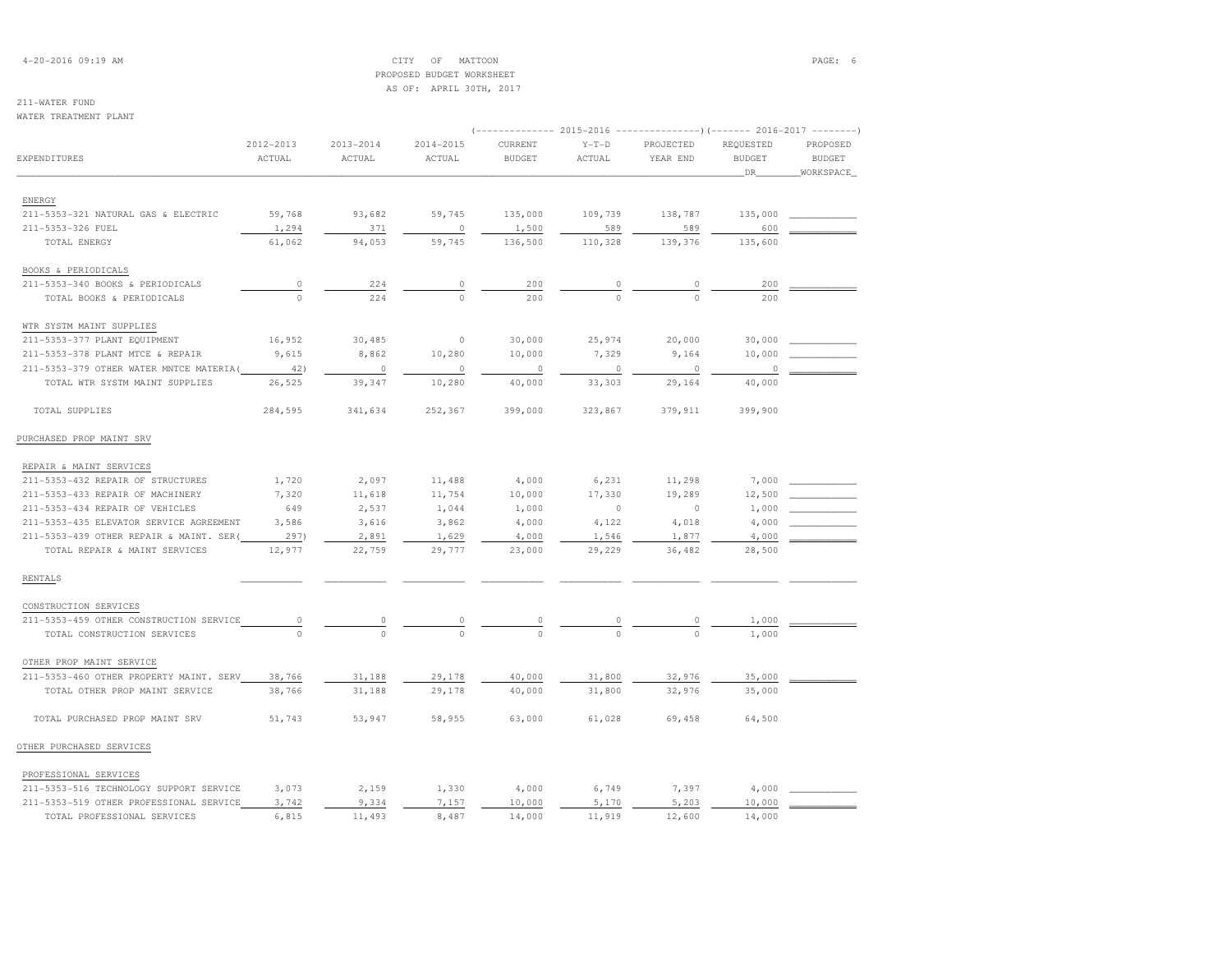## 4-20-2016 09:19 AM CITY OF MATTOON PAGE: 6 PROPOSED BUDGET WORKSHEETAS OF: APRIL 30TH, 2017

## 211-WATER FUND

WATER TREATMENT PLANT

| WATER TREATMENT PLANT                    |               |               |               |               |          |           |                                                                                  |               |
|------------------------------------------|---------------|---------------|---------------|---------------|----------|-----------|----------------------------------------------------------------------------------|---------------|
|                                          | $2012 - 2013$ | $2013 - 2014$ | $2014 - 2015$ | CURRENT       | $Y-T-D$  | PROJECTED | (------------- 2015-2016 -------------------- 2016-2017 --------- )<br>REQUESTED | PROPOSED      |
| EXPENDITURES                             | ACTUAL        | ACTUAL        | ACTUAL        | <b>BUDGET</b> | ACTUAL   | YEAR END  | <b>BUDGET</b>                                                                    | <b>BUDGET</b> |
|                                          |               |               |               |               |          |           | DR                                                                               | WORKSPACE     |
|                                          |               |               |               |               |          |           |                                                                                  |               |
| ENERGY                                   |               |               |               |               |          |           |                                                                                  |               |
| 211-5353-321 NATURAL GAS & ELECTRIC      | 59,768        | 93,682        | 59,745        | 135,000       | 109,739  | 138,787   | 135,000                                                                          |               |
| 211-5353-326 FUEL                        | 1,294         | 371           | $\circ$       | 1,500         | 589      | 589       | 600                                                                              |               |
| TOTAL ENERGY                             | 61,062        | 94,053        | 59,745        | 136,500       | 110,328  | 139,376   | 135,600                                                                          |               |
| BOOKS & PERIODICALS                      |               |               |               |               |          |           |                                                                                  |               |
| 211-5353-340 BOOKS & PERIODICALS         | $\circ$       | 224           | $\circ$       | 200           | 0        | 0         | 200                                                                              |               |
| TOTAL BOOKS & PERIODICALS                | $\Omega$      | 224           | $\Omega$      | 200           |          |           | 200                                                                              |               |
| WTR SYSTM MAINT SUPPLIES                 |               |               |               |               |          |           |                                                                                  |               |
| 211-5353-377 PLANT EQUIPMENT             | 16,952        | 30,485        | $\circ$       | 30,000        | 25,974   | 20,000    | 30,000                                                                           |               |
| 211-5353-378 PLANT MTCE & REPAIR         | 9,615         | 8,862         | 10,280        | 10,000        | 7,329    | 9,164     | 10,000                                                                           |               |
| 211-5353-379 OTHER WATER MNTCE MATERIA ( | 42)           | $\circ$       | $\circ$       | $\circ$       | $\circ$  | $\circ$   | 0                                                                                |               |
| TOTAL WTR SYSTM MAINT SUPPLIES           | 26,525        | 39,347        | 10,280        | 40,000        | 33,303   | 29,164    | 40,000                                                                           |               |
| TOTAL SUPPLIES                           | 284,595       | 341,634       | 252,367       | 399,000       | 323,867  | 379,911   | 399,900                                                                          |               |
|                                          |               |               |               |               |          |           |                                                                                  |               |
| PURCHASED PROP MAINT SRV                 |               |               |               |               |          |           |                                                                                  |               |
|                                          |               |               |               |               |          |           |                                                                                  |               |
| REPAIR & MAINT SERVICES                  |               |               |               |               |          |           |                                                                                  |               |
| 211-5353-432 REPAIR OF STRUCTURES        | 1,720         | 2,097         | 11,488        | 4,000         | 6,231    | 11,298    | 7,000                                                                            |               |
| 211-5353-433 REPAIR OF MACHINERY         | 7,320         | 11,618        | 11,754        | 10,000        | 17,330   | 19,289    | 12,500                                                                           |               |
| 211-5353-434 REPAIR OF VEHICLES          | 649           | 2,537         | 1,044         | 1,000         | $\circ$  | $\circ$   | 1,000                                                                            |               |
| 211-5353-435 ELEVATOR SERVICE AGREEMENT  | 3,586         | 3,616         | 3,862         | 4,000         | 4,122    | 4,018     | 4,000                                                                            |               |
| 211-5353-439 OTHER REPAIR & MAINT. SER(  | 297)          | 2,891         | 1,629         | 4,000         | 1,546    | 1,877     | 4,000                                                                            |               |
| TOTAL REPAIR & MAINT SERVICES            | 12,977        | 22,759        | 29,777        | 23,000        | 29,229   | 36,482    | 28,500                                                                           |               |
| <b>RENTALS</b>                           |               |               |               |               |          |           |                                                                                  |               |
| CONSTRUCTION SERVICES                    |               |               |               |               |          |           |                                                                                  |               |
| 211-5353-459 OTHER CONSTRUCTION SERVICE  | 0             | 0             | 0             | 0             | 0        | 0         | 1,000                                                                            |               |
| TOTAL CONSTRUCTION SERVICES              | $\Omega$      | $\Omega$      | $\Omega$      | $\Omega$      | $\Omega$ | $\Omega$  | 1,000                                                                            |               |
| OTHER PROP MAINT SERVICE                 |               |               |               |               |          |           |                                                                                  |               |
| 211-5353-460 OTHER PROPERTY MAINT. SERV  | 38,766        | 31,188        | 29,178        | 40,000        | 31,800   | 32,976    | 35,000                                                                           |               |
| TOTAL OTHER PROP MAINT SERVICE           | 38,766        | 31,188        | 29,178        | 40,000        | 31,800   | 32,976    | 35,000                                                                           |               |
| TOTAL PURCHASED PROP MAINT SRV           | 51,743        | 53,947        | 58,955        | 63,000        | 61,028   | 69,458    | 64,500                                                                           |               |
| OTHER PURCHASED SERVICES                 |               |               |               |               |          |           |                                                                                  |               |
|                                          |               |               |               |               |          |           |                                                                                  |               |
| PROFESSIONAL SERVICES                    |               |               |               |               |          |           |                                                                                  |               |
| 211-5353-516 TECHNOLOGY SUPPORT SERVICE  | 3,073         | 2,159         | 1,330         | 4,000         | 6,749    | 7,397     | 4,000                                                                            |               |
| 211-5353-519 OTHER PROFESSIONAL SERVICE  | 3,742         | 9,334         | 7,157         | 10,000        | 5,170    | 5,203     | 10,000                                                                           |               |
| TOTAL PROFESSIONAL SERVICES              | 6,815         | 11,493        | 8,487         | 14,000        | 11,919   | 12,600    | 14,000                                                                           |               |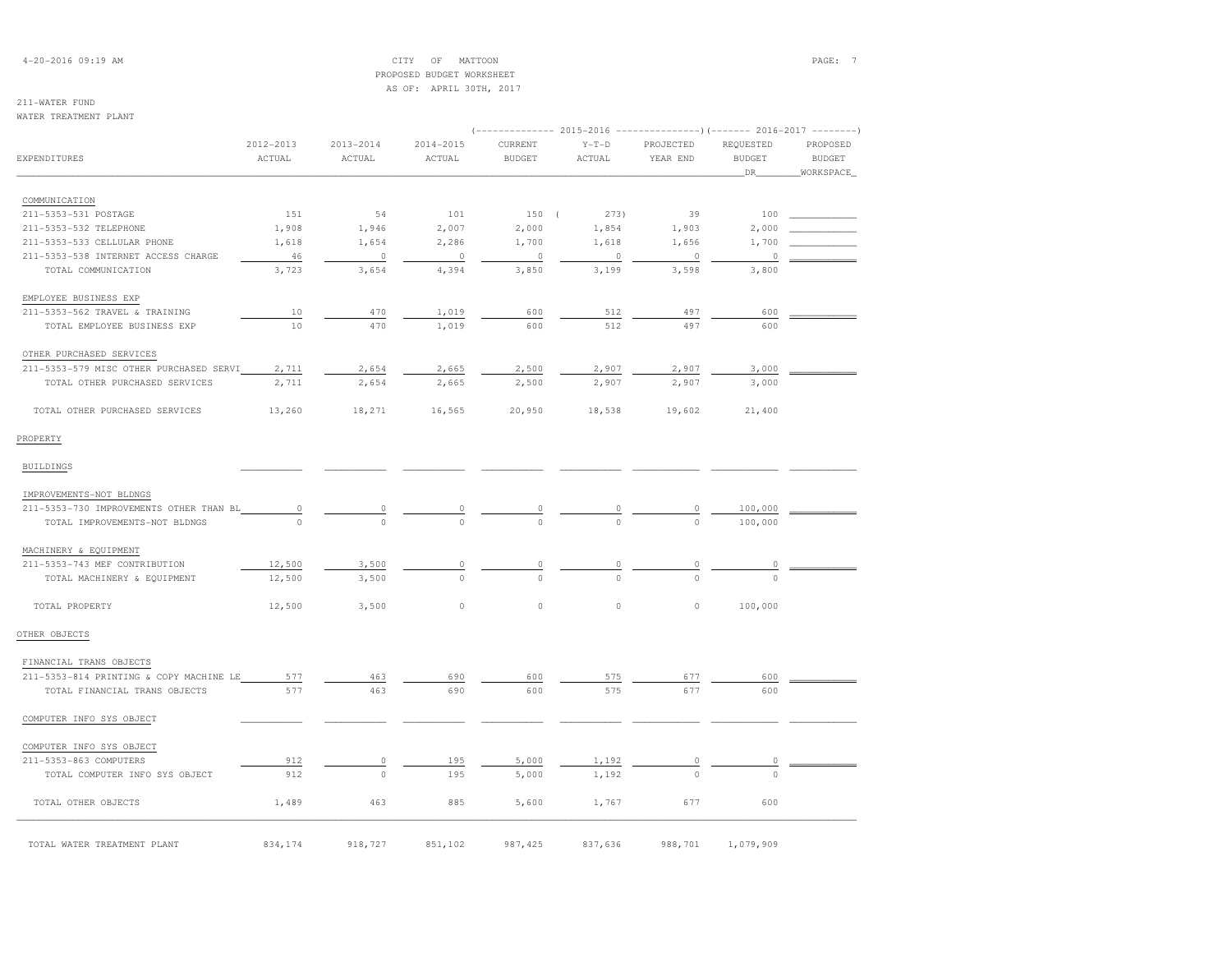4-20-2016 09:19 AM CITY OF MATTOON PAGE: 7 PROPOSED BUDGET WORKSHEETAS OF: APRIL 30TH, 2017

## 211-WATER FUND

### WATER TREATMENT PLANT

|                                         | 2012-2013 | 2013-2014 | 2014-2015 | CURRENT        | $Y-T-D$        | PROJECTED      | REQUESTED     | PROPOSED      |  |
|-----------------------------------------|-----------|-----------|-----------|----------------|----------------|----------------|---------------|---------------|--|
| EXPENDITURES                            | ACTUAL    | ACTUAL    | ACTUAL    | <b>BUDGET</b>  | ACTUAL         | YEAR END       | <b>BUDGET</b> | <b>BUDGET</b> |  |
|                                         |           |           |           |                |                |                | DR.           | WORKSPACE     |  |
| COMMUNICATION                           |           |           |           |                |                |                |               |               |  |
| 211-5353-531 POSTAGE                    | 151       | 54        | 101       | 150(           | 273)           | 39             | 100           |               |  |
| 211-5353-532 TELEPHONE                  | 1,908     | 1,946     | 2,007     | 2,000          | 1,854          | 1,903          | 2,000         |               |  |
| 211-5353-533 CELLULAR PHONE             | 1,618     | 1,654     | 2,286     | 1,700          | 1,618          | 1,656          | 1,700         |               |  |
| 211-5353-538 INTERNET ACCESS CHARGE     | 46        | 0         | $\circ$   | $\circ$        | $\circ$        | $\circ$        | 0             |               |  |
| TOTAL COMMUNICATION                     | 3,723     | 3,654     | 4,394     | 3,850          | 3,199          | 3,598          | 3,800         |               |  |
| EMPLOYEE BUSINESS EXP                   |           |           |           |                |                |                |               |               |  |
| 211-5353-562 TRAVEL & TRAINING          | 10        | 470       | 1,019     | 600            | 512            | 497            | 600           |               |  |
| TOTAL EMPLOYEE BUSINESS EXP             | 10        | 470       | 1,019     | 600            | 512            | 497            | 600           |               |  |
| OTHER PURCHASED SERVICES                |           |           |           |                |                |                |               |               |  |
| 211-5353-579 MISC OTHER PURCHASED SERVI | 2,711     | 2,654     | 2,665     | 2,500          | 2,907          | 2,907          | 3,000         |               |  |
| TOTAL OTHER PURCHASED SERVICES          | 2,711     | 2,654     | 2,665     | 2,500          | 2,907          | 2,907          | 3,000         |               |  |
| TOTAL OTHER PURCHASED SERVICES          | 13,260    | 18,271    | 16,565    | 20,950         | 18,538         | 19,602         | 21,400        |               |  |
| PROPERTY                                |           |           |           |                |                |                |               |               |  |
| <b>BUILDINGS</b>                        |           |           |           |                |                |                |               |               |  |
| IMPROVEMENTS-NOT BLDNGS                 |           |           |           |                |                |                |               |               |  |
| 211-5353-730 IMPROVEMENTS OTHER THAN BL | $\circ$   | 0         | 0         | 0              |                | 0              | 100,000       |               |  |
| TOTAL IMPROVEMENTS-NOT BLDNGS           | $\cap$    | $\Omega$  | $\Omega$  | $\Omega$       | $\Omega$       | $\Omega$       | 100,000       |               |  |
| MACHINERY & EQUIPMENT                   |           |           |           |                |                |                |               |               |  |
| 211-5353-743 MEF CONTRIBUTION           | 12,500    | 3,500     | $\circ$   | $\overline{0}$ | $\overline{0}$ |                |               |               |  |
| TOTAL MACHINERY & EQUIPMENT             | 12,500    | 3,500     | $\Omega$  | $\Omega$       | $\Omega$       |                |               |               |  |
| TOTAL PROPERTY                          | 12,500    | 3,500     | $\circ$   | 0              | $\circ$        | $\circ$        | 100,000       |               |  |
| OTHER OBJECTS                           |           |           |           |                |                |                |               |               |  |
| FINANCIAL TRANS OBJECTS                 |           |           |           |                |                |                |               |               |  |
| 211-5353-814 PRINTING & COPY MACHINE LE | 577       | 463       | 690       | 600            | 575            | 677            | 600           |               |  |
| TOTAL FINANCIAL TRANS OBJECTS           | 577       | 463       | 690       | 600            | 575            | 677            | 600           |               |  |
| COMPUTER INFO SYS OBJECT                |           |           |           |                |                |                |               |               |  |
| COMPUTER INFO SYS OBJECT                |           |           |           |                |                |                |               |               |  |
| 211-5353-863 COMPUTERS                  | 912       | 0         | 195       | 5,000          | 1,192          | $\overline{0}$ | 0             |               |  |
| TOTAL COMPUTER INFO SYS OBJECT          | 912       | $\circ$   | 195       | 5,000          | 1,192          |                | $\cap$        |               |  |
| TOTAL OTHER OBJECTS                     | 1,489     | 463       | 885       | 5,600          | 1,767          | 677            | 600           |               |  |
|                                         |           |           |           |                |                |                |               |               |  |
| TOTAL WATER TREATMENT PLANT             | 834,174   | 918,727   | 851,102   | 987, 425       | 837,636        | 988,701        | 1,079,909     |               |  |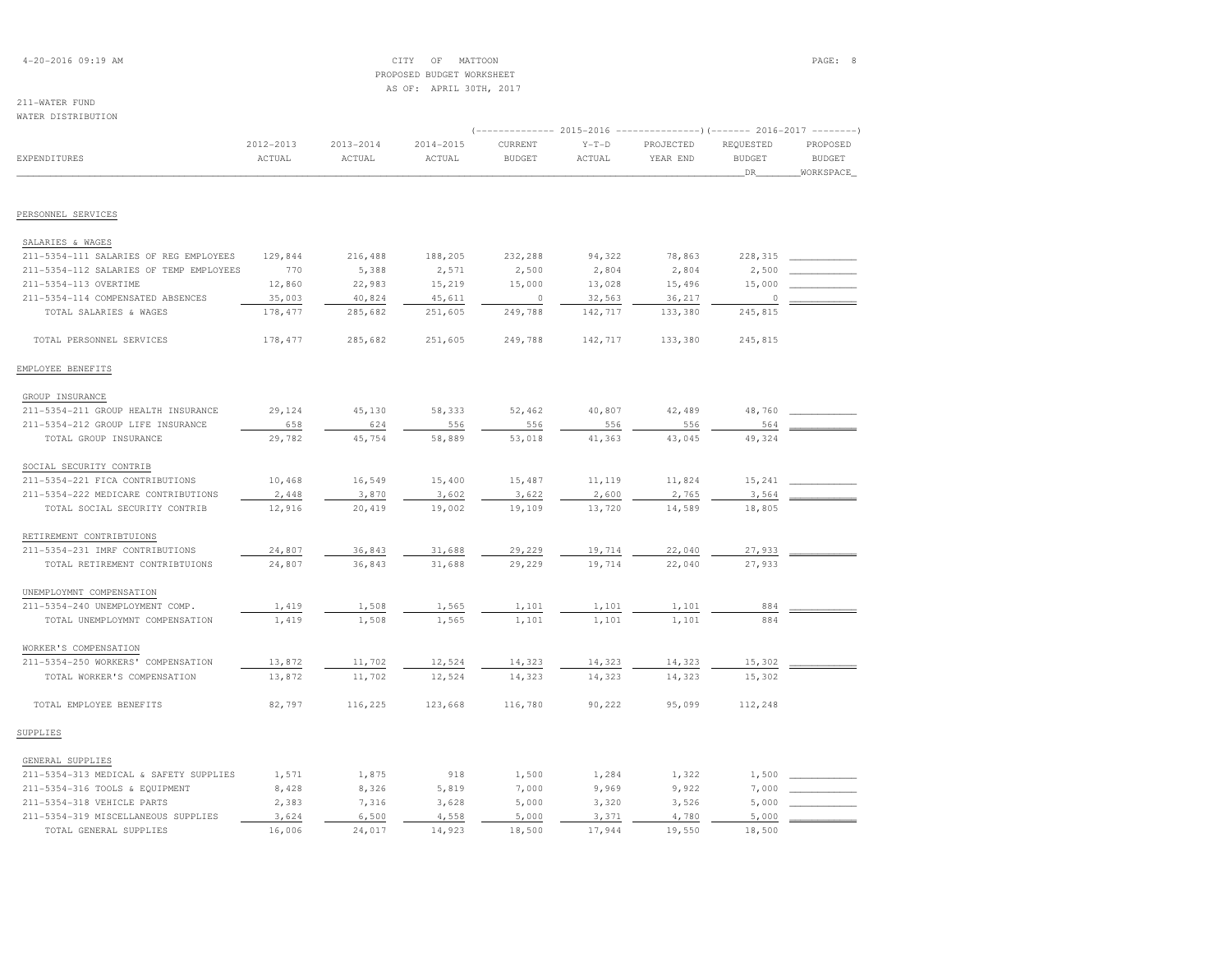## 4-20-2016 09:19 AM CITY OF MATTOON PAGE: 8 PROPOSED BUDGET WORKSHEETAS OF: APRIL 30TH, 2017

| WATER DISTRIBUTION                      |                     |                     |                     |                                                                                                      |                   |                       |                                   |                                        |
|-----------------------------------------|---------------------|---------------------|---------------------|------------------------------------------------------------------------------------------------------|-------------------|-----------------------|-----------------------------------|----------------------------------------|
| EXPENDITURES                            | 2012-2013<br>ACTUAL | 2013-2014<br>ACTUAL | 2014-2015<br>ACTUAL | (-------------- 2015-2016 -----------------) (------- 2016-2017 --------<br>CURRENT<br><b>BUDGET</b> | $Y-T-D$<br>ACTUAL | PROJECTED<br>YEAR END | REQUESTED<br><b>BUDGET</b><br>DR_ | PROPOSED<br><b>BUDGET</b><br>WORKSPACE |
| PERSONNEL SERVICES                      |                     |                     |                     |                                                                                                      |                   |                       |                                   |                                        |
|                                         |                     |                     |                     |                                                                                                      |                   |                       |                                   |                                        |
| SALARIES & WAGES                        |                     |                     |                     |                                                                                                      |                   |                       |                                   |                                        |
| 211-5354-111 SALARIES OF REG EMPLOYEES  | 129,844             | 216,488             | 188,205             | 232,288                                                                                              | 94,322            | 78,863                | 228,315                           |                                        |
| 211-5354-112 SALARIES OF TEMP EMPLOYEES | 770                 | 5,388               | 2,571               | 2,500                                                                                                | 2,804             | 2,804                 | 2,500                             |                                        |
| 211-5354-113 OVERTIME                   | 12,860              | 22,983              | 15,219              | 15,000                                                                                               | 13,028            | 15,496                | 15,000                            |                                        |
| 211-5354-114 COMPENSATED ABSENCES       | 35,003<br>178, 477  | 40,824<br>285,682   | 45,611<br>251,605   | - 0<br>249,788                                                                                       | 32,563<br>142,717 | 36,217<br>133,380     | 0<br>245,815                      |                                        |
| TOTAL SALARIES & WAGES                  |                     |                     |                     |                                                                                                      |                   |                       |                                   |                                        |
| TOTAL PERSONNEL SERVICES                | 178, 477            | 285,682             | 251,605             | 249,788                                                                                              | 142,717           | 133,380               | 245,815                           |                                        |
| EMPLOYEE BENEFITS                       |                     |                     |                     |                                                                                                      |                   |                       |                                   |                                        |
| GROUP INSURANCE                         |                     |                     |                     |                                                                                                      |                   |                       |                                   |                                        |
| 211-5354-211 GROUP HEALTH INSURANCE     | 29,124              | 45,130              | 58,333              | 52,462                                                                                               | 40,807            | 42,489                | 48,760                            |                                        |
| 211-5354-212 GROUP LIFE INSURANCE       | 658                 | 624                 | 556                 | 556                                                                                                  | 556               | 556                   | 564                               |                                        |
| TOTAL GROUP INSURANCE                   | 29,782              | 45,754              | 58,889              | 53,018                                                                                               | 41,363            | 43,045                | 49,324                            |                                        |
| SOCIAL SECURITY CONTRIB                 |                     |                     |                     |                                                                                                      |                   |                       |                                   |                                        |
| 211-5354-221 FICA CONTRIBUTIONS         | 10,468              | 16,549              | 15,400              | 15,487                                                                                               | 11,119            | 11,824                | 15,241                            |                                        |
| 211-5354-222 MEDICARE CONTRIBUTIONS     | 2,448               | 3,870               | 3,602               | 3,622                                                                                                | 2,600             | 2,765                 | 3,564                             |                                        |
| TOTAL SOCIAL SECURITY CONTRIB           | 12,916              | 20,419              | 19,002              | 19,109                                                                                               | 13,720            | 14,589                | 18,805                            |                                        |
| RETIREMENT CONTRIBTUIONS                |                     |                     |                     |                                                                                                      |                   |                       |                                   |                                        |
| 211-5354-231 IMRF CONTRIBUTIONS         | 24,807              | 36,843              | 31,688              | 29,229                                                                                               | 19,714            | 22,040                | 27,933                            |                                        |
| TOTAL RETIREMENT CONTRIBTUIONS          | 24,807              | 36,843              | 31,688              | 29,229                                                                                               | 19,714            | 22,040                | 27,933                            |                                        |
| UNEMPLOYMNT COMPENSATION                |                     |                     |                     |                                                                                                      |                   |                       |                                   |                                        |
| 211-5354-240 UNEMPLOYMENT COMP.         | 1,419               | 1,508               | 1,565               | 1,101                                                                                                | 1,101             | 1,101                 | 884                               |                                        |
| TOTAL UNEMPLOYMNT COMPENSATION          | 1,419               | 1,508               | 1,565               | 1,101                                                                                                | 1,101             | 1,101                 | 884                               |                                        |
| WORKER'S COMPENSATION                   |                     |                     |                     |                                                                                                      |                   |                       |                                   |                                        |
| 211-5354-250 WORKERS' COMPENSATION      | 13,872              | 11,702              | 12,524              | 14,323                                                                                               | 14,323            | 14,323                | 15,302                            |                                        |
| TOTAL WORKER'S COMPENSATION             | 13,872              | 11,702              | 12,524              | 14,323                                                                                               | 14,323            | 14,323                | 15,302                            |                                        |
| TOTAL EMPLOYEE BENEFITS                 | 82,797              | 116,225             | 123,668             | 116,780                                                                                              | 90,222            | 95,099                | 112,248                           |                                        |
| SUPPLIES                                |                     |                     |                     |                                                                                                      |                   |                       |                                   |                                        |
| GENERAL SUPPLIES                        |                     |                     |                     |                                                                                                      |                   |                       |                                   |                                        |
| 211-5354-313 MEDICAL & SAFETY SUPPLIES  | 1,571               | 1,875               | 918                 | 1,500                                                                                                | 1,284             | 1,322                 | 1,500                             |                                        |
| 211-5354-316 TOOLS & EQUIPMENT          | 8,428               | 8,326               | 5,819               | 7,000                                                                                                | 9,969             | 9,922                 | 7,000                             |                                        |
| 211-5354-318 VEHICLE PARTS              | 2,383               | 7,316               | 3,628               | 5,000                                                                                                | 3,320             | 3,526                 | 5,000                             |                                        |
| 211-5354-319 MISCELLANEOUS SUPPLIES     | 3,624               | 6,500               | 4,558               | 5,000                                                                                                | 3,371             | 4,780                 | 5,000                             |                                        |
| TOTAL GENERAL SUPPLIES                  | 16,006              | 24,017              | 14,923              | 18,500                                                                                               | 17,944            | 19,550                | 18,500                            |                                        |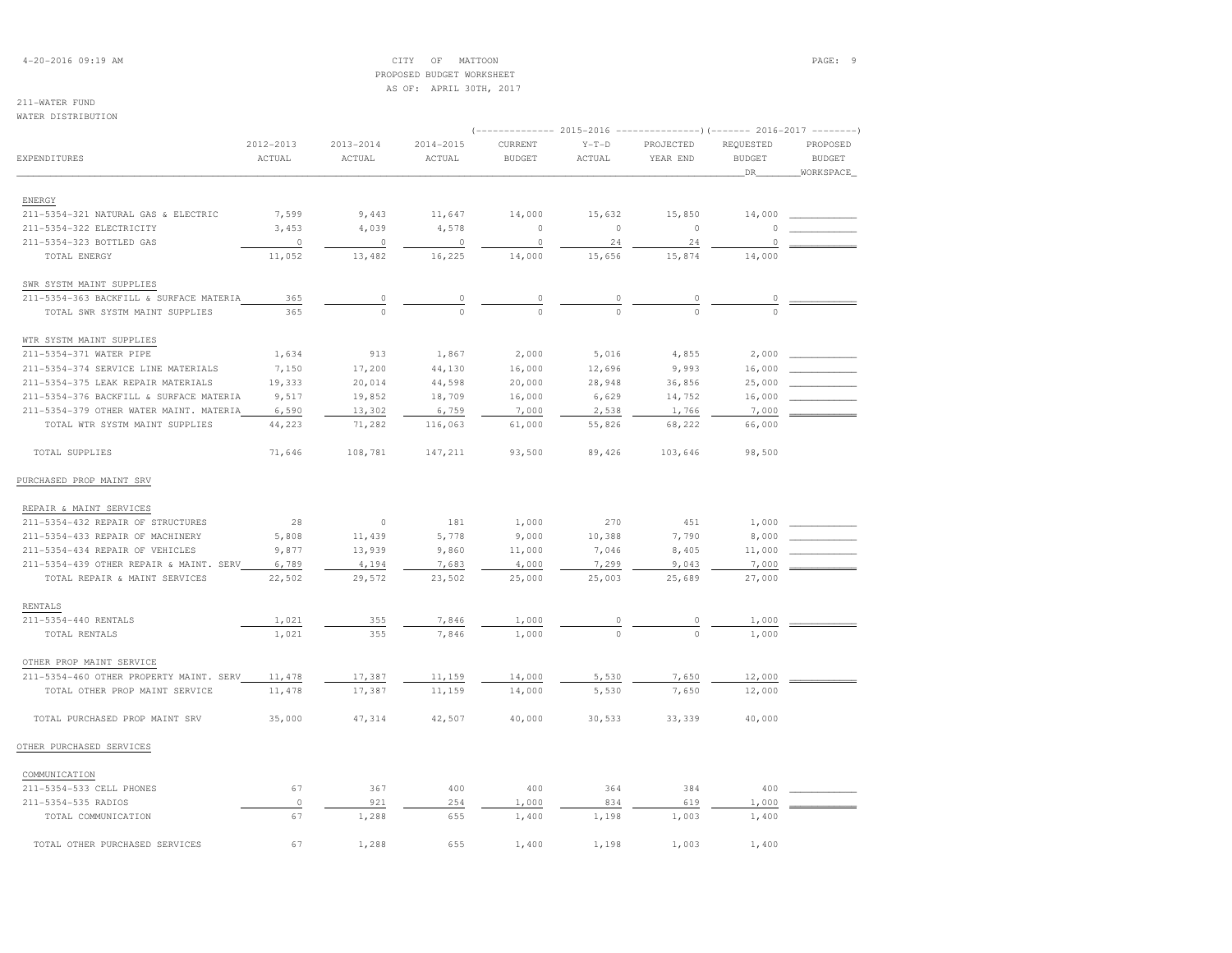## 4-20-2016 09:19 AM CITY OF MATTOON PAGE: 9 PROPOSED BUDGET WORKSHEETAS OF: APRIL 30TH, 2017

| <b>EXPENDITURES</b>                     | 2012-2013<br>ACTUAL | $2013 - 2014$<br>ACTUAL | 2014-2015<br>ACTUAL | CURRENT<br><b>BUDGET</b> | $Y-T-D$<br>ACTUAL | PROJECTED<br>YEAR END | REQUESTED<br><b>BUDGET</b> | PROPOSED<br><b>BUDGET</b> |
|-----------------------------------------|---------------------|-------------------------|---------------------|--------------------------|-------------------|-----------------------|----------------------------|---------------------------|
|                                         |                     |                         |                     |                          |                   |                       | _DR_                       | WORKSPACE                 |
| ENERGY                                  |                     |                         |                     |                          |                   |                       |                            |                           |
| 211-5354-321 NATURAL GAS & ELECTRIC     | 7,599               | 9,443                   | 11,647              | 14,000                   | 15,632            | 15,850                | 14,000                     |                           |
| 211-5354-322 ELECTRICITY                | 3,453               | 4,039                   | 4,578               | $\circ$                  | $\circ$           | $\circ$               | $\Omega$                   |                           |
| 211-5354-323 BOTTLED GAS                | $\circ$             | $\circ$                 | 0                   | $\circ$                  | 24                | 24                    | 0                          |                           |
| TOTAL ENERGY                            | 11,052              | 13,482                  | 16,225              | 14,000                   | 15,656            | 15,874                | 14,000                     |                           |
| SWR SYSTM MAINT SUPPLIES                |                     |                         |                     |                          |                   |                       |                            |                           |
| 211-5354-363 BACKFILL & SURFACE MATERIA | 365                 | $\circ$                 | 0                   | $\mathbb O$              | $\circ$           | 0                     | $\overline{0}$             |                           |
| TOTAL SWR SYSTM MAINT SUPPLIES          | 365                 | $\Omega$                | $\Omega$            | $\Omega$                 | $\Omega$          | $\Omega$              | $\Omega$                   |                           |
|                                         |                     |                         |                     |                          |                   |                       |                            |                           |
| WTR SYSTM MAINT SUPPLIES                |                     |                         |                     |                          |                   |                       |                            |                           |
| 211-5354-371 WATER PIPE                 | 1,634               | 913                     | 1,867               | 2,000                    | 5,016             | 4,855                 | 2,000                      |                           |
| 211-5354-374 SERVICE LINE MATERIALS     | 7,150               | 17,200                  | 44,130              | 16,000                   | 12,696            | 9,993                 | 16,000                     |                           |
| 211-5354-375 LEAK REPAIR MATERIALS      | 19,333              | 20,014                  | 44,598              | 20,000                   | 28,948            | 36,856                | 25,000                     |                           |
| 211-5354-376 BACKFILL & SURFACE MATERIA | 9,517               | 19,852                  | 18,709              | 16,000                   | 6,629             | 14,752                | 16,000                     |                           |
| 211-5354-379 OTHER WATER MAINT. MATERIA | 6,590               | 13,302                  | 6,759               | 7,000                    | 2,538             | 1,766                 | 7,000                      |                           |
| TOTAL WTR SYSTM MAINT SUPPLIES          | 44,223              | 71,282                  | 116,063             | 61,000                   | 55,826            | 68,222                | 66,000                     |                           |
| TOTAL SUPPLIES                          | 71,646              | 108,781                 | 147,211             | 93,500                   | 89,426            | 103,646               | 98,500                     |                           |
| PURCHASED PROP MAINT SRV                |                     |                         |                     |                          |                   |                       |                            |                           |
| REPAIR & MAINT SERVICES                 |                     |                         |                     |                          |                   |                       |                            |                           |
| 211-5354-432 REPAIR OF STRUCTURES       | 28                  | $\circ$                 | 181                 | 1,000                    | 270               | 451                   | 1,000                      |                           |
| 211-5354-433 REPAIR OF MACHINERY        | 5,808               | 11,439                  | 5,778               | 9,000                    | 10,388            | 7,790                 | 8,000                      |                           |
| 211-5354-434 REPAIR OF VEHICLES         | 9,877               | 13,939                  | 9,860               | 11,000                   | 7,046             | 8,405                 | 11,000                     |                           |
| 211-5354-439 OTHER REPAIR & MAINT. SERV | 6,789               | 4,194                   | 7,683               | 4,000                    | 7,299             | 9,043                 | 7,000                      |                           |
| TOTAL REPAIR & MAINT SERVICES           | 22,502              | 29,572                  | 23,502              | 25,000                   | 25,003            | 25,689                | 27,000                     |                           |
| <b>RENTALS</b>                          |                     |                         |                     |                          |                   |                       |                            |                           |
| 211-5354-440 RENTALS                    | 1,021               | 355                     | 7,846               | 1,000                    | 0                 | 0                     | 1,000                      |                           |
| TOTAL RENTALS                           | 1,021               | 355                     | 7,846               | 1,000                    | $\Omega$          | $\Omega$              | 1,000                      |                           |
| OTHER PROP MAINT SERVICE                |                     |                         |                     |                          |                   |                       |                            |                           |
| 211-5354-460 OTHER PROPERTY MAINT. SERV | 11,478              | 17,387                  | 11,159              | 14,000                   | 5,530             | 7,650                 | 12,000                     |                           |
| TOTAL OTHER PROP MAINT SERVICE          | 11,478              | 17,387                  | 11,159              | 14,000                   | 5,530             | 7,650                 | 12,000                     |                           |
| TOTAL PURCHASED PROP MAINT SRV          | 35,000              | 47,314                  | 42,507              | 40,000                   | 30,533            | 33,339                | 40,000                     |                           |
| OTHER PURCHASED SERVICES                |                     |                         |                     |                          |                   |                       |                            |                           |
| COMMUNICATION                           |                     |                         |                     |                          |                   |                       |                            |                           |
| 211-5354-533 CELL PHONES                | 67                  | 367                     | 400                 | 400                      | 364               | 384                   | 400                        |                           |
| 211-5354-535 RADIOS                     | $\Omega$            | 921                     | 254                 | 1,000                    | 834               | 619                   | 1,000                      |                           |

 TOTAL COMMUNICATION 67 1,288 655 1,400 1,198 1,003 1,400TOTAL OTHER PURCHASED SERVICES 67 1,288 655 1,400 1,198 1,003 1,400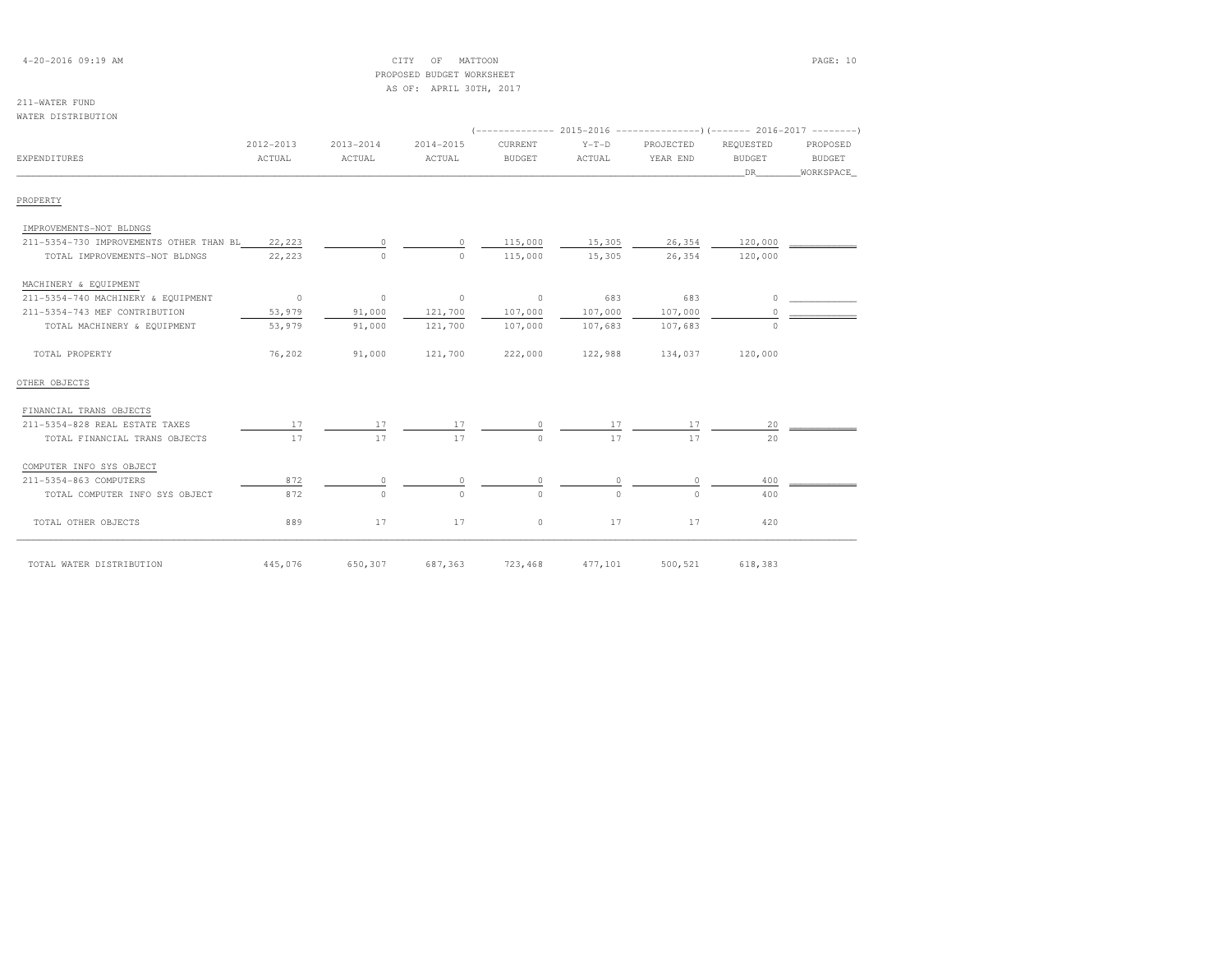| $4 - 20 - 2016$ 09:19 AM |  |
|--------------------------|--|
|--------------------------|--|

## $\begin{array}{ccc} \text{CITY} & \text{OF} & \text{MATION} \end{array}$  PROPOSED BUDGET WORKSHEETAS OF: APRIL 30TH, 2017

| WATER DISTRIBUTION                      |           |           |           |               |          |           |               |               |
|-----------------------------------------|-----------|-----------|-----------|---------------|----------|-----------|---------------|---------------|
|                                         | 2012-2013 | 2013-2014 | 2014-2015 | CURRENT       | $Y-T-D$  | PROJECTED | REQUESTED     | PROPOSED      |
| EXPENDITURES                            | ACTUAL    | ACTUAL    | ACTUAL    | <b>BUDGET</b> | ACTUAL   | YEAR END  | <b>BUDGET</b> | <b>BUDGET</b> |
|                                         |           |           |           |               |          |           | DR            | WORKSPACE     |
| PROPERTY                                |           |           |           |               |          |           |               |               |
| IMPROVEMENTS-NOT BLDNGS                 |           |           |           |               |          |           |               |               |
| 211-5354-730 IMPROVEMENTS OTHER THAN BL | 22,223    |           | $\circ$   | 115,000       | 15,305   | 26,354    | 120,000       |               |
| TOTAL IMPROVEMENTS-NOT BLDNGS           | 22,223    | $\Omega$  | $\Omega$  | 115,000       | 15,305   | 26,354    | 120,000       |               |
| MACHINERY & EQUIPMENT                   |           |           |           |               |          |           |               |               |
| 211-5354-740 MACHINERY & EQUIPMENT      | $\circ$   | $\circ$   | $\circ$   | $\circ$       | 683      | 683       | $\Omega$      |               |
| 211-5354-743 MEF CONTRIBUTION           | 53,979    | 91,000    | 121,700   | 107,000       | 107,000  | 107,000   | $\Omega$      |               |
| TOTAL MACHINERY & EQUIPMENT             | 53,979    | 91,000    | 121,700   | 107,000       | 107,683  | 107,683   | $\Omega$      |               |
| TOTAL PROPERTY                          | 76,202    | 91,000    | 121,700   | 222,000       | 122,988  | 134,037   | 120,000       |               |
| OTHER OBJECTS                           |           |           |           |               |          |           |               |               |
| FINANCIAL TRANS OBJECTS                 |           |           |           |               |          |           |               |               |
| 211-5354-828 REAL ESTATE TAXES          | 17        | 17        | 17        | 0             | 17       | 17        | 20            |               |
| TOTAL FINANCIAL TRANS OBJECTS           | 17        | 17        | 17        | $\Omega$      | 17       | 17        | 2.0           |               |
| COMPUTER INFO SYS OBJECT                |           |           |           |               |          |           |               |               |
| 211-5354-863 COMPUTERS                  | 872       | 0         | 0         | $\circ$       | 0        | $\circ$   | 400           |               |
| TOTAL COMPUTER INFO SYS OBJECT          | 872       | $\Omega$  | $\Omega$  | $\cap$        | $\Omega$ | $\cap$    | 400           |               |
| TOTAL OTHER OBJECTS                     | 889       | 17        | 17        | $\circ$       | 17       | 17        | 420           |               |
| TOTAL WATER DISTRIBUTION                | 445,076   | 650,307   | 687,363   | 723,468       | 477,101  | 500,521   | 618,383       |               |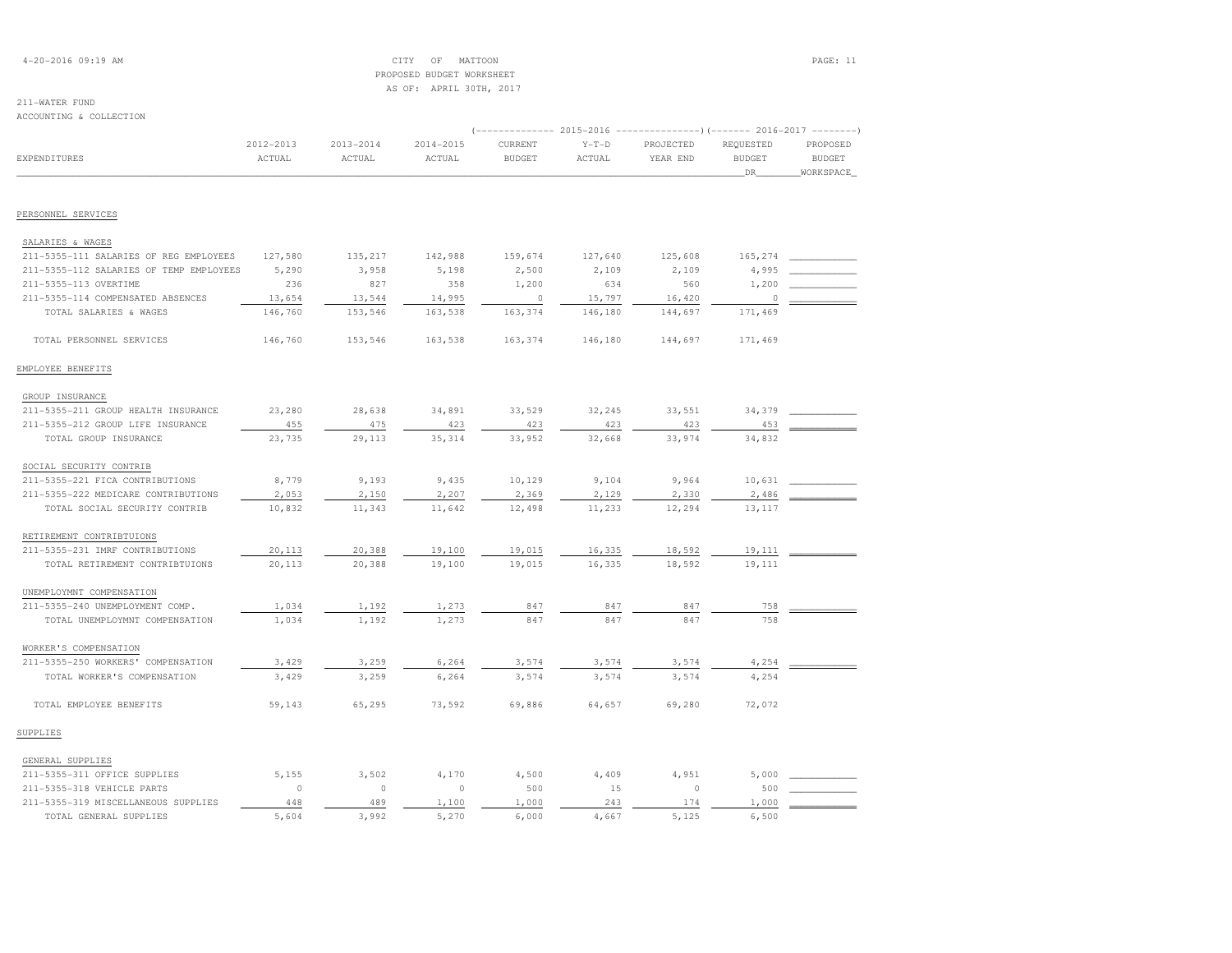## 4-20-2016 09:19 AM CITY OF MATTOON PAGE: 11 PROPOSED BUDGET WORKSHEETAS OF: APRIL 30TH, 2017

### 211-WATER FUNDACCOUNTING & COLLECTION

| ACCOUNIING & CONNECIION                 |                         |                         |                         |                          |                   | (-------------- 2015-2016 ---------------) (------- 2016-2017 --------) |                                  |                                        |
|-----------------------------------------|-------------------------|-------------------------|-------------------------|--------------------------|-------------------|-------------------------------------------------------------------------|----------------------------------|----------------------------------------|
| EXPENDITURES                            | $2012 - 2013$<br>ACTUAL | $2013 - 2014$<br>ACTUAL | $2014 - 2015$<br>ACTUAL | CURRENT<br><b>BUDGET</b> | $Y-T-D$<br>ACTUAL | PROJECTED<br>YEAR END                                                   | REQUESTED<br><b>BUDGET</b><br>DR | PROPOSED<br><b>BUDGET</b><br>WORKSPACE |
|                                         |                         |                         |                         |                          |                   |                                                                         |                                  |                                        |
| PERSONNEL SERVICES                      |                         |                         |                         |                          |                   |                                                                         |                                  |                                        |
| SALARIES & WAGES                        |                         |                         |                         |                          |                   |                                                                         |                                  |                                        |
| 211-5355-111 SALARIES OF REG EMPLOYEES  | 127,580                 | 135,217                 | 142,988                 | 159,674                  | 127,640           | 125,608                                                                 | 165,274                          |                                        |
| 211-5355-112 SALARIES OF TEMP EMPLOYEES | 5,290                   | 3,958                   | 5,198                   | 2,500                    | 2,109             | 2,109                                                                   | 4,995                            |                                        |
| 211-5355-113 OVERTIME                   | 236                     | 827                     | 358                     | 1,200                    | 634               | 560                                                                     | 1,200                            |                                        |
| 211-5355-114 COMPENSATED ABSENCES       | 13,654                  | 13,544                  | 14,995                  | $\circ$                  | 15,797            | 16,420                                                                  | 0                                |                                        |
| TOTAL SALARIES & WAGES                  | 146,760                 | 153,546                 | 163,538                 | 163,374                  | 146,180           | 144,697                                                                 | 171,469                          |                                        |
| TOTAL PERSONNEL SERVICES                | 146,760                 | 153,546                 | 163,538                 | 163,374                  | 146,180           | 144,697                                                                 | 171,469                          |                                        |
| EMPLOYEE BENEFITS                       |                         |                         |                         |                          |                   |                                                                         |                                  |                                        |
| GROUP INSURANCE                         |                         |                         |                         |                          |                   |                                                                         |                                  |                                        |
| 211-5355-211 GROUP HEALTH INSURANCE     | 23,280                  | 28,638                  | 34,891                  | 33,529                   | 32,245            | 33,551                                                                  | 34,379                           |                                        |
| 211-5355-212 GROUP LIFE INSURANCE       | 455                     | 475                     | 423                     | 423                      | 423               | 423                                                                     | 453                              |                                        |
| TOTAL GROUP INSURANCE                   | 23,735                  | 29,113                  | 35, 314                 | 33,952                   | 32,668            | 33,974                                                                  | 34,832                           |                                        |
| SOCIAL SECURITY CONTRIB                 |                         |                         |                         |                          |                   |                                                                         |                                  |                                        |
| 211-5355-221 FICA CONTRIBUTIONS         | 8,779                   | 9,193                   | 9,435                   | 10,129                   | 9,104             | 9,964                                                                   | 10,631                           |                                        |
| 211-5355-222 MEDICARE CONTRIBUTIONS     | 2,053                   | 2,150                   | 2,207                   | 2,369                    | 2,129             | 2,330                                                                   | 2,486                            |                                        |
| TOTAL SOCIAL SECURITY CONTRIB           | 10,832                  | 11,343                  | 11,642                  | 12,498                   | 11,233            | 12,294                                                                  | 13,117                           |                                        |
| RETIREMENT CONTRIBTUIONS                |                         |                         |                         |                          |                   |                                                                         |                                  |                                        |
| 211-5355-231 IMRF CONTRIBUTIONS         | 20,113                  | 20,388                  | 19,100                  | 19,015                   | 16,335            | 18,592                                                                  | 19,111                           |                                        |
| TOTAL RETIREMENT CONTRIBTUIONS          | 20,113                  | 20,388                  | 19,100                  | 19,015                   | 16,335            | 18,592                                                                  | 19,111                           |                                        |
| UNEMPLOYMNT COMPENSATION                |                         |                         |                         |                          |                   |                                                                         |                                  |                                        |
| 211-5355-240 UNEMPLOYMENT COMP.         | 1,034                   | 1,192                   | 1,273                   | 847                      | 847               | 847                                                                     | 758                              |                                        |
| TOTAL UNEMPLOYMNT COMPENSATION          | 1,034                   | 1,192                   | 1,273                   | 847                      | 847               | 847                                                                     | 758                              |                                        |
| WORKER'S COMPENSATION                   |                         |                         |                         |                          |                   |                                                                         |                                  |                                        |
| 211-5355-250 WORKERS' COMPENSATION      | 3,429                   | 3,259                   | 6,264                   | 3,574                    | 3,574             | 3,574                                                                   | 4,254                            |                                        |
| TOTAL WORKER'S COMPENSATION             | 3,429                   | 3,259                   | 6,264                   | 3,574                    | 3,574             | 3,574                                                                   | 4,254                            |                                        |
| TOTAL EMPLOYEE BENEFITS                 | 59,143                  | 65,295                  | 73,592                  | 69,886                   | 64,657            | 69,280                                                                  | 72,072                           |                                        |
| SUPPLIES                                |                         |                         |                         |                          |                   |                                                                         |                                  |                                        |
| GENERAL SUPPLIES                        |                         |                         |                         |                          |                   |                                                                         |                                  |                                        |
| 211-5355-311 OFFICE SUPPLIES            | 5,155                   | 3,502                   | 4,170                   | 4,500                    | 4,409             | 4,951                                                                   | 5,000                            |                                        |
| 211-5355-318 VEHICLE PARTS              | $\circ$                 | $\circ$                 | $\circ$                 | 500                      | 15                | $\circ$                                                                 | 500                              |                                        |
| 211-5355-319 MISCELLANEOUS SUPPLIES     | 448                     | 489                     | 1,100                   | 1,000                    | 243               | 174                                                                     | 1,000                            |                                        |
| TOTAL GENERAL SUPPLIES                  | 5,604                   | 3,992                   | 5,270                   | 6,000                    | 4,667             | 5,125                                                                   | 6,500                            |                                        |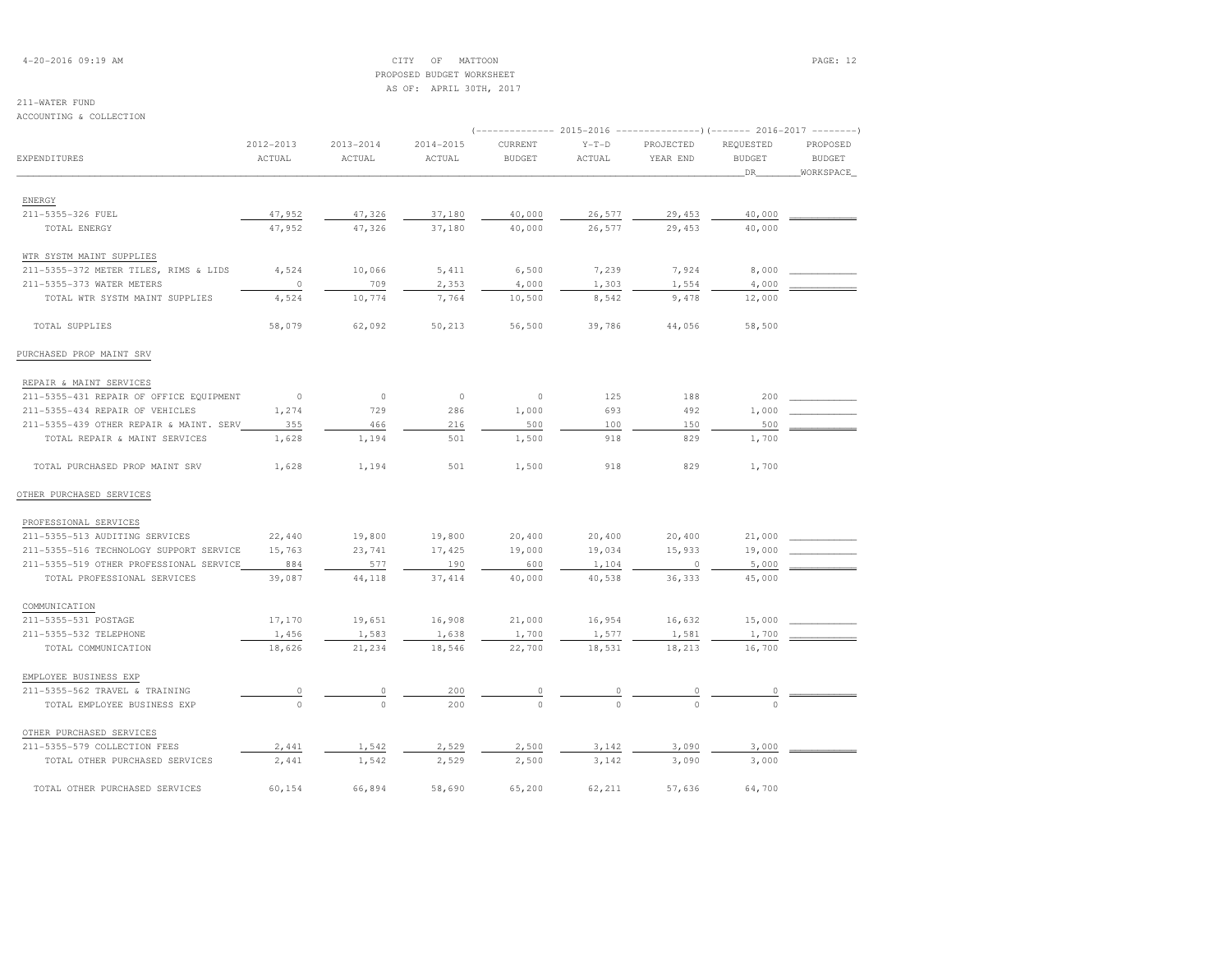## 4-20-2016 09:19 AM CITY OF MATTOON PAGE: 12 PROPOSED BUDGET WORKSHEETAS OF: APRIL 30TH, 2017

## 211-WATER FUND

ACCOUNTING & COLLECTION

|                                         |                |               |               |               |          | (-------------- 2015-2016 ----------------) (------- 2016-2017 -------- |               |               |
|-----------------------------------------|----------------|---------------|---------------|---------------|----------|-------------------------------------------------------------------------|---------------|---------------|
|                                         | 2012-2013      | $2013 - 2014$ | $2014 - 2015$ | CURRENT       | $Y-T-D$  | PROJECTED                                                               | REQUESTED     | PROPOSED      |
| EXPENDITURES                            | ACTUAL         | ACTUAL        | ACTUAL        | <b>BUDGET</b> | ACTUAL   | YEAR END                                                                | <b>BUDGET</b> | <b>BUDGET</b> |
|                                         |                |               |               |               |          |                                                                         | DR_           | WORKSPACE     |
|                                         |                |               |               |               |          |                                                                         |               |               |
| ENERGY<br>211-5355-326 FUEL             | 47,952         | 47,326        | 37,180        | 40,000        | 26,577   | 29,453                                                                  | 40,000        |               |
| TOTAL ENERGY                            | 47,952         | 47,326        | 37,180        | 40,000        | 26,577   | 29,453                                                                  | 40,000        |               |
|                                         |                |               |               |               |          |                                                                         |               |               |
| WTR SYSTM MAINT SUPPLIES                |                |               |               |               |          |                                                                         |               |               |
| 211-5355-372 METER TILES, RIMS & LIDS   | 4,524          | 10,066        | 5,411         | 6,500         | 7,239    | 7,924                                                                   | 8,000         |               |
| 211-5355-373 WATER METERS               | $\circ$        | 709           | 2,353         | 4,000         | 1,303    | 1,554                                                                   | 4,000         |               |
| TOTAL WTR SYSTM MAINT SUPPLIES          | 4,524          | 10,774        | 7,764         | 10,500        | 8,542    | 9,478                                                                   | 12,000        |               |
| TOTAL SUPPLIES                          | 58,079         | 62,092        | 50,213        | 56,500        | 39,786   | 44,056                                                                  | 58,500        |               |
| PURCHASED PROP MAINT SRV                |                |               |               |               |          |                                                                         |               |               |
| REPAIR & MAINT SERVICES                 |                |               |               |               |          |                                                                         |               |               |
| 211-5355-431 REPAIR OF OFFICE EQUIPMENT | $\overline{0}$ | $\circ$       | $\circ$       | $\circ$       | 125      | 188                                                                     | 200           |               |
| 211-5355-434 REPAIR OF VEHICLES         | 1,274          | 729           | 286           | 1,000         | 693      | 492                                                                     | 1,000         |               |
| 211-5355-439 OTHER REPAIR & MAINT. SERV | 355            | 466           | 216           | 500           | 100      | 150                                                                     | 500           |               |
| TOTAL REPAIR & MAINT SERVICES           | 1,628          | 1,194         | 501           | 1,500         | 918      | 829                                                                     | 1,700         |               |
| TOTAL PURCHASED PROP MAINT SRV          | 1,628          | 1,194         | 501           | 1,500         | 918      | 829                                                                     | 1,700         |               |
| OTHER PURCHASED SERVICES                |                |               |               |               |          |                                                                         |               |               |
| PROFESSIONAL SERVICES                   |                |               |               |               |          |                                                                         |               |               |
| 211-5355-513 AUDITING SERVICES          | 22,440         | 19,800        | 19,800        | 20,400        | 20,400   | 20,400                                                                  | 21,000        |               |
| 211-5355-516 TECHNOLOGY SUPPORT SERVICE | 15,763         | 23,741        | 17,425        | 19,000        | 19,034   | 15,933                                                                  | 19,000        |               |
| 211-5355-519 OTHER PROFESSIONAL SERVICE | 884            | 577           | 190           | 600           | 1,104    | $\circ$                                                                 | 5,000         |               |
| TOTAL PROFESSIONAL SERVICES             | 39,087         | 44,118        | 37,414        | 40,000        | 40,538   | 36,333                                                                  | 45,000        |               |
| COMMUNICATION                           |                |               |               |               |          |                                                                         |               |               |
| 211-5355-531 POSTAGE                    | 17,170         | 19,651        | 16,908        | 21,000        | 16,954   | 16,632                                                                  | 15,000        |               |
| 211-5355-532 TELEPHONE                  | 1,456          | 1,583         | 1,638         | 1,700         | 1,577    | 1,581                                                                   | 1,700         |               |
| TOTAL COMMUNICATION                     | 18,626         | 21,234        | 18,546        | 22,700        | 18,531   | 18,213                                                                  | 16,700        |               |
| EMPLOYEE BUSINESS EXP                   |                |               |               |               |          |                                                                         |               |               |
| 211-5355-562 TRAVEL & TRAINING          | $\circ$        | 0             | 200           | 0             | 0        | 0                                                                       | 0             |               |
| TOTAL EMPLOYEE BUSINESS EXP             | $\circ$        | $\circ$       | 200           | $\circ$       | $\Omega$ | $\Omega$                                                                | $\Omega$      |               |
| OTHER PURCHASED SERVICES                |                |               |               |               |          |                                                                         |               |               |
| 211-5355-579 COLLECTION FEES            | 2,441          | 1,542         | 2,529         | 2,500         | 3,142    | 3,090                                                                   | 3,000         |               |
| TOTAL OTHER PURCHASED SERVICES          | 2,441          | 1,542         | 2,529         | 2,500         | 3,142    | 3,090                                                                   | 3,000         |               |
|                                         |                |               |               |               |          |                                                                         |               |               |

TOTAL OTHER PURCHASED SERVICES 60,154 66,894 58,690 65,200 62,211 57,636 64,700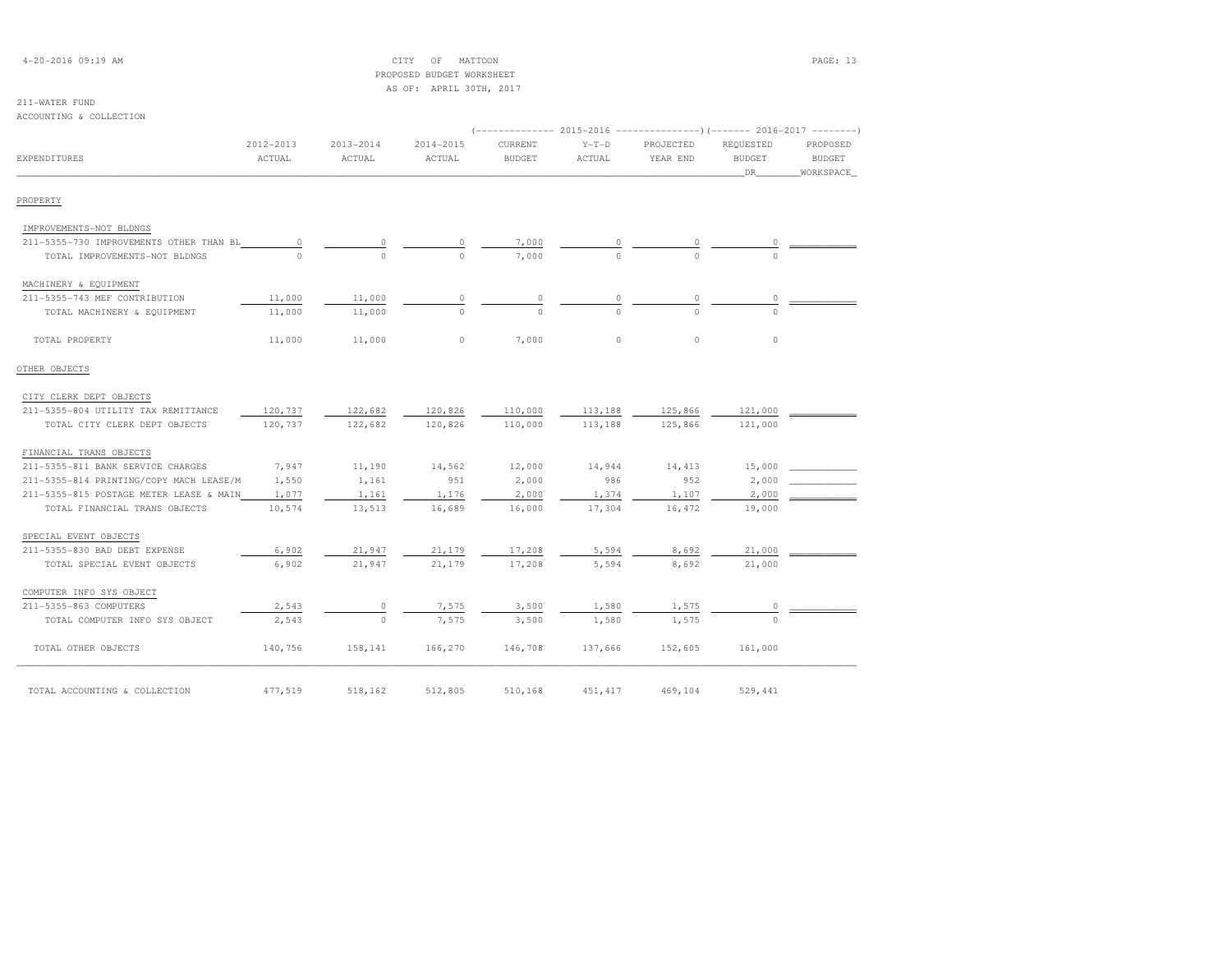| $4 - 20 - 2016$ 09:19 AM |  |
|--------------------------|--|
|--------------------------|--|

## $\begin{array}{ccc}\n\text{CITY} & \text{OF} & \text{MATION}\n\end{array}$  PROPOSED BUDGET WORKSHEETAS OF: APRIL 30TH, 2017

| ACCOUNTING & COLLECTION                 |                     |                     |                     |                          |                   |                                                                                                |                                  |                                        |
|-----------------------------------------|---------------------|---------------------|---------------------|--------------------------|-------------------|------------------------------------------------------------------------------------------------|----------------------------------|----------------------------------------|
| EXPENDITURES                            | 2012-2013<br>ACTUAL | 2013-2014<br>ACTUAL | 2014-2015<br>ACTUAL | CURRENT<br><b>BUDGET</b> | $Y-T-D$<br>ACTUAL | (-------------- 2015-2016 ---------------------- 2016-2017 ----------<br>PROJECTED<br>YEAR END | REQUESTED<br><b>BUDGET</b><br>DR | PROPOSED<br><b>BUDGET</b><br>WORKSPACE |
| PROPERTY                                |                     |                     |                     |                          |                   |                                                                                                |                                  |                                        |
| IMPROVEMENTS-NOT BLDNGS                 |                     |                     |                     |                          |                   |                                                                                                |                                  |                                        |
| 211-5355-730 IMPROVEMENTS OTHER THAN BL | 0                   | $\Omega$            | 0                   | 7,000                    |                   |                                                                                                |                                  |                                        |
| TOTAL IMPROVEMENTS-NOT BLDNGS           | $\Omega$            | $\Omega$            | $\Omega$            | 7,000                    |                   | $\Omega$                                                                                       |                                  |                                        |
| MACHINERY & EQUIPMENT                   |                     |                     |                     |                          |                   |                                                                                                |                                  |                                        |
| 211-5355-743 MEF CONTRIBUTION           | 11,000              | 11,000              | $\circ$             | 0                        | 0                 | $\circ$                                                                                        | 0                                |                                        |
| TOTAL MACHINERY & EQUIPMENT             | 11,000              | 11,000              | $\Omega$            | $\cap$                   | $\Omega$          | $\cap$                                                                                         | $\cap$                           |                                        |
| TOTAL PROPERTY                          | 11,000              | 11,000              | $\circ$             | 7,000                    | $\circ$           | $\circ$                                                                                        | $\circ$                          |                                        |
| OTHER OBJECTS                           |                     |                     |                     |                          |                   |                                                                                                |                                  |                                        |
| CITY CLERK DEPT OBJECTS                 |                     |                     |                     |                          |                   |                                                                                                |                                  |                                        |
| 211-5355-804 UTILITY TAX REMITTANCE     | 120,737             | 122,682             | 120,826             | 110,000                  | 113,188           | 125,866                                                                                        | 121,000                          |                                        |
| TOTAL CITY CLERK DEPT OBJECTS           | 120,737             | 122,682             | 120,826             | 110,000                  | 113,188           | 125,866                                                                                        | 121,000                          |                                        |
| FINANCIAL TRANS OBJECTS                 |                     |                     |                     |                          |                   |                                                                                                |                                  |                                        |
| 211-5355-811 BANK SERVICE CHARGES       | 7,947               | 11,190              | 14,562              | 12,000                   | 14,944            | 14,413                                                                                         | 15,000                           |                                        |
| 211-5355-814 PRINTING/COPY MACH LEASE/M | 1,550               | 1,161               | 951                 | 2,000                    | 986               | 952                                                                                            | 2,000                            |                                        |
| 211-5355-815 POSTAGE METER LEASE & MAIN | 1,077               | 1,161               | 1,176               | 2,000                    | 1,374             | 1,107                                                                                          | 2,000                            |                                        |
| TOTAL FINANCIAL TRANS OBJECTS           | 10,574              | 13,513              | 16,689              | 16,000                   | 17,304            | 16,472                                                                                         | 19,000                           |                                        |
| SPECIAL EVENT OBJECTS                   |                     |                     |                     |                          |                   |                                                                                                |                                  |                                        |
| 211-5355-830 BAD DEBT EXPENSE           | 6,902               | 21,947              | 21,179              | 17,208                   | 5,594             | 8,692                                                                                          | 21,000                           |                                        |
| TOTAL SPECIAL EVENT OBJECTS             | 6,902               | 21,947              | 21,179              | 17,208                   | 5,594             | 8,692                                                                                          | 21,000                           |                                        |
| COMPUTER INFO SYS OBJECT                |                     |                     |                     |                          |                   |                                                                                                |                                  |                                        |
| 211-5355-863 COMPUTERS                  | 2,543               | 0                   | 7,575               | 3,500                    | 1,580             | 1,575                                                                                          |                                  |                                        |
| TOTAL COMPUTER INFO SYS OBJECT          | 2,543               | $\bigcirc$          | 7,575               | 3,500                    | 1,580             | 1,575                                                                                          | $\cap$                           |                                        |
| TOTAL OTHER OBJECTS                     | 140,756             | 158,141             | 166,270             | 146,708                  | 137,666           | 152,605                                                                                        | 161,000                          |                                        |
| TOTAL ACCOUNTING & COLLECTION           | 477,519             | 518,162             | 512,805             | 510,168                  | 451, 417          | 469,104                                                                                        | 529,441                          |                                        |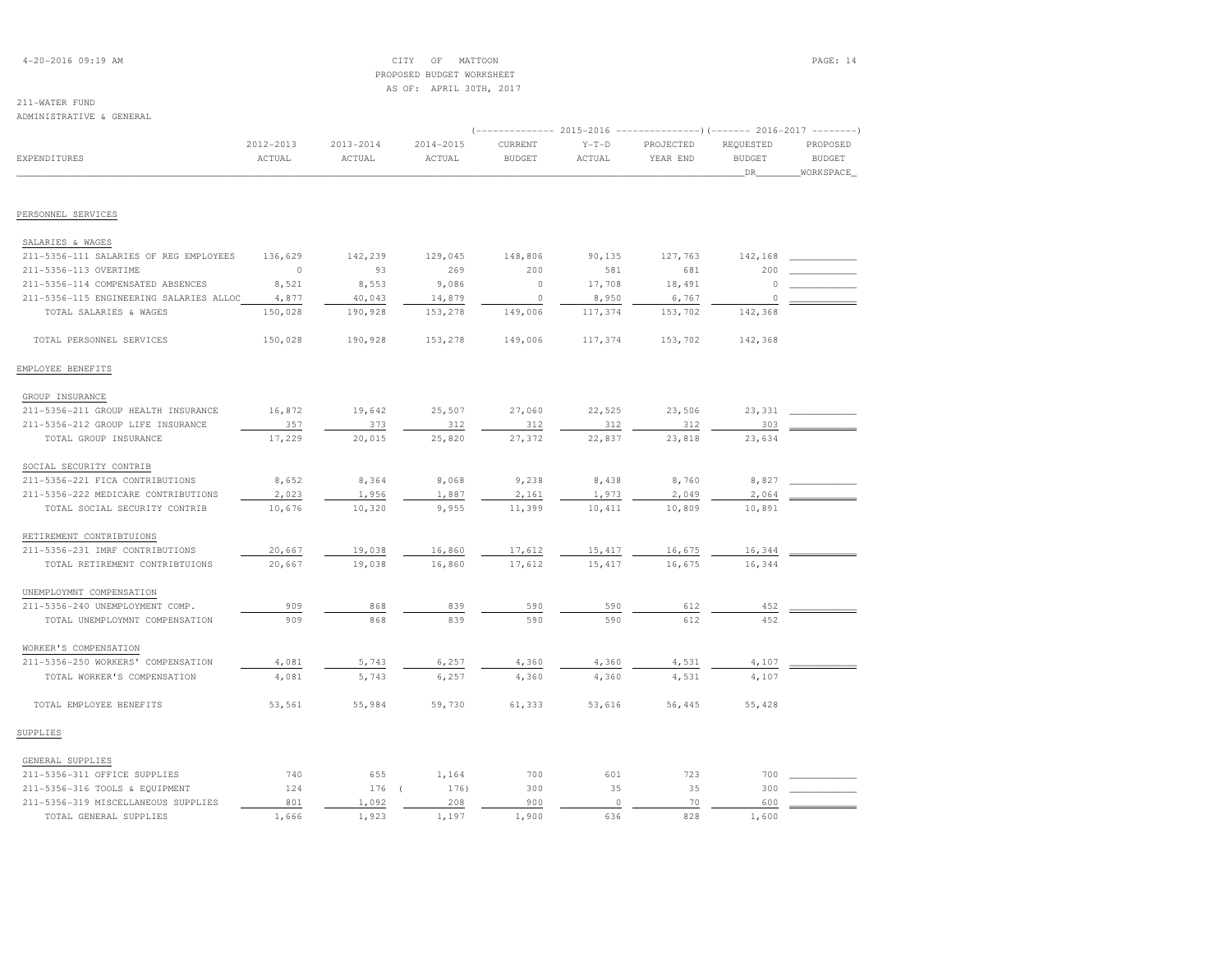## 4-20-2016 09:19 AM CITY OF MATTOON PAGE: 14 PROPOSED BUDGET WORKSHEETAS OF: APRIL 30TH, 2017

### 211-WATER FUNDADMINISTRATIVE & GENERAL

|                                         |               |               |           | (-------------- 2015-2016 ----------------)(------- 2016-2017 --------) |         |           |               |               |
|-----------------------------------------|---------------|---------------|-----------|-------------------------------------------------------------------------|---------|-----------|---------------|---------------|
|                                         | $2012 - 2013$ | $2013 - 2014$ | 2014-2015 | CURRENT                                                                 | $Y-T-D$ | PROJECTED | REQUESTED     | PROPOSED      |
| <b>EXPENDITURES</b>                     | ACTUAL        | ACTUAL        | ACTUAL    | <b>BUDGET</b>                                                           | ACTUAL  | YEAR END  | <b>BUDGET</b> | <b>BUDGET</b> |
|                                         |               |               |           |                                                                         |         |           | DR            | WORKSPACE     |
|                                         |               |               |           |                                                                         |         |           |               |               |
| PERSONNEL SERVICES                      |               |               |           |                                                                         |         |           |               |               |
|                                         |               |               |           |                                                                         |         |           |               |               |
| SALARIES & WAGES                        |               |               |           |                                                                         |         |           |               |               |
| 211-5356-111 SALARIES OF REG EMPLOYEES  | 136,629       | 142,239       | 129,045   | 148,806                                                                 | 90,135  | 127,763   | 142,168       |               |
| 211-5356-113 OVERTIME                   | $\circ$       | 93            | 269       | 200                                                                     | 581     | 681       | 200           |               |
| 211-5356-114 COMPENSATED ABSENCES       | 8,521         | 8,553         | 9,086     | $\circ$                                                                 | 17,708  | 18,491    | $\Omega$      |               |
| 211-5356-115 ENGINEERING SALARIES ALLOC | 4,877         | 40,043        | 14,879    | $\circ$                                                                 | 8,950   | 6,767     | $\circ$       |               |
| TOTAL SALARIES & WAGES                  | 150,028       | 190,928       | 153,278   | 149,006                                                                 | 117,374 | 153,702   | 142,368       |               |
| TOTAL PERSONNEL SERVICES                | 150,028       | 190,928       | 153,278   | 149,006                                                                 | 117,374 | 153,702   | 142,368       |               |
| EMPLOYEE BENEFITS                       |               |               |           |                                                                         |         |           |               |               |
| GROUP INSURANCE                         |               |               |           |                                                                         |         |           |               |               |
| 211-5356-211 GROUP HEALTH INSURANCE     | 16,872        | 19,642        | 25,507    | 27,060                                                                  | 22,525  | 23,506    | 23,331        |               |
| 211-5356-212 GROUP LIFE INSURANCE       | 357           | 373           | 312       | 312                                                                     | 312     | 312       | 303           |               |
| TOTAL GROUP INSURANCE                   | 17,229        | 20,015        | 25,820    | 27,372                                                                  | 22,837  | 23,818    | 23,634        |               |
| SOCIAL SECURITY CONTRIB                 |               |               |           |                                                                         |         |           |               |               |
| 211-5356-221 FICA CONTRIBUTIONS         | 8,652         | 8,364         | 8,068     | 9,238                                                                   | 8,438   | 8,760     | 8,827         |               |
| 211-5356-222 MEDICARE CONTRIBUTIONS     | 2,023         | 1,956         | 1,887     | 2,161                                                                   | 1,973   | 2,049     | 2,064         |               |
| TOTAL SOCIAL SECURITY CONTRIB           | 10,676        | 10,320        | 9,955     | 11,399                                                                  | 10,411  | 10,809    | 10,891        |               |
| RETIREMENT CONTRIBTUIONS                |               |               |           |                                                                         |         |           |               |               |
|                                         |               |               |           |                                                                         |         |           |               |               |
| 211-5356-231 IMRF CONTRIBUTIONS         | 20,667        | 19,038        | 16,860    | 17,612                                                                  | 15, 417 | 16,675    | 16,344        |               |
| TOTAL RETIREMENT CONTRIBTUIONS          | 20,667        | 19,038        | 16,860    | 17,612                                                                  | 15, 417 | 16,675    | 16,344        |               |
| UNEMPLOYMNT COMPENSATION                |               |               |           |                                                                         |         |           |               |               |
| 211-5356-240 UNEMPLOYMENT COMP.         | 909           | 868           | 839       | 590                                                                     | 590     | 612       | 452           |               |
| TOTAL UNEMPLOYMNT COMPENSATION          | 909           | 868           | 839       | 590                                                                     | 590     | 612       | 452           |               |
| WORKER'S COMPENSATION                   |               |               |           |                                                                         |         |           |               |               |
| 211-5356-250 WORKERS' COMPENSATION      | 4,081         | 5,743         | 6,257     | 4,360                                                                   | 4,360   | 4,531     | 4,107         |               |
| TOTAL WORKER'S COMPENSATION             | 4,081         | 5,743         | 6,257     | 4,360                                                                   | 4,360   | 4,531     | 4,107         |               |
| TOTAL EMPLOYEE BENEFITS                 | 53,561        | 55,984        | 59,730    | 61,333                                                                  | 53,616  | 56,445    | 55,428        |               |
| SUPPLIES                                |               |               |           |                                                                         |         |           |               |               |
| GENERAL SUPPLIES                        |               |               |           |                                                                         |         |           |               |               |
| 211-5356-311 OFFICE SUPPLIES            | 740           | 655           | 1,164     | 700                                                                     | 601     | 723       | 700           |               |
| 211-5356-316 TOOLS & EQUIPMENT          | 124           | 176           | 176)      | 300                                                                     | 35      | 35        | 300           |               |
| 211-5356-319 MISCELLANEOUS SUPPLIES     | 801           | 1,092         | 208       | 900                                                                     | $\circ$ | 70        | 600           |               |
| TOTAL GENERAL SUPPLIES                  | 1,666         | 1,923         | 1.197     | 1,900                                                                   | 636     | 828       | 1,600         |               |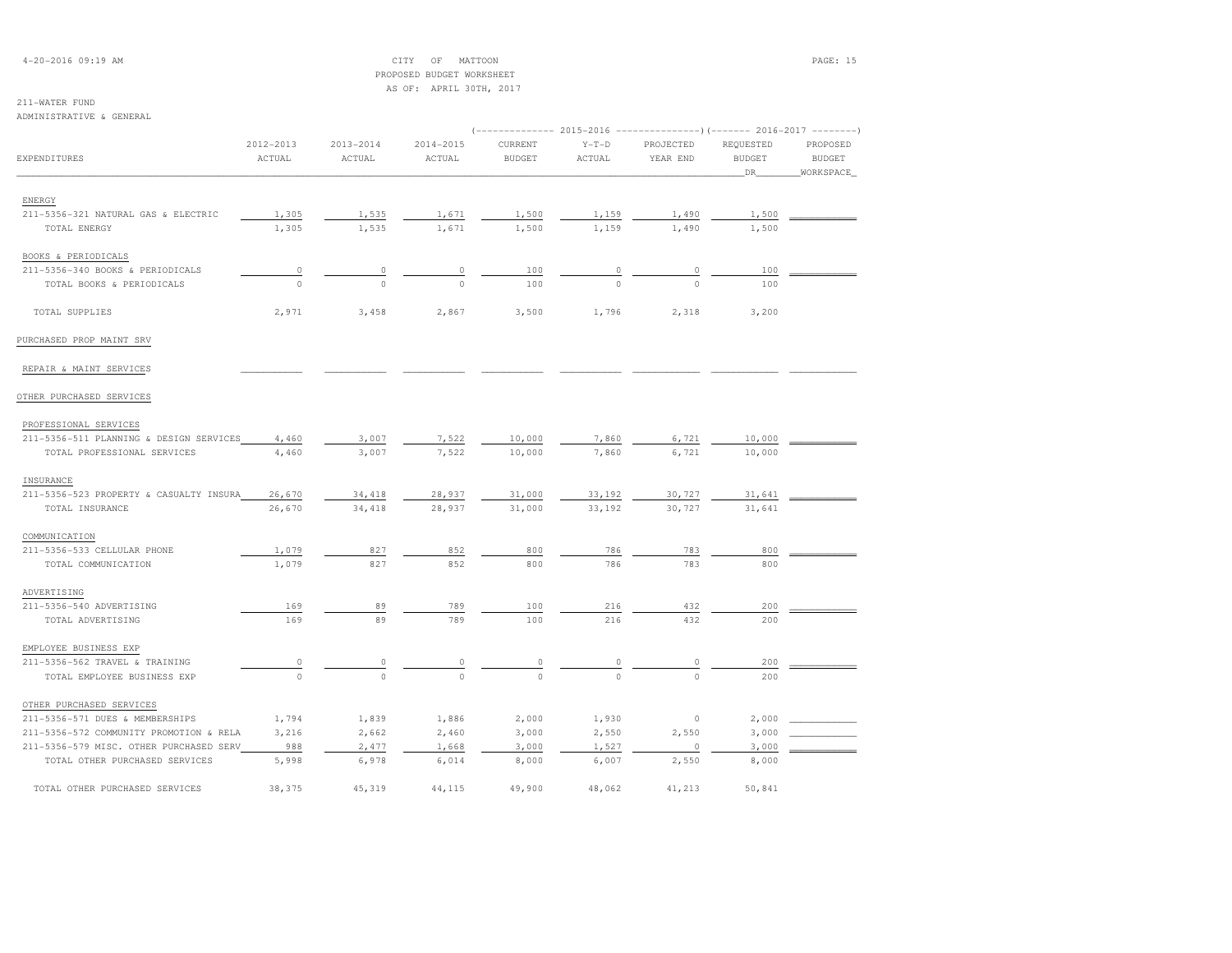4-20-2016 09:19 AM CITY OF MATTOON PAGE: 15 PROPOSED BUDGET WORKSHEETAS OF: APRIL 30TH, 2017

## 211-WATER FUND

ADMINISTRATIVE & GENERAL

|                                         |                     |                         |                         | (-------------- 2015-2016 ---------------) (------- 2016-2017 --------) |                   |                       |                                  |                                        |
|-----------------------------------------|---------------------|-------------------------|-------------------------|-------------------------------------------------------------------------|-------------------|-----------------------|----------------------------------|----------------------------------------|
| EXPENDITURES                            | 2012-2013<br>ACTUAL | $2013 - 2014$<br>ACTUAL | $2014 - 2015$<br>ACTUAL | CURRENT<br><b>BUDGET</b>                                                | $Y-T-D$<br>ACTUAL | PROJECTED<br>YEAR END | REQUESTED<br><b>BUDGET</b><br>DR | PROPOSED<br><b>BUDGET</b><br>WORKSPACE |
| ENERGY                                  |                     |                         |                         |                                                                         |                   |                       |                                  |                                        |
| 211-5356-321 NATURAL GAS & ELECTRIC     | 1,305               | 1,535                   | 1,671                   | 1,500                                                                   | 1,159             | 1,490                 | 1,500                            |                                        |
| TOTAL ENERGY                            | 1,305               | 1,535                   | 1,671                   | 1,500                                                                   | 1,159             | 1,490                 | 1,500                            |                                        |
| BOOKS & PERIODICALS                     |                     |                         |                         |                                                                         |                   |                       |                                  |                                        |
| 211-5356-340 BOOKS & PERIODICALS        | $\overline{0}$      | $\circ$                 | $\circ$                 | 100                                                                     | $\circ$           | 0                     | 100                              |                                        |
| TOTAL BOOKS & PERIODICALS               | $\circ$             | $\circ$                 | $\circ$                 | 100                                                                     | $\mathbf 0$       | $\circ$               | 100                              |                                        |
| TOTAL SUPPLIES                          | 2,971               | 3,458                   | 2,867                   | 3,500                                                                   | 1,796             | 2,318                 | 3,200                            |                                        |
| PURCHASED PROP MAINT SRV                |                     |                         |                         |                                                                         |                   |                       |                                  |                                        |
| REPAIR & MAINT SERVICES                 |                     |                         |                         |                                                                         |                   |                       |                                  |                                        |
| OTHER PURCHASED SERVICES                |                     |                         |                         |                                                                         |                   |                       |                                  |                                        |
| PROFESSIONAL SERVICES                   |                     |                         |                         |                                                                         |                   |                       |                                  |                                        |
| 211-5356-511 PLANNING & DESIGN SERVICES | 4,460               | 3,007                   | 7,522                   | 10,000                                                                  | 7,860             | 6,721                 | 10,000                           |                                        |
| TOTAL PROFESSIONAL SERVICES             | 4,460               | 3,007                   | 7,522                   | 10,000                                                                  | 7,860             | 6,721                 | 10,000                           |                                        |
| INSURANCE                               |                     |                         |                         |                                                                         |                   |                       |                                  |                                        |
| 211-5356-523 PROPERTY & CASUALTY INSURA | 26,670              | 34,418                  | 28,937                  | 31,000                                                                  | 33,192            | 30,727                | 31,641                           |                                        |
| TOTAL INSURANCE                         | 26,670              | 34,418                  | 28,937                  | 31,000                                                                  | 33,192            | 30,727                | 31,641                           |                                        |
| COMMUNICATION                           |                     |                         |                         |                                                                         |                   |                       |                                  |                                        |
| 211-5356-533 CELLULAR PHONE             | 1,079               | 827                     | 852                     | 800                                                                     | 786               | 783                   | 800                              |                                        |
| TOTAL COMMUNICATION                     | 1,079               | 827                     | 852                     | 800                                                                     | 786               | 783                   | 800                              |                                        |
| ADVERTISING                             |                     |                         |                         |                                                                         |                   |                       |                                  |                                        |
| 211-5356-540 ADVERTISING                | 169                 | 89                      | 789                     | 100                                                                     | 216               | 432                   | 200                              |                                        |
| TOTAL ADVERTISING                       | 169                 | 89                      | 789                     | 100                                                                     | 216               | 432                   | 200                              |                                        |
| EMPLOYEE BUSINESS EXP                   |                     |                         |                         |                                                                         |                   |                       |                                  |                                        |
| 211-5356-562 TRAVEL & TRAINING          | $\overline{0}$      | 0                       |                         |                                                                         |                   | 0                     | 200                              |                                        |
| TOTAL EMPLOYEE BUSINESS EXP             | $\circ$             | $\Omega$                | $\Omega$                | $\Omega$                                                                | $\Omega$          | $\Omega$              | 200                              |                                        |
| OTHER PURCHASED SERVICES                |                     |                         |                         |                                                                         |                   |                       |                                  |                                        |
| 211-5356-571 DUES & MEMBERSHIPS         | 1,794               | 1,839                   | 1,886                   | 2,000                                                                   | 1,930             | $\circ$               | 2,000                            |                                        |
| 211-5356-572 COMMUNITY PROMOTION & RELA | 3,216               | 2,662                   | 2,460                   | 3,000                                                                   | 2,550             | 2,550                 | 3,000                            |                                        |
| 211-5356-579 MISC. OTHER PURCHASED SERV | 988                 | 2,477                   | 1,668                   | 3,000                                                                   | 1,527             | 0                     | 3,000                            |                                        |
| TOTAL OTHER PURCHASED SERVICES          | 5,998               | 6,978                   | 6,014                   | 8,000                                                                   | 6,007             | 2,550                 | 8,000                            |                                        |
| TOTAL OTHER PURCHASED SERVICES          | 38,375              | 45,319                  | 44,115                  | 49,900                                                                  | 48,062            | 41,213                | 50,841                           |                                        |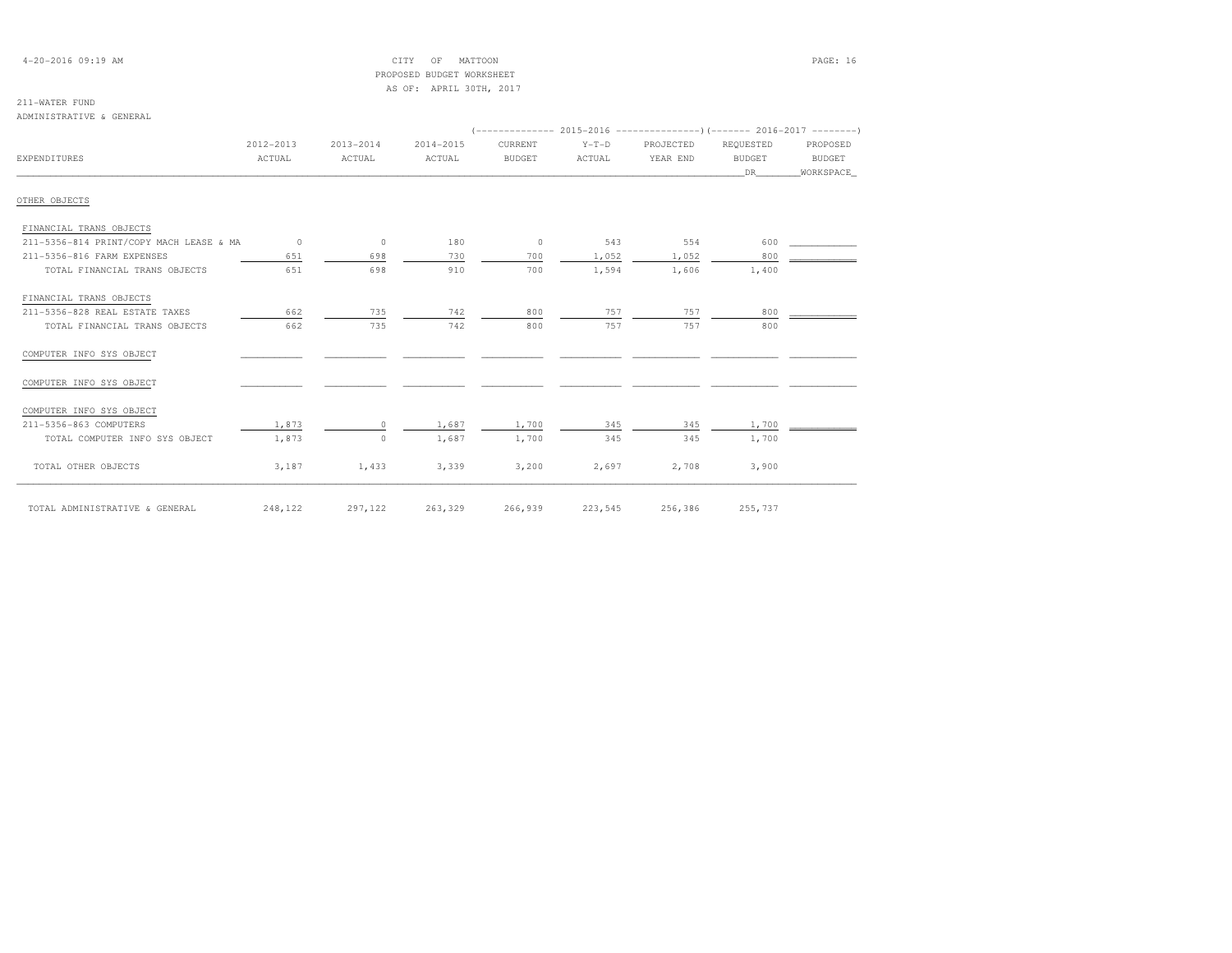## 4-20-2016 09:19 AM CITY OF MATTOON PAGE: 16 PROPOSED BUDGET WORKSHEETAS OF: APRIL 30TH, 2017

## 211-WATER FUND

ADMINISTRATIVE & GENERAL

|                                         |           |           |           |               |         | $(-------- 2015-2016 --------- 0(----2016-2017 ------ 2016-2017$ |               |           |
|-----------------------------------------|-----------|-----------|-----------|---------------|---------|------------------------------------------------------------------|---------------|-----------|
|                                         | 2012-2013 | 2013-2014 | 2014-2015 | CURRENT       | $Y-T-D$ | PROJECTED                                                        | REOUESTED     | PROPOSED  |
| <b>EXPENDITURES</b>                     | ACTUAL    | ACTUAL    | ACTUAL    | <b>BUDGET</b> | ACTUAL  | YEAR END                                                         | <b>BUDGET</b> | BUDGET    |
|                                         |           |           |           |               |         |                                                                  | DR            | WORKSPACE |
| OTHER OBJECTS                           |           |           |           |               |         |                                                                  |               |           |
| FINANCIAL TRANS OBJECTS                 |           |           |           |               |         |                                                                  |               |           |
| 211-5356-814 PRINT/COPY MACH LEASE & MA | $\circ$   | $\circ$   | 180       | $\circ$       | 543     | 554                                                              | 600           |           |
| 211-5356-816 FARM EXPENSES              | 651       | 698       | 730       | 700           | 1,052   | 1,052                                                            | 800           |           |
| TOTAL FINANCIAL TRANS OBJECTS           | 651       | 698       | 910       | 700           | 1,594   | 1,606                                                            | 1,400         |           |
| FINANCIAL TRANS OBJECTS                 |           |           |           |               |         |                                                                  |               |           |
| 211-5356-828 REAL ESTATE TAXES          | 662       | 735       | 742       | 800           | 757     | 757                                                              | 800           |           |
| TOTAL FINANCIAL TRANS OBJECTS           | 662       | 735       | 742       | 800           | 757     | 757                                                              | 800           |           |
| COMPUTER INFO SYS OBJECT                |           |           |           |               |         |                                                                  |               |           |
| COMPUTER INFO SYS OBJECT                |           |           |           |               |         |                                                                  |               |           |
| COMPUTER INFO SYS OBJECT                |           |           |           |               |         |                                                                  |               |           |
| 211-5356-863 COMPUTERS                  | 1,873     | $\Omega$  | 1,687     | 1,700         | 345     | 345                                                              | 1,700         |           |
| TOTAL COMPUTER INFO SYS OBJECT          | 1,873     | $\Omega$  | 1,687     | 1,700         | 345     | 345                                                              | 1,700         |           |
| TOTAL OTHER OBJECTS                     | 3,187     | 1,433     | 3,339     | 3,200         | 2,697   | 2,708                                                            | 3,900         |           |
| TOTAL ADMINISTRATIVE & GENERAL          | 248,122   | 297,122   | 263,329   | 266,939       | 223,545 | 256,386                                                          | 255,737       |           |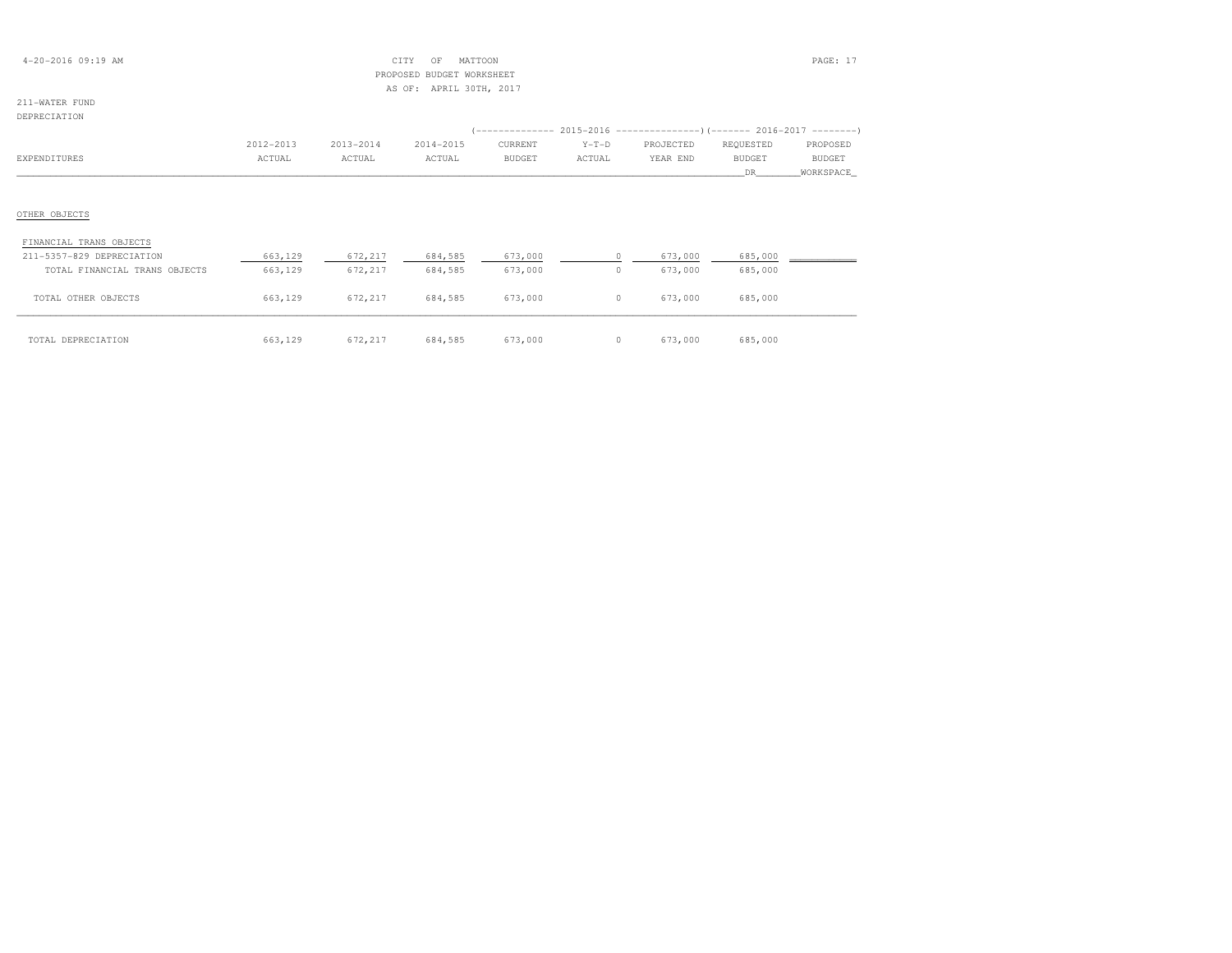| $4 - 20 - 2016$ 09:19 AM |  |
|--------------------------|--|
|--------------------------|--|

## $\text{CITY}$  OF MATTOON **PAGE:** 17 PROPOSED BUDGET WORKSHEETAS OF: APRIL 30TH, 2017

211-WATER FUND

## DEPRECIATION

| ---------------               |           |           |           |               |         |           |               |               |
|-------------------------------|-----------|-----------|-----------|---------------|---------|-----------|---------------|---------------|
|                               |           |           |           |               |         |           |               |               |
|                               | 2012-2013 | 2013-2014 | 2014-2015 | CURRENT       | $Y-T-D$ | PROJECTED | REQUESTED     | PROPOSED      |
| EXPENDITURES                  | ACTUAL    | ACTUAL    | ACTUAL    | <b>BUDGET</b> | ACTUAL  | YEAR END  | <b>BUDGET</b> | <b>BUDGET</b> |
|                               |           |           |           |               |         |           | DR.           | WORKSPACE     |
|                               |           |           |           |               |         |           |               |               |
|                               |           |           |           |               |         |           |               |               |
| OTHER OBJECTS                 |           |           |           |               |         |           |               |               |
|                               |           |           |           |               |         |           |               |               |
| FINANCIAL TRANS OBJECTS       |           |           |           |               |         |           |               |               |
| 211-5357-829 DEPRECIATION     | 663,129   | 672,217   | 684,585   | 673,000       | $\circ$ | 673,000   | 685,000       |               |
| TOTAL FINANCIAL TRANS OBJECTS | 663,129   | 672,217   | 684,585   | 673,000       | $\circ$ | 673,000   | 685,000       |               |
|                               |           |           |           |               |         |           |               |               |
| TOTAL OTHER OBJECTS           | 663,129   | 672,217   | 684,585   | 673,000       | $\circ$ | 673,000   | 685,000       |               |
|                               |           |           |           |               |         |           |               |               |

| TOTAL DEPRECIATION |  | $663,129$ $672,217$ $684,585$ $673,000$ 0 $673,000$ 685,000 |  |  |
|--------------------|--|-------------------------------------------------------------|--|--|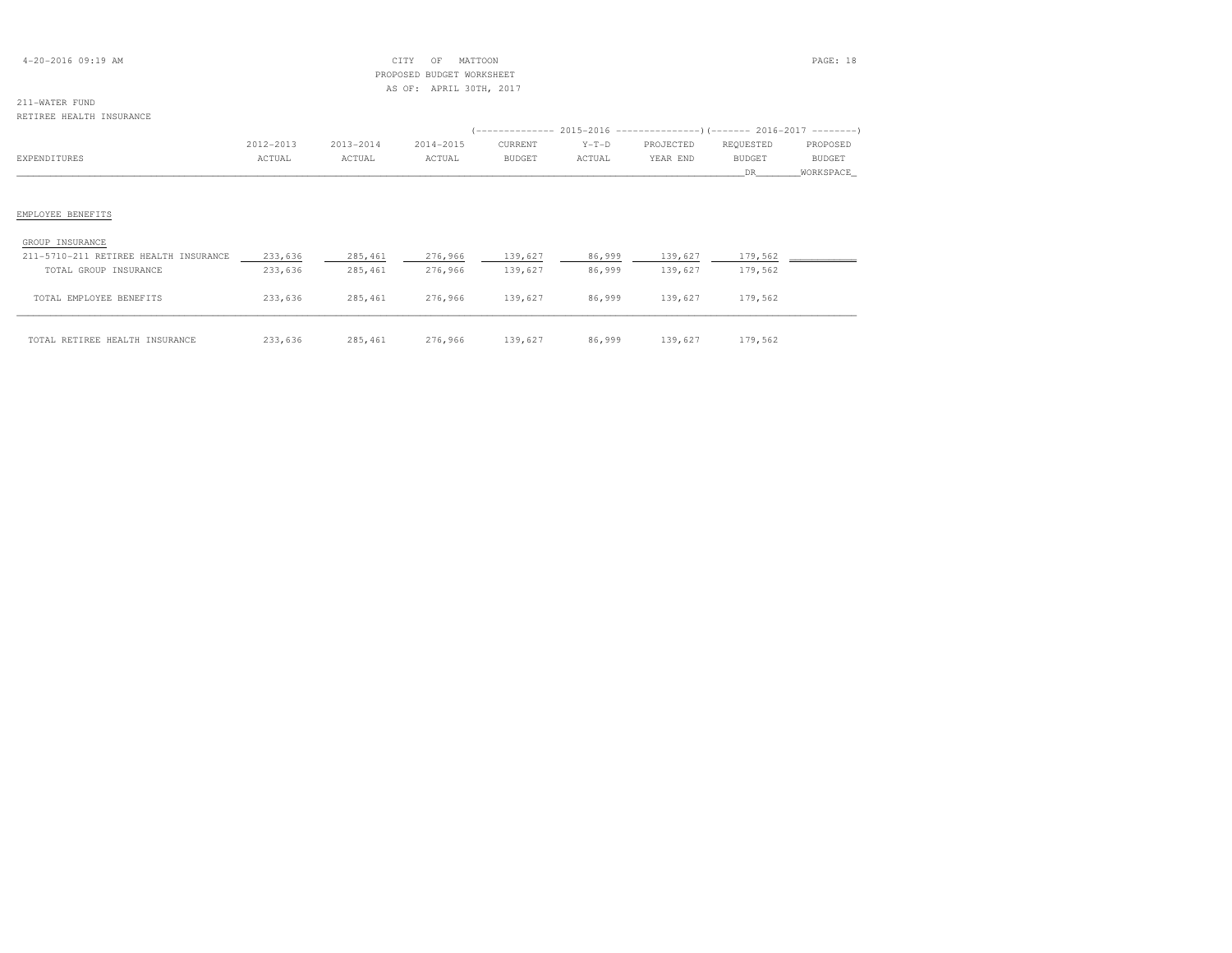| $4-20-2016$ 09:19 AM |  |  |
|----------------------|--|--|
|----------------------|--|--|

## $\begin{array}{ccc} \text{CITY} & \text{OF} & \text{MATION} \end{array}$  PROPOSED BUDGET WORKSHEETAS OF: APRIL 30TH, 2017

## 211-WATER FUND

### RETIREE HEALTH INSURANCE

|                                       | 2012-2013 | 2013-2014 | 2014-2015 | CURRENT       | $Y-T-D$ | PROJECTED | REQUESTED     | PROPOSED      |
|---------------------------------------|-----------|-----------|-----------|---------------|---------|-----------|---------------|---------------|
| EXPENDITURES                          | ACTUAL    | ACTUAL    | ACTUAL    | <b>BUDGET</b> | ACTUAL  | YEAR END  | <b>BUDGET</b> | <b>BUDGET</b> |
|                                       |           |           |           |               |         |           | DR.           | WORKSPACE     |
|                                       |           |           |           |               |         |           |               |               |
| EMPLOYEE BENEFITS                     |           |           |           |               |         |           |               |               |
| GROUP INSURANCE                       |           |           |           |               |         |           |               |               |
| 211-5710-211 RETIREE HEALTH INSURANCE | 233,636   | 285,461   | 276,966   | 139,627       | 86,999  | 139,627   | 179,562       |               |
| TOTAL GROUP INSURANCE                 | 233,636   | 285,461   | 276,966   | 139,627       | 86,999  | 139,627   | 179,562       |               |
| TOTAL EMPLOYEE BENEFITS               | 233,636   | 285,461   | 276,966   | 139,627       | 86,999  | 139,627   | 179,562       |               |
| TOTAL RETIREE HEALTH INSURANCE        | 233,636   | 285,461   | 276,966   | 139,627       | 86,999  | 139,627   | 179,562       |               |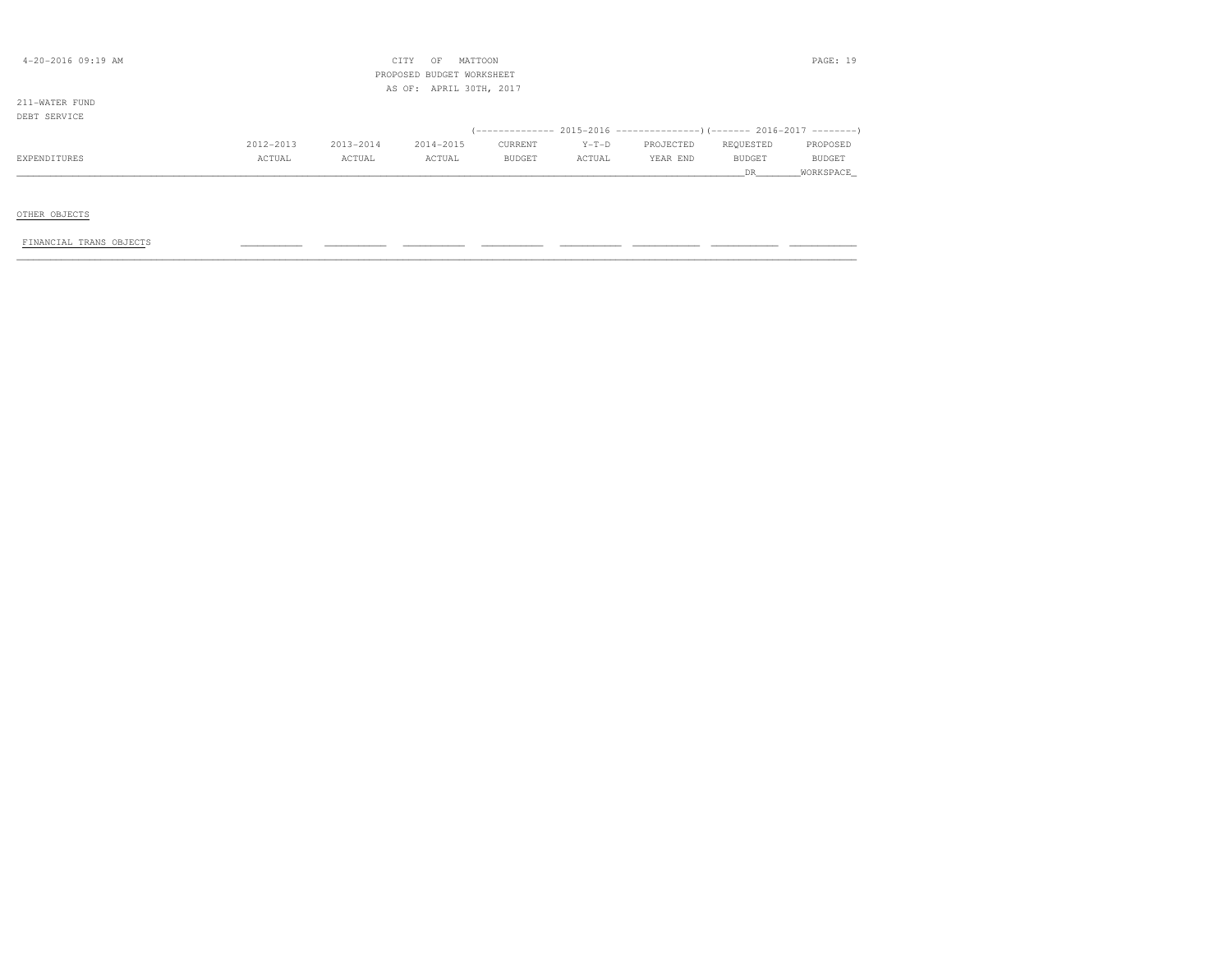| $4 - 20 - 2016$ 09:19 AM       |           |           | CITY<br>MATTOON<br>OF<br>PROPOSED BUDGET WORKSHEET |               |         |                                                                         |           | PAGE: 19  |
|--------------------------------|-----------|-----------|----------------------------------------------------|---------------|---------|-------------------------------------------------------------------------|-----------|-----------|
|                                |           |           | AS OF: APRIL 30TH, 2017                            |               |         |                                                                         |           |           |
| 211-WATER FUND<br>DEBT SERVICE |           |           |                                                    |               |         |                                                                         |           |           |
|                                |           |           |                                                    |               |         | (-------------- 2015-2016 ---------------) (------- 2016-2017 --------) |           |           |
|                                | 2012-2013 | 2013-2014 | 2014-2015                                          | CURRENT       | $Y-T-D$ | PROJECTED                                                               | REQUESTED | PROPOSED  |
| EXPENDITURES                   | ACTUAL    | ACTUAL    | ACTUAL                                             | <b>BUDGET</b> | ACTUAL  | YEAR END                                                                | BUDGET    | BUDGET    |
|                                |           |           |                                                    |               |         |                                                                         | DR.       | WORKSPACE |
|                                |           |           |                                                    |               |         |                                                                         |           |           |
| OTHER OBJECTS                  |           |           |                                                    |               |         |                                                                         |           |           |
| FINANCIAL TRANS OBJECTS        |           |           |                                                    |               |         |                                                                         |           |           |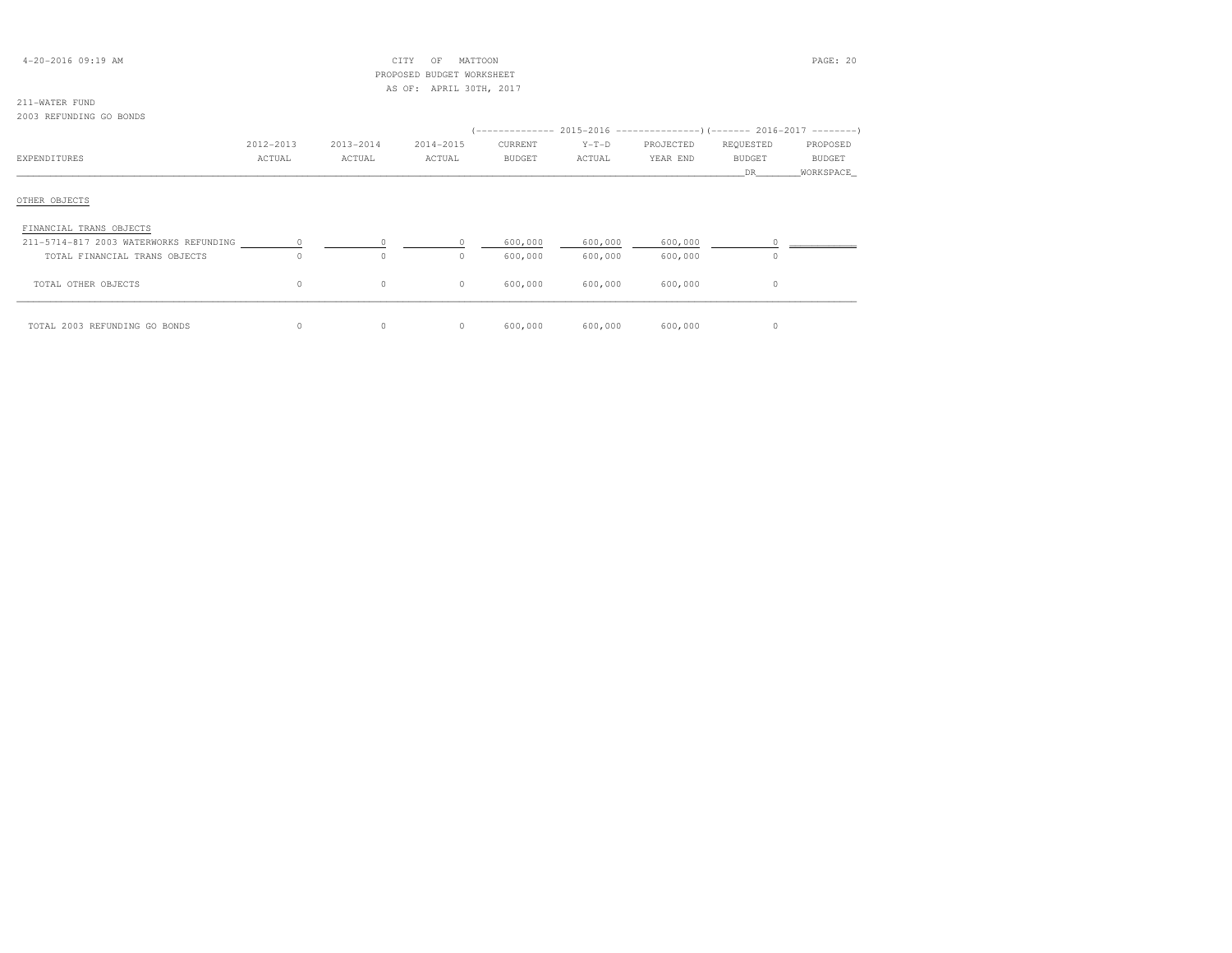| $4 - 20 - 2016$ 09:19 AM |  |  |
|--------------------------|--|--|
|--------------------------|--|--|

## $\begin{array}{ccc} \text{CITY} & \text{OF} & \text{MATION} \end{array}$  PROPOSED BUDGET WORKSHEETAS OF: APRIL 30TH, 2017

## 211-WATER FUND

### 2003 REFUNDING GO BONDS

|                                        | 2012-2013 | 2013-2014 | 2014-2015 | CURRENT       | $Y-T-D$ | PROJECTED | REQUESTED     | PROPOSED      |
|----------------------------------------|-----------|-----------|-----------|---------------|---------|-----------|---------------|---------------|
| EXPENDITURES                           | ACTUAL    | ACTUAL    | ACTUAL    | <b>BUDGET</b> | ACTUAL  | YEAR END  | <b>BUDGET</b> | <b>BUDGET</b> |
|                                        |           |           |           |               |         |           | DR            | _WORKSPACE_   |
| OTHER OBJECTS                          |           |           |           |               |         |           |               |               |
| FINANCIAL TRANS OBJECTS                |           |           |           |               |         |           |               |               |
| 211-5714-817 2003 WATERWORKS REFUNDING |           |           |           | 600,000       | 600,000 | 600,000   |               |               |
| TOTAL FINANCIAL TRANS OBJECTS          | $\circ$   | $\Omega$  | 0         | 600,000       | 600,000 | 600,000   | $\Omega$      |               |
| TOTAL OTHER OBJECTS                    | $\circ$   | $\circ$   | $\circ$   | 600,000       | 600,000 | 600,000   | $\circ$       |               |
| TOTAL 2003 REFUNDING GO BONDS          | $\circ$   | $\circ$   | $\circ$   | 600,000       | 600,000 | 600,000   | 0             |               |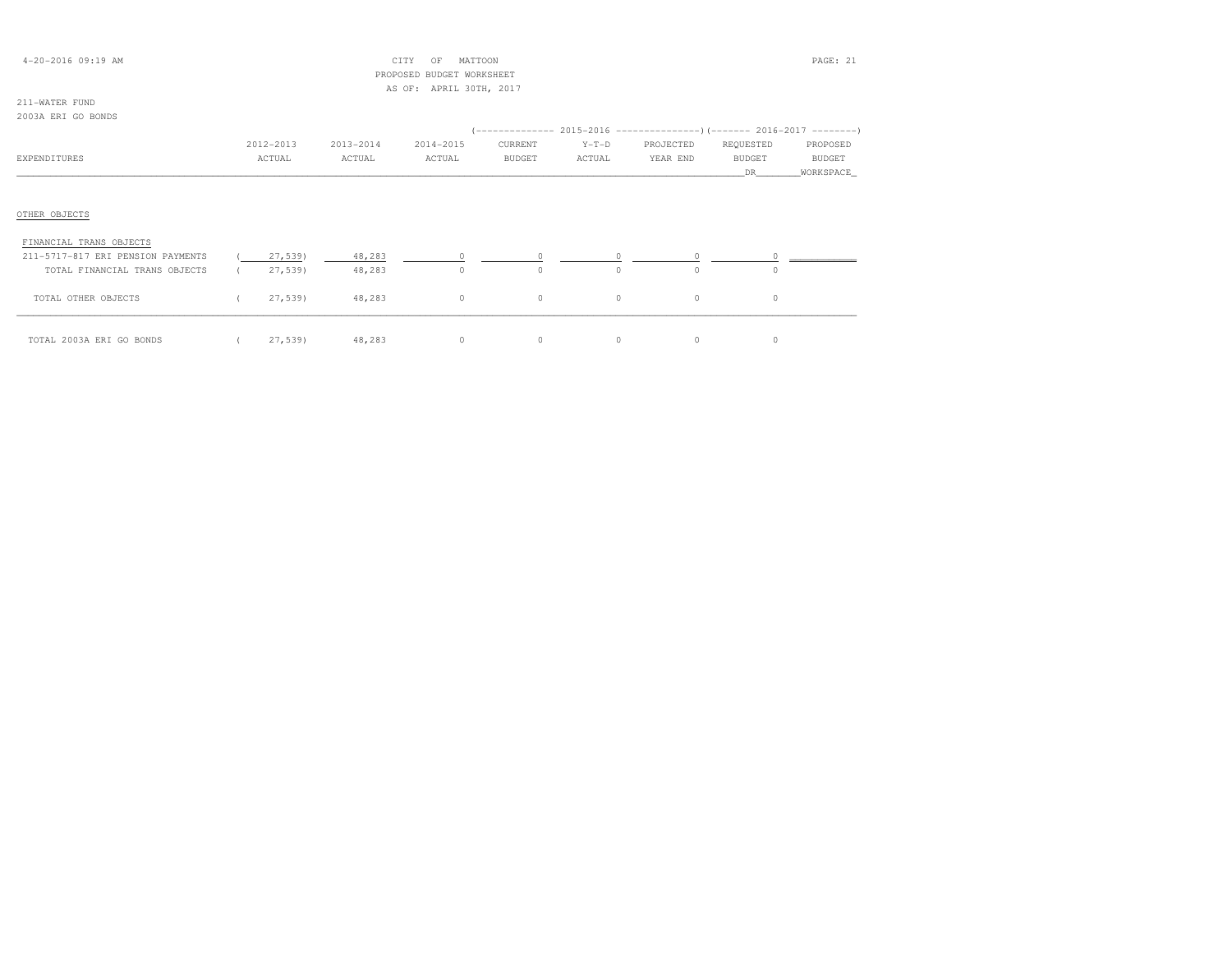| $4 - 20 - 2016$ 09:19 AM          |           |           | CITY<br>OF                | MATTOON       |          |           |               | PAGE: 21      |
|-----------------------------------|-----------|-----------|---------------------------|---------------|----------|-----------|---------------|---------------|
|                                   |           |           | PROPOSED BUDGET WORKSHEET |               |          |           |               |               |
|                                   |           |           | AS OF: APRIL 30TH, 2017   |               |          |           |               |               |
| 211-WATER FUND                    |           |           |                           |               |          |           |               |               |
| 2003A ERI GO BONDS                |           |           |                           |               |          |           |               |               |
|                                   |           |           |                           |               |          |           |               |               |
|                                   | 2012-2013 | 2013-2014 | 2014-2015                 | CURRENT       | $Y-T-D$  | PROJECTED | REQUESTED     | PROPOSED      |
| EXPENDITURES                      | ACTUAL    | ACTUAL    | ACTUAL                    | <b>BUDGET</b> | ACTUAL   | YEAR END  | <b>BUDGET</b> | <b>BUDGET</b> |
|                                   |           |           |                           |               |          |           | DR.           | WORKSPACE     |
|                                   |           |           |                           |               |          |           |               |               |
|                                   |           |           |                           |               |          |           |               |               |
| OTHER OBJECTS                     |           |           |                           |               |          |           |               |               |
|                                   |           |           |                           |               |          |           |               |               |
| FINANCIAL TRANS OBJECTS           |           |           |                           |               |          |           |               |               |
| 211-5717-817 ERI PENSION PAYMENTS | 27,539)   | 48,283    |                           | $\Omega$      | $\Omega$ | $\circ$   |               |               |
| TOTAL FINANCIAL TRANS OBJECTS     | 27,539)   | 48,283    | $\circ$                   | $\circ$       | $\circ$  | $\cap$    | 0             |               |
|                                   |           |           |                           |               |          |           |               |               |
| TOTAL OTHER OBJECTS               | 27,539    | 48,283    | $\circ$                   | $\circ$       | $\circ$  | 0         | 0             |               |
|                                   |           |           |                           |               |          |           |               |               |

\_\_\_\_\_\_\_\_\_\_\_\_\_\_\_\_\_\_\_\_\_\_\_\_\_\_\_\_\_\_\_\_\_\_\_\_\_\_\_\_\_\_\_\_\_\_\_\_\_\_\_\_\_\_\_\_\_\_\_\_\_\_\_\_\_\_\_\_\_\_\_\_\_\_\_\_\_\_\_\_\_\_\_\_\_\_\_\_\_\_\_\_\_\_\_\_\_\_\_\_\_\_\_\_\_\_\_\_\_\_\_\_\_\_\_\_\_\_\_\_\_\_\_\_\_\_\_\_\_\_\_\_\_\_\_\_\_\_\_\_\_\_\_\_\_\_\_\_\_\_ TOTAL 2003A ERI GO BONDS ( 27,539) 48,283 0 0 0 0 0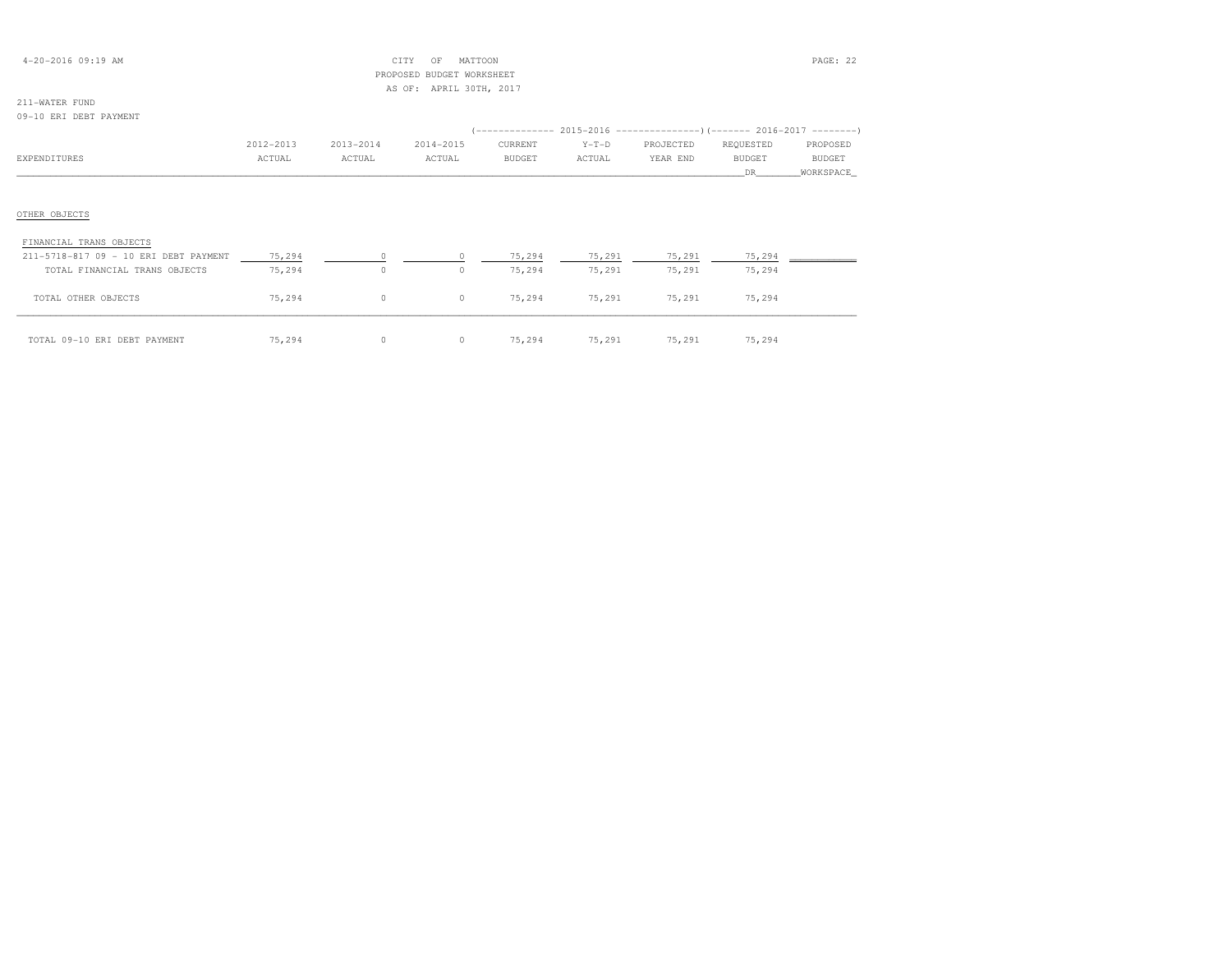| $4 - 20 - 2016$ 09:19 AM |  |
|--------------------------|--|
|--------------------------|--|

## $CITY$  OF MATTOON PAGE: 22 PROPOSED BUDGET WORKSHEETAS OF: APRIL 30TH, 2017

| 09-10 ERI DEBT PAYMENT                |           |           |           |               |         |                                                                       |           |           |
|---------------------------------------|-----------|-----------|-----------|---------------|---------|-----------------------------------------------------------------------|-----------|-----------|
|                                       |           |           |           |               |         | (-------------- 2015-2016 --------------------- 2016-2017 --------- ) |           |           |
|                                       | 2012-2013 | 2013-2014 | 2014-2015 | CURRENT       | $Y-T-D$ | PROJECTED                                                             | REQUESTED | PROPOSED  |
| EXPENDITURES                          | ACTUAL    | ACTUAL    | ACTUAL    | <b>BUDGET</b> | ACTUAL  | YEAR END                                                              | BUDGET    | BUDGET    |
|                                       |           |           |           |               |         |                                                                       | DR        | WORKSPACE |
|                                       |           |           |           |               |         |                                                                       |           |           |
|                                       |           |           |           |               |         |                                                                       |           |           |
| OTHER OBJECTS                         |           |           |           |               |         |                                                                       |           |           |
| FINANCIAL TRANS OBJECTS               |           |           |           |               |         |                                                                       |           |           |
| 211-5718-817 09 - 10 ERI DEBT PAYMENT | 75,294    |           |           | 75,294        | 75,291  | 75,291                                                                | 75,294    |           |
| TOTAL FINANCIAL TRANS OBJECTS         | 75,294    | $\circ$   | $\circ$   | 75,294        | 75,291  | 75,291                                                                | 75,294    |           |
| TOTAL OTHER OBJECTS                   | 75,294    | $\circ$   | $\circ$   | 75,294        | 75,291  | 75,291                                                                | 75,294    |           |
|                                       |           |           |           |               |         |                                                                       |           |           |

| TOTAL 09-10 ERI DEBT PAYMENT | 75,294 |  | 0 0 75,294 75,291 75,291 | 75,294 |
|------------------------------|--------|--|--------------------------|--------|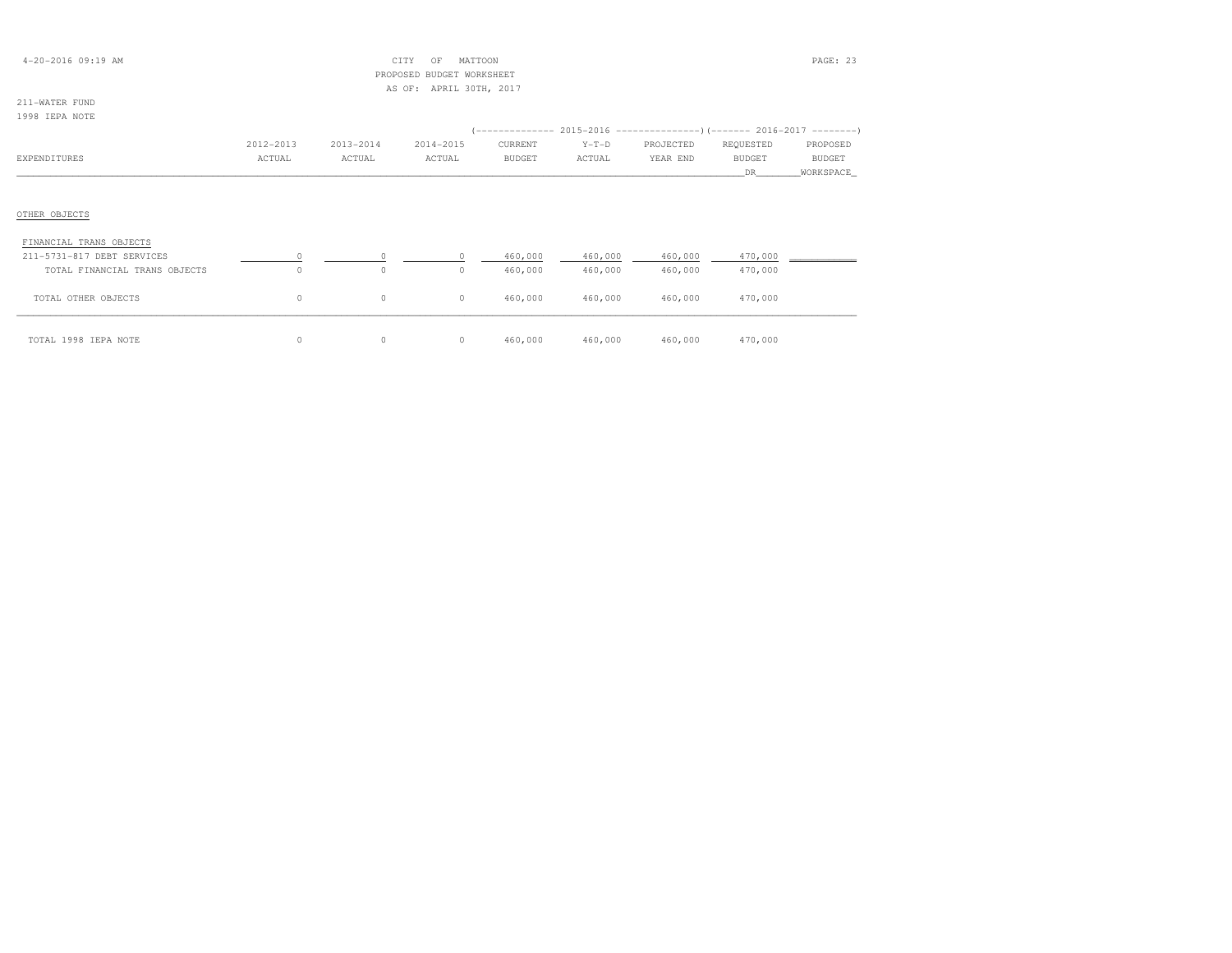| $4 - 20 - 2016$ 09:19 AM |  |
|--------------------------|--|
|--------------------------|--|

## $\begin{array}{ccc}\n\text{CITY} & \text{OF} & \text{MATTON}\n\end{array}$  PROPOSED BUDGET WORKSHEETAS OF: APRIL 30TH, 2017

# 211-WATER FUND

| 1998 IEPA NOTE                |           |           |           |               |         |                                                                           |               |               |
|-------------------------------|-----------|-----------|-----------|---------------|---------|---------------------------------------------------------------------------|---------------|---------------|
|                               |           |           |           |               |         | (-------------- 2015-2016 --------------------        2016-2017 --------' |               |               |
|                               | 2012-2013 | 2013-2014 | 2014-2015 | CURRENT       | $Y-T-D$ | PROJECTED                                                                 | REQUESTED     | PROPOSED      |
| EXPENDITURES                  | ACTUAL    | ACTUAL    | ACTUAL    | <b>BUDGET</b> | ACTUAL  | YEAR END                                                                  | <b>BUDGET</b> | <b>BUDGET</b> |
|                               |           |           |           |               |         |                                                                           | DR.           | WORKSPACE     |
|                               |           |           |           |               |         |                                                                           |               |               |
|                               |           |           |           |               |         |                                                                           |               |               |
| OTHER OBJECTS                 |           |           |           |               |         |                                                                           |               |               |
|                               |           |           |           |               |         |                                                                           |               |               |
| FINANCIAL TRANS OBJECTS       |           |           |           |               |         |                                                                           |               |               |
| 211-5731-817 DEBT SERVICES    |           | $\Omega$  |           | 460,000       | 460,000 | 460,000                                                                   | 470,000       |               |
| TOTAL FINANCIAL TRANS OBJECTS | $\Omega$  | $\circ$   | $\circ$   | 460,000       | 460,000 | 460,000                                                                   | 470,000       |               |
|                               |           |           |           |               |         |                                                                           |               |               |
| TOTAL OTHER OBJECTS           | 0         | $\circ$   | $\circ$   | 460,000       | 460,000 | 460,000                                                                   | 470,000       |               |
|                               |           |           |           |               |         |                                                                           |               |               |

\_\_\_\_\_\_\_\_\_\_\_\_\_\_\_\_\_\_\_\_\_\_\_\_\_\_\_\_\_\_\_\_\_\_\_\_\_\_\_\_\_\_\_\_\_\_\_\_\_\_\_\_\_\_\_\_\_\_\_\_\_\_\_\_\_\_\_\_\_\_\_\_\_\_\_\_\_\_\_\_\_\_\_\_\_\_\_\_\_\_\_\_\_\_\_\_\_\_\_\_\_\_\_\_\_\_\_\_\_\_\_\_\_\_\_\_\_\_\_\_\_\_\_\_\_\_\_\_\_\_\_\_\_\_\_\_\_\_\_\_\_\_\_\_\_\_\_\_\_\_ TOTAL 1998 IEPA NOTE 0 0 0 460,000 460,000 460,000 470,000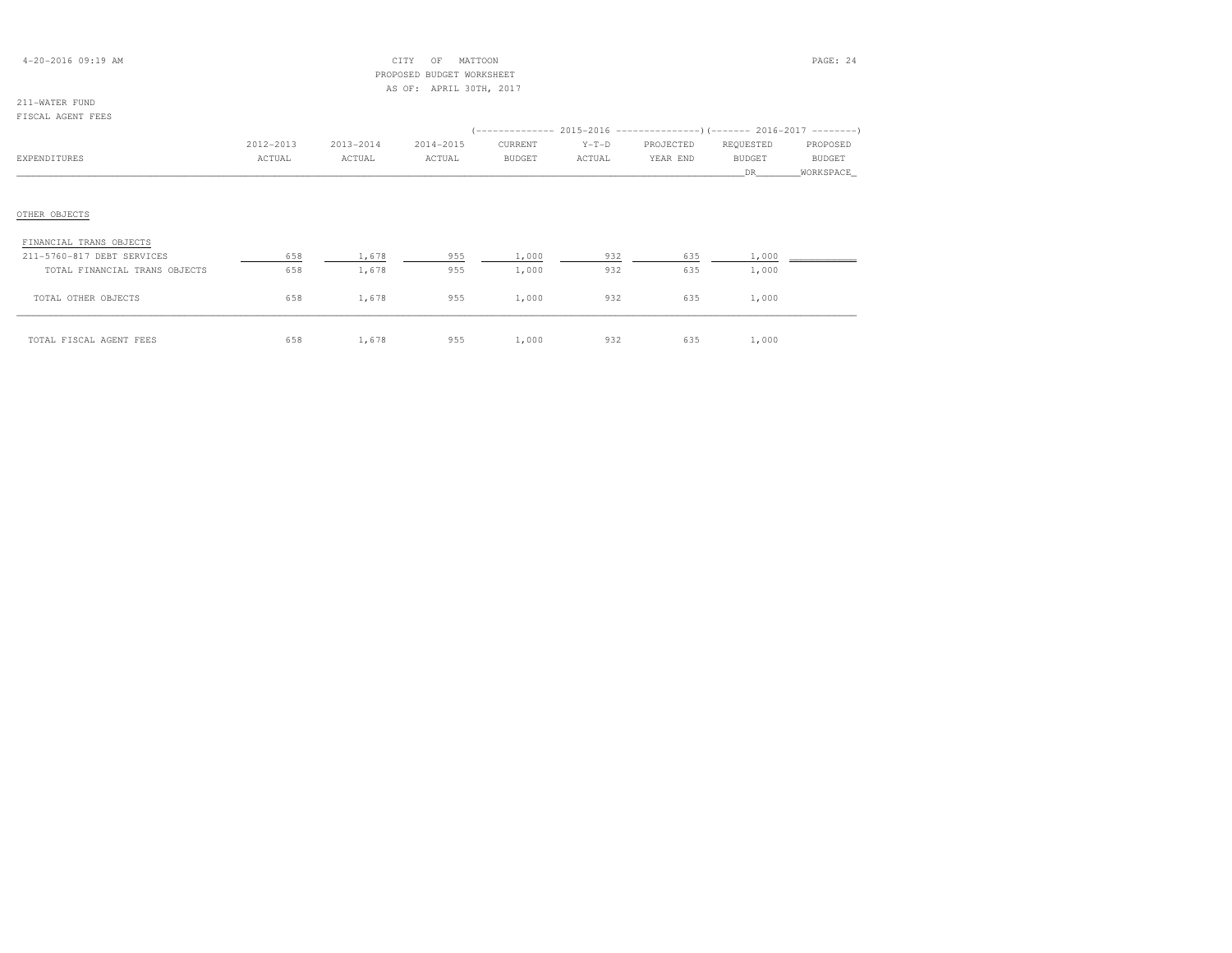|  | $4 - 20 - 2016$ 09:19 AM |  |  |  |
|--|--------------------------|--|--|--|
|--|--------------------------|--|--|--|

## $\text{CITY}$  OF MATTOON  $\text{PAGE: } 24$  PROPOSED BUDGET WORKSHEETAS OF: APRIL 30TH, 2017

# 211-WATER FUND

|                               |           |           |           |         |         |           | (-------------- 2015-2016 ---------------) (------- 2016-2017 --------) |           |
|-------------------------------|-----------|-----------|-----------|---------|---------|-----------|-------------------------------------------------------------------------|-----------|
|                               | 2012-2013 | 2013-2014 | 2014-2015 | CURRENT | $Y-T-D$ | PROJECTED | REQUESTED                                                               | PROPOSED  |
| EXPENDITURES                  | ACTUAL    | ACTUAL    | ACTUAL    | BUDGET  | ACTUAL  | YEAR END  | <b>BUDGET</b>                                                           | BUDGET    |
|                               |           |           |           |         |         |           | DR .                                                                    | WORKSPACE |
| OTHER OBJECTS                 |           |           |           |         |         |           |                                                                         |           |
| FINANCIAL TRANS OBJECTS       |           |           |           |         |         |           |                                                                         |           |
| 211-5760-817 DEBT SERVICES    | 658       | 1,678     | 955       | 1,000   | 932     | 635       | 1,000                                                                   |           |
| TOTAL FINANCIAL TRANS OBJECTS | 658       | 1,678     | 955       | 1,000   | 932     | 635       | 1,000                                                                   |           |
| TOTAL OTHER OBJECTS           | 658       | 1,678     | 955       | 1,000   | 932     | 635       | 1,000                                                                   |           |

\_\_\_\_\_\_\_\_\_\_\_\_\_\_\_\_\_\_\_\_\_\_\_\_\_\_\_\_\_\_\_\_\_\_\_\_\_\_\_\_\_\_\_\_\_\_\_\_\_\_\_\_\_\_\_\_\_\_\_\_\_\_\_\_\_\_\_\_\_\_\_\_\_\_\_\_\_\_\_\_\_\_\_\_\_\_\_\_\_\_\_\_\_\_\_\_\_\_\_\_\_\_\_\_\_\_\_\_\_\_\_\_\_\_\_\_\_\_\_\_\_\_\_\_\_\_\_\_\_\_\_\_\_\_\_\_\_\_\_\_\_\_\_\_\_\_\_\_\_\_ TOTAL FISCAL AGENT FEES 658 1,678 955 1,000 932 635 1,000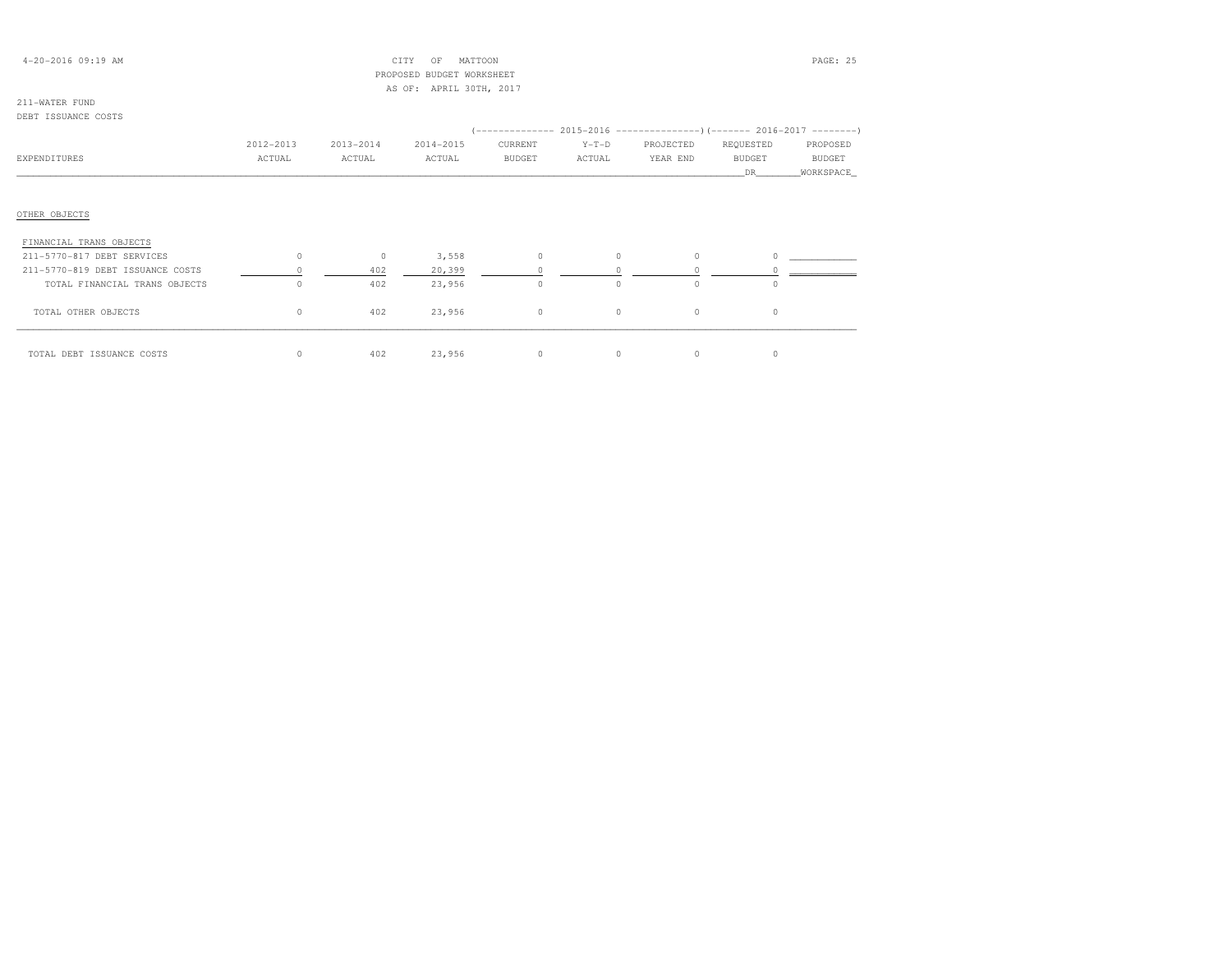## 4-20-2016 09:19 AM CITY OF MATTOON PAGE: 25 PROPOSED BUDGET WORKSHEETAS OF: APRIL 30TH, 2017

| DEBT ISSUANCE COSTS              |           |           |           |               |         | $(-------- 2015-2016 ---------)$ $(-----2016-2017 ------)$ |               |               |
|----------------------------------|-----------|-----------|-----------|---------------|---------|------------------------------------------------------------|---------------|---------------|
|                                  | 2012-2013 | 2013-2014 | 2014-2015 | CURRENT       | $Y-T-D$ | PROJECTED                                                  | REQUESTED     | PROPOSED      |
| EXPENDITURES                     | ACTUAL    | ACTUAL    | ACTUAL    | <b>BUDGET</b> | ACTUAL  | YEAR END                                                   | <b>BUDGET</b> | <b>BUDGET</b> |
|                                  |           |           |           |               |         |                                                            | DR            | WORKSPACE_    |
|                                  |           |           |           |               |         |                                                            |               |               |
| OTHER OBJECTS                    |           |           |           |               |         |                                                            |               |               |
| FINANCIAL TRANS OBJECTS          |           |           |           |               |         |                                                            |               |               |
| 211-5770-817 DEBT SERVICES       | $\circ$   | $\circ$   | 3,558     |               | $\circ$ |                                                            |               |               |
| 211-5770-819 DEBT ISSUANCE COSTS |           | 402       | 20,399    |               |         |                                                            |               |               |
| TOTAL FINANCIAL TRANS OBJECTS    | $\circ$   | 402       | 23,956    | $\circ$       | $\circ$ | $\Omega$                                                   | $\circ$       |               |
| TOTAL OTHER OBJECTS              | $\circ$   | 402       | 23,956    | $\circ$       | $\circ$ | $\circ$                                                    | $\circ$       |               |
| TOTAL DEBT ISSUANCE COSTS        | $\circ$   | 402       | 23,956    | $\Omega$      | $\circ$ | 0                                                          | $\circ$       |               |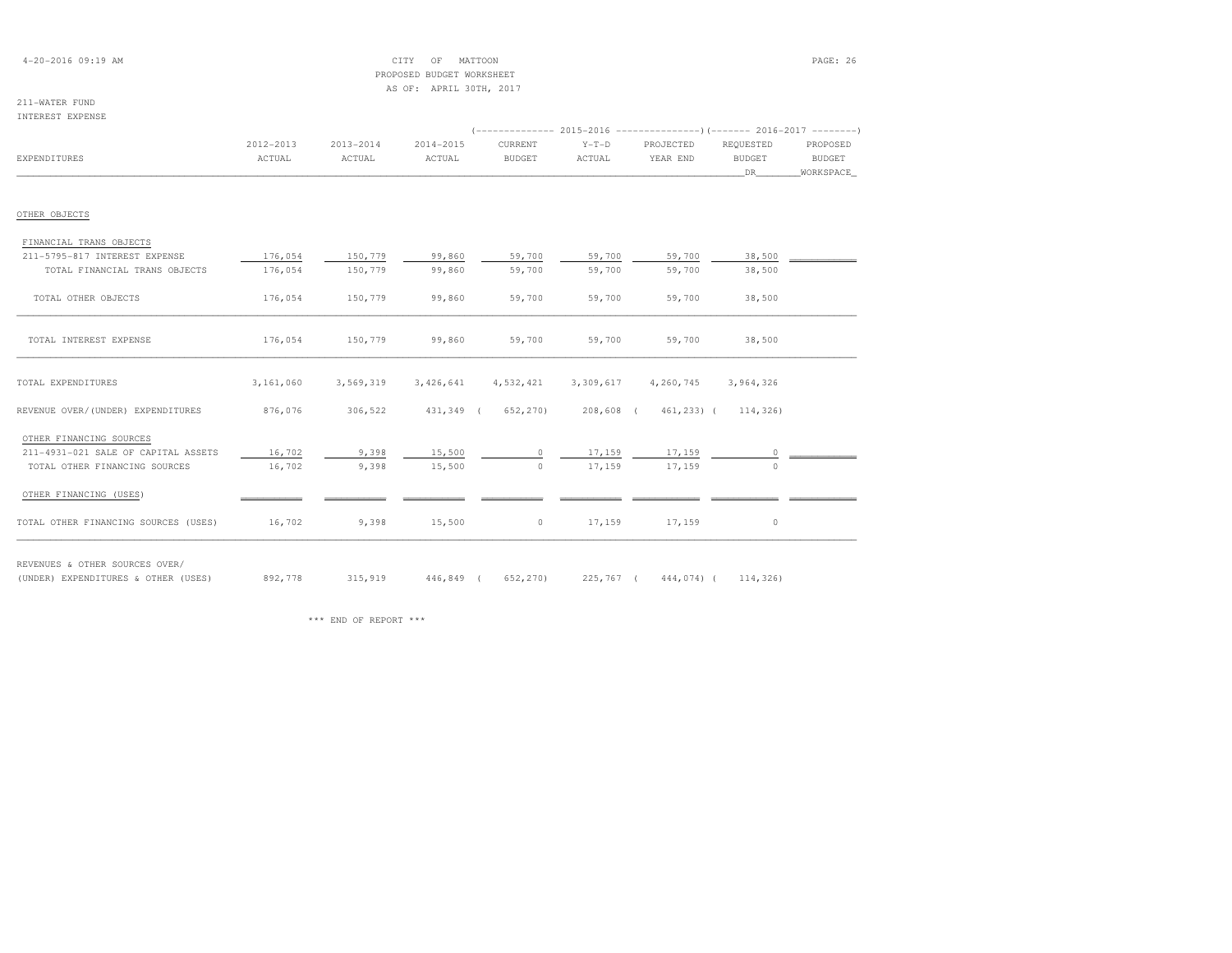## 4-20-2016 09:19 AM CITY OF MATTOON PAGE: 26 PROPOSED BUDGET WORKSHEETAS OF: APRIL 30TH, 2017

### 211-WATER FUNDINTEREST EXPENSE

|                                      |           |           |           |                   |           | (------------- 2015-2016 -----------------) (------- 2016-2017 --------' |               |           |
|--------------------------------------|-----------|-----------|-----------|-------------------|-----------|--------------------------------------------------------------------------|---------------|-----------|
|                                      | 2012-2013 | 2013-2014 | 2014-2015 | CURRENT           | $Y-T-D$   | PROJECTED                                                                | REQUESTED     | PROPOSED  |
| EXPENDITURES                         | ACTUAL    | ACTUAL    | ACTUAL    | <b>BUDGET</b>     | ACTUAL    | YEAR END                                                                 | <b>BUDGET</b> | BUDGET    |
|                                      |           |           |           |                   |           |                                                                          | DR            | WORKSPACE |
| OTHER OBJECTS                        |           |           |           |                   |           |                                                                          |               |           |
| FINANCIAL TRANS OBJECTS              |           |           |           |                   |           |                                                                          |               |           |
| 211-5795-817 INTEREST EXPENSE        | 176,054   | 150,779   | 99,860    | 59,700            | 59,700    | 59,700                                                                   | 38,500        |           |
| TOTAL FINANCIAL TRANS OBJECTS        | 176,054   | 150,779   | 99,860    | 59,700            | 59,700    | 59,700                                                                   | 38,500        |           |
| TOTAL OTHER OBJECTS                  | 176,054   | 150,779   | 99,860    | 59,700            | 59,700    | 59,700                                                                   | 38,500        |           |
| TOTAL INTEREST EXPENSE               | 176,054   | 150,779   | 99,860    | 59,700            | 59,700    | 59,700                                                                   | 38,500        |           |
| TOTAL EXPENDITURES                   | 3,161,060 | 3,569,319 | 3,426,641 | 4,532,421         | 3,309,617 | 4,260,745                                                                | 3,964,326     |           |
| REVENUE OVER/(UNDER) EXPENDITURES    | 876,076   | 306,522   |           | 431,349 (652,270) |           | 208,608 ( 461,233) (                                                     | 114,326)      |           |
| OTHER FINANCING SOURCES              |           |           |           |                   |           |                                                                          |               |           |
| 211-4931-021 SALE OF CAPITAL ASSETS  | 16,702    | 9,398     | 15,500    | $\circ$           | 17,159    | 17,159                                                                   | $\circ$       |           |
| TOTAL OTHER FINANCING SOURCES        | 16,702    | 9,398     | 15,500    | $\circ$           | 17,159    | 17,159                                                                   | $\Omega$      |           |
| OTHER FINANCING (USES)               |           |           |           |                   |           |                                                                          |               |           |
| TOTAL OTHER FINANCING SOURCES (USES) | 16,702    | 9,398     | 15,500    | $\circ$           | 17,159    | 17,159                                                                   | $\circ$       |           |

REVENUES & OTHER SOURCES OVER/

(UNDER) EXPENDITURES & OTHER (USES) 892,778 315,919 446,849 ( 652,270) 225,767 ( 444,074) ( 114,326)

\*\*\* END OF REPORT \*\*\*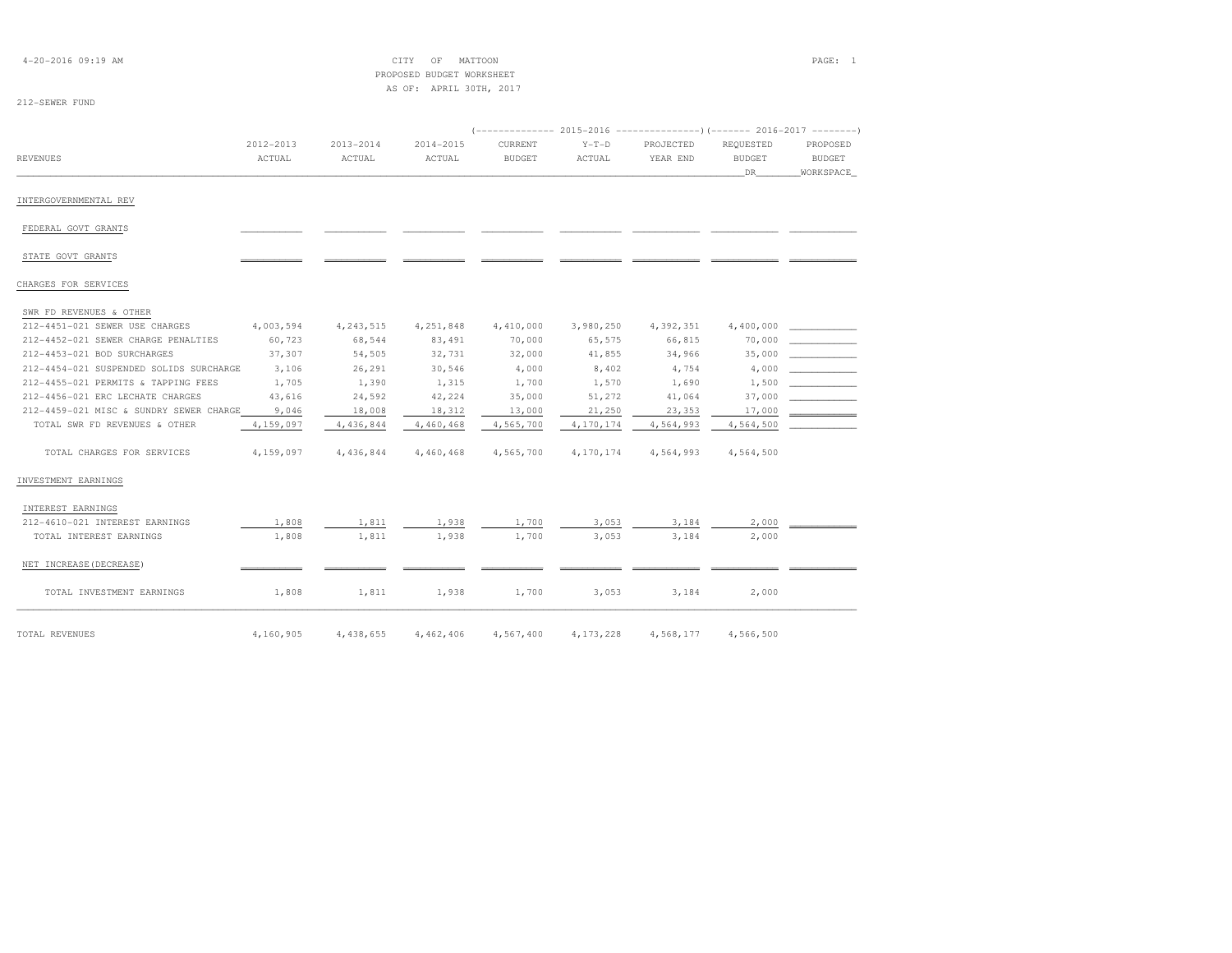| $4 - 20 - 2016$ 09:19 AM                |                     |                     | MATTOON<br>CITY<br>OF<br>PROPOSED BUDGET WORKSHEET |                          |                   |                       |                                   | PAGE: 1                                |
|-----------------------------------------|---------------------|---------------------|----------------------------------------------------|--------------------------|-------------------|-----------------------|-----------------------------------|----------------------------------------|
| 212-SEWER FUND                          |                     |                     | AS OF: APRIL 30TH, 2017                            |                          |                   |                       |                                   |                                        |
|                                         |                     |                     |                                                    |                          |                   |                       |                                   |                                        |
| <b>REVENUES</b>                         | 2012-2013<br>ACTUAL | 2013-2014<br>ACTUAL | 2014-2015<br>ACTUAL                                | CURRENT<br><b>BUDGET</b> | $Y-T-D$<br>ACTUAL | PROJECTED<br>YEAR END | REQUESTED<br><b>BUDGET</b><br>DR. | PROPOSED<br><b>BUDGET</b><br>WORKSPACE |
| INTERGOVERNMENTAL REV                   |                     |                     |                                                    |                          |                   |                       |                                   |                                        |
| FEDERAL GOVT GRANTS                     |                     |                     |                                                    |                          |                   |                       |                                   |                                        |
| STATE GOVT GRANTS                       |                     |                     |                                                    |                          |                   |                       |                                   |                                        |
| CHARGES FOR SERVICES                    |                     |                     |                                                    |                          |                   |                       |                                   |                                        |
| SWR FD REVENUES & OTHER                 |                     |                     |                                                    |                          |                   |                       |                                   |                                        |
| 212-4451-021 SEWER USE CHARGES          | 4,003,594           | 4, 243, 515         | 4,251,848                                          | 4,410,000                | 3,980,250         | 4,392,351             | 4,400,000                         |                                        |
| 212-4452-021 SEWER CHARGE PENALTIES     | 60,723              | 68,544              | 83,491                                             | 70,000                   | 65,575            | 66,815                | 70,000                            |                                        |
| 212-4453-021 BOD SURCHARGES             | 37,307              | 54,505              | 32,731                                             | 32,000                   | 41,855            | 34,966                | 35,000                            |                                        |
| 212-4454-021 SUSPENDED SOLIDS SURCHARGE | 3,106               | 26,291              | 30,546                                             | 4,000                    | 8,402             | 4,754                 | 4,000                             |                                        |
| 212-4455-021 PERMITS & TAPPING FEES     | 1,705               | 1,390               | 1,315                                              | 1,700                    | 1,570             | 1,690                 | 1,500                             |                                        |
| 212-4456-021 ERC LECHATE CHARGES        | 43,616              | 24,592              | 42,224                                             | 35,000                   | 51,272            | 41,064                | 37,000                            |                                        |
| 212-4459-021 MISC & SUNDRY SEWER CHARGE | 9,046               | 18,008              | 18,312                                             | 13,000                   | 21,250            | 23,353                | 17,000                            |                                        |
| TOTAL SWR FD REVENUES & OTHER           | 4,159,097           | 4,436,844           | 4,460,468                                          | 4,565,700                | 4,170,174         | 4,564,993             | 4,564,500                         |                                        |
| TOTAL CHARGES FOR SERVICES              | 4,159,097           | 4,436,844           | 4,460,468                                          | 4,565,700                | 4,170,174         | 4,564,993             | 4,564,500                         |                                        |
| INVESTMENT EARNINGS                     |                     |                     |                                                    |                          |                   |                       |                                   |                                        |
| INTEREST EARNINGS                       |                     |                     |                                                    |                          |                   |                       |                                   |                                        |
| 212-4610-021 INTEREST EARNINGS          | 1,808               | 1,811               | 1,938                                              | 1,700                    | 3,053             | 3,184                 | 2,000                             |                                        |
| TOTAL INTEREST EARNINGS                 | 1,808               | 1,811               | 1,938                                              | 1,700                    | 3,053             | 3,184                 | 2,000                             |                                        |
| NET INCREASE (DECREASE)                 |                     |                     |                                                    |                          |                   |                       |                                   |                                        |
| TOTAL INVESTMENT EARNINGS               | 1,808               | 1,811               | 1,938                                              | 1,700                    | 3,053             | 3,184                 | 2,000                             |                                        |
| TOTAL REVENUES                          | 4,160,905           | 4,438,655           | 4,462,406                                          | 4,567,400                | 4, 173, 228       | 4,568,177             | 4,566,500                         |                                        |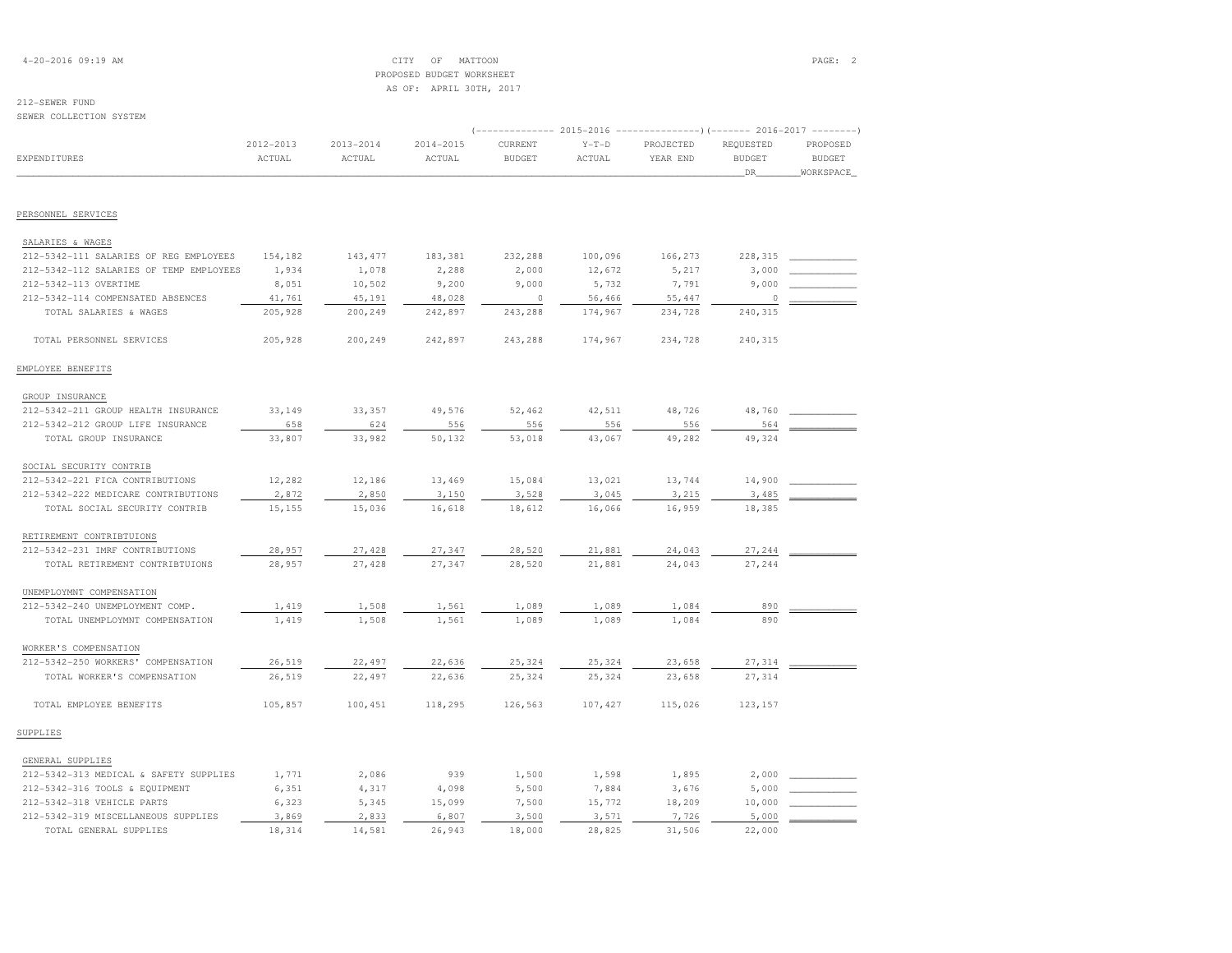## 4-20-2016 09:19 AM CITY OF MATTOON PAGE: 2 PROPOSED BUDGET WORKSHEETAS OF: APRIL 30TH, 2017

# 212-SEWER FUND

SEWER COLLECTION SYSTEM

|                                         |                     | 2015-2016<br>-)(------- 2016-2017 |                     |                          |                   |                       |                                   |                                        |  |  |
|-----------------------------------------|---------------------|-----------------------------------|---------------------|--------------------------|-------------------|-----------------------|-----------------------------------|----------------------------------------|--|--|
| EXPENDITURES                            | 2012-2013<br>ACTUAL | $2013 - 2014$<br>ACTUAL           | 2014-2015<br>ACTUAL | CURRENT<br><b>BUDGET</b> | $Y-T-D$<br>ACTUAL | PROJECTED<br>YEAR END | REQUESTED<br><b>BUDGET</b><br>DR_ | PROPOSED<br><b>BUDGET</b><br>WORKSPACE |  |  |
|                                         |                     |                                   |                     |                          |                   |                       |                                   |                                        |  |  |
| PERSONNEL SERVICES                      |                     |                                   |                     |                          |                   |                       |                                   |                                        |  |  |
| SALARIES & WAGES                        |                     |                                   |                     |                          |                   |                       |                                   |                                        |  |  |
| 212-5342-111 SALARIES OF REG EMPLOYEES  | 154,182             | 143, 477                          | 183,381             | 232,288                  | 100,096           | 166,273               | 228,315                           |                                        |  |  |
| 212-5342-112 SALARIES OF TEMP EMPLOYEES | 1,934               | 1,078                             | 2,288               | 2,000                    | 12,672            | 5,217                 | 3,000                             |                                        |  |  |
| 212-5342-113 OVERTIME                   | 8,051               | 10,502                            | 9,200               | 9,000                    | 5,732             | 7,791                 | 9,000                             |                                        |  |  |
| 212-5342-114 COMPENSATED ABSENCES       | 41,761              | 45,191                            | 48,028              | $\circ$                  | 56,466            | 55,447                | 0                                 |                                        |  |  |
| TOTAL SALARIES & WAGES                  | 205,928             | 200,249                           | 242,897             | 243,288                  | 174,967           | 234,728               | 240,315                           |                                        |  |  |
| TOTAL PERSONNEL SERVICES                | 205,928             | 200,249                           | 242,897             | 243,288                  | 174,967           | 234,728               | 240,315                           |                                        |  |  |
| EMPLOYEE BENEFITS                       |                     |                                   |                     |                          |                   |                       |                                   |                                        |  |  |
| GROUP INSURANCE                         |                     |                                   |                     |                          |                   |                       |                                   |                                        |  |  |
| 212-5342-211 GROUP HEALTH INSURANCE     | 33,149              | 33,357                            | 49,576              | 52,462                   | 42,511            | 48,726                | 48,760                            |                                        |  |  |
| 212-5342-212 GROUP LIFE INSURANCE       | 658                 | 624                               | 556                 | 556                      | 556               | 556                   | 564                               |                                        |  |  |
| TOTAL GROUP INSURANCE                   | 33,807              | 33,982                            | 50,132              | 53,018                   | 43,067            | 49,282                | 49,324                            |                                        |  |  |
| SOCIAL SECURITY CONTRIB                 |                     |                                   |                     |                          |                   |                       |                                   |                                        |  |  |
| 212-5342-221 FICA CONTRIBUTIONS         | 12,282              | 12,186                            | 13,469              | 15,084                   | 13,021            | 13,744                | 14,900                            |                                        |  |  |
| 212-5342-222 MEDICARE CONTRIBUTIONS     | 2,872               | 2,850                             | 3,150               | 3,528                    | 3,045             | 3,215                 | 3,485                             |                                        |  |  |
| TOTAL SOCIAL SECURITY CONTRIB           | 15,155              | 15,036                            | 16,618              | 18,612                   | 16,066            | 16,959                | 18,385                            |                                        |  |  |
| RETIREMENT CONTRIBTUIONS                |                     |                                   |                     |                          |                   |                       |                                   |                                        |  |  |
| 212-5342-231 IMRF CONTRIBUTIONS         | 28,957              | 27,428                            | 27,347              | 28,520                   | 21,881            | 24,043                | 27,244                            |                                        |  |  |
| TOTAL RETIREMENT CONTRIBTUIONS          | 28,957              | 27,428                            | 27,347              | 28,520                   | 21,881            | 24,043                | 27,244                            |                                        |  |  |
| UNEMPLOYMNT COMPENSATION                |                     |                                   |                     |                          |                   |                       |                                   |                                        |  |  |
| 212-5342-240 UNEMPLOYMENT COMP.         | 1,419               | 1,508                             | 1,561               | 1,089                    | 1,089             | 1,084                 | 890                               |                                        |  |  |
| TOTAL UNEMPLOYMNT COMPENSATION          | 1,419               | 1,508                             | 1,561               | 1,089                    | 1,089             | 1,084                 | 890                               |                                        |  |  |
| WORKER'S COMPENSATION                   |                     |                                   |                     |                          |                   |                       |                                   |                                        |  |  |
| 212-5342-250 WORKERS' COMPENSATION      | 26,519              | 22,497                            | 22,636              | 25,324                   | 25,324            | 23,658                | 27,314                            |                                        |  |  |
| TOTAL WORKER'S COMPENSATION             | 26,519              | 22,497                            | 22,636              | 25,324                   | 25,324            | 23,658                | 27,314                            |                                        |  |  |
| TOTAL EMPLOYEE BENEFITS                 | 105,857             | 100,451                           | 118,295             | 126,563                  | 107,427           | 115,026               | 123,157                           |                                        |  |  |
| SUPPLIES                                |                     |                                   |                     |                          |                   |                       |                                   |                                        |  |  |
| GENERAL SUPPLIES                        |                     |                                   |                     |                          |                   |                       |                                   |                                        |  |  |
| 212-5342-313 MEDICAL & SAFETY SUPPLIES  | 1,771               | 2,086                             | 939                 | 1,500                    | 1,598             | 1,895                 | 2,000                             |                                        |  |  |
| 212-5342-316 TOOLS & EQUIPMENT          | 6,351               | 4,317                             | 4,098               | 5,500                    | 7,884             | 3,676                 | 5,000                             |                                        |  |  |
| 212-5342-318 VEHICLE PARTS              | 6,323               | 5,345                             | 15,099              | 7,500                    | 15,772            | 18,209                | 10,000                            |                                        |  |  |
| 212-5342-319 MISCELLANEOUS SUPPLIES     | 3,869               | 2,833                             | 6,807               | 3,500                    | 3,571             | 7,726                 | 5,000                             |                                        |  |  |
| TOTAL GENERAL SUPPLIES                  | 18,314              | 14,581                            | 26,943              | 18,000                   | 28,825            | 31,506                | 22,000                            |                                        |  |  |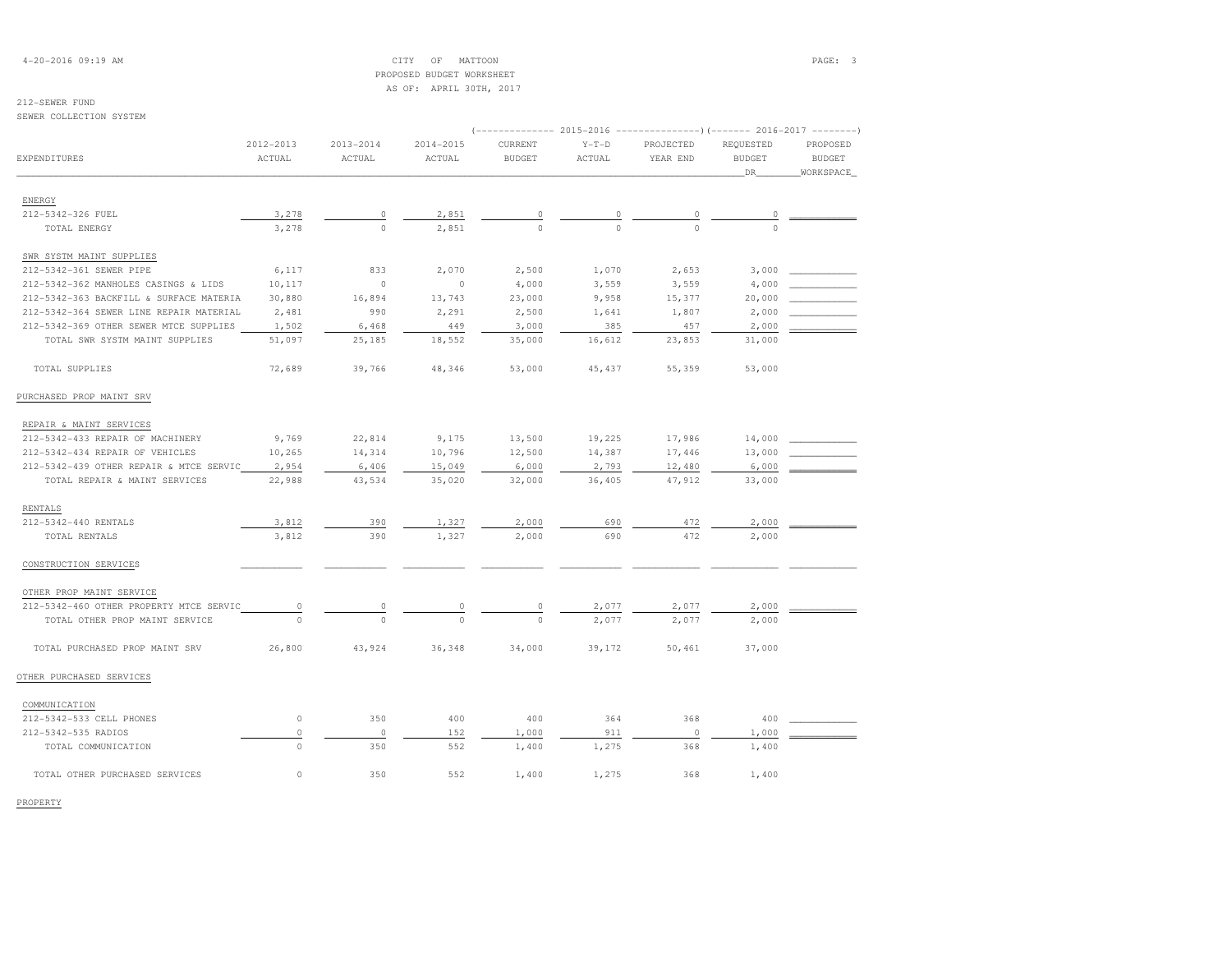4-20-2016 09:19 AM CITY OF MATTOON PAGE: 3 PROPOSED BUDGET WORKSHEETAS OF: APRIL 30TH, 2017

## 212-SEWER FUND

#### SEWER COLLECTION SYSTEM

|                                         | 2012-2013 | $2013 - 2014$ | $2014 - 2015$ | CURRENT       | $Y-T-D$  | PROJECTED      | REQUESTED     | PROPOSED      |
|-----------------------------------------|-----------|---------------|---------------|---------------|----------|----------------|---------------|---------------|
| <b>EXPENDITURES</b>                     | ACTUAL    | ACTUAL        | ACTUAL        | <b>BUDGET</b> | ACTUAL   | YEAR END       | <b>BUDGET</b> | <b>BUDGET</b> |
|                                         |           |               |               |               |          |                | DR            | WORKSPACE     |
| ENERGY                                  |           |               |               |               |          |                |               |               |
| 212-5342-326 FUEL                       | 3,278     | $\circ$       | 2,851         | $\circ$       | $\Omega$ | 0              | 0             |               |
| TOTAL ENERGY                            | 3,278     | $\Omega$      | 2,851         | $\Omega$      | $\cap$   | $\Omega$       | $\Omega$      |               |
| SWR SYSTM MAINT SUPPLIES                |           |               |               |               |          |                |               |               |
| 212-5342-361 SEWER PIPE                 | 6,117     | 833           | 2,070         | 2,500         | 1,070    | 2,653          | 3,000         |               |
| 212-5342-362 MANHOLES CASINGS & LIDS    | 10,117    | $\circ$       | $\circ$       | 4,000         | 3,559    | 3,559          | 4,000         |               |
| 212-5342-363 BACKFILL & SURFACE MATERIA | 30,880    | 16,894        | 13,743        | 23,000        | 9,958    | 15,377         | 20,000        |               |
| 212-5342-364 SEWER LINE REPAIR MATERIAL | 2,481     | 990           | 2,291         | 2,500         | 1,641    | 1,807          | 2,000         |               |
| 212-5342-369 OTHER SEWER MTCE SUPPLIES  | 1,502     | 6,468         | 449           | 3,000         | 385      | 457            | 2,000         |               |
| TOTAL SWR SYSTM MAINT SUPPLIES          | 51,097    | 25,185        | 18,552        | 35,000        | 16,612   | 23,853         | 31,000        |               |
| TOTAL SUPPLIES                          | 72,689    | 39,766        | 48,346        | 53,000        | 45, 437  | 55,359         | 53,000        |               |
| PURCHASED PROP MAINT SRV                |           |               |               |               |          |                |               |               |
| REPAIR & MAINT SERVICES                 |           |               |               |               |          |                |               |               |
| 212-5342-433 REPAIR OF MACHINERY        | 9,769     | 22,814        | 9,175         | 13,500        | 19,225   | 17,986         | 14,000        |               |
| 212-5342-434 REPAIR OF VEHICLES         | 10,265    | 14,314        | 10,796        | 12,500        | 14,387   | 17,446         | 13,000        |               |
| 212-5342-439 OTHER REPAIR & MTCE SERVIC | 2,954     | 6,406         | 15,049        | 6,000         | 2,793    | 12,480         | 6,000         |               |
| TOTAL REPAIR & MAINT SERVICES           | 22,988    | 43,534        | 35,020        | 32,000        | 36,405   | 47,912         | 33,000        |               |
| RENTALS                                 |           |               |               |               |          |                |               |               |
| 212-5342-440 RENTALS                    | 3,812     | 390           | 1,327         | 2,000         | 690      | 472            | 2,000         |               |
| TOTAL RENTALS                           | 3,812     | 390           | 1,327         | 2,000         | 690      | 472            | 2,000         |               |
| CONSTRUCTION SERVICES                   |           |               |               |               |          |                |               |               |
| OTHER PROP MAINT SERVICE                |           |               |               |               |          |                |               |               |
| 212-5342-460 OTHER PROPERTY MTCE SERVIC | 0         | 0             | $\circ$       | $\Omega$      | 2,077    | 2,077          | 2,000         |               |
| TOTAL OTHER PROP MAINT SERVICE          | $\Omega$  | $\Omega$      | $\Omega$      | $\Omega$      | 2,077    | 2,077          | 2,000         |               |
| TOTAL PURCHASED PROP MAINT SRV          | 26,800    | 43,924        | 36,348        | 34,000        | 39,172   | 50,461         | 37,000        |               |
| OTHER PURCHASED SERVICES                |           |               |               |               |          |                |               |               |
| COMMUNICATION                           |           |               |               |               |          |                |               |               |
| 212-5342-533 CELL PHONES                | $\circ$   | 350           | 400           | 400           | 364      | 368            | 400           |               |
| 212-5342-535 RADIOS                     | $\circ$   | $\circ$       | 152           | 1,000         | 911      | $\overline{0}$ | 1,000         |               |
| TOTAL COMMUNICATION                     | $\circ$   | 350           | 552           | 1,400         | 1,275    | 368            | 1,400         |               |
| TOTAL OTHER PURCHASED SERVICES          | $\circ$   | 350           | 552           | 1,400         | 1,275    | 368            | 1,400         |               |

PROPERTY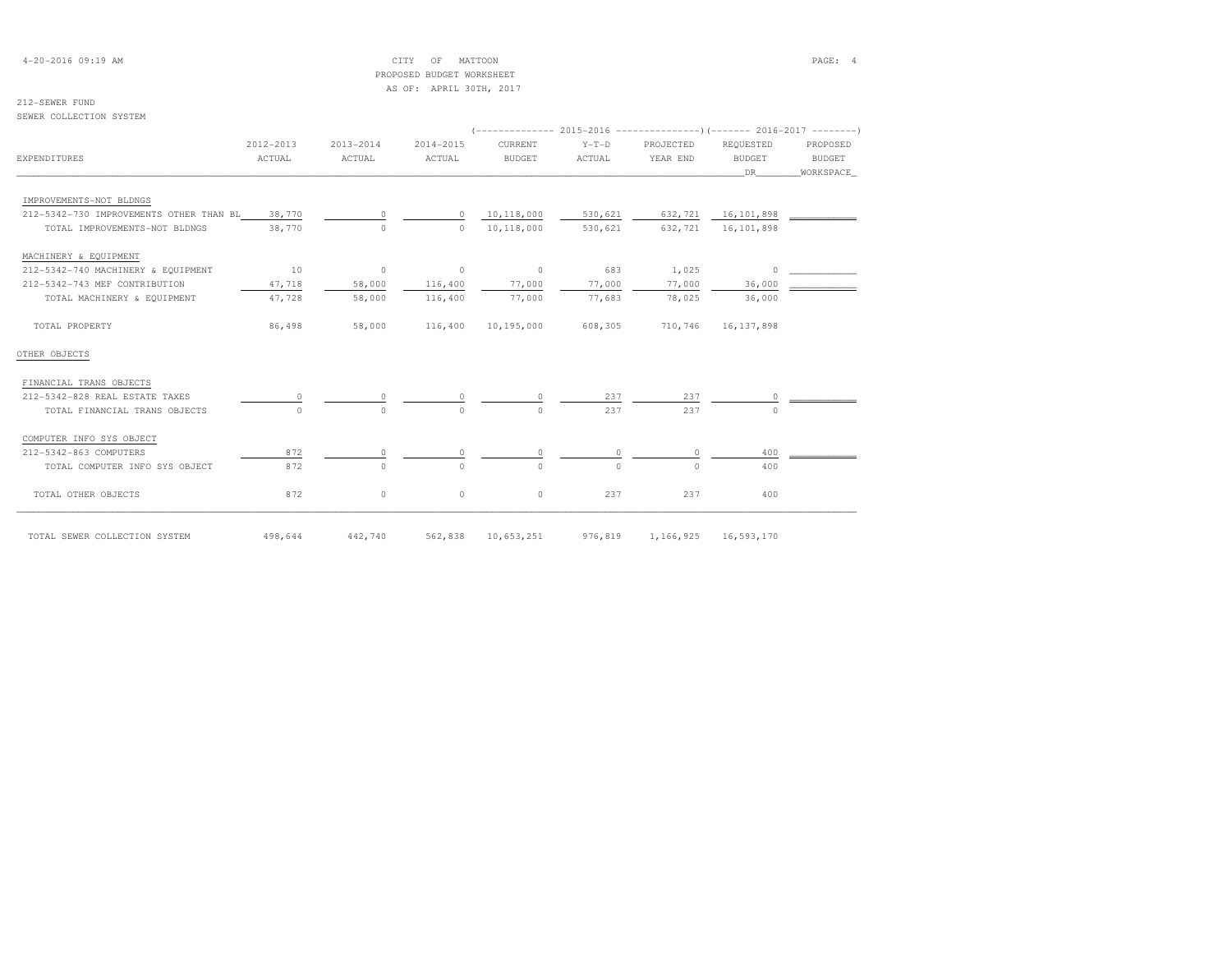| $4-20-2016$ 09:19 AM |  |
|----------------------|--|
|----------------------|--|

## $CITY$  OF MATTOON PAGE: 4 PROPOSED BUDGET WORKSHEETAS OF: APRIL 30TH, 2017

# 212-SEWER FUND

SEWER COLLECTION SYSTEM

| 2012-2013                                         | $2013 - 2014$ | $2014 - 2015$ | CURRENT       | $Y-T-D$    | PROJECTED | REOUESTED    | PROPOSED                 |
|---------------------------------------------------|---------------|---------------|---------------|------------|-----------|--------------|--------------------------|
| ACTUAL                                            | ACTUAL        | ACTUAL        | <b>BUDGET</b> | ACTUAL     | YEAR END  | BUDGET       | BUDGET                   |
|                                                   |               |               |               |            |           | DR           | WORKSPACE                |
|                                                   |               |               |               |            |           |              |                          |
| 212-5342-730 IMPROVEMENTS OTHER THAN BL<br>38,770 | $\Omega$      | $\circ$       | 10,118,000    | 530,621    | 632,721   |              |                          |
| 38,770                                            | $\Omega$      | $\Omega$      | 10,118,000    | 530,621    | 632,721   | 16,101,898   |                          |
|                                                   |               |               |               |            |           |              |                          |
| 10                                                | $\circ$       | $\circ$       | $\circ$       | 683        | 1,025     | $\circ$      |                          |
| 47,718                                            | 58,000        | 116,400       | 77,000        | 77,000     | 77,000    | 36,000       |                          |
| 47,728                                            | 58,000        | 116,400       | 77,000        | 77,683     | 78,025    | 36,000       |                          |
| 86,498                                            | 58,000        | 116,400       | 10,195,000    | 608,305    | 710,746   | 16, 137, 898 |                          |
|                                                   |               |               |               |            |           |              |                          |
|                                                   |               |               |               |            |           |              |                          |
| 0                                                 |               | 0             | 0.            | 237        | 237       | 0            |                          |
| $\Omega$                                          | $\Omega$      | $\Omega$      | $\cap$        | 237        | 237       | $\Omega$     |                          |
|                                                   |               |               |               |            |           |              |                          |
| 872                                               | 0             | 0             | 0             | $\circ$    | 0         | 400          |                          |
| 872                                               | $\Omega$      | $\Omega$      | $\cap$        | $\Omega$   | $\cap$    | 400          |                          |
| 872                                               | 0             | $\circ$       | $\circ$       | 237        | 237       | 400          |                          |
|                                                   |               |               |               |            |           |              |                          |
|                                                   | 498,644       | 442,740       | 562,838       | 10,653,251 | 976,819   | 1,166,925    | 16,101,898<br>16,593,170 |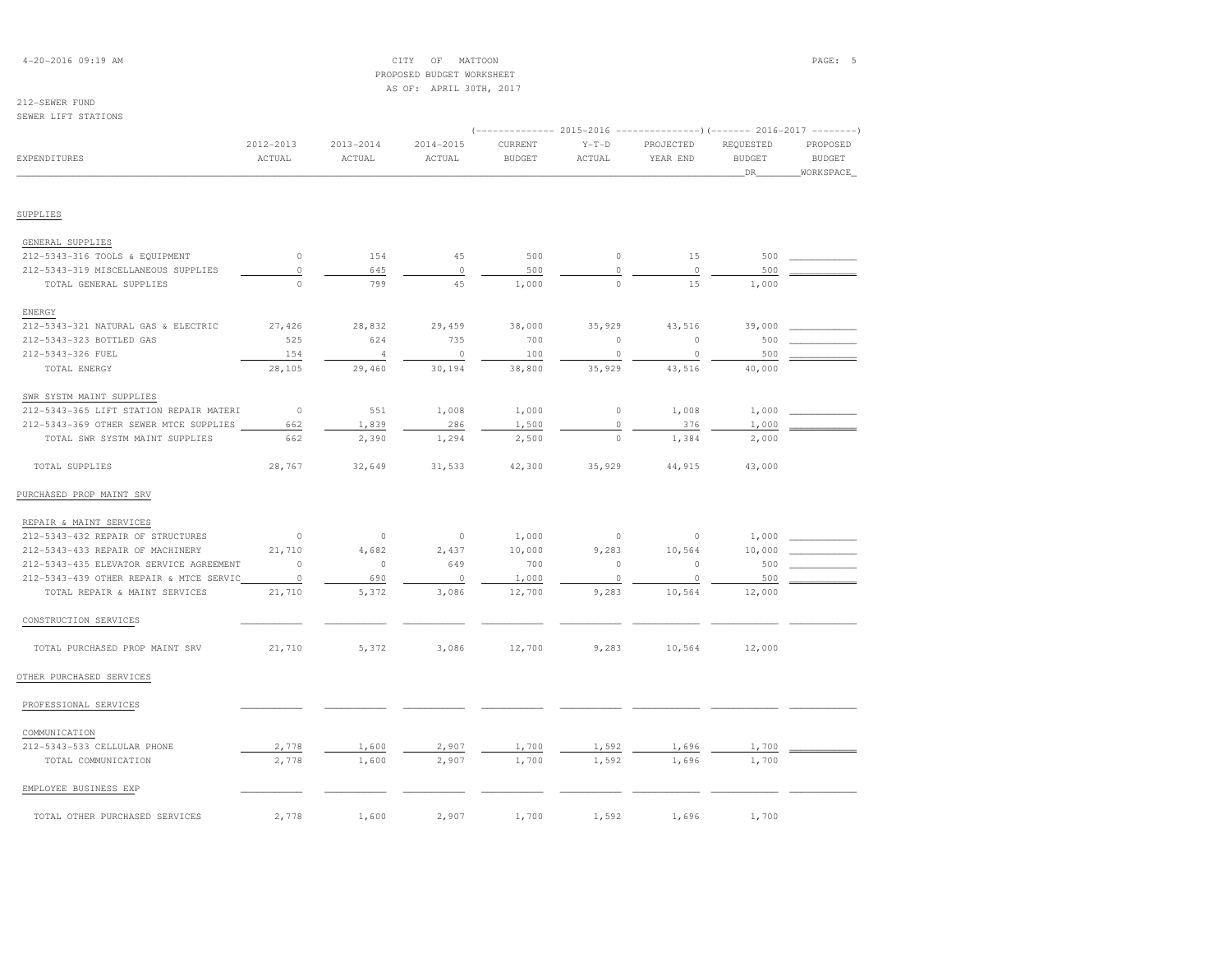## 4-20-2016 09:19 AM CITY OF MATTOON PAGE: 5 PROPOSED BUDGET WORKSHEETAS OF: APRIL 30TH, 2017

# 212-SEWER FUND

| SEWER LIFT STATIONS                     |                         |                         |                         |                          |                   |                                                                                               |                                  |                                        |
|-----------------------------------------|-------------------------|-------------------------|-------------------------|--------------------------|-------------------|-----------------------------------------------------------------------------------------------|----------------------------------|----------------------------------------|
| <b>EXPENDITURES</b>                     | $2012 - 2013$<br>ACTUAL | $2013 - 2014$<br>ACTUAL | $2014 - 2015$<br>ACTUAL | CURRENT<br><b>BUDGET</b> | $Y-T-D$<br>ACTUAL | (-------------- 2015-2016 ---------------------- 2016-2017 ---------<br>PROJECTED<br>YEAR END | REQUESTED<br><b>BUDGET</b><br>DR | PROPOSED<br><b>BUDGET</b><br>WORKSPACE |
|                                         |                         |                         |                         |                          |                   |                                                                                               |                                  |                                        |
| SUPPLIES                                |                         |                         |                         |                          |                   |                                                                                               |                                  |                                        |
| GENERAL SUPPLIES                        |                         |                         |                         |                          |                   |                                                                                               |                                  |                                        |
| 212-5343-316 TOOLS & EQUIPMENT          | $\circ$                 | 154                     | 45                      | 500                      | $\circ$           | 15                                                                                            | 500                              |                                        |
| 212-5343-319 MISCELLANEOUS SUPPLIES     | $\circ$                 | 645                     | $\circ$                 | 500                      | $\circ$           | $\circ$                                                                                       | 500                              |                                        |
| TOTAL GENERAL SUPPLIES                  | $\circ$                 | 799                     | 45                      | 1,000                    | $\circ$           | 15                                                                                            | 1,000                            |                                        |
| ENERGY                                  |                         |                         |                         |                          |                   |                                                                                               |                                  |                                        |
| 212-5343-321 NATURAL GAS & ELECTRIC     | 27,426                  | 28,832                  | 29,459                  | 38,000                   | 35,929            | 43,516                                                                                        | 39,000                           |                                        |
| 212-5343-323 BOTTLED GAS                | 525                     | 624                     | 735                     | 700                      | $\circ$           | $\circ$                                                                                       | 500                              |                                        |
| 212-5343-326 FUEL                       | 154                     | $\overline{4}$          | $\circ$                 | 100                      | $\circ$           | $\circ$                                                                                       | 500                              |                                        |
| TOTAL ENERGY                            | 28,105                  | 29,460                  | 30,194                  | 38,800                   | 35,929            | 43,516                                                                                        | 40,000                           |                                        |
| SWR SYSTM MAINT SUPPLIES                |                         |                         |                         |                          |                   |                                                                                               |                                  |                                        |
| 212-5343-365 LIFT STATION REPAIR MATERI | $\circ$                 | 551                     | 1,008                   | 1,000                    | $\circ$           | 1,008                                                                                         | 1,000                            |                                        |
| 212-5343-369 OTHER SEWER MTCE SUPPLIES  | 662                     | 1,839                   | 286                     | 1,500                    | $\circ$           | 376                                                                                           | 1,000                            |                                        |
| TOTAL SWR SYSTM MAINT SUPPLIES          | 662                     | 2,390                   | 1,294                   | 2,500                    | $\circ$           | 1,384                                                                                         | 2,000                            |                                        |
| TOTAL SUPPLIES                          | 28,767                  | 32,649                  | 31,533                  | 42,300                   | 35,929            | 44,915                                                                                        | 43,000                           |                                        |
| PURCHASED PROP MAINT SRV                |                         |                         |                         |                          |                   |                                                                                               |                                  |                                        |
| REPAIR & MAINT SERVICES                 |                         |                         |                         |                          |                   |                                                                                               |                                  |                                        |
| 212-5343-432 REPAIR OF STRUCTURES       | $\circ$                 | $\circ$                 | $\circ$                 | 1,000                    | $\circ$           | $\circ$                                                                                       | 1,000                            |                                        |
| 212-5343-433 REPAIR OF MACHINERY        | 21,710                  | 4,682                   | 2,437                   | 10,000                   | 9,283             | 10,564                                                                                        | 10,000                           |                                        |
| 212-5343-435 ELEVATOR SERVICE AGREEMENT | $\circ$                 | $\circ$                 | 649                     | 700                      | $\circ$           | $\circ$                                                                                       | 500                              |                                        |
| 212-5343-439 OTHER REPAIR & MTCE SERVIC | $\circ$                 | 690                     | $\circ$                 | 1,000                    | $\circ$           | $\circ$                                                                                       | 500                              |                                        |
| TOTAL REPAIR & MAINT SERVICES           | 21,710                  | 5,372                   | 3,086                   | 12,700                   | 9,283             | 10,564                                                                                        | 12,000                           |                                        |
| CONSTRUCTION SERVICES                   |                         |                         |                         |                          |                   |                                                                                               |                                  |                                        |
| TOTAL PURCHASED PROP MAINT SRV          | 21,710                  | 5,372                   | 3,086                   | 12,700                   | 9,283             | 10,564                                                                                        | 12,000                           |                                        |
| OTHER PURCHASED SERVICES                |                         |                         |                         |                          |                   |                                                                                               |                                  |                                        |
| PROFESSIONAL SERVICES                   |                         |                         |                         |                          |                   |                                                                                               |                                  |                                        |
| COMMUNICATION                           |                         |                         |                         |                          |                   |                                                                                               |                                  |                                        |
| 212-5343-533 CELLULAR PHONE             | 2,778                   | 1,600                   | 2,907                   | 1,700                    | 1,592             | 1,696                                                                                         | 1,700                            |                                        |
| TOTAL COMMUNICATION                     | 2,778                   | 1,600                   | 2,907                   | 1,700                    | 1,592             | 1,696                                                                                         | 1,700                            |                                        |
| EMPLOYEE BUSINESS EXP                   |                         |                         |                         |                          |                   |                                                                                               |                                  |                                        |
| TOTAL OTHER PURCHASED SERVICES          | 2,778                   | 1,600                   | 2,907                   | 1,700                    | 1,592             | 1,696                                                                                         | 1,700                            |                                        |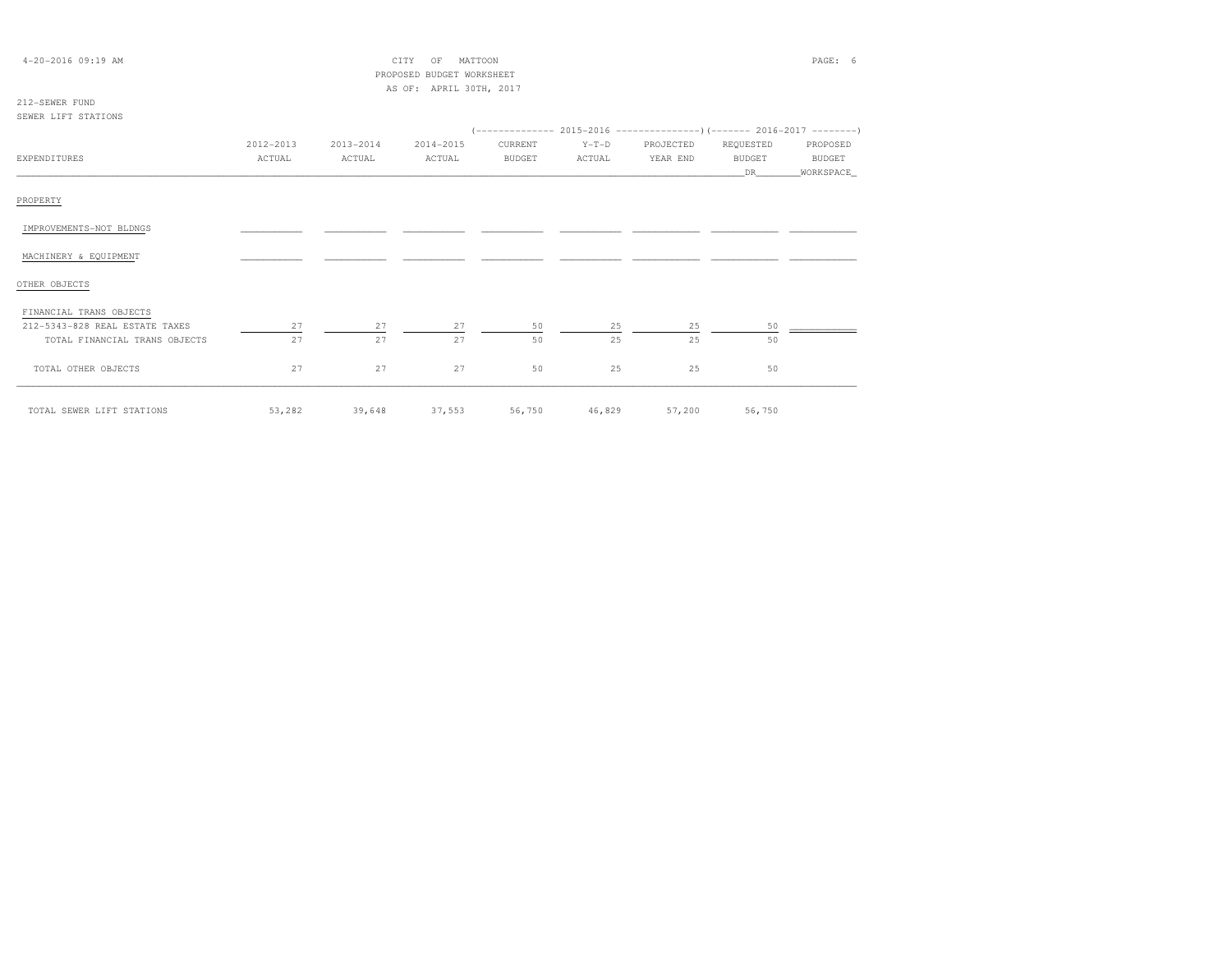| 4-20-2016 09:19 AM             |           |           | CITY<br>MATTOON<br>OF       |               |         |           |               | PAGE: 6   |
|--------------------------------|-----------|-----------|-----------------------------|---------------|---------|-----------|---------------|-----------|
|                                |           |           | PROPOSED BUDGET WORKSHEET   |               |         |           |               |           |
|                                |           |           | AS OF: APRIL 30TH, 2017     |               |         |           |               |           |
| 212-SEWER FUND                 |           |           |                             |               |         |           |               |           |
| SEWER LIFT STATIONS            |           |           |                             |               |         |           |               |           |
|                                |           |           |                             |               |         |           |               |           |
|                                | 2012-2013 | 2013-2014 | 2014-2015                   | CURRENT       | $Y-T-D$ | PROJECTED | REQUESTED     | PROPOSED  |
| EXPENDITURES                   | ACTUAL    | ACTUAL    | ACTUAL                      | <b>BUDGET</b> | ACTUAL  | YEAR END  | <b>BUDGET</b> | BUDGET    |
|                                |           |           |                             |               |         |           | DR            | WORKSPACE |
|                                |           |           |                             |               |         |           |               |           |
| PROPERTY                       |           |           |                             |               |         |           |               |           |
|                                |           |           |                             |               |         |           |               |           |
| IMPROVEMENTS-NOT BLDNGS        |           |           |                             |               |         |           |               |           |
| MACHINERY & EQUIPMENT          |           |           |                             |               |         |           |               |           |
|                                |           |           |                             |               |         |           |               |           |
| OTHER OBJECTS                  |           |           |                             |               |         |           |               |           |
|                                |           |           |                             |               |         |           |               |           |
| FINANCIAL TRANS OBJECTS        |           |           |                             |               |         |           |               |           |
| 212-5343-828 REAL ESTATE TAXES | 27        | 27        | 27                          | 50            | 25      | 25        | 50            |           |
| TOTAL FINANCIAL TRANS OBJECTS  | 27        | 27        | 27                          | 50            | 25      | 25        | 50            |           |
|                                |           |           |                             |               |         |           |               |           |
| TOTAL OTHER OBJECTS            | 27        | 27        | 27                          | 50            | 25      | 25        | 50            |           |
|                                |           |           |                             |               |         |           |               |           |
| TOTAL SEWER LIFT STATIONS      | 53,282    |           | 39,648 37,553 56,750 46,829 |               |         |           | 57,200 56,750 |           |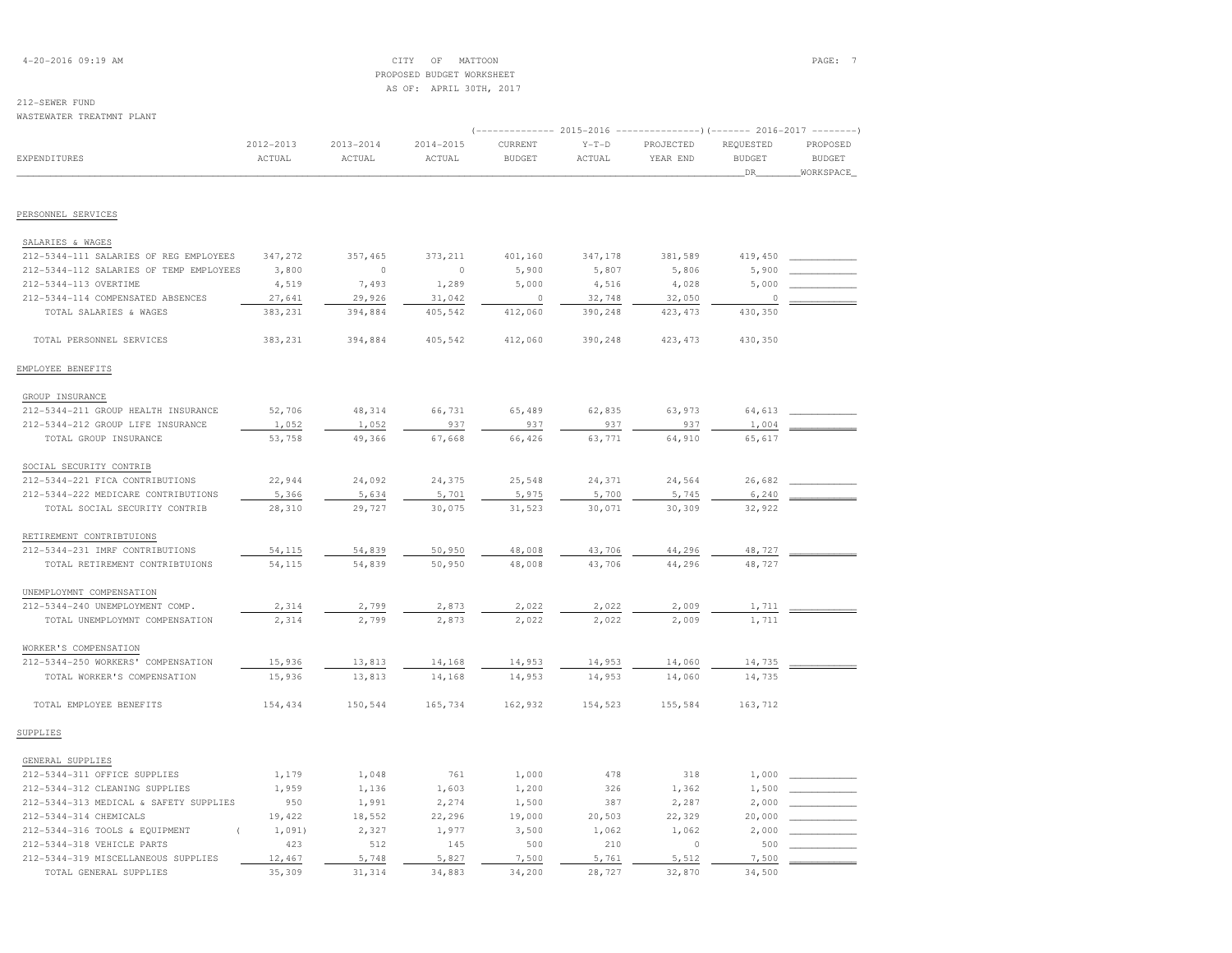## 4-20-2016 09:19 AM CITY OF MATTOON PAGE: 7 PROPOSED BUDGET WORKSHEETAS OF: APRIL 30TH, 2017

# 212-SEWER FUND

|                                                                   |                     |                         |                         |                          |                   | (-------------- 2015-2016 ----------------) (------- 2016-2017 -------- |                                  |                                        |
|-------------------------------------------------------------------|---------------------|-------------------------|-------------------------|--------------------------|-------------------|-------------------------------------------------------------------------|----------------------------------|----------------------------------------|
| EXPENDITURES                                                      | 2012-2013<br>ACTUAL | $2013 - 2014$<br>ACTUAL | $2014 - 2015$<br>ACTUAL | CURRENT<br><b>BUDGET</b> | $Y-T-D$<br>ACTUAL | PROJECTED<br>YEAR END                                                   | REQUESTED<br><b>BUDGET</b><br>DR | PROPOSED<br><b>BUDGET</b><br>WORKSPACE |
|                                                                   |                     |                         |                         |                          |                   |                                                                         |                                  |                                        |
| PERSONNEL SERVICES                                                |                     |                         |                         |                          |                   |                                                                         |                                  |                                        |
| SALARIES & WAGES                                                  |                     |                         |                         |                          |                   |                                                                         |                                  |                                        |
| 212-5344-111 SALARIES OF REG EMPLOYEES                            | 347,272             | 357,465                 | 373,211                 | 401,160                  | 347,178           | 381,589                                                                 | 419,450                          |                                        |
| 212-5344-112 SALARIES OF TEMP EMPLOYEES                           | 3,800               | $\circ$                 | $\circ$                 | 5,900                    | 5,807             | 5,806                                                                   | 5,900                            |                                        |
| 212-5344-113 OVERTIME                                             | 4,519               | 7,493                   | 1,289                   | 5,000                    | 4,516             | 4,028                                                                   | 5,000                            |                                        |
| 212-5344-114 COMPENSATED ABSENCES                                 | 27,641              | 29,926                  | 31,042                  | $\Omega$                 | 32,748            | 32,050                                                                  | $\Omega$                         |                                        |
| TOTAL SALARIES & WAGES                                            | 383,231             | 394,884                 | 405,542                 | 412,060                  | 390,248           | 423, 473                                                                | 430,350                          |                                        |
| TOTAL PERSONNEL SERVICES                                          | 383,231             | 394,884                 | 405,542                 | 412,060                  | 390,248           | 423, 473                                                                | 430,350                          |                                        |
| EMPLOYEE BENEFITS                                                 |                     |                         |                         |                          |                   |                                                                         |                                  |                                        |
| GROUP INSURANCE                                                   |                     |                         |                         |                          |                   |                                                                         |                                  |                                        |
| 212-5344-211 GROUP HEALTH INSURANCE                               | 52,706              | 48,314                  | 66,731                  | 65,489                   | 62,835            | 63,973                                                                  | 64,613                           |                                        |
| 212-5344-212 GROUP LIFE INSURANCE                                 | 1,052               | 1,052                   | 937                     | 937                      | 937               | 937                                                                     | 1,004                            |                                        |
| TOTAL GROUP INSURANCE                                             | 53,758              | 49,366                  | 67,668                  | 66,426                   | 63,771            | 64,910                                                                  | 65,617                           |                                        |
| SOCIAL SECURITY CONTRIB                                           |                     |                         |                         |                          |                   |                                                                         |                                  |                                        |
| 212-5344-221 FICA CONTRIBUTIONS                                   | 22,944              | 24,092                  | 24,375                  | 25,548                   | 24,371            | 24,564                                                                  | 26,682                           |                                        |
| 212-5344-222 MEDICARE CONTRIBUTIONS                               | 5,366               | 5,634                   | 5,701                   | 5,975                    | 5,700             | 5,745                                                                   | 6,240                            |                                        |
| TOTAL SOCIAL SECURITY CONTRIB                                     | 28,310              | 29,727                  | 30,075                  | 31,523                   | 30,071            | 30,309                                                                  | 32,922                           |                                        |
| RETIREMENT CONTRIBTUIONS                                          |                     |                         |                         |                          |                   |                                                                         |                                  |                                        |
| 212-5344-231 IMRF CONTRIBUTIONS                                   | 54,115              | 54,839                  | 50,950                  | 48,008                   | 43,706            | 44,296                                                                  | 48,727                           |                                        |
| TOTAL RETIREMENT CONTRIBTUIONS                                    | 54,115              | 54,839                  | 50,950                  | 48,008                   | 43,706            | 44,296                                                                  | 48,727                           |                                        |
| UNEMPLOYMNT COMPENSATION                                          |                     |                         |                         |                          |                   |                                                                         |                                  |                                        |
| 212-5344-240 UNEMPLOYMENT COMP.                                   | 2,314               | 2,799                   | 2,873                   | 2,022                    | 2,022             | 2,009                                                                   | 1,711                            |                                        |
| TOTAL UNEMPLOYMNT COMPENSATION                                    | 2,314               | 2,799                   | 2,873                   | 2,022                    | 2,022             | 2,009                                                                   | 1,711                            |                                        |
| WORKER'S COMPENSATION                                             |                     |                         |                         |                          |                   |                                                                         |                                  |                                        |
| 212-5344-250 WORKERS' COMPENSATION                                | 15,936              | 13,813                  | 14,168                  | 14,953                   | 14,953            | 14,060                                                                  | 14,735                           |                                        |
| TOTAL WORKER'S COMPENSATION                                       | 15,936              | 13,813                  | 14,168                  | 14,953                   | 14,953            | 14,060                                                                  | 14,735                           |                                        |
| TOTAL EMPLOYEE BENEFITS                                           | 154,434             | 150,544                 | 165,734                 | 162,932                  | 154,523           | 155,584                                                                 | 163,712                          |                                        |
| SUPPLIES                                                          |                     |                         |                         |                          |                   |                                                                         |                                  |                                        |
| GENERAL SUPPLIES                                                  |                     |                         |                         |                          |                   |                                                                         |                                  |                                        |
| 212-5344-311 OFFICE SUPPLIES                                      | 1,179               | 1,048                   | 761                     | 1,000                    | 478               | 318                                                                     | 1,000                            |                                        |
| 212-5344-312 CLEANING SUPPLIES                                    | 1,959               | 1,136                   | 1,603                   | 1,200                    | 326               | 1,362                                                                   | 1,500                            |                                        |
| 212-5344-313 MEDICAL & SAFETY SUPPLIES                            | 950                 | 1,991                   | 2,274                   | 1,500                    | 387               | 2,287                                                                   | 2,000                            |                                        |
| 212-5344-314 CHEMICALS                                            | 19,422              | 18,552                  | 22,296                  | 19,000                   | 20,503            | 22,329                                                                  | 20,000                           |                                        |
| 212-5344-316 TOOLS & EQUIPMENT                                    | 1,091)              | 2,327                   | 1,977                   | 3,500                    | 1,062             | 1,062                                                                   | 2,000                            |                                        |
| 212-5344-318 VEHICLE PARTS<br>212-5344-319 MISCELLANEOUS SUPPLIES | 423<br>12,467       | 512                     | 145<br>5,827            | 500                      | 210<br>5,761      | $\circ$<br>5,512                                                        | 500<br>7,500                     |                                        |
| TOTAL GENERAL SUPPLIES                                            | 35,309              | 5,748<br>31,314         | 34,883                  | 7,500<br>34,200          | 28,727            | 32,870                                                                  | 34,500                           |                                        |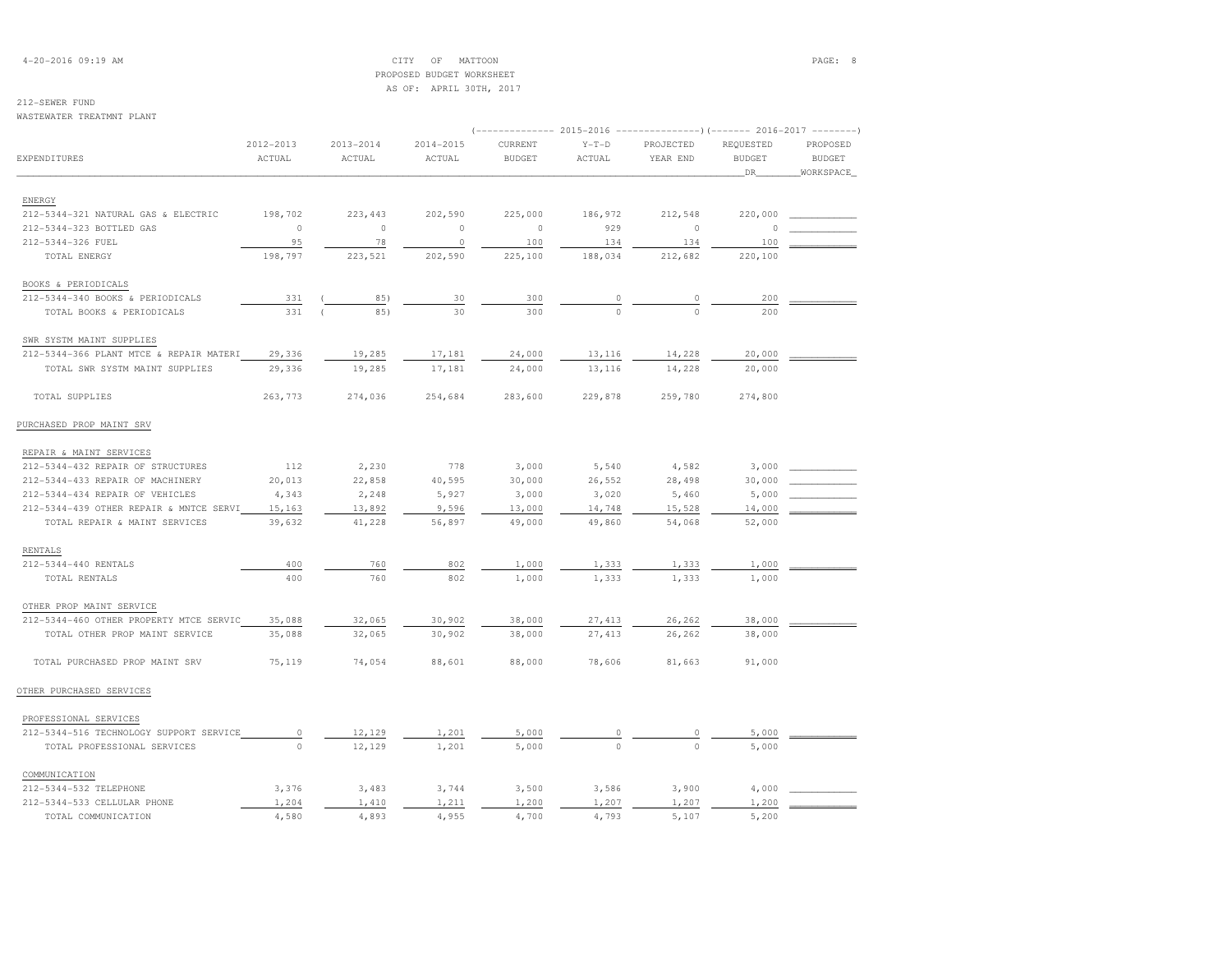4-20-2016 09:19 AM CITY OF MATTOON PAGE: 8 PROPOSED BUDGET WORKSHEETAS OF: APRIL 30TH, 2017

## 212-SEWER FUND

WASTEWATER TREATMNT PLANT

| WAQILWAILAN INSAINNI FIANI              |                     |                         |                     |                          |                   | (-------------- 2015-2016 ---------------------- 2016-2017 --------- |                            |                           |
|-----------------------------------------|---------------------|-------------------------|---------------------|--------------------------|-------------------|----------------------------------------------------------------------|----------------------------|---------------------------|
| EXPENDITURES                            | 2012-2013<br>ACTUAL | $2013 - 2014$<br>ACTUAL | 2014-2015<br>ACTUAL | CURRENT<br><b>BUDGET</b> | $Y-T-D$<br>ACTUAL | PROJECTED<br>YEAR END                                                | REQUESTED<br><b>BUDGET</b> | PROPOSED<br><b>BUDGET</b> |
|                                         |                     |                         |                     |                          |                   |                                                                      | DR                         | WORKSPACE                 |
| ENERGY                                  |                     |                         |                     |                          |                   |                                                                      |                            |                           |
| 212-5344-321 NATURAL GAS & ELECTRIC     | 198,702             | 223, 443                | 202,590             | 225,000                  | 186,972           | 212,548                                                              | 220,000                    |                           |
| 212-5344-323 BOTTLED GAS                | $\circ$             | $\circ$                 | $\circ$             | $\circ$                  | 929               | $\circ$                                                              | n                          |                           |
| 212-5344-326 FUEL                       | 95                  | 78                      | $\circ$             | 100                      | 134               | 134                                                                  | 100                        |                           |
| TOTAL ENERGY                            | 198,797             | 223,521                 | 202,590             | 225,100                  | 188,034           | 212,682                                                              | 220,100                    |                           |
| BOOKS & PERIODICALS                     |                     |                         |                     |                          |                   |                                                                      |                            |                           |
| 212-5344-340 BOOKS & PERIODICALS        | 331                 | 85)                     | 30                  | 300                      |                   |                                                                      | 200                        |                           |
| TOTAL BOOKS & PERIODICALS               | 331                 | 85)                     | 30                  | 300                      | $\Omega$          |                                                                      | 200                        |                           |
| SWR SYSTM MAINT SUPPLIES                |                     |                         |                     |                          |                   |                                                                      |                            |                           |
| 212-5344-366 PLANT MTCE & REPAIR MATERI | 29,336              | 19,285                  | 17,181              | 24,000                   | 13,116            | 14,228                                                               | 20,000                     |                           |
| TOTAL SWR SYSTM MAINT SUPPLIES          | 29,336              | 19,285                  | 17,181              | 24,000                   | 13,116            | 14,228                                                               | 20,000                     |                           |
| TOTAL SUPPLIES                          | 263,773             | 274,036                 | 254,684             | 283,600                  | 229,878           | 259,780                                                              | 274,800                    |                           |
| PURCHASED PROP MAINT SRV                |                     |                         |                     |                          |                   |                                                                      |                            |                           |
| REPAIR & MAINT SERVICES                 |                     |                         |                     |                          |                   |                                                                      |                            |                           |
| 212-5344-432 REPAIR OF STRUCTURES       | 112                 | 2,230                   | 778                 | 3,000                    | 5,540             | 4,582                                                                | 3,000                      |                           |
| 212-5344-433 REPAIR OF MACHINERY        | 20,013              | 22,858                  | 40,595              | 30,000                   | 26,552            | 28,498                                                               | 30,000                     |                           |
| 212-5344-434 REPAIR OF VEHICLES         | 4,343               | 2,248                   | 5,927               | 3,000                    | 3,020             | 5,460                                                                | 5,000                      |                           |
| 212-5344-439 OTHER REPAIR & MNTCE SERVI | 15,163              | 13,892                  | 9,596               | 13,000                   | 14,748            | 15,528                                                               | 14,000                     |                           |
| TOTAL REPAIR & MAINT SERVICES           | 39,632              | 41,228                  | 56,897              | 49,000                   | 49,860            | 54,068                                                               | 52,000                     |                           |
| RENTALS                                 |                     |                         |                     |                          |                   |                                                                      |                            |                           |
| 212-5344-440 RENTALS                    | 400                 | 760                     | 802                 | 1,000                    | 1,333             | 1,333                                                                | 1,000                      |                           |
| TOTAL RENTALS                           | 400                 | 760                     | 802                 | 1,000                    | 1,333             | 1,333                                                                | 1,000                      |                           |
| OTHER PROP MAINT SERVICE                |                     |                         |                     |                          |                   |                                                                      |                            |                           |
| 212-5344-460 OTHER PROPERTY MTCE SERVIC | 35,088              | 32,065                  | 30,902              | 38,000                   | 27, 413           | 26,262                                                               | 38,000                     |                           |
| TOTAL OTHER PROP MAINT SERVICE          | 35,088              | 32,065                  | 30,902              | 38,000                   | 27,413            | 26,262                                                               | 38,000                     |                           |
| TOTAL PURCHASED PROP MAINT SRV          | 75,119              | 74,054                  | 88,601              | 88,000                   | 78,606            | 81,663                                                               | 91,000                     |                           |
| OTHER PURCHASED SERVICES                |                     |                         |                     |                          |                   |                                                                      |                            |                           |
| PROFESSIONAL SERVICES                   |                     |                         |                     |                          |                   |                                                                      |                            |                           |
| 212-5344-516 TECHNOLOGY SUPPORT SERVICE | $\circ$             | 12,129                  | 1,201               | 5,000                    |                   |                                                                      | 5,000                      |                           |
| TOTAL PROFESSIONAL SERVICES             | $\bigcirc$          | 12,129                  | 1,201               | 5,000                    | $\Omega$          | $\cap$                                                               | 5,000                      |                           |
| COMMUNICATION                           |                     |                         |                     |                          |                   |                                                                      |                            |                           |
| 212-5344-532 TELEPHONE                  | 3,376               | 3,483                   | 3,744               | 3,500                    | 3,586             | 3,900                                                                | 4,000                      |                           |
| 212-5344-533 CELLULAR PHONE             | 1,204               | 1,410                   | 1,211               | 1,200                    | 1,207             | 1,207                                                                | 1,200                      |                           |
| TOTAL COMMUNICATION                     | 4,580               | 4,893                   | 4,955               | 4,700                    | 4,793             | 5,107                                                                | 5,200                      |                           |
|                                         |                     |                         |                     |                          |                   |                                                                      |                            |                           |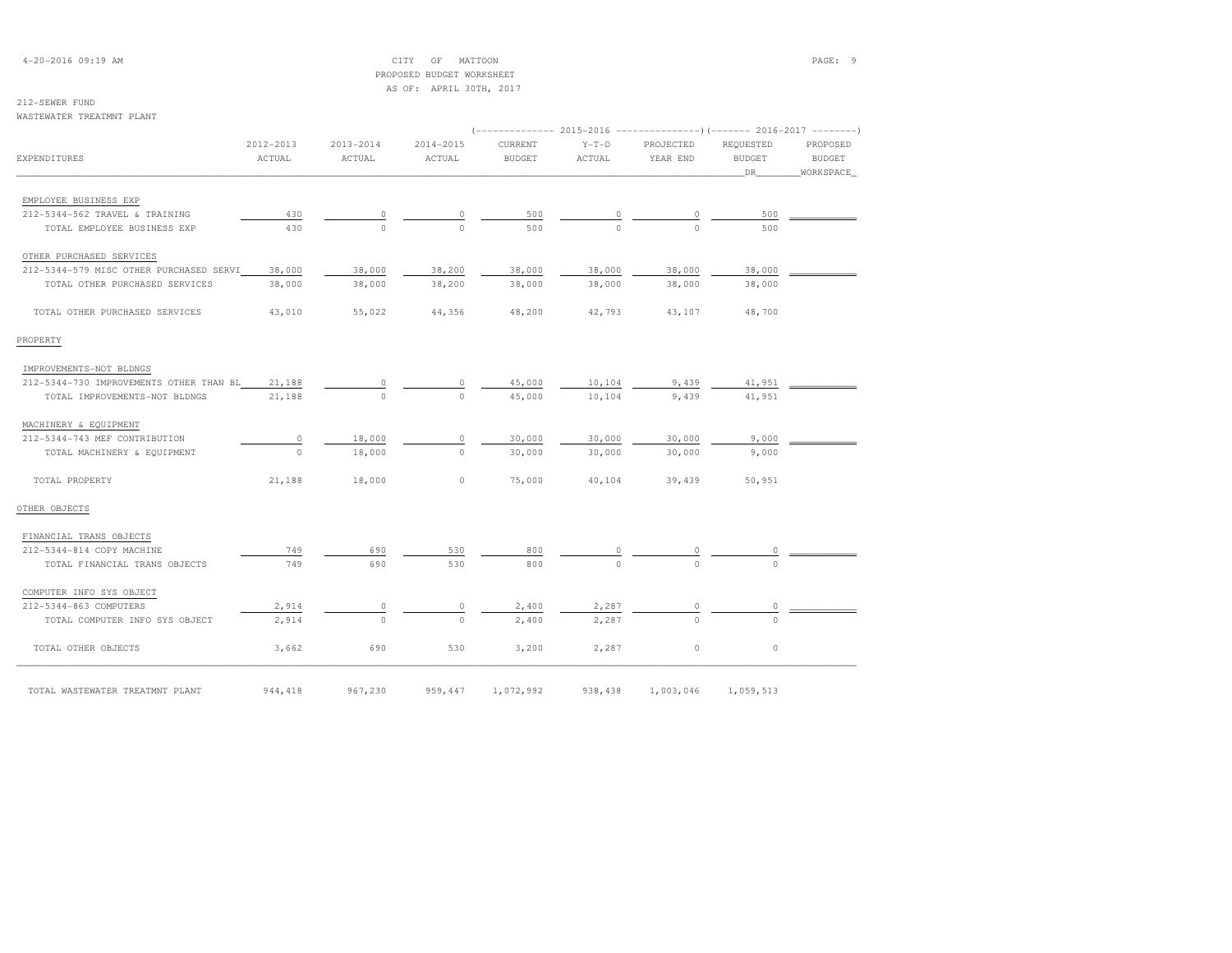4-20-2016 09:19 AM CITY OF MATTOON PAGE: 9 PROPOSED BUDGET WORKSHEETAS OF: APRIL 30TH, 2017

## 212-SEWER FUND

#### WASTEWATER TREATMNT PLANT

|                                                |                     |                     |                     |                          | (-------------- 2015-2016 ---------------------- 2016-2017 ---------- |                       |                            |                           |  |
|------------------------------------------------|---------------------|---------------------|---------------------|--------------------------|-----------------------------------------------------------------------|-----------------------|----------------------------|---------------------------|--|
| <b>EXPENDITURES</b>                            | 2012-2013<br>ACTUAL | 2013-2014<br>ACTUAL | 2014-2015<br>ACTUAL | CURRENT<br><b>BUDGET</b> | $Y-T-D$<br>ACTUAL                                                     | PROJECTED<br>YEAR END | REQUESTED<br><b>BUDGET</b> | PROPOSED<br><b>BUDGET</b> |  |
|                                                |                     |                     |                     |                          |                                                                       |                       | DR                         | WORKSPACE                 |  |
|                                                |                     |                     |                     |                          |                                                                       |                       |                            |                           |  |
| EMPLOYEE BUSINESS EXP                          |                     |                     |                     |                          |                                                                       |                       |                            |                           |  |
| 212-5344-562 TRAVEL & TRAINING                 | 430                 |                     |                     | 500                      |                                                                       |                       | 500                        |                           |  |
| TOTAL EMPLOYEE BUSINESS EXP                    | 430                 |                     |                     | 500                      |                                                                       |                       | 500                        |                           |  |
| OTHER PURCHASED SERVICES                       |                     |                     |                     |                          |                                                                       |                       |                            |                           |  |
| 212-5344-579 MISC OTHER PURCHASED SERVI        | 38,000              | 38,000              | 38,200              | 38,000                   | 38,000                                                                | 38,000                | 38,000                     |                           |  |
| TOTAL OTHER PURCHASED SERVICES                 | 38,000              | 38,000              | 38,200              | 38,000                   | 38,000                                                                | 38,000                | 38,000                     |                           |  |
|                                                |                     |                     |                     |                          |                                                                       |                       |                            |                           |  |
| TOTAL OTHER PURCHASED SERVICES                 | 43,010              | 55,022              | 44,356              | 48,200                   | 42,793                                                                | 43,107                | 48,700                     |                           |  |
|                                                |                     |                     |                     |                          |                                                                       |                       |                            |                           |  |
| PROPERTY                                       |                     |                     |                     |                          |                                                                       |                       |                            |                           |  |
| IMPROVEMENTS-NOT BLDNGS                        |                     |                     |                     |                          |                                                                       |                       |                            |                           |  |
| 212-5344-730 IMPROVEMENTS OTHER THAN BL 21,188 |                     |                     |                     | 45,000                   | 10,104                                                                | 9,439                 | 41,951                     |                           |  |
| TOTAL IMPROVEMENTS-NOT BLDNGS                  | 21,188              |                     | $\Omega$            | 45,000                   | 10,104                                                                | 9,439                 | 41,951                     |                           |  |
|                                                |                     |                     |                     |                          |                                                                       |                       |                            |                           |  |
| MACHINERY & EQUIPMENT                          |                     |                     |                     |                          |                                                                       |                       |                            |                           |  |
| 212-5344-743 MEF CONTRIBUTION                  | 0                   | 18,000              | 0                   | 30,000                   | 30,000                                                                | 30,000                | 9,000                      |                           |  |
| TOTAL MACHINERY & EQUIPMENT                    | $\Omega$            | 18,000              | $\Omega$            | 30,000                   | 30,000                                                                | 30,000                | 9,000                      |                           |  |
|                                                |                     |                     |                     |                          |                                                                       |                       |                            |                           |  |
| TOTAL PROPERTY                                 | 21,188              | 18,000              | $\circ$             | 75,000                   | 40,104                                                                | 39,439                | 50,951                     |                           |  |
|                                                |                     |                     |                     |                          |                                                                       |                       |                            |                           |  |
| OTHER OBJECTS                                  |                     |                     |                     |                          |                                                                       |                       |                            |                           |  |
| FINANCIAL TRANS OBJECTS                        |                     |                     |                     |                          |                                                                       |                       |                            |                           |  |
| 212-5344-814 COPY MACHINE                      | 749                 | 690                 | 530                 | 800                      |                                                                       |                       |                            |                           |  |
| TOTAL FINANCIAL TRANS OBJECTS                  | 749                 | 690                 | 530                 | 800                      |                                                                       |                       |                            |                           |  |
|                                                |                     |                     |                     |                          |                                                                       |                       |                            |                           |  |
| COMPUTER INFO SYS OBJECT                       |                     |                     |                     |                          |                                                                       |                       |                            |                           |  |
| 212-5344-863 COMPUTERS                         | 2,914               |                     |                     | 2,400                    | 2,287                                                                 |                       |                            |                           |  |
| TOTAL COMPUTER INFO SYS OBJECT                 | 2,914               | $\Omega$            | $\Omega$            | 2,400                    | 2,287                                                                 |                       |                            |                           |  |
| TOTAL OTHER OBJECTS                            | 3,662               | 690                 | 530                 | 3,200                    | 2,287                                                                 | $\circ$               | $\circ$                    |                           |  |
|                                                |                     |                     |                     |                          |                                                                       |                       |                            |                           |  |
| TOTAL WASTEWATER TREATMNT PLANT                | 944, 418            | 967,230             | 959,447             | 1,072,992                | 938,438                                                               | 1,003,046             | 1,059,513                  |                           |  |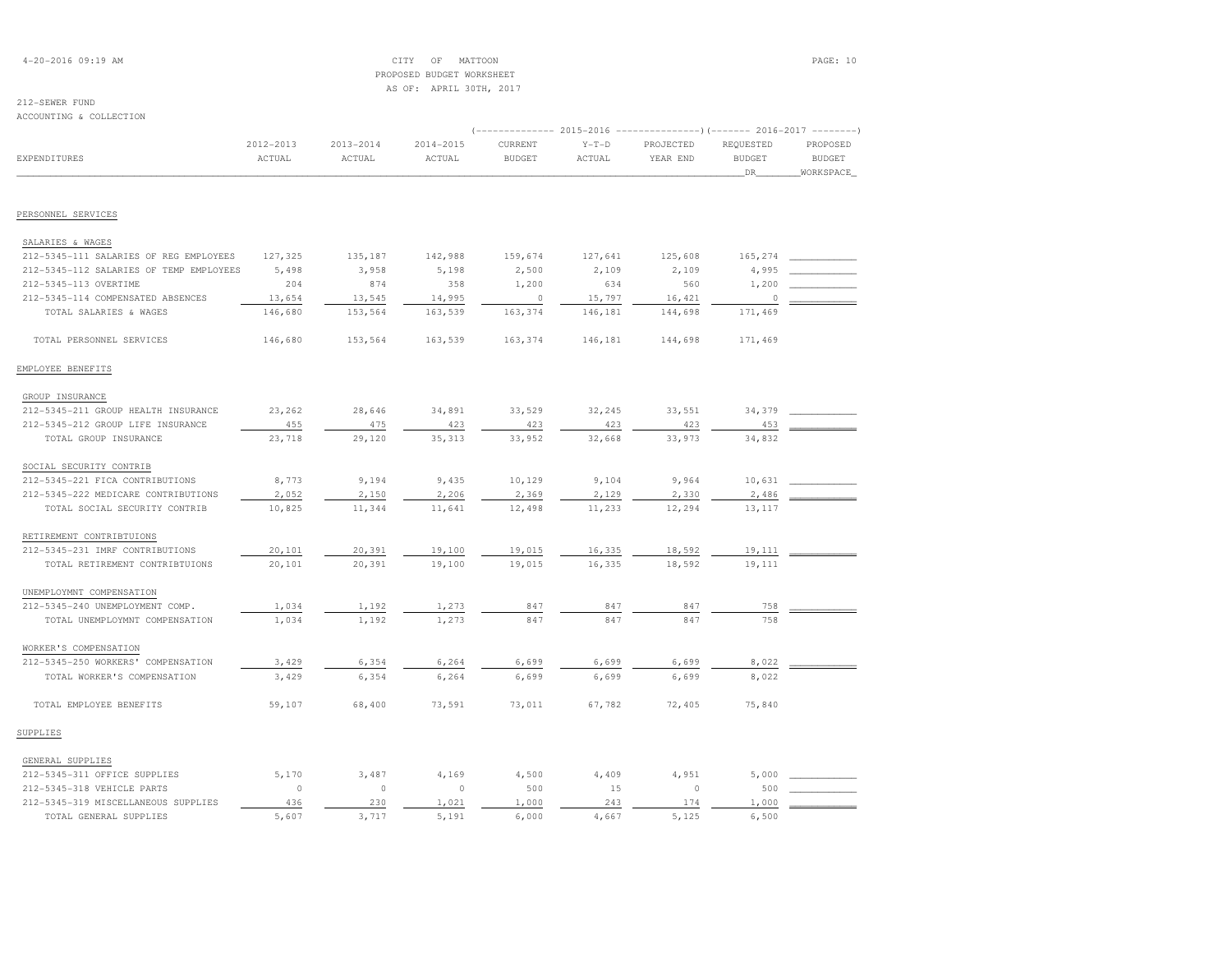## 4-20-2016 09:19 AM CITY OF MATTOON PAGE: 10 PROPOSED BUDGET WORKSHEETAS OF: APRIL 30TH, 2017

# 212-SEWER FUND

| ACCOUNTING & COLLECTION                 |           |               |           |                                                                          |         |           |               |               |
|-----------------------------------------|-----------|---------------|-----------|--------------------------------------------------------------------------|---------|-----------|---------------|---------------|
|                                         |           |               |           | (-------------- 2015-2016 ----------------) (------- 2016-2017 --------) |         |           |               |               |
|                                         | 2012-2013 | $2013 - 2014$ | 2014-2015 | CURRENT                                                                  | $Y-T-D$ | PROJECTED | REQUESTED     | PROPOSED      |
| EXPENDITURES                            | ACTUAL    | ACTUAL        | ACTUAL    | <b>BUDGET</b>                                                            | ACTUAL  | YEAR END  | <b>BUDGET</b> | <b>BUDGET</b> |
|                                         |           |               |           |                                                                          |         |           | _DR_          | WORKSPACE     |
| PERSONNEL SERVICES                      |           |               |           |                                                                          |         |           |               |               |
| SALARIES & WAGES                        |           |               |           |                                                                          |         |           |               |               |
| 212-5345-111 SALARIES OF REG EMPLOYEES  | 127,325   | 135,187       | 142,988   | 159,674                                                                  | 127,641 | 125,608   | 165,274       |               |
| 212-5345-112 SALARIES OF TEMP EMPLOYEES | 5,498     | 3,958         | 5,198     | 2,500                                                                    | 2,109   | 2,109     | 4,995         |               |
| 212-5345-113 OVERTIME                   | 204       | 874           | 358       | 1,200                                                                    | 634     | 560       | 1,200         |               |
| 212-5345-114 COMPENSATED ABSENCES       | 13,654    | 13,545        | 14,995    | $\circ$                                                                  | 15,797  | 16,421    | 0             |               |
| TOTAL SALARIES & WAGES                  | 146,680   | 153,564       | 163,539   | 163,374                                                                  | 146,181 | 144,698   | 171,469       |               |
| TOTAL PERSONNEL SERVICES                | 146,680   | 153,564       | 163,539   | 163,374                                                                  | 146,181 | 144,698   | 171,469       |               |
| EMPLOYEE BENEFITS                       |           |               |           |                                                                          |         |           |               |               |
| GROUP INSURANCE                         |           |               |           |                                                                          |         |           |               |               |
| 212-5345-211 GROUP HEALTH INSURANCE     | 23,262    | 28,646        | 34,891    | 33,529                                                                   | 32,245  | 33,551    | 34,379        |               |
| 212-5345-212 GROUP LIFE INSURANCE       | 455       | 475           | 423       | 423                                                                      | 423     | 423       | 453           |               |
| TOTAL GROUP INSURANCE                   | 23,718    | 29,120        | 35, 313   | 33,952                                                                   | 32,668  | 33,973    | 34,832        |               |
| SOCIAL SECURITY CONTRIB                 |           |               |           |                                                                          |         |           |               |               |
| 212-5345-221 FICA CONTRIBUTIONS         | 8,773     | 9,194         | 9,435     | 10,129                                                                   | 9,104   | 9,964     | 10,631        |               |
| 212-5345-222 MEDICARE CONTRIBUTIONS     | 2,052     | 2,150         | 2,206     | 2,369                                                                    | 2,129   | 2,330     | 2,486         |               |
| TOTAL SOCIAL SECURITY CONTRIB           | 10,825    | 11,344        | 11,641    | 12,498                                                                   | 11,233  | 12,294    | 13,117        |               |
| RETIREMENT CONTRIBTUIONS                |           |               |           |                                                                          |         |           |               |               |
| 212-5345-231 IMRF CONTRIBUTIONS         | 20,101    | 20,391        | 19,100    | 19,015                                                                   | 16,335  | 18,592    | 19,111        |               |
| TOTAL RETIREMENT CONTRIBTUIONS          | 20,101    | 20,391        | 19,100    | 19,015                                                                   | 16,335  | 18,592    | 19,111        |               |
| UNEMPLOYMNT COMPENSATION                |           |               |           |                                                                          |         |           |               |               |
| 212-5345-240 UNEMPLOYMENT COMP.         | 1,034     | 1,192         | 1,273     | 847                                                                      | 847     | 847       | 758           |               |
| TOTAL UNEMPLOYMNT COMPENSATION          | 1,034     | 1,192         | 1,273     | 847                                                                      | 847     | 847       | 758           |               |
| WORKER'S COMPENSATION                   |           |               |           |                                                                          |         |           |               |               |
| 212-5345-250 WORKERS' COMPENSATION      | 3,429     | 6,354         | 6,264     | 6,699                                                                    | 6,699   | 6,699     | 8,022         |               |
| TOTAL WORKER'S COMPENSATION             | 3,429     | 6,354         | 6,264     | 6,699                                                                    | 6,699   | 6,699     | 8,022         |               |
| TOTAL EMPLOYEE BENEFITS                 | 59,107    | 68,400        | 73,591    | 73,011                                                                   | 67,782  | 72,405    | 75,840        |               |
| SUPPLIES                                |           |               |           |                                                                          |         |           |               |               |
| GENERAL SUPPLIES                        |           |               |           |                                                                          |         |           |               |               |
| 212-5345-311 OFFICE SUPPLIES            | 5,170     | 3,487         | 4,169     | 4,500                                                                    | 4,409   | 4,951     | 5,000         |               |
| 212-5345-318 VEHICLE PARTS              | $\circ$   | $\circ$       | $\circ$   | 500                                                                      | 15      | $\circ$   | 500           |               |
| 212-5345-319 MISCELLANEOUS SUPPLIES     | 436       | 230           | 1,021     | 1,000                                                                    | 243     | 174       | 1,000         |               |
| TOTAL GENERAL SUPPLIES                  | 5.607     | 3,717         | 5,191     | 6,000                                                                    | 4,667   | 5,125     | 6,500         |               |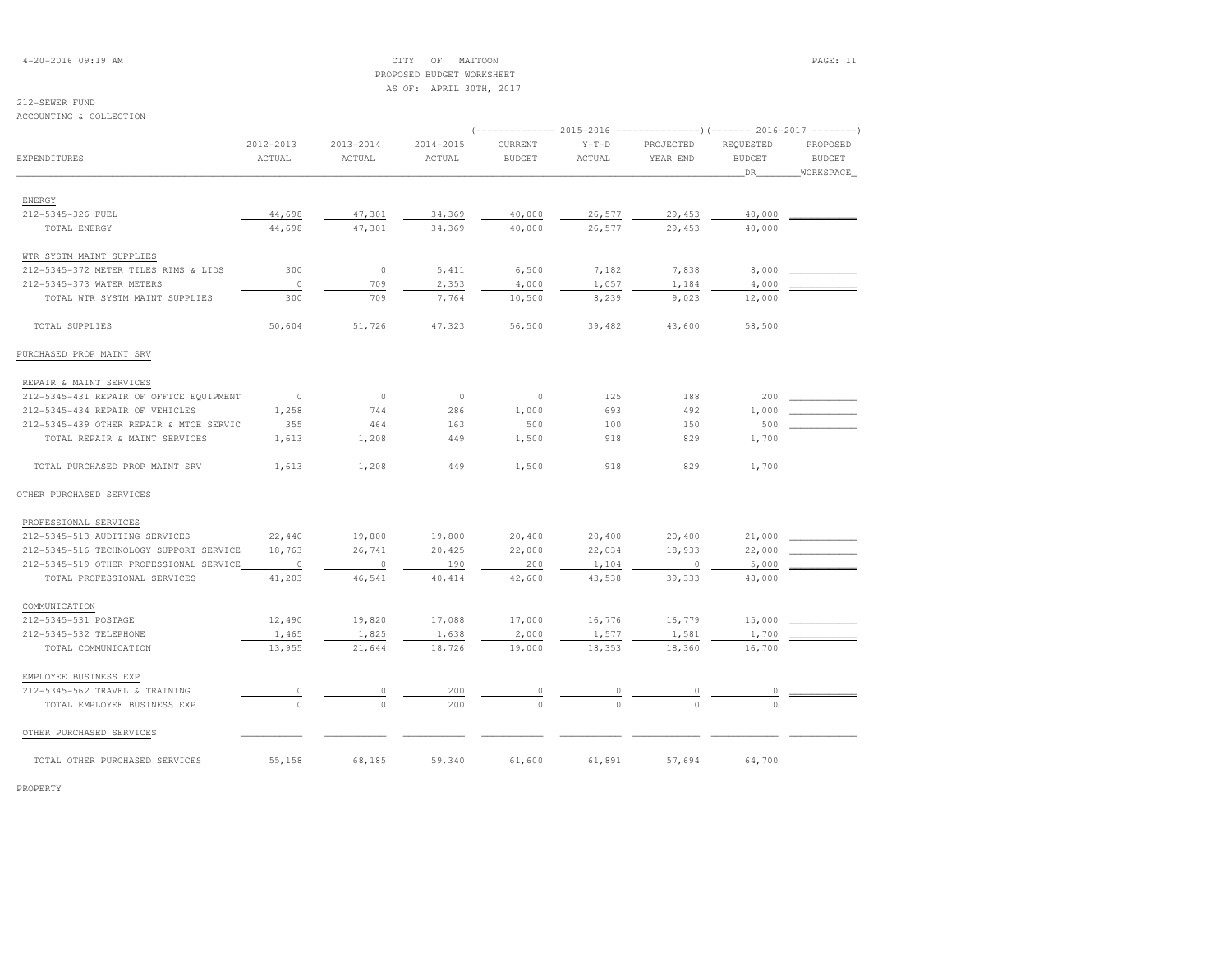4-20-2016 09:19 AM CITY OF MATTOON PAGE: 11 PROPOSED BUDGET WORKSHEETAS OF: APRIL 30TH, 2017

**BUDGET** 

(-------------- 2015-2016 ---------------)(------- 2016-2017 --------)

# 212-SEWER FUND

# ACCOUNTING & COLLECTION 2012-2013 2013-2014 2014-2015 CURRENT Y-T-D PROJECTED REQUESTED PROPOSEDEXPENDITURES ACTUAL ACTUAL ACTUAL BUDGET ACTUAL YEAR END BUDGET BUDGET \_\_\_\_\_\_\_\_\_\_\_\_\_\_\_\_\_\_\_\_\_\_\_\_\_\_\_\_\_\_\_\_\_\_\_\_\_\_\_\_\_\_\_\_\_\_\_\_\_\_\_\_\_\_\_\_\_\_\_\_\_\_\_\_\_\_\_\_\_\_\_\_\_\_\_\_\_\_\_\_\_\_\_\_\_\_\_\_\_\_\_\_\_\_\_\_\_\_\_\_\_\_\_\_\_\_\_\_\_\_\_\_\_\_\_\_\_\_\_\_\_\_\_\_\_\_\_\_\_\_DR\_\_\_\_\_\_\_\_WORKSPACE\_ENERGY

| 212-5345-326 FUEL                       | 44,698   | 47,301  | 34,369  | 40,000   | 26,577   | 29,453   | 40,000   |  |
|-----------------------------------------|----------|---------|---------|----------|----------|----------|----------|--|
| TOTAL ENERGY                            | 44,698   | 47,301  | 34,369  | 40,000   | 26,577   | 29,453   | 40,000   |  |
|                                         |          |         |         |          |          |          |          |  |
| WTR SYSTM MAINT SUPPLIES                |          |         |         |          |          |          |          |  |
| 212-5345-372 METER TILES RIMS & LIDS    | 300      | $\circ$ | 5,411   | 6,500    | 7,182    | 7,838    | 8,000    |  |
| 212-5345-373 WATER METERS               | $\circ$  | 709     | 2,353   | 4,000    | 1,057    | 1,184    | 4,000    |  |
| TOTAL WTR SYSTM MAINT SUPPLIES          | 300      | 709     | 7,764   | 10,500   | 8,239    | 9,023    | 12,000   |  |
| TOTAL SUPPLIES                          | 50,604   | 51,726  | 47,323  | 56,500   | 39,482   | 43,600   | 58,500   |  |
| PURCHASED PROP MAINT SRV                |          |         |         |          |          |          |          |  |
| REPAIR & MAINT SERVICES                 |          |         |         |          |          |          |          |  |
| 212-5345-431 REPAIR OF OFFICE EQUIPMENT | $\circ$  | $\circ$ | $\circ$ | $\circ$  | 125      | 188      | 200      |  |
| 212-5345-434 REPAIR OF VEHICLES         | 1,258    | 744     | 286     | 1,000    | 693      | 492      | 1,000    |  |
| 212-5345-439 OTHER REPAIR & MTCE SERVIC | 355      | 464     | 163     | 500      | 100      | 150      | 500      |  |
| TOTAL REPAIR & MAINT SERVICES           | 1,613    | 1,208   | 449     | 1,500    | 918      | 829      | 1,700    |  |
| TOTAL PURCHASED PROP MAINT SRV          | 1,613    | 1,208   | 449     | 1,500    | 918      | 829      | 1,700    |  |
| OTHER PURCHASED SERVICES                |          |         |         |          |          |          |          |  |
| PROFESSIONAL SERVICES                   |          |         |         |          |          |          |          |  |
| 212-5345-513 AUDITING SERVICES          | 22,440   | 19,800  | 19,800  | 20,400   | 20,400   | 20,400   | 21,000   |  |
| 212-5345-516 TECHNOLOGY SUPPORT SERVICE | 18,763   | 26,741  | 20,425  | 22,000   | 22,034   | 18,933   | 22,000   |  |
| 212-5345-519 OTHER PROFESSIONAL SERVICE | $\circ$  | $\circ$ | 190     | 200      | 1,104    | $\circ$  | 5,000    |  |
| TOTAL PROFESSIONAL SERVICES             | 41,203   | 46,541  | 40,414  | 42,600   | 43,538   | 39,333   | 48,000   |  |
| COMMUNICATION                           |          |         |         |          |          |          |          |  |
| 212-5345-531 POSTAGE                    | 12,490   | 19,820  | 17,088  | 17,000   | 16,776   | 16,779   | 15,000   |  |
| 212-5345-532 TELEPHONE                  | 1,465    | 1,825   | 1,638   | 2,000    | 1,577    | 1,581    | 1,700    |  |
| TOTAL COMMUNICATION                     | 13,955   | 21,644  | 18,726  | 19,000   | 18,353   | 18,360   | 16,700   |  |
| EMPLOYEE BUSINESS EXP                   |          |         |         |          |          |          |          |  |
| 212-5345-562 TRAVEL & TRAINING          | 0        | 0       | 200     |          | $\Omega$ |          | 0        |  |
| TOTAL EMPLOYEE BUSINESS EXP             | $\Omega$ | $\circ$ | 200     | $\Omega$ | $\Omega$ | $\Omega$ | $\Omega$ |  |
| OTHER PURCHASED SERVICES                |          |         |         |          |          |          |          |  |

TOTAL OTHER PURCHASED SERVICES 55,158 68,185 59,340 61,600 61,891 57,694 64,700

PROPERTY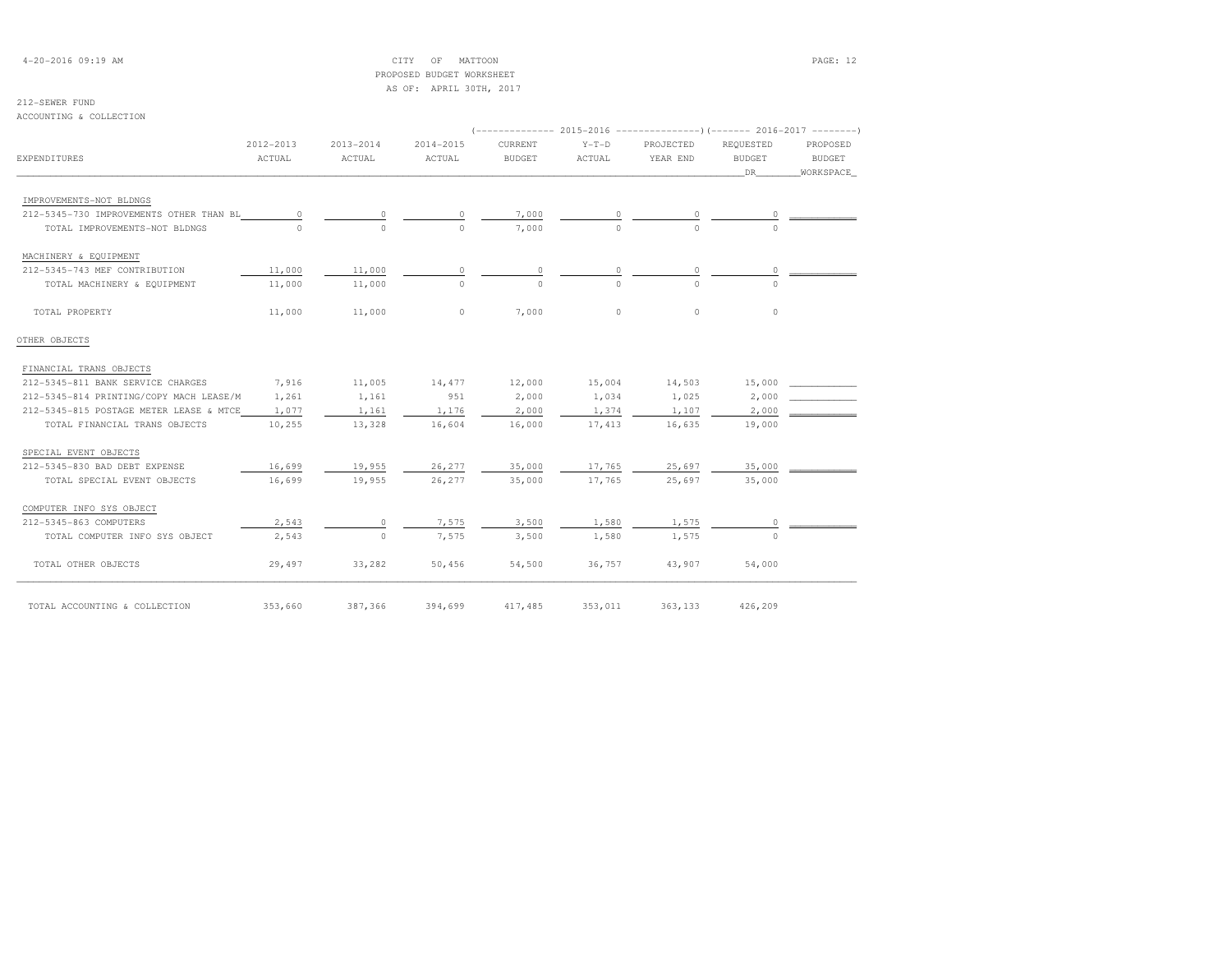4-20-2016 09:19 AM CITY OF MATTOON PAGE: 12 PROPOSED BUDGET WORKSHEETAS OF: APRIL 30TH, 2017

## 212-SEWER FUND

ACCOUNTING & COLLECTION

|                                         |                     |                         |                         |                          |                   | $(-$ -------------- 2015-2016 --------------------- 2016-2017 --------- |                                  |                                        |
|-----------------------------------------|---------------------|-------------------------|-------------------------|--------------------------|-------------------|-------------------------------------------------------------------------|----------------------------------|----------------------------------------|
| <b>EXPENDITURES</b>                     | 2012-2013<br>ACTUAL | $2013 - 2014$<br>ACTUAL | $2014 - 2015$<br>ACTUAL | CURRENT<br><b>BUDGET</b> | $Y-T-D$<br>ACTUAL | PROJECTED<br>YEAR END                                                   | REOUESTED<br><b>BUDGET</b><br>DR | PROPOSED<br><b>BUDGET</b><br>WORKSPACE |
| IMPROVEMENTS-NOT BLDNGS                 |                     |                         |                         |                          |                   |                                                                         |                                  |                                        |
| 212-5345-730 IMPROVEMENTS OTHER THAN BL | 0                   |                         |                         | 7,000                    |                   |                                                                         |                                  |                                        |
| TOTAL IMPROVEMENTS-NOT BLDNGS           |                     | $\Omega$                | $\cap$                  | 7,000                    | $\Omega$          | $\cap$                                                                  | 0                                |                                        |
| MACHINERY & EQUIPMENT                   |                     |                         |                         |                          |                   |                                                                         |                                  |                                        |
| 212-5345-743 MEF CONTRIBUTION           | 11,000              | 11,000                  | $\circ$                 |                          | $\circ$           |                                                                         | 0                                |                                        |
| TOTAL MACHINERY & EQUIPMENT             | 11,000              | 11,000                  | $\Omega$                | $\cap$                   | $\Omega$          | $\cap$                                                                  | $\Omega$                         |                                        |
| TOTAL PROPERTY                          | 11,000              | 11,000                  | $\circ$                 | 7,000                    | $\Omega$          | $\Omega$                                                                | $\circ$                          |                                        |
| OTHER OBJECTS                           |                     |                         |                         |                          |                   |                                                                         |                                  |                                        |
| FINANCIAL TRANS OBJECTS                 |                     |                         |                         |                          |                   |                                                                         |                                  |                                        |
| 212-5345-811 BANK SERVICE CHARGES       | 7,916               | 11,005                  | 14,477                  | 12,000                   | 15,004            | 14,503                                                                  | 15,000                           |                                        |
| 212-5345-814 PRINTING/COPY MACH LEASE/M | 1,261               | 1,161                   | 951                     | 2,000                    | 1,034             | 1,025                                                                   | 2,000                            |                                        |
| 212-5345-815 POSTAGE METER LEASE & MTCE | 1,077               | 1,161                   | 1,176                   | 2,000                    | 1,374             | 1,107                                                                   | 2,000                            |                                        |
| TOTAL FINANCIAL TRANS OBJECTS           | 10,255              | 13,328                  | 16,604                  | 16,000                   | 17,413            | 16,635                                                                  | 19,000                           |                                        |
| SPECIAL EVENT OBJECTS                   |                     |                         |                         |                          |                   |                                                                         |                                  |                                        |
| 212-5345-830 BAD DEBT EXPENSE           | 16,699              | 19,955                  | 26,277                  | 35,000                   | 17,765            | 25,697                                                                  | 35,000                           |                                        |
| TOTAL SPECIAL EVENT OBJECTS             | 16,699              | 19,955                  | 26,277                  | 35,000                   | 17,765            | 25,697                                                                  | 35,000                           |                                        |
| COMPUTER INFO SYS OBJECT                |                     |                         |                         |                          |                   |                                                                         |                                  |                                        |
| 212-5345-863 COMPUTERS                  | 2,543               | $\circ$                 | 7,575                   | 3,500                    | 1,580             | 1,575                                                                   | $\circ$                          |                                        |
| TOTAL COMPUTER INFO SYS OBJECT          | 2,543               | $\Omega$                | 7,575                   | 3,500                    | 1,580             | 1,575                                                                   | $\cap$                           |                                        |
| TOTAL OTHER OBJECTS                     | 29,497              | 33,282                  | 50,456                  | 54,500                   | 36,757            | 43,907                                                                  | 54,000                           |                                        |
| TOTAL ACCOUNTING & COLLECTION           | 353,660             | 387,366                 | 394,699                 | 417,485                  | 353,011           | 363,133                                                                 | 426,209                          |                                        |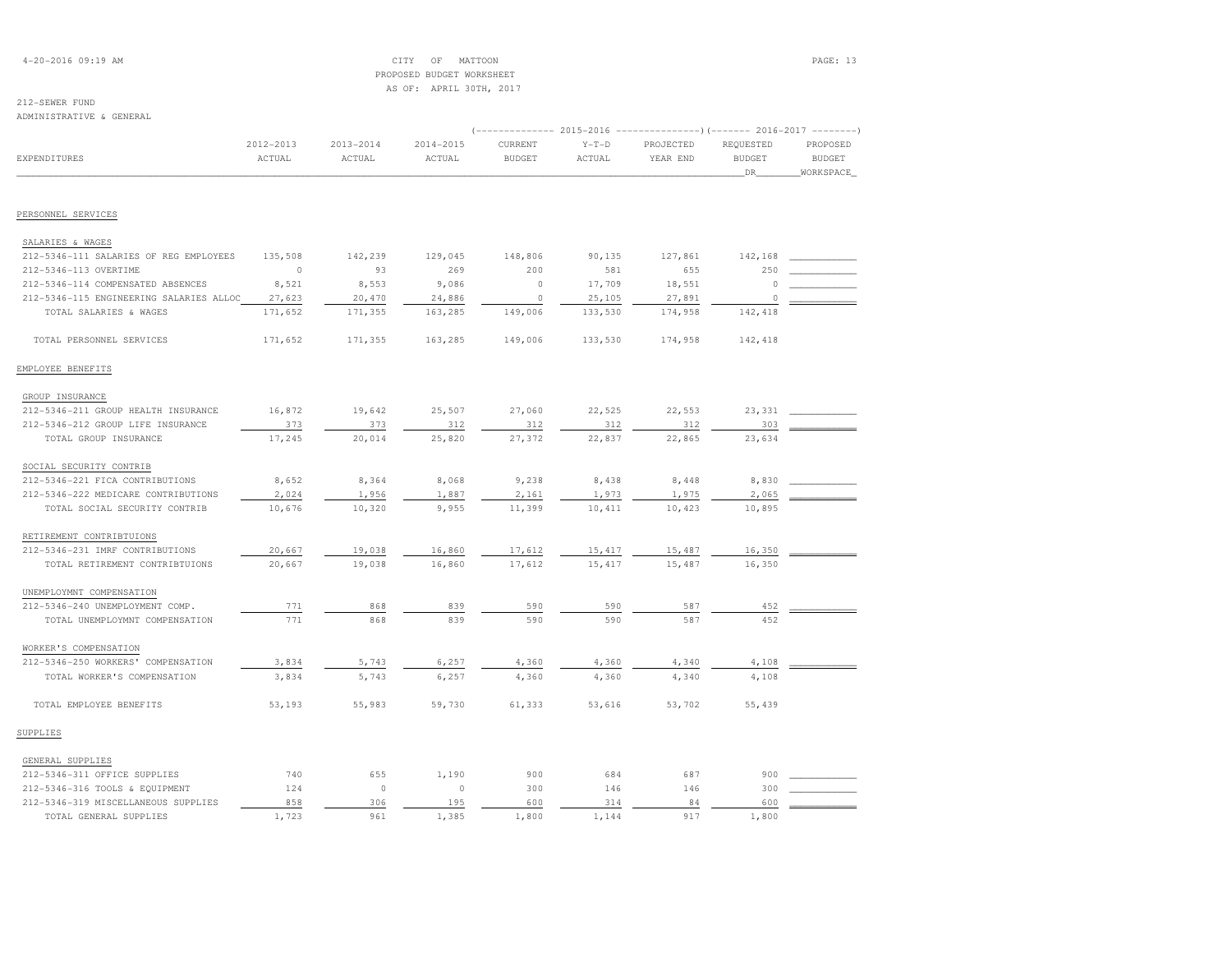## 4-20-2016 09:19 AM CITY OF MATTOON PAGE: 13 PROPOSED BUDGET WORKSHEETAS OF: APRIL 30TH, 2017

### 212-SEWER FUNDADMINISTRATIVE & GENERAL

|                                         |               |               |               |               |         | (-------------- 2015-2016 ---------------------- 2016-2017 ---------- |                     |                            |
|-----------------------------------------|---------------|---------------|---------------|---------------|---------|-----------------------------------------------------------------------|---------------------|----------------------------|
|                                         | $2012 - 2013$ | $2013 - 2014$ | $2014 - 2015$ | CURRENT       | $Y-T-D$ | PROJECTED                                                             | REQUESTED           | PROPOSED                   |
| <b>EXPENDITURES</b>                     | ACTUAL        | ACTUAL        | ACTUAL        | <b>BUDGET</b> | ACTUAL  | YEAR END                                                              | <b>BUDGET</b><br>DR | <b>BUDGET</b><br>WORKSPACE |
|                                         |               |               |               |               |         |                                                                       |                     |                            |
| PERSONNEL SERVICES                      |               |               |               |               |         |                                                                       |                     |                            |
| SALARIES & WAGES                        |               |               |               |               |         |                                                                       |                     |                            |
| 212-5346-111 SALARIES OF REG EMPLOYEES  | 135,508       | 142,239       | 129,045       | 148,806       | 90,135  | 127,861                                                               | 142,168             |                            |
| 212-5346-113 OVERTIME                   | $\circ$       | 93            | 269           | 200           | 581     | 655                                                                   | 250                 |                            |
| 212-5346-114 COMPENSATED ABSENCES       | 8,521         | 8,553         | 9,086         | $\circ$       | 17,709  | 18,551                                                                | $\Omega$            |                            |
| 212-5346-115 ENGINEERING SALARIES ALLOC | 27,623        | 20,470        | 24,886        | $\circ$       | 25,105  | 27,891                                                                | 0                   |                            |
| TOTAL SALARIES & WAGES                  | 171,652       | 171,355       | 163,285       | 149,006       | 133,530 | 174,958                                                               | 142,418             |                            |
| TOTAL PERSONNEL SERVICES                | 171,652       | 171,355       | 163,285       | 149,006       | 133,530 | 174,958                                                               | 142,418             |                            |
| EMPLOYEE BENEFITS                       |               |               |               |               |         |                                                                       |                     |                            |
| GROUP INSURANCE                         |               |               |               |               |         |                                                                       |                     |                            |
| 212-5346-211 GROUP HEALTH INSURANCE     | 16,872        | 19,642        | 25,507        | 27,060        | 22,525  | 22,553                                                                | 23,331              |                            |
| 212-5346-212 GROUP LIFE INSURANCE       | 373           | 373           | 312           | 312           | 312     | 312                                                                   | 303                 |                            |
| TOTAL GROUP INSURANCE                   | 17,245        | 20,014        | 25,820        | 27,372        | 22,837  | 22,865                                                                | 23,634              |                            |
| SOCIAL SECURITY CONTRIB                 |               |               |               |               |         |                                                                       |                     |                            |
| 212-5346-221 FICA CONTRIBUTIONS         | 8,652         | 8,364         | 8,068         | 9,238         | 8,438   | 8,448                                                                 | 8,830               |                            |
| 212-5346-222 MEDICARE CONTRIBUTIONS     | 2,024         | 1,956         | 1,887         | 2,161         | 1,973   | 1,975                                                                 | 2,065               |                            |
| TOTAL SOCIAL SECURITY CONTRIB           | 10,676        | 10,320        | 9,955         | 11,399        | 10,411  | 10,423                                                                | 10,895              |                            |
| RETIREMENT CONTRIBTUIONS                |               |               |               |               |         |                                                                       |                     |                            |
| 212-5346-231 IMRF CONTRIBUTIONS         | 20,667        | 19,038        | 16,860        | 17,612        | 15,417  | 15,487                                                                | 16,350              |                            |
| TOTAL RETIREMENT CONTRIBTUIONS          | 20,667        | 19,038        | 16,860        | 17,612        | 15, 417 | 15,487                                                                | 16,350              |                            |
| UNEMPLOYMNT COMPENSATION                |               |               |               |               |         |                                                                       |                     |                            |
| 212-5346-240 UNEMPLOYMENT COMP.         | 771           | 868           | 839           | 590           | 590     | 587                                                                   | 452                 |                            |
| TOTAL UNEMPLOYMNT COMPENSATION          | 771           | 868           | 839           | 590           | 590     | 587                                                                   | 452                 |                            |
| WORKER'S COMPENSATION                   |               |               |               |               |         |                                                                       |                     |                            |
| 212-5346-250 WORKERS' COMPENSATION      | 3,834         | 5,743         | 6,257         | 4,360         | 4,360   | 4,340                                                                 | 4,108               |                            |
| TOTAL WORKER'S COMPENSATION             | 3,834         | 5,743         | 6,257         | 4,360         | 4,360   | 4,340                                                                 | 4,108               |                            |
| TOTAL EMPLOYEE BENEFITS                 | 53,193        | 55,983        | 59,730        | 61,333        | 53,616  | 53,702                                                                | 55,439              |                            |
| SUPPLIES                                |               |               |               |               |         |                                                                       |                     |                            |
| GENERAL SUPPLIES                        |               |               |               |               |         |                                                                       |                     |                            |
| 212-5346-311 OFFICE SUPPLIES            | 740           | 655           | 1,190         | 900           | 684     | 687                                                                   | 900                 |                            |
| 212-5346-316 TOOLS & EQUIPMENT          | 124           | $\circ$       | $\circ$       | 300           | 146     | 146                                                                   | 300                 |                            |
| 212-5346-319 MISCELLANEOUS SUPPLIES     | 858           | 306           | 195           | 600           | 314     | 84                                                                    | 600                 |                            |
| TOTAL GENERAL SUPPLIES                  | 1,723         | 961           | 1,385         | 1,800         | 1,144   | 917                                                                   | 1,800               |                            |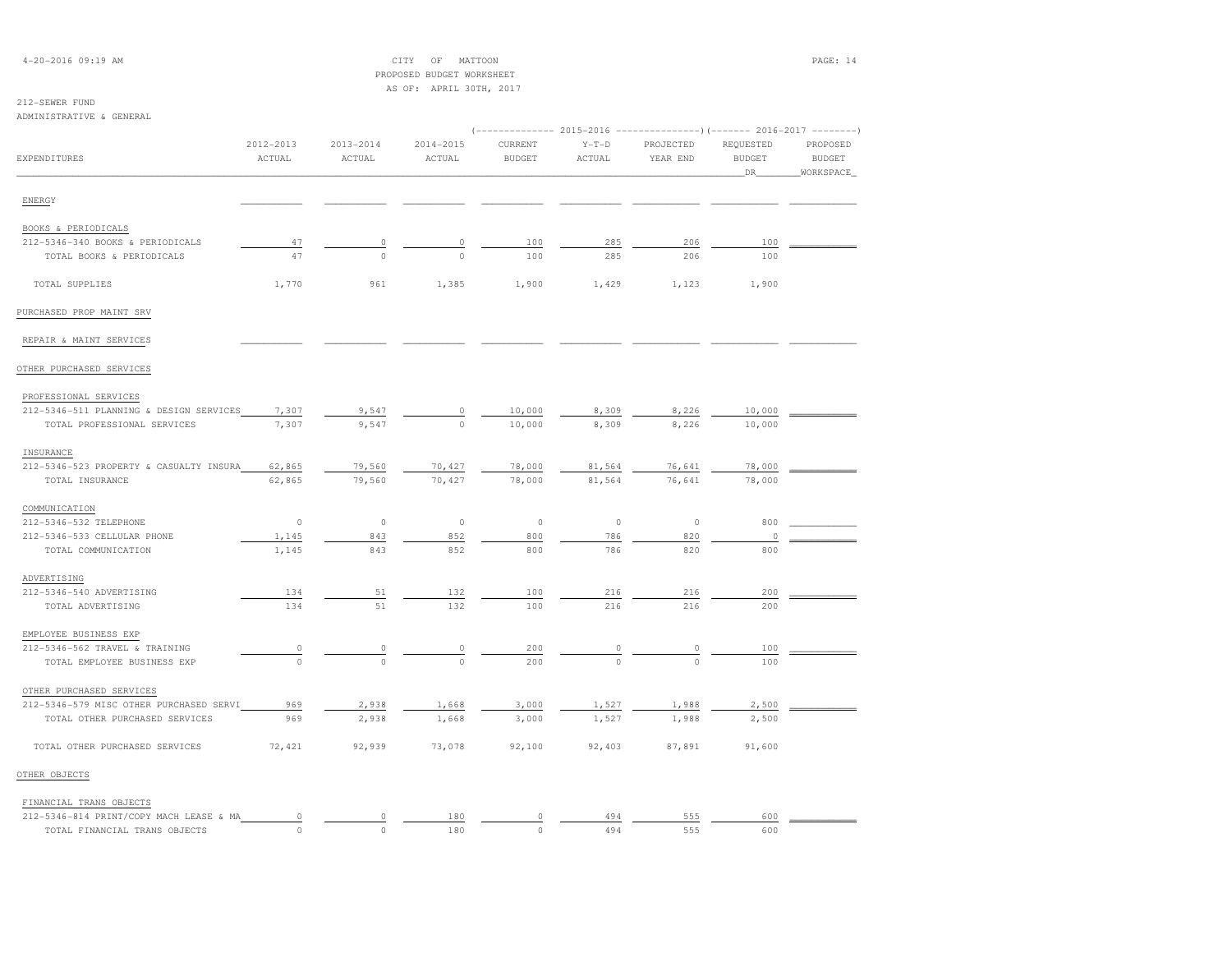## 4-20-2016 09:19 AM CITY OF MATTOON PAGE: 14 PROPOSED BUDGET WORKSHEETAS OF: APRIL 30TH, 2017

# 212-SEWER FUND

ADM

| ADMINISTRATIVE & GENERAL                |                     |                         |                         |                                                                                                   |                   |                       |                                  |                                        |
|-----------------------------------------|---------------------|-------------------------|-------------------------|---------------------------------------------------------------------------------------------------|-------------------|-----------------------|----------------------------------|----------------------------------------|
| <b>EXPENDITURES</b>                     | 2012-2013<br>ACTUAL | $2013 - 2014$<br>ACTUAL | $2014 - 2015$<br>ACTUAL | (------------- 2015-2016 ---------------) (------- 2016-2017 --------<br>CURRENT<br><b>BUDGET</b> | $Y-T-D$<br>ACTUAL | PROJECTED<br>YEAR END | REQUESTED<br><b>BUDGET</b><br>DR | PROPOSED<br><b>BUDGET</b><br>WORKSPACE |
| ENERGY                                  |                     |                         |                         |                                                                                                   |                   |                       |                                  |                                        |
| BOOKS & PERIODICALS                     |                     |                         |                         |                                                                                                   |                   |                       |                                  |                                        |
| 212-5346-340 BOOKS & PERIODICALS        | 47                  | 0                       | $\circ$                 | 100                                                                                               | 285               | 206                   | 100                              |                                        |
| TOTAL BOOKS & PERIODICALS               | 47                  | $\circ$                 | $\Omega$                | 100                                                                                               | 285               | 206                   | 100                              |                                        |
| TOTAL SUPPLIES                          | 1,770               | 961                     | 1,385                   | 1,900                                                                                             | 1,429             | 1,123                 | 1,900                            |                                        |
| PURCHASED PROP MAINT SRV                |                     |                         |                         |                                                                                                   |                   |                       |                                  |                                        |
| REPAIR & MAINT SERVICES                 |                     |                         |                         |                                                                                                   |                   |                       |                                  |                                        |
| OTHER PURCHASED SERVICES                |                     |                         |                         |                                                                                                   |                   |                       |                                  |                                        |
| PROFESSIONAL SERVICES                   |                     |                         |                         |                                                                                                   |                   |                       |                                  |                                        |
| 212-5346-511 PLANNING & DESIGN SERVICES | 7,307               | 9,547                   | $\circ$                 | 10,000                                                                                            | 8,309             | 8,226                 | 10,000                           |                                        |
| TOTAL PROFESSIONAL SERVICES             | 7,307               | 9,547                   | $\circ$                 | 10,000                                                                                            | 8,309             | 8,226                 | 10,000                           |                                        |
| INSURANCE                               |                     |                         |                         |                                                                                                   |                   |                       |                                  |                                        |
| 212-5346-523 PROPERTY & CASUALTY INSURA | 62,865              | 79,560                  | 70,427                  | 78,000                                                                                            | 81,564            | 76,641                | 78,000                           |                                        |
| TOTAL INSURANCE                         | 62,865              | 79,560                  | 70,427                  | 78,000                                                                                            | 81,564            | 76,641                | 78,000                           |                                        |
| COMMUNICATION                           |                     |                         |                         |                                                                                                   |                   |                       |                                  |                                        |
| 212-5346-532 TELEPHONE                  | $\circ$             | $\circ$                 | $\circ$                 | $\circ$                                                                                           | $\circ$           | $\circ$               | 800                              |                                        |
| 212-5346-533 CELLULAR PHONE             | 1,145               | 843                     | 852                     | 800                                                                                               | 786               | 820                   | $\Omega$                         |                                        |
| TOTAL COMMUNICATION                     | 1,145               | 843                     | 852                     | 800                                                                                               | 786               | 820                   | 800                              |                                        |
| ADVERTISING                             |                     |                         |                         |                                                                                                   |                   |                       |                                  |                                        |
| 212-5346-540 ADVERTISING                | 134                 | 51                      | 132                     | 100                                                                                               | 216               | 216                   | 200                              |                                        |
| TOTAL ADVERTISING                       | 134                 | 51                      | 132                     | 100                                                                                               | 216               | 216                   | 200                              |                                        |
| EMPLOYEE BUSINESS EXP                   |                     |                         |                         |                                                                                                   |                   |                       |                                  |                                        |
| 212-5346-562 TRAVEL & TRAINING          | 0                   | 0                       | $\circ$                 | 200                                                                                               | 0                 | $\mathbb O$           | 100                              |                                        |
| TOTAL EMPLOYEE BUSINESS EXP             | $\circ$             | $\circ$                 | $\circ$                 | 200                                                                                               | $\circ$           | $\circ$               | 100                              |                                        |
| OTHER PURCHASED SERVICES                |                     |                         |                         |                                                                                                   |                   |                       |                                  |                                        |
| 212-5346-579 MISC OTHER PURCHASED SERVI | 969                 | 2,938                   | 1,668                   | 3,000                                                                                             | 1,527             | 1,988                 | 2,500                            |                                        |
| TOTAL OTHER PURCHASED SERVICES          | 969                 | 2,938                   | 1,668                   | 3,000                                                                                             | 1,527             | 1,988                 | 2,500                            |                                        |
| TOTAL OTHER PURCHASED SERVICES          | 72, 421             | 92,939                  | 73,078                  | 92,100                                                                                            | 92,403            | 87,891                | 91,600                           |                                        |
| OTHER OBJECTS                           |                     |                         |                         |                                                                                                   |                   |                       |                                  |                                        |
| FINANCIAL TRANS OBJECTS                 |                     |                         |                         |                                                                                                   |                   |                       |                                  |                                        |
| 212-5346-814 PRINT/COPY MACH LEASE & MA | 0                   | 0                       | 180                     | 0                                                                                                 | 494               | 555                   | 600                              |                                        |
| TOTAL FINANCIAL TRANS OBJECTS           | $\cap$              | $\circ$                 | 180                     | $\circ$                                                                                           | 494               | 555                   | 600                              |                                        |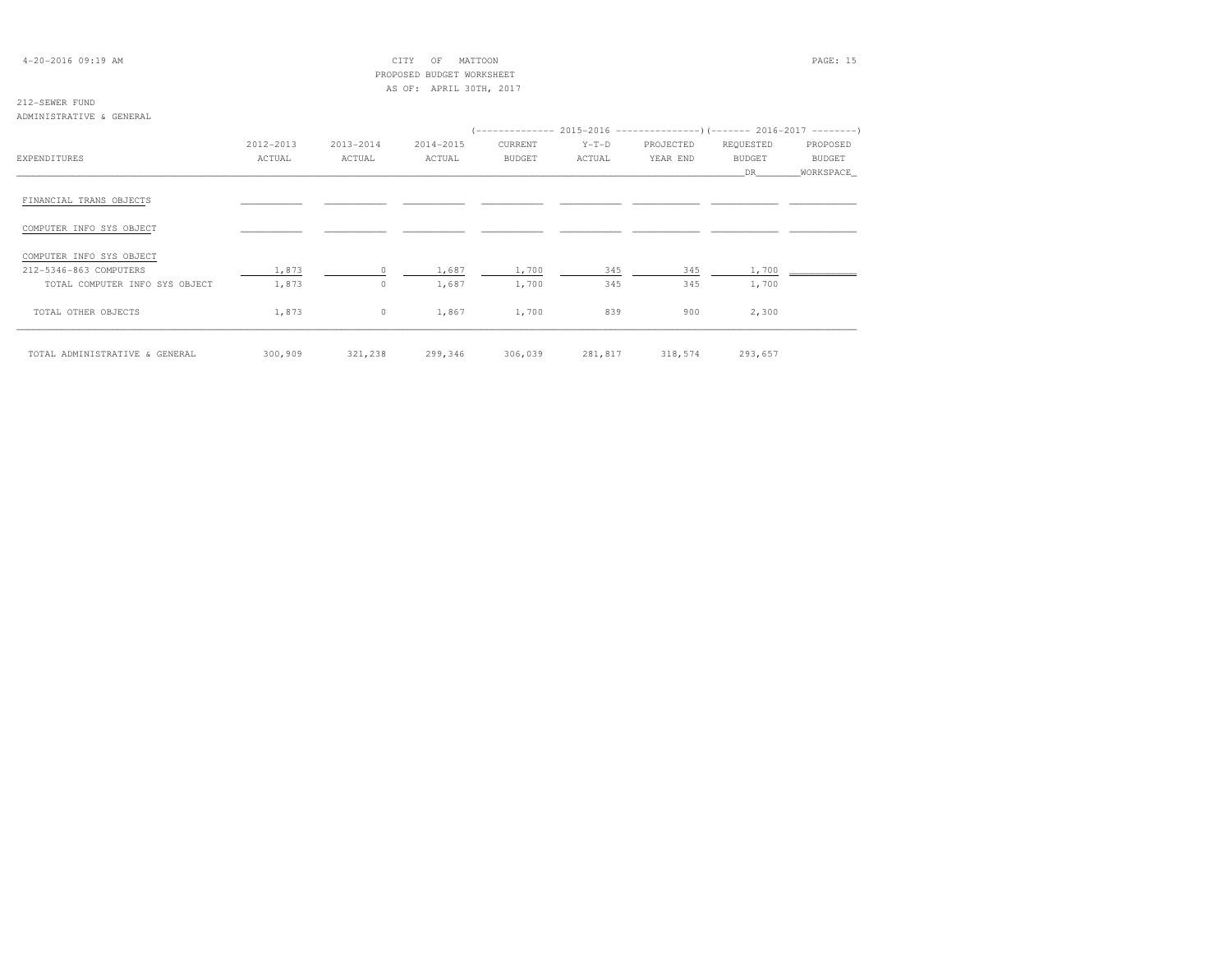## 4-20-2016 09:19 AM CITY OF MATTOON PAGE: 15 PROPOSED BUDGET WORKSHEETAS OF: APRIL 30TH, 2017

### 212-SEWER FUNDADMINISTRATIVE & GENERAL

|                                |           |           |           | (-------------- 2015-2016 ----------------) (------- 2016-2017 ---------) |         |           |               |               |
|--------------------------------|-----------|-----------|-----------|---------------------------------------------------------------------------|---------|-----------|---------------|---------------|
|                                | 2012-2013 | 2013-2014 | 2014-2015 | CURRENT                                                                   | $Y-T-D$ | PROJECTED | REQUESTED     | PROPOSED      |
| <b>EXPENDITURES</b>            | ACTUAL    | ACTUAL    | ACTUAL    | <b>BUDGET</b>                                                             | ACTUAL  | YEAR END  | <b>BUDGET</b> | <b>BUDGET</b> |
|                                |           |           |           |                                                                           |         |           | DR            | WORKSPACE     |
| FINANCIAL TRANS OBJECTS        |           |           |           |                                                                           |         |           |               |               |
| COMPUTER INFO SYS OBJECT       |           |           |           |                                                                           |         |           |               |               |
| COMPUTER INFO SYS OBJECT       |           |           |           |                                                                           |         |           |               |               |
| 212-5346-863 COMPUTERS         | 1,873     | $\Omega$  | 1,687     | 1,700                                                                     | 345     | 345       | 1,700         |               |
| TOTAL COMPUTER INFO SYS OBJECT | 1,873     | $\Omega$  | 1,687     | 1,700                                                                     | 345     | 345       | 1,700         |               |
| TOTAL OTHER OBJECTS            | 1,873     | $\circ$   | 1,867     | 1,700                                                                     | 839     | 900       | 2,300         |               |
| TOTAL ADMINISTRATIVE & GENERAL | 300,909   | 321,238   | 299,346   | 306,039                                                                   | 281,817 | 318,574   | 293,657       |               |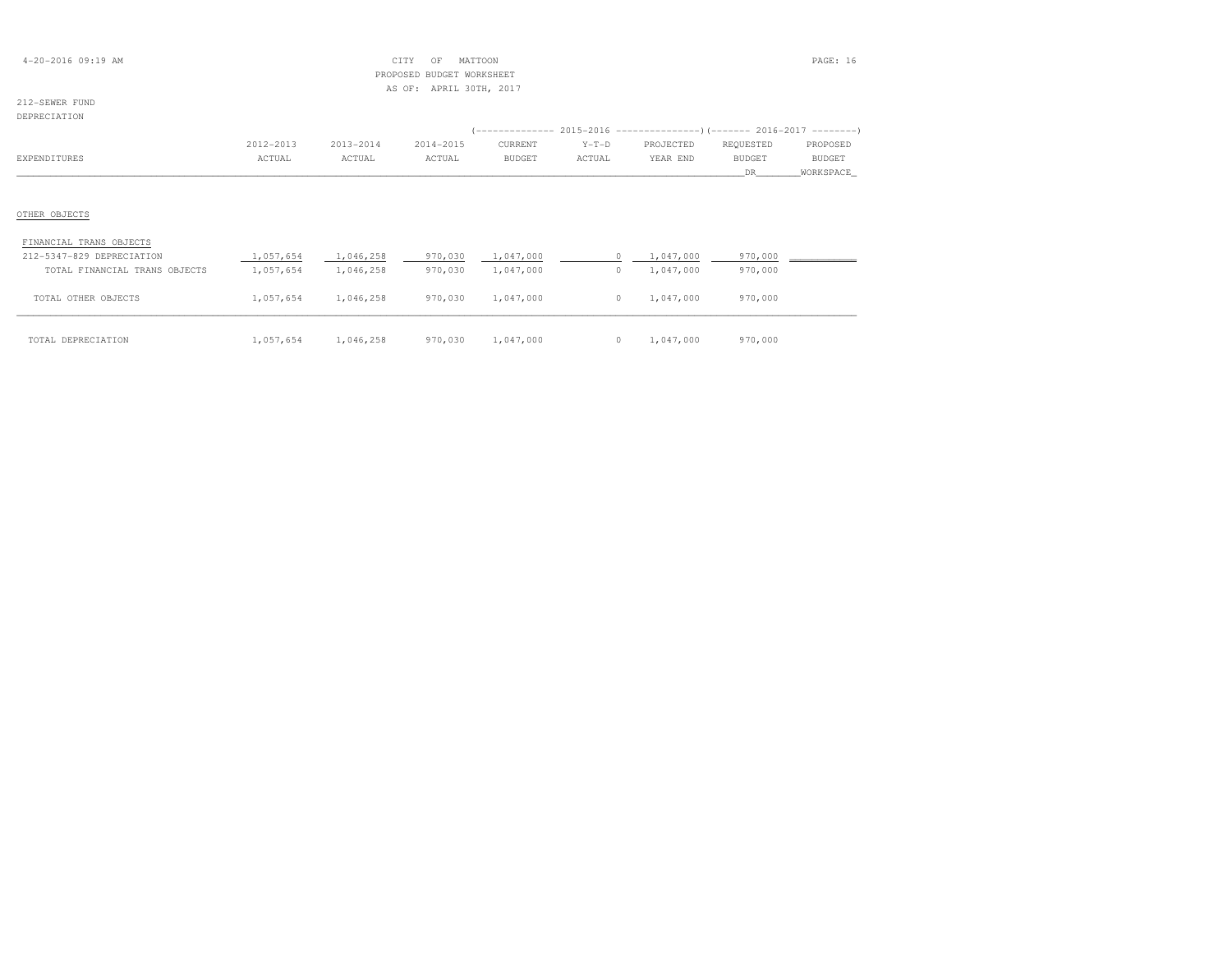| $4 - 20 - 2016$ 09:19 AM |  |
|--------------------------|--|
|--------------------------|--|

## $\text{CITY}$  OF MATTOON  $\blacksquare$  PROPOSED BUDGET WORKSHEETAS OF: APRIL 30TH, 2017

# 212-SEWER FUND

| DEPRECIATION                  |           |           |           |                                                                               |            |           |           |               |
|-------------------------------|-----------|-----------|-----------|-------------------------------------------------------------------------------|------------|-----------|-----------|---------------|
|                               |           |           |           | (-------------- 2015-2016 -------------------- ) (------- 2016-2017 --------- |            |           |           |               |
|                               | 2012-2013 | 2013-2014 | 2014-2015 | CURRENT                                                                       | $Y-T-D$    | PROJECTED | REQUESTED | PROPOSED      |
| EXPENDITURES                  | ACTUAL    | ACTUAL    | ACTUAL    | BUDGET                                                                        | ACTUAL     | YEAR END  | BUDGET    | <b>BUDGET</b> |
|                               |           |           |           |                                                                               |            |           | DR.       | WORKSPACE     |
|                               |           |           |           |                                                                               |            |           |           |               |
|                               |           |           |           |                                                                               |            |           |           |               |
| OTHER OBJECTS                 |           |           |           |                                                                               |            |           |           |               |
|                               |           |           |           |                                                                               |            |           |           |               |
| FINANCIAL TRANS OBJECTS       |           |           |           |                                                                               |            |           |           |               |
| 212-5347-829 DEPRECIATION     | 1,057,654 | 1,046,258 | 970,030   | 1,047,000                                                                     | $^{\circ}$ | 1,047,000 | 970,000   |               |
| TOTAL FINANCIAL TRANS OBJECTS | 1,057,654 | 1,046,258 | 970,030   | 1,047,000                                                                     | $\circ$    | 1,047,000 | 970,000   |               |
|                               |           |           |           |                                                                               |            |           |           |               |

| TOTAL DEPRECIATION | 1,057,654 | 1,046,258 | 970,030 | 1,047,000 | 1,047,000 | 970,000 |
|--------------------|-----------|-----------|---------|-----------|-----------|---------|

TOTAL OTHER OBJECTS 1,057,654 1,046,258 970,030 1,047,000 0 1,047,000 970,000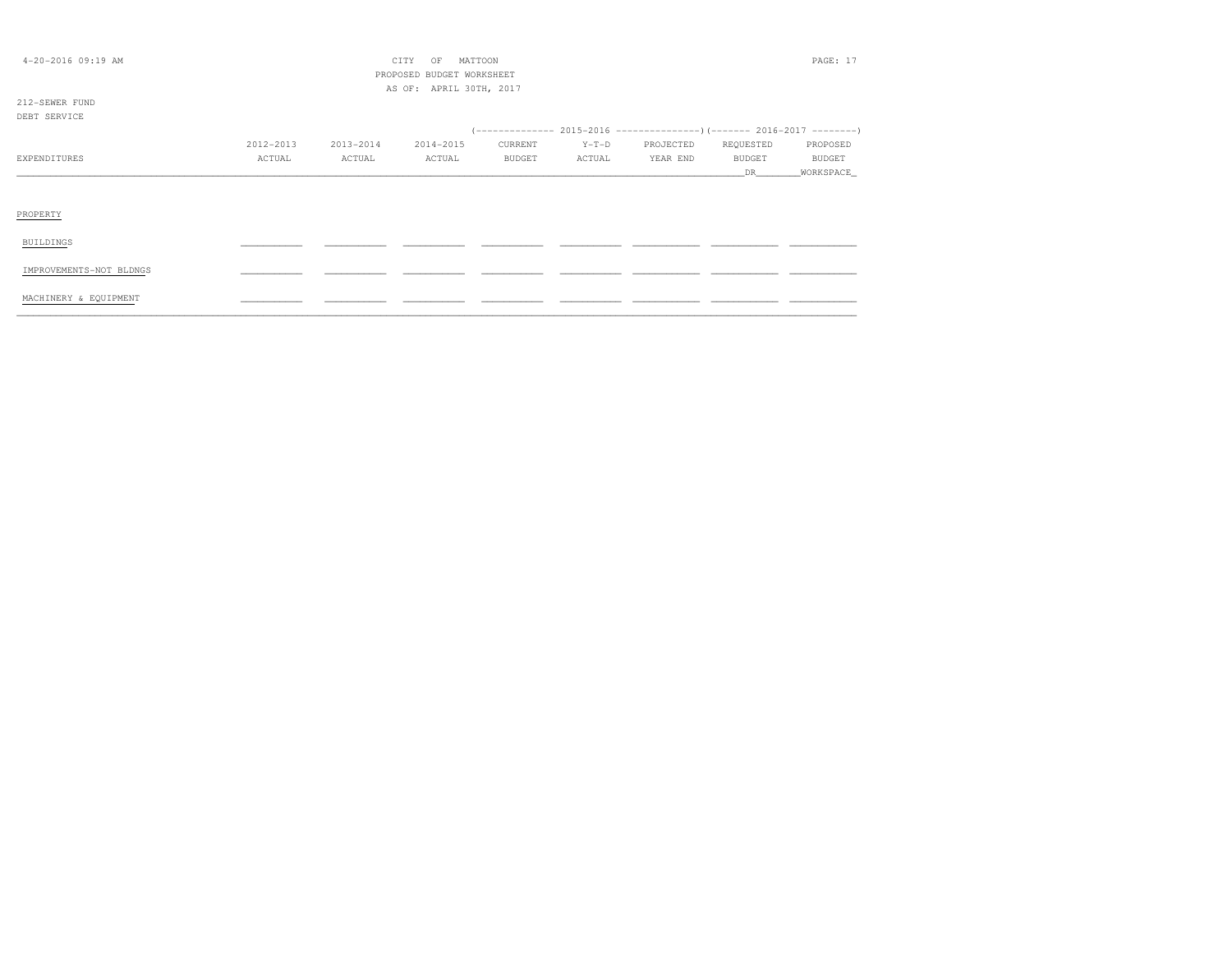| $4 - 20 - 2016$ 09:19 AM |           |           | PAGE: 17  |               |         |           |               |               |
|--------------------------|-----------|-----------|-----------|---------------|---------|-----------|---------------|---------------|
| 212-SEWER FUND           |           |           |           |               |         |           |               |               |
| DEBT SERVICE             |           |           |           |               |         |           |               |               |
|                          |           |           |           |               |         |           |               |               |
|                          | 2012-2013 | 2013-2014 | 2014-2015 | CURRENT       | $Y-T-D$ | PROJECTED | REQUESTED     | PROPOSED      |
| EXPENDITURES             | ACTUAL    | ACTUAL    | ACTUAL    | <b>BUDGET</b> | ACTUAL  | YEAR END  | <b>BUDGET</b> | <b>BUDGET</b> |
|                          |           |           |           |               |         |           | DR.           | _WORKSPACE_   |
|                          |           |           |           |               |         |           |               |               |
| PROPERTY                 |           |           |           |               |         |           |               |               |
| BUILDINGS                |           |           |           |               |         |           |               |               |
| IMPROVEMENTS-NOT BLDNGS  |           |           |           |               |         |           |               |               |
| MACHINERY & EQUIPMENT    |           |           |           |               |         |           |               |               |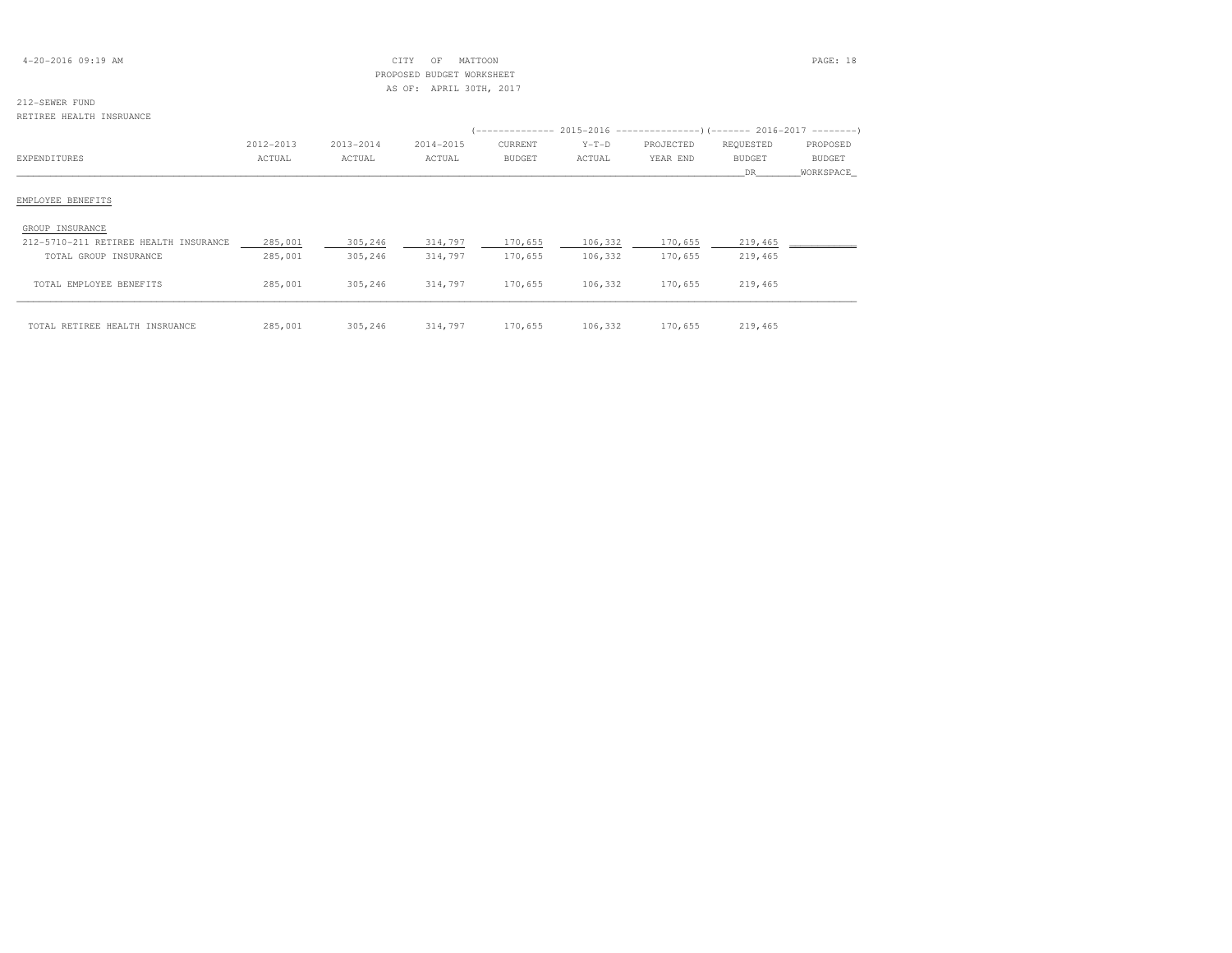| $4 - 20 - 2016$ 09:19 AM |  |  |
|--------------------------|--|--|
|--------------------------|--|--|

## $CITY$  OF MATTOON PAGE: 18 PROPOSED BUDGET WORKSHEETAS OF: APRIL 30TH, 2017

# 212-SEWER FUND

#### RETIREE HEALTH INSRUANCE

|                                       | 2012-2013 | 2013-2014 | 2014-2015 | CURRENT       | $Y-T-D$ | PROJECTED | REQUESTED     | PROPOSED      |
|---------------------------------------|-----------|-----------|-----------|---------------|---------|-----------|---------------|---------------|
| EXPENDITURES                          | ACTUAL    | ACTUAL    | ACTUAL    | <b>BUDGET</b> | ACTUAL  | YEAR END  | <b>BUDGET</b> | <b>BUDGET</b> |
|                                       |           |           |           |               |         |           | DR.           | WORKSPACE_    |
| EMPLOYEE BENEFITS                     |           |           |           |               |         |           |               |               |
| GROUP INSURANCE                       |           |           |           |               |         |           |               |               |
| 212-5710-211 RETIREE HEALTH INSURANCE | 285,001   | 305,246   | 314,797   | 170,655       | 106,332 | 170,655   | 219,465       |               |
| TOTAL GROUP INSURANCE                 | 285,001   | 305,246   | 314,797   | 170,655       | 106,332 | 170,655   | 219,465       |               |
| TOTAL EMPLOYEE BENEFITS               | 285,001   | 305,246   | 314,797   | 170,655       | 106,332 | 170,655   | 219,465       |               |
| TOTAL RETIREE HEALTH INSRUANCE        | 285,001   | 305,246   | 314,797   | 170,655       | 106,332 | 170,655   | 219,465       |               |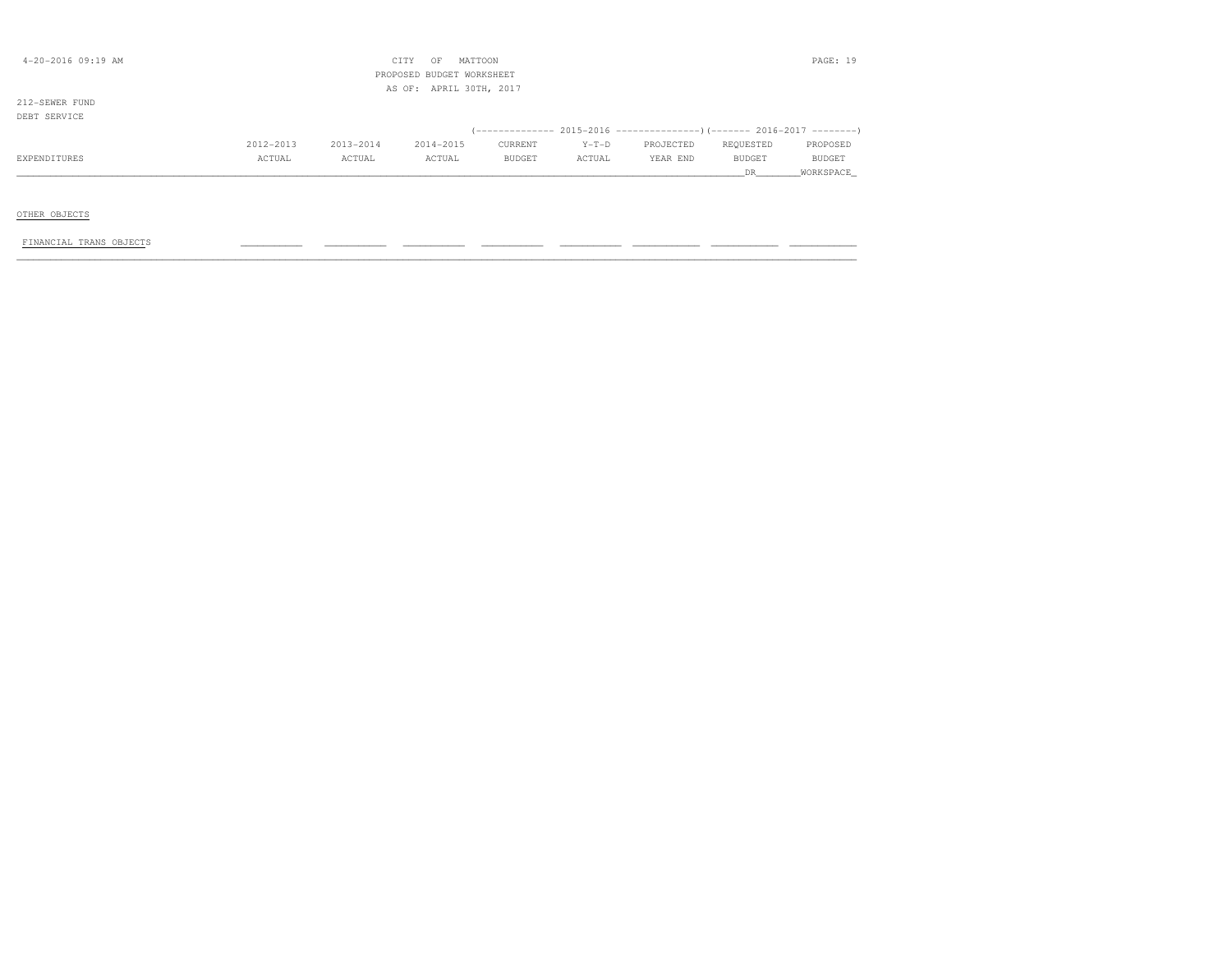| $4 - 20 - 2016$ 09:19 AM       |           |           | CITY<br>MATTOON<br>OF<br>PROPOSED BUDGET WORKSHEET |               |         |                                                                         |           | PAGE: 19  |
|--------------------------------|-----------|-----------|----------------------------------------------------|---------------|---------|-------------------------------------------------------------------------|-----------|-----------|
|                                |           |           | AS OF: APRIL 30TH, 2017                            |               |         |                                                                         |           |           |
| 212-SEWER FUND<br>DEBT SERVICE |           |           |                                                    |               |         |                                                                         |           |           |
|                                |           |           |                                                    |               |         | (-------------- 2015-2016 ---------------) (------- 2016-2017 --------) |           |           |
|                                | 2012-2013 | 2013-2014 | 2014-2015                                          | CURRENT       | $Y-T-D$ | PROJECTED                                                               | REQUESTED | PROPOSED  |
| EXPENDITURES                   | ACTUAL    | ACTUAL    | ACTUAL                                             | <b>BUDGET</b> | ACTUAL  | YEAR END                                                                | BUDGET    | BUDGET    |
|                                |           |           |                                                    |               |         |                                                                         | DR.       | WORKSPACE |
|                                |           |           |                                                    |               |         |                                                                         |           |           |
| OTHER OBJECTS                  |           |           |                                                    |               |         |                                                                         |           |           |
| FINANCIAL TRANS OBJECTS        |           |           |                                                    |               |         |                                                                         |           |           |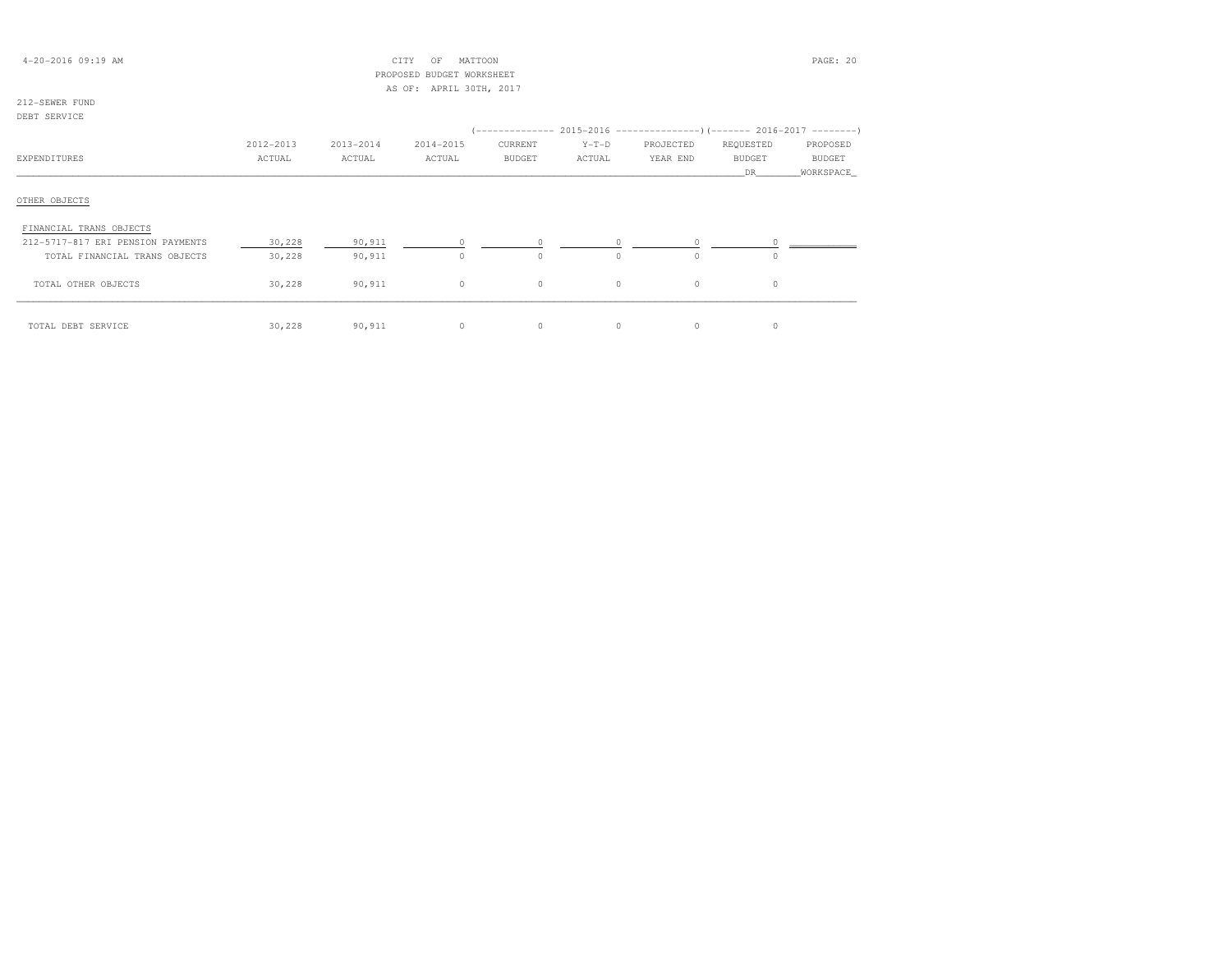| 4-20-2016 09:19 AM                |           |           | MATTOON<br>CITY<br>OF     |               |          |           |               | PAGE: 20  |
|-----------------------------------|-----------|-----------|---------------------------|---------------|----------|-----------|---------------|-----------|
|                                   |           |           | PROPOSED BUDGET WORKSHEET |               |          |           |               |           |
|                                   |           |           | AS OF: APRIL 30TH, 2017   |               |          |           |               |           |
| 212-SEWER FUND                    |           |           |                           |               |          |           |               |           |
| DEBT SERVICE                      |           |           |                           |               |          |           |               |           |
|                                   |           |           |                           |               |          |           |               |           |
|                                   | 2012-2013 | 2013-2014 | 2014-2015                 | CURRENT       | $Y-T-D$  | PROJECTED | REQUESTED     | PROPOSED  |
| EXPENDITURES                      | ACTUAL    | ACTUAL    | ACTUAL                    | <b>BUDGET</b> | ACTUAL   | YEAR END  | <b>BUDGET</b> | BUDGET    |
|                                   |           |           |                           |               |          |           | DR.           | WORKSPACE |
|                                   |           |           |                           |               |          |           |               |           |
| OTHER OBJECTS                     |           |           |                           |               |          |           |               |           |
|                                   |           |           |                           |               |          |           |               |           |
| FINANCIAL TRANS OBJECTS           |           |           |                           |               |          |           |               |           |
| 212-5717-817 ERI PENSION PAYMENTS | 30,228    | 90,911    | $\circ$                   | 0             | $\Omega$ | $\Omega$  | $\Omega$      |           |
| TOTAL FINANCIAL TRANS OBJECTS     | 30,228    | 90,911    | $\circ$                   | $\Omega$      | $\Omega$ | $\Omega$  | $\Omega$      |           |
|                                   |           |           |                           |               |          |           |               |           |
| TOTAL OTHER OBJECTS               | 30,228    | 90,911    | $\circ$                   | $\circ$       | $\circ$  | $\circ$   | $\circ$       |           |
|                                   |           |           |                           |               |          |           |               |           |
|                                   |           |           |                           |               |          |           |               |           |
| TOTAL DEBT SERVICE                | 30,228    | 90,911    | $\circ$                   | $\circ$       | $\circ$  | $\circ$   | 0             |           |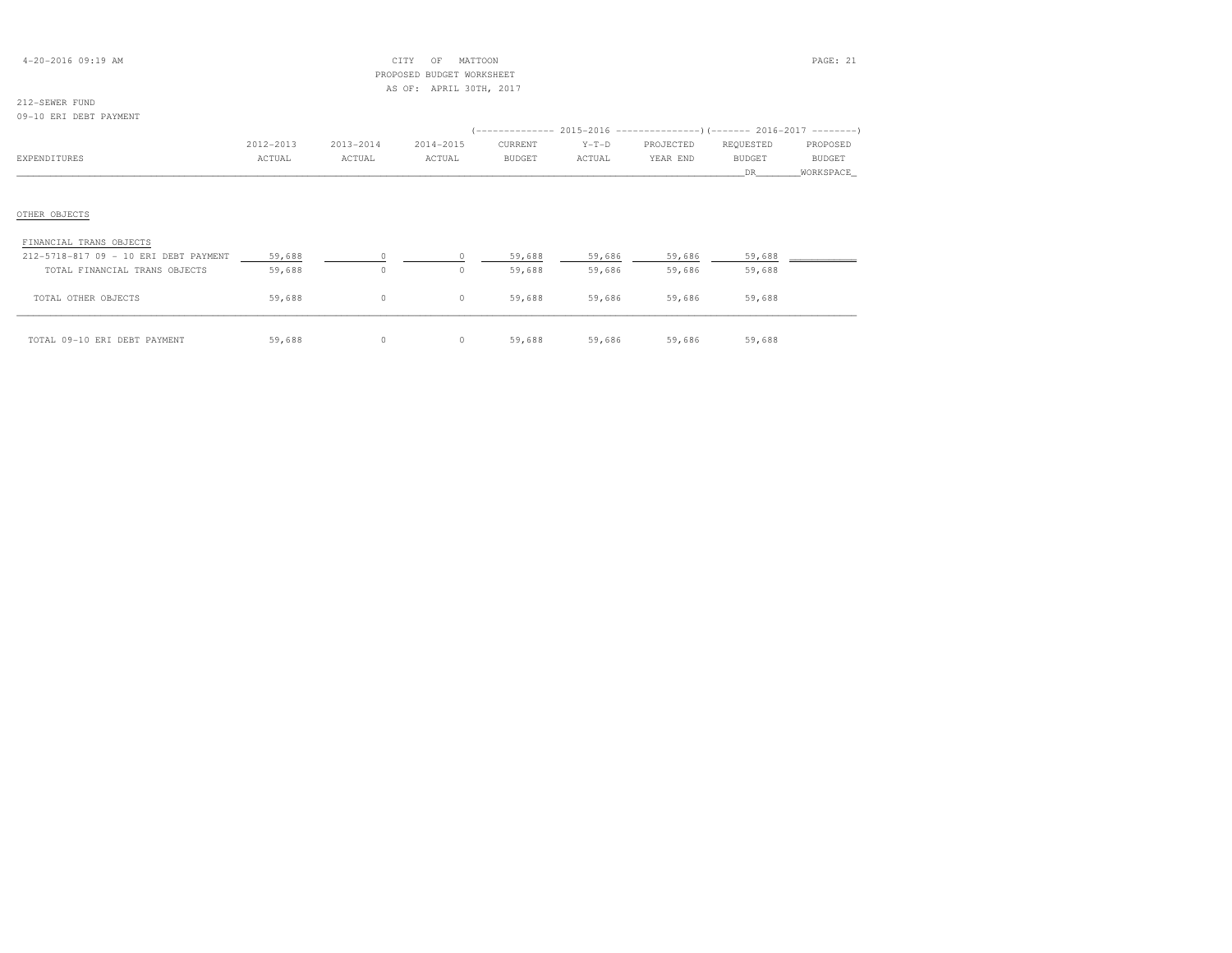| $4 - 20 - 2016$ 09:19 AM |  |  |
|--------------------------|--|--|
|--------------------------|--|--|

## $\text{CITY}$  of MATTOON  $\text{PAGE: } 21$  PROPOSED BUDGET WORKSHEETAS OF: APRIL 30TH, 2017

# 212-SEWER FUND

#### 09-10 ERI DEBT PAYMENT

|                                       |           |           |           | (-------------- 2015-2016 ----------------) (------- 2016-2017 ---------) |         |           |               |               |
|---------------------------------------|-----------|-----------|-----------|---------------------------------------------------------------------------|---------|-----------|---------------|---------------|
|                                       | 2012-2013 | 2013-2014 | 2014-2015 | CURRENT                                                                   | $Y-T-D$ | PROJECTED | REQUESTED     | PROPOSED      |
| EXPENDITURES                          | ACTUAL    | ACTUAL    | ACTUAL    | <b>BUDGET</b>                                                             | ACTUAL  | YEAR END  | <b>BUDGET</b> | <b>BUDGET</b> |
|                                       |           |           |           |                                                                           |         |           | DR            | WORKSPACE     |
|                                       |           |           |           |                                                                           |         |           |               |               |
| OTHER OBJECTS                         |           |           |           |                                                                           |         |           |               |               |
| FINANCIAL TRANS OBJECTS               |           |           |           |                                                                           |         |           |               |               |
| 212-5718-817 09 - 10 ERI DEBT PAYMENT | 59,688    | $\Omega$  |           | 59,688                                                                    | 59,686  | 59,686    | 59,688        |               |
| TOTAL FINANCIAL TRANS OBJECTS         | 59,688    | $\circ$   | $\circ$   | 59,688                                                                    | 59,686  | 59,686    | 59,688        |               |
| TOTAL OTHER OBJECTS                   | 59,688    | $\circ$   | $\circ$   | 59,688                                                                    | 59,686  | 59,686    | 59,688        |               |
| TOTAL 09-10 ERI DEBT PAYMENT          | 59,688    | 0         | $\circ$   | 59,688                                                                    | 59,686  | 59,686    | 59,688        |               |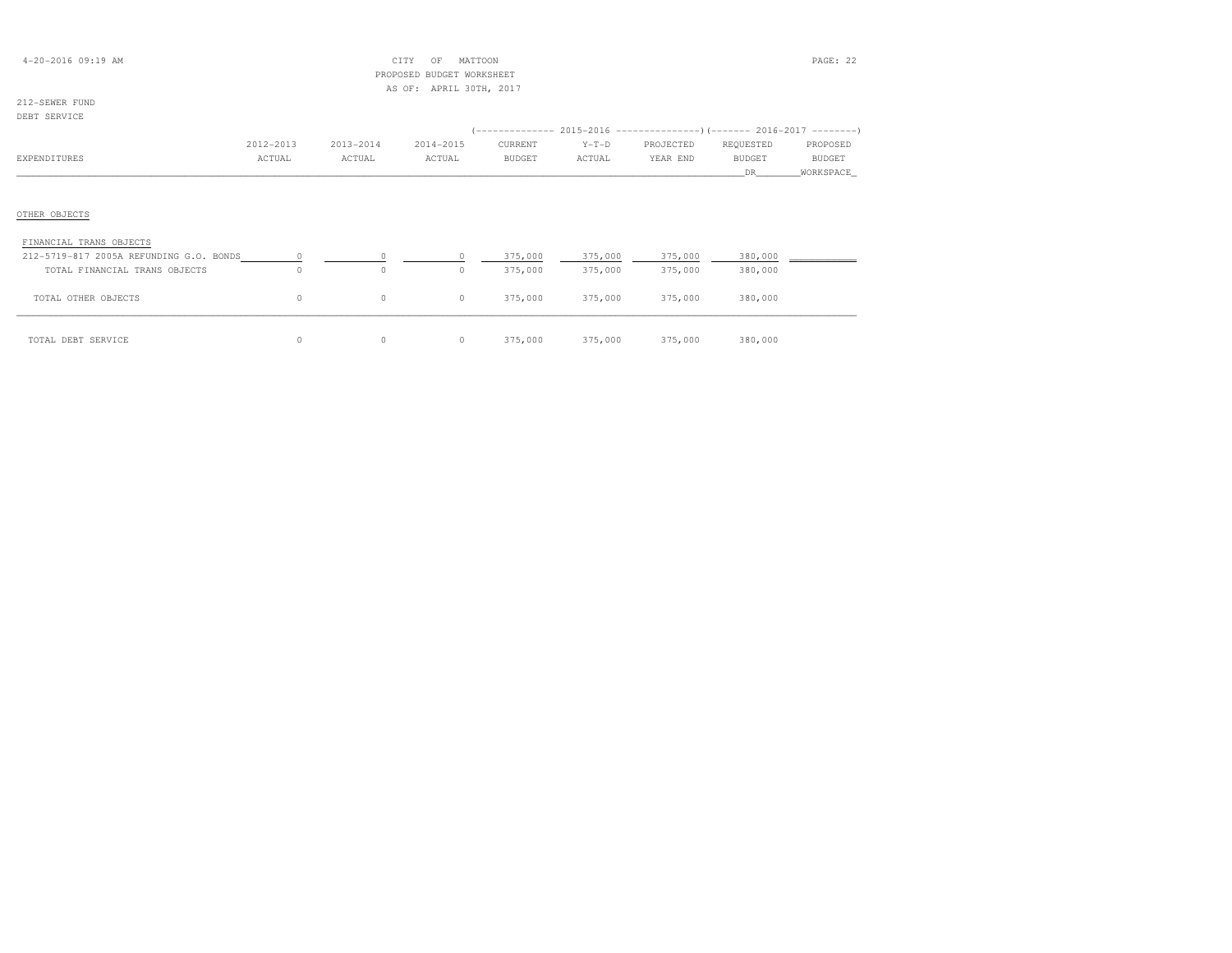| $4 - 20 - 2016$ 09:19 AM |  |  |
|--------------------------|--|--|
|--------------------------|--|--|

## $\text{CITY}$  OF MATTOON PAGE: 22 PROPOSED BUDGET WORKSHEETAS OF: APRIL 30TH, 2017

#### 212-SEWER FUNDDEBT SERVICE

| DER ARIA TAR                            |           |           |           |               |         |           |               |           |
|-----------------------------------------|-----------|-----------|-----------|---------------|---------|-----------|---------------|-----------|
|                                         |           |           |           |               |         |           |               |           |
|                                         | 2012-2013 | 2013-2014 | 2014-2015 | CURRENT       | $Y-T-D$ | PROJECTED | REQUESTED     | PROPOSED  |
| EXPENDITURES                            | ACTUAL    | ACTUAL    | ACTUAL    | <b>BUDGET</b> | ACTUAL  | YEAR END  | <b>BUDGET</b> | BUDGET    |
|                                         |           |           |           |               |         |           | DR.           | WORKSPACE |
| OTHER OBJECTS                           |           |           |           |               |         |           |               |           |
| FINANCIAL TRANS OBJECTS                 |           |           |           |               |         |           |               |           |
| 212-5719-817 2005A REFUNDING G.O. BONDS |           | $\circ$   | $\Omega$  | 375,000       | 375,000 | 375,000   | 380,000       |           |
| TOTAL FINANCIAL TRANS OBJECTS           | $\Omega$  | $\circ$   | $\circ$   | 375,000       | 375,000 | 375,000   | 380,000       |           |
| TOTAL OTHER OBJECTS                     | 0         | $\circ$   | $\circ$   | 375,000       | 375,000 | 375,000   | 380,000       |           |
|                                         |           |           |           |               |         |           |               |           |

| TOTAL DEBT SERVICE |  | 0 375,000 | 375,000 | 375,000 | 380,000 |
|--------------------|--|-----------|---------|---------|---------|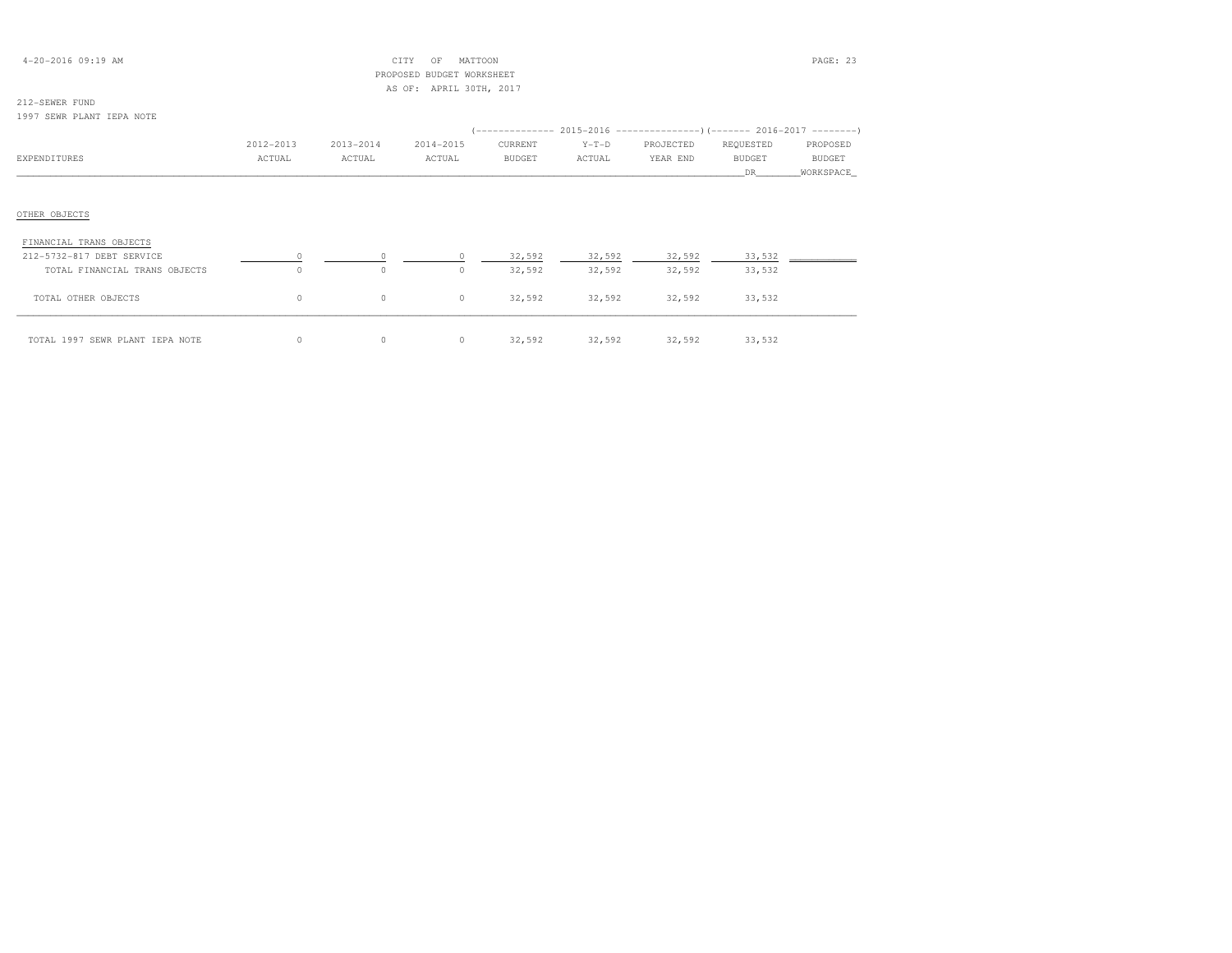## 4-20-2016 09:19 AM CITY OF MATTOON PAGE: 23 PROPOSED BUDGET WORKSHEETAS OF: APRIL 30TH, 2017

# 212-SEWER FUND

## 1997 SEWR PLANT IEPA NOTE

|                                 |           |           |           | (-------------- 2015-2016 ----------------) (------- 2016-2017 --------) |         |           |               |            |
|---------------------------------|-----------|-----------|-----------|--------------------------------------------------------------------------|---------|-----------|---------------|------------|
|                                 | 2012-2013 | 2013-2014 | 2014-2015 | CURRENT                                                                  | $Y-T-D$ | PROJECTED | REQUESTED     | PROPOSED   |
| EXPENDITURES                    | ACTUAL    | ACTUAL    | ACTUAL    | <b>BUDGET</b>                                                            | ACTUAL  | YEAR END  | <b>BUDGET</b> | BUDGET     |
|                                 |           |           |           |                                                                          |         |           | DR.           | WORKSPACE_ |
|                                 |           |           |           |                                                                          |         |           |               |            |
| OTHER OBJECTS                   |           |           |           |                                                                          |         |           |               |            |
| FINANCIAL TRANS OBJECTS         |           |           |           |                                                                          |         |           |               |            |
| 212-5732-817 DEBT SERVICE       |           |           |           | 32,592                                                                   | 32,592  | 32,592    | 33,532        |            |
| TOTAL FINANCIAL TRANS OBJECTS   | $\Omega$  | $\circ$   | 0         | 32,592                                                                   | 32,592  | 32,592    | 33,532        |            |
| TOTAL OTHER OBJECTS             | $\circ$   | $\circ$   | $\circ$   | 32,592                                                                   | 32,592  | 32,592    | 33,532        |            |
| TOTAL 1997 SEWR PLANT IEPA NOTE |           | 0         | $\circ$   | 32,592                                                                   | 32,592  | 32,592    | 33,532        |            |

| OTAL 1997 SEWR PLANT IEPA NOTE |  |  | 32,592 | 32,592 | 32,592 | 33,53 |
|--------------------------------|--|--|--------|--------|--------|-------|
|--------------------------------|--|--|--------|--------|--------|-------|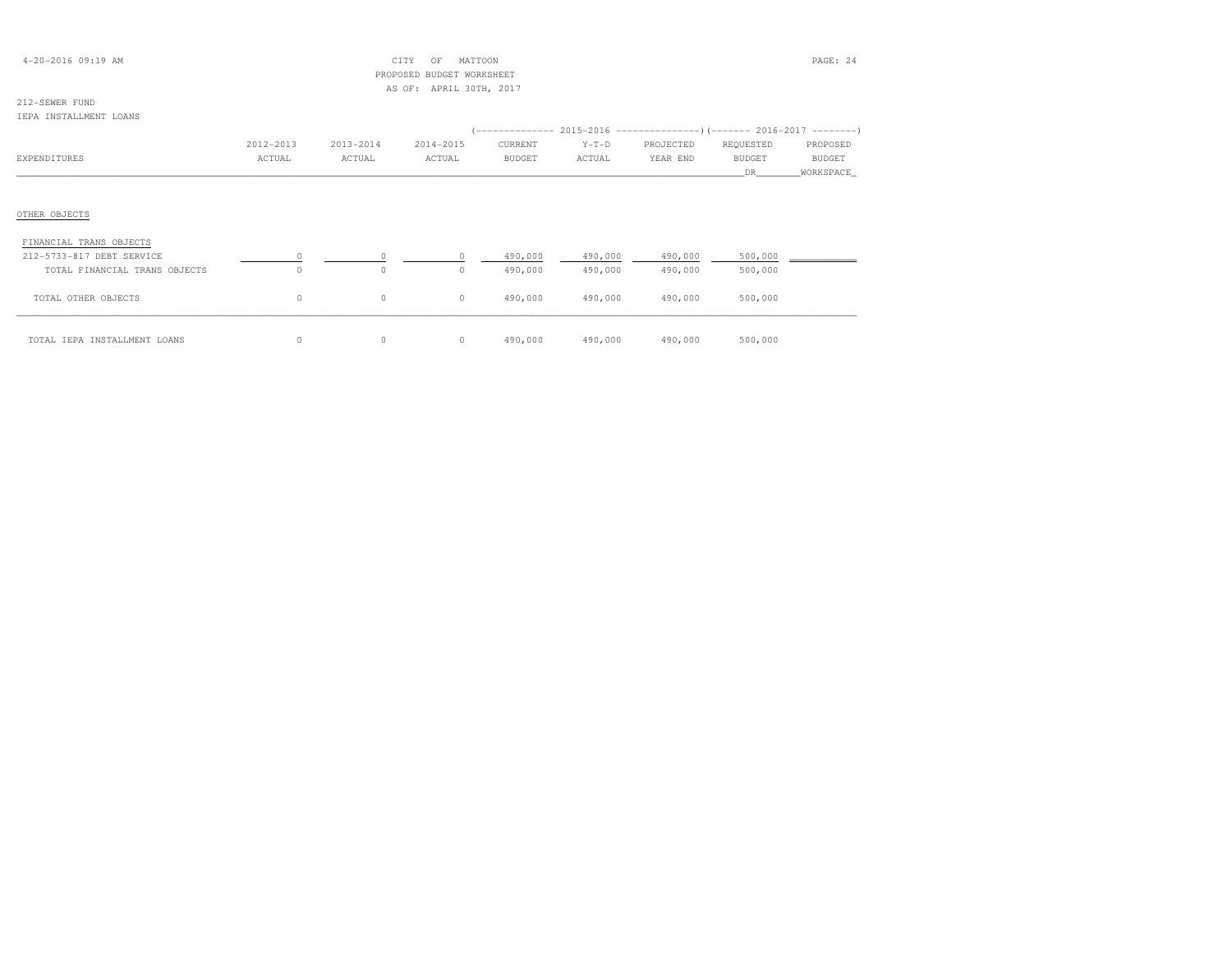| $4 - 20 - 2016$ 09:19 AM |  |  |
|--------------------------|--|--|
|--------------------------|--|--|

## $CITY$  OF MATTOON PAGE: 24 PROPOSED BUDGET WORKSHEETAS OF: APRIL 30TH, 2017

## 212-SEWER FUND

#### IEPA INSTALLMENT LOANS

|                               |           |           |           | (-------------- 2015-2016 --------------------- 2016-2017 --------- ) |         |           |               |               |
|-------------------------------|-----------|-----------|-----------|-----------------------------------------------------------------------|---------|-----------|---------------|---------------|
|                               | 2012-2013 | 2013-2014 | 2014-2015 | CURRENT                                                               | $Y-T-D$ | PROJECTED | REQUESTED     | PROPOSED      |
| EXPENDITURES                  | ACTUAL    | ACTUAL    | ACTUAL    | BUDGET                                                                | ACTUAL  | YEAR END  | <b>BUDGET</b> | <b>BUDGET</b> |
|                               |           |           |           |                                                                       |         |           | DR.           | WORKSPACE     |
|                               |           |           |           |                                                                       |         |           |               |               |
| OTHER OBJECTS                 |           |           |           |                                                                       |         |           |               |               |
| FINANCIAL TRANS OBJECTS       |           |           |           |                                                                       |         |           |               |               |
| 212-5733-817 DEBT SERVICE     |           | $\Omega$  | $\Omega$  | 490,000                                                               | 490,000 | 490,000   | 500,000       |               |
| TOTAL FINANCIAL TRANS OBJECTS | $\circ$   | $\circ$   | $\circ$   | 490,000                                                               | 490,000 | 490,000   | 500,000       |               |
| TOTAL OTHER OBJECTS           | $\circ$   | $\circ$   | $\circ$   | 490,000                                                               | 490,000 | 490,000   | 500,000       |               |
| TOTAL IEPA INSTALLMENT LOANS  | 0         | $\circ$   | $\circ$   | 490,000                                                               | 490,000 | 490,000   | 500,000       |               |

| TAL IEPA INSTALLMENT LOANS |  | 490,000 | 490,000 | 490,000 | 500,000 |
|----------------------------|--|---------|---------|---------|---------|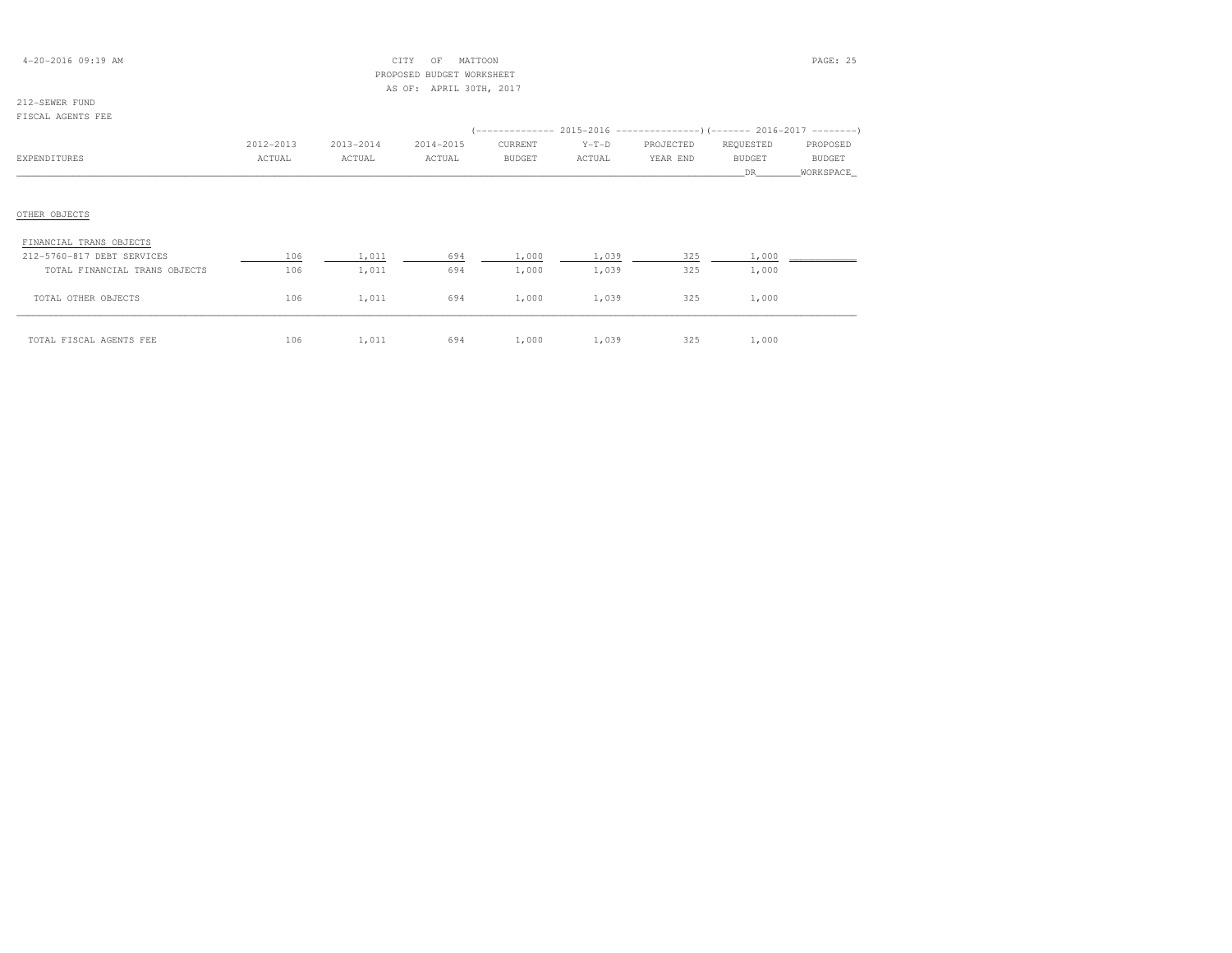| $4 - 20 - 2016$ 09:19 AM |  |
|--------------------------|--|
|--------------------------|--|

## $\text{CHY}$  OF MATTOON **PAGE: 25**  PROPOSED BUDGET WORKSHEETAS OF: APRIL 30TH, 2017

# 212-SEWER FUND

| FISCAL AGENTS FEE             |                     |                     |                     |                          |                   |                       |                                                                                                    |                    |
|-------------------------------|---------------------|---------------------|---------------------|--------------------------|-------------------|-----------------------|----------------------------------------------------------------------------------------------------|--------------------|
| EXPENDITURES                  | 2012-2013<br>ACTUAL | 2013-2014<br>ACTUAL | 2014-2015<br>ACTUAL | CURRENT<br><b>BUDGET</b> | $Y-T-D$<br>ACTUAL | PROJECTED<br>YEAR END | (-------------- 2015-2016 ---------------------- 2016-2017 ---------<br>REQUESTED<br><b>BUDGET</b> | PROPOSED<br>BUDGET |
|                               |                     |                     |                     |                          |                   |                       | DR.                                                                                                | WORKSPACE          |
|                               |                     |                     |                     |                          |                   |                       |                                                                                                    |                    |
| OTHER OBJECTS                 |                     |                     |                     |                          |                   |                       |                                                                                                    |                    |
| FINANCIAL TRANS OBJECTS       |                     |                     |                     |                          |                   |                       |                                                                                                    |                    |
| 212-5760-817 DEBT SERVICES    | 106                 | 1,011               | 694                 | 1,000                    | 1,039             | 325                   | 1,000                                                                                              |                    |
| TOTAL FINANCIAL TRANS OBJECTS | 106                 | 1,011               | 694                 | 1,000                    | 1,039             | 325                   | 1,000                                                                                              |                    |
| TOTAL OTHER OBJECTS           | 106                 | 1,011               | 694                 | 1,000                    | 1,039             | 325                   | 1,000                                                                                              |                    |

| TOTAL FISCAL AGENTS FEE | $1.06$ 1,011 694 1,000 1,039 325 |  |  | 1,000 |
|-------------------------|----------------------------------|--|--|-------|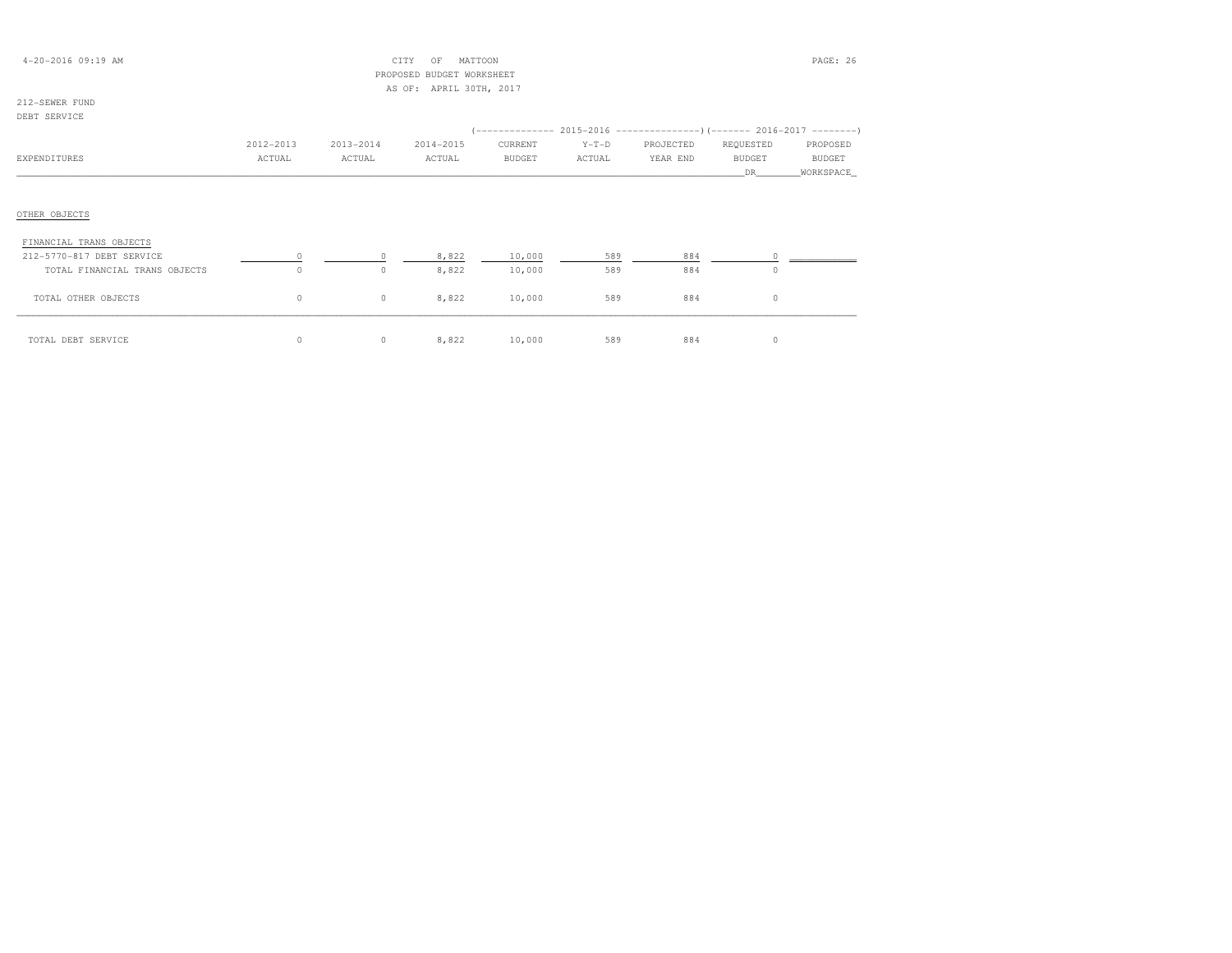| $4 - 20 - 2016$ 09:19 AM |           |           | CITY<br>MATTOON<br>OF     |               |         |                                                                     |               | PAGE: 26      |
|--------------------------|-----------|-----------|---------------------------|---------------|---------|---------------------------------------------------------------------|---------------|---------------|
|                          |           |           | PROPOSED BUDGET WORKSHEET |               |         |                                                                     |               |               |
|                          |           |           | AS OF: APRIL 30TH, 2017   |               |         |                                                                     |               |               |
| 212-SEWER FUND           |           |           |                           |               |         |                                                                     |               |               |
| DEBT SERVICE             |           |           |                           |               |         |                                                                     |               |               |
|                          |           |           |                           |               |         | (-------------- 2015-2016 --------------------- 2016-2017 --------- |               |               |
|                          | 2012-2013 | 2013-2014 | 2014-2015                 | CURRENT       | $Y-T-D$ | PROJECTED                                                           | REQUESTED     | PROPOSED      |
| EXPENDITURES             | ACTUAL    | ACTUAL    | ACTUAL                    | <b>BUDGET</b> | ACTUAL  | YEAR END                                                            | <b>BUDGET</b> | <b>BUDGET</b> |
|                          |           |           |                           |               |         |                                                                     | DR.           | WORKSPACE     |
|                          |           |           |                           |               |         |                                                                     |               |               |
|                          |           |           |                           |               |         |                                                                     |               |               |
| OTHER OBJECTS            |           |           |                           |               |         |                                                                     |               |               |
|                          |           |           |                           |               |         |                                                                     |               |               |
| FINANCIAL TRANS OBJECTS  |           |           |                           |               |         |                                                                     |               |               |

| .<br>212-5770-817 DEBT SERVICE |          | 8,822 | 10,000 | 589 | 884 |  |
|--------------------------------|----------|-------|--------|-----|-----|--|
| TOTAL FINANCIAL TRANS OBJECTS  |          | 8,822 | 10,000 | 589 | 884 |  |
| TOTAL OTHER OBJECTS            | $^{(1)}$ | 8,822 | 10,000 | 589 | 884 |  |
| TOTAL DEBT SERVICE             |          | 8,822 | 10,000 | 589 | 884 |  |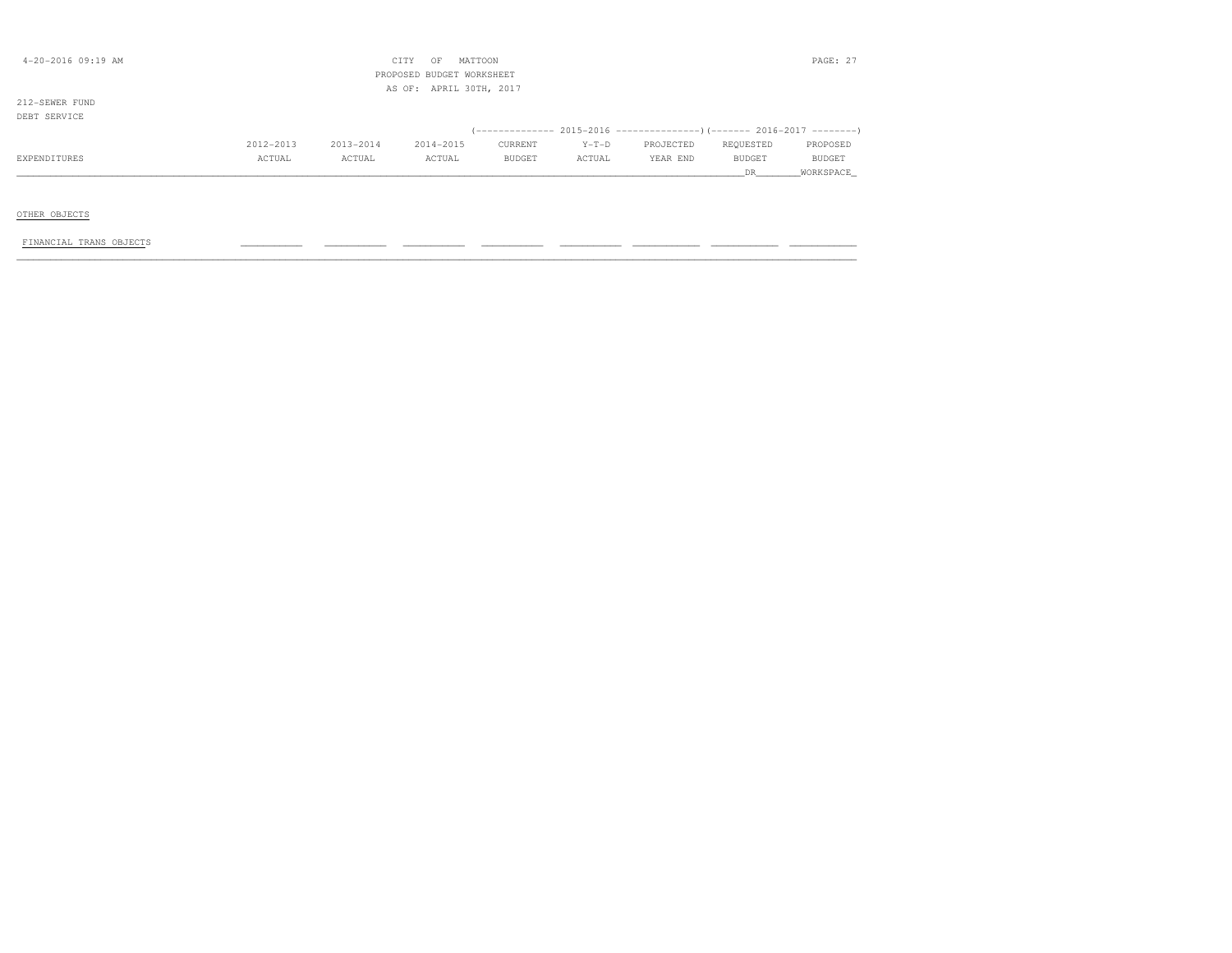| $4 - 20 - 2016$ 09:19 AM |           |           | CITY<br>MATTOON<br>OF<br>PROPOSED BUDGET WORKSHEET |         |         |                                                                     |           | PAGE: 27  |
|--------------------------|-----------|-----------|----------------------------------------------------|---------|---------|---------------------------------------------------------------------|-----------|-----------|
|                          |           |           | AS OF: APRIL 30TH, 2017                            |         |         |                                                                     |           |           |
| 212-SEWER FUND           |           |           |                                                    |         |         |                                                                     |           |           |
| DEBT SERVICE             |           |           |                                                    |         |         |                                                                     |           |           |
|                          |           |           |                                                    |         |         | (------------- 2015-2016 --------------------- 2016-2017 ---------- |           |           |
|                          | 2012-2013 | 2013-2014 | 2014-2015                                          | CURRENT | $Y-T-D$ | PROJECTED                                                           | REQUESTED | PROPOSED  |
| EXPENDITURES             | ACTUAL    | ACTUAL    | ACTUAL                                             | BUDGET  | ACTUAL  | YEAR END                                                            | BUDGET    | BUDGET    |
|                          |           |           |                                                    |         |         |                                                                     | DR        | WORKSPACE |
|                          |           |           |                                                    |         |         |                                                                     |           |           |
|                          |           |           |                                                    |         |         |                                                                     |           |           |
| OTHER OBJECTS            |           |           |                                                    |         |         |                                                                     |           |           |
|                          |           |           |                                                    |         |         |                                                                     |           |           |
| FINANCIAL TRANS OBJECTS  |           |           |                                                    |         |         |                                                                     |           |           |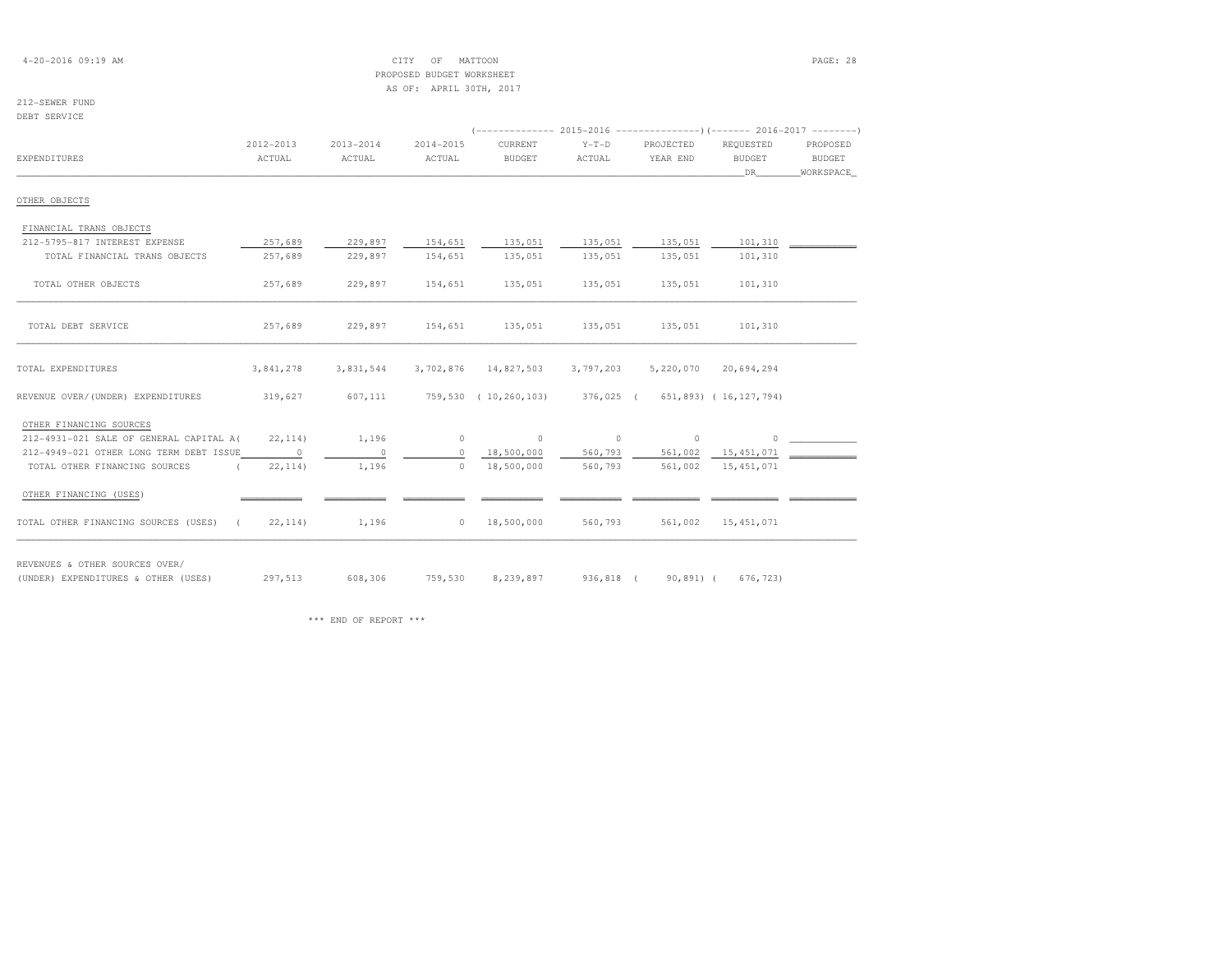4-20-2016 09:19 AM CITY OF MATTOON PAGE: 28 PROPOSED BUDGET WORKSHEETAS OF: APRIL 30TH, 2017

# 212-SEWER FUND

DEBT SERVICE

|                                         |           |           |           | (-------------- 2015-2016 --------------------- 2016-2017 --------- |           |           |                      |                       |
|-----------------------------------------|-----------|-----------|-----------|---------------------------------------------------------------------|-----------|-----------|----------------------|-----------------------|
|                                         | 2012-2013 | 2013-2014 | 2014-2015 | CURRENT                                                             | $Y-T-D$   | PROJECTED | REOUESTED            | PROPOSED              |
| EXPENDITURES                            | ACTUAL    | ACTUAL    | ACTUAL    | <b>BUDGET</b>                                                       | ACTUAL    | YEAR END  | BUDGET               | BUDGET                |
|                                         |           |           |           |                                                                     |           |           | DR —                 | WORKSPACE             |
| OTHER OBJECTS                           |           |           |           |                                                                     |           |           |                      |                       |
| FINANCIAL TRANS OBJECTS                 |           |           |           |                                                                     |           |           |                      |                       |
| 212-5795-817 INTEREST EXPENSE           | 257,689   | 229,897   | 154,651   | 135,051                                                             | 135,051   | 135,051   | 101,310              |                       |
| TOTAL FINANCIAL TRANS OBJECTS           | 257,689   | 229,897   | 154,651   | 135,051                                                             | 135,051   | 135,051   | 101,310              |                       |
| TOTAL OTHER OBJECTS                     | 257,689   | 229,897   | 154,651   | 135,051                                                             | 135,051   | 135,051   | 101,310              |                       |
| TOTAL DEBT SERVICE                      | 257,689   | 229,897   | 154,651   | 135,051                                                             | 135,051   | 135,051   | 101,310              |                       |
| TOTAL EXPENDITURES                      | 3,841,278 | 3,831,544 |           | 3,702,876 14,827,503                                                | 3,797,203 |           | 5,220,070 20,694,294 |                       |
| REVENUE OVER/(UNDER) EXPENDITURES       | 319,627   |           |           | 607,111 759,530 (10,260,103) 376,025 (651,893) (16,127,794)         |           |           |                      |                       |
| OTHER FINANCING SOURCES                 |           |           |           |                                                                     |           |           |                      |                       |
| 212-4931-021 SALE OF GENERAL CAPITAL A( | 22, 114)  | 1,196     |           | $\begin{array}{ccc} 0 & & & 0 \end{array}$                          | $\sim$ 0  | $\circ$   |                      | $\Omega$ and $\Omega$ |
| 212-4949-021 OTHER LONG TERM DEBT ISSUE | $\sim$ 0  | $\sim$ 0  | $\circ$   | 18,500,000                                                          | 560,793   |           |                      |                       |
| TOTAL OTHER FINANCING SOURCES           | 22, 114)  | 1,196     | $\Omega$  | 18,500,000                                                          | 560,793   | 561,002   | 15, 451, 071         |                       |
| OTHER FINANCING (USES)                  |           |           |           |                                                                     |           |           |                      |                       |
| TOTAL OTHER FINANCING SOURCES (USES)    | (22, 114) | 1,196     |           | $0 \qquad 18,500,000$                                               | 560,793   |           | 561,002 15,451,071   |                       |

REVENUES & OTHER SOURCES OVER/

(UNDER) EXPENDITURES & OTHER (USES) 297,513 608,306 759,530 8,239,897 936,818 ( 90,891) ( 676,723)

\*\*\* END OF REPORT \*\*\*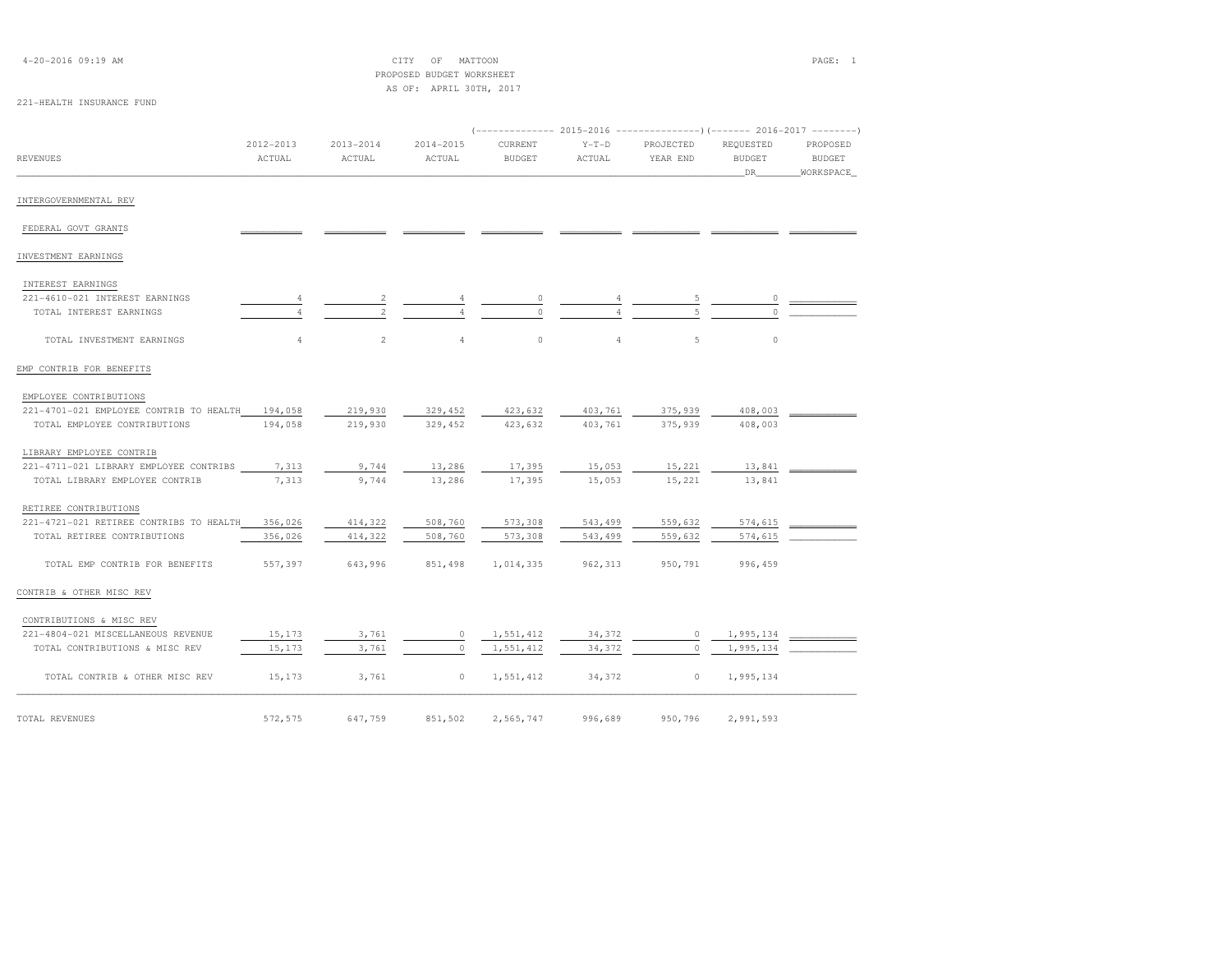| 4-20-2016 09:19 AM                      |                |                | CITY OF MATTOON                                      |               |                |           |               | PAGE: 1       |
|-----------------------------------------|----------------|----------------|------------------------------------------------------|---------------|----------------|-----------|---------------|---------------|
|                                         |                |                | PROPOSED BUDGET WORKSHEET<br>AS OF: APRIL 30TH, 2017 |               |                |           |               |               |
| 221-HEALTH INSURANCE FUND               |                |                |                                                      |               |                |           |               |               |
|                                         |                |                |                                                      |               |                |           |               |               |
|                                         |                |                |                                                      |               |                |           |               |               |
|                                         | $2012 - 2013$  | $2013 - 2014$  | $2014 - 2015$                                        | CURRENT       | $Y-T-D$        | PROJECTED | REQUESTED     | PROPOSED      |
| REVENUES                                | ACTUAL         | ACTUAL         | ACTUAL                                               | <b>BUDGET</b> | ACTUAL         | YEAR END  | <b>BUDGET</b> | <b>BUDGET</b> |
|                                         |                |                |                                                      |               |                |           | _DR_          | WORKSPACE_    |
| INTERGOVERNMENTAL REV                   |                |                |                                                      |               |                |           |               |               |
|                                         |                |                |                                                      |               |                |           |               |               |
| FEDERAL GOVT GRANTS                     |                |                |                                                      |               |                |           |               |               |
| INVESTMENT EARNINGS                     |                |                |                                                      |               |                |           |               |               |
| INTEREST EARNINGS                       |                |                |                                                      |               |                |           |               |               |
| 221-4610-021 INTEREST EARNINGS          |                |                |                                                      |               |                |           |               |               |
| TOTAL INTEREST EARNINGS                 | 4              |                |                                                      |               |                |           |               |               |
|                                         |                |                |                                                      |               |                |           |               |               |
| TOTAL INVESTMENT EARNINGS               | $\overline{4}$ | $\overline{c}$ | $\overline{4}$                                       | $\mathbb O$   | $\overline{4}$ | 5         | $\circ$       |               |
| EMP CONTRIB FOR BENEFITS                |                |                |                                                      |               |                |           |               |               |
| EMPLOYEE CONTRIBUTIONS                  |                |                |                                                      |               |                |           |               |               |
| 221-4701-021 EMPLOYEE CONTRIB TO HEALTH | 194,058        | 219,930        | 329,452                                              | 423,632       | 403,761        | 375,939   | 408,003       |               |
| TOTAL EMPLOYEE CONTRIBUTIONS            | 194,058        | 219,930        | 329,452                                              | 423,632       | 403,761        | 375,939   | 408,003       |               |
|                                         |                |                |                                                      |               |                |           |               |               |
| LIBRARY EMPLOYEE CONTRIB                |                |                |                                                      |               |                |           |               |               |
| 221-4711-021 LIBRARY EMPLOYEE CONTRIBS  | 7,313          | 9,744          | 13,286                                               | 17,395        | 15,053         | 15,221    | 13,841        |               |
| TOTAL LIBRARY EMPLOYEE CONTRIB          | 7,313          | 9,744          | 13,286                                               | 17,395        | 15,053         | 15,221    | 13,841        |               |
| RETIREE CONTRIBUTIONS                   |                |                |                                                      |               |                |           |               |               |
| 221-4721-021 RETIREE CONTRIBS TO HEALTH | 356,026        | 414,322        | 508,760                                              | 573,308       | 543,499        | 559,632   | 574,615       |               |
| TOTAL RETIREE CONTRIBUTIONS             | 356,026        | 414,322        | 508,760                                              | 573,308       | 543,499        | 559,632   | 574,615       |               |
| TOTAL EMP CONTRIB FOR BENEFITS          | 557,397        | 643,996        | 851,498                                              | 1,014,335     | 962, 313       | 950,791   | 996,459       |               |
| CONTRIB & OTHER MISC REV                |                |                |                                                      |               |                |           |               |               |
|                                         |                |                |                                                      |               |                |           |               |               |
| CONTRIBUTIONS & MISC REV                |                |                |                                                      |               |                |           |               |               |
| 221-4804-021 MISCELLANEOUS REVENUE      | 15,173         | 3,761          | $\circ$                                              | 1,551,412     | 34,372         | $\circ$   | 1,995,134     |               |
| TOTAL CONTRIBUTIONS & MISC REV          | 15,173         | 3,761          | $\circ$                                              | 1,551,412     | 34,372         | $\circ$   | 1,995,134     |               |
| TOTAL CONTRIB & OTHER MISC REV          | 15,173         | 3,761          | $\circ$                                              | 1,551,412     | 34,372         | $\circ$   | 1,995,134     |               |
|                                         |                |                |                                                      |               |                |           |               |               |
| TOTAL REVENUES                          | 572,575        | 647,759        | 851,502                                              | 2,565,747     | 996,689        | 950,796   | 2,991,593     |               |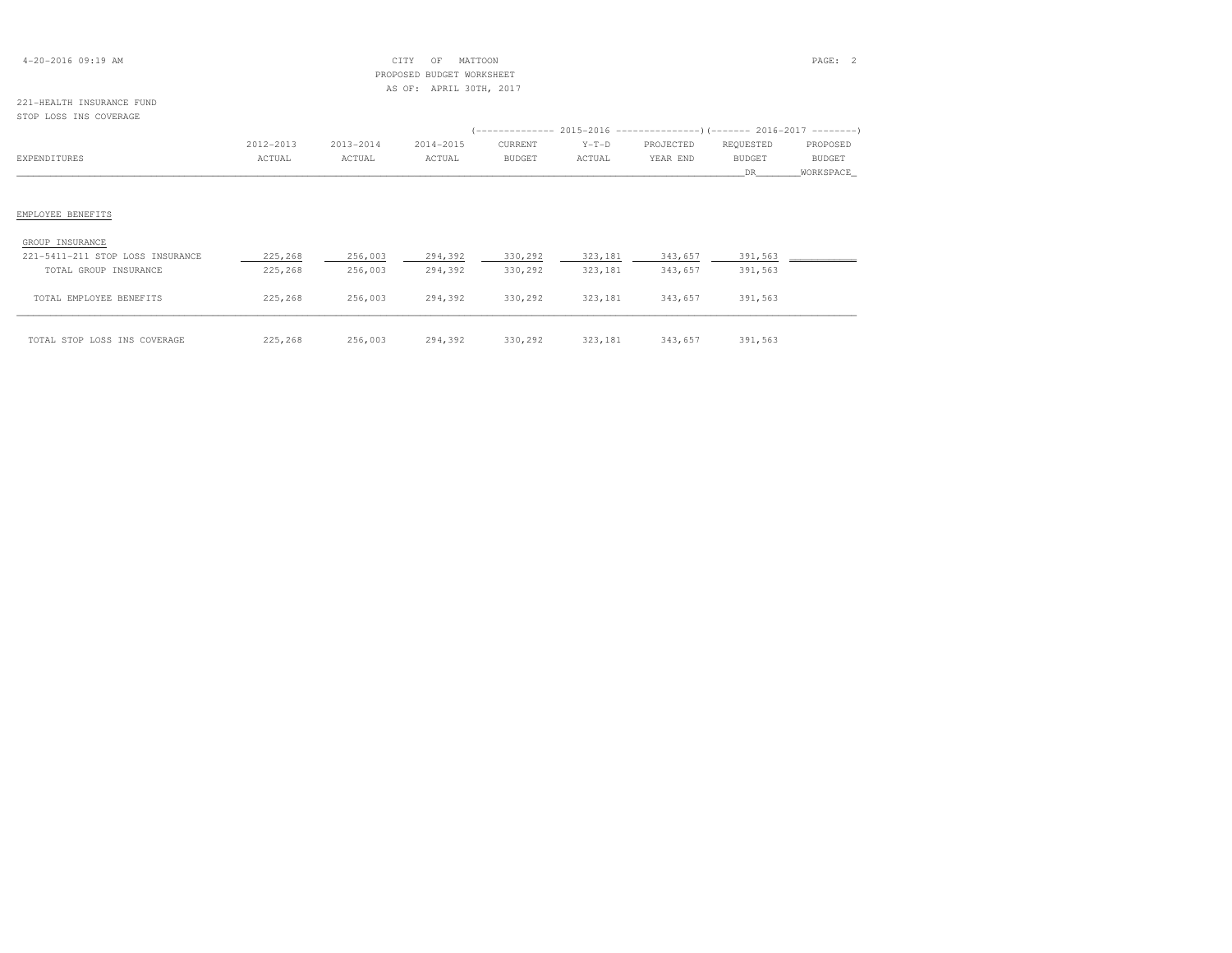| $4 - 20 - 2016$ 09:19 AM |  |  |
|--------------------------|--|--|
|--------------------------|--|--|

## 4-20-2016 09:19 AM CITY OF MATTOON PAGE: 2 PROPOSED BUDGET WORKSHEETAS OF: APRIL 30TH, 2017

#### 221-HEALTH INSURANCE FUNDSTOP LOSS INS COVERAGE

|                                  |           |           |                 |         |         | $(---------- 2015-2016$ ---------------) (------- 2016-2017 -------) |           |           |
|----------------------------------|-----------|-----------|-----------------|---------|---------|----------------------------------------------------------------------|-----------|-----------|
|                                  | 2012-2013 | 2013-2014 | 2014-2015       | CURRENT | $Y-T-D$ | PROJECTED                                                            | REQUESTED | PROPOSED  |
| EXPENDITURES                     | ACTUAL    | ACTUAL    | ACTUAL          | BUDGET  | ACTUAL  | YEAR END                                                             | BUDGET    | BUDGET    |
|                                  |           |           |                 |         |         |                                                                      | DR 1      | WORKSPACE |
|                                  |           |           |                 |         |         |                                                                      |           |           |
| EMPLOYEE BENEFITS                |           |           |                 |         |         |                                                                      |           |           |
| GROUP INSURANCE                  |           |           |                 |         |         |                                                                      |           |           |
| 221-5411-211 STOP LOSS INSURANCE | 225,268   | 256,003   | 294,392         | 330,292 | 323,181 | 343,657                                                              | 391,563   |           |
| TOTAL GROUP INSURANCE            | 225,268   | 256,003   | 294,392         | 330,292 | 323,181 | 343,657                                                              | 391,563   |           |
| TOTAL EMPLOYEE BENEFITS          | 225,268   |           | 256,003 294,392 |         |         | 330,292 323,181 343,657                                              | 391,563   |           |
| TOTAL STOP LOSS INS COVERAGE     | 225,268   | 256,003   | 294,392         | 330,292 | 323,181 | 343,657                                                              | 391,563   |           |

| OTAL STOP LOSS INS COVERAGE | 225,268 | 256,003 | 294,392 | 330,292 | 323,181 | 343,657 | 391,563 |
|-----------------------------|---------|---------|---------|---------|---------|---------|---------|
|-----------------------------|---------|---------|---------|---------|---------|---------|---------|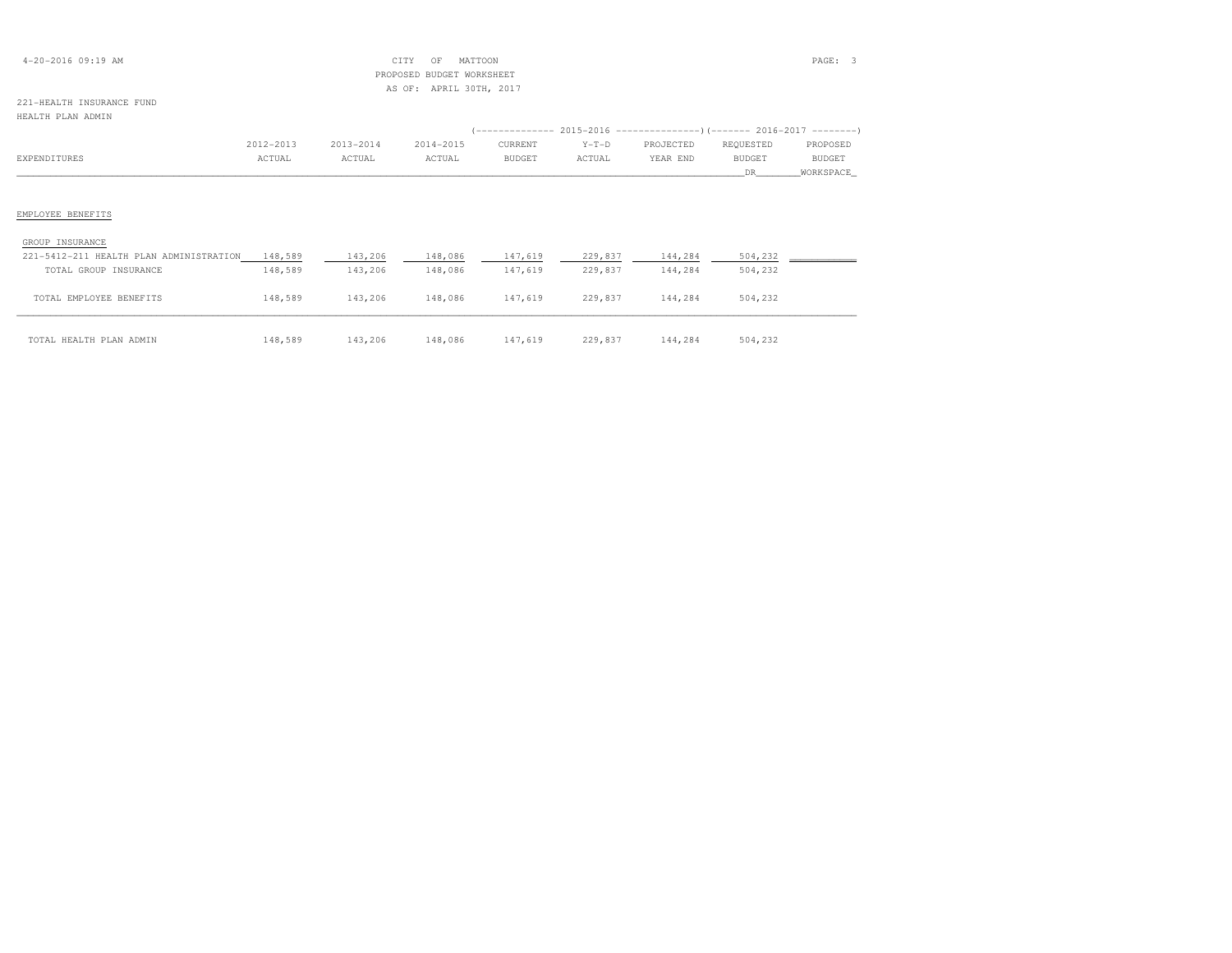| $4 - 20 - 2016$ 09:19 AM |  |  |
|--------------------------|--|--|
|--------------------------|--|--|

## 4-20-2016 09:19 AM CITY OF MATTOON PAGE: 3 PROPOSED BUDGET WORKSHEETAS OF: APRIL 30TH, 2017

#### 221-HEALTH INSURANCE FUNDHEALTH PLAN ADMIN

| ABABIA FEAN ADMIN                       |           |           |           |                                                                      |         |           |               |               |
|-----------------------------------------|-----------|-----------|-----------|----------------------------------------------------------------------|---------|-----------|---------------|---------------|
|                                         |           |           |           | (-------------- 2015-2016 ---------------------- 2016-2017 --------- |         |           |               |               |
|                                         | 2012-2013 | 2013-2014 | 2014-2015 | CURRENT                                                              | $Y-T-D$ | PROJECTED | REQUESTED     | PROPOSED      |
| EXPENDITURES                            | ACTUAL    | ACTUAL    | ACTUAL    | <b>BUDGET</b>                                                        | ACTUAL  | YEAR END  | <b>BUDGET</b> | <b>BUDGET</b> |
|                                         |           |           |           |                                                                      |         |           | DR.           | WORKSPACE     |
|                                         |           |           |           |                                                                      |         |           |               |               |
| EMPLOYEE BENEFITS                       |           |           |           |                                                                      |         |           |               |               |
| GROUP INSURANCE                         |           |           |           |                                                                      |         |           |               |               |
| 221-5412-211 HEALTH PLAN ADMINISTRATION | 148,589   | 143,206   | 148,086   | 147,619                                                              | 229,837 | 144,284   | 504,232       |               |
| TOTAL GROUP INSURANCE                   | 148,589   | 143,206   | 148,086   | 147,619                                                              | 229,837 | 144,284   | 504,232       |               |
| TOTAL EMPLOYEE BENEFITS                 | 148,589   | 143,206   | 148,086   | 147,619                                                              | 229,837 | 144,284   | 504,232       |               |
| TOTAL HEALTH PLAN ADMIN                 | 148,589   | 143,206   | 148,086   | 147,619                                                              | 229,837 | 144,284   | 504,232       |               |

| TAL HEALTH PLAN ADMIN | 148,589 | 143,206 | 148,086 | 147,619 | 229,837 | 144,284 | 504,23 |
|-----------------------|---------|---------|---------|---------|---------|---------|--------|
|-----------------------|---------|---------|---------|---------|---------|---------|--------|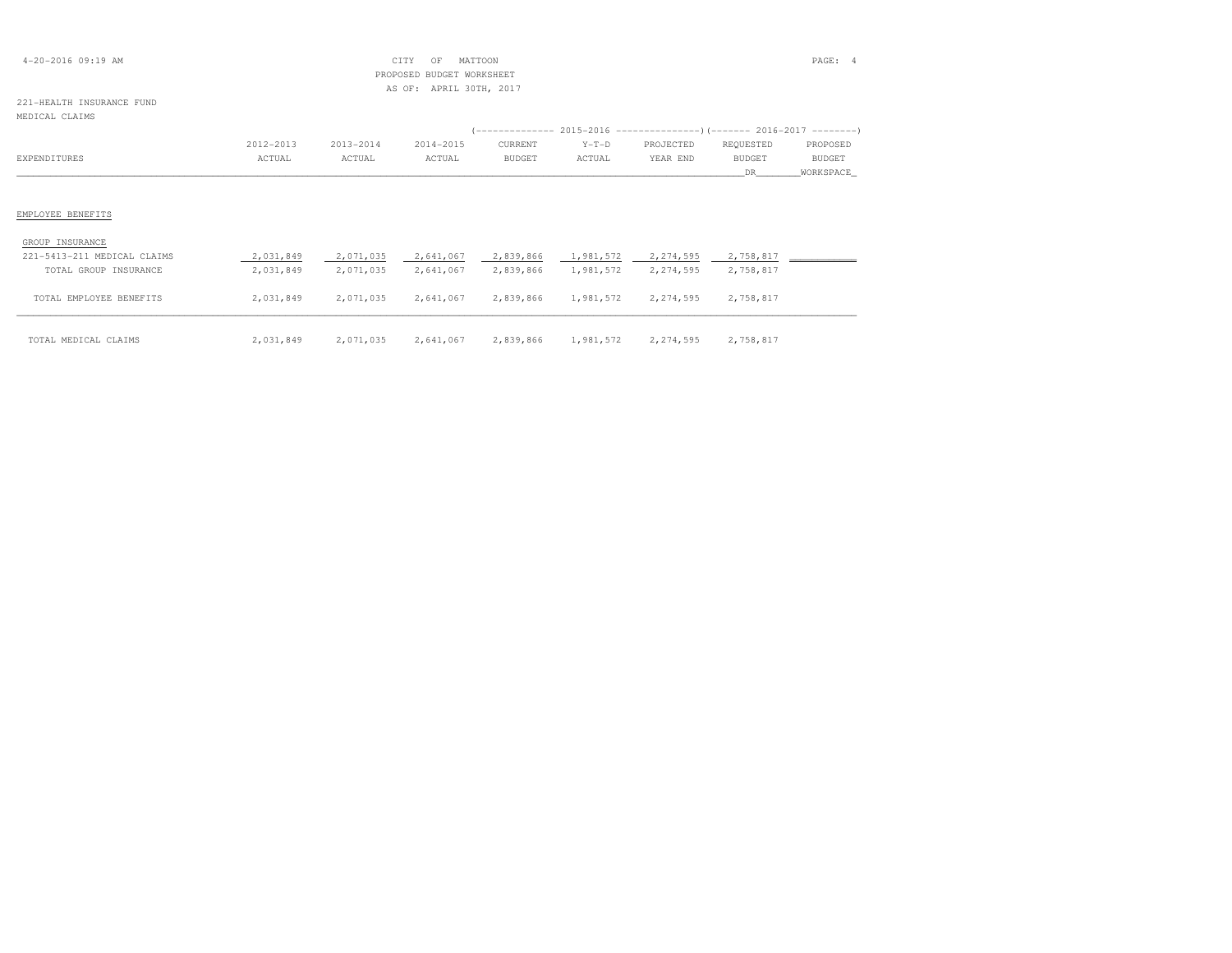| $4 - 20 - 2016$ 09:19 AM  |                         |           | CITY<br>OF                | MATTOON |         |                                                                       |           | PAGE: 4       |  |  |  |  |
|---------------------------|-------------------------|-----------|---------------------------|---------|---------|-----------------------------------------------------------------------|-----------|---------------|--|--|--|--|
|                           |                         |           | PROPOSED BUDGET WORKSHEET |         |         |                                                                       |           |               |  |  |  |  |
|                           | AS OF: APRIL 30TH, 2017 |           |                           |         |         |                                                                       |           |               |  |  |  |  |
| 221-HEALTH INSURANCE FUND |                         |           |                           |         |         |                                                                       |           |               |  |  |  |  |
| MEDICAL CLAIMS            |                         |           |                           |         |         |                                                                       |           |               |  |  |  |  |
|                           |                         |           |                           |         |         | (-------------- 2015-2016 --------------------- 2016-2017 --------- ) |           |               |  |  |  |  |
|                           | 2012-2013               | 2013-2014 | 2014-2015                 | CURRENT | $Y-T-D$ | PROJECTED                                                             | REQUESTED | PROPOSED      |  |  |  |  |
| EXPENDITURES              | ACTUAL                  | ACTUAL    | ACTUAL                    | BUDGET  | ACTUAL  | YEAR END                                                              | BUDGET    | <b>BUDGET</b> |  |  |  |  |
|                           |                         |           |                           |         |         |                                                                       | DR.       | WORKSPACE     |  |  |  |  |
|                           |                         |           |                           |         |         |                                                                       |           |               |  |  |  |  |
|                           |                         |           |                           |         |         |                                                                       |           |               |  |  |  |  |

## EMPLOYEE BENEFITS

| GROUP INSURANCE             |           |           |                                         |  |           |
|-----------------------------|-----------|-----------|-----------------------------------------|--|-----------|
| 221-5413-211 MEDICAL CLAIMS | 2,031,849 | 2,071,035 | 2,641,067 2,839,866 1,981,572 2,274,595 |  | 2,758,817 |
| TOTAL GROUP INSURANCE       | 2,031,849 | 2,071,035 | 2,641,067 2,839,866 1,981,572 2,274,595 |  | 2,758,817 |

| TOTAL MEDICAL CLAIMS    | 2,031,849 | 2,071,035 | 2,641,067 | 2,839,866 | 1,981,572 | 2,274,595 | 2,758,817 |  |
|-------------------------|-----------|-----------|-----------|-----------|-----------|-----------|-----------|--|
| TOTAL EMPLOYEE BENEFITS | 2,031,849 | 2,071,035 | 2,641,067 | 2,839,866 | 1,981,572 | 2,274,595 | 2,758,817 |  |
| TOTAL GROUP INSURANCE   | 2,031,849 | 2,071,035 | 2,641,067 | 2,839,866 | 1,981,572 | 2,274,595 | 2,758,817 |  |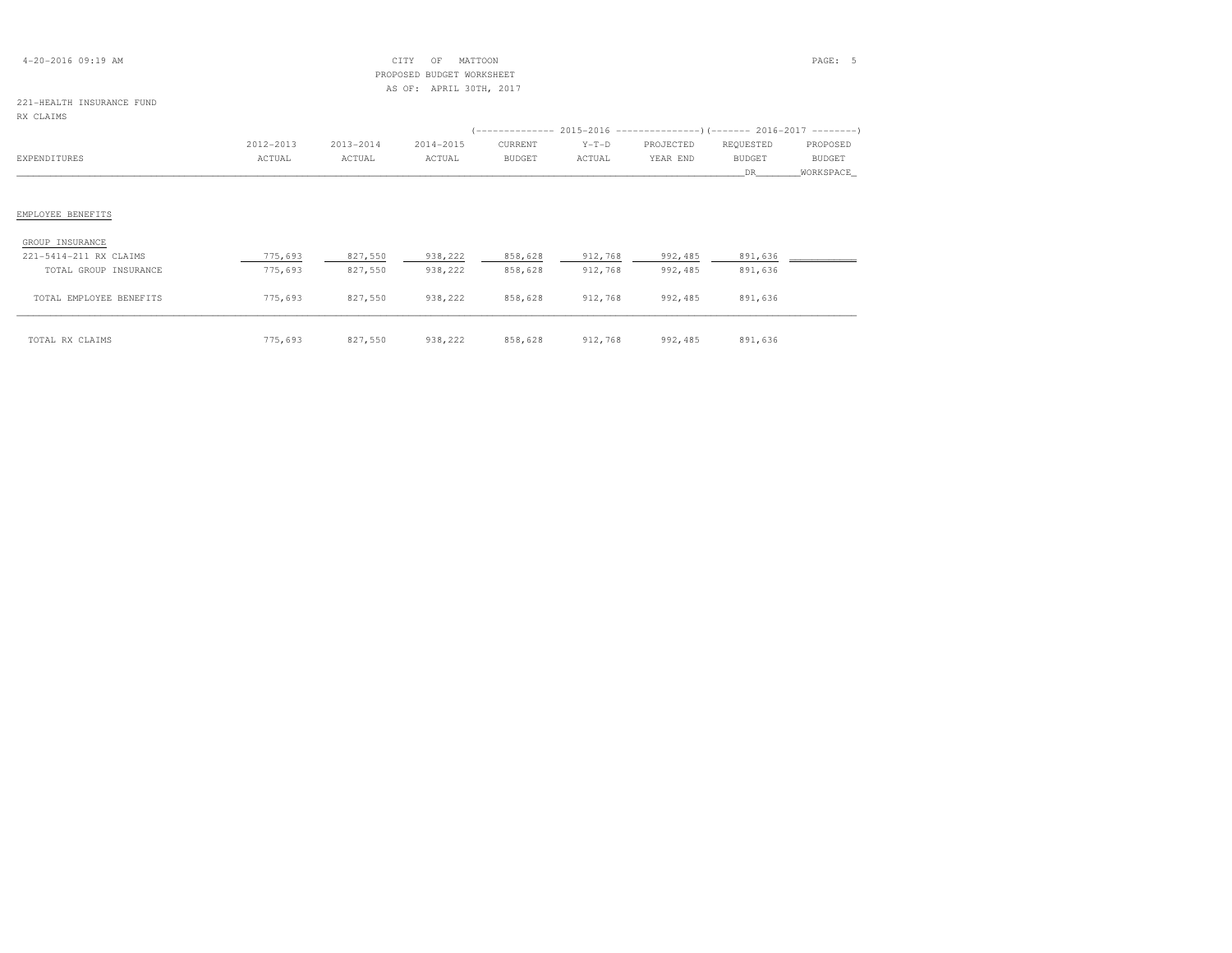| $4 - 20 - 2016$ 09:19 AM  |           |           | CITY<br>OF                | MATTOON       |         |           |               | PAGE: 5       |
|---------------------------|-----------|-----------|---------------------------|---------------|---------|-----------|---------------|---------------|
|                           |           |           | PROPOSED BUDGET WORKSHEET |               |         |           |               |               |
|                           |           |           | AS OF: APRIL 30TH, 2017   |               |         |           |               |               |
| 221-HEALTH INSURANCE FUND |           |           |                           |               |         |           |               |               |
| RX CLAIMS                 |           |           |                           |               |         |           |               |               |
|                           |           |           |                           |               |         |           |               |               |
|                           | 2012-2013 | 2013-2014 | 2014-2015                 | CURRENT       | $Y-T-D$ | PROJECTED | REQUESTED     | PROPOSED      |
| EXPENDITURES              | ACTUAL    | ACTUAL    | ACTUAL                    | <b>BUDGET</b> | ACTUAL  | YEAR END  | <b>BUDGET</b> | <b>BUDGET</b> |
|                           |           |           |                           |               |         |           | DR.           | WORKSPACE     |
|                           |           |           |                           |               |         |           |               |               |
|                           |           |           |                           |               |         |           |               |               |
| EMPLOYEE BENEFITS         |           |           |                           |               |         |           |               |               |
| GROUP INSURANCE           |           |           |                           |               |         |           |               |               |

| 221-5414-211 RX CLAIMS  | 775,693 | 827,550 | 938,222 | 858,628 | 912,768 | 992,485 | 891,636 |  |
|-------------------------|---------|---------|---------|---------|---------|---------|---------|--|
| TOTAL GROUP INSURANCE   | 775,693 | 827,550 | 938,222 | 858,628 | 912,768 | 992,485 | 891,636 |  |
| TOTAL EMPLOYEE BENEFITS | 775,693 | 827,550 | 938,222 | 858,628 | 912,768 | 992,485 | 891,636 |  |
| TOTAL RX CLAIMS         | 775,693 | 827,550 | 938,222 | 858,628 | 912,768 | 992,485 | 891,636 |  |

| CLAIMS | 5.693<br>ワワロ | 827,550 | 938,222 | 858,628 | 912,768 | 992,485 | QQ1<br>0.71 |
|--------|--------------|---------|---------|---------|---------|---------|-------------|
|--------|--------------|---------|---------|---------|---------|---------|-------------|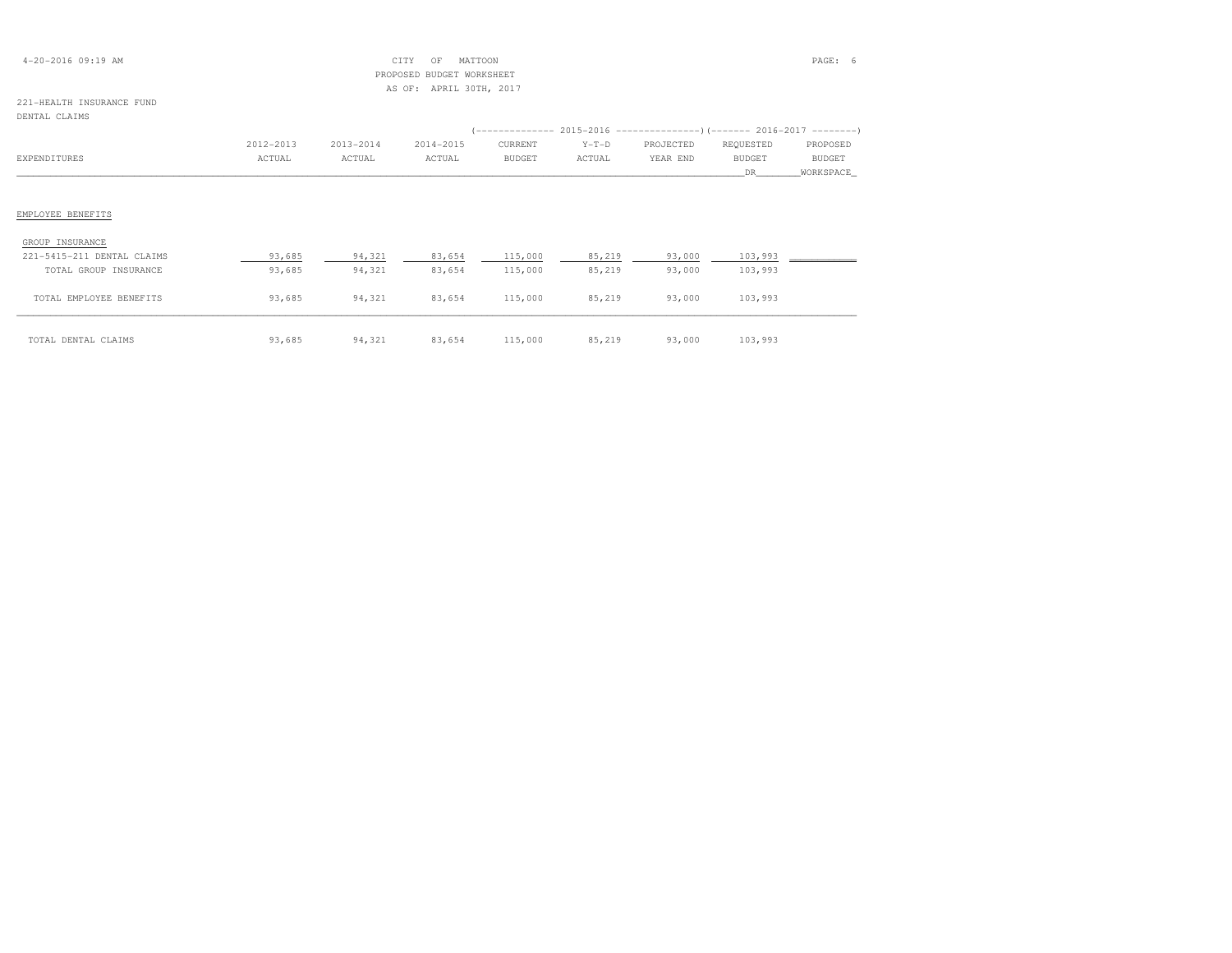| $4 - 20 - 2016$ 09:19 AM |  |  |
|--------------------------|--|--|
|--------------------------|--|--|

## $\begin{array}{ccc} \text{CITY} & \text{OF} & \text{MATION} \end{array}$  PROPOSED BUDGET WORKSHEETAS OF: APRIL 30TH, 2017

#### 221-HEALTH INSURANCE FUNDDENTAL CLAIMS

|                                               |           |           |           |               |         | (-------------- 2015-2016 --------------------- 2016-2017 --------- ) |               |               |
|-----------------------------------------------|-----------|-----------|-----------|---------------|---------|-----------------------------------------------------------------------|---------------|---------------|
|                                               | 2012-2013 | 2013-2014 | 2014-2015 | CURRENT       | $Y-T-D$ | PROJECTED                                                             | REQUESTED     | PROPOSED      |
| EXPENDITURES                                  | ACTUAL    | ACTUAL    | ACTUAL    | <b>BUDGET</b> | ACTUAL  | YEAR END                                                              | <b>BUDGET</b> | <b>BUDGET</b> |
|                                               |           |           |           |               |         |                                                                       | DR.           | WORKSPACE     |
|                                               |           |           |           |               |         |                                                                       |               |               |
|                                               |           |           |           |               |         |                                                                       |               |               |
|                                               |           |           |           |               |         |                                                                       |               |               |
| EMPLOYEE BENEFITS                             |           |           |           |               |         |                                                                       |               |               |
| GROUP INSURANCE<br>221-5415-211 DENTAL CLAIMS | 93,685    | 94,321    | 83,654    | 115,000       | 85,219  | 93,000                                                                | 103,993       |               |
| TOTAL GROUP INSURANCE                         | 93,685    | 94,321    | 83,654    | 115,000       | 85,219  | 93,000                                                                | 103,993       |               |

| TOTAL DENTAL<br>. CLATMS<br>------- | ,3,685 | 94,321 | 83,654 | 115,000 | 85,219 | 93,000 | 103993 |
|-------------------------------------|--------|--------|--------|---------|--------|--------|--------|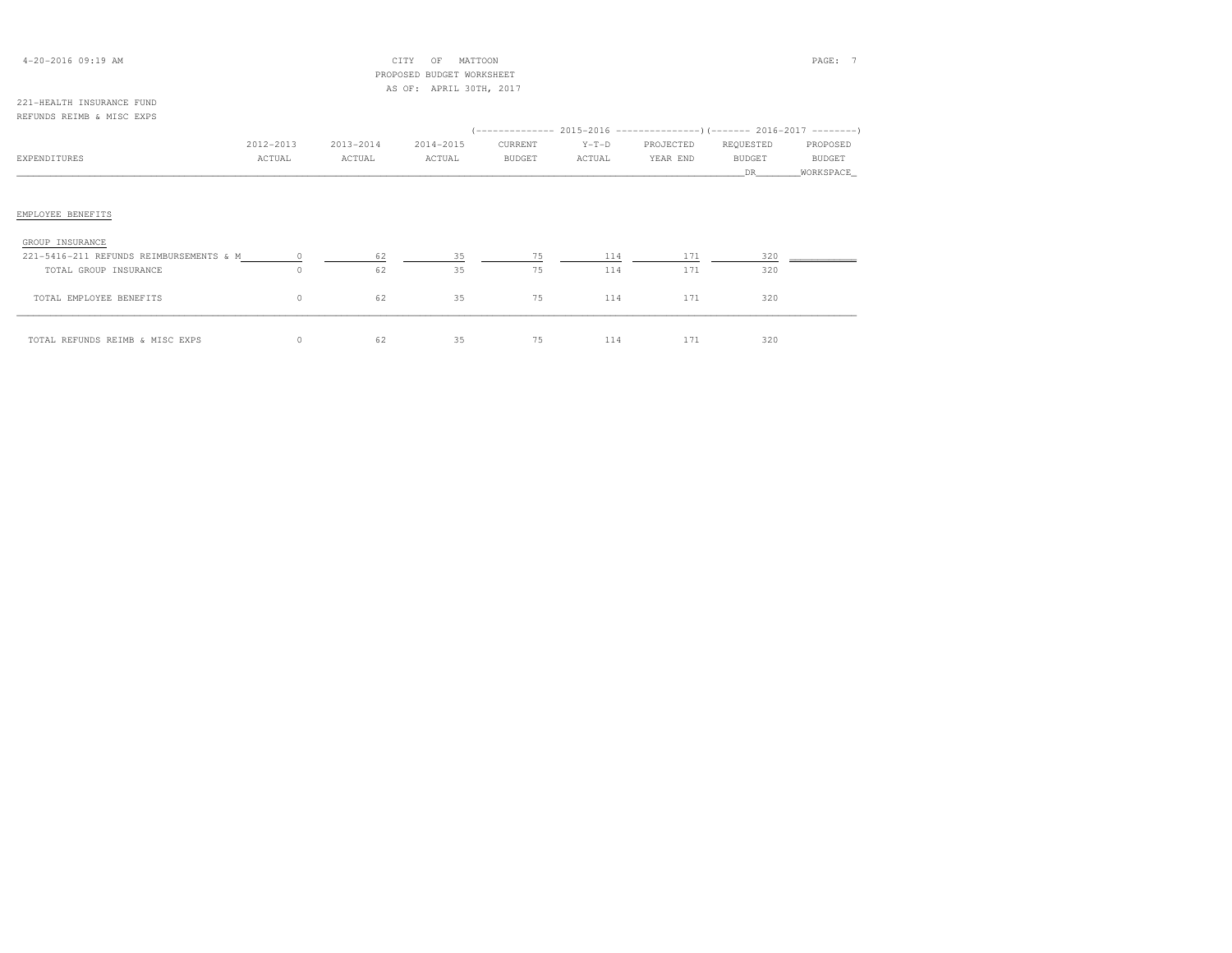| $4 - 20 - 2016$ 09:19 AM |  |
|--------------------------|--|
|--------------------------|--|

## 4-20-2016 09:19 AM CITY OF MATTOON PAGE: 7 PROPOSED BUDGET WORKSHEETAS OF: APRIL 30TH, 2017

### 221-HEALTH INSURANCE FUNDREFUNDS REIMB & MISC EXPS

|                                           |           |           |           |               |         | (-------------- 2015-2016 ----------------) (------- 2016-2017 ---------) |           |           |
|-------------------------------------------|-----------|-----------|-----------|---------------|---------|---------------------------------------------------------------------------|-----------|-----------|
|                                           | 2012-2013 | 2013-2014 | 2014-2015 | CURRENT       | $Y-T-D$ | PROJECTED                                                                 | REQUESTED | PROPOSED  |
| EXPENDITURES                              | ACTUAL    | ACTUAL    | ACTUAL    | <b>BUDGET</b> | ACTUAL  | YEAR END                                                                  | BUDGET    | BUDGET    |
|                                           |           |           |           |               |         |                                                                           | DR        | WORKSPACE |
|                                           |           |           |           |               |         |                                                                           |           |           |
|                                           |           |           |           |               |         |                                                                           |           |           |
| EMPLOYEE BENEFITS                         |           |           |           |               |         |                                                                           |           |           |
| GROUP INSURANCE                           |           |           |           |               |         |                                                                           |           |           |
| 221-5416-211 REFUNDS REIMBURSEMENTS & M 0 |           | 62        | 35        | 75            | 114     | 171                                                                       | 320       |           |
| TOTAL GROUP INSURANCE                     | $\circ$   | 62        | 35        | 75            | 114     | 171                                                                       | 320       |           |
| TOTAL EMPLOYEE BENEFITS                   | $\circ$   | 62        | 35        | 75            | 114     | 171                                                                       | 320       |           |
| TOTAL REFUNDS REIMB & MISC EXPS           | $\circ$   | 62        | 35        | 75            | 114     | 171                                                                       | 320       |           |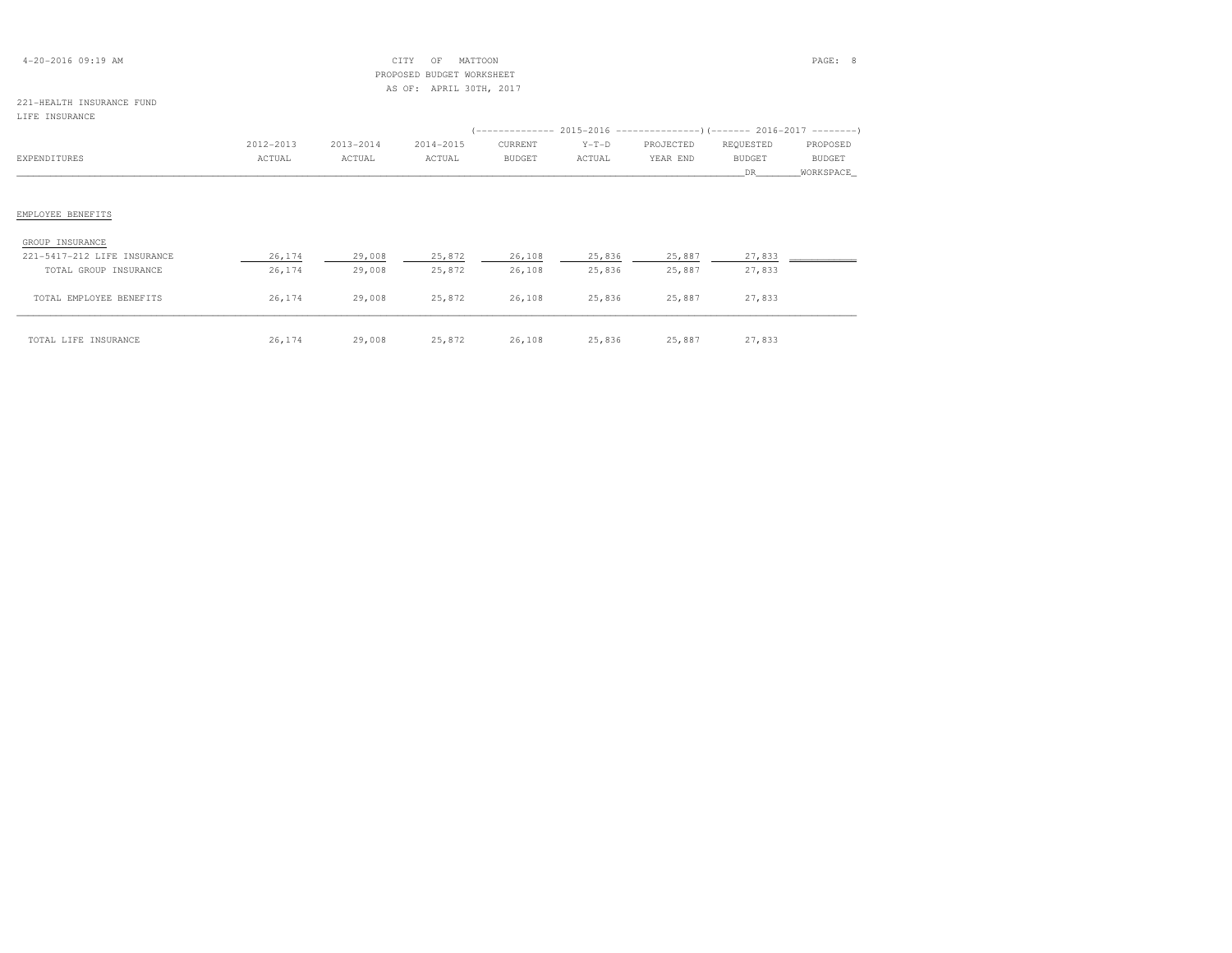| $4 - 20 - 2016$ 09:19 AM |  |
|--------------------------|--|
|--------------------------|--|

## 4-20-2016 09:19 AM CITY OF MATTOON PAGE: 8 PROPOSED BUDGET WORKSHEETAS OF: APRIL 30TH, 2017

### 221-HEALTH INSURANCE FUNDLIFE INSURANCE

| TTE TMOODWANG               |           |           |           |               |         |                                                                      |               |               |
|-----------------------------|-----------|-----------|-----------|---------------|---------|----------------------------------------------------------------------|---------------|---------------|
|                             |           |           |           |               |         | (-------------- 2015-2016 ---------------------- 2016-2017 --------- |               |               |
|                             | 2012-2013 | 2013-2014 | 2014-2015 | CURRENT       | $Y-T-D$ | PROJECTED                                                            | REQUESTED     | PROPOSED      |
| EXPENDITURES                | ACTUAL    | ACTUAL    | ACTUAL    | <b>BUDGET</b> | ACTUAL  | YEAR END                                                             | <b>BUDGET</b> | <b>BUDGET</b> |
|                             |           |           |           |               |         |                                                                      | DR.           | WORKSPACE     |
|                             |           |           |           |               |         |                                                                      |               |               |
|                             |           |           |           |               |         |                                                                      |               |               |
| EMPLOYEE BENEFITS           |           |           |           |               |         |                                                                      |               |               |
|                             |           |           |           |               |         |                                                                      |               |               |
| GROUP INSURANCE             |           |           |           |               |         |                                                                      |               |               |
| 221-5417-212 LIFE INSURANCE | 26,174    | 29,008    | 25,872    | 26,108        | 25,836  | 25,887                                                               | 27,833        |               |
| TOTAL GROUP INSURANCE       | 26,174    | 29,008    | 25,872    | 26,108        | 25,836  | 25,887                                                               | 27,833        |               |
|                             |           |           |           |               |         |                                                                      |               |               |
| TOTAL EMPLOYEE BENEFITS     | 26,174    | 29,008    | 25,872    | 26,108        | 25,836  | 25,887                                                               | 27,833        |               |
|                             |           |           |           |               |         |                                                                      |               |               |

| LIFE INSURANCE<br>TOTAL | $\sim$ | 29,008<br>. | 25 272<br>47.014<br>$\sim$ $\sim$ $\sim$ | 26,108 | 25,836<br>. | 25,887 | . |
|-------------------------|--------|-------------|------------------------------------------|--------|-------------|--------|---|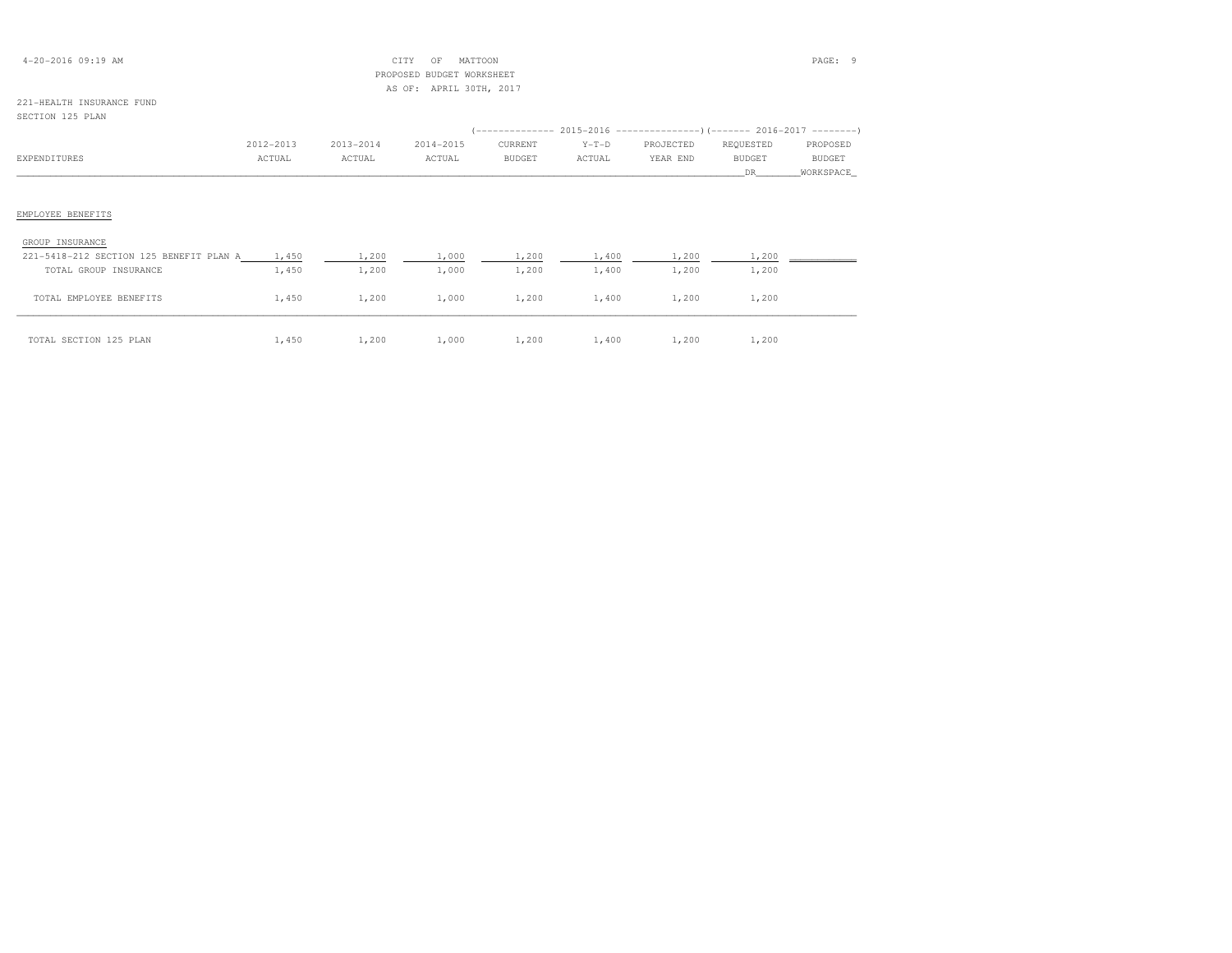## 4-20-2016 09:19 AM CITY OF MATTOON PAGE: 9 PROPOSED BUDGET WORKSHEETAS OF: APRIL 30TH, 2017

# 221-HEALTH INSURANCE FUND

## SECTION 125 PLAN

|                                         |           |           |           |               |         | $(-------- 2015-2016 ---------)$ $(----- 2016-2017 ------)$ |               |           |
|-----------------------------------------|-----------|-----------|-----------|---------------|---------|-------------------------------------------------------------|---------------|-----------|
|                                         | 2012-2013 | 2013-2014 | 2014-2015 | CURRENT       | $Y-T-D$ | PROJECTED                                                   | REQUESTED     | PROPOSED  |
| <b>EXPENDITURES</b>                     | ACTUAL    | ACTUAL    | ACTUAL    | <b>BUDGET</b> | ACTUAL  | YEAR END                                                    | <b>BUDGET</b> | BUDGET    |
|                                         |           |           |           |               |         |                                                             | DR            | WORKSPACE |
|                                         |           |           |           |               |         |                                                             |               |           |
| EMPLOYEE BENEFITS                       |           |           |           |               |         |                                                             |               |           |
| GROUP INSURANCE                         |           |           |           |               |         |                                                             |               |           |
| 221-5418-212 SECTION 125 BENEFIT PLAN A | 1,450     | 1,200     | 1,000     | 1,200         | 1,400   | 1,200                                                       | 1,200         |           |
| TOTAL GROUP INSURANCE                   | 1,450     | 1,200     | 1,000     | 1,200         | 1,400   | 1,200                                                       | 1,200         |           |
| TOTAL EMPLOYEE BENEFITS                 | 1,450     | 1,200     | 1,000     | 1,200         | 1,400   | 1,200                                                       | 1,200         |           |
| TOTAL SECTION 125 PLAN                  | 1,450     | 1,200     | 1,000     | 1,200         | 1,400   | 1,200                                                       | 1,200         |           |